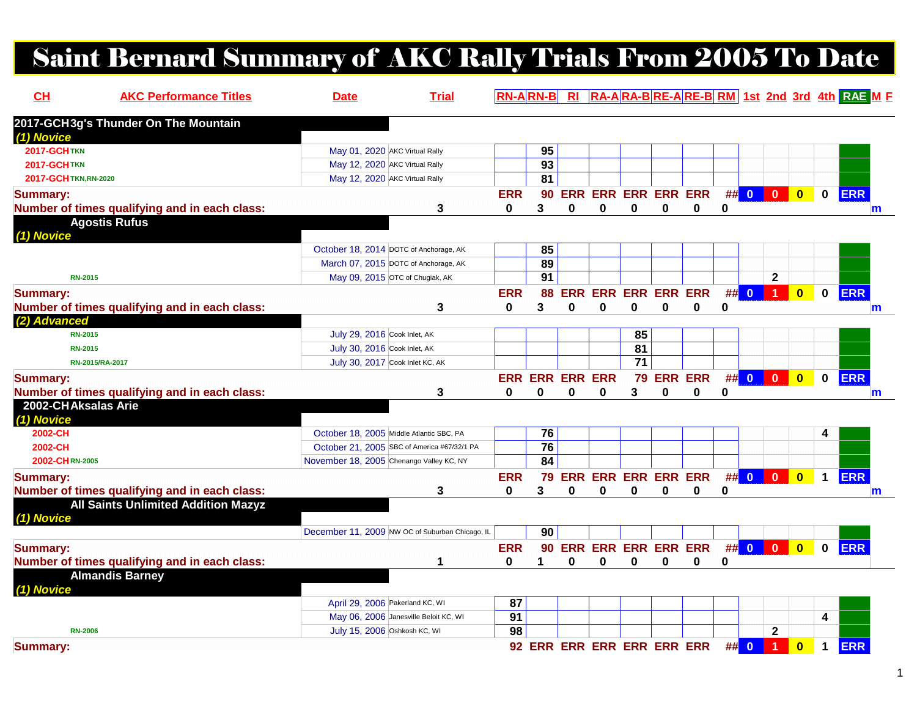## Saint Bernard Summary of AKC Rally Trials From 2005 To Date

| CL                    | <b>AKC Performance Titles</b>                 | <b>Date</b>                                     | <b>Trial</b> |              | $RN-A$ $RN-B$   | $R_{\parallel}$        |                            |                 |          |                            |             |                         |                      |                         |              | RA-ARA-BRE-ARE-BRM 1st 2nd 3rd 4th RAE ME |
|-----------------------|-----------------------------------------------|-------------------------------------------------|--------------|--------------|-----------------|------------------------|----------------------------|-----------------|----------|----------------------------|-------------|-------------------------|----------------------|-------------------------|--------------|-------------------------------------------|
|                       | 2017-GCH3g's Thunder On The Mountain          |                                                 |              |              |                 |                        |                            |                 |          |                            |             |                         |                      |                         |              |                                           |
| (1) Novice            |                                               |                                                 |              |              |                 |                        |                            |                 |          |                            |             |                         |                      |                         |              |                                           |
| <b>2017-GCHTKN</b>    |                                               | May 01, 2020 AKC Virtual Rally                  |              |              | 95              |                        |                            |                 |          |                            |             |                         |                      |                         |              |                                           |
| <b>2017-GCHTKN</b>    |                                               | May 12, 2020 AKC Virtual Rally                  |              |              | $\overline{93}$ |                        |                            |                 |          |                            |             |                         |                      |                         |              |                                           |
| 2017-GCH TKN, RN-2020 |                                               | May 12, 2020 AKC Virtual Rally                  |              |              | 81              |                        |                            |                 |          |                            |             |                         |                      |                         |              |                                           |
| <b>Summary:</b>       |                                               |                                                 |              | <b>ERR</b>   | 90              |                        |                            |                 |          | <b>ERR ERR ERR ERR ERR</b> |             | $\#$ 0 0                |                      | $\overline{\mathbf{0}}$ | $\mathbf 0$  | <b>ERR</b>                                |
|                       | Number of times qualifying and in each class: |                                                 | 3            | $\bf{0}$     | 3               | $\Omega$               | $\bf{0}$                   | $\mathbf 0$     | $\bf{0}$ | $\mathbf 0$                | $\mathbf 0$ |                         |                      |                         |              | m                                         |
|                       | <b>Agostis Rufus</b>                          |                                                 |              |              |                 |                        |                            |                 |          |                            |             |                         |                      |                         |              |                                           |
| (1) Novice            |                                               |                                                 |              |              |                 |                        |                            |                 |          |                            |             |                         |                      |                         |              |                                           |
|                       |                                               | October 18, 2014 DOTC of Anchorage, AK          |              |              | 85              |                        |                            |                 |          |                            |             |                         |                      |                         |              |                                           |
|                       |                                               | March 07, 2015 DOTC of Anchorage, AK            |              |              | 89              |                        |                            |                 |          |                            |             |                         |                      |                         |              |                                           |
| <b>RN-2015</b>        |                                               | May 09, 2015 OTC of Chugiak, AK                 |              |              | $\overline{91}$ |                        |                            |                 |          |                            |             |                         | $\mathbf{2}$         |                         |              |                                           |
| <b>Summary:</b>       |                                               |                                                 |              | <b>ERR</b>   | 88              |                        | <b>ERR ERR ERR ERR ERR</b> |                 |          |                            | ##          | $\mathbf{0}$            |                      | $\overline{\mathbf{0}}$ | $\mathbf 0$  | <b>ERR</b>                                |
|                       | Number of times qualifying and in each class: |                                                 | 3            | $\mathbf{0}$ | 3               | $\Omega$               | $\bf{0}$                   | $\bf{0}$        | $\bf{0}$ | $\mathbf 0$                | 0           |                         |                      |                         |              | m                                         |
| (2) Advanced          |                                               |                                                 |              |              |                 |                        |                            |                 |          |                            |             |                         |                      |                         |              |                                           |
| <b>RN-2015</b>        |                                               | July 29, 2016 Cook Inlet, AK                    |              |              |                 |                        |                            | 85              |          |                            |             |                         |                      |                         |              |                                           |
| <b>RN-2015</b>        |                                               | July 30, 2016 Cook Inlet, AK                    |              |              |                 |                        |                            | $\overline{81}$ |          |                            |             |                         |                      |                         |              |                                           |
|                       | RN-2015/RA-2017                               | July 30, 2017 Cook Inlet KC, AK                 |              |              |                 |                        |                            | 71              |          |                            |             |                         |                      |                         |              |                                           |
| <b>Summary:</b>       |                                               |                                                 |              |              |                 | <b>ERR ERR ERR ERR</b> |                            |                 |          | 79 ERR ERR                 |             | ## 0 0                  |                      | $\overline{\mathbf{0}}$ | $\mathbf 0$  | <b>ERR</b>                                |
|                       | Number of times qualifying and in each class: |                                                 | 3            | 0            | 0               | $\bf{0}$               | 0                          | 3               | 0        | 0                          | 0           |                         |                      |                         |              | $\mathsf{m}$                              |
| 2002-CHAksalas Arie   |                                               |                                                 |              |              |                 |                        |                            |                 |          |                            |             |                         |                      |                         |              |                                           |
| (1) Novice            |                                               |                                                 |              |              |                 |                        |                            |                 |          |                            |             |                         |                      |                         |              |                                           |
| 2002-CH               |                                               | October 18, 2005 Middle Atlantic SBC, PA        |              |              | 76              |                        |                            |                 |          |                            |             |                         |                      |                         |              |                                           |
| 2002-CH               |                                               | October 21, 2005 SBC of America #67/32/1 PA     |              |              | 76              |                        |                            |                 |          |                            |             |                         |                      |                         |              |                                           |
| 2002-CHRN-2005        |                                               | November 18, 2005 Chenango Valley KC, NY        |              |              | 84              |                        |                            |                 |          |                            |             |                         |                      |                         |              |                                           |
| <b>Summary:</b>       |                                               |                                                 |              | <b>ERR</b>   | 79              |                        | <b>ERR ERR ERR ERR ERR</b> |                 |          |                            | #           | $\overline{\mathbf{0}}$ | $\bf{0}$             | $\overline{\mathbf{0}}$ | $\mathbf{1}$ | <b>ERR</b>                                |
|                       | Number of times qualifying and in each class: |                                                 | 3            | $\bf{0}$     | 3               | 0                      | 0                          | $\bf{0}$        | 0        | $\bf{0}$                   | 0           |                         |                      |                         |              | $\mathsf{m}$                              |
|                       | <b>All Saints Unlimited Addition Mazyz</b>    |                                                 |              |              |                 |                        |                            |                 |          |                            |             |                         |                      |                         |              |                                           |
| (1) Novice            |                                               |                                                 |              |              |                 |                        |                            |                 |          |                            |             |                         |                      |                         |              |                                           |
|                       |                                               | December 11, 2009 NW OC of Suburban Chicago, IL |              |              | 90              |                        |                            |                 |          |                            |             |                         |                      |                         |              |                                           |
| <b>Summary:</b>       |                                               |                                                 |              | <b>ERR</b>   | 90              |                        | ERR ERR ERR ERR ERR        |                 |          |                            |             | $\#$ 0 0                |                      | $\overline{\mathbf{0}}$ | $\mathbf{0}$ | <b>ERR</b>                                |
|                       | Number of times qualifying and in each class: |                                                 | 1            | $\bf{0}$     | 1               | 0                      | 0                          | $\bf{0}$        | 0        | 0                          | 0           |                         |                      |                         |              |                                           |
|                       | <b>Almandis Barney</b>                        |                                                 |              |              |                 |                        |                            |                 |          |                            |             |                         |                      |                         |              |                                           |
| (1) Novice            |                                               |                                                 |              |              |                 |                        |                            |                 |          |                            |             |                         |                      |                         |              |                                           |
|                       |                                               | April 29, 2006 Pakerland KC, WI                 |              | 87           |                 |                        |                            |                 |          |                            |             |                         |                      |                         |              |                                           |
|                       |                                               | May 06, 2006 Janesville Beloit KC, WI           |              | 91           |                 |                        |                            |                 |          |                            |             |                         |                      |                         | 4            |                                           |
| <b>RN-2006</b>        |                                               | July 15, 2006 Oshkosh KC, WI                    |              | 98           |                 |                        |                            |                 |          |                            |             |                         | $\mathbf{2}$         |                         |              |                                           |
| <b>Summary:</b>       |                                               |                                                 |              |              |                 |                        | 92 ERR ERR ERR ERR ERR ERR |                 |          |                            | #           | $\overline{\mathbf{0}}$ | $\blacktriangleleft$ | $\overline{\mathbf{0}}$ | $\mathbf 1$  | <b>ERR</b>                                |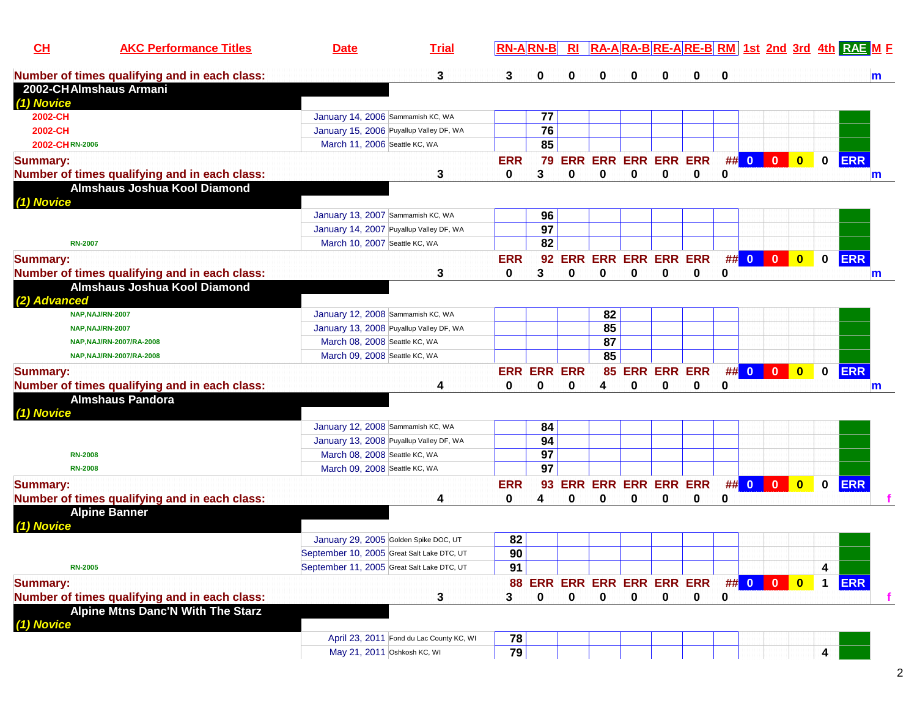| Number of times qualifying and in each class:<br>3<br>0<br>3<br>0<br>0<br>0<br>0<br>0<br>0<br>2002-CHAlmshaus Armani<br>(1) Novice<br>77<br>2002-CH<br>January 14, 2006 Sammamish KC, WA<br>76<br>2002-CH<br>January 15, 2006 Puyallup Valley DF, WA<br>85<br>2002-CHRN-2006<br>March 11, 2006 Seattle KC, WA<br><b>ERR ERR ERR ERR ERR</b><br>$\##$ 0 0 0<br>$\mathbf 0$<br><b>ERR</b><br><b>ERR</b><br>79<br><b>Summary:</b><br>3<br>$\bf{0}$<br>Number of times qualifying and in each class:<br>3<br>0<br>$\bf{0}$<br>0<br>0<br>0<br>0<br>Almshaus Joshua Kool Diamond<br>(1) Novice<br>96<br>January 13, 2007 Sammamish KC, WA<br>97<br>January 14, 2007 Puyallup Valley DF, WA<br>82<br>March 10, 2007 Seattle KC, WA<br><b>RN-2007</b><br><b>ERR ERR ERR ERR ERR</b><br>## 0 0 0<br>0 ERR<br><b>Summary:</b><br><b>ERR</b><br>92<br>Number of times qualifying and in each class:<br>3<br>0<br>3<br>0<br>0<br>0<br>0<br>0<br>0<br>Almshaus Joshua Kool Diamond<br>(2) Advanced<br>82<br>January 12, 2008 Sammamish KC, WA<br>NAP, NAJ/RN-2007<br>85<br>January 13, 2008 Puyallup Valley DF, WA<br>NAP, NAJ/RN-2007<br>87<br>March 08, 2008 Seattle KC, WA<br>NAP, NAJ/RN-2007/RA-2008<br>85<br>March 09, 2008 Seattle KC, WA<br>NAP, NAJ/RN-2007/RA-2008<br><b>ERR</b><br>85 ERR ERR ERR<br>## 0 0 0<br>$\bullet$<br>$\mathbf 0$<br><b>ERR ERR ERR</b><br><b>Summary:</b><br>Number of times qualifying and in each class:<br>0<br>0<br>0<br>0<br>0<br>0<br>0<br>4<br>4 |              |
|--------------------------------------------------------------------------------------------------------------------------------------------------------------------------------------------------------------------------------------------------------------------------------------------------------------------------------------------------------------------------------------------------------------------------------------------------------------------------------------------------------------------------------------------------------------------------------------------------------------------------------------------------------------------------------------------------------------------------------------------------------------------------------------------------------------------------------------------------------------------------------------------------------------------------------------------------------------------------------------------------------------------------------------------------------------------------------------------------------------------------------------------------------------------------------------------------------------------------------------------------------------------------------------------------------------------------------------------------------------------------------------------------------------------------------------------------------------------------------|--------------|
|                                                                                                                                                                                                                                                                                                                                                                                                                                                                                                                                                                                                                                                                                                                                                                                                                                                                                                                                                                                                                                                                                                                                                                                                                                                                                                                                                                                                                                                                                | m            |
|                                                                                                                                                                                                                                                                                                                                                                                                                                                                                                                                                                                                                                                                                                                                                                                                                                                                                                                                                                                                                                                                                                                                                                                                                                                                                                                                                                                                                                                                                |              |
|                                                                                                                                                                                                                                                                                                                                                                                                                                                                                                                                                                                                                                                                                                                                                                                                                                                                                                                                                                                                                                                                                                                                                                                                                                                                                                                                                                                                                                                                                |              |
|                                                                                                                                                                                                                                                                                                                                                                                                                                                                                                                                                                                                                                                                                                                                                                                                                                                                                                                                                                                                                                                                                                                                                                                                                                                                                                                                                                                                                                                                                |              |
|                                                                                                                                                                                                                                                                                                                                                                                                                                                                                                                                                                                                                                                                                                                                                                                                                                                                                                                                                                                                                                                                                                                                                                                                                                                                                                                                                                                                                                                                                |              |
|                                                                                                                                                                                                                                                                                                                                                                                                                                                                                                                                                                                                                                                                                                                                                                                                                                                                                                                                                                                                                                                                                                                                                                                                                                                                                                                                                                                                                                                                                |              |
|                                                                                                                                                                                                                                                                                                                                                                                                                                                                                                                                                                                                                                                                                                                                                                                                                                                                                                                                                                                                                                                                                                                                                                                                                                                                                                                                                                                                                                                                                |              |
|                                                                                                                                                                                                                                                                                                                                                                                                                                                                                                                                                                                                                                                                                                                                                                                                                                                                                                                                                                                                                                                                                                                                                                                                                                                                                                                                                                                                                                                                                | m            |
|                                                                                                                                                                                                                                                                                                                                                                                                                                                                                                                                                                                                                                                                                                                                                                                                                                                                                                                                                                                                                                                                                                                                                                                                                                                                                                                                                                                                                                                                                |              |
|                                                                                                                                                                                                                                                                                                                                                                                                                                                                                                                                                                                                                                                                                                                                                                                                                                                                                                                                                                                                                                                                                                                                                                                                                                                                                                                                                                                                                                                                                |              |
|                                                                                                                                                                                                                                                                                                                                                                                                                                                                                                                                                                                                                                                                                                                                                                                                                                                                                                                                                                                                                                                                                                                                                                                                                                                                                                                                                                                                                                                                                |              |
|                                                                                                                                                                                                                                                                                                                                                                                                                                                                                                                                                                                                                                                                                                                                                                                                                                                                                                                                                                                                                                                                                                                                                                                                                                                                                                                                                                                                                                                                                |              |
|                                                                                                                                                                                                                                                                                                                                                                                                                                                                                                                                                                                                                                                                                                                                                                                                                                                                                                                                                                                                                                                                                                                                                                                                                                                                                                                                                                                                                                                                                |              |
|                                                                                                                                                                                                                                                                                                                                                                                                                                                                                                                                                                                                                                                                                                                                                                                                                                                                                                                                                                                                                                                                                                                                                                                                                                                                                                                                                                                                                                                                                |              |
|                                                                                                                                                                                                                                                                                                                                                                                                                                                                                                                                                                                                                                                                                                                                                                                                                                                                                                                                                                                                                                                                                                                                                                                                                                                                                                                                                                                                                                                                                | $\mathsf{m}$ |
|                                                                                                                                                                                                                                                                                                                                                                                                                                                                                                                                                                                                                                                                                                                                                                                                                                                                                                                                                                                                                                                                                                                                                                                                                                                                                                                                                                                                                                                                                |              |
|                                                                                                                                                                                                                                                                                                                                                                                                                                                                                                                                                                                                                                                                                                                                                                                                                                                                                                                                                                                                                                                                                                                                                                                                                                                                                                                                                                                                                                                                                |              |
|                                                                                                                                                                                                                                                                                                                                                                                                                                                                                                                                                                                                                                                                                                                                                                                                                                                                                                                                                                                                                                                                                                                                                                                                                                                                                                                                                                                                                                                                                |              |
|                                                                                                                                                                                                                                                                                                                                                                                                                                                                                                                                                                                                                                                                                                                                                                                                                                                                                                                                                                                                                                                                                                                                                                                                                                                                                                                                                                                                                                                                                |              |
|                                                                                                                                                                                                                                                                                                                                                                                                                                                                                                                                                                                                                                                                                                                                                                                                                                                                                                                                                                                                                                                                                                                                                                                                                                                                                                                                                                                                                                                                                |              |
|                                                                                                                                                                                                                                                                                                                                                                                                                                                                                                                                                                                                                                                                                                                                                                                                                                                                                                                                                                                                                                                                                                                                                                                                                                                                                                                                                                                                                                                                                |              |
|                                                                                                                                                                                                                                                                                                                                                                                                                                                                                                                                                                                                                                                                                                                                                                                                                                                                                                                                                                                                                                                                                                                                                                                                                                                                                                                                                                                                                                                                                | $\mathbf{m}$ |
| <b>Almshaus Pandora</b>                                                                                                                                                                                                                                                                                                                                                                                                                                                                                                                                                                                                                                                                                                                                                                                                                                                                                                                                                                                                                                                                                                                                                                                                                                                                                                                                                                                                                                                        |              |
| (1) Novice                                                                                                                                                                                                                                                                                                                                                                                                                                                                                                                                                                                                                                                                                                                                                                                                                                                                                                                                                                                                                                                                                                                                                                                                                                                                                                                                                                                                                                                                     |              |
| January 12, 2008 Sammamish KC, WA<br>84                                                                                                                                                                                                                                                                                                                                                                                                                                                                                                                                                                                                                                                                                                                                                                                                                                                                                                                                                                                                                                                                                                                                                                                                                                                                                                                                                                                                                                        |              |
| 94<br>January 13, 2008 Puyallup Valley DF, WA                                                                                                                                                                                                                                                                                                                                                                                                                                                                                                                                                                                                                                                                                                                                                                                                                                                                                                                                                                                                                                                                                                                                                                                                                                                                                                                                                                                                                                  |              |
| 97<br>March 08, 2008 Seattle KC, WA<br><b>RN-2008</b>                                                                                                                                                                                                                                                                                                                                                                                                                                                                                                                                                                                                                                                                                                                                                                                                                                                                                                                                                                                                                                                                                                                                                                                                                                                                                                                                                                                                                          |              |
| 97<br>March 09, 2008 Seattle KC, WA<br><b>RN-2008</b>                                                                                                                                                                                                                                                                                                                                                                                                                                                                                                                                                                                                                                                                                                                                                                                                                                                                                                                                                                                                                                                                                                                                                                                                                                                                                                                                                                                                                          |              |
| <b>ERR</b><br>## $\begin{array}{ c c c c c }\n\hline\n0&0&0&0&\n\hline\n\end{array}$<br><b>ERR ERR ERR ERR ERR</b><br>$\overline{\mathbf{0}}$<br>$\mathbf 0$<br><b>ERR</b><br><b>Summary:</b><br>93                                                                                                                                                                                                                                                                                                                                                                                                                                                                                                                                                                                                                                                                                                                                                                                                                                                                                                                                                                                                                                                                                                                                                                                                                                                                            |              |
| Number of times qualifying and in each class:<br>0<br>4<br>0<br>0<br>0<br>0<br>0<br>0<br>4                                                                                                                                                                                                                                                                                                                                                                                                                                                                                                                                                                                                                                                                                                                                                                                                                                                                                                                                                                                                                                                                                                                                                                                                                                                                                                                                                                                     |              |
| <b>Alpine Banner</b>                                                                                                                                                                                                                                                                                                                                                                                                                                                                                                                                                                                                                                                                                                                                                                                                                                                                                                                                                                                                                                                                                                                                                                                                                                                                                                                                                                                                                                                           |              |
| (1) Novice                                                                                                                                                                                                                                                                                                                                                                                                                                                                                                                                                                                                                                                                                                                                                                                                                                                                                                                                                                                                                                                                                                                                                                                                                                                                                                                                                                                                                                                                     |              |
| 82<br>January 29, 2005 Golden Spike DOC, UT                                                                                                                                                                                                                                                                                                                                                                                                                                                                                                                                                                                                                                                                                                                                                                                                                                                                                                                                                                                                                                                                                                                                                                                                                                                                                                                                                                                                                                    |              |
| 90<br>September 10, 2005 Great Salt Lake DTC, UT                                                                                                                                                                                                                                                                                                                                                                                                                                                                                                                                                                                                                                                                                                                                                                                                                                                                                                                                                                                                                                                                                                                                                                                                                                                                                                                                                                                                                               |              |
| 91<br>4<br>September 11, 2005 Great Salt Lake DTC, UT<br><b>RN-2005</b>                                                                                                                                                                                                                                                                                                                                                                                                                                                                                                                                                                                                                                                                                                                                                                                                                                                                                                                                                                                                                                                                                                                                                                                                                                                                                                                                                                                                        |              |
| <b>ERR</b><br>88 ERR ERR ERR ERR ERR ERR ## 0 0 0<br><b>Summary:</b><br>$\mathbf 1$                                                                                                                                                                                                                                                                                                                                                                                                                                                                                                                                                                                                                                                                                                                                                                                                                                                                                                                                                                                                                                                                                                                                                                                                                                                                                                                                                                                            |              |
| Number of times qualifying and in each class:<br>$\mathbf 0$<br>$\mathbf 0$<br>3<br>3<br>$\bf{0}$<br>$\mathbf 0$<br>$\mathbf 0$<br>$\mathbf 0$<br>0                                                                                                                                                                                                                                                                                                                                                                                                                                                                                                                                                                                                                                                                                                                                                                                                                                                                                                                                                                                                                                                                                                                                                                                                                                                                                                                            |              |
| <b>Alpine Mtns Danc'N With The Starz</b>                                                                                                                                                                                                                                                                                                                                                                                                                                                                                                                                                                                                                                                                                                                                                                                                                                                                                                                                                                                                                                                                                                                                                                                                                                                                                                                                                                                                                                       |              |
| (1) Novice                                                                                                                                                                                                                                                                                                                                                                                                                                                                                                                                                                                                                                                                                                                                                                                                                                                                                                                                                                                                                                                                                                                                                                                                                                                                                                                                                                                                                                                                     |              |
| 78<br>April 23, 2011 Fond du Lac County KC, WI                                                                                                                                                                                                                                                                                                                                                                                                                                                                                                                                                                                                                                                                                                                                                                                                                                                                                                                                                                                                                                                                                                                                                                                                                                                                                                                                                                                                                                 |              |
| 79<br>May 21, 2011 Oshkosh KC, WI<br>4                                                                                                                                                                                                                                                                                                                                                                                                                                                                                                                                                                                                                                                                                                                                                                                                                                                                                                                                                                                                                                                                                                                                                                                                                                                                                                                                                                                                                                         |              |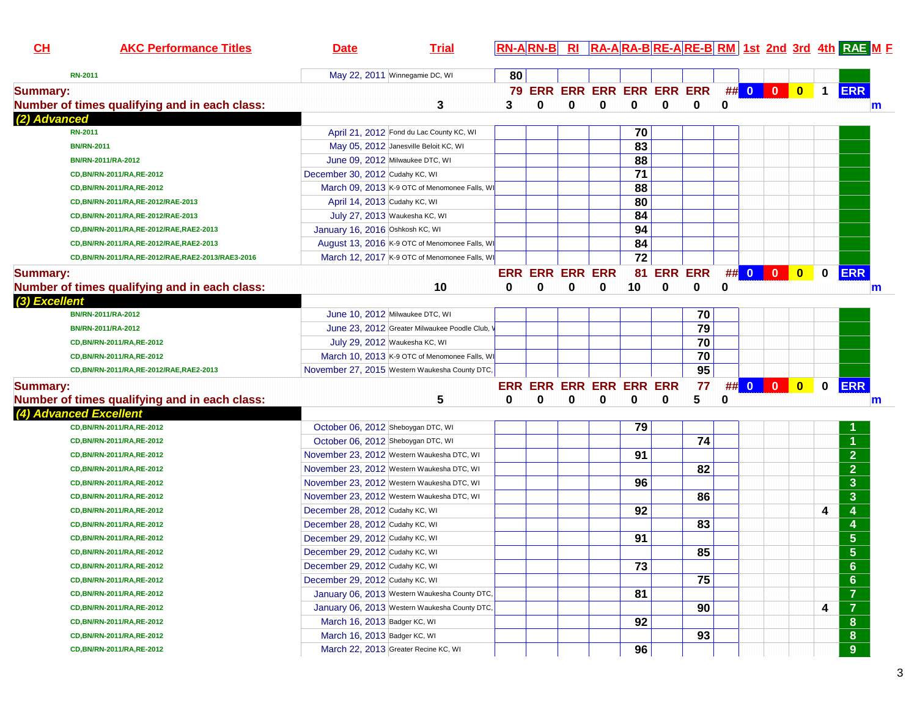| CL              | <b>AKC Performance Titles</b>                    | <b>Date</b>                                    | <b>Trial</b> |    |   |                        |                            |    |          |                |   |            |                | RN-ARN-B RI RA-ARA-BRE-ARE-BRM 1st 2nd 3rd 4th RAE M F |
|-----------------|--------------------------------------------------|------------------------------------------------|--------------|----|---|------------------------|----------------------------|----|----------|----------------|---|------------|----------------|--------------------------------------------------------|
|                 | <b>RN-2011</b>                                   | May 22, 2011 Winnegamie DC, WI                 |              | 80 |   |                        |                            |    |          |                |   |            |                |                                                        |
| <b>Summary:</b> |                                                  |                                                |              |    |   |                        | 79 ERR ERR ERR ERR ERR ERR |    |          |                |   | ## 0 0 0   | $\overline{1}$ | <b>ERR</b>                                             |
|                 | Number of times qualifying and in each class:    |                                                | 3            | 3  | 0 | 0                      | $\mathbf 0$                | 0  | $\bf{0}$ | $\mathbf 0$    | 0 |            |                | m                                                      |
| (2) Advanced    |                                                  |                                                |              |    |   |                        |                            |    |          |                |   |            |                |                                                        |
|                 | <b>RN-2011</b>                                   | April 21, 2012 Fond du Lac County KC, WI       |              |    |   |                        |                            | 70 |          |                |   |            |                |                                                        |
|                 | <b>BN/RN-2011</b>                                | May 05, 2012 Janesville Beloit KC, WI          |              |    |   |                        |                            | 83 |          |                |   |            |                |                                                        |
|                 | BN/RN-2011/RA-2012                               | June 09, 2012 Milwaukee DTC, WI                |              |    |   |                        |                            | 88 |          |                |   |            |                |                                                        |
|                 | CD, BN/RN-2011/RA, RE-2012                       | December 30, 2012 Cudahy KC, WI                |              |    |   |                        |                            | 71 |          |                |   |            |                |                                                        |
|                 | CD, BN/RN-2011/RA, RE-2012                       | March 09, 2013 K-9 OTC of Menomonee Falls, WI  |              |    |   |                        |                            | 88 |          |                |   |            |                |                                                        |
|                 | CD, BN/RN-2011/RA, RE-2012/RAE-2013              | April 14, 2013 Cudahy KC, WI                   |              |    |   |                        |                            | 80 |          |                |   |            |                |                                                        |
|                 | CD, BN/RN-2011/RA, RE-2012/RAE-2013              | July 27, 2013 Waukesha KC, WI                  |              |    |   |                        |                            | 84 |          |                |   |            |                |                                                        |
|                 | CD, BN/RN-2011/RA, RE-2012/RAE, RAE2-2013        | January 16, 2016 Oshkosh KC, WI                |              |    |   |                        |                            | 94 |          |                |   |            |                |                                                        |
|                 | CD, BN/RN-2011/RA, RE-2012/RAE, RAE2-2013        | August 13, 2016 K-9 OTC of Menomonee Falls, WI |              |    |   |                        |                            | 84 |          |                |   |            |                |                                                        |
|                 | CD,BN/RN-2011/RA,RE-2012/RAE,RAE2-2013/RAE3-2016 | March 12, 2017 K-9 OTC of Menomonee Falls, WI  |              |    |   |                        |                            | 72 |          |                |   |            |                |                                                        |
| <b>Summary:</b> |                                                  |                                                |              |    |   | <b>ERR ERR ERR ERR</b> |                            | 81 |          | <b>ERR ERR</b> |   | ## 0 0 0   | $\mathbf 0$    | <b>ERR</b>                                             |
|                 | Number of times qualifying and in each class:    |                                                | 10           | 0  | 0 | 0                      | 0                          | 10 | 0        | 0              | 0 |            |                | m                                                      |
| (3) Excellent   |                                                  |                                                |              |    |   |                        |                            |    |          |                |   |            |                |                                                        |
|                 | BN/RN-2011/RA-2012                               | June 10, 2012 Milwaukee DTC, WI                |              |    |   |                        |                            |    |          | 70             |   |            |                |                                                        |
|                 | BN/RN-2011/RA-2012                               | June 23, 2012 Greater Milwaukee Poodle Club,   |              |    |   |                        |                            |    |          | 79             |   |            |                |                                                        |
|                 | CD, BN/RN-2011/RA, RE-2012                       | July 29, 2012 Waukesha KC, WI                  |              |    |   |                        |                            |    |          | 70             |   |            |                |                                                        |
|                 | CD, BN/RN-2011/RA, RE-2012                       | March 10, 2013 K-9 OTC of Menomonee Falls, WI  |              |    |   |                        |                            |    |          | 70             |   |            |                |                                                        |
|                 | CD, BN/RN-2011/RA, RE-2012/RAE, RAE2-2013        | November 27, 2015 Western Waukesha County DTC, |              |    |   |                        |                            |    |          | 95             |   |            |                |                                                        |
| <b>Summary:</b> |                                                  |                                                |              |    |   |                        | ERR ERR ERR ERR ERR ERR    |    |          | 77             |   | $\#$ 0 0 0 | $\mathbf 0$    | <b>ERR</b>                                             |
|                 | Number of times qualifying and in each class:    |                                                | 5            | 0  | 0 | 0                      | 0                          | 0  | 0        | 5              | 0 |            |                |                                                        |
|                 | (4) Advanced Excellent                           |                                                |              |    |   |                        |                            |    |          |                |   |            |                | m                                                      |
|                 | CD, BN/RN-2011/RA, RE-2012                       | October 06, 2012 Sheboygan DTC, WI             |              |    |   |                        |                            | 79 |          |                |   |            |                |                                                        |
|                 | CD, BN/RN-2011/RA, RE-2012                       | October 06, 2012 Sheboygan DTC, WI             |              |    |   |                        |                            |    |          | 74             |   |            |                |                                                        |
|                 | CD, BN/RN-2011/RA, RE-2012                       | November 23, 2012 Western Waukesha DTC, WI     |              |    |   |                        |                            | 91 |          |                |   |            |                | $\overline{2}$                                         |
|                 | CD, BN/RN-2011/RA, RE-2012                       | November 23, 2012 Western Waukesha DTC, WI     |              |    |   |                        |                            |    |          | 82             |   |            |                | $\overline{2}$                                         |
|                 | CD, BN/RN-2011/RA, RE-2012                       | November 23, 2012 Western Waukesha DTC, WI     |              |    |   |                        |                            | 96 |          |                |   |            |                | $\mathbf{3}$                                           |
|                 | CD, BN/RN-2011/RA, RE-2012                       | November 23, 2012 Western Waukesha DTC, WI     |              |    |   |                        |                            |    |          | 86             |   |            |                | $\mathbf{3}$                                           |
|                 | CD, BN/RN-2011/RA, RE-2012                       | December 28, 2012 Cudahy KC, WI                |              |    |   |                        |                            | 92 |          |                |   |            | 4              | 4                                                      |
|                 | CD, BN/RN-2011/RA, RE-2012                       | December 28, 2012 Cudahy KC, WI                |              |    |   |                        |                            |    |          | 83             |   |            |                |                                                        |
|                 | CD, BN/RN-2011/RA, RE-2012                       | December 29, 2012 Cudahy KC, WI                |              |    |   |                        |                            | 91 |          |                |   |            |                | $\overline{\mathbf{5}}$                                |
|                 | CD, BN/RN-2011/RA, RE-2012                       | December 29, 2012 Cudahy KC, WI                |              |    |   |                        |                            |    |          | 85             |   |            |                | $5\phantom{1}$                                         |
|                 | CD, BN/RN-2011/RA, RE-2012                       | December 29, 2012 Cudahy KC, WI                |              |    |   |                        |                            | 73 |          |                |   |            |                |                                                        |
|                 | CD, BN/RN-2011/RA, RE-2012                       | December 29, 2012 Cudahy KC, WI                |              |    |   |                        |                            |    |          | 75             |   |            |                | 6 <sup>°</sup><br>$6\phantom{a}$                       |
|                 | CD, BN/RN-2011/RA, RE-2012                       | January 06, 2013 Western Waukesha County DTC,  |              |    |   |                        |                            | 81 |          |                |   |            |                | $\overline{7}$                                         |
|                 | CD, BN/RN-2011/RA, RE-2012                       | January 06, 2013 Western Waukesha County DTC,  |              |    |   |                        |                            |    |          | 90             |   |            |                | $\overline{7}$                                         |
|                 | CD, BN/RN-2011/RA, RE-2012                       |                                                |              |    |   |                        |                            | 92 |          |                |   |            | 4              |                                                        |
|                 | CD, BN/RN-2011/RA, RE-2012                       | March 16, 2013 Badger KC, WI                   |              |    |   |                        |                            |    |          |                |   |            |                | 8                                                      |
|                 |                                                  | March 16, 2013 Badger KC, WI                   |              |    |   |                        |                            |    |          | 93             |   |            |                | ${\bf 8}$                                              |
|                 | CD, BN/RN-2011/RA, RE-2012                       | March 22, 2013 Greater Recine KC, WI           |              |    |   |                        |                            | 96 |          |                |   |            |                | 9                                                      |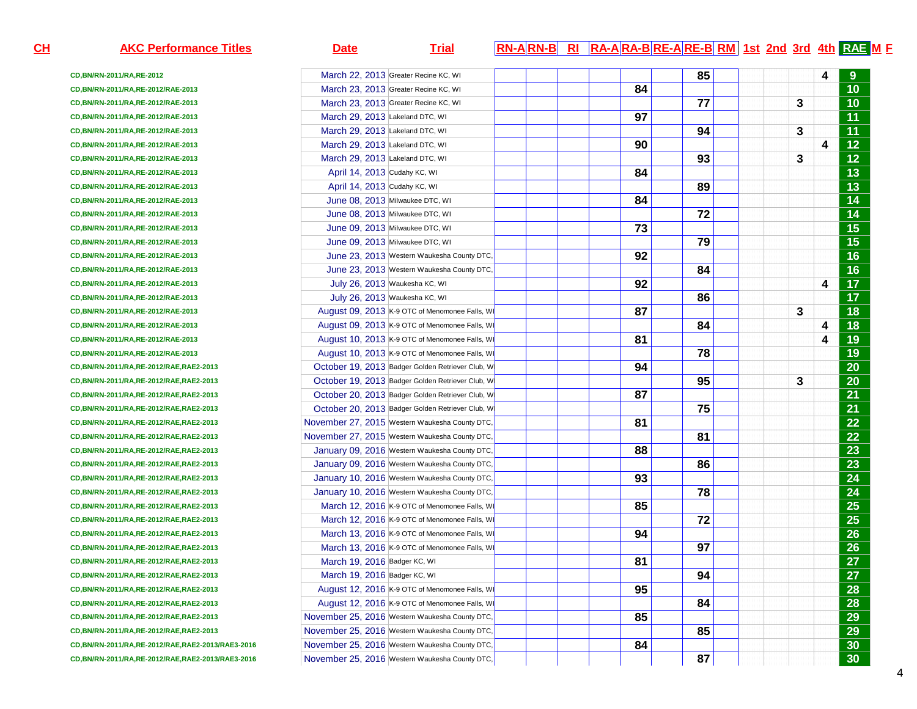| <u>н</u> | <b>AKC Performance Titles</b>                       | <b>Date</b>                     | <b>Trial</b>                                     |  |  |    |    |  |   |   | $ RN-A RN-B $ RI $ RA-A RA-B RE-A RE-B RM 1st$ and 3rd 4th RAE M E |
|----------|-----------------------------------------------------|---------------------------------|--------------------------------------------------|--|--|----|----|--|---|---|--------------------------------------------------------------------|
|          | CD, BN/RN-2011/RA, RE-2012                          |                                 | March 22, 2013 Greater Recine KC, WI             |  |  |    | 85 |  |   | 4 |                                                                    |
|          | CD, BN/RN-2011/RA, RE-2012/RAE-2013                 |                                 | March 23, 2013 Greater Recine KC, WI             |  |  | 84 |    |  |   |   | 10                                                                 |
|          | CD, BN/RN-2011/RA, RE-2012/RAE-2013                 |                                 | March 23, 2013 Greater Recine KC, WI             |  |  |    | 77 |  | 3 |   | $\overline{10}$                                                    |
|          | CD, BN/RN-2011/RA, RE-2012/RAE-2013                 | March 29, 2013 Lakeland DTC, WI |                                                  |  |  | 97 |    |  |   |   | $\overline{11}$                                                    |
|          | CD, BN/RN-2011/RA, RE-2012/RAE-2013                 | March 29, 2013 Lakeland DTC, WI |                                                  |  |  |    | 94 |  | 3 |   | $\overline{11}$                                                    |
|          | CD, BN/RN-2011/RA, RE-2012/RAE-2013                 | March 29, 2013 Lakeland DTC, WI |                                                  |  |  | 90 |    |  |   | 4 | $\overline{12}$                                                    |
|          | CD, BN/RN-2011/RA, RE-2012/RAE-2013                 | March 29, 2013 Lakeland DTC, WI |                                                  |  |  |    | 93 |  | 3 |   | $\overline{12}$                                                    |
|          | CD, BN/RN-2011/RA, RE-2012/RAE-2013                 | April 14, 2013 Cudahy KC, WI    |                                                  |  |  | 84 |    |  |   |   | $\overline{13}$                                                    |
|          | CD, BN/RN-2011/RA, RE-2012/RAE-2013                 | April 14, 2013 Cudahy KC, WI    |                                                  |  |  |    | 89 |  |   |   | $\overline{13}$                                                    |
|          | CD, BN/RN-2011/RA, RE-2012/RAE-2013                 | June 08, 2013 Milwaukee DTC, WI |                                                  |  |  | 84 |    |  |   |   | $\overline{14}$                                                    |
|          | CD, BN/RN-2011/RA, RE-2012/RAE-2013                 | June 08, 2013 Milwaukee DTC, WI |                                                  |  |  |    | 72 |  |   |   | $\overline{14}$                                                    |
|          | CD, BN/RN-2011/RA, RE-2012/RAE-2013                 | June 09, 2013 Milwaukee DTC, WI |                                                  |  |  | 73 |    |  |   |   | $\overline{15}$                                                    |
|          | CD, BN/RN-2011/RA, RE-2012/RAE-2013                 | June 09, 2013 Milwaukee DTC, WI |                                                  |  |  |    | 79 |  |   |   | $\overline{15}$                                                    |
|          | CD, BN/RN-2011/RA, RE-2012/RAE-2013                 |                                 | June 23, 2013 Western Waukesha County DTC,       |  |  | 92 |    |  |   |   | $\overline{16}$                                                    |
|          | CD, BN/RN-2011/RA, RE-2012/RAE-2013                 |                                 | June 23, 2013 Western Waukesha County DTC,       |  |  |    | 84 |  |   |   | $\overline{16}$                                                    |
|          | CD, BN/RN-2011/RA, RE-2012/RAE-2013                 | July 26, 2013 Waukesha KC, WI   |                                                  |  |  | 92 |    |  |   | 4 | $\overline{17}$                                                    |
|          | CD, BN/RN-2011/RA, RE-2012/RAE-2013                 | July 26, 2013 Waukesha KC, WI   |                                                  |  |  |    | 86 |  |   |   | $\overline{17}$                                                    |
|          | CD, BN/RN-2011/RA, RE-2012/RAE-2013                 |                                 | August 09, 2013 K-9 OTC of Menomonee Falls, WI   |  |  | 87 |    |  | 3 |   | $\overline{18}$                                                    |
|          | CD, BN/RN-2011/RA, RE-2012/RAE-2013                 |                                 | August 09, 2013 K-9 OTC of Menomonee Falls, W    |  |  |    | 84 |  |   | 4 | 18                                                                 |
|          | CD, BN/RN-2011/RA, RE-2012/RAE-2013                 |                                 | August 10, 2013 K-9 OTC of Menomonee Falls, W    |  |  | 81 |    |  |   | 4 | 19                                                                 |
|          | CD, BN/RN-2011/RA, RE-2012/RAE-2013                 |                                 | August 10, 2013 K-9 OTC of Menomonee Falls, W    |  |  |    | 78 |  |   |   | $\overline{19}$                                                    |
|          | CD, BN/RN-2011/RA, RE-2012/RAE, RAE2-2013           |                                 | October 19, 2013 Badger Golden Retriever Club, W |  |  | 94 |    |  |   |   | $\overline{20}$                                                    |
|          | CD, BN/RN-2011/RA, RE-2012/RAE, RAE2-2013           |                                 | October 19, 2013 Badger Golden Retriever Club, W |  |  |    | 95 |  | 3 |   | $\overline{20}$                                                    |
|          | CD, BN/RN-2011/RA, RE-2012/RAE, RAE2-2013           |                                 | October 20, 2013 Badger Golden Retriever Club, W |  |  | 87 |    |  |   |   | 21                                                                 |
|          | CD, BN/RN-2011/RA, RE-2012/RAE, RAE2-2013           |                                 | October 20, 2013 Badger Golden Retriever Club, W |  |  |    | 75 |  |   |   | $\overline{21}$                                                    |
|          | CD, BN/RN-2011/RA, RE-2012/RAE, RAE2-2013           |                                 | November 27, 2015 Western Waukesha County DTC,   |  |  | 81 |    |  |   |   | $\overline{22}$                                                    |
|          | CD, BN/RN-2011/RA, RE-2012/RAE, RAE2-2013           |                                 | November 27, 2015 Western Waukesha County DTC,   |  |  |    | 81 |  |   |   | $\overline{22}$                                                    |
|          | CD, BN/RN-2011/RA, RE-2012/RAE, RAE2-2013           |                                 | January 09, 2016 Western Waukesha County DTC,    |  |  | 88 |    |  |   |   | $\overline{23}$                                                    |
|          | CD, BN/RN-2011/RA, RE-2012/RAE, RAE2-2013           |                                 | January 09, 2016 Western Waukesha County DTC,    |  |  |    | 86 |  |   |   | $\overline{23}$                                                    |
|          | CD, BN/RN-2011/RA, RE-2012/RAE, RAE2-2013           |                                 | January 10, 2016 Western Waukesha County DTC,    |  |  | 93 |    |  |   |   | 24                                                                 |
|          | CD, BN/RN-2011/RA, RE-2012/RAE, RAE2-2013           |                                 | January 10, 2016 Western Waukesha County DTC,    |  |  |    | 78 |  |   |   | $\overline{24}$                                                    |
|          | CD, BN/RN-2011/RA, RE-2012/RAE, RAE2-2013           |                                 | March 12, 2016 K-9 OTC of Menomonee Falls, W     |  |  | 85 |    |  |   |   | $\overline{25}$                                                    |
|          | CD, BN/RN-2011/RA, RE-2012/RAE, RAE2-2013           |                                 | March 12, 2016 K-9 OTC of Menomonee Falls, W     |  |  |    | 72 |  |   |   | $\overline{25}$                                                    |
|          | CD, BN/RN-2011/RA, RE-2012/RAE, RAE2-2013           |                                 | March 13, 2016 K-9 OTC of Menomonee Falls, W     |  |  | 94 |    |  |   |   | 26                                                                 |
|          | CD, BN/RN-2011/RA, RE-2012/RAE, RAE2-2013           |                                 | March 13, 2016 K-9 OTC of Menomonee Falls, WI    |  |  |    | 97 |  |   |   | $\overline{26}$                                                    |
|          | CD, BN/RN-2011/RA, RE-2012/RAE, RAE2-2013           | March 19, 2016 Badger KC, WI    |                                                  |  |  | 81 |    |  |   |   | $\overline{27}$                                                    |
|          | CD, BN/RN-2011/RA, RE-2012/RAE, RAE2-2013           | March 19, 2016 Badger KC, WI    |                                                  |  |  |    | 94 |  |   |   | 27                                                                 |
|          | CD, BN/RN-2011/RA, RE-2012/RAE, RAE2-2013           |                                 | August 12, 2016 K-9 OTC of Menomonee Falls, W    |  |  | 95 |    |  |   |   | 28                                                                 |
|          | CD, BN/RN-2011/RA, RE-2012/RAE, RAE2-2013           |                                 | August 12, 2016 K-9 OTC of Menomonee Falls, WI   |  |  |    | 84 |  |   |   | 28                                                                 |
|          | CD, BN/RN-2011/RA, RE-2012/RAE, RAE2-2013           |                                 | November 25, 2016 Western Waukesha County DTC,   |  |  | 85 |    |  |   |   | 29                                                                 |
|          | CD, BN/RN-2011/RA, RE-2012/RAE, RAE2-2013           |                                 | November 25, 2016 Western Waukesha County DTC,   |  |  |    | 85 |  |   |   | 29                                                                 |
|          | CD, BN/RN-2011/RA, RE-2012/RAE, RAE2-2013/RAE3-2016 |                                 | November 25, 2016 Western Waukesha County DTC,   |  |  | 84 |    |  |   |   | 30                                                                 |
|          | CD,BN/RN-2011/RA,RE-2012/RAE,RAE2-2013/RAE3-2016    |                                 | November 25, 2016 Western Waukesha County DTC,   |  |  |    | 87 |  |   |   | 30                                                                 |
|          |                                                     |                                 |                                                  |  |  |    |    |  |   |   |                                                                    |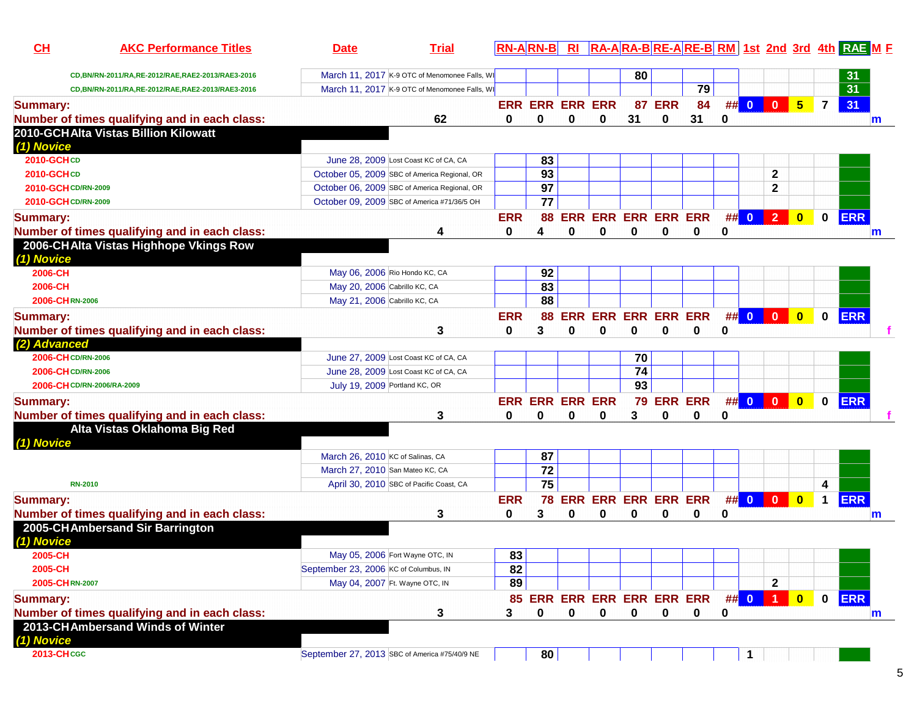| CL                  | <b>AKC Performance Titles</b>                    | <b>Date</b>                                   | <b>Trial</b>                                  |            | <u>RN-ARN-BERI</u>     |            |                            |                 |            |            |             |      |                         |                         |                | RA-ARA-BRE-ARE-BRM 1st 2nd 3rd 4th RAE M F |   |
|---------------------|--------------------------------------------------|-----------------------------------------------|-----------------------------------------------|------------|------------------------|------------|----------------------------|-----------------|------------|------------|-------------|------|-------------------------|-------------------------|----------------|--------------------------------------------|---|
|                     | CD,BN/RN-2011/RA,RE-2012/RAE,RAE2-2013/RAE3-2016 |                                               | March 11, 2017 K-9 OTC of Menomonee Falls, WI |            |                        |            |                            | 80              |            |            |             |      |                         |                         |                | 31                                         |   |
|                     | CD,BN/RN-2011/RA,RE-2012/RAE,RAE2-2013/RAE3-2016 |                                               | March 11, 2017 K-9 OTC of Menomonee Falls, WI |            |                        |            |                            |                 |            | 79         |             |      |                         |                         |                | $\overline{31}$                            |   |
| <b>Summary:</b>     |                                                  |                                               |                                               |            | <b>ERR ERR ERR ERR</b> |            |                            | 87              | <b>ERR</b> | 84         |             | ## 0 | $\overline{\mathbf{0}}$ | 5 <sub>5</sub>          | $\overline{7}$ | 31                                         |   |
|                     | Number of times qualifying and in each class:    |                                               | 62                                            | 0          | 0                      | 0          | 0                          | 31              | 0          | 31         | $\bf{0}$    |      |                         |                         |                |                                            | m |
|                     | 2010-GCHAlta Vistas Billion Kilowatt             |                                               |                                               |            |                        |            |                            |                 |            |            |             |      |                         |                         |                |                                            |   |
| (1) Novice          |                                                  |                                               |                                               |            |                        |            |                            |                 |            |            |             |      |                         |                         |                |                                            |   |
| 2010-GCHCD          |                                                  |                                               | June 28, 2009 Lost Coast KC of CA, CA         |            | 83                     |            |                            |                 |            |            |             |      |                         |                         |                |                                            |   |
| 2010-GCHCD          |                                                  |                                               | October 05, 2009 SBC of America Regional, OR  |            | 93                     |            |                            |                 |            |            |             |      | $\mathbf{2}$            |                         |                |                                            |   |
| 2010-GCH CD/RN-2009 |                                                  |                                               | October 06, 2009 SBC of America Regional, OR  |            | 97                     |            |                            |                 |            |            |             |      | $\mathbf{2}$            |                         |                |                                            |   |
| 2010-GCH CD/RN-2009 |                                                  |                                               | October 09, 2009 SBC of America #71/36/5 OH   |            | 77                     |            |                            |                 |            |            |             |      |                         |                         |                |                                            |   |
| <b>Summary:</b>     |                                                  |                                               |                                               | <b>ERR</b> | 88                     |            | <b>ERR ERR ERR ERR ERR</b> |                 |            |            |             | ## 0 | $\overline{2}$          | $\overline{\mathbf{0}}$ | $\mathbf 0$    | <b>ERR</b>                                 |   |
|                     | Number of times qualifying and in each class:    |                                               | 4                                             | 0          | 4                      | $\bf{0}$   | 0                          | $\bf{0}$        | 0          | 0          | 0           |      |                         |                         |                |                                            | m |
|                     | 2006-CHAlta Vistas Highhope Vkings Row           |                                               |                                               |            |                        |            |                            |                 |            |            |             |      |                         |                         |                |                                            |   |
| (1) Novice          |                                                  |                                               |                                               |            |                        |            |                            |                 |            |            |             |      |                         |                         |                |                                            |   |
| 2006-CH             |                                                  | May 06, 2006 Rio Hondo KC, CA                 |                                               |            | 92                     |            |                            |                 |            |            |             |      |                         |                         |                |                                            |   |
| 2006-CH             |                                                  | May 20, 2006 Cabrillo KC, CA                  |                                               |            | 83                     |            |                            |                 |            |            |             |      |                         |                         |                |                                            |   |
| 2006-CHRN-2006      |                                                  | May 21, 2006 Cabrillo KC, CA                  |                                               |            | 88                     |            |                            |                 |            |            |             |      |                         |                         |                |                                            |   |
| <b>Summary:</b>     |                                                  |                                               |                                               | <b>ERR</b> | 88                     | <b>ERR</b> | <b>ERR ERR ERR ERR</b>     |                 |            |            |             | ## 0 | $\overline{\mathbf{0}}$ | $\bullet$               | $\mathbf 0$    | <b>ERR</b>                                 |   |
|                     | Number of times qualifying and in each class:    |                                               | 3                                             | $\bf{0}$   | 3                      | $\bf{0}$   | 0                          | $\bf{0}$        | 0          | 0          | $\mathbf 0$ |      |                         |                         |                |                                            |   |
| (2) Advanced        |                                                  |                                               |                                               |            |                        |            |                            |                 |            |            |             |      |                         |                         |                |                                            |   |
| 2006-CH CD/RN-2006  |                                                  |                                               | June 27, 2009 Lost Coast KC of CA, CA         |            |                        |            |                            | 70              |            |            |             |      |                         |                         |                |                                            |   |
| 2006-CH CD/RN-2006  |                                                  |                                               | June 28, 2009 Lost Coast KC of CA, CA         |            |                        |            |                            | $\overline{74}$ |            |            |             |      |                         |                         |                |                                            |   |
|                     | 2006-CH CD/RN-2006/RA-2009                       | July 19, 2009 Portland KC, OR                 |                                               |            |                        |            |                            | $\overline{93}$ |            |            |             |      |                         |                         |                |                                            |   |
| <b>Summary:</b>     |                                                  |                                               |                                               |            | <b>ERR ERR ERR ERR</b> |            |                            |                 |            | 79 ERR ERR |             |      | ## 0 0 0                | $\bullet$               | $\mathbf 0$    | <b>ERR</b>                                 |   |
|                     | Number of times qualifying and in each class:    |                                               | 3                                             | 0          | 0                      | $\bf{0}$   | 0                          | 3               | 0          | 0          | 0           |      |                         |                         |                |                                            |   |
|                     | Alta Vistas Oklahoma Big Red                     |                                               |                                               |            |                        |            |                            |                 |            |            |             |      |                         |                         |                |                                            |   |
| (1) Novice          |                                                  |                                               |                                               |            |                        |            |                            |                 |            |            |             |      |                         |                         |                |                                            |   |
|                     |                                                  | March 26, 2010 KC of Salinas, CA              |                                               |            | 87                     |            |                            |                 |            |            |             |      |                         |                         |                |                                            |   |
|                     |                                                  | March 27, 2010 San Mateo KC, CA               |                                               |            | $\overline{72}$        |            |                            |                 |            |            |             |      |                         |                         |                |                                            |   |
| <b>RN-2010</b>      |                                                  |                                               | April 30, 2010 SBC of Pacific Coast, CA       |            | 75                     |            |                            |                 |            |            |             |      |                         |                         | 4              |                                            |   |
| <b>Summary:</b>     |                                                  |                                               |                                               | <b>ERR</b> |                        |            | 78 ERR ERR ERR ERR ERR     |                 |            |            |             |      | $\#$ 0 0 0              | $\bullet$               | $\mathbf 1$    | <b>ERR</b>                                 |   |
|                     | Number of times qualifying and in each class:    |                                               | 3                                             | 0          | 3                      | $\bf{0}$   | 0                          | 0               | 0          | 0          | 0           |      |                         |                         |                |                                            | m |
|                     | 2005-CHAmbersand Sir Barrington                  |                                               |                                               |            |                        |            |                            |                 |            |            |             |      |                         |                         |                |                                            |   |
| (1) Novice          |                                                  |                                               |                                               |            |                        |            |                            |                 |            |            |             |      |                         |                         |                |                                            |   |
| 2005-CH             |                                                  | May 05, 2006 Fort Wayne OTC, IN               |                                               | 83         |                        |            |                            |                 |            |            |             |      |                         |                         |                |                                            |   |
| 2005-CH             |                                                  | September 23, 2006 KC of Columbus, IN         |                                               | 82         |                        |            |                            |                 |            |            |             |      |                         |                         |                |                                            |   |
| 2005-CHRN-2007      |                                                  | May 04, 2007 Ft. Wayne OTC, IN                |                                               | 89         |                        |            |                            |                 |            |            |             |      | $\mathbf{2}$            |                         |                |                                            |   |
| <b>Summary:</b>     |                                                  |                                               |                                               |            |                        |            | 85 ERR ERR ERR ERR ERR ERR |                 |            |            |             |      | ## 0 1 1                | $\bullet$               | $\mathbf 0$    | <b>ERR</b>                                 |   |
|                     | Number of times qualifying and in each class:    |                                               | 3                                             | 3          | 0                      | 0          | $\mathbf 0$                | 0               | 0          | 0          | 0           |      |                         |                         |                |                                            | m |
|                     | 2013-CHAmbersand Winds of Winter                 |                                               |                                               |            |                        |            |                            |                 |            |            |             |      |                         |                         |                |                                            |   |
| (1) Novice          |                                                  |                                               |                                               |            |                        |            |                            |                 |            |            |             |      |                         |                         |                |                                            |   |
| 2013-CHCGC          |                                                  | September 27, 2013 SBC of America #75/40/9 NE |                                               |            | 80                     |            |                            |                 |            |            |             | 1    |                         |                         |                |                                            |   |
|                     |                                                  |                                               |                                               |            |                        |            |                            |                 |            |            |             |      |                         |                         |                |                                            |   |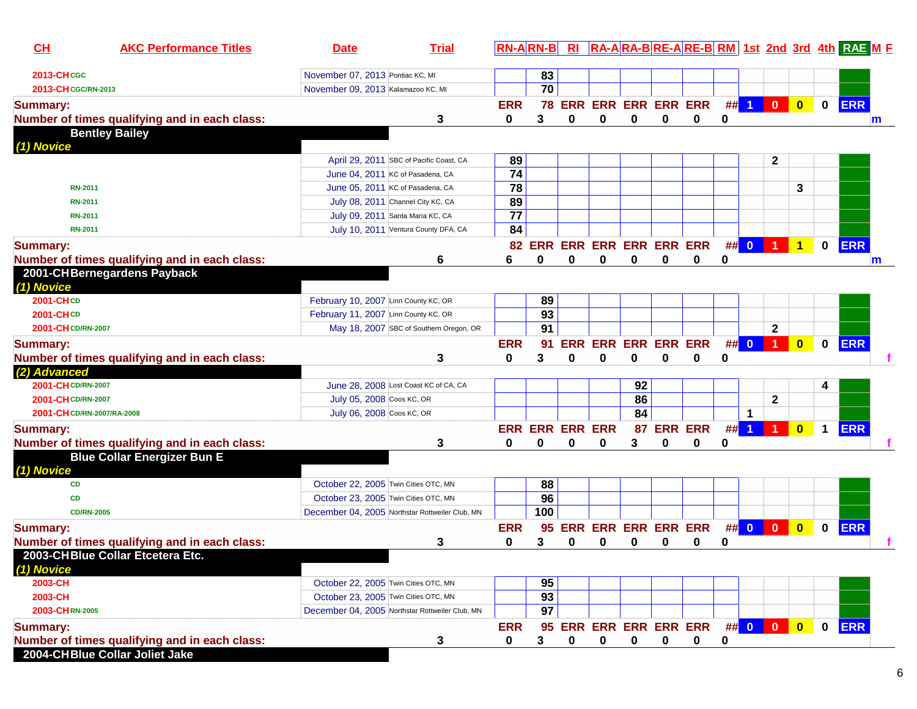| CH                               | <b>AKC Performance Titles</b>                 | <b>Date</b>                                     | <b>Trial</b> | $RN- A R N-B$ RI       |         |   |                                 |             |             |                            |             |                         |                      |                         |             | RA-ARA-BRE-ARE-BRM 1st 2nd 3rd 4th RAE M F |
|----------------------------------|-----------------------------------------------|-------------------------------------------------|--------------|------------------------|---------|---|---------------------------------|-------------|-------------|----------------------------|-------------|-------------------------|----------------------|-------------------------|-------------|--------------------------------------------|
| <b>2013-CH cGC</b>               |                                               | November 07, 2013 Pontiac KC, MI                |              |                        | 83      |   |                                 |             |             |                            |             |                         |                      |                         |             |                                            |
| 2013-CH CGC/RN-2013              |                                               | November 09, 2013 Kalamazoo KC, MI              |              |                        | 70      |   |                                 |             |             |                            |             |                         |                      |                         |             |                                            |
| <b>Summary:</b>                  | Number of times qualifying and in each class: |                                                 | 3            | <b>ERR</b><br>0        | 78<br>3 | 0 | <b>ERR ERR ERR ERR ERR</b><br>0 | $\bf{0}$    | 0           | 0                          | 0           | $\#$ 1                  | $\vert 0 \vert$      | $\bullet$               | $\mathbf 0$ | <b>ERR</b><br>$\mathbf{m}$                 |
|                                  | <b>Bentley Bailey</b>                         |                                                 |              |                        |         |   |                                 |             |             |                            |             |                         |                      |                         |             |                                            |
| (1) Novice                       |                                               |                                                 |              |                        |         |   |                                 |             |             |                            |             |                         |                      |                         |             |                                            |
|                                  |                                               | April 29, 2011 SBC of Pacific Coast, CA         |              | 89                     |         |   |                                 |             |             |                            |             |                         | $\mathbf{2}$         |                         |             |                                            |
|                                  |                                               | June 04, 2011 KC of Pasadena, CA                |              | 74                     |         |   |                                 |             |             |                            |             |                         |                      |                         |             |                                            |
| <b>RN-2011</b>                   |                                               | June 05, 2011 KC of Pasadena, CA                |              | 78                     |         |   |                                 |             |             |                            |             |                         |                      | 3                       |             |                                            |
| <b>RN-2011</b>                   |                                               | July 08, 2011 Channel City KC, CA               |              | 89                     |         |   |                                 |             |             |                            |             |                         |                      |                         |             |                                            |
| <b>RN-2011</b>                   |                                               | July 09, 2011 Santa Maria KC, CA                |              | $\overline{77}$        |         |   |                                 |             |             |                            |             |                         |                      |                         |             |                                            |
| <b>RN-2011</b>                   |                                               | July 10, 2011 Ventura County DFA, CA            |              | 84                     |         |   |                                 |             |             |                            |             |                         |                      |                         |             |                                            |
| <b>Summary:</b>                  |                                               |                                                 |              |                        |         |   |                                 |             |             | 82 ERR ERR ERR ERR ERR ERR |             | ## 0                    | $\blacktriangleleft$ | $\blacktriangleleft$    |             | $0$ ERR                                    |
|                                  | Number of times qualifying and in each class: |                                                 | 6            | 6                      | 0       | 0 | 0                               | $\bf{0}$    | 0           | 0                          | 0           |                         |                      |                         |             | $\mathsf{m}$                               |
| 2001-CHBernegardens Payback      |                                               |                                                 |              |                        |         |   |                                 |             |             |                            |             |                         |                      |                         |             |                                            |
| (1) Novice                       |                                               |                                                 |              |                        |         |   |                                 |             |             |                            |             |                         |                      |                         |             |                                            |
| <b>2001-CHCD</b>                 |                                               | February 10, 2007 Linn County KC, OR            |              |                        | 89      |   |                                 |             |             |                            |             |                         |                      |                         |             |                                            |
| 2001-CHCD                        |                                               | February 11, 2007 Linn County KC, OR            |              |                        | 93      |   |                                 |             |             |                            |             |                         |                      |                         |             |                                            |
| 2001-CH CD/RN-2007               |                                               | May 18, 2007 SBC of Southern Oregon, OR         |              |                        | 91      |   |                                 |             |             |                            |             |                         | $\mathbf{2}$         |                         |             |                                            |
| <b>Summary:</b>                  |                                               |                                                 |              | <b>ERR</b>             | 91      |   | <b>ERR ERR ERR ERR ERR</b>      |             |             |                            | #           | $\overline{\mathbf{0}}$ | $\overline{1}$       | $\overline{\mathbf{0}}$ | $\mathbf 0$ | <b>ERR</b>                                 |
|                                  | Number of times qualifying and in each class: |                                                 | 3            | 0                      | 3       | 0 | 0                               | 0           | 0           | 0                          | $\mathbf 0$ |                         |                      |                         |             |                                            |
| (2) Advanced                     |                                               |                                                 |              |                        |         |   |                                 |             |             |                            |             |                         |                      |                         |             |                                            |
| 2001-CH CD/RN-2007               |                                               | June 28, 2008 Lost Coast KC of CA, CA           |              |                        |         |   |                                 | 92          |             |                            |             |                         |                      |                         | 4           |                                            |
| 2001-CH CD/RN-2007               |                                               | July 05, 2008 Coos KC, OR                       |              |                        |         |   |                                 | 86          |             |                            |             |                         | $\mathbf 2$          |                         |             |                                            |
| 2001-CH CD/RN-2007/RA-2008       |                                               | July 06, 2008 Coos KC, OR                       |              |                        |         |   |                                 | 84          |             |                            |             | 1                       |                      |                         |             |                                            |
| <b>Summary:</b>                  |                                               |                                                 |              | <b>ERR ERR ERR ERR</b> |         |   |                                 | 87          |             | <b>ERR ERR</b>             | ##          | $\blacktriangleleft$    |                      | $\mathbf{0}$            | $\mathbf 1$ | <b>ERR</b>                                 |
|                                  | Number of times qualifying and in each class: |                                                 | 3            | 0                      | 0       | 0 | 0                               | 3           | 0           | 0                          | 0           |                         |                      |                         |             |                                            |
|                                  | <b>Blue Collar Energizer Bun E</b>            |                                                 |              |                        |         |   |                                 |             |             |                            |             |                         |                      |                         |             |                                            |
| (1) Novice                       |                                               |                                                 |              |                        |         |   |                                 |             |             |                            |             |                         |                      |                         |             |                                            |
| <b>CD</b>                        |                                               | October 22, 2005 Twin Cities OTC, MN            |              |                        | 88      |   |                                 |             |             |                            |             |                         |                      |                         |             |                                            |
| <b>CD</b>                        |                                               | October 23, 2005 Twin Cities OTC, MN            |              |                        | 96      |   |                                 |             |             |                            |             |                         |                      |                         |             |                                            |
| <b>CD/RN-2005</b>                |                                               | December 04, 2005 Northstar Rottweiler Club, MN |              |                        | 100     |   |                                 |             |             |                            |             |                         |                      |                         |             |                                            |
| <b>Summary:</b>                  |                                               |                                                 |              | <b>ERR</b>             | 95      |   | ERR ERR ERR ERR ERR             |             |             |                            |             | ## 0                    | $\bullet$            | $\overline{\mathbf{0}}$ | $\mathbf 0$ | <b>ERR</b>                                 |
|                                  | Number of times qualifying and in each class: |                                                 | 3            | 0                      | 3       | 0 | 0                               | 0           | 0           | 0                          | 0           |                         |                      |                         |             |                                            |
| 2003-CHBlue Collar Etcetera Etc. |                                               |                                                 |              |                        |         |   |                                 |             |             |                            |             |                         |                      |                         |             |                                            |
| (1) Novice                       |                                               |                                                 |              |                        |         |   |                                 |             |             |                            |             |                         |                      |                         |             |                                            |
| 2003-CH                          |                                               | October 22, 2005 Twin Cities OTC, MN            |              |                        | 95      |   |                                 |             |             |                            |             |                         |                      |                         |             |                                            |
| 2003-CH                          |                                               | October 23, 2005 Twin Cities OTC, MN            |              |                        | 93      |   |                                 |             |             |                            |             |                         |                      |                         |             |                                            |
| 2003-CHRN-2005                   |                                               | December 04, 2005 Northstar Rottweiler Club, MN |              |                        | 97      |   |                                 |             |             |                            |             |                         |                      |                         |             |                                            |
| <b>Summary:</b>                  |                                               |                                                 |              | <b>ERR</b>             |         |   |                                 |             |             | 95 ERR ERR ERR ERR ERR     |             |                         | <b>## 0 0 0</b>      |                         | $\mathbf 0$ | <b>ERR</b>                                 |
|                                  | Number of times qualifying and in each class: |                                                 | 3            | 0                      | 3       | 0 | $\mathbf 0$                     | $\mathbf 0$ | $\mathbf 0$ | 0                          | 0           |                         |                      |                         |             |                                            |
| 2004-CHBlue Collar Joliet Jake   |                                               |                                                 |              |                        |         |   |                                 |             |             |                            |             |                         |                      |                         |             |                                            |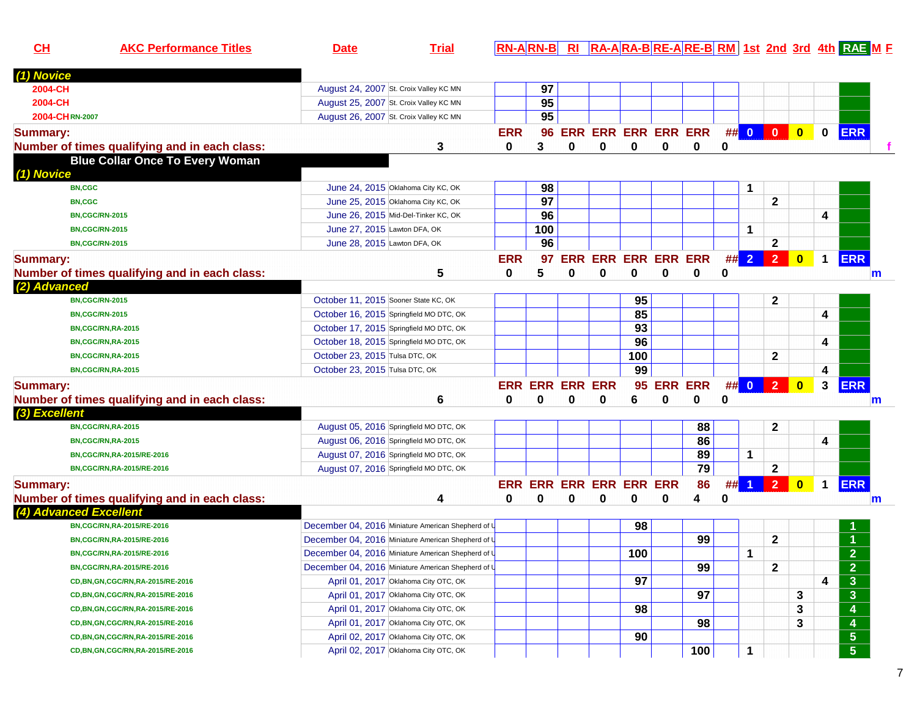| CL              | <b>AKC Performance Titles</b>                 | <b>Date</b>                             | <b>Trial</b>                                       |            |                 |   |                            |     |   |                |    |                |                         |                         |              | <b>RN-ARN-B RI RA-ARA-BRE-ARE-BRM 1st 2nd 3rd 4th RAE M F</b> |
|-----------------|-----------------------------------------------|-----------------------------------------|----------------------------------------------------|------------|-----------------|---|----------------------------|-----|---|----------------|----|----------------|-------------------------|-------------------------|--------------|---------------------------------------------------------------|
| (1) Novice      |                                               |                                         |                                                    |            |                 |   |                            |     |   |                |    |                |                         |                         |              |                                                               |
| 2004-CH         |                                               | August 24, 2007 St. Croix Valley KC MN  |                                                    |            | 97              |   |                            |     |   |                |    |                |                         |                         |              |                                                               |
| 2004-CH         |                                               | August 25, 2007 St. Croix Valley KC MN  |                                                    |            | 95              |   |                            |     |   |                |    |                |                         |                         |              |                                                               |
| 2004-CHRN-2007  |                                               | August 26, 2007 St. Croix Valley KC MN  |                                                    |            | 95              |   |                            |     |   |                |    |                |                         |                         |              |                                                               |
| <b>Summary:</b> |                                               |                                         |                                                    | <b>ERR</b> | 96              |   | <b>ERR ERR ERR ERR ERR</b> |     |   |                |    | ## 0           | $\overline{\mathbf{0}}$ | $\bullet$               | $\mathbf 0$  | <b>ERR</b>                                                    |
|                 | Number of times qualifying and in each class: |                                         | 3                                                  | 0          | 3               | 0 | 0                          | 0   | 0 | 0              | 0  |                |                         |                         |              |                                                               |
|                 | <b>Blue Collar Once To Every Woman</b>        |                                         |                                                    |            |                 |   |                            |     |   |                |    |                |                         |                         |              |                                                               |
| (1) Novice      |                                               |                                         |                                                    |            |                 |   |                            |     |   |                |    |                |                         |                         |              |                                                               |
|                 | <b>BN,CGC</b>                                 |                                         | June 24, 2015 Oklahoma City KC, OK                 |            | 98              |   |                            |     |   |                |    |                |                         |                         |              |                                                               |
|                 | <b>BN,CGC</b>                                 |                                         | June 25, 2015 Oklahoma City KC, OK                 |            | $\overline{97}$ |   |                            |     |   |                |    |                | $\mathbf{2}$            |                         |              |                                                               |
|                 | <b>BN,CGC/RN-2015</b>                         |                                         | June 26, 2015 Mid-Del-Tinker KC, OK                |            | 96              |   |                            |     |   |                |    |                |                         |                         | 4            |                                                               |
|                 | <b>BN,CGC/RN-2015</b>                         | June 27, 2015 Lawton DFA, OK            |                                                    |            | 100             |   |                            |     |   |                |    | 1              |                         |                         |              |                                                               |
|                 | <b>BN,CGC/RN-2015</b>                         | June 28, 2015 Lawton DFA, OK            |                                                    |            | 96              |   |                            |     |   |                |    |                | $\mathbf{2}$            |                         |              |                                                               |
| <b>Summary:</b> |                                               |                                         |                                                    | <b>ERR</b> | 97              |   | <b>ERR ERR ERR ERR ERR</b> |     |   |                | #  | $\overline{2}$ | 2 <sup>1</sup>          | $\mathbf{0}$            | $\mathbf 1$  | <b>ERR</b>                                                    |
|                 | Number of times qualifying and in each class: |                                         | 5                                                  | 0          | 5               | 0 | 0                          | 0   | 0 | 0              | 0  |                |                         |                         |              | m                                                             |
| (2) Advanced    |                                               |                                         |                                                    |            |                 |   |                            |     |   |                |    |                |                         |                         |              |                                                               |
|                 | <b>BN,CGC/RN-2015</b>                         | October 11, 2015 Sooner State KC, OK    |                                                    |            |                 |   |                            | 95  |   |                |    |                | $\mathbf{2}$            |                         |              |                                                               |
|                 | <b>BN,CGC/RN-2015</b>                         | October 16, 2015 Springfield MO DTC, OK |                                                    |            |                 |   |                            | 85  |   |                |    |                |                         |                         | 4            |                                                               |
|                 | <b>BN,CGC/RN,RA-2015</b>                      | October 17, 2015 Springfield MO DTC, OK |                                                    |            |                 |   |                            | 93  |   |                |    |                |                         |                         |              |                                                               |
|                 | BN,CGC/RN,RA-2015                             | October 18, 2015 Springfield MO DTC, OK |                                                    |            |                 |   |                            | 96  |   |                |    |                |                         |                         | 4            |                                                               |
|                 | <b>BN,CGC/RN,RA-2015</b>                      | October 23, 2015 Tulsa DTC, OK          |                                                    |            |                 |   |                            | 100 |   |                |    |                | $\mathbf{2}$            |                         |              |                                                               |
|                 | BN,CGC/RN,RA-2015                             | October 23, 2015 Tulsa DTC, OK          |                                                    |            |                 |   |                            | 99  |   |                |    |                |                         |                         | 4            |                                                               |
| <b>Summary:</b> |                                               |                                         |                                                    |            |                 |   | <b>ERR ERR ERR ERR</b>     | 95  |   | <b>ERR ERR</b> | ## | $\bullet$      | $\overline{2}$          | $\overline{\mathbf{0}}$ | $\mathbf{3}$ | <b>ERR</b>                                                    |
|                 | Number of times qualifying and in each class: |                                         | 6                                                  | 0          | $\bf{0}$        | 0 | 0                          | 6   | 0 | 0              | 0  |                |                         |                         |              | m                                                             |
| (3) Excellent   |                                               |                                         |                                                    |            |                 |   |                            |     |   |                |    |                |                         |                         |              |                                                               |
|                 | BN,CGC/RN,RA-2015                             | August 05, 2016 Springfield MO DTC, OK  |                                                    |            |                 |   |                            |     |   | 88             |    |                | $\mathbf 2$             |                         |              |                                                               |
|                 | BN,CGC/RN,RA-2015                             | August 06, 2016 Springfield MO DTC, OK  |                                                    |            |                 |   |                            |     |   | 86             |    |                |                         |                         | 4            |                                                               |
|                 | BN,CGC/RN,RA-2015/RE-2016                     | August 07, 2016 Springfield MO DTC, OK  |                                                    |            |                 |   |                            |     |   | 89             |    | 1              |                         |                         |              |                                                               |
|                 | BN,CGC/RN,RA-2015/RE-2016                     | August 07, 2016 Springfield MO DTC, OK  |                                                    |            |                 |   |                            |     |   | 79             |    |                | $\mathbf{2}$            |                         |              |                                                               |
| <b>Summary:</b> |                                               |                                         |                                                    | <b>ERR</b> |                 |   | <b>ERR ERR ERR ERR ERR</b> |     |   | 86             | ## | $\overline{1}$ | 2 <sup>7</sup>          | $\bullet$               | $\mathbf 1$  | <b>ERR</b>                                                    |
|                 | Number of times qualifying and in each class: |                                         | 4                                                  | 0          | $\bf{0}$        | 0 | 0                          | 0   | 0 | 4              | 0  |                |                         |                         |              | m                                                             |
|                 | (4) Advanced Excellent                        |                                         |                                                    |            |                 |   |                            |     |   |                |    |                |                         |                         |              |                                                               |
|                 | BN,CGC/RN,RA-2015/RE-2016                     |                                         | December 04, 2016 Miniature American Shepherd of U |            |                 |   |                            | 98  |   |                |    |                |                         |                         |              |                                                               |
|                 | BN,CGC/RN,RA-2015/RE-2016                     |                                         | December 04, 2016 Miniature American Shepherd of U |            |                 |   |                            |     |   | 99             |    |                | $\mathbf{2}$            |                         |              | -1                                                            |
|                 | BN,CGC/RN,RA-2015/RE-2016                     |                                         | December 04, 2016 Miniature American Shepherd of U |            |                 |   |                            | 100 |   |                |    | $\mathbf 1$    |                         |                         |              | $\overline{2}$                                                |
|                 | BN,CGC/RN,RA-2015/RE-2016                     |                                         | December 04, 2016 Miniature American Shepherd of U |            |                 |   |                            |     |   | 99             |    |                | $\mathbf{2}$            |                         |              | $\overline{2}$                                                |
|                 | CD, BN, GN, CGC/RN, RA-2015/RE-2016           |                                         | April 01, 2017 Oklahoma City OTC, OK               |            |                 |   |                            | 97  |   |                |    |                |                         |                         | 4            | $\mathbf{3}$                                                  |
|                 | CD, BN, GN, CGC/RN, RA-2015/RE-2016           |                                         | April 01, 2017 Oklahoma City OTC, OK               |            |                 |   |                            |     |   | 97             |    |                |                         | 3                       |              | $\mathbf{3}$                                                  |
|                 | CD, BN, GN, CGC/RN, RA-2015/RE-2016           |                                         | April 01, 2017 Oklahoma City OTC, OK               |            |                 |   |                            | 98  |   |                |    |                |                         | 3                       |              | 4                                                             |
|                 | CD, BN, GN, CGC/RN, RA-2015/RE-2016           |                                         | April 01, 2017 Oklahoma City OTC, OK               |            |                 |   |                            |     |   | 98             |    |                |                         | 3                       |              | 4                                                             |
|                 | CD, BN, GN, CGC/RN, RA-2015/RE-2016           |                                         | April 02, 2017 Oklahoma City OTC, OK               |            |                 |   |                            | 90  |   |                |    |                |                         |                         |              | $5\phantom{.0}$                                               |
|                 | CD, BN, GN, CGC/RN, RA-2015/RE-2016           |                                         | April 02, 2017 Oklahoma City OTC, OK               |            |                 |   |                            |     |   | 100            |    | $\mathbf 1$    |                         |                         |              | $5\phantom{.0}$                                               |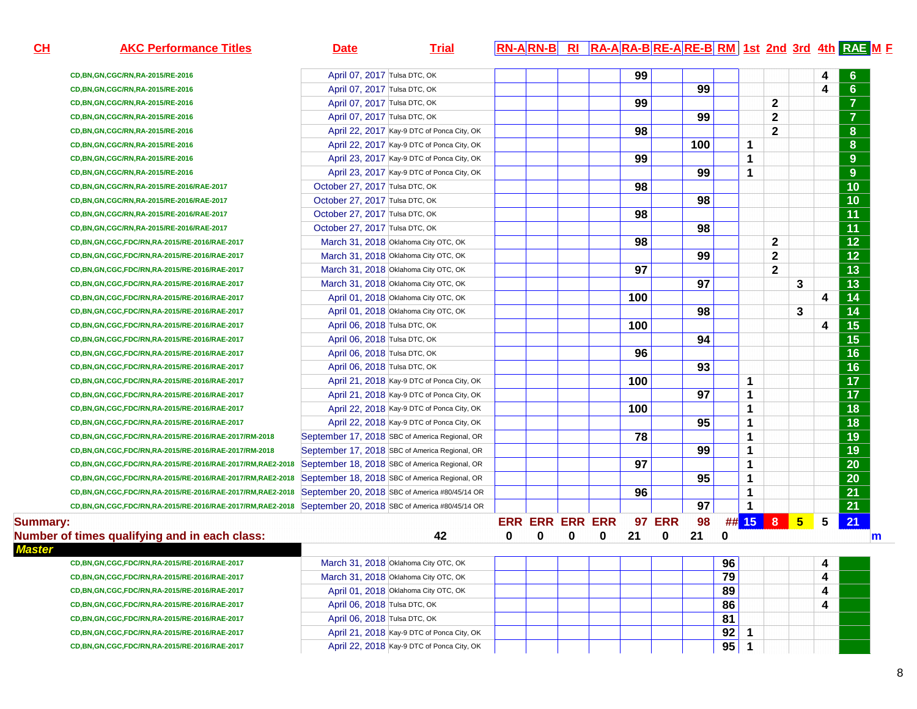| CH              | <b>AKC Performance Titles</b>                                                                                  | <b>Date</b>                    | <b>Trial</b>                                   | RN-ARN-B RI RA-ARA-BRE-ARE-BRM 1st 2nd 3rd 4th RAE M F |   |   |     |               |     |    |             |              |                 |   |                  |  |
|-----------------|----------------------------------------------------------------------------------------------------------------|--------------------------------|------------------------------------------------|--------------------------------------------------------|---|---|-----|---------------|-----|----|-------------|--------------|-----------------|---|------------------|--|
|                 | CD, BN, GN, CGC/RN, RA-2015/RE-2016                                                                            | April 07, 2017 Tulsa DTC, OK   |                                                |                                                        |   |   | 99  |               |     |    |             |              |                 |   | 6                |  |
|                 | CD, BN, GN, CGC/RN, RA-2015/RE-2016                                                                            | April 07, 2017 Tulsa DTC, OK   |                                                |                                                        |   |   |     |               | 99  |    |             |              |                 | 4 | $6\phantom{1}$   |  |
|                 | CD, BN, GN, CGC/RN, RA-2015/RE-2016                                                                            | April 07, 2017 Tulsa DTC, OK   |                                                |                                                        |   |   | 99  |               |     |    |             | $\mathbf{2}$ |                 |   | $\overline{7}$   |  |
|                 | CD, BN, GN, CGC/RN, RA-2015/RE-2016                                                                            | April 07, 2017 Tulsa DTC, OK   |                                                |                                                        |   |   |     |               | 99  |    |             | $\mathbf{2}$ |                 |   | $\overline{7}$   |  |
|                 | CD, BN, GN, CGC/RN, RA-2015/RE-2016                                                                            |                                | April 22, 2017 Kay-9 DTC of Ponca City, OK     |                                                        |   |   | 98  |               |     |    |             | $\mathbf{2}$ |                 |   | $\boldsymbol{8}$ |  |
|                 | CD, BN, GN, CGC/RN, RA-2015/RE-2016                                                                            |                                | April 22, 2017 Kay-9 DTC of Ponca City, OK     |                                                        |   |   |     |               | 100 |    | 1           |              |                 |   | $\bf{8}$         |  |
|                 | CD, BN, GN, CGC/RN, RA-2015/RE-2016                                                                            |                                | April 23, 2017 Kay-9 DTC of Ponca City, OK     |                                                        |   |   | 99  |               |     |    | 1           |              |                 |   | 9                |  |
|                 | CD, BN, GN, CGC/RN, RA-2015/RE-2016                                                                            |                                | April 23, 2017 Kay-9 DTC of Ponca City, OK     |                                                        |   |   |     |               | 99  |    | 1           |              |                 |   | 9                |  |
|                 | CD, BN, GN, CGC/RN, RA-2015/RE-2016/RAE-2017                                                                   | October 27, 2017 Tulsa DTC, OK |                                                |                                                        |   |   | 98  |               |     |    |             |              |                 |   | 10               |  |
|                 | CD, BN, GN, CGC/RN, RA-2015/RE-2016/RAE-2017                                                                   | October 27, 2017 Tulsa DTC, OK |                                                |                                                        |   |   |     |               | 98  |    |             |              |                 |   | 10               |  |
|                 | CD, BN, GN, CGC/RN, RA-2015/RE-2016/RAE-2017                                                                   | October 27, 2017 Tulsa DTC, OK |                                                |                                                        |   |   | 98  |               |     |    |             |              |                 |   | $\overline{11}$  |  |
|                 | CD, BN, GN, CGC/RN, RA-2015/RE-2016/RAE-2017                                                                   | October 27, 2017 Tulsa DTC, OK |                                                |                                                        |   |   |     |               | 98  |    |             |              |                 |   | $\overline{11}$  |  |
|                 | CD, BN, GN, CGC, FDC/RN, RA-2015/RE-2016/RAE-2017                                                              |                                | March 31, 2018 Oklahoma City OTC, OK           |                                                        |   |   | 98  |               |     |    |             | $\mathbf{2}$ |                 |   | $\overline{12}$  |  |
|                 | CD, BN, GN, CGC, FDC/RN, RA-2015/RE-2016/RAE-2017                                                              |                                | March 31, 2018 Oklahoma City OTC, OK           |                                                        |   |   |     |               | 99  |    |             | $\mathbf{2}$ |                 |   | $\overline{12}$  |  |
|                 | CD, BN, GN, CGC, FDC/RN, RA-2015/RE-2016/RAE-2017                                                              |                                | March 31, 2018 Oklahoma City OTC, OK           |                                                        |   |   | 97  |               |     |    |             | $\mathbf{2}$ |                 |   | $\overline{13}$  |  |
|                 | CD, BN, GN, CGC, FDC/RN, RA-2015/RE-2016/RAE-2017                                                              |                                | March 31, 2018 Oklahoma City OTC, OK           |                                                        |   |   |     |               | 97  |    |             |              | 3               |   | $\overline{13}$  |  |
|                 | CD, BN, GN, CGC, FDC/RN, RA-2015/RE-2016/RAE-2017                                                              |                                | April 01, 2018 Oklahoma City OTC, OK           |                                                        |   |   | 100 |               |     |    |             |              |                 | 4 | 14               |  |
|                 | CD, BN, GN, CGC, FDC/RN, RA-2015/RE-2016/RAE-2017                                                              |                                | April 01, 2018 Oklahoma City OTC, OK           |                                                        |   |   |     |               | 98  |    |             |              | 3               |   | $\overline{14}$  |  |
|                 | CD, BN, GN, CGC, FDC/RN, RA-2015/RE-2016/RAE-2017                                                              | April 06, 2018 Tulsa DTC, OK   |                                                |                                                        |   |   | 100 |               |     |    |             |              |                 | 4 | $\overline{15}$  |  |
|                 | CD, BN, GN, CGC, FDC/RN, RA-2015/RE-2016/RAE-2017                                                              | April 06, 2018 Tulsa DTC, OK   |                                                |                                                        |   |   |     |               | 94  |    |             |              |                 |   | $\overline{15}$  |  |
|                 | CD, BN, GN, CGC, FDC/RN, RA-2015/RE-2016/RAE-2017                                                              | April 06, 2018 Tulsa DTC, OK   |                                                |                                                        |   |   | 96  |               |     |    |             |              |                 |   | $\overline{16}$  |  |
|                 | CD, BN, GN, CGC, FDC/RN, RA-2015/RE-2016/RAE-2017                                                              | April 06, 2018 Tulsa DTC, OK   |                                                |                                                        |   |   |     |               | 93  |    |             |              |                 |   | $\overline{16}$  |  |
|                 | CD,BN,GN,CGC,FDC/RN,RA-2015/RE-2016/RAE-2017                                                                   |                                | April 21, 2018 Kay-9 DTC of Ponca City, OK     |                                                        |   |   | 100 |               |     |    | 1           |              |                 |   | $\overline{17}$  |  |
|                 | CD,BN,GN,CGC,FDC/RN,RA-2015/RE-2016/RAE-2017                                                                   |                                | April 21, 2018 Kay-9 DTC of Ponca City, OK     |                                                        |   |   |     |               | 97  |    | 1           |              |                 |   | $\overline{17}$  |  |
|                 | CD,BN,GN,CGC,FDC/RN,RA-2015/RE-2016/RAE-2017                                                                   |                                | April 22, 2018 Kay-9 DTC of Ponca City, OK     |                                                        |   |   | 100 |               |     |    | 1           |              |                 |   | 18               |  |
|                 | CD,BN,GN,CGC,FDC/RN,RA-2015/RE-2016/RAE-2017                                                                   |                                | April 22, 2018 Kay-9 DTC of Ponca City, OK     |                                                        |   |   |     |               | 95  |    | 1           |              |                 |   | 18               |  |
|                 | CD, BN, GN, CGC, FDC/RN, RA-2015/RE-2016/RAE-2017/RM-2018                                                      |                                | September 17, 2018 SBC of America Regional, OR |                                                        |   |   | 78  |               |     |    | 1           |              |                 |   | 19               |  |
|                 | CD, BN, GN, CGC, FDC/RN, RA-2015/RE-2016/RAE-2017/RM-2018                                                      |                                | September 17, 2018 SBC of America Regional, OR |                                                        |   |   |     |               | 99  |    | 1           |              |                 |   | 19               |  |
|                 | CD,BN,GN,CGC,FDC/RN,RA-2015/RE-2016/RAE-2017/RM,RAE2-2018                                                      |                                | September 18, 2018 SBC of America Regional, OR |                                                        |   |   | 97  |               |     |    | 1           |              |                 |   | $\overline{20}$  |  |
|                 | CD,BN,GN,CGC,FDC/RN,RA-2015/RE-2016/RAE-2017/RM,RAE2-2018                                                      |                                | September 18, 2018 SBC of America Regional, OR |                                                        |   |   |     |               | 95  |    | 1           |              |                 |   | $\overline{20}$  |  |
|                 | CD,BN,GN,CGC,FDC/RN,RA-2015/RE-2016/RAE-2017/RM,RAE2-2018                                                      |                                | September 20, 2018 SBC of America #80/45/14 OR |                                                        |   |   | 96  |               |     |    | 1           |              |                 |   | $\overline{21}$  |  |
|                 | CD, BN, GN, CGC, FDC/RN, RA-2015/RE-2016/RAE-2017/RM, RAE2-2018 September 20, 2018 SBC of America #80/45/14 OR |                                |                                                |                                                        |   |   |     |               | 97  |    | 1           |              |                 |   | $\overline{21}$  |  |
| <b>Summary:</b> |                                                                                                                |                                |                                                | <b>ERR ERR ERR ERR</b>                                 |   |   |     | <b>97 ERR</b> | 98  |    |             | ## 15 8 B    | $5\overline{)}$ | 5 | 21               |  |
|                 | Number of times qualifying and in each class:                                                                  |                                | 42                                             | 0<br>0                                                 | 0 | 0 | 21  | 0             | 21  | 0  |             |              |                 |   | m                |  |
| <b>Master</b>   |                                                                                                                |                                |                                                |                                                        |   |   |     |               |     |    |             |              |                 |   |                  |  |
|                 | CD, BN, GN, CGC, FDC/RN, RA-2015/RE-2016/RAE-2017                                                              |                                | March 31, 2018 Oklahoma City OTC, OK           |                                                        |   |   |     |               |     | 96 |             |              |                 | 4 |                  |  |
|                 | CD,BN,GN,CGC,FDC/RN,RA-2015/RE-2016/RAE-2017                                                                   |                                | March 31, 2018 Oklahoma City OTC, OK           |                                                        |   |   |     |               |     | 79 |             |              |                 | 4 |                  |  |
|                 | CD, BN, GN, CGC, FDC/RN, RA-2015/RE-2016/RAE-2017                                                              |                                | April 01, 2018 Oklahoma City OTC, OK           |                                                        |   |   |     |               |     | 89 |             |              |                 | 4 |                  |  |
|                 | CD, BN, GN, CGC, FDC/RN, RA-2015/RE-2016/RAE-2017                                                              | April 06, 2018 Tulsa DTC, OK   |                                                |                                                        |   |   |     |               |     | 86 |             |              |                 | 4 |                  |  |
|                 | CD, BN, GN, CGC, FDC/RN, RA-2015/RE-2016/RAE-2017                                                              | April 06, 2018 Tulsa DTC, OK   |                                                |                                                        |   |   |     |               |     | 81 |             |              |                 |   |                  |  |
|                 | CD, BN, GN, CGC, FDC/RN, RA-2015/RE-2016/RAE-2017                                                              |                                | April 21, 2018 Kay-9 DTC of Ponca City, OK     |                                                        |   |   |     |               |     | 92 | 1           |              |                 |   |                  |  |
|                 | CD, BN, GN, CGC, FDC/RN, RA-2015/RE-2016/RAE-2017                                                              |                                | April 22, 2018 Kay-9 DTC of Ponca City, OK     |                                                        |   |   |     |               |     | 95 | $\mathbf 1$ |              |                 |   |                  |  |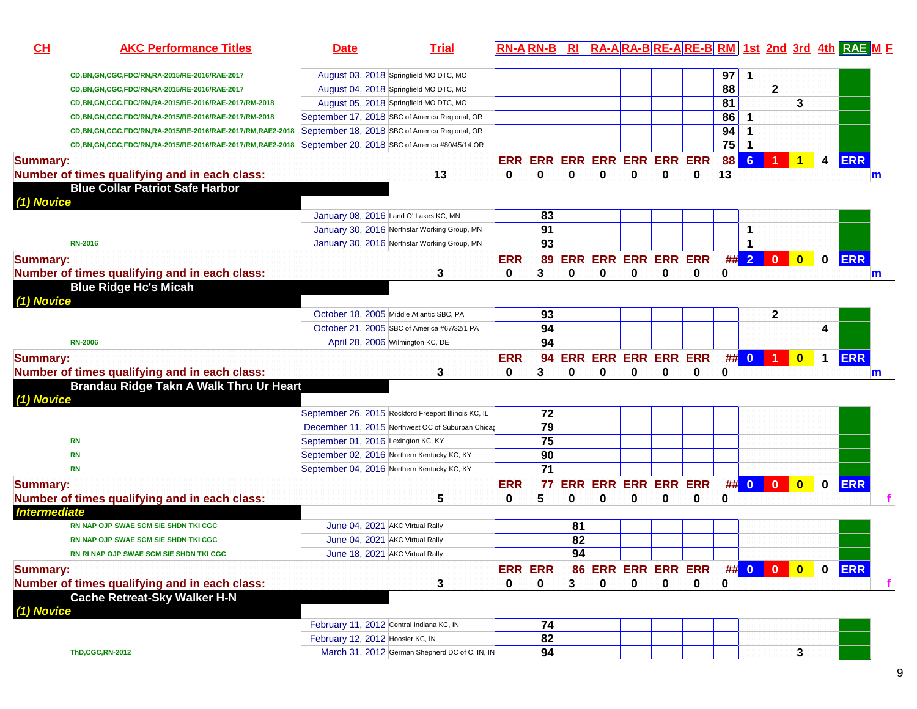| $CH$                | <b>AKC Performance Titles</b>                             | <b>Date</b>                                          | <b>Trial</b> | <b>RN-ARN-B</b> |                 | R <sub>l</sub> |                             |             |             |                                   |    |                |              |                         |                         | RA-ARA-BRE-ARE-BRM 1st 2nd 3rd 4th RAE M F |
|---------------------|-----------------------------------------------------------|------------------------------------------------------|--------------|-----------------|-----------------|----------------|-----------------------------|-------------|-------------|-----------------------------------|----|----------------|--------------|-------------------------|-------------------------|--------------------------------------------|
|                     | CD, BN, GN, CGC, FDC/RN, RA-2015/RE-2016/RAE-2017         | August 03, 2018 Springfield MO DTC, MO               |              |                 |                 |                |                             |             |             |                                   | 97 | 1              |              |                         |                         |                                            |
|                     | CD,BN,GN,CGC,FDC/RN,RA-2015/RE-2016/RAE-2017              | August 04, 2018 Springfield MO DTC, MO               |              |                 |                 |                |                             |             |             |                                   | 88 |                | $\mathbf{2}$ |                         |                         |                                            |
|                     | CD,BN,GN,CGC,FDC/RN,RA-2015/RE-2016/RAE-2017/RM-2018      | August 05, 2018 Springfield MO DTC, MO               |              |                 |                 |                |                             |             |             |                                   | 81 |                |              | 3                       |                         |                                            |
|                     | CD,BN,GN,CGC,FDC/RN,RA-2015/RE-2016/RAE-2017/RM-2018      | September 17, 2018 SBC of America Regional, OR       |              |                 |                 |                |                             |             |             |                                   | 86 | $\mathbf{1}$   |              |                         |                         |                                            |
|                     | CD,BN,GN,CGC,FDC/RN,RA-2015/RE-2016/RAE-2017/RM,RAE2-2018 | September 18, 2018 SBC of America Regional, OR       |              |                 |                 |                |                             |             |             |                                   | 94 | $\mathbf 1$    |              |                         |                         |                                            |
|                     | CD,BN,GN,CGC,FDC/RN,RA-2015/RE-2016/RAE-2017/RM,RAE2-2018 | September 20, 2018 SBC of America #80/45/14 OR       |              |                 |                 |                |                             |             |             |                                   | 75 | $\mathbf 1$    |              |                         |                         |                                            |
| <b>Summary:</b>     |                                                           |                                                      |              |                 |                 |                | ERR ERR ERR ERR ERR ERR ERR |             |             |                                   | 88 | 6 <sup>1</sup> |              | $\overline{1}$          | $\overline{\mathbf{4}}$ | <b>ERR</b>                                 |
|                     | Number of times qualifying and in each class:             |                                                      | 13           | 0               | $\Omega$        | 0              | 0                           | 0           | 0           | 0                                 | 13 |                |              |                         |                         | $\mathsf{m}$                               |
| (1) Novice          | <b>Blue Collar Patriot Safe Harbor</b>                    |                                                      |              |                 |                 |                |                             |             |             |                                   |    |                |              |                         |                         |                                            |
|                     |                                                           | January 08, 2016 Land O' Lakes KC, MN                |              |                 | 83              |                |                             |             |             |                                   |    |                |              |                         |                         |                                            |
|                     |                                                           | January 30, 2016 Northstar Working Group, MN         |              |                 | 91              |                |                             |             |             |                                   |    | $\mathbf 1$    |              |                         |                         |                                            |
|                     | <b>RN-2016</b>                                            | January 30, 2016 Northstar Working Group, MN         |              |                 | 93              |                |                             |             |             |                                   |    | 1              |              |                         |                         |                                            |
| <b>Summary:</b>     |                                                           |                                                      |              | <b>ERR</b>      | 89              |                | ERR ERR ERR ERR ERR         |             |             |                                   |    | $\#$ 2         | $\bullet$    | $\bullet$               | $\mathbf 0$             | <b>ERR</b>                                 |
|                     | Number of times qualifying and in each class:             |                                                      | 3            | 0               | 3               | 0              | 0                           | 0           | $\bf{0}$    | 0                                 | 0  |                |              |                         |                         | m                                          |
| (1) Novice          | <b>Blue Ridge Hc's Micah</b>                              |                                                      |              |                 |                 |                |                             |             |             |                                   |    |                |              |                         |                         |                                            |
|                     |                                                           | October 18, 2005 Middle Atlantic SBC, PA             |              |                 | 93              |                |                             |             |             |                                   |    |                | $\mathbf{2}$ |                         |                         |                                            |
|                     |                                                           | October 21, 2005 SBC of America #67/32/1 PA          |              |                 | 94              |                |                             |             |             |                                   |    |                |              |                         | 4                       |                                            |
|                     | <b>RN-2006</b>                                            | April 28, 2006 Wilmington KC, DE                     |              |                 | 94              |                |                             |             |             |                                   |    |                |              |                         |                         |                                            |
| <b>Summary:</b>     |                                                           |                                                      |              | <b>ERR</b>      | 94              |                |                             |             |             | ERR ERR ERR ERR ERR               |    |                | ## 0 1       | $\overline{\mathbf{0}}$ | $\mathbf 1$             | <b>ERR</b>                                 |
|                     | Number of times qualifying and in each class:             |                                                      | 3            | 0               | 3               | 0              | 0                           | 0           | 0           | 0                                 | 0  |                |              |                         |                         | m                                          |
| (1) Novice          | Brandau Ridge Takn A Walk Thru Ur Heart                   |                                                      |              |                 |                 |                |                             |             |             |                                   |    |                |              |                         |                         |                                            |
|                     |                                                           | September 26, 2015 Rockford Freeport Illinois KC, IL |              |                 | 72              |                |                             |             |             |                                   |    |                |              |                         |                         |                                            |
|                     |                                                           | December 11, 2015 Northwest OC of Suburban Chicag    |              |                 | 79              |                |                             |             |             |                                   |    |                |              |                         |                         |                                            |
|                     | <b>RN</b>                                                 | September 01, 2016 Lexington KC, KY                  |              |                 | 75              |                |                             |             |             |                                   |    |                |              |                         |                         |                                            |
|                     | <b>RN</b>                                                 | September 02, 2016 Northern Kentucky KC, KY          |              |                 | 90              |                |                             |             |             |                                   |    |                |              |                         |                         |                                            |
|                     | <b>RN</b>                                                 | September 04, 2016 Northern Kentucky KC, KY          |              |                 | $\overline{71}$ |                |                             |             |             |                                   |    |                |              |                         |                         |                                            |
|                     |                                                           |                                                      |              | <b>ERR</b>      | 77              | <b>ERR</b>     | <b>ERR ERR ERR ERR</b>      |             |             |                                   |    | ## 0           | $\mathbf{0}$ | $\overline{\mathbf{0}}$ | $\mathbf 0$             | <b>ERR</b>                                 |
| <b>Summary:</b>     |                                                           |                                                      |              |                 | 5               | 0              | $\bf{0}$                    | 0           | $\bf{0}$    |                                   | 0  |                |              |                         |                         |                                            |
| <b>Intermediate</b> | Number of times qualifying and in each class:             |                                                      | 5            | 0               |                 |                |                             |             |             | 0                                 |    |                |              |                         |                         |                                            |
|                     | RN NAP OJP SWAE SCM SIE SHDN TKI CGC                      | June 04, 2021 AKC Virtual Rally                      |              |                 |                 | 81             |                             |             |             |                                   |    |                |              |                         |                         |                                            |
|                     | RN NAP OJP SWAE SCM SIE SHDN TKI CGC                      | June 04, 2021 AKC Virtual Rally                      |              |                 |                 | 82             |                             |             |             |                                   |    |                |              |                         |                         |                                            |
|                     | RN RI NAP OJP SWAE SCM SIE SHDN TKI CGC                   | June 18, 2021 AKC Virtual Rally                      |              |                 |                 | 94             |                             |             |             |                                   |    |                |              |                         |                         |                                            |
|                     |                                                           |                                                      |              |                 |                 |                |                             |             |             |                                   |    |                |              |                         |                         |                                            |
| <b>Summary:</b>     |                                                           |                                                      |              |                 | <b>ERR ERR</b>  |                |                             |             |             | 86 ERR ERR ERR ERR ## 0 0 0 0 ERR |    |                |              |                         |                         |                                            |
|                     | Number of times qualifying and in each class:             |                                                      | 3            | $\mathbf{0}$    | $\mathbf 0$     | 3              | $\mathbf 0$                 | $\mathbf 0$ | $\mathbf 0$ | $\mathbf 0$                       | 0  |                |              |                         |                         |                                            |
| (1) Novice          | <b>Cache Retreat-Sky Walker H-N</b>                       |                                                      |              |                 |                 |                |                             |             |             |                                   |    |                |              |                         |                         |                                            |
|                     |                                                           | February 11, 2012 Central Indiana KC, IN             |              |                 | 74              |                |                             |             |             |                                   |    |                |              |                         |                         |                                            |
|                     |                                                           | February 12, 2012 Hoosier KC, IN                     |              |                 | 82              |                |                             |             |             |                                   |    |                |              |                         |                         |                                            |
|                     | <b>ThD,CGC,RN-2012</b>                                    | March 31, 2012 German Shepherd DC of C. IN, IN       |              |                 | 94              |                |                             |             |             |                                   |    |                |              | 3                       |                         |                                            |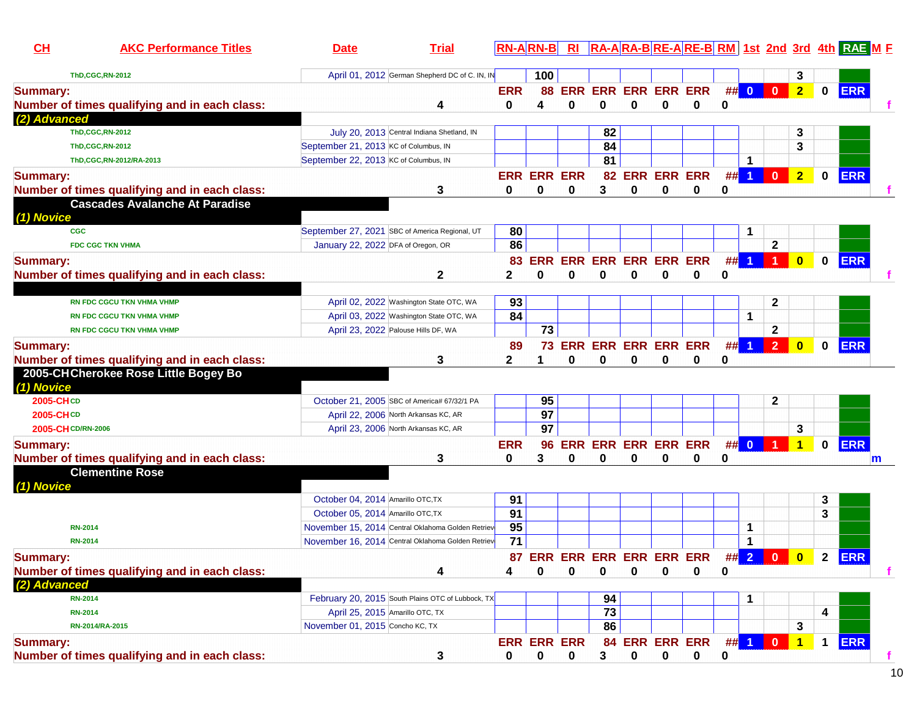| $CH$               | <b>AKC Performance Titles</b>                 | <b>Date</b>                                       | <b>Trial</b> |                 | <b>RN-ARN-B</b>         | <b>RI</b>              |                             |             |             |                                 |               |                      |                         |                         |             | RA-ARA-BRE-ARE-BRM 1st 2nd 3rd 4th RAE M F |   |
|--------------------|-----------------------------------------------|---------------------------------------------------|--------------|-----------------|-------------------------|------------------------|-----------------------------|-------------|-------------|---------------------------------|---------------|----------------------|-------------------------|-------------------------|-------------|--------------------------------------------|---|
|                    | <b>ThD,CGC,RN-2012</b>                        | April 01, 2012 German Shepherd DC of C. IN, IN    |              |                 | 100                     |                        |                             |             |             |                                 |               |                      |                         | 3                       |             |                                            |   |
| <b>Summary:</b>    | Number of times qualifying and in each class: |                                                   | 4            | <b>ERR</b><br>0 | 88<br>4                 | 0                      | 0                           | 0           | 0           | <b>ERR ERR ERR ERR ERR</b><br>0 | 0             | ## 0                 | $\overline{\mathbf{0}}$ | 2 <sup>7</sup>          |             | 0 ERR                                      |   |
| (2) Advanced       |                                               |                                                   |              |                 |                         |                        |                             |             |             |                                 |               |                      |                         |                         |             |                                            |   |
|                    | <b>ThD,CGC,RN-2012</b>                        | July 20, 2013 Central Indiana Shetland, IN        |              |                 |                         |                        | 82                          |             |             |                                 |               |                      |                         | 3                       |             |                                            |   |
|                    | <b>ThD,CGC,RN-2012</b>                        | September 21, 2013 KC of Columbus, IN             |              |                 |                         |                        | 84                          |             |             |                                 |               |                      |                         | 3                       |             |                                            |   |
|                    | ThD,CGC,RN-2012/RA-2013                       | September 22, 2013 KC of Columbus, IN             |              |                 |                         |                        | 81                          |             |             |                                 |               | 1                    |                         |                         |             |                                            |   |
| <b>Summary:</b>    | Number of times qualifying and in each class: |                                                   | 3            | 0               | <b>ERR ERR ERR</b><br>0 | 0                      | 3                           | 0           | $\bf{0}$    | 82 ERR ERR ERR<br>0             | #<br>$\bf{0}$ | $\blacktriangleleft$ | $\mathbf 0$             | $\overline{2}$          |             | 0 ERR                                      |   |
| (1) Novice         | <b>Cascades Avalanche At Paradise</b>         |                                                   |              |                 |                         |                        |                             |             |             |                                 |               |                      |                         |                         |             |                                            |   |
| <b>CGC</b>         |                                               | September 27, 2021 SBC of America Regional, UT    |              | 80              |                         |                        |                             |             |             |                                 |               | 1                    |                         |                         |             |                                            |   |
|                    | <b>FDC CGC TKN VHMA</b>                       | January 22, 2022 DFA of Oregon, OR                |              | 86              |                         |                        |                             |             |             |                                 |               |                      | 2                       |                         |             |                                            |   |
| <b>Summary:</b>    | Number of times qualifying and in each class: |                                                   | $\mathbf{2}$ | 83<br>2         | <b>ERR</b><br>$\bf{0}$  | <b>ERR</b><br>$\bf{0}$ | <b>ERR ERR ERR ERR</b><br>0 | 0           | 0           | 0                               | ##<br>0       |                      |                         | $\mathbf{0}$            |             | 0 ERR                                      |   |
|                    |                                               |                                                   |              |                 |                         |                        |                             |             |             |                                 |               |                      |                         |                         |             |                                            |   |
|                    | RN FDC CGCU TKN VHMA VHMP                     | April 02, 2022 Washington State OTC, WA           |              | 93              |                         |                        |                             |             |             |                                 |               |                      | $\mathbf{2}$            |                         |             |                                            |   |
|                    | <b>RN FDC CGCU TKN VHMA VHMP</b>              | April 03, 2022 Washington State OTC, WA           |              | 84              |                         |                        |                             |             |             |                                 |               | 1                    |                         |                         |             |                                            |   |
|                    | <b>RN FDC CGCU TKN VHMA VHMP</b>              | April 23, 2022 Palouse Hills DF, WA               |              |                 | $\overline{73}$         |                        |                             |             |             |                                 |               |                      | $\mathbf{2}$            |                         |             |                                            |   |
| <b>Summary:</b>    |                                               |                                                   |              | 89              | 73                      |                        |                             |             |             | ERR ERR ERR ERR ERR             | #             |                      | $\overline{2}$          | $\mathbf{0}$            | $\mathbf 0$ | <b>ERR</b>                                 |   |
|                    | Number of times qualifying and in each class: |                                                   | 3            | 2               |                         | $\bf{0}$               | 0                           | 0           | 0           | 0                               | 0             |                      |                         |                         |             |                                            |   |
| (1) Novice         | 2005-CHCherokee Rose Little Bogey Bo          |                                                   |              |                 |                         |                        |                             |             |             |                                 |               |                      |                         |                         |             |                                            |   |
| 2005-CHCD          |                                               | October 21, 2005 SBC of America# 67/32/1 PA       |              |                 | 95                      |                        |                             |             |             |                                 |               |                      | $\mathbf{2}$            |                         |             |                                            |   |
| 2005-CHCD          |                                               | April 22, 2006 North Arkansas KC, AR              |              |                 | $\overline{97}$         |                        |                             |             |             |                                 |               |                      |                         |                         |             |                                            |   |
| 2005-CH CD/RN-2006 |                                               | April 23, 2006 North Arkansas KC, AR              |              |                 | $\overline{97}$         |                        |                             |             |             |                                 |               |                      |                         | 3                       |             |                                            |   |
| <b>Summary:</b>    | Number of times qualifying and in each class: |                                                   | 3            | <b>ERR</b><br>0 | 96<br>3                 | 0                      | 0                           | 0           | 0           | <b>ERR ERR ERR ERR ERR</b><br>0 | 0             | ## 0                 |                         | $\mathbf{1}$            |             | $0$ ERR                                    | m |
|                    | <b>Clementine Rose</b>                        |                                                   |              |                 |                         |                        |                             |             |             |                                 |               |                      |                         |                         |             |                                            |   |
| (1) Novice         |                                               |                                                   |              |                 |                         |                        |                             |             |             |                                 |               |                      |                         |                         |             |                                            |   |
|                    |                                               | October 04, 2014 Amarillo OTC, TX                 |              | 91              |                         |                        |                             |             |             |                                 |               |                      |                         |                         | 3           |                                            |   |
|                    |                                               | October 05, 2014 Amarillo OTC, TX                 |              | 91              |                         |                        |                             |             |             |                                 |               |                      |                         |                         | 3           |                                            |   |
|                    | <b>RN-2014</b>                                | November 15, 2014 Central Oklahoma Golden Retriev |              | 95              |                         |                        |                             |             |             |                                 |               | 1                    |                         |                         |             |                                            |   |
|                    | <b>RN-2014</b>                                | November 16, 2014 Central Oklahoma Golden Retriev |              | $\overline{71}$ |                         |                        |                             |             |             |                                 |               | $\mathbf 1$          |                         |                         |             |                                            |   |
| <b>Summary:</b>    |                                               |                                                   |              |                 |                         |                        |                             |             |             | 87 ERR ERR ERR ERR ERR ERR      |               |                      | ## 2 0                  | $\overline{\mathbf{0}}$ |             | 2 ERR                                      |   |
|                    | Number of times qualifying and in each class: |                                                   | 4            | 4               | 0                       | 0                      | 0                           | 0           | 0           | 0                               | 0             |                      |                         |                         |             |                                            |   |
| (2) Advanced       |                                               |                                                   |              |                 |                         |                        |                             |             |             |                                 |               |                      |                         |                         |             |                                            |   |
|                    | <b>RN-2014</b>                                | February 20, 2015 South Plains OTC of Lubbock, TX |              |                 |                         |                        | 94                          |             |             |                                 |               | 1                    |                         |                         |             |                                            |   |
|                    | <b>RN-2014</b>                                | April 25, 2015 Amarillo OTC, TX                   |              |                 |                         |                        | 73                          |             |             |                                 |               |                      |                         |                         | 4           |                                            |   |
|                    | RN-2014/RA-2015                               | November 01, 2015 Concho KC, TX                   |              |                 |                         |                        | 86                          |             |             |                                 |               |                      |                         | 3                       |             |                                            |   |
| <b>Summary:</b>    |                                               |                                                   |              |                 | <b>ERR ERR ERR</b>      |                        |                             |             |             | 84 ERR ERR ERR                  |               | $\#$ 1 0             |                         | $\overline{1}$          |             | 1 ERR                                      |   |
|                    | Number of times qualifying and in each class: |                                                   | 3            | 0               | $\mathbf 0$             | 0                      | 3                           | $\mathbf 0$ | $\mathbf 0$ | 0                               | 0             |                      |                         |                         |             |                                            |   |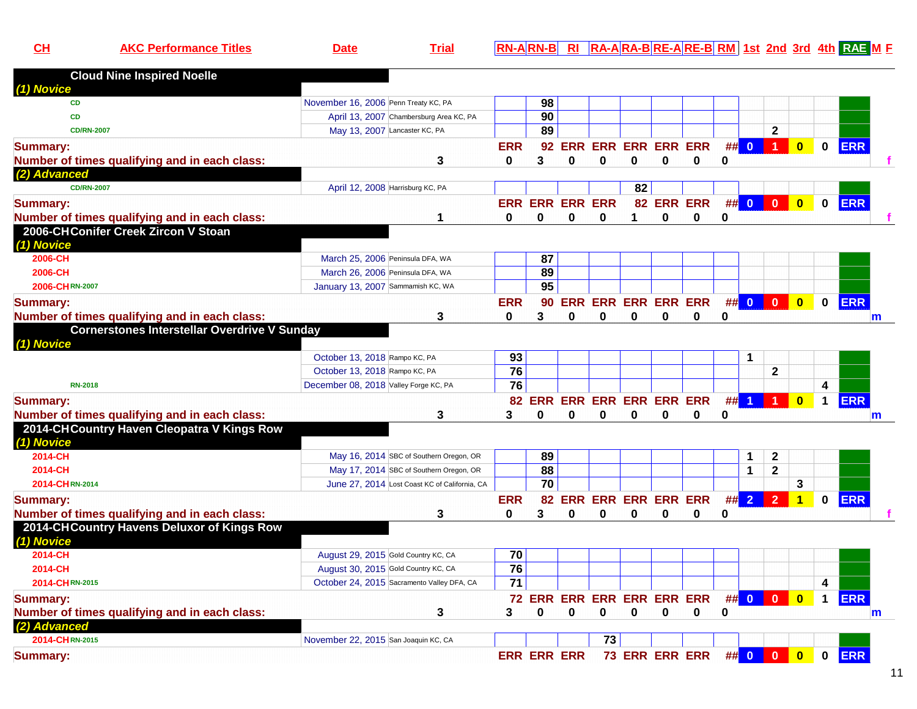| AKO | Date | <u>l RA-ARA-BRE-ARE-BRM 1st 2nd 3rd 4th RAEM F</u> |
|-----|------|----------------------------------------------------|
|     |      |                                                    |

| <b>Cloud Nine Inspired Noelle</b>                                                    |                                               |                 |                    |          |                            |          |          |                |             |                         |                         |                         |                         |            |   |
|--------------------------------------------------------------------------------------|-----------------------------------------------|-----------------|--------------------|----------|----------------------------|----------|----------|----------------|-------------|-------------------------|-------------------------|-------------------------|-------------------------|------------|---|
| (1) Novice<br><b>CD</b>                                                              | November 16, 2006 Penn Treaty KC, PA          |                 | 98                 |          |                            |          |          |                |             |                         |                         |                         |                         |            |   |
| CD                                                                                   | April 13, 2007 Chambersburg Area KC, PA       |                 | 90                 |          |                            |          |          |                |             |                         |                         |                         |                         |            |   |
| <b>CD/RN-2007</b>                                                                    | May 13, 2007 Lancaster KC, PA                 |                 | 89                 |          |                            |          |          |                |             |                         | $\mathbf{2}$            |                         |                         |            |   |
| <b>Summary:</b>                                                                      |                                               | <b>ERR</b>      | 92                 |          | <b>ERR ERR ERR ERR ERR</b> |          |          |                | ##          | $\overline{\mathbf{0}}$ | $\blacktriangleleft$    | $\overline{\mathbf{0}}$ | $\mathbf 0$             | <b>ERR</b> |   |
| Number of times qualifying and in each class:                                        | 3                                             | $\bf{0}$        | 3                  | $\bf{0}$ | 0                          | 0        | $\bf{0}$ | 0              | 0           |                         |                         |                         |                         |            |   |
| (2) Advanced                                                                         |                                               |                 |                    |          |                            |          |          |                |             |                         |                         |                         |                         |            |   |
| <b>CD/RN-2007</b>                                                                    | April 12, 2008 Harrisburg KC, PA              |                 |                    |          |                            | 82       |          |                |             |                         |                         |                         |                         |            |   |
|                                                                                      |                                               |                 |                    |          | <b>ERR ERR ERR</b>         |          |          | 82 ERR ERR     |             | ## 0                    | $\mathbf{0}$            | $\overline{\mathbf{0}}$ | $\mathbf{0}$            | <b>ERR</b> |   |
| <b>Summary:</b>                                                                      | 1                                             | <b>ERR</b><br>0 | $\bf{0}$           | 0        | $\bf{0}$                   | 1        | $\bf{0}$ | 0              | 0           |                         |                         |                         |                         |            |   |
| Number of times qualifying and in each class:<br>2006-CHConifer Creek Zircon V Stoan |                                               |                 |                    |          |                            |          |          |                |             |                         |                         |                         |                         |            |   |
| (1) Novice                                                                           |                                               |                 |                    |          |                            |          |          |                |             |                         |                         |                         |                         |            |   |
| 2006-CH                                                                              | March 25, 2006 Peninsula DFA, WA              |                 | 87                 |          |                            |          |          |                |             |                         |                         |                         |                         |            |   |
| 2006-CH                                                                              | March 26, 2006 Peninsula DFA, WA              |                 | 89                 |          |                            |          |          |                |             |                         |                         |                         |                         |            |   |
| 2006-CHRN-2007                                                                       | January 13, 2007 Sammamish KC, WA             |                 | 95                 |          |                            |          |          |                |             |                         |                         |                         |                         |            |   |
|                                                                                      |                                               |                 |                    |          |                            |          |          |                |             |                         |                         |                         |                         |            |   |
| <b>Summary:</b>                                                                      |                                               | <b>ERR</b>      |                    |          | 90 ERR ERR ERR ERR ERR     |          |          |                | #           | $\overline{\mathbf{0}}$ | $\mathbf{0}$            | $\overline{\mathbf{0}}$ | $\mathbf{0}$            | <b>ERR</b> |   |
| Number of times qualifying and in each class:                                        | 3                                             | $\bf{0}$        | 3                  | $\Omega$ | $\bf{0}$                   | $\Omega$ | $\Omega$ | $\bf{0}$       | 0           |                         |                         |                         |                         |            | m |
| <b>Cornerstones Interstellar Overdrive V Sunday</b>                                  |                                               |                 |                    |          |                            |          |          |                |             |                         |                         |                         |                         |            |   |
| (1) Novice                                                                           |                                               |                 |                    |          |                            |          |          |                |             |                         |                         |                         |                         |            |   |
|                                                                                      | October 13, 2018 Rampo KC, PA                 | 93<br>76        |                    |          |                            |          |          |                |             | 1                       |                         |                         |                         |            |   |
|                                                                                      | October 13, 2018 Rampo KC, PA                 | 76              |                    |          |                            |          |          |                |             |                         | $\mathbf{2}$            |                         | $\overline{\mathbf{4}}$ |            |   |
| <b>RN-2018</b>                                                                       | December 08, 2018 Valley Forge KC, PA         |                 |                    |          |                            |          |          |                |             |                         |                         |                         |                         |            |   |
| <b>Summary:</b>                                                                      |                                               |                 |                    |          | 82 ERR ERR ERR ERR ERR ERR |          |          |                |             | $##$ 1                  |                         | $\mathbf{0}$            | $\mathbf 1$             | <b>ERR</b> |   |
| Number of times qualifying and in each class:                                        | 3                                             | 3               | 0                  | 0        | 0                          | 0        | $\bf{0}$ | 0              | 0           |                         |                         |                         |                         |            | m |
| 2014-CHCountry Haven Cleopatra V Kings Row                                           |                                               |                 |                    |          |                            |          |          |                |             |                         |                         |                         |                         |            |   |
| (1) Novice                                                                           |                                               |                 |                    |          |                            |          |          |                |             |                         |                         |                         |                         |            |   |
| 2014-CH                                                                              | May 16, 2014 SBC of Southern Oregon, OR       |                 | 89                 |          |                            |          |          |                |             | 1                       | $\mathbf 2$             |                         |                         |            |   |
| 2014-CH                                                                              | May 17, 2014 SBC of Southern Oregon, OR       |                 | $\overline{88}$    |          |                            |          |          |                |             | 1                       | $\overline{\mathbf{2}}$ |                         |                         |            |   |
| 2014-CHRN-2014                                                                       | June 27, 2014 Lost Coast KC of California, CA |                 | $\overline{70}$    |          |                            |          |          |                |             |                         |                         | 3                       |                         |            |   |
| <b>Summary:</b>                                                                      |                                               | <b>ERR</b>      | 82                 |          | <b>ERR ERR ERR ERR ERR</b> |          |          |                |             | ##2                     | $\overline{2}$          | $\blacktriangleleft$    | $\mathbf{0}$            | <b>ERR</b> |   |
| Number of times qualifying and in each class:                                        | 3                                             | $\mathbf 0$     | 3                  | $\bf{0}$ | $\mathbf 0$                | $\bf{0}$ | $\bf{0}$ | 0              | $\mathbf 0$ |                         |                         |                         |                         |            |   |
| 2014-CHCountry Havens Deluxor of Kings Row                                           |                                               |                 |                    |          |                            |          |          |                |             |                         |                         |                         |                         |            |   |
| (1) Novice                                                                           |                                               |                 |                    |          |                            |          |          |                |             |                         |                         |                         |                         |            |   |
| 2014-CH                                                                              | August 29, 2015 Gold Country KC, CA           | 70              |                    |          |                            |          |          |                |             |                         |                         |                         |                         |            |   |
| 2014-CH                                                                              | August 30, 2015 Gold Country KC, CA           | 76              |                    |          |                            |          |          |                |             |                         |                         |                         |                         |            |   |
| 2014-CHRN-2015                                                                       | October 24, 2015 Sacramento Valley DFA, CA    | 71              |                    |          |                            |          |          |                |             |                         |                         |                         | 4                       |            |   |
| <b>Summary:</b>                                                                      |                                               |                 |                    |          | 72 ERR ERR ERR ERR ERR ERR |          |          |                |             | ## 0                    | $\mathbf{0}$            | $\overline{\mathbf{0}}$ | $\mathbf 1$             | <b>ERR</b> |   |
| Number of times qualifying and in each class:                                        | 3                                             | 3               | U                  | $\bf{0}$ | 0                          | $\bf{0}$ | 0        | 0              | 0           |                         |                         |                         |                         |            | m |
| (2) Advanced                                                                         |                                               |                 |                    |          |                            |          |          |                |             |                         |                         |                         |                         |            |   |
| 2014-CHRN-2015                                                                       | November 22, 2015 San Joaquin KC, CA          |                 |                    |          | 73                         |          |          |                |             |                         |                         |                         |                         |            |   |
| <b>Summary:</b>                                                                      |                                               |                 | <b>ERR ERR ERR</b> |          |                            |          |          | 73 ERR ERR ERR |             | ## 0                    | $\mathbf{0}$            | $\overline{\mathbf{0}}$ | $\mathbf 0$             | <b>ERR</b> |   |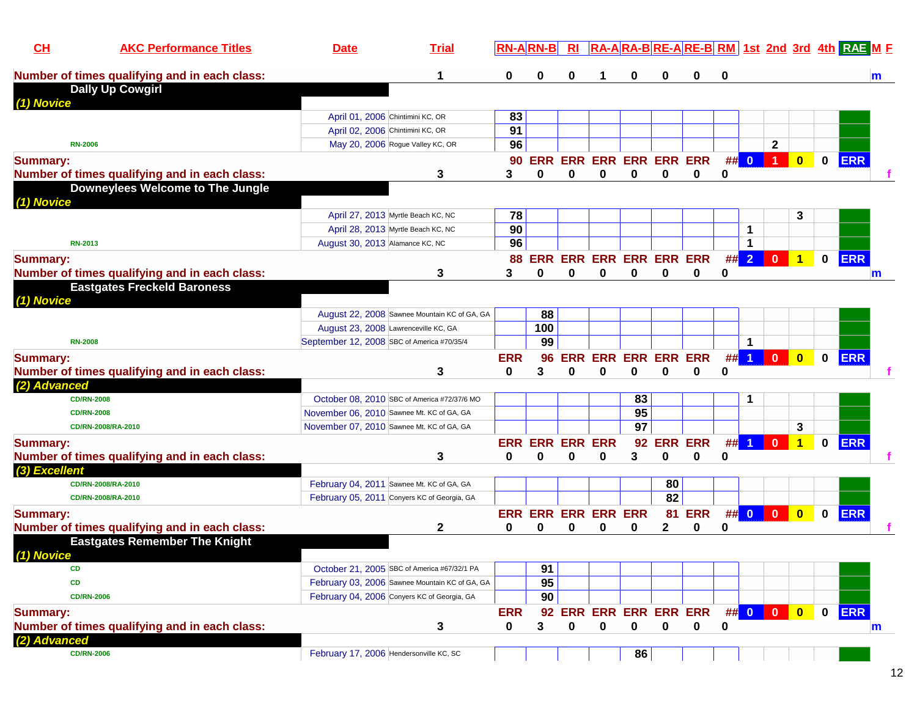| CL                | <b>AKC Performance Titles</b>                 | <b>Date</b>                                | <b>Trial</b>                                   |            | <b>RN-B</b>        |          |                            |                 |              |                                 |             |                      |                      |              |             | RA-ARA-BRE-ARE-BRM 1st 2nd 3rd 4th RAE ME |              |
|-------------------|-----------------------------------------------|--------------------------------------------|------------------------------------------------|------------|--------------------|----------|----------------------------|-----------------|--------------|---------------------------------|-------------|----------------------|----------------------|--------------|-------------|-------------------------------------------|--------------|
|                   | Number of times qualifying and in each class: |                                            | 1                                              | 0          | 0                  | 0        |                            | 0               | 0            | 0                               | $\bf{0}$    |                      |                      |              |             |                                           | m            |
|                   | <b>Dally Up Cowgirl</b>                       |                                            |                                                |            |                    |          |                            |                 |              |                                 |             |                      |                      |              |             |                                           |              |
| (1) Novice        |                                               |                                            | April 01, 2006 Chintimini KC, OR               | 83         |                    |          |                            |                 |              |                                 |             |                      |                      |              |             |                                           |              |
|                   |                                               |                                            | April 02, 2006 Chintimini KC, OR               | 91         |                    |          |                            |                 |              |                                 |             |                      |                      |              |             |                                           |              |
| <b>RN-2006</b>    |                                               |                                            | May 20, 2006 Rogue Valley KC, OR               | 96         |                    |          |                            |                 |              |                                 |             |                      | $\mathbf{2}$         |              |             |                                           |              |
| <b>Summary:</b>   |                                               |                                            |                                                | 90         | <b>ERR</b>         |          | <b>ERR ERR ERR ERR ERR</b> |                 |              |                                 |             | ## 0                 | $\blacktriangleleft$ | $\bf{0}$     | $\bf{0}$    | <b>ERR</b>                                |              |
|                   | Number of times qualifying and in each class: |                                            | 3                                              | 3          | 0                  | $\bf{0}$ | 0                          | 0               | 0            | 0                               | 0           |                      |                      |              |             |                                           |              |
|                   | Downeylees Welcome to The Jungle              |                                            |                                                |            |                    |          |                            |                 |              |                                 |             |                      |                      |              |             |                                           |              |
| (1) Novice        |                                               |                                            |                                                |            |                    |          |                            |                 |              |                                 |             |                      |                      |              |             |                                           |              |
|                   |                                               |                                            | April 27, 2013 Myrtle Beach KC, NC             | 78         |                    |          |                            |                 |              |                                 |             |                      |                      | 3            |             |                                           |              |
|                   |                                               |                                            | April 28, 2013 Myrtle Beach KC, NC             | 90         |                    |          |                            |                 |              |                                 |             | -1                   |                      |              |             |                                           |              |
| <b>RN-2013</b>    |                                               | August 30, 2013 Alamance KC, NC            |                                                | 96         |                    |          |                            |                 |              |                                 |             | -1                   |                      |              |             |                                           |              |
| <b>Summary:</b>   |                                               |                                            |                                                | 88         | <b>ERR</b>         |          | <b>ERR ERR ERR ERR ERR</b> |                 |              |                                 |             | ## 2                 | $\bf{0}$             | 1            | $\mathbf 0$ | <b>ERR</b>                                |              |
|                   | Number of times qualifying and in each class: |                                            | 3                                              | 3          | 0                  | $\bf{0}$ | 0                          | 0               | 0            | 0                               | 0           |                      |                      |              |             |                                           | m            |
|                   | <b>Eastgates Freckeld Baroness</b>            |                                            |                                                |            |                    |          |                            |                 |              |                                 |             |                      |                      |              |             |                                           |              |
| (1) Novice        |                                               |                                            |                                                |            |                    |          |                            |                 |              |                                 |             |                      |                      |              |             |                                           |              |
|                   |                                               |                                            | August 22, 2008 Sawnee Mountain KC of GA, GA   |            | 88                 |          |                            |                 |              |                                 |             |                      |                      |              |             |                                           |              |
|                   |                                               |                                            | August 23, 2008 Lawrenceville KC, GA           |            | 100                |          |                            |                 |              |                                 |             |                      |                      |              |             |                                           |              |
| <b>RN-2008</b>    |                                               | September 12, 2008 SBC of America #70/35/4 |                                                |            | 99                 |          |                            |                 |              |                                 |             | $\mathbf{1}$         |                      |              |             |                                           |              |
| <b>Summary:</b>   |                                               |                                            |                                                | <b>ERR</b> | 96                 | ERR      |                            | <b>ERR ERR</b>  |              | <b>ERR ERR</b>                  | #           | $\blacktriangleleft$ | $\bf{0}$             | $\bf{0}$     | 0           | <b>ERR</b>                                |              |
|                   | Number of times qualifying and in each class: |                                            | 3                                              | 0          | 3                  | 0        | 0                          | 0               | 0            | 0                               | 0           |                      |                      |              |             |                                           |              |
| (2) Advanced      |                                               |                                            |                                                |            |                    |          |                            |                 |              |                                 |             |                      |                      |              |             |                                           |              |
| <b>CD/RN-2008</b> |                                               |                                            | October 08, 2010 SBC of America #72/37/6 MO    |            |                    |          |                            | 83              |              |                                 |             | 1                    |                      |              |             |                                           |              |
| <b>CD/RN-2008</b> |                                               |                                            | November 06, 2010 Sawnee Mt. KC of GA, GA      |            |                    |          |                            | 95              |              |                                 |             |                      |                      |              |             |                                           |              |
|                   | CD/RN-2008/RA-2010                            |                                            | November 07, 2010 Sawnee Mt. KC of GA, GA      |            |                    |          |                            | $\overline{97}$ |              |                                 |             |                      |                      | 3            |             |                                           |              |
| <b>Summary:</b>   |                                               |                                            |                                                | <b>ERR</b> | <b>ERR ERR ERR</b> |          |                            | 92              |              | <b>ERR ERR</b>                  | #           |                      | $\Omega$             |              | 0           | <b>ERR</b>                                |              |
|                   | Number of times qualifying and in each class: |                                            | 3                                              | 0          | 0                  | 0        | 0                          | 3               | 0            | 0                               | 0           |                      |                      |              |             |                                           |              |
| (3) Excellent     |                                               |                                            |                                                |            |                    |          |                            |                 |              |                                 |             |                      |                      |              |             |                                           |              |
|                   | CD/RN-2008/RA-2010                            |                                            | February 04, 2011 Sawnee Mt. KC of GA, GA      |            |                    |          |                            |                 | 80           |                                 |             |                      |                      |              |             |                                           |              |
|                   | CD/RN-2008/RA-2010                            |                                            | February 05, 2011 Conyers KC of Georgia, GA    |            |                    |          |                            |                 | 82           |                                 |             |                      |                      |              |             |                                           |              |
| <b>Summary:</b>   |                                               |                                            |                                                |            |                    |          | <b>ERR ERR ERR ERR ERR</b> |                 |              | <b>81 ERR</b>                   |             | ## 0                 | $\blacksquare$       | $\mathbf{0}$ | $\bf{0}$    | <b>ERR</b>                                |              |
|                   | Number of times qualifying and in each class: |                                            | $\mathbf{2}$                                   | 0          | $\bf{0}$           | 0        | 0                          | 0               | $\mathbf{2}$ | 0                               | 0           |                      |                      |              |             |                                           |              |
|                   | <b>Eastgates Remember The Knight</b>          |                                            |                                                |            |                    |          |                            |                 |              |                                 |             |                      |                      |              |             |                                           |              |
| (1) Novice        |                                               |                                            |                                                |            |                    |          |                            |                 |              |                                 |             |                      |                      |              |             |                                           |              |
| <b>CD</b>         |                                               |                                            | October 21, 2005 SBC of America #67/32/1 PA    |            | 91                 |          |                            |                 |              |                                 |             |                      |                      |              |             |                                           |              |
| <b>CD</b>         |                                               |                                            | February 03, 2006 Sawnee Mountain KC of GA, GA |            | 95                 |          |                            |                 |              |                                 |             |                      |                      |              |             |                                           |              |
| <b>CD/RN-2006</b> |                                               |                                            | February 04, 2006 Conyers KC of Georgia, GA    |            | 90                 |          |                            |                 |              |                                 |             |                      |                      |              |             |                                           |              |
| <b>Summary:</b>   |                                               |                                            |                                                | <b>ERR</b> |                    |          |                            |                 |              | 92 ERR ERR ERR ERR ERR ## 0 0 0 |             |                      |                      | $\bullet$    |             | 0 ERR                                     |              |
|                   | Number of times qualifying and in each class: |                                            | 3                                              | 0          | 3                  | 0        | 0                          | $\mathbf 0$     | $\mathbf 0$  | $\mathbf 0$                     | $\mathbf 0$ |                      |                      |              |             |                                           | $\mathsf{m}$ |
| (2) Advanced      |                                               |                                            |                                                |            |                    |          |                            |                 |              |                                 |             |                      |                      |              |             |                                           |              |
| <b>CD/RN-2006</b> |                                               |                                            | February 17, 2006 Hendersonville KC, SC        |            |                    |          |                            | 86              |              |                                 |             |                      |                      |              |             |                                           |              |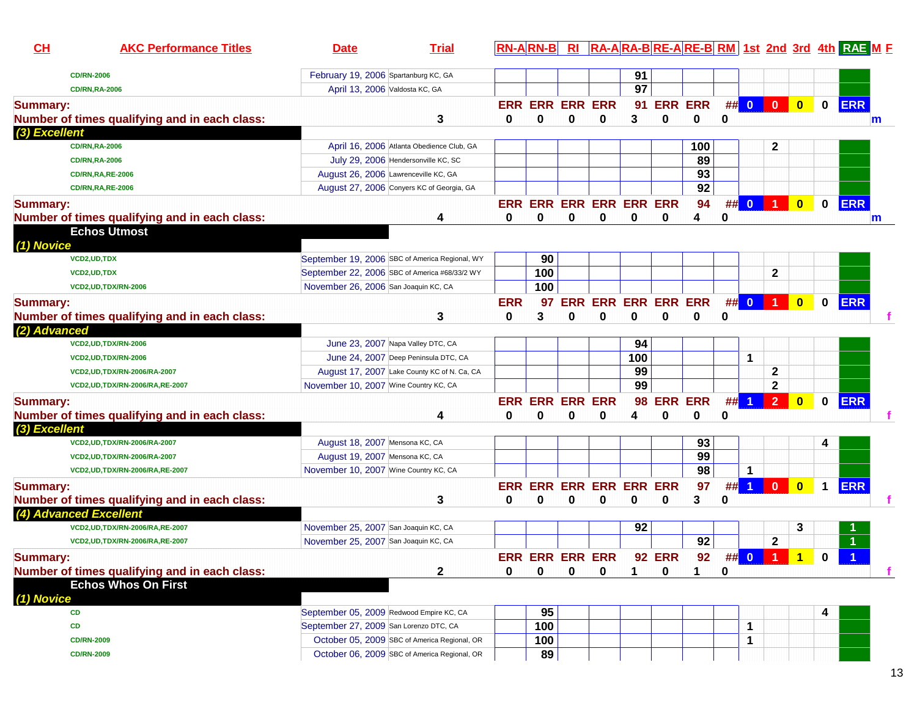| CL              | <b>AKC Performance Titles</b>                               | <b>Date</b>                                                                  | <b>Trial</b>                                   |            | <b>RN-ARN-B</b>        | $R_{\rm I}$ |                                |          |               |                |    |                |                      |                         |              | RA-ARA-BRE-ARE-BRM 1st 2nd 3rd 4th RAE M F |  |
|-----------------|-------------------------------------------------------------|------------------------------------------------------------------------------|------------------------------------------------|------------|------------------------|-------------|--------------------------------|----------|---------------|----------------|----|----------------|----------------------|-------------------------|--------------|--------------------------------------------|--|
|                 | <b>CD/RN-2006</b>                                           | February 19, 2006 Spartanburg KC, GA                                         |                                                |            |                        |             |                                | 91       |               |                |    |                |                      |                         |              |                                            |  |
|                 | <b>CD/RN,RA-2006</b>                                        |                                                                              | April 13, 2006 Valdosta KC, GA                 |            |                        |             |                                | 97       |               |                |    |                |                      |                         |              |                                            |  |
| <b>Summary:</b> |                                                             |                                                                              |                                                |            | <b>ERR ERR ERR ERR</b> |             |                                | 91       |               | <b>ERR ERR</b> |    | ## 0           | $\mathbf{0}$         | $\overline{\mathbf{0}}$ | $\mathbf 0$  | <b>ERR</b>                                 |  |
|                 | Number of times qualifying and in each class:               |                                                                              | 3                                              | 0          | 0                      | 0           | 0                              | 3        | 0             | 0              | 0  |                |                      |                         |              | m                                          |  |
| (3) Excellent   |                                                             |                                                                              |                                                |            |                        |             |                                |          |               |                |    |                |                      |                         |              |                                            |  |
|                 | <b>CD/RN,RA-2006</b>                                        |                                                                              | April 16, 2006 Atlanta Obedience Club, GA      |            |                        |             |                                |          |               | 100            |    |                | $\mathbf{2}$         |                         |              |                                            |  |
|                 | <b>CD/RN,RA-2006</b>                                        |                                                                              | July 29, 2006 Hendersonville KC, SC            |            |                        |             |                                |          |               | 89             |    |                |                      |                         |              |                                            |  |
|                 | <b>CD/RN,RA,RE-2006</b>                                     |                                                                              | August 26, 2006 Lawrenceville KC, GA           |            |                        |             |                                |          |               | 93             |    |                |                      |                         |              |                                            |  |
|                 | <b>CD/RN,RA,RE-2006</b>                                     |                                                                              | August 27, 2006 Conyers KC of Georgia, GA      |            |                        |             |                                |          |               | 92             |    |                |                      |                         |              |                                            |  |
| <b>Summary:</b> |                                                             |                                                                              |                                                |            |                        |             | ERR ERR ERR ERR ERR ERR        |          |               | 94             | ## | $\overline{0}$ |                      | $\mathbf{0}$            | $\mathbf 0$  | <b>ERR</b>                                 |  |
|                 | Number of times qualifying and in each class:               |                                                                              | 4                                              | 0          | $\bf{0}$               | 0           | $\bf{0}$                       | $\bf{0}$ | 0             | 4              | 0  |                |                      |                         |              | m                                          |  |
|                 | <b>Echos Utmost</b>                                         |                                                                              |                                                |            |                        |             |                                |          |               |                |    |                |                      |                         |              |                                            |  |
| (1) Novice      |                                                             |                                                                              |                                                |            |                        |             |                                |          |               |                |    |                |                      |                         |              |                                            |  |
|                 | VCD2, UD, TDX                                               |                                                                              | September 19, 2006 SBC of America Regional, WY |            | 90                     |             |                                |          |               |                |    |                |                      |                         |              |                                            |  |
|                 | <b>VCD2,UD,TDX</b>                                          |                                                                              | September 22, 2006 SBC of America #68/33/2 WY  |            | 100                    |             |                                |          |               |                |    |                | $\mathbf{2}$         |                         |              |                                            |  |
|                 | VCD2, UD, TDX/RN-2006                                       | November 26, 2006 San Joaquin KC, CA                                         |                                                |            | 100                    |             |                                |          |               |                |    |                |                      |                         |              |                                            |  |
| <b>Summary:</b> |                                                             |                                                                              |                                                | <b>ERR</b> | 97                     | <b>ERR</b>  | <b>ERR ERR ERR ERR</b>         |          |               |                |    | ## 0           | $\blacktriangleleft$ | $\overline{\mathbf{0}}$ | $\mathbf 0$  | <b>ERR</b>                                 |  |
|                 | Number of times qualifying and in each class:               |                                                                              | 3                                              | 0          | 3                      | 0           | 0                              | 0        | 0             | 0              | 0  |                |                      |                         |              |                                            |  |
| (2) Advanced    |                                                             |                                                                              |                                                |            |                        |             |                                |          |               |                |    |                |                      |                         |              |                                            |  |
|                 | VCD2, UD, TDX/RN-2006                                       |                                                                              | June 23, 2007 Napa Valley DTC, CA              |            |                        |             |                                | 94       |               |                |    |                |                      |                         |              |                                            |  |
|                 | VCD2, UD, TDX/RN-2006                                       |                                                                              | June 24, 2007 Deep Peninsula DTC, CA           |            |                        |             |                                | 100      |               |                |    | 1              |                      |                         |              |                                            |  |
|                 | VCD2, UD, TDX/RN-2006/RA-2007                               |                                                                              | August 17, 2007 Lake County KC of N. Ca, CA    |            |                        |             |                                | 99       |               |                |    |                | $\mathbf{2}$         |                         |              |                                            |  |
|                 | VCD2, UD, TDX/RN-2006/RA, RE-2007                           | November 10, 2007 Wine Country KC, CA                                        |                                                |            |                        |             |                                | 99       |               |                |    |                | $\mathbf{2}$         |                         |              |                                            |  |
|                 |                                                             |                                                                              |                                                |            |                        |             |                                |          |               | <b>ERR ERR</b> |    |                | $\overline{2}$       |                         |              |                                            |  |
| <b>Summary:</b> |                                                             |                                                                              |                                                | <b>ERR</b> | <b>ERR ERR ERR</b>     |             |                                | 98       |               |                | ## |                |                      | $\mathbf{0}$            | 0            | <b>ERR</b>                                 |  |
|                 | Number of times qualifying and in each class:               |                                                                              | 4                                              | Ω          | 0                      | 0           | 0                              | Δ        | 0             | 0              | 0  |                |                      |                         |              |                                            |  |
| (3) Excellent   |                                                             |                                                                              |                                                |            |                        |             |                                |          |               | 93             |    |                |                      |                         |              |                                            |  |
|                 | VCD2, UD, TDX/RN-2006/RA-2007                               | August 18, 2007 Mensona KC, CA<br>August 19, 2007 Mensona KC, CA             |                                                |            |                        |             |                                |          |               | 99             |    |                |                      |                         | 4            |                                            |  |
|                 | VCD2, UD, TDX/RN-2006/RA-2007                               | November 10, 2007 Wine Country KC, CA                                        |                                                |            |                        |             |                                |          |               | 98             |    | 1              |                      |                         |              |                                            |  |
|                 | VCD2, UD, TDX/RN-2006/RA, RE-2007                           |                                                                              |                                                |            |                        |             |                                |          |               |                |    |                |                      |                         |              |                                            |  |
| <b>Summary:</b> |                                                             |                                                                              |                                                |            |                        |             | <b>ERR ERR ERR ERR ERR ERR</b> |          |               | 97             | ## |                | $\mathbf{0}$         | $\overline{\mathbf{0}}$ | $\mathbf 1$  | <b>ERR</b>                                 |  |
|                 | Number of times qualifying and in each class:               |                                                                              | 3                                              | 0          | 0                      | 0           | 0                              | 0        | 0             | 3              | 0  |                |                      |                         |              |                                            |  |
|                 | (4) Advanced Excellent<br>VCD2, UD, TDX/RN-2006/RA, RE-2007 |                                                                              |                                                |            |                        |             |                                |          |               |                |    |                |                      |                         |              |                                            |  |
|                 |                                                             | November 25, 2007 San Joaquin KC, CA<br>November 25, 2007 San Joaquin KC, CA |                                                |            |                        |             |                                | 92       |               | 92             |    |                | $\mathbf{2}$         | 3                       |              |                                            |  |
|                 | VCD2, UD, TDX/RN-2006/RA, RE-2007                           |                                                                              |                                                |            |                        |             |                                |          |               |                |    |                |                      |                         |              |                                            |  |
| <b>Summary:</b> |                                                             |                                                                              |                                                |            | <b>ERR ERR ERR ERR</b> |             |                                |          | <b>92 ERR</b> | 92             |    |                | ## 0 1 1             |                         | $\mathbf{a}$ |                                            |  |
|                 | Number of times qualifying and in each class:               |                                                                              | 2                                              | 0          | 0                      | 0           | 0                              | 1        | 0             | 1              | 0  |                |                      |                         |              |                                            |  |
|                 | <b>Echos Whos On First</b>                                  |                                                                              |                                                |            |                        |             |                                |          |               |                |    |                |                      |                         |              |                                            |  |
| (1) Novice      |                                                             |                                                                              |                                                |            |                        |             |                                |          |               |                |    |                |                      |                         |              |                                            |  |
|                 | <b>CD</b>                                                   |                                                                              | September 05, 2009 Redwood Empire KC, CA       |            | 95                     |             |                                |          |               |                |    |                |                      |                         |              |                                            |  |
|                 | CD                                                          | September 27, 2009 San Lorenzo DTC, CA                                       |                                                |            | 100                    |             |                                |          |               |                |    | 1              |                      |                         |              |                                            |  |
|                 | <b>CD/RN-2009</b>                                           |                                                                              | October 05, 2009 SBC of America Regional, OR   |            | 100                    |             |                                |          |               |                |    | 1              |                      |                         |              |                                            |  |
|                 | <b>CD/RN-2009</b>                                           |                                                                              | October 06, 2009 SBC of America Regional, OR   |            | 89                     |             |                                |          |               |                |    |                |                      |                         |              |                                            |  |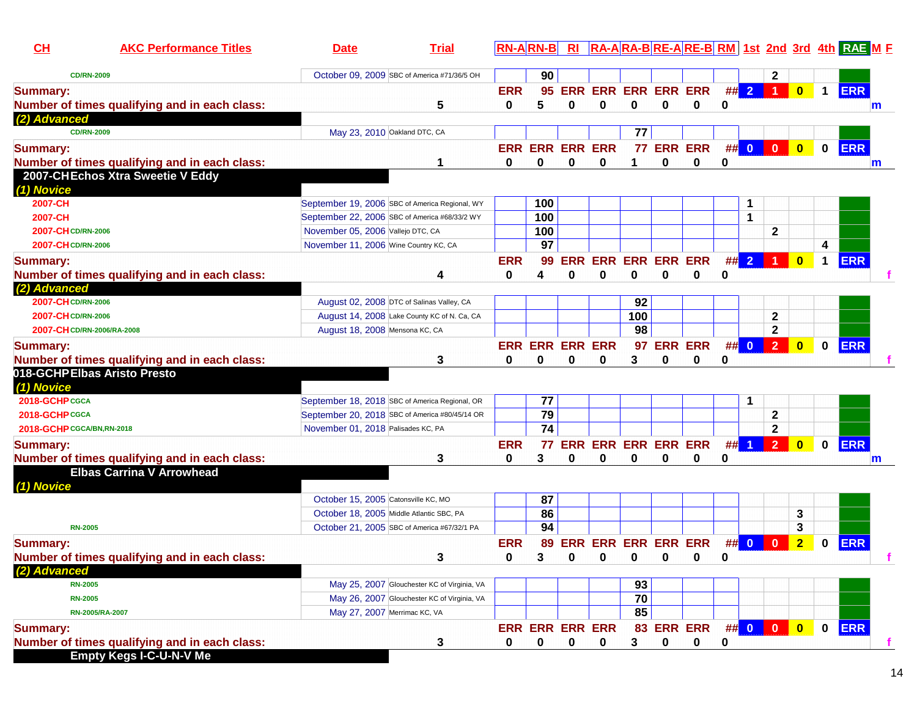| CH                          | <b>AKC Performance Titles</b>                 | <b>Date</b>                                    | <b>Trial</b> |              |                        |             |                                            |     |             |            |              |                         |                         |                         |              | RN-ARN-B RI RA-ARA-BRE-ARE-BRM 1st 2nd 3rd 4th RAE M F |
|-----------------------------|-----------------------------------------------|------------------------------------------------|--------------|--------------|------------------------|-------------|--------------------------------------------|-----|-------------|------------|--------------|-------------------------|-------------------------|-------------------------|--------------|--------------------------------------------------------|
| <b>CD/RN-2009</b>           |                                               | October 09, 2009 SBC of America #71/36/5 OH    |              |              | 90                     |             |                                            |     |             |            |              |                         | $\mathbf{2}$            |                         |              |                                                        |
| <b>Summary:</b>             |                                               |                                                |              | <b>ERR</b>   | 95                     |             | <b>ERR ERR ERR ERR ERR</b>                 |     |             |            |              | ## 2                    | $\blacktriangleleft$    | $\bullet$               | $\mathbf 1$  | <b>ERR</b>                                             |
|                             | Number of times qualifying and in each class: |                                                | 5            | $\mathbf{0}$ | 5                      | 0           | $\mathbf 0$                                | 0   | 0           | 0          | 0            |                         |                         |                         |              | m                                                      |
| (2) Advanced                |                                               |                                                |              |              |                        |             |                                            |     |             |            |              |                         |                         |                         |              |                                                        |
| <b>CD/RN-2009</b>           |                                               | May 23, 2010 Oakland DTC, CA                   |              |              |                        |             |                                            | 77  |             |            |              |                         |                         |                         |              |                                                        |
| <b>Summary:</b>             |                                               |                                                |              |              |                        |             | <b>ERR ERR ERR ERR</b>                     |     |             | 77 ERR ERR |              | ## 0                    | $\overline{\mathbf{0}}$ | $\bullet$               | $\mathbf 0$  | <b>ERR</b>                                             |
|                             | Number of times qualifying and in each class: |                                                |              | 0            | 0                      | 0           | 0                                          | 1   | 0           | 0          | 0            |                         |                         |                         |              | m                                                      |
|                             | 2007-CHEchos Xtra Sweetie V Eddy              |                                                |              |              |                        |             |                                            |     |             |            |              |                         |                         |                         |              |                                                        |
| (1) Novice                  |                                               |                                                |              |              |                        |             |                                            |     |             |            |              |                         |                         |                         |              |                                                        |
| 2007-CH                     |                                               | September 19, 2006 SBC of America Regional, WY |              |              | 100                    |             |                                            |     |             |            |              | 1                       |                         |                         |              |                                                        |
| 2007-CH                     |                                               | September 22, 2006 SBC of America #68/33/2 WY  |              |              | 100                    |             |                                            |     |             |            |              | $\mathbf{1}$            |                         |                         |              |                                                        |
| 2007-CH CD/RN-2006          |                                               | November 05, 2006 Vallejo DTC, CA              |              |              | 100                    |             |                                            |     |             |            |              |                         | $\mathbf{2}$            |                         |              |                                                        |
| 2007-CH CD/RN-2006          |                                               | November 11, 2006 Wine Country KC, CA          |              |              | 97                     |             |                                            |     |             |            |              |                         |                         |                         | 4            |                                                        |
| <b>Summary:</b>             |                                               |                                                |              | <b>ERR</b>   | 99                     | <b>ERR</b>  | <b>ERR ERR ERR ERR</b>                     |     |             |            | ##           | $\overline{2}$          |                         | $\overline{\mathbf{0}}$ | $\mathbf 1$  | <b>ERR</b>                                             |
|                             | Number of times qualifying and in each class: |                                                | 4            | 0            | 4                      | 0           | $\bf{0}$                                   | 0   | $\bf{0}$    | 0          | 0            |                         |                         |                         |              |                                                        |
| (2) Advanced                |                                               |                                                |              |              |                        |             |                                            |     |             |            |              |                         |                         |                         |              |                                                        |
| 2007-CH CD/RN-2006          |                                               | August 02, 2008 DTC of Salinas Valley, CA      |              |              |                        |             |                                            | 92  |             |            |              |                         |                         |                         |              |                                                        |
| 2007-CH CD/RN-2006          |                                               | August 14, 2008 Lake County KC of N. Ca, CA    |              |              |                        |             |                                            | 100 |             |            |              |                         | $\mathbf{2}$            |                         |              |                                                        |
| 2007-CH CD/RN-2006/RA-2008  |                                               | August 18, 2008 Mensona KC, CA                 |              |              |                        |             |                                            | 98  |             |            |              |                         | $\overline{2}$          |                         |              |                                                        |
| <b>Summary:</b>             |                                               |                                                |              |              | <b>ERR ERR ERR ERR</b> |             |                                            |     |             | 97 ERR ERR |              | ## 0                    | 2 <sup>7</sup>          | $\bullet$               | $\mathbf 0$  | <b>ERR</b>                                             |
|                             | Number of times qualifying and in each class: |                                                | 3            | 0            | 0                      | 0           | 0                                          | 3   | 0           | 0          | 0            |                         |                         |                         |              |                                                        |
| 018-GCHPElbas Aristo Presto |                                               |                                                |              |              |                        |             |                                            |     |             |            |              |                         |                         |                         |              |                                                        |
| (1) Novice                  |                                               |                                                |              |              |                        |             |                                            |     |             |            |              |                         |                         |                         |              |                                                        |
| 2018-GCHP CGCA              |                                               | September 18, 2018 SBC of America Regional, OR |              |              | 77                     |             |                                            |     |             |            |              | $\mathbf 1$             |                         |                         |              |                                                        |
| 2018-GCHP CGCA              |                                               | September 20, 2018 SBC of America #80/45/14 OR |              |              | 79                     |             |                                            |     |             |            |              |                         | $\mathbf{2}$            |                         |              |                                                        |
| 2018-GCHP CGCA/BN, RN-2018  |                                               | November 01, 2018 Palisades KC, PA             |              |              | $\overline{74}$        |             |                                            |     |             |            |              |                         | $\mathbf{2}$            |                         |              |                                                        |
| <b>Summary:</b>             |                                               |                                                |              | <b>ERR</b>   |                        |             | 77 ERR ERR ERR ERR ERR                     |     |             |            | #            | $\blacktriangleleft$    | 2 <sup>1</sup>          | $\overline{\mathbf{0}}$ | $\mathbf 0$  | <b>ERR</b>                                             |
|                             | Number of times qualifying and in each class: |                                                | 3            | 0            | 3                      | 0           | 0                                          | 0   | 0           | 0          | 0            |                         |                         |                         |              | m                                                      |
| (1) Novice                  | <b>Elbas Carrina V Arrowhead</b>              |                                                |              |              |                        |             |                                            |     |             |            |              |                         |                         |                         |              |                                                        |
|                             |                                               | October 15, 2005 Catonsville KC, MO            |              |              | 87                     |             |                                            |     |             |            |              |                         |                         |                         |              |                                                        |
|                             |                                               | October 18, 2005 Middle Atlantic SBC, PA       |              |              | 86                     |             |                                            |     |             |            |              |                         |                         | 3                       |              |                                                        |
| <b>RN-2005</b>              |                                               | October 21, 2005 SBC of America #67/32/1 PA    |              |              | 94                     |             |                                            |     |             |            |              |                         |                         | 3                       |              |                                                        |
| Summary:                    |                                               |                                                |              | <b>ERR</b>   |                        |             | 89 ERR ERR ERR ERR ERR                     |     |             |            | ##           | $\overline{\mathbf{0}}$ | $\mathbf{0}$            | $\overline{2}$          | $\mathbf{0}$ | <b>ERR</b>                                             |
|                             | Number of times qualifying and in each class: |                                                | 3            | $\mathbf{0}$ | $\mathbf{3}$           |             | $\begin{array}{ccc} 0 & 0 & 0 \end{array}$ |     |             | 0          | <sup>0</sup> |                         |                         |                         |              |                                                        |
| <b>Advanced</b>             |                                               |                                                |              |              |                        |             |                                            |     |             |            |              |                         |                         |                         |              |                                                        |
| <b>RN-2005</b>              |                                               | May 25, 2007 Glouchester KC of Virginia, VA    |              |              |                        |             |                                            | 93  |             |            |              |                         |                         |                         |              |                                                        |
| <b>RN-2005</b>              |                                               | May 26, 2007 Glouchester KC of Virginia, VA    |              |              |                        |             |                                            | 70  |             |            |              |                         |                         |                         |              |                                                        |
| RN-2005/RA-2007             |                                               | May 27, 2007 Merrimac KC, VA                   |              |              |                        |             |                                            | 85  |             |            |              |                         |                         |                         |              |                                                        |
| <b>Summary:</b>             |                                               |                                                |              |              |                        |             | <b>ERR ERR ERR ERR</b>                     |     |             | 83 ERR ERR |              |                         | ## 0 0 0                |                         |              | 0 ERR                                                  |
|                             | Number of times qualifying and in each class: |                                                | 3            | 0            | 0                      | $\mathbf 0$ | 0                                          | 3   | $\mathbf 0$ | 0          | 0            |                         |                         |                         |              |                                                        |
|                             | <b>Empty Kegs I-C-U-N-V Me</b>                |                                                |              |              |                        |             |                                            |     |             |            |              |                         |                         |                         |              |                                                        |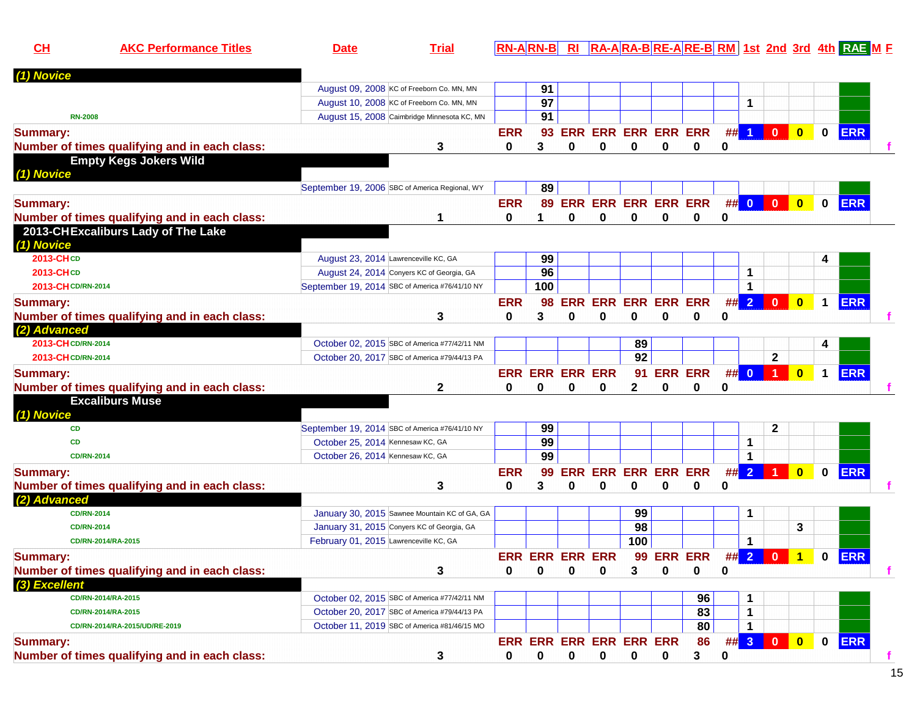| CH                 | <b>AKC Performance Titles</b>                 | <b>Date</b>                                    | <b>Trial</b> |            |                        |             |                            |                 |   |                |        |                |                |                         |             | <b>RN-ARN-B RI RA-ARA-BRE-ARE-BRM 1st 2nd 3rd 4th RAE ME</b> |   |
|--------------------|-----------------------------------------------|------------------------------------------------|--------------|------------|------------------------|-------------|----------------------------|-----------------|---|----------------|--------|----------------|----------------|-------------------------|-------------|--------------------------------------------------------------|---|
| (1) Novice         |                                               |                                                |              |            |                        |             |                            |                 |   |                |        |                |                |                         |             |                                                              |   |
|                    |                                               | August 09, 2008 KC of Freeborn Co. MN, MN      |              |            | 91                     |             |                            |                 |   |                |        |                |                |                         |             |                                                              |   |
|                    |                                               | August 10, 2008 KC of Freeborn Co. MN, MN      |              |            | 97                     |             |                            |                 |   |                |        | 1              |                |                         |             |                                                              |   |
| <b>RN-2008</b>     |                                               | August 15, 2008 Caimbridge Minnesota KC, MN    |              |            | 91                     |             |                            |                 |   |                |        |                |                |                         |             |                                                              |   |
| <b>Summary:</b>    |                                               |                                                |              | <b>ERR</b> | 93                     |             | <b>ERR ERR ERR ERR ERR</b> |                 |   |                | $##$ 1 |                | $\mathbf{0}$   | $\mathbf{0}$            | $\bf{0}$    | <b>ERR</b>                                                   |   |
|                    | Number of times qualifying and in each class: |                                                | 3            | 0          | 3                      | 0           | 0                          | 0               | 0 | 0              | 0      |                |                |                         |             |                                                              |   |
|                    | <b>Empty Kegs Jokers Wild</b>                 |                                                |              |            |                        |             |                            |                 |   |                |        |                |                |                         |             |                                                              |   |
| (1) Novice         |                                               |                                                |              |            |                        |             |                            |                 |   |                |        |                |                |                         |             |                                                              |   |
|                    |                                               | September 19, 2006 SBC of America Regional, WY |              |            | 89                     |             |                            |                 |   |                |        |                |                |                         |             |                                                              |   |
| <b>Summary:</b>    |                                               |                                                |              | <b>ERR</b> | 89                     |             | ERR ERR ERR ERR ERR        |                 |   |                |        | ## 0           | $\mathbf{0}$   | $\mathbf{0}$            | $\bf{0}$    | <b>ERR</b>                                                   |   |
|                    | Number of times qualifying and in each class: |                                                |              | 0          |                        | 0           | 0                          | $\bf{0}$        | 0 | 0              | 0      |                |                |                         |             |                                                              |   |
|                    | 2013-CHExcaliburs Lady of The Lake            |                                                |              |            |                        |             |                            |                 |   |                |        |                |                |                         |             |                                                              |   |
| (1) Novice         |                                               |                                                |              |            |                        |             |                            |                 |   |                |        |                |                |                         |             |                                                              |   |
| 2013-CHCD          |                                               | August 23, 2014 Lawrenceville KC, GA           |              |            | 99                     |             |                            |                 |   |                |        |                |                |                         |             |                                                              |   |
| 2013-CHCD          |                                               | August 24, 2014 Conyers KC of Georgia, GA      |              |            | 96                     |             |                            |                 |   |                |        | $\mathbf{1}$   |                |                         |             |                                                              |   |
| 2013-CHCD/RN-2014  |                                               | September 19, 2014 SBC of America #76/41/10 NY |              |            | 100                    |             |                            |                 |   |                |        | $\mathbf{1}$   |                |                         |             |                                                              |   |
| <b>Summary:</b>    |                                               |                                                |              | <b>ERR</b> | 98                     |             | <b>ERR ERR ERR ERR ERR</b> |                 |   |                | ## 2   |                | $\mathbf{0}$   | $\bf{0}$                | $\mathbf 1$ | <b>ERR</b>                                                   |   |
|                    | Number of times qualifying and in each class: |                                                | 3            | 0          | 3                      | 0           | 0                          | $\bf{0}$        | 0 | 0              | 0      |                |                |                         |             |                                                              |   |
| (2) Advanced       |                                               |                                                |              |            |                        |             |                            |                 |   |                |        |                |                |                         |             |                                                              |   |
| 2013-CH CD/RN-2014 |                                               | October 02, 2015 SBC of America #77/42/11 NM   |              |            |                        |             |                            | 89              |   |                |        |                |                |                         | 4           |                                                              |   |
| 2013-CH CD/RN-2014 |                                               | October 20, 2017 SBC of America #79/44/13 PA   |              |            |                        |             |                            | $\overline{92}$ |   |                |        |                | $\mathbf{2}$   |                         |             |                                                              |   |
| <b>Summary:</b>    |                                               |                                                |              |            | <b>ERR ERR ERR ERR</b> |             |                            | 91              |   | <b>ERR ERR</b> |        | ## 0           | $\blacksquare$ | $\mathbf{0}$            | $\mathbf 1$ | <b>ERR</b>                                                   |   |
|                    | Number of times qualifying and in each class: |                                                | 2            | 0          | 0                      | 0           | 0                          | $\mathbf{2}$    | 0 | 0              | 0      |                |                |                         |             |                                                              |   |
|                    | <b>Excaliburs Muse</b>                        |                                                |              |            |                        |             |                            |                 |   |                |        |                |                |                         |             |                                                              |   |
| (1) Novice         |                                               |                                                |              |            |                        |             |                            |                 |   |                |        |                |                |                         |             |                                                              |   |
| <b>CD</b>          |                                               | September 19, 2014 SBC of America #76/41/10 NY |              |            | 99                     |             |                            |                 |   |                |        |                | $\mathbf{2}$   |                         |             |                                                              |   |
| CD                 |                                               | October 25, 2014 Kennesaw KC, GA               |              |            | 99                     |             |                            |                 |   |                |        | $\mathbf 1$    |                |                         |             |                                                              |   |
|                    | <b>CD/RN-2014</b>                             | October 26, 2014 Kennesaw KC, GA               |              |            | 99                     |             |                            |                 |   |                |        | $\mathbf{1}$   |                |                         |             |                                                              |   |
| <b>Summary:</b>    |                                               |                                                |              | <b>ERR</b> | 99                     | ERR         | <b>ERR ERR ERR ERR</b>     |                 |   |                | #      | $\overline{2}$ |                | $\bf{0}$                | $\bf{0}$    | <b>ERR</b>                                                   |   |
|                    | Number of times qualifying and in each class: |                                                | 3            | 0          | 3                      | 0           | 0                          | 0               | 0 | 0              | 0      |                |                |                         |             |                                                              |   |
| (2) Advanced       |                                               |                                                |              |            |                        |             |                            |                 |   |                |        |                |                |                         |             |                                                              |   |
|                    | <b>CD/RN-2014</b>                             | January 30, 2015 Sawnee Mountain KC of GA, GA  |              |            |                        |             |                            | 99              |   |                |        | 1              |                |                         |             |                                                              |   |
|                    | <b>CD/RN-2014</b>                             | January 31, 2015 Conyers KC of Georgia, GA     |              |            |                        |             |                            | 98              |   |                |        |                |                | 3                       |             |                                                              |   |
|                    | CD/RN-2014/RA-2015                            | February 01, 2015 Lawrenceville KC, GA         |              |            |                        |             |                            | 100             |   |                |        | $\mathbf{1}$   |                |                         |             |                                                              |   |
| <b>Summary:</b>    |                                               |                                                |              |            | <b>ERR ERR ERR ERR</b> |             |                            |                 |   | 99 ERR ERR     |        |                | ## 2 0         | 1                       |             | $0$ ERR                                                      |   |
|                    | Number of times qualifying and in each class: |                                                | 3            | 0          | $\bf{0}$               | $\mathbf 0$ | 0                          | 3               | 0 | 0              | 0      |                |                |                         |             |                                                              |   |
| (3) Excellent      |                                               |                                                |              |            |                        |             |                            |                 |   |                |        |                |                |                         |             |                                                              |   |
|                    | CD/RN-2014/RA-2015                            | October 02, 2015 SBC of America #77/42/11 NM   |              |            |                        |             |                            |                 |   | 96             |        | $\mathbf{1}$   |                |                         |             |                                                              |   |
|                    | CD/RN-2014/RA-2015                            | October 20, 2017 SBC of America #79/44/13 PA   |              |            |                        |             |                            |                 |   | 83             |        | 1              |                |                         |             |                                                              |   |
|                    | CD/RN-2014/RA-2015/UD/RE-2019                 | October 11, 2019 SBC of America #81/46/15 MO   |              |            |                        |             |                            |                 |   | 80             |        | 1              |                |                         |             |                                                              |   |
| <b>Summary:</b>    |                                               |                                                |              |            |                        |             | ERR ERR ERR ERR ERR ERR    |                 |   | 86             |        |                | ## 3 0         | $\overline{\mathbf{0}}$ | $\mathbf 0$ | <b>ERR</b>                                                   |   |
|                    | Number of times qualifying and in each class: |                                                | 3            | 0          | 0                      | $\mathbf 0$ | $\mathbf 0$                | $\mathbf 0$     | 0 | 3              | 0      |                |                |                         |             |                                                              | f |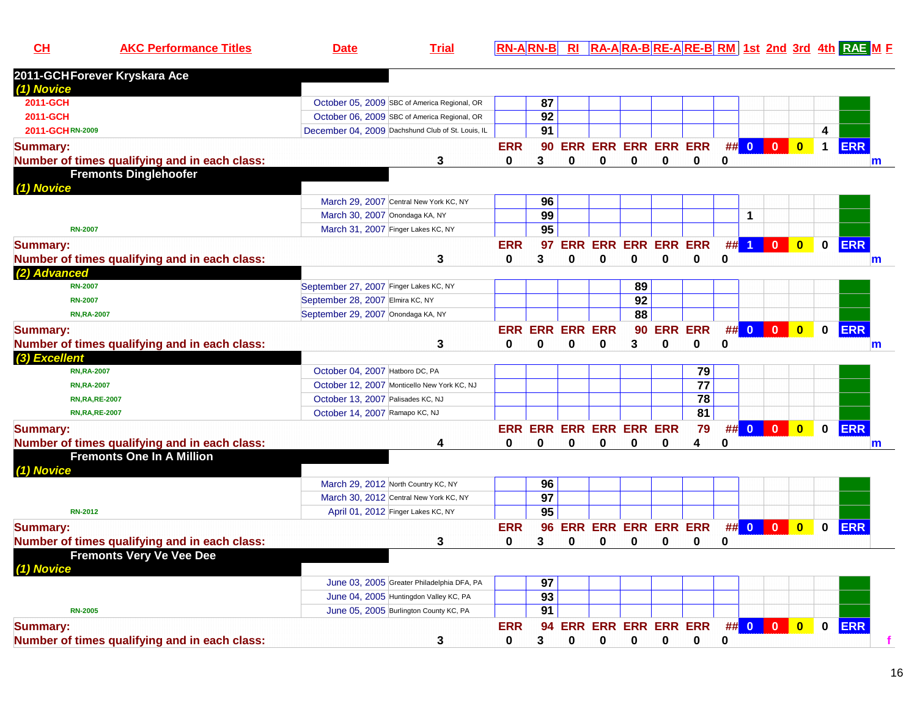**AKC Performance Titles Date Trial RN-A RN-B RI RA-A RA-B RE-A RE-B RM 1st 2nd 3rd 4th RAE <sup>M</sup> <sup>F</sup>**

| 2011-GCHForever Kryskara Ace                  |                                                                                      |             |                 |                    |                                |                        |             |                        |   |                         |                         |                         |              |            |   |
|-----------------------------------------------|--------------------------------------------------------------------------------------|-------------|-----------------|--------------------|--------------------------------|------------------------|-------------|------------------------|---|-------------------------|-------------------------|-------------------------|--------------|------------|---|
| (1) Novice                                    |                                                                                      |             |                 |                    |                                |                        |             |                        |   |                         |                         |                         |              |            |   |
| 2011-GCH                                      | October 05, 2009 SBC of America Regional, OR                                         |             | 87              |                    |                                |                        |             |                        |   |                         |                         |                         |              |            |   |
| 2011-GCH                                      | October 06, 2009 SBC of America Regional, OR                                         |             | 92              |                    |                                |                        |             |                        |   |                         |                         |                         |              |            |   |
| 2011-GCHRN-2009                               | December 04, 2009 Dachshund Club of St. Louis, IL                                    |             | 91              |                    |                                |                        |             |                        |   |                         |                         |                         | 4            |            |   |
| <b>Summary:</b>                               |                                                                                      | <b>ERR</b>  |                 |                    |                                |                        |             | 90 ERR ERR ERR ERR ERR |   | ## 0                    | $\overline{\mathbf{0}}$ | $\bullet$               | $\mathbf{1}$ | <b>ERR</b> |   |
| Number of times qualifying and in each class: | 3                                                                                    | $\bf{0}$    | 3               | 0                  | $\bf{0}$                       | $\bf{0}$               | $\bf{0}$    | 0                      | 0 |                         |                         |                         |              |            | m |
| <b>Fremonts Dinglehoofer</b>                  |                                                                                      |             |                 |                    |                                |                        |             |                        |   |                         |                         |                         |              |            |   |
| (1) Novice                                    |                                                                                      |             |                 |                    |                                |                        |             |                        |   |                         |                         |                         |              |            |   |
|                                               | March 29, 2007 Central New York KC, NY                                               |             | 96              |                    |                                |                        |             |                        |   |                         |                         |                         |              |            |   |
|                                               | March 30, 2007 Onondaga KA, NY                                                       |             | 99              |                    |                                |                        |             |                        |   | $\mathbf 1$             |                         |                         |              |            |   |
| <b>RN-2007</b>                                | March 31, 2007 Finger Lakes KC, NY                                                   |             | $\overline{95}$ |                    |                                |                        |             |                        |   |                         |                         |                         |              |            |   |
| <b>Summary:</b>                               |                                                                                      | <b>ERR</b>  | 97              | <b>ERR</b>         |                                | <b>ERR ERR ERR ERR</b> |             |                        | # | $\overline{\mathbf{1}}$ | $\bf{0}$                | $\mathbf{0}$            | $\mathbf{0}$ | <b>ERR</b> |   |
| Number of times qualifying and in each class: | 3                                                                                    | $\mathbf 0$ | 3               | $\bf{0}$           | $\mathbf 0$                    | $\bf{0}$               | $\bf{0}$    | 0                      | 0 |                         |                         |                         |              |            | m |
| (2) Advanced                                  |                                                                                      |             |                 |                    |                                |                        |             |                        |   |                         |                         |                         |              |            |   |
| <b>RN-2007</b>                                | September 27, 2007 Finger Lakes KC, NY                                               |             |                 |                    |                                | 89                     |             |                        |   |                         |                         |                         |              |            |   |
| <b>RN-2007</b>                                | September 28, 2007 Elmira KC, NY                                                     |             |                 |                    |                                | 92                     |             |                        |   |                         |                         |                         |              |            |   |
| <b>RN,RA-2007</b>                             | September 29, 2007 Onondaga KA, NY                                                   |             |                 |                    |                                | 88                     |             |                        |   |                         |                         |                         |              |            |   |
| <b>Summary:</b>                               |                                                                                      | <b>ERR</b>  |                 | <b>ERR ERR ERR</b> |                                | 90                     |             | <b>ERR ERR</b>         |   | ## 0                    | $\bullet$               | $\overline{\mathbf{0}}$ | $\mathbf 0$  | <b>ERR</b> |   |
| Number of times qualifying and in each class: | 3                                                                                    | $\bf{0}$    | 0               | 0                  | $\mathbf 0$                    | 3                      | $\mathbf 0$ | 0                      | 0 |                         |                         |                         |              |            | m |
| (3) Excellent                                 |                                                                                      |             |                 |                    |                                |                        |             |                        |   |                         |                         |                         |              |            |   |
| <b>RN,RA-2007</b>                             | October 04, 2007 Hatboro DC, PA                                                      |             |                 |                    |                                |                        |             | 79                     |   |                         |                         |                         |              |            |   |
| <b>RN,RA-2007</b>                             | October 12, 2007 Monticello New York KC, NJ                                          |             |                 |                    |                                |                        |             | $\overline{77}$        |   |                         |                         |                         |              |            |   |
| <b>RN, RA, RE-2007</b>                        | October 13, 2007 Palisades KC, NJ                                                    |             |                 |                    |                                |                        |             | $\overline{78}$        |   |                         |                         |                         |              |            |   |
| <b>RN, RA, RE-2007</b>                        | October 14, 2007 Ramapo KC, NJ                                                       |             |                 |                    |                                |                        |             | $\overline{81}$        |   |                         |                         |                         |              |            |   |
| <b>Summary:</b>                               |                                                                                      |             |                 |                    | <b>ERR ERR ERR ERR ERR ERR</b> |                        |             | 79                     |   | ## 0                    | $\mathbf{0}$            | $\overline{\mathbf{0}}$ | $\mathbf 0$  | <b>ERR</b> |   |
| Number of times qualifying and in each class: | 4                                                                                    | $\bf{0}$    | 0               | 0                  | 0                              | 0                      | $\bf{0}$    | 4                      | 0 |                         |                         |                         |              |            | m |
| <b>Fremonts One In A Million</b>              |                                                                                      |             |                 |                    |                                |                        |             |                        |   |                         |                         |                         |              |            |   |
| (1) Novice                                    |                                                                                      |             |                 |                    |                                |                        |             |                        |   |                         |                         |                         |              |            |   |
|                                               | March 29, 2012 North Country KC, NY                                                  |             | 96              |                    |                                |                        |             |                        |   |                         |                         |                         |              |            |   |
|                                               | March 30, 2012 Central New York KC, NY                                               |             | $\overline{97}$ |                    |                                |                        |             |                        |   |                         |                         |                         |              |            |   |
| <b>RN-2012</b>                                | April 01, 2012 Finger Lakes KC, NY                                                   |             | 95              |                    |                                |                        |             |                        |   |                         |                         |                         |              |            |   |
|                                               |                                                                                      | <b>ERR</b>  |                 |                    | <b>ERR ERR ERR ERR ERR</b>     |                        |             |                        |   | ## 0                    | $\mathbf{0}$            |                         |              | <b>ERR</b> |   |
| <b>Summary:</b>                               |                                                                                      |             | 96              |                    |                                |                        |             |                        |   |                         |                         | $\bullet$               | $\mathbf 0$  |            |   |
| Number of times qualifying and in each class: | 3                                                                                    | 0           | 3               | 0                  | 0                              | 0                      | 0           | 0                      | 0 |                         |                         |                         |              |            |   |
| <b>Fremonts Very Ve Vee Dee</b>               |                                                                                      |             |                 |                    |                                |                        |             |                        |   |                         |                         |                         |              |            |   |
| (1) Novice                                    |                                                                                      |             |                 |                    |                                |                        |             |                        |   |                         |                         |                         |              |            |   |
|                                               | June 03, 2005 Greater Philadelphia DFA, PA<br>June 04, 2005 Huntingdon Valley KC, PA |             | 97<br>93        |                    |                                |                        |             |                        |   |                         |                         |                         |              |            |   |
|                                               |                                                                                      |             | $\overline{91}$ |                    |                                |                        |             |                        |   |                         |                         |                         |              |            |   |
| <b>RN-2005</b>                                | June 05, 2005 Burlington County KC, PA                                               |             |                 |                    |                                |                        |             |                        |   |                         |                         |                         |              |            |   |
| <b>Summary:</b>                               |                                                                                      | <b>ERR</b>  | 94              |                    | <b>ERR ERR ERR ERR ERR</b>     |                        |             |                        |   | $\#$ 0                  | $\overline{0}$          | $\overline{\mathbf{0}}$ | $\bf{0}$     | <b>ERR</b> |   |
| Number of times qualifying and in each class: | 3                                                                                    | $\bf{0}$    | 3               | $\bf{0}$           | 0                              | 0                      | 0           | $\bf{0}$               | 0 |                         |                         |                         |              |            |   |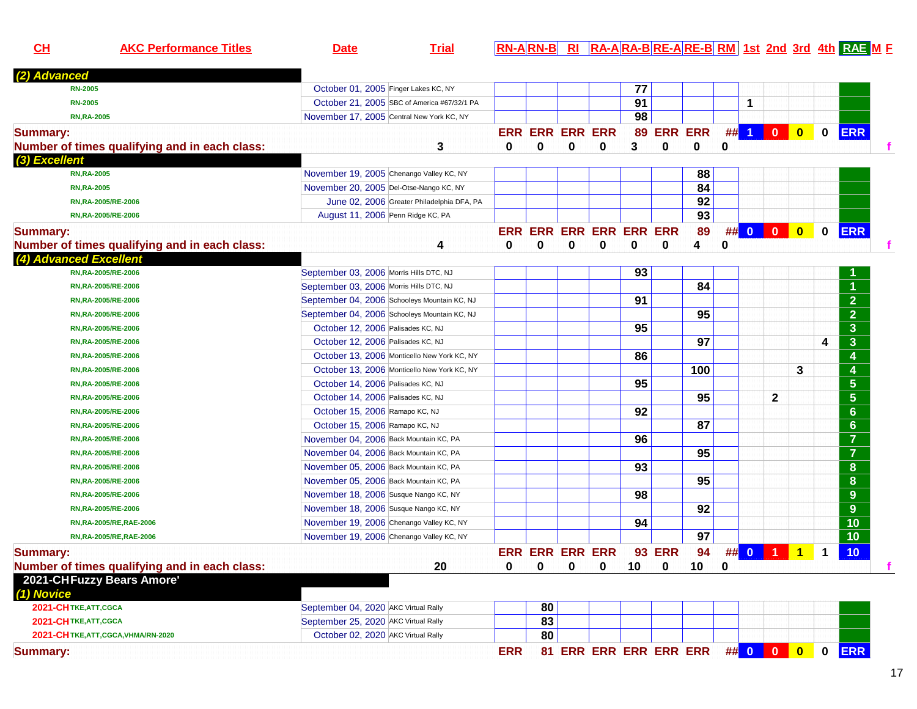| CL                     | <b>AKC Performance Titles</b>                 | <b>Date</b>                                  | <b>Trial</b>                               |                        |    |   |                         |    |               |                 |             |          |                         |              |             | RN-ARN-B RI RA-ARA-BRE-ARE-BRM 1st 2nd 3rd 4th RAE M F |  |
|------------------------|-----------------------------------------------|----------------------------------------------|--------------------------------------------|------------------------|----|---|-------------------------|----|---------------|-----------------|-------------|----------|-------------------------|--------------|-------------|--------------------------------------------------------|--|
| (2) Advanced           |                                               |                                              |                                            |                        |    |   |                         |    |               |                 |             |          |                         |              |             |                                                        |  |
|                        | <b>RN-2005</b>                                | October 01, 2005 Finger Lakes KC, NY         |                                            |                        |    |   |                         | 77 |               |                 |             |          |                         |              |             |                                                        |  |
|                        | <b>RN-2005</b>                                | October 21, 2005 SBC of America #67/32/1 PA  |                                            |                        |    |   |                         | 91 |               |                 |             | 1        |                         |              |             |                                                        |  |
|                        | <b>RN, RA-2005</b>                            | November 17, 2005 Central New York KC, NY    |                                            |                        |    |   |                         | 98 |               |                 |             |          |                         |              |             |                                                        |  |
| <b>Summary:</b>        |                                               |                                              |                                            | <b>ERR ERR ERR ERR</b> |    |   |                         |    | 89 ERR ERR    |                 |             | $\#$ 1   | $\overline{\mathbf{0}}$ | $\mathbf{0}$ | 0           | <b>ERR</b>                                             |  |
|                        | Number of times qualifying and in each class: |                                              | 3                                          | 0                      | 0  | 0 | 0                       | 3  | 0             | 0               | 0           |          |                         |              |             |                                                        |  |
| (3) Excellent          |                                               |                                              |                                            |                        |    |   |                         |    |               |                 |             |          |                         |              |             |                                                        |  |
|                        | <b>RN,RA-2005</b>                             | November 19, 2005 Chenango Valley KC, NY     |                                            |                        |    |   |                         |    |               | 88              |             |          |                         |              |             |                                                        |  |
|                        | <b>RN,RA-2005</b>                             | November 20, 2005 Del-Otse-Nango KC, NY      |                                            |                        |    |   |                         |    |               | 84              |             |          |                         |              |             |                                                        |  |
|                        | RN, RA-2005/RE-2006                           |                                              | June 02, 2006 Greater Philadelphia DFA, PA |                        |    |   |                         |    |               | 92              |             |          |                         |              |             |                                                        |  |
|                        | RN, RA-2005/RE-2006                           | August 11, 2006 Penn Ridge KC, PA            |                                            |                        |    |   |                         |    |               | $\overline{93}$ |             |          |                         |              |             |                                                        |  |
| <b>Summary:</b>        |                                               |                                              |                                            |                        |    |   | ERR ERR ERR ERR ERR ERR |    |               | 89              |             | ## 0 0   |                         | $\bullet$    | $\mathbf 0$ | <b>ERR</b>                                             |  |
|                        | Number of times qualifying and in each class: |                                              | 4                                          | 0                      | 0  | 0 | 0                       | 0  | 0             | 4               | 0           |          |                         |              |             |                                                        |  |
| (4) Advanced Excellent |                                               |                                              |                                            |                        |    |   |                         |    |               |                 |             |          |                         |              |             |                                                        |  |
|                        | RN, RA-2005/RE-2006                           | September 03, 2006 Morris Hills DTC, NJ      |                                            |                        |    |   |                         | 93 |               |                 |             |          |                         |              |             |                                                        |  |
|                        | RN, RA-2005/RE-2006                           | September 03, 2006 Morris Hills DTC, NJ      |                                            |                        |    |   |                         |    |               | 84              |             |          |                         |              |             |                                                        |  |
|                        | RN, RA-2005/RE-2006                           | September 04, 2006 Schooleys Mountain KC, NJ |                                            |                        |    |   |                         | 91 |               |                 |             |          |                         |              |             | $\overline{2}$                                         |  |
|                        | RN, RA-2005/RE-2006                           | September 04, 2006 Schooleys Mountain KC, NJ |                                            |                        |    |   |                         |    |               | 95              |             |          |                         |              |             | $\overline{2}$                                         |  |
|                        | RN, RA-2005/RE-2006                           | October 12, 2006 Palisades KC, NJ            |                                            |                        |    |   |                         | 95 |               |                 |             |          |                         |              |             | $\overline{3}$                                         |  |
|                        | RN, RA-2005/RE-2006                           | October 12, 2006 Palisades KC, NJ            |                                            |                        |    |   |                         |    |               | 97              |             |          |                         |              | 4           | $\overline{\mathbf{3}}$                                |  |
|                        | RN, RA-2005/RE-2006                           | October 13, 2006 Monticello New York KC, NY  |                                            |                        |    |   |                         | 86 |               |                 |             |          |                         |              |             | 4                                                      |  |
|                        | RN, RA-2005/RE-2006                           | October 13, 2006 Monticello New York KC, NY  |                                            |                        |    |   |                         |    |               | 100             |             |          |                         | 3            |             | 4                                                      |  |
|                        | RN, RA-2005/RE-2006                           | October 14, 2006 Palisades KC, NJ            |                                            |                        |    |   |                         | 95 |               |                 |             |          |                         |              |             | $5\phantom{.0}$                                        |  |
|                        | RN, RA-2005/RE-2006                           | October 14, 2006 Palisades KC, NJ            |                                            |                        |    |   |                         |    |               | 95              |             |          | $\mathbf{2}$            |              |             | $5\phantom{a}$                                         |  |
|                        | RN, RA-2005/RE-2006                           | October 15, 2006 Ramapo KC, NJ               |                                            |                        |    |   |                         | 92 |               |                 |             |          |                         |              |             | $6\phantom{a}$                                         |  |
|                        | RN, RA-2005/RE-2006                           | October 15, 2006 Ramapo KC, NJ               |                                            |                        |    |   |                         |    |               | 87              |             |          |                         |              |             | $6\phantom{a}$                                         |  |
|                        | RN, RA-2005/RE-2006                           | November 04, 2006 Back Mountain KC, PA       |                                            |                        |    |   |                         | 96 |               |                 |             |          |                         |              |             | $\overline{7}$                                         |  |
|                        | RN, RA-2005/RE-2006                           | November 04, 2006 Back Mountain KC, PA       |                                            |                        |    |   |                         |    |               | 95              |             |          |                         |              |             | $\overline{7}$                                         |  |
|                        | RN, RA-2005/RE-2006                           | November 05, 2006 Back Mountain KC, PA       |                                            |                        |    |   |                         | 93 |               |                 |             |          |                         |              |             | 8                                                      |  |
|                        | RN, RA-2005/RE-2006                           | November 05, 2006 Back Mountain KC, PA       |                                            |                        |    |   |                         |    |               | 95              |             |          |                         |              |             | 8                                                      |  |
|                        | RN, RA-2005/RE-2006                           | November 18, 2006 Susque Nango KC, NY        |                                            |                        |    |   |                         | 98 |               |                 |             |          |                         |              |             | 9                                                      |  |
|                        | RN, RA-2005/RE-2006                           | November 18, 2006 Susque Nango KC, NY        |                                            |                        |    |   |                         |    |               | 92              |             |          |                         |              |             | 9                                                      |  |
|                        | RN, RA-2005/RE, RAE-2006                      | November 19, 2006 Chenango Valley KC, NY     |                                            |                        |    |   |                         | 94 |               |                 |             |          |                         |              |             | 10                                                     |  |
|                        | RN, RA-2005/RE, RAE-2006                      | November 19, 2006 Chenango Valley KC, NY     |                                            |                        |    |   |                         |    |               | 97              |             |          |                         |              |             | 10                                                     |  |
| <b>Summary:</b>        |                                               |                                              |                                            | <b>ERR ERR ERR ERR</b> |    |   |                         |    | <b>93 ERR</b> | 94              |             | ## 0 1 1 |                         |              | 1           | 10                                                     |  |
|                        | Number of times qualifying and in each class: |                                              | 20                                         | 0                      | 0  | 0 | 0                       | 10 | 0             | 10              | $\mathbf 0$ |          |                         |              |             |                                                        |  |
|                        | 2021-CHFuzzy Bears Amore'                     |                                              |                                            |                        |    |   |                         |    |               |                 |             |          |                         |              |             |                                                        |  |
| (1) Novice             |                                               |                                              |                                            |                        |    |   |                         |    |               |                 |             |          |                         |              |             |                                                        |  |
| 2021-CHTKE, ATT, CGCA  |                                               | September 04, 2020 AKC Virtual Rally         |                                            |                        | 80 |   |                         |    |               |                 |             |          |                         |              |             |                                                        |  |
| 2021-CHTKE, ATT, CGCA  |                                               | September 25, 2020 AKC Virtual Rally         |                                            |                        | 83 |   |                         |    |               |                 |             |          |                         |              |             |                                                        |  |
|                        | 2021-CHTKE, ATT, CGCA, VHMA/RN-2020           | October 02, 2020 AKC Virtual Rally           |                                            |                        | 80 |   |                         |    |               |                 |             |          |                         |              |             |                                                        |  |
| <b>Summary:</b>        |                                               |                                              |                                            | <b>ERR</b>             |    |   | 81 ERR ERR ERR ERR ERR  |    |               |                 |             | ## 0 0 0 |                         |              | $\mathbf 0$ | <b>ERR</b>                                             |  |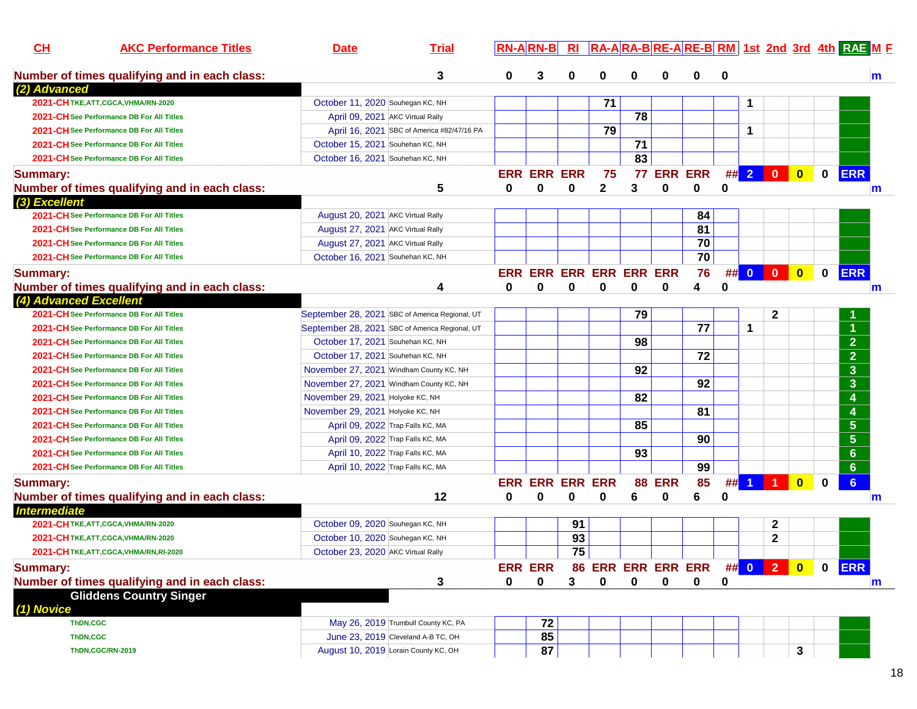| CL                     | <b>AKC Performance Titles</b>                 | <b>Date</b>                                    | <b>Trial</b> |              | $RN-A RN-B $           | $R_{\rm I}$ |                         |    |            |                 |          |                      |                                 |                         |             | RA-ARA-BRE-ARE-BRM 1st 2nd 3rd 4th RAE M F |
|------------------------|-----------------------------------------------|------------------------------------------------|--------------|--------------|------------------------|-------------|-------------------------|----|------------|-----------------|----------|----------------------|---------------------------------|-------------------------|-------------|--------------------------------------------|
|                        | Number of times qualifying and in each class: |                                                | 3            | $\bf{0}$     | 3                      | 0           | 0                       | 0  | 0          | 0               | $\bf{0}$ |                      |                                 |                         |             | m                                          |
| (2) Advanced           |                                               |                                                |              |              |                        |             |                         |    |            |                 |          |                      |                                 |                         |             |                                            |
|                        | 2021-CHTKE, ATT, CGCA, VHMA/RN-2020           | October 11, 2020 Souhegan KC, NH               |              |              |                        |             | 71                      |    |            |                 |          | 1                    |                                 |                         |             |                                            |
|                        | 2021-CH See Performance DB For All Titles     | April 09, 2021 AKC Virtual Rally               |              |              |                        |             |                         | 78 |            |                 |          |                      |                                 |                         |             |                                            |
|                        | 2021-CH See Performance DB For All Titles     | April 16, 2021 SBC of America #82/47/16 PA     |              |              |                        |             | 79                      |    |            |                 |          | $\mathbf 1$          |                                 |                         |             |                                            |
|                        | 2021-CH See Performance DB For All Titles     | October 15, 2021 Souhehan KC, NH               |              |              |                        |             |                         | 71 |            |                 |          |                      |                                 |                         |             |                                            |
|                        | 2021-CH See Performance DB For All Titles     | October 16, 2021 Souhehan KC, NH               |              |              |                        |             |                         | 83 |            |                 |          |                      |                                 |                         |             |                                            |
| <b>Summary:</b>        |                                               |                                                |              |              | <b>ERR ERR ERR</b>     |             | 75                      | 77 |            | <b>ERR ERR</b>  |          |                      | $\#$ 2 0 0                      |                         | $\mathbf 0$ | <b>ERR</b>                                 |
|                        | Number of times qualifying and in each class: |                                                | 5            | $\mathbf{0}$ | 0                      | 0           | 2                       | 3  | 0          | 0               | 0        |                      |                                 |                         |             | $\mathsf{m}$                               |
| (3) Excellent          |                                               |                                                |              |              |                        |             |                         |    |            |                 |          |                      |                                 |                         |             |                                            |
|                        | 2021-CH See Performance DB For All Titles     | August 20, 2021 AKC Virtual Rally              |              |              |                        |             |                         |    |            | 84              |          |                      |                                 |                         |             |                                            |
|                        | 2021-CH See Performance DB For All Titles     | August 27, 2021 AKC Virtual Rally              |              |              |                        |             |                         |    |            | $\overline{81}$ |          |                      |                                 |                         |             |                                            |
|                        | 2021-CH See Performance DB For All Titles     | August 27, 2021 AKC Virtual Rally              |              |              |                        |             |                         |    |            | 70              |          |                      |                                 |                         |             |                                            |
|                        | 2021-CH See Performance DB For All Titles     | October 16, 2021 Souhehan KC, NH               |              |              |                        |             |                         |    |            | 70              |          |                      |                                 |                         |             |                                            |
| <b>Summary:</b>        |                                               |                                                |              |              |                        |             | ERR ERR ERR ERR ERR ERR |    |            | 76              |          | ## 0 0               |                                 | $\bullet$               | $\mathbf 0$ | <b>ERR</b>                                 |
|                        | Number of times qualifying and in each class: |                                                | 4            | 0            | 0                      | 0           | 0                       | 0  | 0          | 4               | 0        |                      |                                 |                         |             | m                                          |
| (4) Advanced Excellent |                                               |                                                |              |              |                        |             |                         |    |            |                 |          |                      |                                 |                         |             |                                            |
|                        | 2021-CH See Performance DB For All Titles     | September 28, 2021 SBC of America Regional, UT |              |              |                        |             |                         | 79 |            |                 |          |                      | $\mathbf{2}$                    |                         |             |                                            |
|                        | 2021-CH See Performance DB For All Titles     | September 28, 2021 SBC of America Regional, UT |              |              |                        |             |                         |    |            | 77              |          | $\mathbf 1$          |                                 |                         |             | $\blacktriangleleft$                       |
|                        | 2021-CH See Performance DB For All Titles     | October 17, 2021 Souhehan KC, NH               |              |              |                        |             |                         | 98 |            |                 |          |                      |                                 |                         |             | $\overline{2}$                             |
|                        | 2021-CH See Performance DB For All Titles     | October 17, 2021 Souhehan KC, NH               |              |              |                        |             |                         |    |            | 72              |          |                      |                                 |                         |             | $\overline{2}$                             |
|                        | 2021-CH See Performance DB For All Titles     | November 27, 2021 Windham County KC, NH        |              |              |                        |             |                         | 92 |            |                 |          |                      |                                 |                         |             | $\overline{\mathbf{3}}$                    |
|                        | 2021-CH See Performance DB For All Titles     | November 27, 2021 Windham County KC, NH        |              |              |                        |             |                         |    |            | 92              |          |                      |                                 |                         |             | $\overline{\mathbf{3}}$                    |
|                        | 2021-CH See Performance DB For All Titles     | November 29, 2021 Holyoke KC, NH               |              |              |                        |             |                         | 82 |            |                 |          |                      |                                 |                         |             | $\overline{4}$                             |
|                        | 2021-CH See Performance DB For All Titles     | November 29, 2021 Holyoke KC, NH               |              |              |                        |             |                         |    |            | 81              |          |                      |                                 |                         |             | $\overline{4}$                             |
|                        | 2021-CH See Performance DB For All Titles     | April 09, 2022 Trap Falls KC, MA               |              |              |                        |             |                         | 85 |            |                 |          |                      |                                 |                         |             | $5\phantom{1}$                             |
|                        | 2021-CH See Performance DB For All Titles     | April 09, 2022 Trap Falls KC, MA               |              |              |                        |             |                         |    |            | 90              |          |                      |                                 |                         |             | $5\phantom{1}$                             |
|                        | 2021-CH See Performance DB For All Titles     | April 10, 2022 Trap Falls KC, MA               |              |              |                        |             |                         | 93 |            |                 |          |                      |                                 |                         |             | $6\phantom{1}$                             |
|                        | 2021-CH See Performance DB For All Titles     | April 10, 2022 Trap Falls KC, MA               |              |              |                        |             |                         |    |            | 99              |          |                      |                                 |                         |             | $6\phantom{1}$                             |
| <b>Summary:</b>        |                                               |                                                |              |              | <b>ERR ERR ERR ERR</b> |             |                         | 88 | <b>ERR</b> | 85              | ##       | $\blacktriangleleft$ | $\blacksquare$ 1 $\blacksquare$ | $\overline{\mathbf{0}}$ | $\bf{0}$    | $6\phantom{a}$                             |
|                        | Number of times qualifying and in each class: |                                                | 12           | 0            | 0                      | 0           | 0                       | 6  | 0          | 6               | 0        |                      |                                 |                         |             | $\mathsf{m}$                               |
| <b>Intermediate</b>    |                                               |                                                |              |              |                        |             |                         |    |            |                 |          |                      |                                 |                         |             |                                            |
|                        | 2021-CHTKE, ATT, CGCA, VHMA/RN-2020           | October 09, 2020 Souhegan KC, NH               |              |              |                        | 91          |                         |    |            |                 |          |                      | $\mathbf 2$                     |                         |             |                                            |
|                        | 2021-CHTKE, ATT, CGCA, VHMA/RN-2020           | October 10, 2020 Souhegan KC, NH               |              |              |                        | 93          |                         |    |            |                 |          |                      | $\mathbf 2$                     |                         |             |                                            |
|                        | 2021-CHTKE, ATT, CGCA, VHMA/RN, RI-2020       | October 23, 2020 AKC Virtual Rally             |              |              |                        | 75          |                         |    |            |                 |          |                      |                                 |                         |             |                                            |
| <b>Summary:</b>        |                                               |                                                |              |              | <b>ERR ERR</b>         |             | 86 ERR ERR ERR ERR      |    |            |                 |          |                      | $\frac{1}{2}$ 0 2 0             |                         | $\mathbf 0$ | <b>ERR</b>                                 |
|                        | Number of times qualifying and in each class: |                                                | 3            | $\mathbf{0}$ | 0                      | 3           | 0                       | 0  | 0          | 0               | 0        |                      |                                 |                         |             | m                                          |
|                        | <b>Gliddens Country Singer</b>                |                                                |              |              |                        |             |                         |    |            |                 |          |                      |                                 |                         |             |                                            |
| (1) Novice             |                                               |                                                |              |              |                        |             |                         |    |            |                 |          |                      |                                 |                         |             |                                            |
|                        | ThDN,CGC                                      | May 26, 2019 Trumbull County KC, PA            |              |              | 72                     |             |                         |    |            |                 |          |                      |                                 |                         |             |                                            |
|                        | <b>ThDN,CGC</b>                               | June 23, 2019 Cleveland A-B TC, OH             |              |              | 85                     |             |                         |    |            |                 |          |                      |                                 |                         |             |                                            |
|                        | ThDN,CGC/RN-2019                              | August 10, 2019 Lorain County KC, OH           |              |              | 87                     |             |                         |    |            |                 |          |                      |                                 | 3                       |             |                                            |
|                        |                                               |                                                |              |              |                        |             |                         |    |            |                 |          |                      |                                 |                         |             |                                            |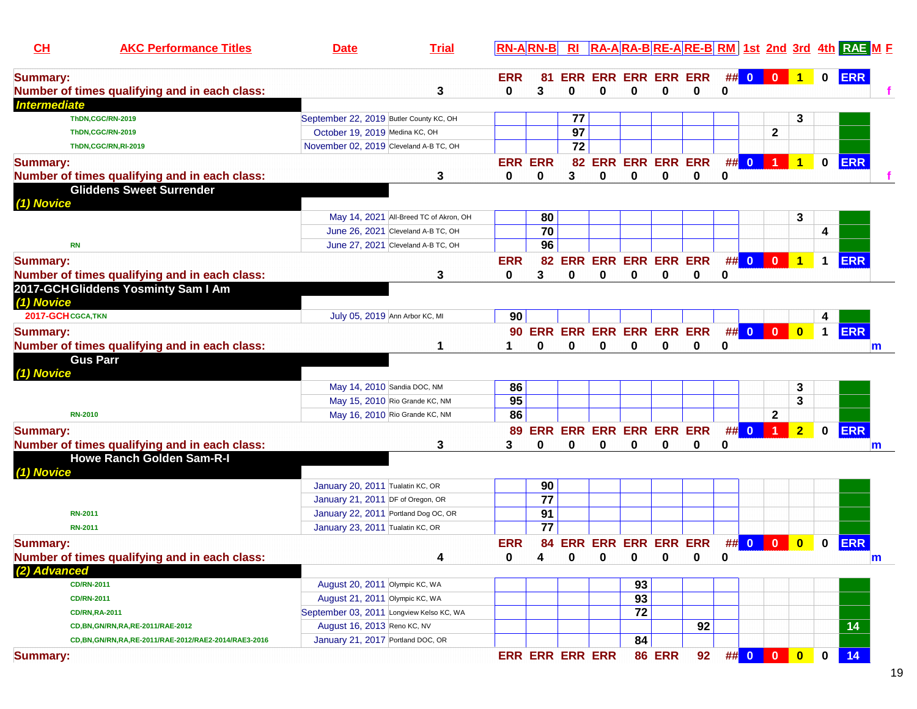| $CH$                | <b>AKC Performance Titles</b>                                                     | <b>Date</b>                                                      | <b>Trial</b>           | $RN-A RN-B $               |                 |    |                         |    |               |                            |          |                                                                                                                                                                                                                                                                                                                     |                                                          |                      |                      | RI RA-ARA-BRE-ARE-BRM 1st 2nd 3rd 4th RAE ME |   |
|---------------------|-----------------------------------------------------------------------------------|------------------------------------------------------------------|------------------------|----------------------------|-----------------|----|-------------------------|----|---------------|----------------------------|----------|---------------------------------------------------------------------------------------------------------------------------------------------------------------------------------------------------------------------------------------------------------------------------------------------------------------------|----------------------------------------------------------|----------------------|----------------------|----------------------------------------------|---|
| <b>Summary:</b>     | Number of times qualifying and in each class:                                     |                                                                  | 3                      | <b>ERR</b><br>0            | 81<br>3         | 0  | 0                       | 0  | 0             | ERR ERR ERR ERR ERR<br>0   | 0        | $\frac{1}{2}$ $\frac{1}{2}$ $\frac{1}{2}$ $\frac{1}{2}$ $\frac{1}{2}$ $\frac{1}{2}$ $\frac{1}{2}$ $\frac{1}{2}$ $\frac{1}{2}$ $\frac{1}{2}$ $\frac{1}{2}$ $\frac{1}{2}$ $\frac{1}{2}$ $\frac{1}{2}$ $\frac{1}{2}$ $\frac{1}{2}$ $\frac{1}{2}$ $\frac{1}{2}$ $\frac{1}{2}$ $\frac{1}{2}$ $\frac{1}{2}$ $\frac{1}{2}$ | $\begin{array}{ c c c c c }\n\hline\n0 & 1\n\end{array}$ |                      | $\mathbf 0$          | <b>ERR</b>                                   |   |
| <b>Intermediate</b> |                                                                                   |                                                                  |                        |                            |                 |    |                         |    |               |                            |          |                                                                                                                                                                                                                                                                                                                     |                                                          |                      |                      |                                              |   |
|                     | ThDN,CGC/RN-2019                                                                  | September 22, 2019 Butler County KC, OH                          |                        |                            |                 | 77 |                         |    |               |                            |          |                                                                                                                                                                                                                                                                                                                     |                                                          | 3                    |                      |                                              |   |
|                     | ThDN,CGC/RN-2019                                                                  | October 19, 2019 Medina KC, OH                                   |                        |                            |                 | 97 |                         |    |               |                            |          |                                                                                                                                                                                                                                                                                                                     | $\mathbf 2$                                              |                      |                      |                                              |   |
|                     | ThDN,CGC/RN,RI-2019                                                               | November 02, 2019 Cleveland A-B TC, OH                           |                        |                            |                 | 72 |                         |    |               |                            |          |                                                                                                                                                                                                                                                                                                                     |                                                          |                      |                      |                                              |   |
| <b>Summary:</b>     |                                                                                   |                                                                  |                        | <b>ERR ERR</b>             |                 |    |                         |    |               | 82 ERR ERR ERR ERR         | #        | $\overline{\mathbf{0}}$                                                                                                                                                                                                                                                                                             | $\blacktriangleleft$                                     | $\blacktriangleleft$ | $\mathbf{0}$         | <b>ERR</b>                                   |   |
|                     | Number of times qualifying and in each class:                                     |                                                                  | 3                      | 0                          | 0               | 3  | 0                       | 0  | $\bf{0}$      | $\mathbf 0$                | 0        |                                                                                                                                                                                                                                                                                                                     |                                                          |                      |                      |                                              |   |
|                     | <b>Gliddens Sweet Surrender</b>                                                   |                                                                  |                        |                            |                 |    |                         |    |               |                            |          |                                                                                                                                                                                                                                                                                                                     |                                                          |                      |                      |                                              |   |
| (1) Novice          |                                                                                   |                                                                  |                        |                            |                 |    |                         |    |               |                            |          |                                                                                                                                                                                                                                                                                                                     |                                                          |                      |                      |                                              |   |
|                     |                                                                                   | May 14, 2021 All-Breed TC of Akron, OH                           |                        |                            | 80              |    |                         |    |               |                            |          |                                                                                                                                                                                                                                                                                                                     |                                                          | 3                    |                      |                                              |   |
|                     |                                                                                   | June 26, 2021 Cleveland A-B TC, OH                               |                        |                            | 70              |    |                         |    |               |                            |          |                                                                                                                                                                                                                                                                                                                     |                                                          |                      | 4                    |                                              |   |
| <b>RN</b>           |                                                                                   | June 27, 2021 Cleveland A-B TC, OH                               |                        |                            | 96              |    |                         |    |               |                            |          |                                                                                                                                                                                                                                                                                                                     |                                                          |                      |                      |                                              |   |
| <b>Summary:</b>     |                                                                                   |                                                                  |                        | <b>ERR</b>                 |                 |    |                         |    |               | 82 ERR ERR ERR ERR ERR     |          |                                                                                                                                                                                                                                                                                                                     | ## 0 0 1                                                 |                      | $\mathbf 1$          | <b>ERR</b>                                   |   |
|                     | Number of times qualifying and in each class:                                     |                                                                  | 3                      | 0                          | 3               | 0  | 0                       | 0  | 0             | 0                          | 0        |                                                                                                                                                                                                                                                                                                                     |                                                          |                      |                      |                                              |   |
|                     | 2017-GCHGliddens Yosminty Sam I Am                                                |                                                                  |                        |                            |                 |    |                         |    |               |                            |          |                                                                                                                                                                                                                                                                                                                     |                                                          |                      |                      |                                              |   |
| (1) Novice          |                                                                                   |                                                                  |                        |                            |                 |    |                         |    |               |                            |          |                                                                                                                                                                                                                                                                                                                     |                                                          |                      |                      |                                              |   |
| 2017-GCH CGCA, TKN  |                                                                                   | July 05, 2019 Ann Arbor KC, MI                                   |                        | 90                         |                 |    |                         |    |               |                            |          |                                                                                                                                                                                                                                                                                                                     |                                                          |                      | 4                    |                                              |   |
| <b>Summary:</b>     |                                                                                   |                                                                  |                        |                            |                 |    |                         |    |               | 90 ERR ERR ERR ERR ERR ERR |          |                                                                                                                                                                                                                                                                                                                     | ## 0 0                                                   | $\bullet$            | $\blacktriangleleft$ | <b>ERR</b>                                   |   |
|                     | Number of times qualifying and in each class:                                     |                                                                  | 1                      | 1                          |                 | 0  | 0                       | O  | 0             | 0                          | 0        |                                                                                                                                                                                                                                                                                                                     |                                                          |                      |                      |                                              | m |
|                     | <b>Gus Parr</b>                                                                   |                                                                  |                        |                            |                 |    |                         |    |               |                            |          |                                                                                                                                                                                                                                                                                                                     |                                                          |                      |                      |                                              |   |
| (1) Novice          |                                                                                   |                                                                  |                        |                            |                 |    |                         |    |               |                            |          |                                                                                                                                                                                                                                                                                                                     |                                                          |                      |                      |                                              |   |
|                     |                                                                                   | May 14, 2010 Sandia DOC, NM                                      |                        | 86                         |                 |    |                         |    |               |                            |          |                                                                                                                                                                                                                                                                                                                     |                                                          | 3                    |                      |                                              |   |
|                     |                                                                                   | May 15, 2010 Rio Grande KC, NM                                   |                        | 95                         |                 |    |                         |    |               |                            |          |                                                                                                                                                                                                                                                                                                                     |                                                          | 3                    |                      |                                              |   |
|                     | <b>RN-2010</b>                                                                    | May 16, 2010 Rio Grande KC, NM                                   |                        | 86                         |                 |    |                         |    |               |                            |          |                                                                                                                                                                                                                                                                                                                     | $\mathbf{2}$                                             |                      |                      |                                              |   |
|                     |                                                                                   |                                                                  |                        | 89                         |                 |    | ERR ERR ERR ERR ERR ERR |    |               |                            | ##       | $\overline{\mathbf{0}}$                                                                                                                                                                                                                                                                                             | $\blacktriangleleft$                                     | 2 <sub>1</sub>       | $\mathbf 0$          | <b>ERR</b>                                   |   |
| <b>Summary:</b>     |                                                                                   |                                                                  |                        | 3                          | 0               | 0  |                         | 0  | 0             | 0                          | 0        |                                                                                                                                                                                                                                                                                                                     |                                                          |                      |                      |                                              |   |
|                     | Number of times qualifying and in each class:<br><b>Howe Ranch Golden Sam-R-I</b> |                                                                  | 3                      |                            |                 |    | 0                       |    |               |                            |          |                                                                                                                                                                                                                                                                                                                     |                                                          |                      |                      |                                              | m |
| (1) Novice          |                                                                                   |                                                                  |                        |                            |                 |    |                         |    |               |                            |          |                                                                                                                                                                                                                                                                                                                     |                                                          |                      |                      |                                              |   |
|                     |                                                                                   | January 20, 2011 Tualatin KC, OR                                 |                        |                            | 90              |    |                         |    |               |                            |          |                                                                                                                                                                                                                                                                                                                     |                                                          |                      |                      |                                              |   |
|                     |                                                                                   | January 21, 2011 DF of Oregon, OR                                |                        |                            | $\overline{77}$ |    |                         |    |               |                            |          |                                                                                                                                                                                                                                                                                                                     |                                                          |                      |                      |                                              |   |
|                     | <b>RN-2011</b>                                                                    | January 22, 2011 Portland Dog OC, OR                             |                        |                            | 91              |    |                         |    |               |                            |          |                                                                                                                                                                                                                                                                                                                     |                                                          |                      |                      |                                              |   |
|                     | <b>RN-2011</b>                                                                    | January 23, 2011 Tualatin KC, OR                                 |                        |                            | 77              |    |                         |    |               |                            |          |                                                                                                                                                                                                                                                                                                                     |                                                          |                      |                      |                                              |   |
|                     |                                                                                   |                                                                  |                        |                            |                 |    |                         |    |               |                            |          | $\#$ $\#$ 0                                                                                                                                                                                                                                                                                                         |                                                          |                      |                      |                                              |   |
| <b>Summary:</b>     |                                                                                   |                                                                  | $\boldsymbol{\Lambda}$ | <b>ERR</b><br>$\mathbf{a}$ | $\mathbf{A}$    |    |                         |    |               | 84 ERR ERR ERR ERR ERR     |          |                                                                                                                                                                                                                                                                                                                     | $\mathbf{0}$                                             | $\mathbf{0}$         | $\bf{0}$             | <b>ERR</b>                                   |   |
|                     | Number of times qualifying and in each class:                                     |                                                                  |                        |                            |                 |    | $0 \t 0 \t 0 \t 0$      |    |               |                            | $\bf{0}$ |                                                                                                                                                                                                                                                                                                                     |                                                          |                      |                      |                                              | ш |
| (2) Advanced        | <b>CD/RN-2011</b>                                                                 |                                                                  |                        |                            |                 |    |                         | 93 |               |                            |          |                                                                                                                                                                                                                                                                                                                     |                                                          |                      |                      |                                              |   |
|                     |                                                                                   | August 20, 2011 Olympic KC, WA<br>August 21, 2011 Olympic KC, WA |                        |                            |                 |    |                         | 93 |               |                            |          |                                                                                                                                                                                                                                                                                                                     |                                                          |                      |                      |                                              |   |
|                     | <b>CD/RN-2011</b>                                                                 | September 03, 2011 Longview Kelso KC, WA                         |                        |                            |                 |    |                         | 72 |               |                            |          |                                                                                                                                                                                                                                                                                                                     |                                                          |                      |                      |                                              |   |
|                     | <b>CD/RN,RA-2011</b>                                                              | August 16, 2013 Reno KC, NV                                      |                        |                            |                 |    |                         |    |               | 92                         |          |                                                                                                                                                                                                                                                                                                                     |                                                          |                      |                      | 14                                           |   |
|                     | CD, BN, GN/RN, RA, RE-2011/RAE-2012                                               | January 21, 2017 Portland DOC, OR                                |                        |                            |                 |    |                         | 84 |               |                            |          |                                                                                                                                                                                                                                                                                                                     |                                                          |                      |                      |                                              |   |
|                     | CD, BN, GN/RN, RA, RE-2011/RAE-2012/RAE2-2014/RAE3-2016                           |                                                                  |                        |                            |                 |    |                         |    |               |                            |          |                                                                                                                                                                                                                                                                                                                     |                                                          |                      |                      |                                              |   |
| <b>Summary:</b>     |                                                                                   |                                                                  |                        |                            |                 |    | <b>ERR ERR ERR ERR</b>  |    | <b>86 ERR</b> | 92                         |          |                                                                                                                                                                                                                                                                                                                     | ## <mark>000</mark>                                      |                      | $\bf{0}$             | 14                                           |   |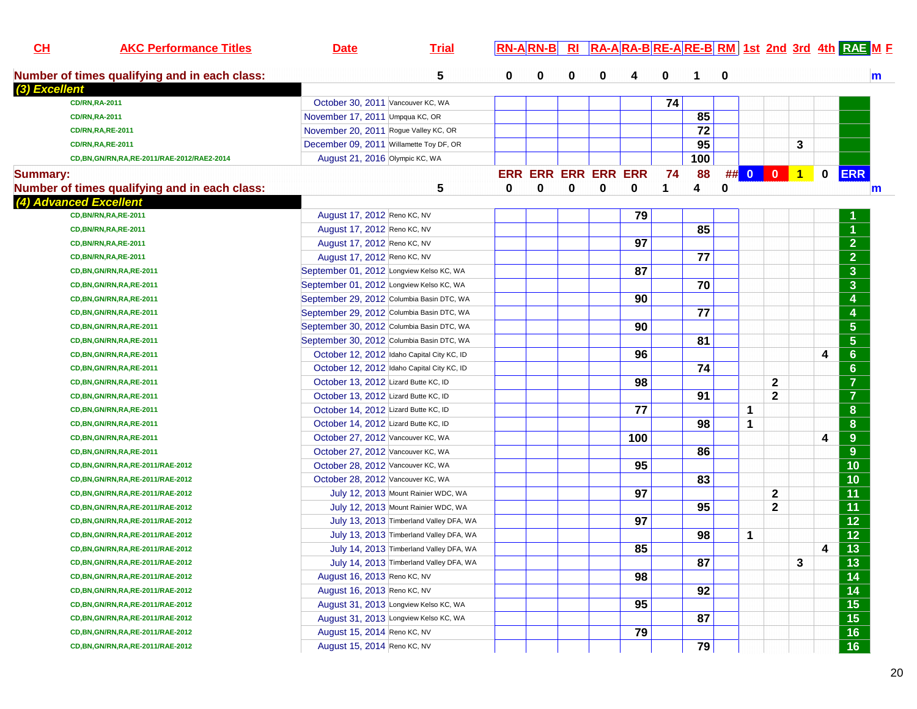| CL              | <b>AKC Performance Titles</b>                 | <b>Date</b>                              | <b>Trial</b>                               |   | $RN-A$ $RN-B$              | $R_{\rm I}$ | RA-ARA-BRE-ARE-BRM 1st 2nd 3rd 4th RAE M F |     |    |     |    |                         |                         |           |             |                      |
|-----------------|-----------------------------------------------|------------------------------------------|--------------------------------------------|---|----------------------------|-------------|--------------------------------------------|-----|----|-----|----|-------------------------|-------------------------|-----------|-------------|----------------------|
|                 | Number of times qualifying and in each class: |                                          | 5                                          | 0 | 0                          | 0           | 0                                          | 4   | 0  | 1   | 0  |                         |                         |           |             |                      |
| (3) Excellent   |                                               |                                          |                                            |   |                            |             |                                            |     |    |     |    |                         |                         |           |             |                      |
|                 | <b>CD/RN,RA-2011</b>                          | October 30, 2011 Vancouver KC, WA        |                                            |   |                            |             |                                            |     | 74 |     |    |                         |                         |           |             |                      |
|                 | <b>CD/RN,RA-2011</b>                          | November 17, 2011 Umpqua KC, OR          |                                            |   |                            |             |                                            |     |    | 85  |    |                         |                         |           |             |                      |
|                 | <b>CD/RN,RA,RE-2011</b>                       | November 20, 2011 Rogue Valley KC, OR    |                                            |   |                            |             |                                            |     |    | 72  |    |                         |                         |           |             |                      |
|                 | <b>CD/RN,RA,RE-2011</b>                       | December 09, 2011 Willamette Toy DF, OR  |                                            |   |                            |             |                                            |     |    | 95  |    |                         |                         | 3         |             |                      |
|                 | CD, BN, GN/RN, RA, RE-2011/RAE-2012/RAE2-2014 | August 21, 2016 Olympic KC, WA           |                                            |   |                            |             |                                            |     |    | 100 |    |                         |                         |           |             |                      |
| <b>Summary:</b> |                                               |                                          |                                            |   | <b>ERR ERR ERR ERR ERR</b> |             |                                            |     | 74 | 88  | ## | $\overline{\mathbf{0}}$ | $\overline{\mathbf{0}}$ | $\vert$ 1 | $\mathbf 0$ | <b>ERR</b>           |
|                 | Number of times qualifying and in each class: |                                          | 5                                          | 0 | 0                          | 0           | $\bf{0}$                                   | 0   | 1  | 4   | 0  |                         |                         |           |             |                      |
|                 | (4) Advanced Excellent                        |                                          |                                            |   |                            |             |                                            |     |    |     |    |                         |                         |           |             |                      |
|                 | <b>CD, BN/RN, RA, RE-2011</b>                 | August 17, 2012 Reno KC, NV              |                                            |   |                            |             |                                            | 79  |    |     |    |                         |                         |           |             |                      |
|                 | <b>CD, BN/RN, RA, RE-2011</b>                 | August 17, 2012 Reno KC, NV              |                                            |   |                            |             |                                            |     |    | 85  |    |                         |                         |           |             | $\blacktriangleleft$ |
|                 | <b>CD, BN/RN, RA, RE-2011</b>                 | August 17, 2012 Reno KC, NV              |                                            |   |                            |             |                                            | 97  |    |     |    |                         |                         |           |             | 2 <sup>1</sup>       |
|                 | <b>CD, BN/RN, RA, RE-2011</b>                 | August 17, 2012 Reno KC, NV              |                                            |   |                            |             |                                            |     |    | 77  |    |                         |                         |           |             | $\overline{2}$       |
|                 | CD, BN, GN/RN, RA, RE-2011                    | September 01, 2012 Longview Kelso KC, WA |                                            |   |                            |             |                                            | 87  |    |     |    |                         |                         |           |             | $\mathbf{3}$         |
|                 | CD, BN, GN/RN, RA, RE-2011                    | September 01, 2012 Longview Kelso KC, WA |                                            |   |                            |             |                                            |     |    | 70  |    |                         |                         |           |             | $\mathbf{3}$         |
|                 | CD, BN, GN/RN, RA, RE-2011                    |                                          | September 29, 2012 Columbia Basin DTC, WA  |   |                            |             |                                            | 90  |    |     |    |                         |                         |           |             | 4                    |
|                 | CD, BN, GN/RN, RA, RE-2011                    |                                          | September 29, 2012 Columbia Basin DTC, WA  |   |                            |             |                                            |     |    | 77  |    |                         |                         |           |             | 4                    |
|                 | CD, BN, GN/RN, RA, RE-2011                    |                                          | September 30, 2012 Columbia Basin DTC, WA  |   |                            |             |                                            | 90  |    |     |    |                         |                         |           |             | $5\phantom{.0}$      |
|                 | CD, BN, GN/RN, RA, RE-2011                    |                                          | September 30, 2012 Columbia Basin DTC, WA  |   |                            |             |                                            |     |    | 81  |    |                         |                         |           |             | $5\phantom{.0}$      |
|                 | CD, BN, GN/RN, RA, RE-2011                    |                                          | October 12, 2012 Idaho Capital City KC, ID |   |                            |             |                                            | 96  |    |     |    |                         |                         |           | 4           | $6\phantom{1}$       |
|                 | CD, BN, GN/RN, RA, RE-2011                    |                                          | October 12, 2012 Idaho Capital City KC, ID |   |                            |             |                                            |     |    | 74  |    |                         |                         |           |             | $6\phantom{1}$       |
|                 |                                               | October 13, 2012 Lizard Butte KC, ID     |                                            |   |                            |             |                                            | 98  |    |     |    |                         |                         |           |             | $\overline{7}$       |
|                 | CD, BN, GN/RN, RA, RE-2011                    |                                          |                                            |   |                            |             |                                            |     |    | 91  |    |                         | $\mathbf{2}$            |           |             | $\overline{7}$       |
|                 | CD, BN, GN/RN, RA, RE-2011                    | October 13, 2012 Lizard Butte KC, ID     |                                            |   |                            |             |                                            | 77  |    |     |    |                         | $\mathbf{2}$            |           |             |                      |
|                 | CD, BN, GN/RN, RA, RE-2011                    | October 14, 2012 Lizard Butte KC, ID     |                                            |   |                            |             |                                            |     |    |     |    | 1                       |                         |           |             | 8                    |
|                 | CD, BN, GN/RN, RA, RE-2011                    | October 14, 2012 Lizard Butte KC, ID     |                                            |   |                            |             |                                            |     |    | 98  |    | 1                       |                         |           |             | 8                    |
|                 | CD, BN, GN/RN, RA, RE-2011                    | October 27, 2012 Vancouver KC, WA        |                                            |   |                            |             |                                            | 100 |    |     |    |                         |                         |           | 4           | 9                    |
|                 | CD, BN, GN/RN, RA, RE-2011                    | October 27, 2012 Vancouver KC, WA        |                                            |   |                            |             |                                            |     |    | 86  |    |                         |                         |           |             | 9                    |
|                 | CD, BN, GN/RN, RA, RE-2011/RAE-2012           | October 28, 2012 Vancouver KC, WA        |                                            |   |                            |             |                                            | 95  |    |     |    |                         |                         |           |             | 10                   |
|                 | CD, BN, GN/RN, RA, RE-2011/RAE-2012           | October 28, 2012 Vancouver KC, WA        |                                            |   |                            |             |                                            |     |    | 83  |    |                         |                         |           |             | 10                   |
|                 | CD, BN, GN/RN, RA, RE-2011/RAE-2012           |                                          | July 12, 2013 Mount Rainier WDC, WA        |   |                            |             |                                            | 97  |    |     |    |                         | $\mathbf{2}$            |           |             | 11                   |
|                 | CD, BN, GN/RN, RA, RE-2011/RAE-2012           |                                          | July 12, 2013 Mount Rainier WDC, WA        |   |                            |             |                                            |     |    | 95  |    |                         | $\mathbf{2}$            |           |             | 11                   |
|                 | CD, BN, GN/RN, RA, RE-2011/RAE-2012           |                                          | July 13, 2013 Timberland Valley DFA, WA    |   |                            |             |                                            | 97  |    |     |    |                         |                         |           |             | 12                   |
|                 | CD, BN, GN/RN, RA, RE-2011/RAE-2012           |                                          | July 13, 2013 Timberland Valley DFA, WA    |   |                            |             |                                            |     |    | 98  |    | 1                       |                         |           |             | 12                   |
|                 | CD, BN, GN/RN, RA, RE-2011/RAE-2012           |                                          | July 14, 2013 Timberland Valley DFA, WA    |   |                            |             |                                            | 85  |    |     |    |                         |                         |           | 4           | 13                   |
|                 | CD, BN, GN/RN, RA, RE-2011/RAE-2012           |                                          | July 14, 2013 Timberland Valley DFA, WA    |   |                            |             |                                            |     |    | 87  |    |                         |                         | 3         |             | 13                   |
|                 | CD, BN, GN/RN, RA, RE-2011/RAE-2012           | August 16, 2013 Reno KC, NV              |                                            |   |                            |             |                                            | 98  |    |     |    |                         |                         |           |             | 14                   |
|                 | CD, BN, GN/RN, RA, RE-2011/RAE-2012           | August 16, 2013 Reno KC, NV              |                                            |   |                            |             |                                            |     |    | 92  |    |                         |                         |           |             | 14                   |
|                 | CD, BN, GN/RN, RA, RE-2011/RAE-2012           |                                          | August 31, 2013 Longview Kelso KC, WA      |   |                            |             |                                            | 95  |    |     |    |                         |                         |           |             | 15                   |
|                 | CD, BN, GN/RN, RA, RE-2011/RAE-2012           |                                          | August 31, 2013 Longview Kelso KC, WA      |   |                            |             |                                            |     |    | 87  |    |                         |                         |           |             | 15                   |
|                 | CD, BN, GN/RN, RA, RE-2011/RAE-2012           | August 15, 2014 Reno KC, NV              |                                            |   |                            |             |                                            | 79  |    |     |    |                         |                         |           |             | 16                   |
|                 | CD, BN, GN/RN, RA, RE-2011/RAE-2012           | August 15, 2014 Reno KC, NV              |                                            |   |                            |             |                                            |     |    | 79  |    |                         |                         |           |             | 16 <sup>°</sup>      |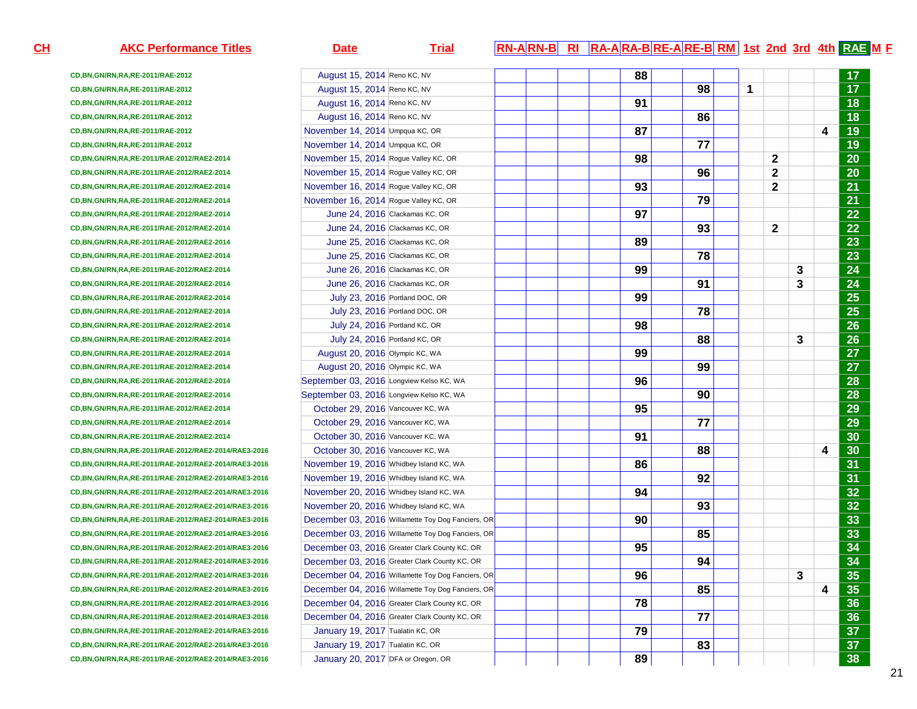**CD,BN,GN/RN,RA,RE-2011/RAE-2012CD,BN,GN/RN,RA,RE-2011/RAE-2012CD,BN,GN/RN,RA,RE-2011/RAE-2012CD,BN,GN/RN,RA,RE-2011/RAE-2012CD,BN,GN/RN,RA,RE-2011/RAE-2012CD,BN,GN/RN,RA,RE-2011/RAE-2012CD,BN,GN/RN,RA,RE-2011/RAE-2012/RAE2-2014CD,BN,GN/RN,RA,RE-2011/RAE-2012/RAE2-2014CD,BN,GN/RN,RA,RE-2011/RAE-2012/RAE2-2014CD,BN,GN/RN,RA,RE-2011/RAE-2012/RAE2-2014CD,BN,GN/RN,RA,RE-2011/RAE-2012/RAE2-2014CD,BN,GN/RN,RA,RE-2011/RAE-2012/RAE2-2014CD,BN,GN/RN,RA,RE-2011/RAE-2012/RAE2-2014CD,BN,GN/RN,RA,RE-2011/RAE-2012/RAE2-2014CD,BN,GN/RN,RA,RE-2011/RAE-2012/RAE2-2014CD,BN,GN/RN,RA,RE-2011/RAE-2012/RAE2-2014CD,BN,GN/RN,RA,RE-2011/RAE-2012/RAE2-2014CD,BN,GN/RN,RA,RE-2011/RAE-2012/RAE2-2014CD,BN,GN/RN,RA,RE-2011/RAE-2012/RAE2-2014CD,BN,GN/RN,RA,RE-2011/RAE-2012/RAE2-2014CD,BN,GN/RN,RA,RE-2011/RAE-2012/RAE2-2014CD,BN,GN/RN,RA,RE-2011/RAE-2012/RAE2-2014CD,BN,GN/RN,RA,RE-2011/RAE-2012/RAE2-2014CD,BN,GN/RN,RA,RE-2011/RAE-2012/RAE2-2014CD,BN,GN/RN,RA,RE-2011/RAE-2012/RAE2-2014CD,BN,GN/RN,RA,RE-2011/RAE-2012/RAE2-2014CD,BN,GN/RN,RA,RE-2011/RAE-2012/RAE2-2014CD,BN,GN/RN,RA,RE-2011/RAE-2012/RAE2-2014/RAE3-2016CD,BN,GN/RN,RA,RE-2011/RAE-2012/RAE2-2014/RAE3-2016CD,BN,GN/RN,RA,RE-2011/RAE-2012/RAE2-2014/RAE3-2016CD,BN,GN/RN,RA,RE-2011/RAE-2012/RAE2-2014/RAE3-2016CD,BN,GN/RN,RA,RE-2011/RAE-2012/RAE2-2014/RAE3-2016CD,BN,GN/RN,RA,RE-2011/RAE-2012/RAE2-2014/RAE3-2016CD,BN,GN/RN,RA,RE-2011/RAE-2012/RAE2-2014/RAE3-2016CD,BN,GN/RN,RA,RE-2011/RAE-2012/RAE2-2014/RAE3-2016CD,BN,GN/RN,RA,RE-2011/RAE-2012/RAE2-2014/RAE3-2016CD,BN,GN/RN,RA,RE-2011/RAE-2012/RAE2-2014/RAE3-2016CD,BN,GN/RN,RA,RE-2011/RAE-2012/RAE2-2014/RAE3-2016CD,BN,GN/RN,RA,RE-2011/RAE-2012/RAE2-2014/RAE3-2016CD,BN,GN/RN,RA,RE-2011/RAE-2012/RAE2-2014/RAE3-2016CD,BN,GN/RN,RA,RE-2011/RAE-2012/RAE2-2014/RAE3-2016CD,BN,GN/RN,RA,RE-2011/RAE-2012/RAE2-2014/RAE3-2016CD,BN,GN/RN,RA,RE-2011/RAE-2012/RAE2-2014/RAE3-2016**

January 19, 2017 Tualatin KC, OR

January 20, 2017 DFA or Oregon, OR

## **AKC Performance Titles Date Trial RN-A RN-B RI RA-A RA-B RE-A RE-B RM 1st 2nd 3rd 4th RAE <sup>M</sup> <sup>F</sup>** August 15, 2014 Reno KC, NV<u>**17** 17 **17** 17 **17**</u>  $\overline{17}$  August 15, 2014 Reno KC, NV**17 198 1 1 17**  $\overline{18}$  August 16, 2014 Reno KC, NV **91 18**  $\overline{18}$  August 16, 2014 Reno KC, NV **86 18**  $\overline{19}$  November 14, 2014 Umpqua KC, OR **87 4 19**  November 14, 2014 Umpqua KC, OR **77 19**  November 15, 2014 Rogue Valley KC, OR **98 2 20**  November 15, 2014 Rogue Valley KC, OR **96 2 20**  November 16, 2014 Rogue Valley KC, OR **93 2 21**  November 16, 2014 Rogue Valley KC, ORR 21 June 24, 2016 Clackamas KC, OR **97 22**  June 24, 2016 Clackamas KC, ORR 22 June 25, 2016 Clackamas KC, OR**8** 23 June 25, 2016 Clackamas KC, OR**R** 23 June 26, 2016 Clackamas KC, OR **99 3 24**  June 26, 2016 Clackamas KC, ORR 24 July 23, 2016 Portland DOC, ORR 25 July 23, 2016 Portland DOC, OR **R** 25 July 24, 2016 Portland KC, OR **98 26**  July 24, 2016 Portland KC, OR **88 3 26**  August 20, 2016 Olympic KC, WA **99 27**  $\overline{27}$  August 20, 2016 Olympic KC, WA **99 27**  $\overline{28}$ September 03, 2016 Longview Kelso KC, WA **96 28**  $\overline{28}$ September 03, 2016 Longview Kelso KC, WA **90 28**  $\overline{29}$  October 29, 2016 Vancouver KC, WA **95 29**  $\overline{29}$  October 29, 2016 Vancouver KC, WA **77 29**  $\overline{30}$  October 30, 2016 Vancouver KC, WA **91 30**  $\overline{30}$  October 30, 2016 Vancouver KC, WA**A 1 1 1 1 1 1 88 1 1 1 1 4 30**  $\overline{31}$  November 19, 2016 Whidbey Island KC, WAA **b 1 1 86 1 1 1 1 1 1 1**  $\overline{31}$  November 19, 2016 Whidbey Island KC, WAA **b 1 1 1 1 1 92 1 1 1 1 92** 32 November 20, 2016 Whidbey Island KC, WAA **b 1 1 94 1 1 1 1 1 1 1 1**  $\overline{32}$  November 20, 2016 Whidbey Island KC, WAA **b 1 1 1 1 1 93 1 1 1 1 1 1**  $\overline{33}$  December 03, 2016 Willamette Toy Dog Fanciers, ORR<mark>ichard Indian (190 30 30 30 30 30 33 )</mark> and the set of the set of the set of the set of the set of the set of th December 03, 2016 Willamette Toy Dog Fanciers, ORR<mark>ichard Holl (1995 - 1995 - 1995 - 1996 - 1996 - 1996 - 1997 - 1998 - 1999 - 1999 - 1999 - 1999 - 1999 - 1999 - 199</mark> December 03, 2016 Greater Clark County KC, OR **95 34**  December 03, 2016 Greater Clark County KC, OR **94 34**  December 04, 2016 Willamette Toy Dog Fanciers, OR **96 3 35**  December 04, 2016 Willamette Toy Dog Fanciers, OR **85 4 35**  December 04, 2016 Greater Clark County KC, ORR **2008 19:00 19:00 19:00 19:00 19:00 19:00 19:00 19:00 19:00 19:00 19:00 19:00 19:00 19:00 19:00 19:00 19:00 19:00 19:00 19:00 19:00 19:00 19:00 19:00 19:00 19:00 19:00 19:00 19:00 19:00 19:00 19:00 19:00 19:00 19:00 19:0** December 04, 2016 Greater Clark County KC, OR R **2008 19:00 19:00 19:00 19:00 19:00 19:00 19:00 19:00 19:00 19:00 19:00 19:00 19:00 19:00 19:00 19:00 19:00 19:00 19:00 19:00 19:00 19:00 19:00 19:00 19:00 19:00 19:00 19:00 19:00 19:00 19:00 19:00 19:00 19:00 19:00 19:0** January 19, 2017 Tualatin KC, OR <u>r | | | | | 79 | | | | | 37</u>

**83 37** 

R | | | | | | | 89 | | | | | | | | | | <mark>| | |</mark> | 38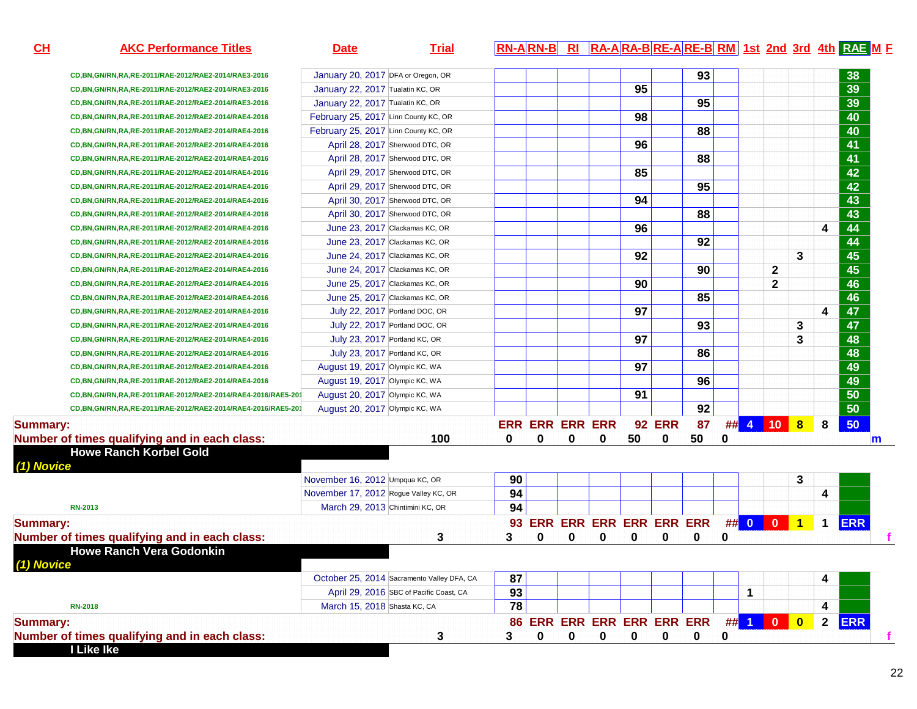| CL<br><b>AKC Performance Titles</b>                          | <b>Date</b>                           | <b>Trial</b>                               |                 |                            |   |   |    |               |    |   |   |                |                         |              | <b>RN-ARN-B</b> RI RA-ARA-BRE-ARE-BRM 1st 2nd 3rd 4th RAE ME |   |
|--------------------------------------------------------------|---------------------------------------|--------------------------------------------|-----------------|----------------------------|---|---|----|---------------|----|---|---|----------------|-------------------------|--------------|--------------------------------------------------------------|---|
| CD, BN, GN/RN, RA, RE-2011/RAE-2012/RAE2-2014/RAE3-2016      | January 20, 2017 DFA or Oregon, OR    |                                            |                 |                            |   |   |    |               | 93 |   |   |                |                         |              | 38                                                           |   |
| CD, BN, GN/RN, RA, RE-2011/RAE-2012/RAE2-2014/RAE3-2016      | January 22, 2017 Tualatin KC, OR      |                                            |                 |                            |   |   | 95 |               |    |   |   |                |                         |              | 39                                                           |   |
| CD, BN, GN/RN, RA, RE-2011/RAE-2012/RAE2-2014/RAE3-2016      | January 22, 2017 Tualatin KC, OR      |                                            |                 |                            |   |   |    |               | 95 |   |   |                |                         |              | 39                                                           |   |
| CD, BN, GN/RN, RA, RE-2011/RAE-2012/RAE2-2014/RAE4-2016      | February 25, 2017 Linn County KC, OR  |                                            |                 |                            |   |   | 98 |               |    |   |   |                |                         |              | 40                                                           |   |
| CD, BN, GN/RN, RA, RE-2011/RAE-2012/RAE2-2014/RAE4-2016      | February 25, 2017 Linn County KC, OR  |                                            |                 |                            |   |   |    |               | 88 |   |   |                |                         |              | 40                                                           |   |
| CD, BN, GN/RN, RA, RE-2011/RAE-2012/RAE2-2014/RAE4-2016      |                                       | April 28, 2017 Sherwood DTC, OR            |                 |                            |   |   | 96 |               |    |   |   |                |                         |              | 41                                                           |   |
| CD, BN, GN/RN, RA, RE-2011/RAE-2012/RAE2-2014/RAE4-2016      |                                       | April 28, 2017 Sherwood DTC, OR            |                 |                            |   |   |    |               | 88 |   |   |                |                         |              | 41                                                           |   |
| CD, BN, GN/RN, RA, RE-2011/RAE-2012/RAE2-2014/RAE4-2016      |                                       | April 29, 2017 Sherwood DTC, OR            |                 |                            |   |   | 85 |               |    |   |   |                |                         |              | 42                                                           |   |
| CD, BN, GN/RN, RA, RE-2011/RAE-2012/RAE2-2014/RAE4-2016      |                                       | April 29, 2017 Sherwood DTC, OR            |                 |                            |   |   |    |               | 95 |   |   |                |                         |              | $\overline{42}$                                              |   |
| CD, BN, GN/RN, RA, RE-2011/RAE-2012/RAE2-2014/RAE4-2016      |                                       | April 30, 2017 Sherwood DTC, OR            |                 |                            |   |   | 94 |               |    |   |   |                |                         |              | $\overline{43}$                                              |   |
| CD, BN, GN/RN, RA, RE-2011/RAE-2012/RAE2-2014/RAE4-2016      |                                       | April 30, 2017 Sherwood DTC, OR            |                 |                            |   |   |    |               | 88 |   |   |                |                         |              | $\overline{43}$                                              |   |
| CD, BN, GN/RN, RA, RE-2011/RAE-2012/RAE2-2014/RAE4-2016      |                                       | June 23, 2017 Clackamas KC, OR             |                 |                            |   |   | 96 |               |    |   |   |                |                         | 4            | 44                                                           |   |
| CD, BN, GN/RN, RA, RE-2011/RAE-2012/RAE2-2014/RAE4-2016      |                                       | June 23, 2017 Clackamas KC, OR             |                 |                            |   |   |    |               | 92 |   |   |                |                         |              | 44                                                           |   |
| CD, BN, GN/RN, RA, RE-2011/RAE-2012/RAE2-2014/RAE4-2016      |                                       | June 24, 2017 Clackamas KC, OR             |                 |                            |   |   | 92 |               |    |   |   |                | 3                       |              | 45                                                           |   |
| CD, BN, GN/RN, RA, RE-2011/RAE-2012/RAE2-2014/RAE4-2016      |                                       | June 24, 2017 Clackamas KC, OR             |                 |                            |   |   |    |               | 90 |   |   | $\mathbf 2$    |                         |              | 45                                                           |   |
| CD, BN, GN/RN, RA, RE-2011/RAE-2012/RAE2-2014/RAE4-2016      |                                       | June 25, 2017 Clackamas KC, OR             |                 |                            |   |   | 90 |               |    |   |   | $\overline{2}$ |                         |              | 46                                                           |   |
| CD, BN, GN/RN, RA, RE-2011/RAE-2012/RAE2-2014/RAE4-2016      |                                       | June 25, 2017 Clackamas KC, OR             |                 |                            |   |   |    |               | 85 |   |   |                |                         |              | 46                                                           |   |
| CD, BN, GN/RN, RA, RE-2011/RAE-2012/RAE2-2014/RAE4-2016      |                                       | July 22, 2017 Portland DOC, OR             |                 |                            |   |   | 97 |               |    |   |   |                |                         | 4            | 47                                                           |   |
| CD, BN, GN/RN, RA, RE-2011/RAE-2012/RAE2-2014/RAE4-2016      |                                       | July 22, 2017 Portland DOC, OR             |                 |                            |   |   |    |               | 93 |   |   |                | 3                       |              | 47                                                           |   |
| CD, BN, GN/RN, RA, RE-2011/RAE-2012/RAE2-2014/RAE4-2016      | July 23, 2017 Portland KC, OR         |                                            |                 |                            |   |   | 97 |               |    |   |   |                | 3                       |              | 48                                                           |   |
| CD, BN, GN/RN, RA, RE-2011/RAE-2012/RAE2-2014/RAE4-2016      | July 23, 2017 Portland KC, OR         |                                            |                 |                            |   |   |    |               | 86 |   |   |                |                         |              | 48                                                           |   |
| CD, BN, GN/RN, RA, RE-2011/RAE-2012/RAE2-2014/RAE4-2016      | August 19, 2017 Olympic KC, WA        |                                            |                 |                            |   |   | 97 |               |    |   |   |                |                         |              | 49                                                           |   |
| CD, BN, GN/RN, RA, RE-2011/RAE-2012/RAE2-2014/RAE4-2016      | August 19, 2017 Olympic KC, WA        |                                            |                 |                            |   |   |    |               | 96 |   |   |                |                         |              | 49                                                           |   |
| CD,BN,GN/RN,RA,RE-2011/RAE-2012/RAE2-2014/RAE4-2016/RAE5-201 | August 20, 2017 Olympic KC, WA        |                                            |                 |                            |   |   | 91 |               |    |   |   |                |                         |              | 50                                                           |   |
| CD,BN,GN/RN,RA,RE-2011/RAE-2012/RAE2-2014/RAE4-2016/RAE5-201 | August 20, 2017 Olympic KC, WA        |                                            |                 |                            |   |   |    |               | 92 |   |   |                |                         |              | $\overline{50}$                                              |   |
| <b>Summary:</b>                                              |                                       |                                            |                 | <b>ERR ERR ERR ERR</b>     |   |   |    | <b>92 ERR</b> | 87 |   |   | ## 4 10 8      |                         | 8            | 50                                                           |   |
| Number of times qualifying and in each class:                |                                       | 100                                        | 0               | 0                          | 0 | 0 | 50 | 0             | 50 | 0 |   |                |                         |              |                                                              | m |
| <b>Howe Ranch Korbel Gold</b><br>(1) Novice                  |                                       |                                            |                 |                            |   |   |    |               |    |   |   |                |                         |              |                                                              |   |
|                                                              | November 16, 2012 Umpqua KC, OR       |                                            | 90              |                            |   |   |    |               |    |   |   |                | 3                       |              |                                                              |   |
|                                                              | November 17, 2012 Rogue Valley KC, OR |                                            | 94              |                            |   |   |    |               |    |   |   |                |                         | 4            |                                                              |   |
| <b>RN-2013</b>                                               | March 29, 2013 Chintimini KC, OR      |                                            | 94              |                            |   |   |    |               |    |   |   |                |                         |              |                                                              |   |
| <b>Summary:</b>                                              |                                       |                                            |                 | 93 ERR ERR ERR ERR ERR ERR |   |   |    |               |    |   |   | ## 0 0 0       | $\overline{1}$          | $\mathbf 1$  | <b>ERR</b>                                                   |   |
| Number of times qualifying and in each class:                |                                       | 3                                          | 3               | 0                          | 0 | 0 | 0  | 0             | 0  | 0 |   |                |                         |              |                                                              |   |
| <b>Howe Ranch Vera Godonkin</b>                              |                                       |                                            |                 |                            |   |   |    |               |    |   |   |                |                         |              |                                                              |   |
| ) Novice                                                     |                                       |                                            |                 |                            |   |   |    |               |    |   |   |                |                         |              |                                                              |   |
|                                                              |                                       | October 25, 2014 Sacramento Valley DFA, CA | 87              |                            |   |   |    |               |    |   |   |                |                         | 4            |                                                              |   |
|                                                              |                                       | April 29, 2016 SBC of Pacific Coast, CA    | 93              |                            |   |   |    |               |    |   | 1 |                |                         |              |                                                              |   |
| <b>RN-2018</b>                                               | March 15, 2018 Shasta KC, CA          |                                            | $\overline{78}$ |                            |   |   |    |               |    |   |   |                |                         | 4            |                                                              |   |
| <b>Summary:</b>                                              |                                       |                                            |                 | 86 ERR ERR ERR ERR ERR ERR |   |   |    |               |    |   |   | ## 1 0 0       | $\overline{\mathbf{0}}$ | $\mathbf{2}$ | <b>ERR</b>                                                   |   |
| Number of times qualifying and in each class:                |                                       | 3                                          | 3               | 0                          | 0 | 0 | 0  | 0             | 0  | 0 |   |                |                         |              |                                                              |   |
| I Like Ike                                                   |                                       |                                            |                 |                            |   |   |    |               |    |   |   |                |                         |              |                                                              |   |

22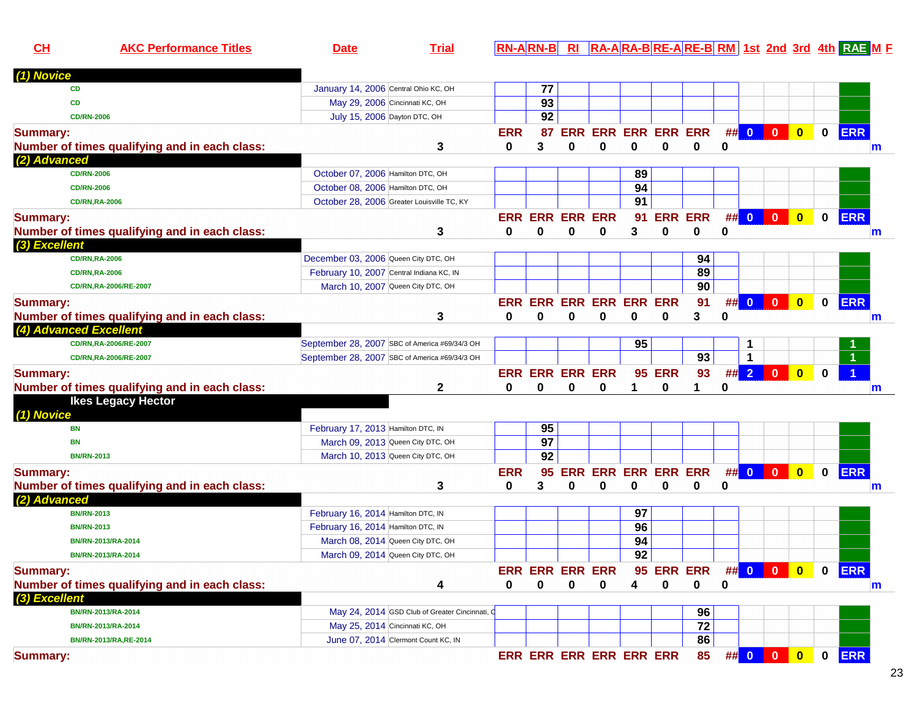| CH              | <b>AKC Performance Titles</b>                 | <b>Date</b>                                    | <b>Trial</b> |            |                        |            |                         |                        |            |                 |   |                |                         |                         |              | RN-ARN-B RI RA-ARA-BRE-ARE-BRM 1st 2nd 3rd 4th RAE M F |
|-----------------|-----------------------------------------------|------------------------------------------------|--------------|------------|------------------------|------------|-------------------------|------------------------|------------|-----------------|---|----------------|-------------------------|-------------------------|--------------|--------------------------------------------------------|
| (1) Novice      |                                               |                                                |              |            |                        |            |                         |                        |            |                 |   |                |                         |                         |              |                                                        |
|                 | <b>CD</b>                                     | January 14, 2006 Central Ohio KC, OH           |              |            | 77                     |            |                         |                        |            |                 |   |                |                         |                         |              |                                                        |
|                 | CD                                            | May 29, 2006 Cincinnati KC, OH                 |              |            | 93                     |            |                         |                        |            |                 |   |                |                         |                         |              |                                                        |
|                 | <b>CD/RN-2006</b>                             | July 15, 2006 Dayton DTC, OH                   |              |            | 92                     |            |                         |                        |            |                 |   |                |                         |                         |              |                                                        |
| <b>Summary:</b> |                                               |                                                |              | <b>ERR</b> |                        |            | 87 ERR ERR ERR ERR ERR  |                        |            |                 | # | $\bullet$      | $\overline{\mathbf{0}}$ | $\bullet$               | $\mathbf 0$  | <b>ERR</b>                                             |
|                 | Number of times qualifying and in each class: |                                                | 3            | 0          | 3                      | 0          | $\mathbf 0$             | 0                      | 0          | 0               | 0 |                |                         |                         |              | m                                                      |
| (2) Advanced    |                                               |                                                |              |            |                        |            |                         |                        |            |                 |   |                |                         |                         |              |                                                        |
|                 | <b>CD/RN-2006</b>                             | October 07, 2006 Hamilton DTC, OH              |              |            |                        |            |                         | 89                     |            |                 |   |                |                         |                         |              |                                                        |
|                 | <b>CD/RN-2006</b>                             | October 08, 2006 Hamilton DTC, OH              |              |            |                        |            |                         | 94                     |            |                 |   |                |                         |                         |              |                                                        |
|                 | <b>CD/RN,RA-2006</b>                          | October 28, 2006 Greater Louisville TC, KY     |              |            |                        |            |                         | 91                     |            |                 |   |                |                         |                         |              |                                                        |
| <b>Summary:</b> |                                               |                                                |              |            | <b>ERR ERR ERR ERR</b> |            |                         | 91                     |            | <b>ERR ERR</b>  | # | $\bullet$      | $\overline{\mathbf{0}}$ | $\bullet$               | $\mathbf 0$  | <b>ERR</b>                                             |
|                 | Number of times qualifying and in each class: |                                                | 3            | $\bf{0}$   | 0                      | 0          | 0                       | 3                      | 0          | 0               | 0 |                |                         |                         |              | m                                                      |
| (3) Excellent   |                                               |                                                |              |            |                        |            |                         |                        |            |                 |   |                |                         |                         |              |                                                        |
|                 | <b>CD/RN,RA-2006</b>                          | December 03, 2006 Queen City DTC, OH           |              |            |                        |            |                         |                        |            | 94              |   |                |                         |                         |              |                                                        |
|                 | <b>CD/RN,RA-2006</b>                          | February 10, 2007 Central Indiana KC, IN       |              |            |                        |            |                         |                        |            | 89              |   |                |                         |                         |              |                                                        |
|                 | CD/RN,RA-2006/RE-2007                         | March 10, 2007 Queen City DTC, OH              |              |            |                        |            |                         |                        |            | 90              |   |                |                         |                         |              |                                                        |
| <b>Summary:</b> |                                               |                                                |              |            |                        |            | ERR ERR ERR ERR ERR ERR |                        |            | 91              | # |                |                         | $\bullet$               | $\mathbf 0$  | <b>ERR</b>                                             |
|                 | Number of times qualifying and in each class: |                                                | 3            | $\bf{0}$   | $\bf{0}$               | 0          | 0                       | 0                      | 0          | 3               | 0 |                |                         |                         |              | $\mathsf{m}$                                           |
|                 | (4) Advanced Excellent                        |                                                |              |            |                        |            |                         |                        |            |                 |   |                |                         |                         |              |                                                        |
|                 | CD/RN,RA-2006/RE-2007                         | September 28, 2007 SBC of America #69/34/3 OH  |              |            |                        |            |                         | 95                     |            |                 |   | 1              |                         |                         |              |                                                        |
|                 | CD/RN,RA-2006/RE-2007                         | September 28, 2007 SBC of America #69/34/3 OH  |              |            |                        |            |                         |                        |            | $\overline{93}$ |   | 1              |                         |                         |              |                                                        |
|                 |                                               |                                                |              |            |                        |            |                         |                        |            |                 |   |                |                         |                         |              |                                                        |
| <b>Summary:</b> |                                               |                                                |              |            | <b>ERR ERR ERR ERR</b> |            |                         | 95                     | <b>ERR</b> | 93              | # | 2 <sup>1</sup> | $\overline{\mathbf{0}}$ | $\bullet$               | $\mathbf{0}$ |                                                        |
|                 | Number of times qualifying and in each class: |                                                | 2            | 0          | 0                      | 0          | 0                       |                        | 0          | 1               | 0 |                |                         |                         |              | m                                                      |
|                 | <b>Ikes Legacy Hector</b>                     |                                                |              |            |                        |            |                         |                        |            |                 |   |                |                         |                         |              |                                                        |
| (1) Novice      | <b>BN</b>                                     | February 17, 2013 Hamilton DTC, IN             |              |            | 95                     |            |                         |                        |            |                 |   |                |                         |                         |              |                                                        |
|                 |                                               |                                                |              |            | $\overline{97}$        |            |                         |                        |            |                 |   |                |                         |                         |              |                                                        |
|                 | BN<br><b>BN/RN-2013</b>                       | March 09, 2013 Queen City DTC, OH              |              |            | 92                     |            |                         |                        |            |                 |   |                |                         |                         |              |                                                        |
|                 |                                               | March 10, 2013 Queen City DTC, OH              |              |            |                        |            |                         |                        |            |                 |   |                |                         |                         |              |                                                        |
| <b>Summary:</b> |                                               |                                                |              | <b>ERR</b> | 95                     | <b>ERR</b> |                         | <b>ERR ERR ERR ERR</b> |            |                 |   |                | $\#$ 0 0                | $\overline{\mathbf{0}}$ | $\mathbf 0$  | <b>ERR</b>                                             |
|                 | Number of times qualifying and in each class: |                                                | 3            | 0          | 3                      | 0          | 0                       | 0                      | 0          | 0               | 0 |                |                         |                         |              | m                                                      |
| (2) Advanced    |                                               |                                                |              |            |                        |            |                         |                        |            |                 |   |                |                         |                         |              |                                                        |
|                 | <b>BN/RN-2013</b>                             | February 16, 2014 Hamilton DTC, IN             |              |            |                        |            |                         | 97                     |            |                 |   |                |                         |                         |              |                                                        |
|                 | <b>BN/RN-2013</b>                             | February 16, 2014 Hamilton DTC, IN             |              |            |                        |            |                         | 96                     |            |                 |   |                |                         |                         |              |                                                        |
|                 | BN/RN-2013/RA-2014                            | March 08, 2014 Queen City DTC, OH              |              |            |                        |            |                         | 94                     |            |                 |   |                |                         |                         |              |                                                        |
|                 | BN/RN-2013/RA-2014                            | March 09, 2014 Queen City DTC, OH              |              |            |                        |            |                         | 92                     |            |                 |   |                |                         |                         |              |                                                        |
| <b>Summary:</b> |                                               |                                                |              |            | <b>ERR ERR ERR ERR</b> |            |                         |                        |            | 95 ERR ERR      |   |                | ## 0 0                  | $\bullet$               | $\mathbf 0$  | <b>ERR</b>                                             |
|                 | Number of times qualifying and in each class: |                                                | 4            | $\bf{0}$   | 0                      | 0          | 0                       | 4                      | 0          | 0               | 0 |                |                         |                         |              | m                                                      |
| (3) Excellent   |                                               |                                                |              |            |                        |            |                         |                        |            |                 |   |                |                         |                         |              |                                                        |
|                 | BN/RN-2013/RA-2014                            | May 24, 2014 GSD Club of Greater Cincinnati, C |              |            |                        |            |                         |                        |            | 96              |   |                |                         |                         |              |                                                        |
|                 | BN/RN-2013/RA-2014                            | May 25, 2014 Cincinnati KC, OH                 |              |            |                        |            |                         |                        |            | 72              |   |                |                         |                         |              |                                                        |
|                 | BN/RN-2013/RA, RE-2014                        | June 07, 2014 Clermont Count KC, IN            |              |            |                        |            |                         |                        |            | 86              |   |                |                         |                         |              |                                                        |
| <b>Summary:</b> |                                               |                                                |              |            |                        |            | ERR ERR ERR ERR ERR ERR |                        |            | 85              |   | ## 0 0         |                         | $\bullet$               | $\mathbf 0$  | <b>ERR</b>                                             |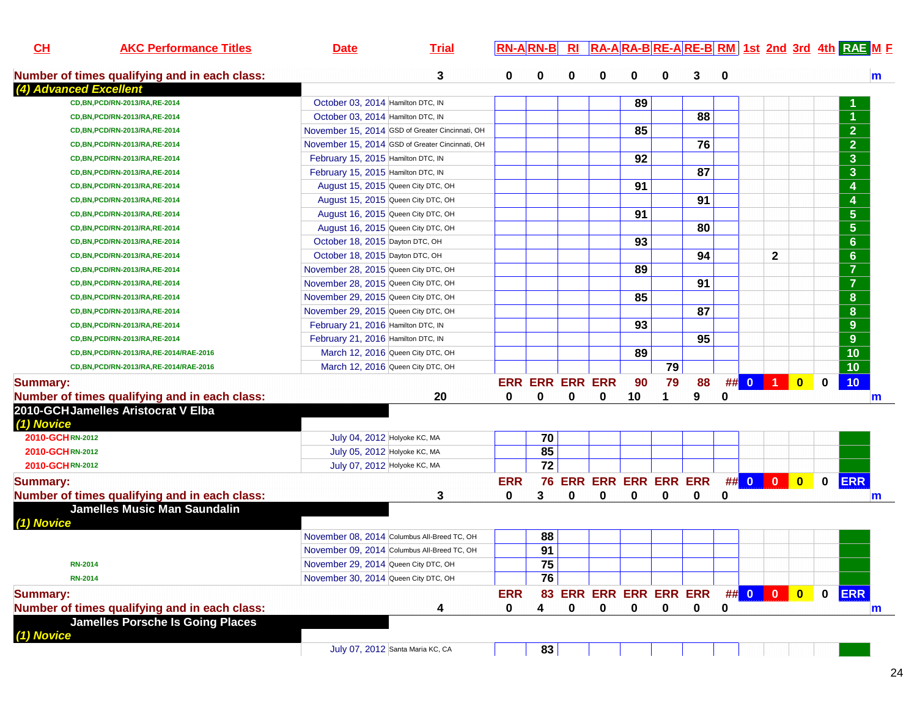| CL              | <b>AKC Performance Titles</b>                 | <b>Date</b>                                     | <b>Trial</b> | <b>RN-ARN-B</b> |                        | R1 | RA-ARA-BRE-ARE-BRM 1st 2nd 3rd 4th RAE M F |    |    |    |          |          |              |             |                |              |
|-----------------|-----------------------------------------------|-------------------------------------------------|--------------|-----------------|------------------------|----|--------------------------------------------|----|----|----|----------|----------|--------------|-------------|----------------|--------------|
|                 | Number of times qualifying and in each class: |                                                 | 3            | 0               | 0                      | 0  | 0                                          | 0  | 0  | 3  | $\bf{0}$ |          |              |             |                | $\mathbf{m}$ |
|                 | (4) Advanced Excellent                        |                                                 |              |                 |                        |    |                                            |    |    |    |          |          |              |             |                |              |
|                 | CD, BN, PCD/RN-2013/RA, RE-2014               | October 03, 2014 Hamilton DTC, IN               |              |                 |                        |    |                                            | 89 |    |    |          |          |              |             |                |              |
|                 | CD, BN, PCD/RN-2013/RA, RE-2014               | October 03, 2014 Hamilton DTC, IN               |              |                 |                        |    |                                            |    |    | 88 |          |          |              |             | 1              |              |
|                 | CD, BN, PCD/RN-2013/RA, RE-2014               | November 15, 2014 GSD of Greater Cincinnati, OH |              |                 |                        |    |                                            | 85 |    |    |          |          |              |             | $\overline{2}$ |              |
|                 | CD, BN, PCD/RN-2013/RA, RE-2014               | November 15, 2014 GSD of Greater Cincinnati, OH |              |                 |                        |    |                                            |    |    | 76 |          |          |              |             | $\overline{2}$ |              |
|                 | CD, BN, PCD/RN-2013/RA, RE-2014               | February 15, 2015 Hamilton DTC, IN              |              |                 |                        |    |                                            | 92 |    |    |          |          |              |             | 3 <sup>2</sup> |              |
|                 | CD, BN, PCD/RN-2013/RA, RE-2014               | February 15, 2015 Hamilton DTC, IN              |              |                 |                        |    |                                            |    |    | 87 |          |          |              |             | 3 <sup>2</sup> |              |
|                 | CD, BN, PCD/RN-2013/RA, RE-2014               | August 15, 2015 Queen City DTC, OH              |              |                 |                        |    |                                            | 91 |    |    |          |          |              |             | 4              |              |
|                 | CD, BN, PCD/RN-2013/RA, RE-2014               | August 15, 2015 Queen City DTC, OH              |              |                 |                        |    |                                            |    |    | 91 |          |          |              |             | 4              |              |
|                 | CD, BN, PCD/RN-2013/RA, RE-2014               | August 16, 2015 Queen City DTC, OH              |              |                 |                        |    |                                            | 91 |    |    |          |          |              |             | 5 <sup>5</sup> |              |
|                 | CD, BN, PCD/RN-2013/RA, RE-2014               | August 16, 2015 Queen City DTC, OH              |              |                 |                        |    |                                            |    |    | 80 |          |          |              |             | 5 <sup>5</sup> |              |
|                 | CD, BN, PCD/RN-2013/RA, RE-2014               | October 18, 2015 Dayton DTC, OH                 |              |                 |                        |    |                                            | 93 |    |    |          |          |              |             | 6 <sup>°</sup> |              |
|                 | CD, BN, PCD/RN-2013/RA, RE-2014               | October 18, 2015 Dayton DTC, OH                 |              |                 |                        |    |                                            |    |    | 94 |          |          | $\mathbf{2}$ |             | 6 <sup>°</sup> |              |
|                 | CD, BN, PCD/RN-2013/RA, RE-2014               | November 28, 2015 Queen City DTC, OH            |              |                 |                        |    |                                            | 89 |    |    |          |          |              |             | $\overline{7}$ |              |
|                 | CD, BN, PCD/RN-2013/RA, RE-2014               | November 28, 2015 Queen City DTC, OH            |              |                 |                        |    |                                            |    |    | 91 |          |          |              |             | $\overline{7}$ |              |
|                 | CD, BN, PCD/RN-2013/RA, RE-2014               | November 29, 2015 Queen City DTC, OH            |              |                 |                        |    |                                            | 85 |    |    |          |          |              |             | 8              |              |
|                 | CD, BN, PCD/RN-2013/RA, RE-2014               | November 29, 2015 Queen City DTC, OH            |              |                 |                        |    |                                            |    |    | 87 |          |          |              |             | 8              |              |
|                 | CD, BN, PCD/RN-2013/RA, RE-2014               | February 21, 2016 Hamilton DTC, IN              |              |                 |                        |    |                                            | 93 |    |    |          |          |              |             | 9 <sup>°</sup> |              |
|                 | CD, BN, PCD/RN-2013/RA, RE-2014               | February 21, 2016 Hamilton DTC, IN              |              |                 |                        |    |                                            |    |    | 95 |          |          |              |             | 9 <sup>°</sup> |              |
|                 | CD, BN, PCD/RN-2013/RA, RE-2014/RAE-2016      | March 12, 2016 Queen City DTC, OH               |              |                 |                        |    |                                            | 89 |    |    |          |          |              |             | 10             |              |
|                 | CD, BN, PCD/RN-2013/RA, RE-2014/RAE-2016      | March 12, 2016 Queen City DTC, OH               |              |                 |                        |    |                                            |    | 79 |    |          |          |              |             | 10             |              |
| <b>Summary:</b> |                                               |                                                 |              |                 | <b>ERR ERR ERR ERR</b> |    |                                            | 90 | 79 | 88 |          | ## 0 1 0 |              | $\mathbf 0$ | 10             |              |
|                 | Number of times qualifying and in each class: |                                                 | 20           | 0               | $\bf{0}$               | 0  | 0                                          | 10 |    | 9  | 0        |          |              |             |                | m            |
| (1) Novice      | 2010-GCHJamelles Aristocrat V Elba            |                                                 |              |                 |                        |    |                                            |    |    |    |          |          |              |             |                |              |
| 2010-GCHRN-2012 |                                               | July 04, 2012 Holyoke KC, MA                    |              |                 | 70                     |    |                                            |    |    |    |          |          |              |             |                |              |
| 2010-GCHRN-2012 |                                               | July 05, 2012 Holyoke KC, MA                    |              |                 | 85                     |    |                                            |    |    |    |          |          |              |             |                |              |
| 2010-GCHRN-2012 |                                               | July 07, 2012 Holyoke KC, MA                    |              |                 | $\overline{72}$        |    |                                            |    |    |    |          |          |              |             |                |              |
| <b>Summary:</b> |                                               |                                                 |              | <b>ERR</b>      | 76                     |    | ERR ERR ERR ERR ERR ## 0 0 0               |    |    |    |          |          |              | $\mathbf 0$ | <b>ERR</b>     |              |
|                 | Number of times qualifying and in each class: |                                                 | 3            | 0               | 3                      | 0  | 0                                          | 0  | 0  | 0  | 0        |          |              |             |                | m            |
| (1) Novice      | <b>Jamelles Music Man Saundalin</b>           |                                                 |              |                 |                        |    |                                            |    |    |    |          |          |              |             |                |              |
|                 |                                               | November 08, 2014 Columbus All-Breed TC, OH     |              |                 | 88                     |    |                                            |    |    |    |          |          |              |             |                |              |
|                 |                                               | November 09, 2014 Columbus All-Breed TC, OH     |              |                 | 91                     |    |                                            |    |    |    |          |          |              |             |                |              |
|                 | <b>RN-2014</b>                                | November 29, 2014 Queen City DTC, OH            |              |                 | 75                     |    |                                            |    |    |    |          |          |              |             |                |              |
|                 | <b>RN-2014</b>                                | November 30, 2014 Queen City DTC, OH            |              |                 | 76                     |    |                                            |    |    |    |          |          |              |             |                |              |
| <b>Summary:</b> |                                               |                                                 |              | <b>ERR</b>      |                        |    | 83 ERR ERR ERR ERR ERR                     |    |    |    |          | ## 0 0 0 |              | $\mathbf 0$ | <b>ERR</b>     |              |
|                 | Number of times qualifying and in each class: |                                                 | 4            | 0               | 4                      | 0  | 0                                          | 0  | 0  | 0  | 0        |          |              |             |                | m            |
| (1) Novice      | <b>Jamelles Porsche Is Going Places</b>       |                                                 |              |                 |                        |    |                                            |    |    |    |          |          |              |             |                |              |
|                 |                                               | July 07, 2012 Santa Maria KC, CA                |              |                 | 83                     |    |                                            |    |    |    |          |          |              |             |                |              |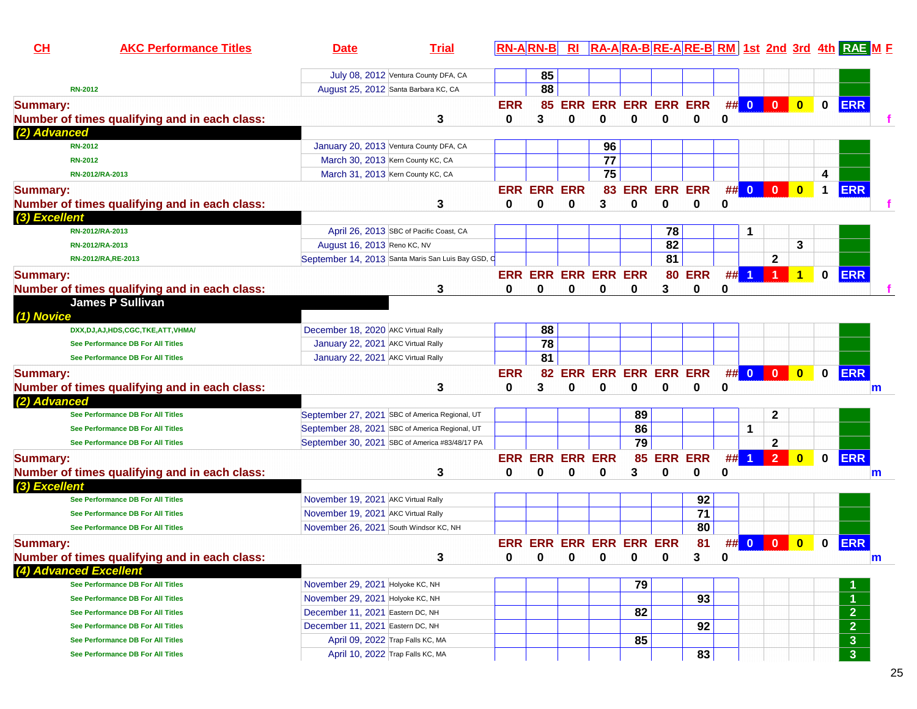| CH                     | <b>AKC Performance Titles</b>                 | <b>Date</b>                                        | <b>Trial</b>                            |            | <b>RN-ARN-B</b>        | R1         |                             |                        |    |                |    |                         |                         |                         |                      | RA-ARA-BRE-ARE-BRM 1st 2nd 3rd 4th RAE M F |   |
|------------------------|-----------------------------------------------|----------------------------------------------------|-----------------------------------------|------------|------------------------|------------|-----------------------------|------------------------|----|----------------|----|-------------------------|-------------------------|-------------------------|----------------------|--------------------------------------------|---|
|                        |                                               |                                                    | July 08, 2012 Ventura County DFA, CA    |            | 85                     |            |                             |                        |    |                |    |                         |                         |                         |                      |                                            |   |
| <b>RN-2012</b>         |                                               |                                                    | August 25, 2012 Santa Barbara KC, CA    |            | 88                     |            |                             |                        |    |                |    |                         |                         |                         |                      |                                            |   |
| <b>Summary:</b>        |                                               |                                                    |                                         | <b>ERR</b> | 85                     | <b>ERR</b> |                             | <b>ERR ERR ERR ERR</b> |    |                | ## | $\overline{\mathbf{0}}$ | $\overline{\mathbf{0}}$ | $\overline{\mathbf{0}}$ | $\mathbf{0}$         | <b>ERR</b>                                 |   |
|                        | Number of times qualifying and in each class: |                                                    | 3                                       | 0          | 3                      | 0          | 0                           | 0                      | 0  | 0              | 0  |                         |                         |                         |                      |                                            |   |
| (2) Advanced           |                                               |                                                    |                                         |            |                        |            |                             |                        |    |                |    |                         |                         |                         |                      |                                            |   |
| <b>RN-2012</b>         |                                               | January 20, 2013 Ventura County DFA, CA            |                                         |            |                        |            | 96                          |                        |    |                |    |                         |                         |                         |                      |                                            |   |
| <b>RN-2012</b>         |                                               |                                                    | March 30, 2013 Kern County KC, CA       |            |                        |            | 77                          |                        |    |                |    |                         |                         |                         |                      |                                            |   |
| RN-2012/RA-2013        |                                               |                                                    | March 31, 2013 Kern County KC, CA       |            |                        |            | 75                          |                        |    |                |    |                         |                         |                         | 4                    |                                            |   |
| <b>Summary:</b>        |                                               |                                                    |                                         |            | <b>ERR ERR ERR</b>     |            |                             | <b>83 ERR</b>          |    | <b>ERR ERR</b> |    | ## 0                    | $\mathbf{0}$            | $\mathbf{0}$            | $\blacktriangleleft$ | <b>ERR</b>                                 |   |
|                        | Number of times qualifying and in each class: |                                                    | 3                                       | 0          | 0                      | 0          | 3                           | 0                      | 0  | 0              | 0  |                         |                         |                         |                      |                                            |   |
| (3) Excellent          |                                               |                                                    |                                         |            |                        |            |                             |                        |    |                |    |                         |                         |                         |                      |                                            |   |
| RN-2012/RA-2013        |                                               |                                                    | April 26, 2013 SBC of Pacific Coast, CA |            |                        |            |                             |                        | 78 |                |    | 1                       |                         |                         |                      |                                            |   |
| RN-2012/RA-2013        |                                               | August 16, 2013 Reno KC, NV                        |                                         |            |                        |            |                             |                        | 82 |                |    |                         |                         | 3                       |                      |                                            |   |
| RN-2012/RA, RE-2013    |                                               | September 14, 2013 Santa Maris San Luis Bay GSD, C |                                         |            |                        |            |                             |                        | 81 |                |    |                         | $\mathbf{2}$            |                         |                      |                                            |   |
| <b>Summary:</b>        |                                               |                                                    |                                         |            |                        |            | <b>ERR ERR ERR ERR ERR</b>  |                        |    | <b>80 ERR</b>  | #  |                         |                         | 1                       | $\mathbf{0}$         | <b>ERR</b>                                 |   |
|                        | Number of times qualifying and in each class: |                                                    | 3                                       | 0          | 0                      | 0          | 0                           | 0                      | 3  | 0              | 0  |                         |                         |                         |                      |                                            |   |
|                        | <b>James P Sullivan</b>                       |                                                    |                                         |            |                        |            |                             |                        |    |                |    |                         |                         |                         |                      |                                            |   |
| (1) Novice             |                                               |                                                    |                                         |            |                        |            |                             |                        |    |                |    |                         |                         |                         |                      |                                            |   |
|                        | DXX, DJ, AJ, HDS, CGC, TKE, ATT, VHMA/        | December 18, 2020 AKC Virtual Rally                |                                         |            | 88                     |            |                             |                        |    |                |    |                         |                         |                         |                      |                                            |   |
|                        | See Performance DB For All Titles             | January 22, 2021 AKC Virtual Rally                 |                                         |            | $\overline{78}$        |            |                             |                        |    |                |    |                         |                         |                         |                      |                                            |   |
|                        | See Performance DB For All Titles             | January 22, 2021 AKC Virtual Rally                 |                                         |            | 81                     |            |                             |                        |    |                |    |                         |                         |                         |                      |                                            |   |
| <b>Summary:</b>        |                                               |                                                    |                                         | <b>ERR</b> | 82                     | ERR        |                             | <b>ERR ERR ERR ERR</b> |    |                |    | ## 0 0                  |                         | $\bullet$               | $\mathbf 0$          | <b>ERR</b>                                 |   |
|                        | Number of times qualifying and in each class: |                                                    | 3                                       | 0          | 3                      | 0          | 0                           | 0                      | 0  | 0              | 0  |                         |                         |                         |                      |                                            | m |
| (2) Advanced           |                                               |                                                    |                                         |            |                        |            |                             |                        |    |                |    |                         |                         |                         |                      |                                            |   |
|                        | See Performance DB For All Titles             | September 27, 2021 SBC of America Regional, UT     |                                         |            |                        |            |                             | 89                     |    |                |    |                         | $\mathbf{2}$            |                         |                      |                                            |   |
|                        | See Performance DB For All Titles             | September 28, 2021 SBC of America Regional, UT     |                                         |            |                        |            |                             | 86                     |    |                |    | 1                       |                         |                         |                      |                                            |   |
|                        | See Performance DB For All Titles             | September 30, 2021 SBC of America #83/48/17 PA     |                                         |            |                        |            |                             | 79                     |    |                |    |                         | $\mathbf{2}$            |                         |                      |                                            |   |
| <b>Summary:</b>        |                                               |                                                    |                                         |            | <b>ERR ERR ERR ERR</b> |            |                             | 85                     |    | <b>ERR ERR</b> | ## |                         | $\overline{2}$          | $\overline{\mathbf{0}}$ | $\mathbf 0$          | <b>ERR</b>                                 |   |
|                        | Number of times qualifying and in each class: |                                                    | 3                                       | 0          | 0                      | $\bf{0}$   | 0                           | 3                      | 0  | 0              | 0  |                         |                         |                         |                      |                                            | m |
| (3) Excellent          |                                               |                                                    |                                         |            |                        |            |                             |                        |    |                |    |                         |                         |                         |                      |                                            |   |
|                        | See Performance DB For All Titles             | November 19, 2021 AKC Virtual Rally                |                                         |            |                        |            |                             |                        |    | 92             |    |                         |                         |                         |                      |                                            |   |
|                        | See Performance DB For All Titles             | November 19, 2021 AKC Virtual Rally                |                                         |            |                        |            |                             |                        |    | 71             |    |                         |                         |                         |                      |                                            |   |
|                        | See Performance DB For All Titles             | November 26, 2021 South Windsor KC, NH             |                                         |            |                        |            |                             |                        |    | 80             |    |                         |                         |                         |                      |                                            |   |
| <b>Summary:</b>        |                                               |                                                    |                                         |            |                        |            | ERR ERR ERR ERR ERR ERR     |                        |    | 81             | #  | $\overline{\mathbf{0}}$ | $\bf{0}$                | $\bf{0}$                | $\bf{0}$             | <b>ERR</b>                                 |   |
|                        | Number of times qualifying and in each class: |                                                    | 3                                       |            |                        |            | $0 \quad 0 \quad 0 \quad 0$ |                        | 0  | 3              | 0  |                         |                         |                         |                      |                                            | ш |
| (4) Advanced Excellent |                                               |                                                    |                                         |            |                        |            |                             |                        |    |                |    |                         |                         |                         |                      |                                            |   |
|                        | See Performance DB For All Titles             | November 29, 2021 Holyoke KC, NH                   |                                         |            |                        |            |                             | 79                     |    |                |    |                         |                         |                         |                      |                                            |   |
|                        | See Performance DB For All Titles             | November 29, 2021 Holyoke KC, NH                   |                                         |            |                        |            |                             |                        |    | 93             |    |                         |                         |                         |                      |                                            |   |
|                        | See Performance DB For All Titles             | December 11, 2021 Eastern DC, NH                   |                                         |            |                        |            |                             | 82                     |    |                |    |                         |                         |                         |                      | $\overline{2}$                             |   |
|                        | See Performance DB For All Titles             | December 11, 2021 Eastern DC, NH                   |                                         |            |                        |            |                             |                        |    | 92             |    |                         |                         |                         |                      | $\overline{2}$                             |   |
|                        | See Performance DB For All Titles             |                                                    | April 09, 2022 Trap Falls KC, MA        |            |                        |            |                             | 85                     |    |                |    |                         |                         |                         |                      | $\mathbf{3}$                               |   |
|                        | See Performance DB For All Titles             |                                                    | April 10, 2022 Trap Falls KC, MA        |            |                        |            |                             |                        |    | 83             |    |                         |                         |                         |                      | $\overline{\mathbf{3}}$                    |   |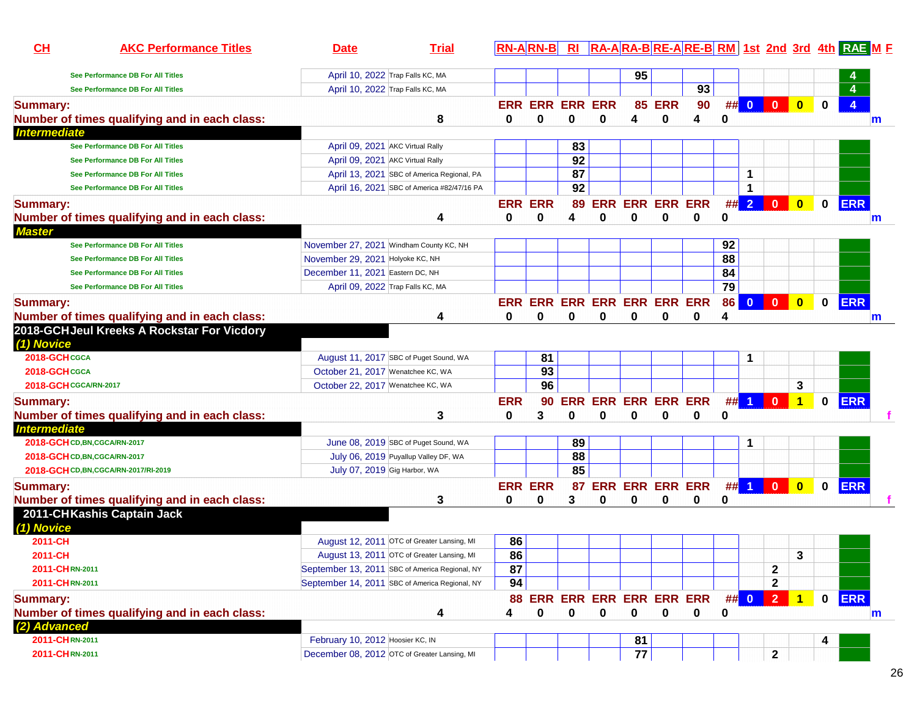| 95<br>April 10, 2022 Trap Falls KC, MA<br>See Performance DB For All Titles<br>93<br>April 10, 2022 Trap Falls KC, MA<br>See Performance DB For All Titles<br>$\bullet$<br>$\overline{\mathbf{0}}$<br><b>ERR ERR ERR ERR</b><br><b>85 ERR</b><br>90<br>##<br>$\bullet$<br>$\bf{0}$<br><b>Summary:</b><br>8<br>$\bf{0}$<br>Number of times qualifying and in each class:<br>0<br>0<br>0<br>0<br>0<br>4<br>4<br>$\mathsf{m}$<br><b>Intermediate</b><br>83<br>April 09, 2021 AKC Virtual Rally<br>See Performance DB For All Titles<br>92<br>April 09, 2021 AKC Virtual Rally<br>See Performance DB For All Titles<br>87<br>1<br>April 13, 2021 SBC of America Regional, PA<br>See Performance DB For All Titles<br>92<br>April 16, 2021 SBC of America #82/47/16 PA<br>1<br>See Performance DB For All Titles<br>#<br>$\overline{\mathbf{0}}$<br><b>ERR</b><br><b>ERR ERR ERR ERR</b><br>$\overline{2}$<br>$\mathbf{0}$<br>$\mathbf 0$<br><b>ERR ERR</b><br>89<br>Number of times qualifying and in each class:<br>4<br>0<br>0<br>0<br>0<br>$\bf{0}$<br>0<br>0<br>4<br>m<br>92<br>November 27, 2021 Windham County KC, NH<br><b>See Performance DB For All Titles</b><br>88<br>November 29, 2021 Holyoke KC, NH<br>See Performance DB For All Titles<br>84<br>December 11, 2021 Eastern DC, NH<br>See Performance DB For All Titles<br>$\overline{79}$<br>April 09, 2022 Trap Falls KC, MA<br>See Performance DB For All Titles<br>$\overline{\mathbf{0}}$<br><b>ERR</b><br>ERR ERR ERR ERR ERR ERR ERR<br>$\mathbf{0}$<br>$\bullet$<br>86<br>$\mathbf 0$<br><b>Summary:</b><br>Number of times qualifying and in each class:<br>0<br>0<br>0<br>0<br>0<br>0<br>4<br>0<br>4<br>m<br>2018-GCHJeul Kreeks A Rockstar For Vicdory<br>2018-GCHCGCA<br>81<br>August 11, 2017 SBC of Puget Sound, WA<br>1<br>93<br>2018-GCHCGCA<br>October 21, 2017 Wenatchee KC, WA<br>96<br>3<br><b>2018-GCH CGCA/RN-2017</b><br>October 22, 2017 Wenatchee KC, WA<br><b>ERR</b><br><b>ERR ERR ERR ERR ERR</b><br>##<br>$\vert$ 1<br>$\overline{0}$<br><b>ERR</b><br>$\mathbf{1}$<br>$\mathbf 0$<br>90<br><b>Summary:</b><br>Number of times qualifying and in each class:<br>3<br>0<br>3<br>0<br>0<br>0<br>0<br>0<br>0<br><b>Intermediate</b><br>89<br>June 08, 2019 SBC of Puget Sound, WA<br>2018-GCH CD, BN, CGCA/RN-2017<br>88<br>July 06, 2019 Puyallup Valley DF, WA<br>2018-GCHCD, BN, CGCA/RN-2017<br>85<br>July 07, 2019 Gig Harbor, WA<br>2018-GCH CD, BN, CGCA/RN-2017/RI-2019<br><b>ERR ERR ERR ERR</b><br>## 1<br>$\overline{\mathbf{0}}$<br><b>ERR</b><br>$\overline{\mathbf{0}}$<br><b>ERR ERR</b><br>$\mathbf 0$<br><b>Summary:</b><br>87<br>Number of times qualifying and in each class:<br>3<br>0<br>0<br>3<br>0<br>0<br>0<br>0<br>0<br>2011-CHKashis Captain Jack<br>86<br>2011-CH<br>August 12, 2011 OTC of Greater Lansing, MI<br>86<br>3<br>2011-CH<br>August 13, 2011 OTC of Greater Lansing, MI<br>87<br>$\mathbf{2}$<br>2011-CHRN-2011<br>September 13, 2011 SBC of America Regional, NY<br>94<br>2011-CHRN-2011<br>September 14, 2011 SBC of America Regional, NY<br>$\mathbf{2}$<br>0 ERR<br>88 ERR ERR ERR ERR ERR ERR<br>$\#$ 0<br>$\vert$ 2<br>$\overline{1}$<br><b>Summary:</b><br>$\mathbf 0$<br>$\mathbf 0$<br>$\mathbf 0$<br>Number of times qualifying and in each class:<br>0<br>0<br>0<br>4<br>4<br>0<br>m<br>(2) Advanced<br>February 10, 2012 Hoosier KC, IN<br>2011-CHRN-2011<br>81<br>4<br>77<br>$\mathbf{2}$<br>December 08, 2012 OTC of Greater Lansing, MI<br>2011-CHRN-2011 | CH              | <b>AKC Performance Titles</b> | <b>Date</b> | <b>Trial</b> | <b>RN-ARN-B</b> | R1 |  |  |  |  | RA-ARA-BRE-ARE-BRM 1st 2nd 3rd 4th RAE M F |
|-----------------------------------------------------------------------------------------------------------------------------------------------------------------------------------------------------------------------------------------------------------------------------------------------------------------------------------------------------------------------------------------------------------------------------------------------------------------------------------------------------------------------------------------------------------------------------------------------------------------------------------------------------------------------------------------------------------------------------------------------------------------------------------------------------------------------------------------------------------------------------------------------------------------------------------------------------------------------------------------------------------------------------------------------------------------------------------------------------------------------------------------------------------------------------------------------------------------------------------------------------------------------------------------------------------------------------------------------------------------------------------------------------------------------------------------------------------------------------------------------------------------------------------------------------------------------------------------------------------------------------------------------------------------------------------------------------------------------------------------------------------------------------------------------------------------------------------------------------------------------------------------------------------------------------------------------------------------------------------------------------------------------------------------------------------------------------------------------------------------------------------------------------------------------------------------------------------------------------------------------------------------------------------------------------------------------------------------------------------------------------------------------------------------------------------------------------------------------------------------------------------------------------------------------------------------------------------------------------------------------------------------------------------------------------------------------------------------------------------------------------------------------------------------------------------------------------------------------------------------------------------------------------------------------------------------------------------------------------------------------------------------------------------------------------------------------------------------------------------------------------------------------------------------------------------------------------------------------------------------------------------------------------------------------------------------------------------------------------------------------------------------------------------------------------------------------------------------------------------------------------|-----------------|-------------------------------|-------------|--------------|-----------------|----|--|--|--|--|--------------------------------------------|
|                                                                                                                                                                                                                                                                                                                                                                                                                                                                                                                                                                                                                                                                                                                                                                                                                                                                                                                                                                                                                                                                                                                                                                                                                                                                                                                                                                                                                                                                                                                                                                                                                                                                                                                                                                                                                                                                                                                                                                                                                                                                                                                                                                                                                                                                                                                                                                                                                                                                                                                                                                                                                                                                                                                                                                                                                                                                                                                                                                                                                                                                                                                                                                                                                                                                                                                                                                                                                                                                                                     |                 |                               |             |              |                 |    |  |  |  |  |                                            |
|                                                                                                                                                                                                                                                                                                                                                                                                                                                                                                                                                                                                                                                                                                                                                                                                                                                                                                                                                                                                                                                                                                                                                                                                                                                                                                                                                                                                                                                                                                                                                                                                                                                                                                                                                                                                                                                                                                                                                                                                                                                                                                                                                                                                                                                                                                                                                                                                                                                                                                                                                                                                                                                                                                                                                                                                                                                                                                                                                                                                                                                                                                                                                                                                                                                                                                                                                                                                                                                                                                     |                 |                               |             |              |                 |    |  |  |  |  |                                            |
|                                                                                                                                                                                                                                                                                                                                                                                                                                                                                                                                                                                                                                                                                                                                                                                                                                                                                                                                                                                                                                                                                                                                                                                                                                                                                                                                                                                                                                                                                                                                                                                                                                                                                                                                                                                                                                                                                                                                                                                                                                                                                                                                                                                                                                                                                                                                                                                                                                                                                                                                                                                                                                                                                                                                                                                                                                                                                                                                                                                                                                                                                                                                                                                                                                                                                                                                                                                                                                                                                                     |                 |                               |             |              |                 |    |  |  |  |  |                                            |
|                                                                                                                                                                                                                                                                                                                                                                                                                                                                                                                                                                                                                                                                                                                                                                                                                                                                                                                                                                                                                                                                                                                                                                                                                                                                                                                                                                                                                                                                                                                                                                                                                                                                                                                                                                                                                                                                                                                                                                                                                                                                                                                                                                                                                                                                                                                                                                                                                                                                                                                                                                                                                                                                                                                                                                                                                                                                                                                                                                                                                                                                                                                                                                                                                                                                                                                                                                                                                                                                                                     |                 |                               |             |              |                 |    |  |  |  |  |                                            |
|                                                                                                                                                                                                                                                                                                                                                                                                                                                                                                                                                                                                                                                                                                                                                                                                                                                                                                                                                                                                                                                                                                                                                                                                                                                                                                                                                                                                                                                                                                                                                                                                                                                                                                                                                                                                                                                                                                                                                                                                                                                                                                                                                                                                                                                                                                                                                                                                                                                                                                                                                                                                                                                                                                                                                                                                                                                                                                                                                                                                                                                                                                                                                                                                                                                                                                                                                                                                                                                                                                     |                 |                               |             |              |                 |    |  |  |  |  |                                            |
|                                                                                                                                                                                                                                                                                                                                                                                                                                                                                                                                                                                                                                                                                                                                                                                                                                                                                                                                                                                                                                                                                                                                                                                                                                                                                                                                                                                                                                                                                                                                                                                                                                                                                                                                                                                                                                                                                                                                                                                                                                                                                                                                                                                                                                                                                                                                                                                                                                                                                                                                                                                                                                                                                                                                                                                                                                                                                                                                                                                                                                                                                                                                                                                                                                                                                                                                                                                                                                                                                                     |                 |                               |             |              |                 |    |  |  |  |  |                                            |
|                                                                                                                                                                                                                                                                                                                                                                                                                                                                                                                                                                                                                                                                                                                                                                                                                                                                                                                                                                                                                                                                                                                                                                                                                                                                                                                                                                                                                                                                                                                                                                                                                                                                                                                                                                                                                                                                                                                                                                                                                                                                                                                                                                                                                                                                                                                                                                                                                                                                                                                                                                                                                                                                                                                                                                                                                                                                                                                                                                                                                                                                                                                                                                                                                                                                                                                                                                                                                                                                                                     |                 |                               |             |              |                 |    |  |  |  |  |                                            |
|                                                                                                                                                                                                                                                                                                                                                                                                                                                                                                                                                                                                                                                                                                                                                                                                                                                                                                                                                                                                                                                                                                                                                                                                                                                                                                                                                                                                                                                                                                                                                                                                                                                                                                                                                                                                                                                                                                                                                                                                                                                                                                                                                                                                                                                                                                                                                                                                                                                                                                                                                                                                                                                                                                                                                                                                                                                                                                                                                                                                                                                                                                                                                                                                                                                                                                                                                                                                                                                                                                     |                 |                               |             |              |                 |    |  |  |  |  |                                            |
|                                                                                                                                                                                                                                                                                                                                                                                                                                                                                                                                                                                                                                                                                                                                                                                                                                                                                                                                                                                                                                                                                                                                                                                                                                                                                                                                                                                                                                                                                                                                                                                                                                                                                                                                                                                                                                                                                                                                                                                                                                                                                                                                                                                                                                                                                                                                                                                                                                                                                                                                                                                                                                                                                                                                                                                                                                                                                                                                                                                                                                                                                                                                                                                                                                                                                                                                                                                                                                                                                                     |                 |                               |             |              |                 |    |  |  |  |  |                                            |
|                                                                                                                                                                                                                                                                                                                                                                                                                                                                                                                                                                                                                                                                                                                                                                                                                                                                                                                                                                                                                                                                                                                                                                                                                                                                                                                                                                                                                                                                                                                                                                                                                                                                                                                                                                                                                                                                                                                                                                                                                                                                                                                                                                                                                                                                                                                                                                                                                                                                                                                                                                                                                                                                                                                                                                                                                                                                                                                                                                                                                                                                                                                                                                                                                                                                                                                                                                                                                                                                                                     |                 |                               |             |              |                 |    |  |  |  |  |                                            |
|                                                                                                                                                                                                                                                                                                                                                                                                                                                                                                                                                                                                                                                                                                                                                                                                                                                                                                                                                                                                                                                                                                                                                                                                                                                                                                                                                                                                                                                                                                                                                                                                                                                                                                                                                                                                                                                                                                                                                                                                                                                                                                                                                                                                                                                                                                                                                                                                                                                                                                                                                                                                                                                                                                                                                                                                                                                                                                                                                                                                                                                                                                                                                                                                                                                                                                                                                                                                                                                                                                     | <b>Summary:</b> |                               |             |              |                 |    |  |  |  |  |                                            |
|                                                                                                                                                                                                                                                                                                                                                                                                                                                                                                                                                                                                                                                                                                                                                                                                                                                                                                                                                                                                                                                                                                                                                                                                                                                                                                                                                                                                                                                                                                                                                                                                                                                                                                                                                                                                                                                                                                                                                                                                                                                                                                                                                                                                                                                                                                                                                                                                                                                                                                                                                                                                                                                                                                                                                                                                                                                                                                                                                                                                                                                                                                                                                                                                                                                                                                                                                                                                                                                                                                     |                 |                               |             |              |                 |    |  |  |  |  |                                            |
|                                                                                                                                                                                                                                                                                                                                                                                                                                                                                                                                                                                                                                                                                                                                                                                                                                                                                                                                                                                                                                                                                                                                                                                                                                                                                                                                                                                                                                                                                                                                                                                                                                                                                                                                                                                                                                                                                                                                                                                                                                                                                                                                                                                                                                                                                                                                                                                                                                                                                                                                                                                                                                                                                                                                                                                                                                                                                                                                                                                                                                                                                                                                                                                                                                                                                                                                                                                                                                                                                                     | <b>Master</b>   |                               |             |              |                 |    |  |  |  |  |                                            |
|                                                                                                                                                                                                                                                                                                                                                                                                                                                                                                                                                                                                                                                                                                                                                                                                                                                                                                                                                                                                                                                                                                                                                                                                                                                                                                                                                                                                                                                                                                                                                                                                                                                                                                                                                                                                                                                                                                                                                                                                                                                                                                                                                                                                                                                                                                                                                                                                                                                                                                                                                                                                                                                                                                                                                                                                                                                                                                                                                                                                                                                                                                                                                                                                                                                                                                                                                                                                                                                                                                     |                 |                               |             |              |                 |    |  |  |  |  |                                            |
|                                                                                                                                                                                                                                                                                                                                                                                                                                                                                                                                                                                                                                                                                                                                                                                                                                                                                                                                                                                                                                                                                                                                                                                                                                                                                                                                                                                                                                                                                                                                                                                                                                                                                                                                                                                                                                                                                                                                                                                                                                                                                                                                                                                                                                                                                                                                                                                                                                                                                                                                                                                                                                                                                                                                                                                                                                                                                                                                                                                                                                                                                                                                                                                                                                                                                                                                                                                                                                                                                                     |                 |                               |             |              |                 |    |  |  |  |  |                                            |
|                                                                                                                                                                                                                                                                                                                                                                                                                                                                                                                                                                                                                                                                                                                                                                                                                                                                                                                                                                                                                                                                                                                                                                                                                                                                                                                                                                                                                                                                                                                                                                                                                                                                                                                                                                                                                                                                                                                                                                                                                                                                                                                                                                                                                                                                                                                                                                                                                                                                                                                                                                                                                                                                                                                                                                                                                                                                                                                                                                                                                                                                                                                                                                                                                                                                                                                                                                                                                                                                                                     |                 |                               |             |              |                 |    |  |  |  |  |                                            |
|                                                                                                                                                                                                                                                                                                                                                                                                                                                                                                                                                                                                                                                                                                                                                                                                                                                                                                                                                                                                                                                                                                                                                                                                                                                                                                                                                                                                                                                                                                                                                                                                                                                                                                                                                                                                                                                                                                                                                                                                                                                                                                                                                                                                                                                                                                                                                                                                                                                                                                                                                                                                                                                                                                                                                                                                                                                                                                                                                                                                                                                                                                                                                                                                                                                                                                                                                                                                                                                                                                     |                 |                               |             |              |                 |    |  |  |  |  |                                            |
|                                                                                                                                                                                                                                                                                                                                                                                                                                                                                                                                                                                                                                                                                                                                                                                                                                                                                                                                                                                                                                                                                                                                                                                                                                                                                                                                                                                                                                                                                                                                                                                                                                                                                                                                                                                                                                                                                                                                                                                                                                                                                                                                                                                                                                                                                                                                                                                                                                                                                                                                                                                                                                                                                                                                                                                                                                                                                                                                                                                                                                                                                                                                                                                                                                                                                                                                                                                                                                                                                                     |                 |                               |             |              |                 |    |  |  |  |  |                                            |
|                                                                                                                                                                                                                                                                                                                                                                                                                                                                                                                                                                                                                                                                                                                                                                                                                                                                                                                                                                                                                                                                                                                                                                                                                                                                                                                                                                                                                                                                                                                                                                                                                                                                                                                                                                                                                                                                                                                                                                                                                                                                                                                                                                                                                                                                                                                                                                                                                                                                                                                                                                                                                                                                                                                                                                                                                                                                                                                                                                                                                                                                                                                                                                                                                                                                                                                                                                                                                                                                                                     |                 |                               |             |              |                 |    |  |  |  |  |                                            |
|                                                                                                                                                                                                                                                                                                                                                                                                                                                                                                                                                                                                                                                                                                                                                                                                                                                                                                                                                                                                                                                                                                                                                                                                                                                                                                                                                                                                                                                                                                                                                                                                                                                                                                                                                                                                                                                                                                                                                                                                                                                                                                                                                                                                                                                                                                                                                                                                                                                                                                                                                                                                                                                                                                                                                                                                                                                                                                                                                                                                                                                                                                                                                                                                                                                                                                                                                                                                                                                                                                     | (1) Novice      |                               |             |              |                 |    |  |  |  |  |                                            |
|                                                                                                                                                                                                                                                                                                                                                                                                                                                                                                                                                                                                                                                                                                                                                                                                                                                                                                                                                                                                                                                                                                                                                                                                                                                                                                                                                                                                                                                                                                                                                                                                                                                                                                                                                                                                                                                                                                                                                                                                                                                                                                                                                                                                                                                                                                                                                                                                                                                                                                                                                                                                                                                                                                                                                                                                                                                                                                                                                                                                                                                                                                                                                                                                                                                                                                                                                                                                                                                                                                     |                 |                               |             |              |                 |    |  |  |  |  |                                            |
|                                                                                                                                                                                                                                                                                                                                                                                                                                                                                                                                                                                                                                                                                                                                                                                                                                                                                                                                                                                                                                                                                                                                                                                                                                                                                                                                                                                                                                                                                                                                                                                                                                                                                                                                                                                                                                                                                                                                                                                                                                                                                                                                                                                                                                                                                                                                                                                                                                                                                                                                                                                                                                                                                                                                                                                                                                                                                                                                                                                                                                                                                                                                                                                                                                                                                                                                                                                                                                                                                                     |                 |                               |             |              |                 |    |  |  |  |  |                                            |
|                                                                                                                                                                                                                                                                                                                                                                                                                                                                                                                                                                                                                                                                                                                                                                                                                                                                                                                                                                                                                                                                                                                                                                                                                                                                                                                                                                                                                                                                                                                                                                                                                                                                                                                                                                                                                                                                                                                                                                                                                                                                                                                                                                                                                                                                                                                                                                                                                                                                                                                                                                                                                                                                                                                                                                                                                                                                                                                                                                                                                                                                                                                                                                                                                                                                                                                                                                                                                                                                                                     |                 |                               |             |              |                 |    |  |  |  |  |                                            |
|                                                                                                                                                                                                                                                                                                                                                                                                                                                                                                                                                                                                                                                                                                                                                                                                                                                                                                                                                                                                                                                                                                                                                                                                                                                                                                                                                                                                                                                                                                                                                                                                                                                                                                                                                                                                                                                                                                                                                                                                                                                                                                                                                                                                                                                                                                                                                                                                                                                                                                                                                                                                                                                                                                                                                                                                                                                                                                                                                                                                                                                                                                                                                                                                                                                                                                                                                                                                                                                                                                     |                 |                               |             |              |                 |    |  |  |  |  |                                            |
|                                                                                                                                                                                                                                                                                                                                                                                                                                                                                                                                                                                                                                                                                                                                                                                                                                                                                                                                                                                                                                                                                                                                                                                                                                                                                                                                                                                                                                                                                                                                                                                                                                                                                                                                                                                                                                                                                                                                                                                                                                                                                                                                                                                                                                                                                                                                                                                                                                                                                                                                                                                                                                                                                                                                                                                                                                                                                                                                                                                                                                                                                                                                                                                                                                                                                                                                                                                                                                                                                                     |                 |                               |             |              |                 |    |  |  |  |  |                                            |
|                                                                                                                                                                                                                                                                                                                                                                                                                                                                                                                                                                                                                                                                                                                                                                                                                                                                                                                                                                                                                                                                                                                                                                                                                                                                                                                                                                                                                                                                                                                                                                                                                                                                                                                                                                                                                                                                                                                                                                                                                                                                                                                                                                                                                                                                                                                                                                                                                                                                                                                                                                                                                                                                                                                                                                                                                                                                                                                                                                                                                                                                                                                                                                                                                                                                                                                                                                                                                                                                                                     |                 |                               |             |              |                 |    |  |  |  |  |                                            |
|                                                                                                                                                                                                                                                                                                                                                                                                                                                                                                                                                                                                                                                                                                                                                                                                                                                                                                                                                                                                                                                                                                                                                                                                                                                                                                                                                                                                                                                                                                                                                                                                                                                                                                                                                                                                                                                                                                                                                                                                                                                                                                                                                                                                                                                                                                                                                                                                                                                                                                                                                                                                                                                                                                                                                                                                                                                                                                                                                                                                                                                                                                                                                                                                                                                                                                                                                                                                                                                                                                     |                 |                               |             |              |                 |    |  |  |  |  |                                            |
|                                                                                                                                                                                                                                                                                                                                                                                                                                                                                                                                                                                                                                                                                                                                                                                                                                                                                                                                                                                                                                                                                                                                                                                                                                                                                                                                                                                                                                                                                                                                                                                                                                                                                                                                                                                                                                                                                                                                                                                                                                                                                                                                                                                                                                                                                                                                                                                                                                                                                                                                                                                                                                                                                                                                                                                                                                                                                                                                                                                                                                                                                                                                                                                                                                                                                                                                                                                                                                                                                                     |                 |                               |             |              |                 |    |  |  |  |  |                                            |
|                                                                                                                                                                                                                                                                                                                                                                                                                                                                                                                                                                                                                                                                                                                                                                                                                                                                                                                                                                                                                                                                                                                                                                                                                                                                                                                                                                                                                                                                                                                                                                                                                                                                                                                                                                                                                                                                                                                                                                                                                                                                                                                                                                                                                                                                                                                                                                                                                                                                                                                                                                                                                                                                                                                                                                                                                                                                                                                                                                                                                                                                                                                                                                                                                                                                                                                                                                                                                                                                                                     |                 |                               |             |              |                 |    |  |  |  |  |                                            |
|                                                                                                                                                                                                                                                                                                                                                                                                                                                                                                                                                                                                                                                                                                                                                                                                                                                                                                                                                                                                                                                                                                                                                                                                                                                                                                                                                                                                                                                                                                                                                                                                                                                                                                                                                                                                                                                                                                                                                                                                                                                                                                                                                                                                                                                                                                                                                                                                                                                                                                                                                                                                                                                                                                                                                                                                                                                                                                                                                                                                                                                                                                                                                                                                                                                                                                                                                                                                                                                                                                     |                 |                               |             |              |                 |    |  |  |  |  |                                            |
|                                                                                                                                                                                                                                                                                                                                                                                                                                                                                                                                                                                                                                                                                                                                                                                                                                                                                                                                                                                                                                                                                                                                                                                                                                                                                                                                                                                                                                                                                                                                                                                                                                                                                                                                                                                                                                                                                                                                                                                                                                                                                                                                                                                                                                                                                                                                                                                                                                                                                                                                                                                                                                                                                                                                                                                                                                                                                                                                                                                                                                                                                                                                                                                                                                                                                                                                                                                                                                                                                                     | (1) Novice      |                               |             |              |                 |    |  |  |  |  |                                            |
|                                                                                                                                                                                                                                                                                                                                                                                                                                                                                                                                                                                                                                                                                                                                                                                                                                                                                                                                                                                                                                                                                                                                                                                                                                                                                                                                                                                                                                                                                                                                                                                                                                                                                                                                                                                                                                                                                                                                                                                                                                                                                                                                                                                                                                                                                                                                                                                                                                                                                                                                                                                                                                                                                                                                                                                                                                                                                                                                                                                                                                                                                                                                                                                                                                                                                                                                                                                                                                                                                                     |                 |                               |             |              |                 |    |  |  |  |  |                                            |
|                                                                                                                                                                                                                                                                                                                                                                                                                                                                                                                                                                                                                                                                                                                                                                                                                                                                                                                                                                                                                                                                                                                                                                                                                                                                                                                                                                                                                                                                                                                                                                                                                                                                                                                                                                                                                                                                                                                                                                                                                                                                                                                                                                                                                                                                                                                                                                                                                                                                                                                                                                                                                                                                                                                                                                                                                                                                                                                                                                                                                                                                                                                                                                                                                                                                                                                                                                                                                                                                                                     |                 |                               |             |              |                 |    |  |  |  |  |                                            |
|                                                                                                                                                                                                                                                                                                                                                                                                                                                                                                                                                                                                                                                                                                                                                                                                                                                                                                                                                                                                                                                                                                                                                                                                                                                                                                                                                                                                                                                                                                                                                                                                                                                                                                                                                                                                                                                                                                                                                                                                                                                                                                                                                                                                                                                                                                                                                                                                                                                                                                                                                                                                                                                                                                                                                                                                                                                                                                                                                                                                                                                                                                                                                                                                                                                                                                                                                                                                                                                                                                     |                 |                               |             |              |                 |    |  |  |  |  |                                            |
|                                                                                                                                                                                                                                                                                                                                                                                                                                                                                                                                                                                                                                                                                                                                                                                                                                                                                                                                                                                                                                                                                                                                                                                                                                                                                                                                                                                                                                                                                                                                                                                                                                                                                                                                                                                                                                                                                                                                                                                                                                                                                                                                                                                                                                                                                                                                                                                                                                                                                                                                                                                                                                                                                                                                                                                                                                                                                                                                                                                                                                                                                                                                                                                                                                                                                                                                                                                                                                                                                                     |                 |                               |             |              |                 |    |  |  |  |  |                                            |
|                                                                                                                                                                                                                                                                                                                                                                                                                                                                                                                                                                                                                                                                                                                                                                                                                                                                                                                                                                                                                                                                                                                                                                                                                                                                                                                                                                                                                                                                                                                                                                                                                                                                                                                                                                                                                                                                                                                                                                                                                                                                                                                                                                                                                                                                                                                                                                                                                                                                                                                                                                                                                                                                                                                                                                                                                                                                                                                                                                                                                                                                                                                                                                                                                                                                                                                                                                                                                                                                                                     |                 |                               |             |              |                 |    |  |  |  |  |                                            |
|                                                                                                                                                                                                                                                                                                                                                                                                                                                                                                                                                                                                                                                                                                                                                                                                                                                                                                                                                                                                                                                                                                                                                                                                                                                                                                                                                                                                                                                                                                                                                                                                                                                                                                                                                                                                                                                                                                                                                                                                                                                                                                                                                                                                                                                                                                                                                                                                                                                                                                                                                                                                                                                                                                                                                                                                                                                                                                                                                                                                                                                                                                                                                                                                                                                                                                                                                                                                                                                                                                     |                 |                               |             |              |                 |    |  |  |  |  |                                            |
|                                                                                                                                                                                                                                                                                                                                                                                                                                                                                                                                                                                                                                                                                                                                                                                                                                                                                                                                                                                                                                                                                                                                                                                                                                                                                                                                                                                                                                                                                                                                                                                                                                                                                                                                                                                                                                                                                                                                                                                                                                                                                                                                                                                                                                                                                                                                                                                                                                                                                                                                                                                                                                                                                                                                                                                                                                                                                                                                                                                                                                                                                                                                                                                                                                                                                                                                                                                                                                                                                                     |                 |                               |             |              |                 |    |  |  |  |  |                                            |
|                                                                                                                                                                                                                                                                                                                                                                                                                                                                                                                                                                                                                                                                                                                                                                                                                                                                                                                                                                                                                                                                                                                                                                                                                                                                                                                                                                                                                                                                                                                                                                                                                                                                                                                                                                                                                                                                                                                                                                                                                                                                                                                                                                                                                                                                                                                                                                                                                                                                                                                                                                                                                                                                                                                                                                                                                                                                                                                                                                                                                                                                                                                                                                                                                                                                                                                                                                                                                                                                                                     |                 |                               |             |              |                 |    |  |  |  |  |                                            |
|                                                                                                                                                                                                                                                                                                                                                                                                                                                                                                                                                                                                                                                                                                                                                                                                                                                                                                                                                                                                                                                                                                                                                                                                                                                                                                                                                                                                                                                                                                                                                                                                                                                                                                                                                                                                                                                                                                                                                                                                                                                                                                                                                                                                                                                                                                                                                                                                                                                                                                                                                                                                                                                                                                                                                                                                                                                                                                                                                                                                                                                                                                                                                                                                                                                                                                                                                                                                                                                                                                     |                 |                               |             |              |                 |    |  |  |  |  |                                            |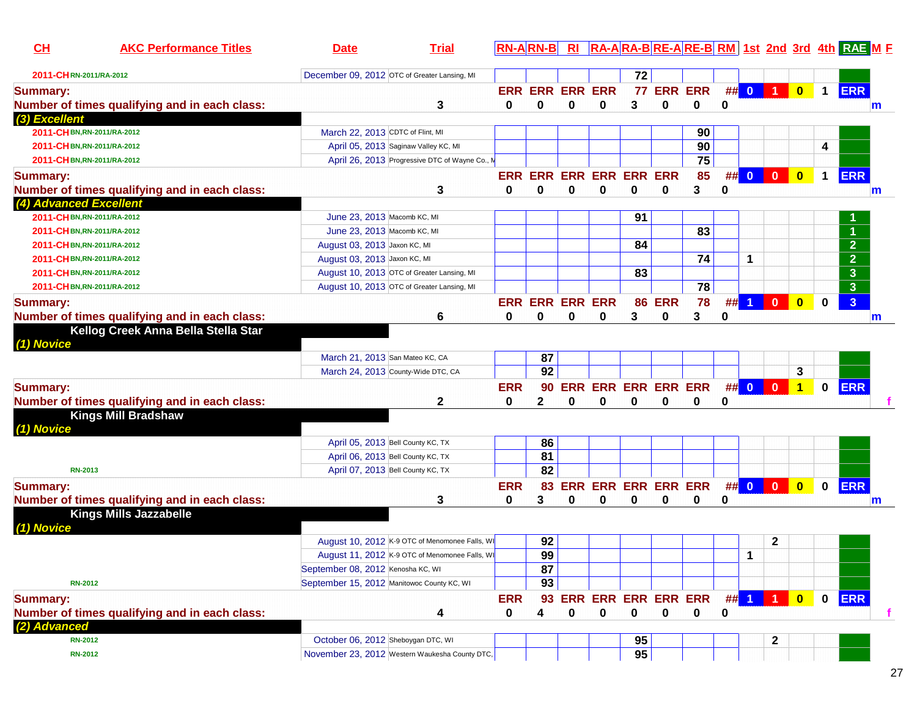| CL                          | <b>AKC Performance Titles</b>                 | <b>Trial</b><br><b>Date</b>                    |              | <b>RN-ARN-B</b> |                         |                            |    |               |                 |          |          |                         |                         |              | RI RA-ARA-BRE-ARE-BRM 1st 2nd 3rd 4th RAE M F |
|-----------------------------|-----------------------------------------------|------------------------------------------------|--------------|-----------------|-------------------------|----------------------------|----|---------------|-----------------|----------|----------|-------------------------|-------------------------|--------------|-----------------------------------------------|
| 2011-CHRN-2011/RA-2012      |                                               | December 09, 2012 OTC of Greater Lansing, MI   |              |                 |                         |                            | 72 |               |                 |          |          |                         |                         |              |                                               |
| <b>Summary:</b>             |                                               |                                                |              |                 | <b>ERR ERR ERR ERR</b>  |                            |    |               | 77 ERR ERR      |          | ## 0     | $\blacksquare$          | $\bullet$               | $\mathbf{1}$ | <b>ERR</b>                                    |
|                             | Number of times qualifying and in each class: | 3                                              | $\mathbf{0}$ | 0               | 0                       | 0                          | 3  | 0             | 0               | 0        |          |                         |                         |              | m                                             |
| (3) Excellent               |                                               |                                                |              |                 |                         |                            |    |               |                 |          |          |                         |                         |              |                                               |
| 2011-CHBN, RN-2011/RA-2012  |                                               | March 22, 2013 CDTC of Flint, MI               |              |                 |                         |                            |    |               | 90              |          |          |                         |                         |              |                                               |
| 2011-CHBN, RN-2011/RA-2012  |                                               | April 05, 2013 Saginaw Valley KC, MI           |              |                 |                         |                            |    |               | 90              |          |          |                         |                         | 4            |                                               |
| 2011-CH BN, RN-2011/RA-2012 |                                               | April 26, 2013 Progressive DTC of Wayne Co., M |              |                 |                         |                            |    |               | 75              |          |          |                         |                         |              |                                               |
| <b>Summary:</b>             |                                               |                                                |              |                 | ERR ERR ERR ERR ERR ERR |                            |    |               | 85              |          | ## 0     | $\overline{\mathbf{0}}$ | $\overline{\mathbf{0}}$ | $\mathbf 1$  | <b>ERR</b>                                    |
|                             | Number of times qualifying and in each class: | 3                                              | 0            | $\bf{0}$        | 0                       | 0                          | 0  | 0             | 3               | $\bf{0}$ |          |                         |                         |              | m                                             |
| (4) Advanced Excellent      |                                               |                                                |              |                 |                         |                            |    |               |                 |          |          |                         |                         |              |                                               |
| 2011-CHBN,RN-2011/RA-2012   |                                               | June 23, 2013 Macomb KC, MI                    |              |                 |                         |                            | 91 |               |                 |          |          |                         |                         |              |                                               |
| 2011-CH BN, RN-2011/RA-2012 |                                               | June 23, 2013 Macomb KC, MI                    |              |                 |                         |                            |    |               | 83              |          |          |                         |                         |              | $\blacktriangleleft$                          |
| 2011-CH BN, RN-2011/RA-2012 |                                               | August 03, 2013 Jaxon KC, MI                   |              |                 |                         |                            | 84 |               |                 |          |          |                         |                         |              | $\overline{2}$                                |
| 2011-CH BN, RN-2011/RA-2012 |                                               | August 03, 2013 Jaxon KC, MI                   |              |                 |                         |                            |    |               | 74              |          | 1        |                         |                         |              | $\overline{2}$                                |
| 2011-CH BN, RN-2011/RA-2012 |                                               | August 10, 2013 OTC of Greater Lansing, MI     |              |                 |                         |                            | 83 |               |                 |          |          |                         |                         |              | $\mathbf{3}$                                  |
| 2011-CH BN, RN-2011/RA-2012 |                                               | August 10, 2013 OTC of Greater Lansing, MI     |              |                 |                         |                            |    |               | $\overline{78}$ |          |          |                         |                         |              | $\mathbf{3}$                                  |
| <b>Summary:</b>             |                                               |                                                |              |                 | <b>ERR ERR ERR ERR</b>  |                            |    | <b>86 ERR</b> | 78              |          | $\#$ 1   | $\bullet$               | $\bullet$               | $\bf{0}$     | $\mathbf{3}$                                  |
|                             | Number of times qualifying and in each class: | 6                                              | 0            | $\bf{0}$        | 0                       | 0                          | 3  | 0             | 3               | 0        |          |                         |                         |              | m                                             |
| (1) Novice                  | Kellog Creek Anna Bella Stella Star           |                                                |              |                 |                         |                            |    |               |                 |          |          |                         |                         |              |                                               |
|                             |                                               | March 21, 2013 San Mateo KC, CA                |              |                 | 87                      |                            |    |               |                 |          |          |                         |                         |              |                                               |
|                             |                                               | March 24, 2013 County-Wide DTC, CA             |              |                 | 92                      |                            |    |               |                 |          |          |                         | 3                       |              |                                               |
| <b>Summary:</b>             |                                               |                                                | <b>ERR</b>   |                 | 90                      | ERR ERR ERR ERR ERR        |    |               |                 |          | $##$ 0 0 |                         | $\vert$ 1               | $\mathbf{0}$ | <b>ERR</b>                                    |
|                             | Number of times qualifying and in each class: | $\mathbf 2$                                    | 0            | $\mathbf{2}$    | 0                       | 0                          | 0  | 0             | 0               | 0        |          |                         |                         |              |                                               |
| (1) Novice                  | <b>Kings Mill Bradshaw</b>                    |                                                |              |                 |                         |                            |    |               |                 |          |          |                         |                         |              |                                               |
|                             |                                               | April 05, 2013 Bell County KC, TX              |              |                 | 86                      |                            |    |               |                 |          |          |                         |                         |              |                                               |
|                             |                                               | April 06, 2013 Bell County KC, TX              |              |                 | $\overline{81}$         |                            |    |               |                 |          |          |                         |                         |              |                                               |
| <b>RN-2013</b>              |                                               | April 07, 2013 Bell County KC, TX              |              |                 | 82                      |                            |    |               |                 |          |          |                         |                         |              |                                               |
| <b>Summary:</b>             |                                               |                                                | <b>ERR</b>   |                 | 83                      | ERR ERR ERR ERR ERR        |    |               |                 |          |          |                         | $\overline{\mathbf{0}}$ | $\mathbf 0$  | <b>ERR</b>                                    |
|                             | Number of times qualifying and in each class: | 3                                              | 0            | 3               | 0                       | 0                          | 0  | 0             | 0               | 0        |          |                         |                         |              | m                                             |
| (1) Novice                  | <b>Kings Mills Jazzabelle</b>                 |                                                |              |                 |                         |                            |    |               |                 |          |          |                         |                         |              |                                               |
|                             |                                               | August 10, 2012 K-9 OTC of Menomonee Falls, WI |              |                 | 92                      |                            |    |               |                 |          |          | 2                       |                         |              |                                               |
|                             |                                               | August 11, 2012 K-9 OTC of Menomonee Falls, WI |              |                 | 99                      |                            |    |               |                 |          | 1        |                         |                         |              |                                               |
|                             |                                               | September 08, 2012 Kenosha KC, WI              |              |                 | 87                      |                            |    |               |                 |          |          |                         |                         |              |                                               |
| <b>RN-2012</b>              |                                               | September 15, 2012 Manitowoc County KC, WI     |              |                 | 93                      |                            |    |               |                 |          |          |                         |                         |              |                                               |
| <b>Summary:</b>             |                                               |                                                | <b>ERR</b>   |                 | 93                      | <b>ERR ERR ERR ERR ERR</b> |    |               |                 |          | $##$ 1   | 1.                      | $\overline{\mathbf{0}}$ | $\mathbf 0$  | <b>ERR</b>                                    |
|                             | Number of times qualifying and in each class: | 4                                              | 0            | 4               | 0                       | 0                          | 0  | $\bf{0}$      | $\mathbf 0$     | 0        |          |                         |                         |              |                                               |
| (2) Advanced                |                                               |                                                |              |                 |                         |                            |    |               |                 |          |          |                         |                         |              |                                               |
| <b>RN-2012</b>              |                                               | October 06, 2012 Sheboygan DTC, WI             |              |                 |                         |                            | 95 |               |                 |          |          | $\mathbf{2}$            |                         |              |                                               |
| <b>RN-2012</b>              |                                               | November 23, 2012 Western Waukesha County DTC, |              |                 |                         |                            | 95 |               |                 |          |          |                         |                         |              |                                               |
|                             |                                               |                                                |              |                 |                         |                            |    |               |                 |          |          |                         |                         |              |                                               |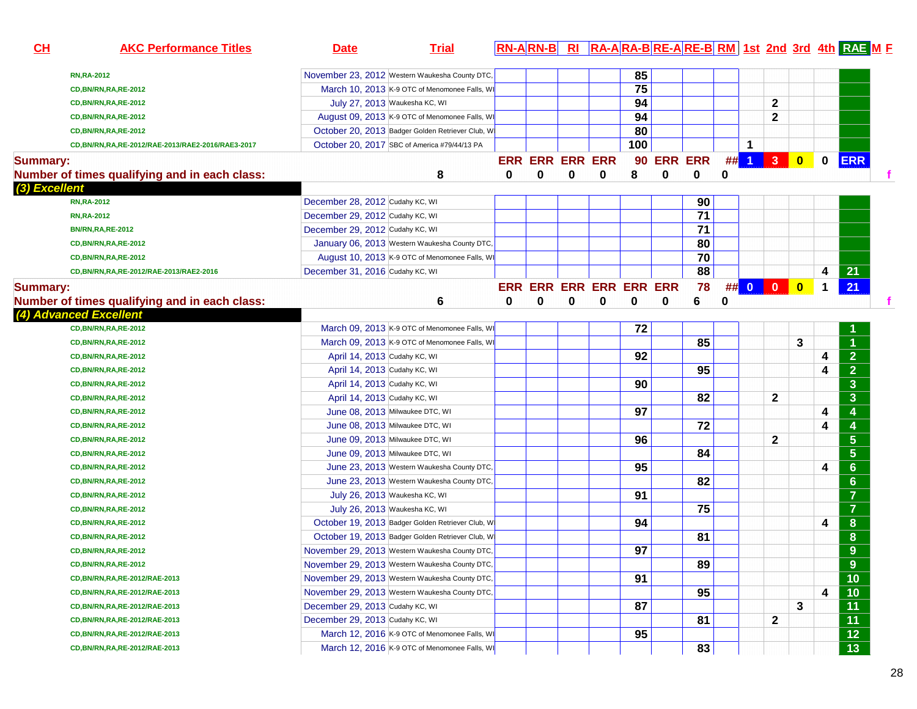| CH              | <b>AKC Performance Titles</b>                                           | <b>Date</b>                     | <b>Trial</b>                                      |   |                        |   |                         |                 |          |                 |    |                |                |                         |             | <b>RN-ARN-B RI RA-ARA-BRE-ARE-BRM 1st 2nd 3rd 4th RAE ME</b> |  |
|-----------------|-------------------------------------------------------------------------|---------------------------------|---------------------------------------------------|---|------------------------|---|-------------------------|-----------------|----------|-----------------|----|----------------|----------------|-------------------------|-------------|--------------------------------------------------------------|--|
|                 | <b>RN, RA-2012</b>                                                      |                                 | November 23, 2012 Western Waukesha County DTC,    |   |                        |   |                         | 85              |          |                 |    |                |                |                         |             |                                                              |  |
|                 | <b>CD, BN/RN, RA, RE-2012</b>                                           |                                 | March 10, 2013 K-9 OTC of Menomonee Falls, WI     |   |                        |   |                         | $\overline{75}$ |          |                 |    |                |                |                         |             |                                                              |  |
|                 | <b>CD, BN/RN, RA, RE-2012</b>                                           |                                 | July 27, 2013 Waukesha KC, WI                     |   |                        |   |                         | 94              |          |                 |    |                | $\mathbf{2}$   |                         |             |                                                              |  |
|                 | <b>CD, BN/RN, RA, RE-2012</b>                                           |                                 | August 09, 2013 K-9 OTC of Menomonee Falls, WI    |   |                        |   |                         | 94              |          |                 |    |                | $\mathbf{2}$   |                         |             |                                                              |  |
|                 | CD, BN/RN, RA, RE-2012                                                  |                                 | October 20, 2013 Badger Golden Retriever Club, WI |   |                        |   |                         | 80              |          |                 |    |                |                |                         |             |                                                              |  |
|                 | CD,BN/RN,RA,RE-2012/RAE-2013/RAE2-2016/RAE3-2017                        |                                 | October 20, 2017 SBC of America #79/44/13 PA      |   |                        |   |                         | 100             |          |                 |    | 1              |                |                         |             |                                                              |  |
|                 |                                                                         |                                 |                                                   |   | <b>ERR ERR ERR ERR</b> |   |                         |                 |          | 90 ERR ERR      | ## | $\overline{1}$ | 3 <sup>°</sup> | $\overline{\mathbf{0}}$ | $\mathbf 0$ | <b>ERR</b>                                                   |  |
| <b>Summary:</b> |                                                                         |                                 | 8                                                 | 0 | 0                      | 0 | 0                       | 8               | 0        | $\mathbf 0$     | 0  |                |                |                         |             |                                                              |  |
| (3) Excellent   | Number of times qualifying and in each class:                           |                                 |                                                   |   |                        |   |                         |                 |          |                 |    |                |                |                         |             |                                                              |  |
|                 | <b>RN,RA-2012</b>                                                       | December 28, 2012 Cudahy KC, WI |                                                   |   |                        |   |                         |                 |          | 90              |    |                |                |                         |             |                                                              |  |
|                 | <b>RN, RA-2012</b>                                                      | December 29, 2012 Cudahy KC, WI |                                                   |   |                        |   |                         |                 |          | $\overline{71}$ |    |                |                |                         |             |                                                              |  |
|                 | <b>BN/RN, RA, RE-2012</b>                                               | December 29, 2012 Cudahy KC, WI |                                                   |   |                        |   |                         |                 |          | 71              |    |                |                |                         |             |                                                              |  |
|                 | <b>CD, BN/RN, RA, RE-2012</b>                                           |                                 | January 06, 2013 Western Waukesha County DTC,     |   |                        |   |                         |                 |          | 80              |    |                |                |                         |             |                                                              |  |
|                 | CD, BN/RN, RA, RE-2012                                                  |                                 | August 10, 2013 K-9 OTC of Menomonee Falls, WI    |   |                        |   |                         |                 |          | 70              |    |                |                |                         |             |                                                              |  |
|                 | CD, BN/RN, RA, RE-2012/RAE-2013/RAE2-2016                               | December 31, 2016 Cudahy KC, WI |                                                   |   |                        |   |                         |                 |          | 88              |    |                |                |                         | 4           | 21                                                           |  |
|                 |                                                                         |                                 |                                                   |   |                        |   | ERR ERR ERR ERR ERR ERR |                 |          | 78              |    |                | ## 0 0 0       |                         |             | 21                                                           |  |
| <b>Summary:</b> |                                                                         |                                 |                                                   | 0 |                        |   | 0                       |                 | $\bf{0}$ |                 |    |                |                |                         | 1           |                                                              |  |
|                 | Number of times qualifying and in each class:<br>(4) Advanced Excellent |                                 | 6                                                 |   | 0                      | 0 |                         | 0               |          | 6               | 0  |                |                |                         |             |                                                              |  |
|                 | <b>CD, BN/RN, RA, RE-2012</b>                                           |                                 | March 09, 2013 K-9 OTC of Menomonee Falls, WI     |   |                        |   |                         | 72              |          |                 |    |                |                |                         |             |                                                              |  |
|                 | <b>CD, BN/RN, RA, RE-2012</b>                                           |                                 | March 09, 2013 K-9 OTC of Menomonee Falls, WI     |   |                        |   |                         |                 |          | 85              |    |                |                | 3                       |             |                                                              |  |
|                 | <b>CD, BN/RN, RA, RE-2012</b>                                           | April 14, 2013 Cudahy KC, WI    |                                                   |   |                        |   |                         | 92              |          |                 |    |                |                |                         |             | $\overline{2}$                                               |  |
|                 |                                                                         | April 14, 2013 Cudahy KC, WI    |                                                   |   |                        |   |                         |                 |          | 95              |    |                |                |                         | 4<br>4      | $\overline{2}$                                               |  |
|                 | CD, BN/RN, RA, RE-2012                                                  | April 14, 2013 Cudahy KC, WI    |                                                   |   |                        |   |                         | 90              |          |                 |    |                |                |                         |             | $\overline{3}$                                               |  |
|                 | CD, BN/RN, RA, RE-2012                                                  |                                 |                                                   |   |                        |   |                         |                 |          | 82              |    |                |                |                         |             | 3 <sup>5</sup>                                               |  |
|                 | <b>CD, BN/RN, RA, RE-2012</b>                                           | April 14, 2013 Cudahy KC, WI    |                                                   |   |                        |   |                         | 97              |          |                 |    |                | $\mathbf{2}$   |                         |             |                                                              |  |
|                 | <b>CD, BN/RN, RA, RE-2012</b>                                           |                                 | June 08, 2013 Milwaukee DTC, WI                   |   |                        |   |                         |                 |          |                 |    |                |                |                         | 4           | 4                                                            |  |
|                 | <b>CD, BN/RN, RA, RE-2012</b>                                           |                                 | June 08, 2013 Milwaukee DTC, WI                   |   |                        |   |                         |                 |          | 72              |    |                |                |                         | 4           | 4                                                            |  |
|                 | CD, BN/RN, RA, RE-2012                                                  |                                 | June 09, 2013 Milwaukee DTC, WI                   |   |                        |   |                         | 96              |          |                 |    |                | $\mathbf{2}$   |                         |             | 5 <sup>5</sup>                                               |  |
|                 | CD, BN/RN, RA, RE-2012                                                  |                                 | June 09, 2013 Milwaukee DTC, WI                   |   |                        |   |                         |                 |          | 84              |    |                |                |                         |             | 5 <sup>5</sup>                                               |  |
|                 | CD, BN/RN, RA, RE-2012                                                  |                                 | June 23, 2013 Western Waukesha County DTC,        |   |                        |   |                         | 95              |          |                 |    |                |                |                         | 4           | $6\phantom{a}$                                               |  |
|                 | <b>CD, BN/RN, RA, RE-2012</b>                                           |                                 | June 23, 2013 Western Waukesha County DTC,        |   |                        |   |                         |                 |          | 82              |    |                |                |                         |             | $6\phantom{a}$                                               |  |
|                 | <b>CD, BN/RN, RA, RE-2012</b>                                           |                                 | July 26, 2013 Waukesha KC, WI                     |   |                        |   |                         | 91              |          |                 |    |                |                |                         |             | $\overline{7}$                                               |  |
|                 | CD, BN/RN, RA, RE-2012                                                  |                                 | July 26, 2013 Waukesha KC, WI                     |   |                        |   |                         |                 |          | 75              |    |                |                |                         |             | $\overline{7}$                                               |  |
|                 | CD, BN/RN, RA, RE-2012                                                  |                                 | October 19, 2013 Badger Golden Retriever Club, WI |   |                        |   |                         | 94              |          |                 |    |                |                |                         | 4           | 8                                                            |  |
|                 | <b>CD, BN/RN, RA, RE-2012</b>                                           |                                 | October 19, 2013 Badger Golden Retriever Club, WI |   |                        |   |                         |                 |          | 81              |    |                |                |                         |             | 8                                                            |  |
|                 | <b>CD, BN/RN, RA, RE-2012</b>                                           |                                 | November 29, 2013 Western Waukesha County DTC,    |   |                        |   |                         | 97              |          |                 |    |                |                |                         |             | $9\phantom{.}$                                               |  |
|                 | CD, BN/RN, RA, RE-2012                                                  |                                 | November 29, 2013 Western Waukesha County DTC,    |   |                        |   |                         |                 |          | 89              |    |                |                |                         |             | 9 <sup>°</sup>                                               |  |
|                 | CD, BN/RN, RA, RE-2012/RAE-2013                                         |                                 | November 29, 2013 Western Waukesha County DTC,    |   |                        |   |                         | 91              |          |                 |    |                |                |                         |             | $\overline{10}$                                              |  |
|                 | CD, BN/RN, RA, RE-2012/RAE-2013                                         |                                 | November 29, 2013 Western Waukesha County DTC,    |   |                        |   |                         |                 |          | 95              |    |                |                |                         | 4           | $\overline{10}$                                              |  |
|                 | CD, BN/RN, RA, RE-2012/RAE-2013                                         | December 29, 2013 Cudahy KC, WI |                                                   |   |                        |   |                         | 87              |          |                 |    |                |                | 3                       |             | $\overline{11}$                                              |  |
|                 | CD, BN/RN, RA, RE-2012/RAE-2013                                         | December 29, 2013 Cudahy KC, WI |                                                   |   |                        |   |                         |                 |          | 81              |    |                | $\mathbf{2}$   |                         |             | $\overline{11}$                                              |  |
|                 | CD, BN/RN, RA, RE-2012/RAE-2013                                         |                                 | March 12, 2016 K-9 OTC of Menomonee Falls, WI     |   |                        |   |                         | 95              |          |                 |    |                |                |                         |             | $\overline{12}$                                              |  |
|                 | CD, BN/RN, RA, RE-2012/RAE-2013                                         |                                 | March 12, 2016 K-9 OTC of Menomonee Falls, WI     |   |                        |   |                         |                 |          | 83              |    |                |                |                         |             | 13                                                           |  |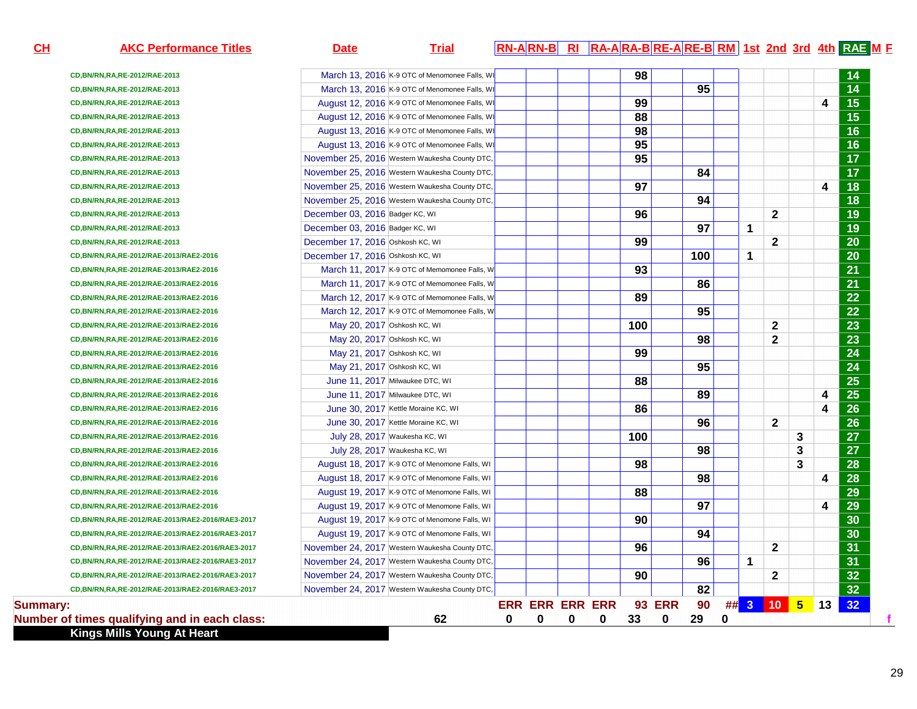| CH              | <b>AKC Performance Titles</b>                       | <b>Date</b>                                    | <b>Trial</b> | RN-ARN-B RI RA-ARA-BRE-ARE-BRM 1st 2nd 3rd 4th RAE M E |   |   |   |     |               |                 |          |              |              |   |    |                 |
|-----------------|-----------------------------------------------------|------------------------------------------------|--------------|--------------------------------------------------------|---|---|---|-----|---------------|-----------------|----------|--------------|--------------|---|----|-----------------|
|                 | CD, BN/RN, RA, RE-2012/RAE-2013                     | March 13, 2016 K-9 OTC of Menomonee Falls, WI  |              |                                                        |   |   |   | 98  |               |                 |          |              |              |   |    | 14              |
|                 | CD, BN/RN, RA, RE-2012/RAE-2013                     | March 13, 2016 K-9 OTC of Menomonee Falls, WI  |              |                                                        |   |   |   |     |               | 95              |          |              |              |   |    | $\overline{14}$ |
|                 | CD, BN/RN, RA, RE-2012/RAE-2013                     | August 12, 2016 K-9 OTC of Menomonee Falls, WI |              |                                                        |   |   |   | 99  |               |                 |          |              |              |   | 4  | $\overline{15}$ |
|                 | CD, BN/RN, RA, RE-2012/RAE-2013                     | August 12, 2016 K-9 OTC of Menomonee Falls, WI |              |                                                        |   |   |   | 88  |               |                 |          |              |              |   |    | $\overline{15}$ |
|                 | CD, BN/RN, RA, RE-2012/RAE-2013                     | August 13, 2016 K-9 OTC of Menomonee Falls, WI |              |                                                        |   |   |   | 98  |               |                 |          |              |              |   |    | 16              |
|                 | CD, BN/RN, RA, RE-2012/RAE-2013                     | August 13, 2016 K-9 OTC of Menomonee Falls, WI |              |                                                        |   |   |   | 95  |               |                 |          |              |              |   |    | $\overline{16}$ |
|                 | CD, BN/RN, RA, RE-2012/RAE-2013                     | November 25, 2016 Western Waukesha County DTC, |              |                                                        |   |   |   | 95  |               |                 |          |              |              |   |    | $\overline{17}$ |
|                 | CD, BN/RN, RA, RE-2012/RAE-2013                     | November 25, 2016 Western Waukesha County DTC, |              |                                                        |   |   |   |     |               | 84              |          |              |              |   |    | $\overline{17}$ |
|                 | CD, BN/RN, RA, RE-2012/RAE-2013                     | November 25, 2016 Western Waukesha County DTC, |              |                                                        |   |   |   | 97  |               |                 |          |              |              |   | 4  | $\overline{18}$ |
|                 | CD, BN/RN, RA, RE-2012/RAE-2013                     | November 25, 2016 Western Waukesha County DTC, |              |                                                        |   |   |   |     |               | 94              |          |              |              |   |    | 18              |
|                 | CD, BN/RN, RA, RE-2012/RAE-2013                     | December 03, 2016 Badger KC, WI                |              |                                                        |   |   |   | 96  |               |                 |          |              | $\mathbf{2}$ |   |    | $\overline{19}$ |
|                 | CD, BN/RN, RA, RE-2012/RAE-2013                     | December 03, 2016 Badger KC, WI                |              |                                                        |   |   |   |     |               | 97              |          | $\mathbf{1}$ |              |   |    | $\overline{19}$ |
|                 | CD, BN/RN, RA, RE-2012/RAE-2013                     | December 17, 2016 Oshkosh KC, WI               |              |                                                        |   |   |   | 99  |               |                 |          |              | $\mathbf{2}$ |   |    | $\overline{20}$ |
|                 | CD, BN/RN, RA, RE-2012/RAE-2013/RAE2-2016           | December 17, 2016 Oshkosh KC, WI               |              |                                                        |   |   |   |     |               | 100             |          | $\mathbf 1$  |              |   |    | $\overline{20}$ |
|                 | CD, BN/RN, RA, RE-2012/RAE-2013/RAE2-2016           | March 11, 2017 K-9 OTC of Memomonee Falls, W   |              |                                                        |   |   |   | 93  |               |                 |          |              |              |   |    | $\overline{21}$ |
|                 | CD, BN/RN, RA, RE-2012/RAE-2013/RAE2-2016           | March 11, 2017 K-9 OTC of Memomonee Falls, W   |              |                                                        |   |   |   |     |               | 86              |          |              |              |   |    | $\overline{21}$ |
|                 | CD, BN/RN, RA, RE-2012/RAE-2013/RAE2-2016           | March 12, 2017 K-9 OTC of Memomonee Falls, W   |              |                                                        |   |   |   | 89  |               |                 |          |              |              |   |    | $\overline{22}$ |
|                 | CD, BN/RN, RA, RE-2012/RAE-2013/RAE2-2016           | March 12, 2017 K-9 OTC of Memomonee Falls, W   |              |                                                        |   |   |   |     |               | $\overline{95}$ |          |              |              |   |    | $\overline{22}$ |
|                 | CD, BN/RN, RA, RE-2012/RAE-2013/RAE2-2016           | May 20, 2017 Oshkosh KC, WI                    |              |                                                        |   |   |   | 100 |               |                 |          |              | $\mathbf 2$  |   |    | 23              |
|                 | CD, BN/RN, RA, RE-2012/RAE-2013/RAE2-2016           | May 20, 2017 Oshkosh KC, WI                    |              |                                                        |   |   |   |     |               | 98              |          |              | $\mathbf{2}$ |   |    | $\overline{23}$ |
|                 | CD, BN/RN, RA, RE-2012/RAE-2013/RAE2-2016           | May 21, 2017 Oshkosh KC, WI                    |              |                                                        |   |   |   | 99  |               |                 |          |              |              |   |    | $\overline{24}$ |
|                 | CD, BN/RN, RA, RE-2012/RAE-2013/RAE2-2016           | May 21, 2017 Oshkosh KC, WI                    |              |                                                        |   |   |   |     |               | 95              |          |              |              |   |    | $\overline{24}$ |
|                 | CD, BN/RN, RA, RE-2012/RAE-2013/RAE2-2016           | June 11, 2017 Milwaukee DTC, WI                |              |                                                        |   |   |   | 88  |               |                 |          |              |              |   |    | $\overline{25}$ |
|                 | CD, BN/RN, RA, RE-2012/RAE-2013/RAE2-2016           | June 11, 2017 Milwaukee DTC, WI                |              |                                                        |   |   |   |     |               | 89              |          |              |              |   | 4  | $\overline{25}$ |
|                 | CD, BN/RN, RA, RE-2012/RAE-2013/RAE2-2016           | June 30, 2017 Kettle Moraine KC, WI            |              |                                                        |   |   |   | 86  |               |                 |          |              |              |   | 4  | $\overline{26}$ |
|                 | CD, BN/RN, RA, RE-2012/RAE-2013/RAE2-2016           | June 30, 2017 Kettle Moraine KC, WI            |              |                                                        |   |   |   |     |               | 96              |          |              | $\mathbf{2}$ |   |    | $\overline{26}$ |
|                 | CD, BN/RN, RA, RE-2012/RAE-2013/RAE2-2016           | July 28, 2017 Waukesha KC, WI                  |              |                                                        |   |   |   | 100 |               |                 |          |              |              | 3 |    | $\overline{27}$ |
|                 | CD, BN/RN, RA, RE-2012/RAE-2013/RAE2-2016           | July 28, 2017 Waukesha KC, WI                  |              |                                                        |   |   |   |     |               | 98              |          |              |              | 3 |    | $\overline{27}$ |
|                 | CD, BN/RN, RA, RE-2012/RAE-2013/RAE2-2016           | August 18, 2017 K-9 OTC of Menomone Falls, WI  |              |                                                        |   |   |   | 98  |               |                 |          |              |              | 3 |    | $\overline{28}$ |
|                 | CD, BN/RN, RA, RE-2012/RAE-2013/RAE2-2016           | August 18, 2017 K-9 OTC of Menomone Falls, WI  |              |                                                        |   |   |   |     |               | 98              |          |              |              |   | 4  | 28              |
|                 | CD, BN/RN, RA, RE-2012/RAE-2013/RAE2-2016           | August 19, 2017 K-9 OTC of Menomone Falls, WI  |              |                                                        |   |   |   | 88  |               |                 |          |              |              |   |    | $\overline{29}$ |
|                 | CD, BN/RN, RA, RE-2012/RAE-2013/RAE2-2016           | August 19, 2017 K-9 OTC of Menomone Falls, WI  |              |                                                        |   |   |   |     |               | 97              |          |              |              |   | 4  | 29              |
|                 | CD, BN/RN, RA, RE-2012/RAE-2013/RAE2-2016/RAE3-2017 | August 19, 2017 K-9 OTC of Menomone Falls, WI  |              |                                                        |   |   |   | 90  |               |                 |          |              |              |   |    | $\overline{30}$ |
|                 | CD, BN/RN, RA, RE-2012/RAE-2013/RAE2-2016/RAE3-2017 | August 19, 2017 K-9 OTC of Menomone Falls, WI  |              |                                                        |   |   |   |     |               | 94              |          |              |              |   |    | $\overline{30}$ |
|                 | CD, BN/RN, RA, RE-2012/RAE-2013/RAE2-2016/RAE3-2017 | November 24, 2017 Western Waukesha County DTC, |              |                                                        |   |   |   | 96  |               |                 |          |              | $\mathbf{2}$ |   |    | $\overline{31}$ |
|                 | CD, BN/RN, RA, RE-2012/RAE-2013/RAE2-2016/RAE3-2017 | November 24, 2017 Western Waukesha County DTC, |              |                                                        |   |   |   |     |               | 96              |          | $\mathbf 1$  |              |   |    | $\overline{31}$ |
|                 | CD, BN/RN, RA, RE-2012/RAE-2013/RAE2-2016/RAE3-2017 | November 24, 2017 Western Waukesha County DTC, |              |                                                        |   |   |   | 90  |               |                 |          |              | $\mathbf{2}$ |   |    | $\overline{32}$ |
|                 | CD, BN/RN, RA, RE-2012/RAE-2013/RAE2-2016/RAE3-2017 | November 24, 2017 Western Waukesha County DTC, |              |                                                        |   |   |   |     |               | 82              |          |              |              |   |    | $\overline{32}$ |
| <b>Summary:</b> |                                                     |                                                |              | <b>ERR ERR ERR ERR</b>                                 |   |   |   |     | <b>93 ERR</b> | 90              |          |              | $\#$ 3 10 5  |   | 13 | 32              |
|                 | Number of times qualifying and in each class:       |                                                | 62           | 0                                                      | 0 | 0 | 0 | 33  | 0             | 29              | $\bf{0}$ |              |              |   |    |                 |

**Kings Mills Young At Heart**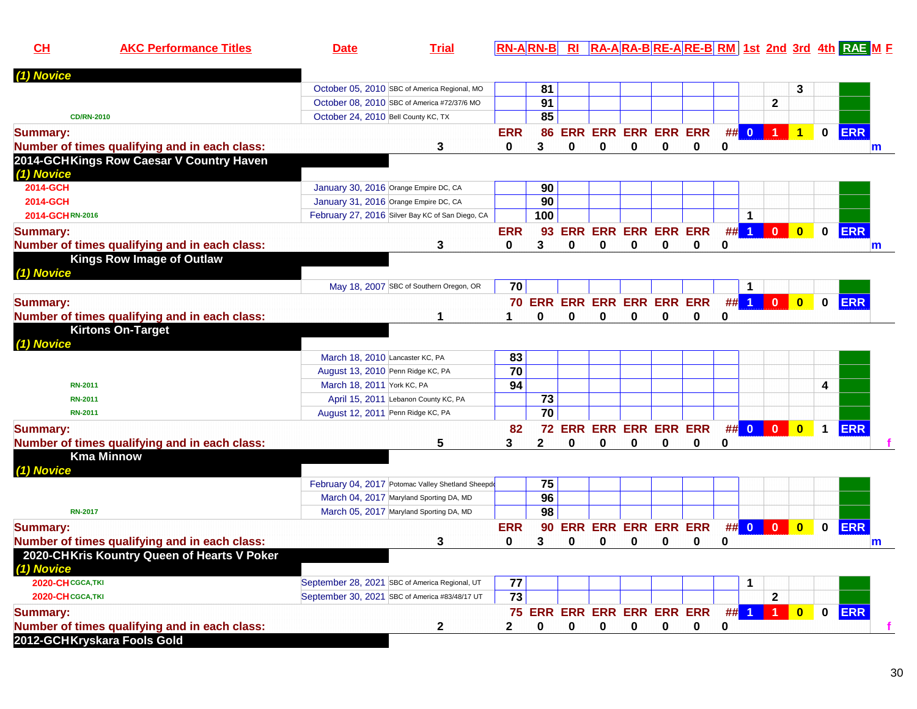| CH               | <b>AKC Performance Titles</b>                 | <b>Date</b>                         | <b>Trial</b>                                      |                 |                            |   |                            |             |             |             |   |          |                  |                         |                      | <b>RN-ARN-B RI RA-ARA-BRE-ARE-BRM 1st 2nd 3rd 4th RAE ME</b> |
|------------------|-----------------------------------------------|-------------------------------------|---------------------------------------------------|-----------------|----------------------------|---|----------------------------|-------------|-------------|-------------|---|----------|------------------|-------------------------|----------------------|--------------------------------------------------------------|
| (1) Novice       |                                               |                                     |                                                   |                 |                            |   |                            |             |             |             |   |          |                  |                         |                      |                                                              |
|                  |                                               |                                     | October 05, 2010 SBC of America Regional, MO      |                 | 81                         |   |                            |             |             |             |   |          |                  | 3                       |                      |                                                              |
|                  |                                               |                                     | October 08, 2010 SBC of America #72/37/6 MO       |                 | 91                         |   |                            |             |             |             |   |          | $\mathbf{2}$     |                         |                      |                                                              |
|                  | <b>CD/RN-2010</b>                             | October 24, 2010 Bell County KC, TX |                                                   |                 | 85                         |   |                            |             |             |             |   |          |                  |                         |                      |                                                              |
| <b>Summary:</b>  |                                               |                                     |                                                   | <b>ERR</b>      | 86                         |   | <b>ERR ERR ERR ERR ERR</b> |             |             |             |   | ## 0     |                  |                         | $\mathbf{0}$         | <b>ERR</b>                                                   |
|                  | Number of times qualifying and in each class: |                                     | 3                                                 | 0               | 3                          | 0 | 0                          | 0           | 0           | 0           | 0 |          |                  |                         |                      | m                                                            |
| (1) Novice       | 2014-GCHKings Row Caesar V Country Haven      |                                     |                                                   |                 |                            |   |                            |             |             |             |   |          |                  |                         |                      |                                                              |
| 2014-GCH         |                                               |                                     | January 30, 2016 Orange Empire DC, CA             |                 | 90                         |   |                            |             |             |             |   |          |                  |                         |                      |                                                              |
| 2014-GCH         |                                               |                                     | January 31, 2016 Orange Empire DC, CA             |                 | 90                         |   |                            |             |             |             |   |          |                  |                         |                      |                                                              |
| 2014-GCHRN-2016  |                                               |                                     | February 27, 2016 Silver Bay KC of San Diego, CA  |                 | 100                        |   |                            |             |             |             |   | 1        |                  |                         |                      |                                                              |
| <b>Summary:</b>  |                                               |                                     |                                                   | <b>ERR</b>      | 93                         |   | <b>ERR ERR ERR ERR ERR</b> |             |             |             |   | $##$ 1   | $\mathbf{0}$     | $\mathbf{0}$            | $\mathbf{0}$         | <b>ERR</b>                                                   |
|                  | Number of times qualifying and in each class: |                                     | 3                                                 | 0               | 3                          | 0 | 0                          | 0           | $\bf{0}$    | $\mathbf 0$ | 0 |          |                  |                         |                      | m                                                            |
| (1) Novice       | <b>Kings Row Image of Outlaw</b>              |                                     |                                                   |                 |                            |   |                            |             |             |             |   |          |                  |                         |                      |                                                              |
|                  |                                               |                                     | May 18, 2007 SBC of Southern Oregon, OR           | 70              |                            |   |                            |             |             |             |   |          |                  |                         |                      |                                                              |
| <b>Summary:</b>  |                                               |                                     |                                                   |                 | 70 ERR ERR ERR ERR ERR ERR |   |                            |             |             |             |   | $\#$ 1   | $\bullet$        | $\bullet$               | $\mathbf{0}$         | <b>ERR</b>                                                   |
|                  | Number of times qualifying and in each class: |                                     |                                                   |                 | $\bf{0}$                   | 0 | 0                          | 0           | 0           | 0           | 0 |          |                  |                         |                      |                                                              |
|                  | <b>Kirtons On-Target</b>                      |                                     |                                                   |                 |                            |   |                            |             |             |             |   |          |                  |                         |                      |                                                              |
| (1) Novice       |                                               |                                     |                                                   |                 |                            |   |                            |             |             |             |   |          |                  |                         |                      |                                                              |
|                  |                                               | March 18, 2010 Lancaster KC, PA     |                                                   | 83              |                            |   |                            |             |             |             |   |          |                  |                         |                      |                                                              |
|                  |                                               |                                     | August 13, 2010 Penn Ridge KC, PA                 | $\overline{70}$ |                            |   |                            |             |             |             |   |          |                  |                         |                      |                                                              |
| <b>RN-2011</b>   |                                               | March 18, 2011 York KC, PA          |                                                   | 94              |                            |   |                            |             |             |             |   |          |                  |                         | 4                    |                                                              |
| <b>RN-2011</b>   |                                               |                                     | April 15, 2011 Lebanon County KC, PA              |                 | 73                         |   |                            |             |             |             |   |          |                  |                         |                      |                                                              |
| RN-2011          |                                               |                                     | August 12, 2011 Penn Ridge KC, PA                 |                 | $\overline{70}$            |   |                            |             |             |             |   |          |                  |                         |                      |                                                              |
| <b>Summary:</b>  |                                               |                                     |                                                   | 82              | 72                         |   | <b>ERR ERR ERR ERR ERR</b> |             |             |             |   | $\#$ 0 0 |                  | $\bullet$               | $\blacktriangleleft$ | <b>ERR</b>                                                   |
|                  | Number of times qualifying and in each class: |                                     | 5                                                 | 3               | $\mathbf{2}$               | 0 | 0                          | 0           | 0           | 0           | 0 |          |                  |                         |                      |                                                              |
| (1) Novice       | <b>Kma Minnow</b>                             |                                     |                                                   |                 |                            |   |                            |             |             |             |   |          |                  |                         |                      |                                                              |
|                  |                                               |                                     | February 04, 2017 Potomac Valley Shetland Sheepdo |                 | 75                         |   |                            |             |             |             |   |          |                  |                         |                      |                                                              |
|                  |                                               |                                     | March 04, 2017 Maryland Sporting DA, MD           |                 | 96                         |   |                            |             |             |             |   |          |                  |                         |                      |                                                              |
| <b>RN-2017</b>   |                                               |                                     | March 05, 2017 Maryland Sporting DA, MD           |                 | 98                         |   |                            |             |             |             |   |          |                  |                         |                      |                                                              |
| <b>Summary:</b>  |                                               |                                     |                                                   | <b>ERR</b>      | 90                         |   | <b>ERR ERR ERR ERR ERR</b> |             |             |             |   | ## 0 0   |                  | $\mathbf{0}$            | $\mathbf{0}$         | <b>ERR</b>                                                   |
|                  | Number of times qualifying and in each class: |                                     | 3                                                 | 0               | 3                          | 0 | 0                          | 0           | 0           | 0           | 0 |          |                  |                         |                      | m                                                            |
| (1) Novice       | 2020-CHKris Kountry Queen of Hearts V Poker   |                                     |                                                   |                 |                            |   |                            |             |             |             |   |          |                  |                         |                      |                                                              |
| 2020-CHCGCA, TKI |                                               |                                     | September 28, 2021 SBC of America Regional, UT    | 77              |                            |   |                            |             |             |             |   |          |                  |                         |                      |                                                              |
| 2020-CHCGCA, TKI |                                               |                                     | September 30, 2021 SBC of America #83/48/17 UT    | 73              |                            |   |                            |             |             |             |   |          | $\mathbf{2}$     |                         |                      |                                                              |
| <b>Summary:</b>  |                                               |                                     |                                                   |                 | 75 ERR ERR ERR ERR ERR ERR |   |                            |             |             |             |   | $##$ 1   | $\blacksquare$ 1 | $\overline{\mathbf{0}}$ | $\mathbf 0$          | <b>ERR</b>                                                   |
|                  | Number of times qualifying and in each class: |                                     | 2                                                 | $\mathbf{2}$    | 0                          | 0 | 0                          | $\mathbf 0$ | $\mathbf 0$ | $\mathbf 0$ | 0 |          |                  |                         |                      | f.                                                           |
|                  | 2012-GCHKryskara Fools Gold                   |                                     |                                                   |                 |                            |   |                            |             |             |             |   |          |                  |                         |                      |                                                              |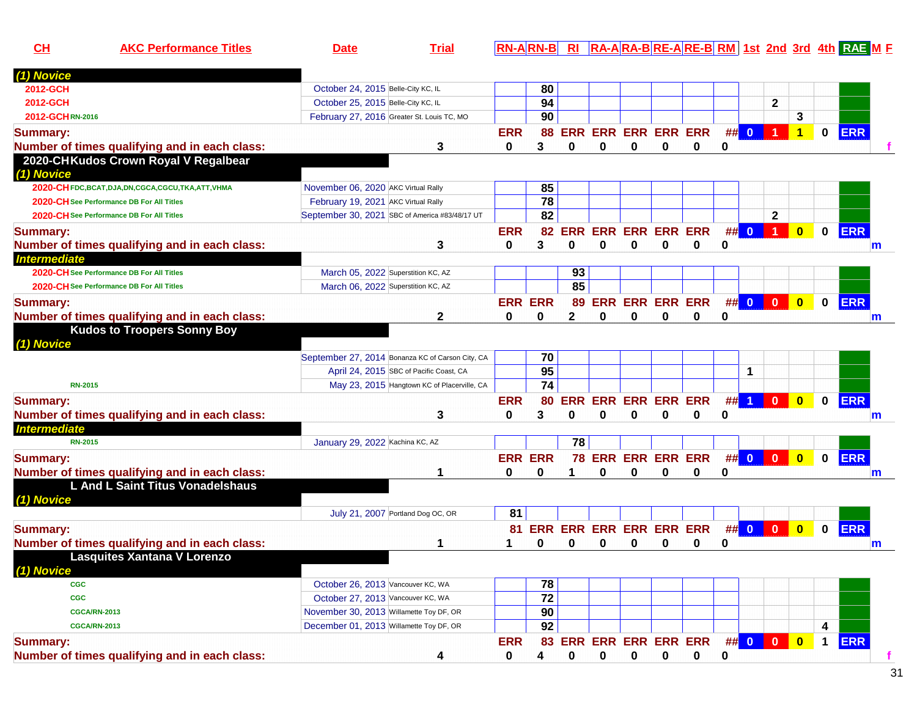| $CH$                     | <b>AKC Performance Titles</b>                                                     | <b>Date</b>                                                                  | <b>Trial</b>                                     |                |                       |              |                            |                    |          |                                 |    |                      |                |                         |              | <u>RN-ARN-B RI RA-ARA-BRE-ARE-BRM 1st 2nd 3rd 4th RAE M E</u> |   |
|--------------------------|-----------------------------------------------------------------------------------|------------------------------------------------------------------------------|--------------------------------------------------|----------------|-----------------------|--------------|----------------------------|--------------------|----------|---------------------------------|----|----------------------|----------------|-------------------------|--------------|---------------------------------------------------------------|---|
| (1) Novice               |                                                                                   |                                                                              |                                                  |                |                       |              |                            |                    |          |                                 |    |                      |                |                         |              |                                                               |   |
| 2012-GCH                 |                                                                                   | October 24, 2015 Belle-City KC, IL                                           |                                                  |                | 80                    |              |                            |                    |          |                                 |    |                      |                |                         |              |                                                               |   |
| 2012-GCH                 |                                                                                   | October 25, 2015 Belle-City KC, IL                                           |                                                  |                | 94                    |              |                            |                    |          |                                 |    |                      | $\mathbf{2}$   |                         |              |                                                               |   |
| 2012-GCHRN-2016          |                                                                                   |                                                                              | February 27, 2016 Greater St. Louis TC, MO       |                | 90                    |              |                            |                    |          |                                 |    |                      |                | 3                       |              |                                                               |   |
| <b>Summary:</b>          |                                                                                   |                                                                              |                                                  | <b>ERR</b>     | 88                    |              | <b>ERR ERR ERR ERR ERR</b> |                    |          |                                 | ## | $\mathbf{0}$         |                | 1                       | 0            | <b>ERR</b>                                                    |   |
|                          | Number of times qualifying and in each class:                                     |                                                                              | 3                                                | 0              | 3                     | 0            | 0                          | $\bf{0}$           | $\Omega$ | 0                               | 0  |                      |                |                         |              |                                                               |   |
|                          | 2020-CHKudos Crown Royal V Regalbear                                              |                                                                              |                                                  |                |                       |              |                            |                    |          |                                 |    |                      |                |                         |              |                                                               |   |
| (1) Novice               |                                                                                   |                                                                              |                                                  |                |                       |              |                            |                    |          |                                 |    |                      |                |                         |              |                                                               |   |
|                          | 2020-CHFDC, BCAT, DJA, DN, CGCA, CGCU, TKA, ATT, VHMA                             | November 06, 2020 AKC Virtual Rally                                          |                                                  |                | 85                    |              |                            |                    |          |                                 |    |                      |                |                         |              |                                                               |   |
|                          | 2020-CH See Performance DB For All Titles                                         | February 19, 2021 AKC Virtual Rally                                          |                                                  |                | $\overline{78}$       |              |                            |                    |          |                                 |    |                      |                |                         |              |                                                               |   |
|                          | 2020-CH See Performance DB For All Titles                                         |                                                                              | September 30, 2021 SBC of America #83/48/17 UT   |                | 82                    |              |                            |                    |          |                                 |    |                      | $\mathbf{2}$   |                         |              |                                                               |   |
| <b>Summary:</b>          |                                                                                   |                                                                              |                                                  | <b>ERR</b>     | 82                    | ERR          | <b>ERR</b>                 | <b>ERR ERR ERR</b> |          |                                 | #  | $\mathbf{0}$         | 1              | $\mathbf{0}$            | $\mathbf 0$  | <b>ERR</b>                                                    |   |
|                          | Number of times qualifying and in each class:                                     |                                                                              | 3                                                | 0              | 3                     | O            | 0                          | O                  | U        | 0                               | 0  |                      |                |                         |              |                                                               | m |
| <b>Intermediate</b>      |                                                                                   |                                                                              |                                                  |                |                       |              |                            |                    |          |                                 |    |                      |                |                         |              |                                                               |   |
|                          | 2020-CH See Performance DB For All Titles                                         |                                                                              | March 05, 2022 Superstition KC, AZ               |                |                       | 93           |                            |                    |          |                                 |    |                      |                |                         |              |                                                               |   |
|                          | 2020-CH See Performance DB For All Titles                                         |                                                                              | March 06, 2022 Superstition KC, AZ               |                |                       | 85           |                            |                    |          |                                 |    |                      |                |                         |              |                                                               |   |
| <b>Summary:</b>          |                                                                                   |                                                                              |                                                  |                | <b>ERR ERR</b>        |              | 89 ERR ERR ERR ERR         |                    |          |                                 |    | ## 0                 | $\overline{0}$ | $\overline{\mathbf{0}}$ | $\mathbf{0}$ | <b>ERR</b>                                                    |   |
|                          | Number of times qualifying and in each class:                                     |                                                                              | 2                                                | 0              | 0                     | $\mathbf{2}$ | 0                          | $\bf{0}$           | O        | 0                               | 0  |                      |                |                         |              |                                                               |   |
|                          | <b>Kudos to Troopers Sonny Boy</b>                                                |                                                                              |                                                  |                |                       |              |                            |                    |          |                                 |    |                      |                |                         |              |                                                               | m |
| (1) Novice               |                                                                                   |                                                                              |                                                  |                |                       |              |                            |                    |          |                                 |    |                      |                |                         |              |                                                               |   |
|                          |                                                                                   |                                                                              | September 27, 2014 Bonanza KC of Carson City, CA |                | 70                    |              |                            |                    |          |                                 |    |                      |                |                         |              |                                                               |   |
|                          |                                                                                   |                                                                              | April 24, 2015 SBC of Pacific Coast, CA          |                | 95                    |              |                            |                    |          |                                 |    | 1                    |                |                         |              |                                                               |   |
| <b>RN-2015</b>           |                                                                                   |                                                                              | May 23, 2015 Hangtown KC of Placerville, CA      |                | $\overline{74}$       |              |                            |                    |          |                                 |    |                      |                |                         |              |                                                               |   |
|                          |                                                                                   |                                                                              |                                                  | <b>ERR</b>     | 80                    |              | <b>ERR ERR</b>             | <b>ERR ERR ERR</b> |          |                                 | ## | $\blacktriangleleft$ | $\mathbf{0}$   | $\mathbf{0}$            | 0            | <b>ERR</b>                                                    |   |
| <b>Summary:</b>          |                                                                                   |                                                                              |                                                  | 0              | 3                     | 0            | 0                          | 0                  | 0        | 0                               | 0  |                      |                |                         |              |                                                               |   |
| <b>Intermediate</b>      | Number of times qualifying and in each class:                                     |                                                                              | 3                                                |                |                       |              |                            |                    |          |                                 |    |                      |                |                         |              |                                                               | m |
| <b>RN-2015</b>           |                                                                                   | January 29, 2022 Kachina KC, AZ                                              |                                                  |                |                       | 78           |                            |                    |          |                                 |    |                      |                |                         |              |                                                               |   |
|                          |                                                                                   |                                                                              |                                                  |                |                       |              |                            |                    |          |                                 |    | ## 0                 |                |                         |              | <b>ERR</b>                                                    |   |
| <b>Summary:</b>          |                                                                                   |                                                                              |                                                  | <b>ERR ERR</b> |                       |              | 78 ERR ERR ERR ERR         |                    |          |                                 |    |                      | $\mathbf{0}$   | $\mathbf{0}$            | $\mathbf 0$  |                                                               |   |
|                          | Number of times qualifying and in each class:<br>L And L Saint Titus Vonadelshaus |                                                                              | 1                                                | 0              | 0                     | 1            | 0                          | 0                  | 0        | 0                               | 0  |                      |                |                         |              |                                                               | m |
|                          |                                                                                   |                                                                              |                                                  |                |                       |              |                            |                    |          |                                 |    |                      |                |                         |              |                                                               |   |
| (1) Novice               |                                                                                   |                                                                              | July 21, 2007 Portland Dog OC, OR                | 81             |                       |              |                            |                    |          |                                 |    |                      |                |                         |              |                                                               |   |
|                          |                                                                                   |                                                                              |                                                  |                |                       |              |                            |                    |          | <b>ERR ERR ERR ERR ERR</b>      |    | ## 0                 |                |                         | $\mathbf 0$  |                                                               |   |
| <b>Summary:</b>          |                                                                                   |                                                                              |                                                  | 81             | ERR                   |              |                            |                    |          |                                 |    |                      | $\mathbf{0}$   | $\overline{\mathbf{0}}$ |              | <b>ERR</b>                                                    |   |
|                          | Number of times qualifying and in each class:                                     |                                                                              | 1                                                |                | 0                     | 0            | 0                          | 0                  | 0        | 0                               | 0  |                      |                |                         |              |                                                               | m |
|                          | <b>Lasquites Xantana V Lorenzo</b>                                                |                                                                              |                                                  |                |                       |              |                            |                    |          |                                 |    |                      |                |                         |              |                                                               |   |
| (1) Novice<br><b>CGC</b> |                                                                                   | October 26, 2013 Vancouver KC, WA                                            |                                                  |                |                       |              |                            |                    |          |                                 |    |                      |                |                         |              |                                                               |   |
|                          |                                                                                   |                                                                              |                                                  |                | 78<br>$\overline{72}$ |              |                            |                    |          |                                 |    |                      |                |                         |              |                                                               |   |
| <b>CGC</b>               |                                                                                   | October 27, 2013 Vancouver KC, WA<br>November 30, 2013 Willamette Toy DF, OR |                                                  |                |                       |              |                            |                    |          |                                 |    |                      |                |                         |              |                                                               |   |
|                          | <b>CGCA/RN-2013</b>                                                               |                                                                              |                                                  |                | 90                    |              |                            |                    |          |                                 |    |                      |                |                         |              |                                                               |   |
|                          | <b>CGCA/RN-2013</b>                                                               | December 01, 2013 Willamette Toy DF, OR                                      |                                                  |                | 92                    |              |                            |                    |          |                                 |    |                      |                |                         | 4            |                                                               |   |
| <b>Summary:</b>          |                                                                                   |                                                                              |                                                  | <b>ERR</b>     |                       |              |                            |                    |          | 83 ERR ERR ERR ERR ERR ## 0 0 0 |    |                      |                | $\overline{\mathbf{0}}$ | $\mathbf 1$  | <b>ERR</b>                                                    |   |
|                          | Number of times qualifying and in each class:                                     |                                                                              | 4                                                | 0              | 4                     | 0            | 0                          | 0                  | 0        | 0                               | 0  |                      |                |                         |              |                                                               | f |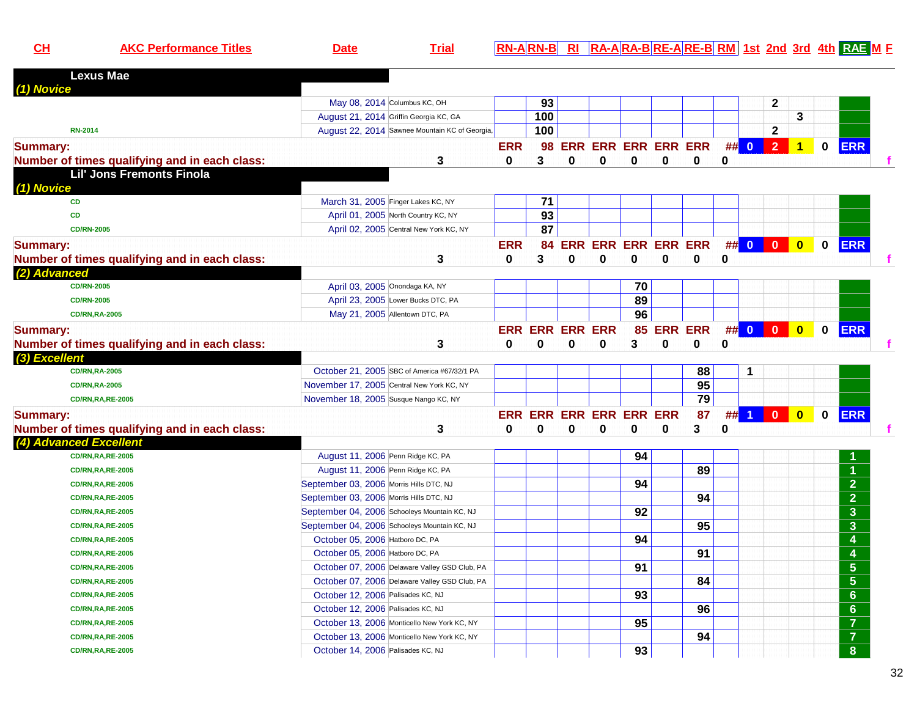**AKC Performance Titles Date Trial RN-A RN-B RI RA-A RA-B RE-A RE-B RM 1st 2nd 3rd 4th RAE <sup>M</sup> <sup>F</sup>**

| <b>Lexus Mae</b>                              |                                         |                                               |              |                        |          |          |                         |            |                 |          |                      |                         |                         |             |                                      |  |
|-----------------------------------------------|-----------------------------------------|-----------------------------------------------|--------------|------------------------|----------|----------|-------------------------|------------|-----------------|----------|----------------------|-------------------------|-------------------------|-------------|--------------------------------------|--|
| (1) Novice                                    |                                         |                                               |              |                        |          |          |                         |            |                 |          |                      |                         |                         |             |                                      |  |
|                                               |                                         | May 08, 2014 Columbus KC, OH                  |              | 93                     |          |          |                         |            |                 |          |                      | $\mathbf{2}$            |                         |             |                                      |  |
|                                               |                                         | August 21, 2014 Griffin Georgia KC, GA        |              | 100                    |          |          |                         |            |                 |          |                      |                         | 3                       |             |                                      |  |
| <b>RN-2014</b>                                |                                         | August 22, 2014 Sawnee Mountain KC of Georgia |              | 100                    |          |          |                         |            |                 |          |                      | $\mathbf{2}$            |                         |             |                                      |  |
| <b>Summary:</b>                               |                                         |                                               | <b>ERR</b>   |                        |          |          | 98 ERR ERR ERR ERR ERR  |            |                 |          | ## 0                 | $\overline{2}$          | $\blacktriangleleft$    | $\mathbf 0$ | <b>ERR</b>                           |  |
| Number of times qualifying and in each class: |                                         | 3                                             | $\mathbf{0}$ | 3                      | $\bf{0}$ | $\bf{0}$ | 0                       | 0          | $\mathbf{0}$    | 0        |                      |                         |                         |             |                                      |  |
| Lil' Jons Fremonts Finola<br>(1) Novice       |                                         |                                               |              |                        |          |          |                         |            |                 |          |                      |                         |                         |             |                                      |  |
| <b>CD</b>                                     |                                         | March 31, 2005 Finger Lakes KC, NY            |              | 71                     |          |          |                         |            |                 |          |                      |                         |                         |             |                                      |  |
| <b>CD</b>                                     |                                         | April 01, 2005 North Country KC, NY           |              | $\overline{93}$        |          |          |                         |            |                 |          |                      |                         |                         |             |                                      |  |
| <b>CD/RN-2005</b>                             |                                         | April 02, 2005 Central New York KC, NY        |              | 87                     |          |          |                         |            |                 |          |                      |                         |                         |             |                                      |  |
| <b>Summary:</b>                               |                                         |                                               | <b>ERR</b>   | 84                     |          |          | ERR ERR ERR ERR ERR     |            |                 |          | ## 0 0 0             |                         | $\overline{\mathbf{0}}$ | $\mathbf 0$ | <b>ERR</b>                           |  |
| Number of times qualifying and in each class: |                                         | 3                                             | $\bf{0}$     | 3                      | 0        | 0        | 0                       | 0          | 0               | $\bf{0}$ |                      |                         |                         |             |                                      |  |
| (2) Advanced                                  |                                         |                                               |              |                        |          |          |                         |            |                 |          |                      |                         |                         |             |                                      |  |
| <b>CD/RN-2005</b>                             |                                         | April 03, 2005 Onondaga KA, NY                |              |                        |          |          | 70                      |            |                 |          |                      |                         |                         |             |                                      |  |
| <b>CD/RN-2005</b>                             |                                         | April 23, 2005 Lower Bucks DTC, PA            |              |                        |          |          | 89                      |            |                 |          |                      |                         |                         |             |                                      |  |
| <b>CD/RN,RA-2005</b>                          |                                         | May 21, 2005 Allentown DTC, PA                |              |                        |          |          | 96                      |            |                 |          |                      |                         |                         |             |                                      |  |
| <b>Summary:</b>                               |                                         |                                               |              | <b>ERR ERR ERR ERR</b> |          |          |                         | 85 ERR ERR |                 |          | ## 0                 | $\overline{\mathbf{0}}$ | $\overline{\mathbf{0}}$ | $\mathbf 0$ | <b>ERR</b>                           |  |
| Number of times qualifying and in each class: |                                         | 3                                             | $\bf{0}$     | $\bf{0}$               | 0        | 0        | 3                       | $\bf{0}$   | 0               | $\bf{0}$ |                      |                         |                         |             |                                      |  |
| (3) Excellent                                 |                                         |                                               |              |                        |          |          |                         |            |                 |          |                      |                         |                         |             |                                      |  |
| <b>CD/RN,RA-2005</b>                          |                                         | October 21, 2005 SBC of America #67/32/1 PA   |              |                        |          |          |                         |            | 88              |          | 1                    |                         |                         |             |                                      |  |
| <b>CD/RN,RA-2005</b>                          |                                         | November 17, 2005 Central New York KC, NY     |              |                        |          |          |                         |            | 95              |          |                      |                         |                         |             |                                      |  |
| <b>CD/RN,RA,RE-2005</b>                       | November 18, 2005 Susque Nango KC, NY   |                                               |              |                        |          |          |                         |            | 79              |          |                      |                         |                         |             |                                      |  |
| <b>Summary:</b>                               |                                         |                                               |              |                        |          |          | ERR ERR ERR ERR ERR ERR |            | 87              | ##       | $\blacktriangleleft$ | $\overline{0}$          | $\overline{\mathbf{0}}$ | $\mathbf 0$ | <b>ERR</b>                           |  |
| Number of times qualifying and in each class: |                                         | 3                                             | $\bf{0}$     | $\bf{0}$               | $\bf{0}$ | $\bf{0}$ | $\bf{0}$                | 0          | 3               | $\bf{0}$ |                      |                         |                         |             |                                      |  |
| (4) Advanced Excellent                        |                                         |                                               |              |                        |          |          |                         |            |                 |          |                      |                         |                         |             |                                      |  |
| <b>CD/RN,RA,RE-2005</b>                       | August 11, 2006 Penn Ridge KC, PA       |                                               |              |                        |          |          | 94                      |            |                 |          |                      |                         |                         |             |                                      |  |
| <b>CD/RN,RA,RE-2005</b>                       | August 11, 2006 Penn Ridge KC, PA       |                                               |              |                        |          |          |                         |            | 89              |          |                      |                         |                         |             |                                      |  |
| <b>CD/RN,RA,RE-2005</b>                       | September 03, 2006 Morris Hills DTC, NJ |                                               |              |                        |          |          | 94                      |            |                 |          |                      |                         |                         |             | $\overline{2}$                       |  |
| <b>CD/RN,RA,RE-2005</b>                       | September 03, 2006 Morris Hills DTC, NJ |                                               |              |                        |          |          |                         |            | 94              |          |                      |                         |                         |             | $\overline{2}$                       |  |
| <b>CD/RN,RA,RE-2005</b>                       |                                         | September 04, 2006 Schooleys Mountain KC, NJ  |              |                        |          |          | 92                      |            |                 |          |                      |                         |                         |             | $\overline{\mathbf{3}}$              |  |
| <b>CD/RN,RA,RE-2005</b>                       |                                         | September 04, 2006 Schooleys Mountain KC, NJ  |              |                        |          |          |                         |            | 95              |          |                      |                         |                         |             | $\overline{\mathbf{3}}$              |  |
| <b>CD/RN,RA,RE-2005</b>                       | October 05, 2006 Hatboro DC, PA         |                                               |              |                        |          |          | 94                      |            |                 |          |                      |                         |                         |             | 4                                    |  |
| <b>CD/RN,RA,RE-2005</b>                       | October 05, 2006 Hatboro DC, PA         |                                               |              |                        |          |          |                         |            | $\overline{91}$ |          |                      |                         |                         |             | $\overline{4}$                       |  |
| <b>CD/RN,RA,RE-2005</b>                       |                                         | October 07, 2006 Delaware Valley GSD Club, PA |              |                        |          |          | 91                      |            |                 |          |                      |                         |                         |             | $\overline{\overline{\overline{5}}}$ |  |
| <b>CD/RN,RA,RE-2005</b>                       |                                         | October 07, 2006 Delaware Valley GSD Club, PA |              |                        |          |          |                         |            | 84              |          |                      |                         |                         |             | $\overline{\bf{5}}$                  |  |
| <b>CD/RN,RA,RE-2005</b>                       | October 12, 2006 Palisades KC, NJ       |                                               |              |                        |          |          | 93                      |            |                 |          |                      |                         |                         |             | $\overline{6}$                       |  |
| <b>CD/RN,RA,RE-2005</b>                       | October 12, 2006 Palisades KC, NJ       |                                               |              |                        |          |          |                         |            | 96              |          |                      |                         |                         |             | $\overline{6}$                       |  |
| <b>CD/RN,RA,RE-2005</b>                       |                                         | October 13, 2006 Monticello New York KC, NY   |              |                        |          |          | 95                      |            |                 |          |                      |                         |                         |             | $\overline{7}$                       |  |
| <b>CD/RN,RA,RE-2005</b>                       |                                         | October 13, 2006 Monticello New York KC, NY   |              |                        |          |          |                         |            | 94              |          |                      |                         |                         |             | $\overline{7}$                       |  |
| <b>CD/RN,RA,RE-2005</b>                       | October 14, 2006 Palisades KC, NJ       |                                               |              |                        |          |          | 93                      |            |                 |          |                      |                         |                         |             | $\overline{\mathbf{8}}$              |  |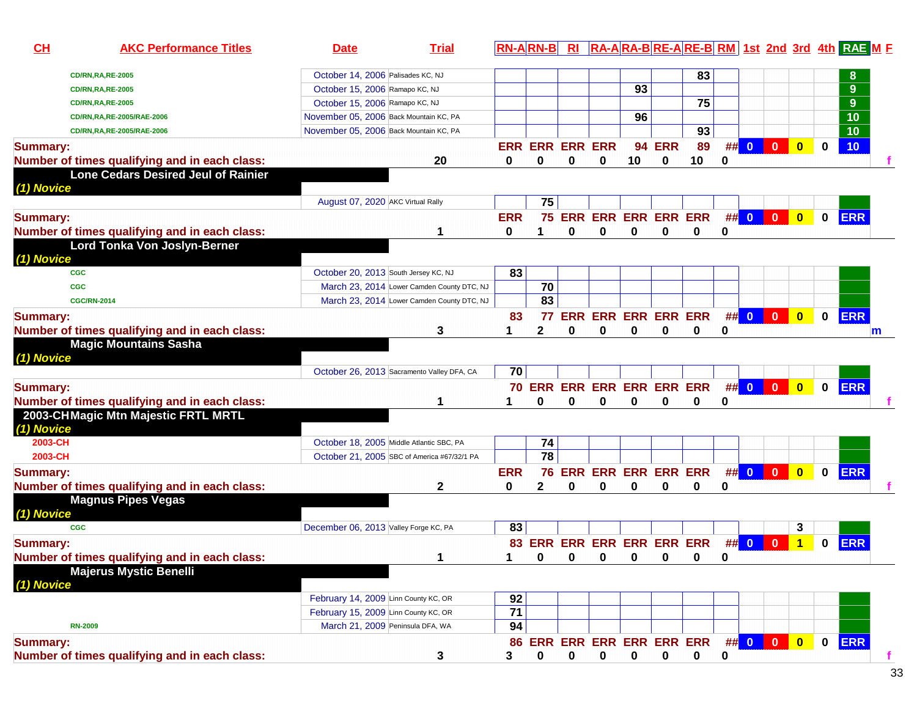| CL              | <b>AKC Performance Titles</b>                 | <b>Date</b>                            | <b>Trial</b>                                |            | <b>RN-ARN-B</b>            | <b>RI</b>   |          |                            |               |          |          |      |                         |                         |              | RA-ARA-BRE-ARE-BRM 1st 2nd 3rd 4th RAE ME |    |
|-----------------|-----------------------------------------------|----------------------------------------|---------------------------------------------|------------|----------------------------|-------------|----------|----------------------------|---------------|----------|----------|------|-------------------------|-------------------------|--------------|-------------------------------------------|----|
|                 | <b>CD/RN,RA,RE-2005</b>                       | October 14, 2006 Palisades KC, NJ      |                                             |            |                            |             |          |                            |               | 83       |          |      |                         |                         |              | 8                                         |    |
|                 | <b>CD/RN,RA,RE-2005</b>                       | October 15, 2006 Ramapo KC, NJ         |                                             |            |                            |             |          | 93                         |               |          |          |      |                         |                         |              | $\overline{9}$                            |    |
|                 | <b>CD/RN,RA,RE-2005</b>                       | October 15, 2006 Ramapo KC, NJ         |                                             |            |                            |             |          |                            |               | 75       |          |      |                         |                         |              | $\overline{9}$                            |    |
|                 | CD/RN,RA,RE-2005/RAE-2006                     | November 05, 2006 Back Mountain KC, PA |                                             |            |                            |             |          | 96                         |               |          |          |      |                         |                         |              | $\overline{10}$                           |    |
|                 | CD/RN,RA,RE-2005/RAE-2006                     | November 05, 2006 Back Mountain KC, PA |                                             |            |                            |             |          |                            |               | 93       |          |      |                         |                         |              | $\overline{10}$                           |    |
| <b>Summary:</b> |                                               |                                        |                                             |            | <b>ERR ERR ERR ERR</b>     |             |          |                            | <b>94 ERR</b> | 89       |          | ## 0 | $\mathbf{0}$            | $\mathbf{0}$            | $\mathbf 0$  | 10                                        |    |
|                 | Number of times qualifying and in each class: |                                        | 20                                          | 0          | 0                          | 0           | 0        | 10                         | 0             | 10       | 0        |      |                         |                         |              |                                           |    |
|                 | Lone Cedars Desired Jeul of Rainier           |                                        |                                             |            |                            |             |          |                            |               |          |          |      |                         |                         |              |                                           |    |
| (1) Novice      |                                               |                                        |                                             |            |                            |             |          |                            |               |          |          |      |                         |                         |              |                                           |    |
|                 |                                               | August 07, 2020 AKC Virtual Rally      |                                             |            | 75                         |             |          |                            |               |          |          |      |                         |                         |              |                                           |    |
| <b>Summary:</b> |                                               |                                        |                                             | <b>ERR</b> |                            |             |          | 75 ERR ERR ERR ERR ERR     |               |          | ## 0     |      | $\mathbf{0}$            | $\mathbf{0}$            | $\mathbf{0}$ | <b>ERR</b>                                |    |
|                 | Number of times qualifying and in each class: |                                        | 1                                           | 0          | 1                          | $\bf{0}$    | 0        | 0                          | $\bf{0}$      | $\bf{0}$ | 0        |      |                         |                         |              |                                           |    |
|                 | Lord Tonka Von Joslyn-Berner                  |                                        |                                             |            |                            |             |          |                            |               |          |          |      |                         |                         |              |                                           |    |
| (1) Novice      |                                               |                                        |                                             |            |                            |             |          |                            |               |          |          |      |                         |                         |              |                                           |    |
|                 | <b>CGC</b>                                    | October 20, 2013 South Jersey KC, NJ   |                                             | 83         |                            |             |          |                            |               |          |          |      |                         |                         |              |                                           |    |
|                 | <b>CGC</b>                                    |                                        | March 23, 2014 Lower Camden County DTC, NJ  |            | 70                         |             |          |                            |               |          |          |      |                         |                         |              |                                           |    |
|                 | <b>CGC/RN-2014</b>                            |                                        | March 23, 2014 Lower Camden County DTC, NJ  |            | 83                         |             |          |                            |               |          |          |      |                         |                         |              |                                           |    |
| <b>Summary:</b> |                                               |                                        |                                             | 83         | 77                         |             |          | <b>ERR ERR ERR ERR ERR</b> |               |          |          | ## 0 | $\overline{0}$          | $\mathbf{0}$            | $\mathbf 0$  | <b>ERR</b>                                |    |
|                 | Number of times qualifying and in each class: |                                        | 3                                           |            | 2                          | $\bf{0}$    | $\bf{0}$ | 0                          | $\bf{0}$      | 0        | 0        |      |                         |                         |              |                                           | m  |
|                 | <b>Magic Mountains Sasha</b>                  |                                        |                                             |            |                            |             |          |                            |               |          |          |      |                         |                         |              |                                           |    |
| (1) Novice      |                                               |                                        |                                             |            |                            |             |          |                            |               |          |          |      |                         |                         |              |                                           |    |
|                 |                                               |                                        | October 26, 2013 Sacramento Valley DFA, CA  | 70         |                            |             |          |                            |               |          |          |      |                         |                         |              |                                           |    |
| <b>Summary:</b> |                                               |                                        |                                             |            | 70 ERR ERR ERR ERR ERR ERR |             |          |                            |               |          |          | ## 0 | $\overline{\mathbf{0}}$ | $\bullet$               | $\mathbf 0$  | <b>ERR</b>                                |    |
|                 | Number of times qualifying and in each class: |                                        | 1                                           |            | 0                          | 0           |          | 0                          | 0             | 0        | 0        |      |                         |                         |              |                                           |    |
|                 | 2003-CHMagic Mtn Majestic FRTL MRTL           |                                        |                                             |            |                            |             |          |                            |               |          |          |      |                         |                         |              |                                           |    |
| (1) Novice      |                                               |                                        |                                             |            |                            |             |          |                            |               |          |          |      |                         |                         |              |                                           |    |
| 2003-CH         |                                               |                                        | October 18, 2005 Middle Atlantic SBC, PA    |            | 74                         |             |          |                            |               |          |          |      |                         |                         |              |                                           |    |
| 2003-CH         |                                               |                                        | October 21, 2005 SBC of America #67/32/1 PA |            | $\overline{78}$            |             |          |                            |               |          |          |      |                         |                         |              |                                           |    |
| <b>Summary:</b> |                                               |                                        |                                             | <b>ERR</b> |                            |             |          | 76 ERR ERR ERR ERR ERR     |               |          |          | ## 0 | $\overline{\mathbf{0}}$ | $\overline{\mathbf{0}}$ | $\mathbf 0$  | <b>ERR</b>                                |    |
|                 | Number of times qualifying and in each class: |                                        | 2                                           | 0          | 2                          | 0           | 0        | 0                          | 0             | 0        | 0        |      |                         |                         |              |                                           |    |
|                 | <b>Magnus Pipes Vegas</b>                     |                                        |                                             |            |                            |             |          |                            |               |          |          |      |                         |                         |              |                                           |    |
| (1) Novice      |                                               |                                        |                                             |            |                            |             |          |                            |               |          |          |      |                         |                         |              |                                           |    |
|                 | <b>CGC</b>                                    | December 06, 2013 Valley Forge KC, PA  |                                             | 83         |                            |             |          |                            |               |          |          |      |                         | 3                       |              |                                           |    |
| <b>Summary:</b> |                                               |                                        |                                             |            | 83 ERR ERR ERR ERR ERR ERR |             |          |                            |               |          | ## 0     |      | $\mathbf{0}$            | 1                       | $\mathbf{0}$ | <b>ERR</b>                                |    |
|                 | Number of times qualifying and in each class: |                                        | 1                                           |            | 1 0 0 0 0 0                |             |          |                            |               | 0        | $\Omega$ |      |                         |                         |              |                                           |    |
|                 | <b>Majerus Mystic Benelli</b>                 |                                        |                                             |            |                            |             |          |                            |               |          |          |      |                         |                         |              |                                           |    |
| (1) Novice      |                                               |                                        |                                             |            |                            |             |          |                            |               |          |          |      |                         |                         |              |                                           |    |
|                 |                                               | February 14, 2009 Linn County KC, OR   |                                             | 92         |                            |             |          |                            |               |          |          |      |                         |                         |              |                                           |    |
|                 |                                               | February 15, 2009 Linn County KC, OR   |                                             | 71         |                            |             |          |                            |               |          |          |      |                         |                         |              |                                           |    |
|                 | <b>RN-2009</b>                                | March 21, 2009 Peninsula DFA, WA       |                                             | 94         |                            |             |          |                            |               |          |          |      |                         |                         |              |                                           |    |
| <b>Summary:</b> |                                               |                                        |                                             |            | 86 ERR ERR ERR ERR ERR ERR |             |          |                            |               |          |          |      | ## 0 0 0                |                         |              | 0 ERR                                     |    |
|                 | Number of times qualifying and in each class: |                                        | 3                                           | 3          | $\mathbf 0$                | $\mathbf 0$ | 0        | $\mathbf 0$                | $\mathbf 0$   | 0        | 0        |      |                         |                         |              |                                           | f. |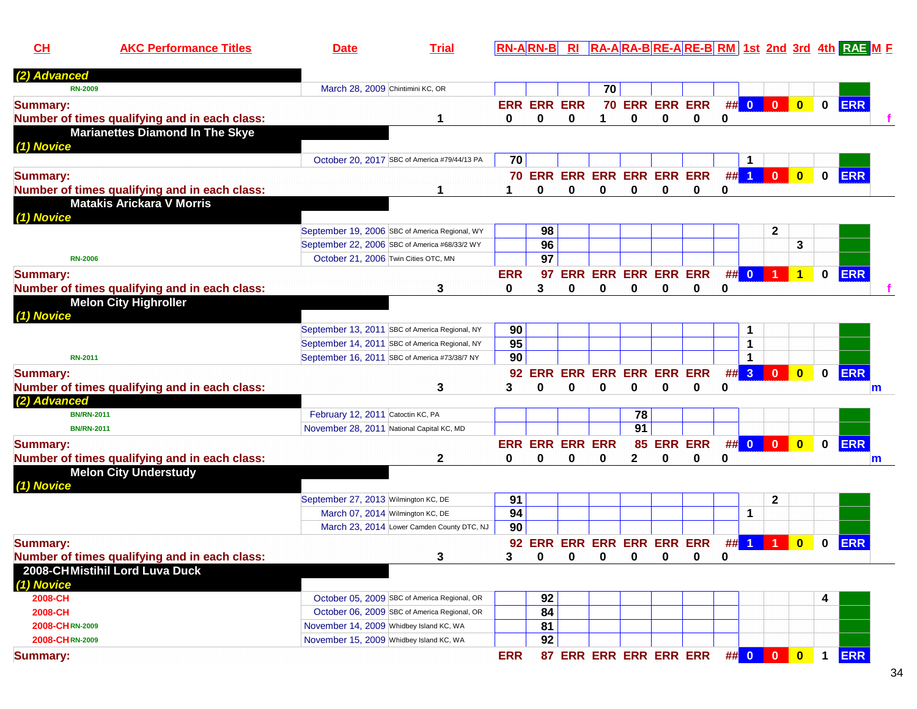**CHAKC Performance Titles Date Trial RN-A RN-B RI RA-A RA-B RE-A RE-B RM 1st 2nd 3rd 4th RAE <sup>M</sup> <sup>F</sup>**

| (2) Advanced                                  |                                           |                                                |                 |                    |                            |          |                            |             |                |          |                      |                      |                         |              |              |
|-----------------------------------------------|-------------------------------------------|------------------------------------------------|-----------------|--------------------|----------------------------|----------|----------------------------|-------------|----------------|----------|----------------------|----------------------|-------------------------|--------------|--------------|
| <b>RN-2009</b>                                | March 28, 2009 Chintimini KC, OR          |                                                |                 |                    |                            | 70       |                            |             |                |          |                      |                      |                         |              |              |
| <b>Summary:</b>                               |                                           |                                                |                 | <b>ERR ERR ERR</b> |                            |          |                            |             | 70 ERR ERR ERR |          | ## 0                 | $\overline{0}$       | $\bullet$               | $\mathbf 0$  | <b>ERR</b>   |
| Number of times qualifying and in each class: |                                           | 1                                              | $\bf{0}$        | $\bf{0}$           | $\bf{0}$                   | 1        | $\bf{0}$                   | $\bf{0}$    | $\Omega$       | 0        |                      |                      |                         |              |              |
| <b>Marianettes Diamond In The Skye</b>        |                                           |                                                |                 |                    |                            |          |                            |             |                |          |                      |                      |                         |              |              |
| (1) Novice                                    |                                           |                                                |                 |                    |                            |          |                            |             |                |          |                      |                      |                         |              |              |
|                                               |                                           | October 20, 2017 SBC of America #79/44/13 PA   | 70              |                    |                            |          |                            |             |                |          | $\mathbf 1$          |                      |                         |              |              |
| <b>Summary:</b>                               |                                           |                                                |                 |                    | 70 ERR ERR ERR ERR ERR ERR |          |                            |             |                | ##       | $\blacktriangleleft$ | $\mathbf{0}$         | $\overline{\mathbf{0}}$ | $\mathbf 0$  | <b>ERR</b>   |
| Number of times qualifying and in each class: |                                           | 1                                              | 1               | 0                  | 0                          | $\bf{0}$ | 0                          | 0           | 0              | 0        |                      |                      |                         |              |              |
| <b>Matakis Arickara V Morris</b>              |                                           |                                                |                 |                    |                            |          |                            |             |                |          |                      |                      |                         |              |              |
| (1) Novice                                    |                                           |                                                |                 |                    |                            |          |                            |             |                |          |                      |                      |                         |              |              |
|                                               |                                           | September 19, 2006 SBC of America Regional, WY |                 | 98                 |                            |          |                            |             |                |          |                      | $\mathbf{2}$         |                         |              |              |
|                                               |                                           | September 22, 2006 SBC of America #68/33/2 WY  |                 | 96                 |                            |          |                            |             |                |          |                      |                      | 3                       |              |              |
| <b>RN-2006</b>                                | October 21, 2006 Twin Cities OTC, MN      |                                                |                 | 97                 |                            |          |                            |             |                |          |                      |                      |                         |              |              |
| <b>Summary:</b>                               |                                           |                                                | <b>ERR</b>      | 97                 |                            |          | <b>ERR ERR ERR ERR ERR</b> |             |                | ##       | $\bullet$            | $\blacktriangleleft$ | $\blacktriangleleft$    | $\mathbf{0}$ | ERR          |
| Number of times qualifying and in each class: |                                           | 3                                              | 0               | 3                  | 0                          | 0        | 0                          | 0           | 0              | 0        |                      |                      |                         |              |              |
| <b>Melon City Highroller</b>                  |                                           |                                                |                 |                    |                            |          |                            |             |                |          |                      |                      |                         |              |              |
| (1) Novice                                    |                                           |                                                |                 |                    |                            |          |                            |             |                |          |                      |                      |                         |              |              |
|                                               |                                           | September 13, 2011 SBC of America Regional, NY | 90              |                    |                            |          |                            |             |                |          | $\mathbf 1$          |                      |                         |              |              |
|                                               |                                           | September 14, 2011 SBC of America Regional, NY | $\overline{95}$ |                    |                            |          |                            |             |                |          | $\mathbf{1}$         |                      |                         |              |              |
| <b>RN-2011</b>                                |                                           | September 16, 2011 SBC of America #73/38/7 NY  | 90              |                    |                            |          |                            |             |                |          | $\mathbf{1}$         |                      |                         |              |              |
| <b>Summary:</b>                               |                                           |                                                | 92              | <b>ERR</b>         | <b>ERR</b>                 |          | <b>ERR ERR ERR ERR</b>     |             |                | ##       | 3                    | $\mathbf{0}$         | $\mathbf{0}$            | $\mathbf 0$  | <b>ERR</b>   |
| Number of times qualifying and in each class: |                                           | 3                                              | 3               | 0                  | 0                          | $\bf{0}$ | $\bf{0}$                   | $\mathbf 0$ | 0              | $\bf{0}$ |                      |                      |                         |              | $\mathsf{m}$ |
| (2) Advanced                                  |                                           |                                                |                 |                    |                            |          |                            |             |                |          |                      |                      |                         |              |              |
| <b>BN/RN-2011</b>                             | February 12, 2011 Catoctin KC, PA         |                                                |                 |                    |                            |          | 78                         |             |                |          |                      |                      |                         |              |              |
| <b>BN/RN-2011</b>                             | November 28, 2011 National Capital KC, MD |                                                |                 |                    |                            |          | 91                         |             |                |          |                      |                      |                         |              |              |
| <b>Summary:</b>                               |                                           |                                                |                 |                    | <b>ERR ERR ERR ERR</b>     |          |                            |             | 85 ERR ERR     |          | ## 0                 | $\overline{0}$       | $\mathbf{0}$            | $\mathbf 0$  | <b>ERR</b>   |
| Number of times qualifying and in each class: |                                           | $\mathbf{2}$                                   | $\bf{0}$        | 0                  | 0                          | 0        | $\mathbf{2}$               | $\bf{0}$    | $\bf{0}$       | 0        |                      |                      |                         |              | m            |
| <b>Melon City Understudy</b>                  |                                           |                                                |                 |                    |                            |          |                            |             |                |          |                      |                      |                         |              |              |
| (1) Novice                                    |                                           |                                                |                 |                    |                            |          |                            |             |                |          |                      |                      |                         |              |              |
|                                               | September 27, 2013 Wilmington KC, DE      |                                                | 91              |                    |                            |          |                            |             |                |          |                      | $\mathbf{2}$         |                         |              |              |
|                                               |                                           | March 07, 2014 Wilmington KC, DE               | 94              |                    |                            |          |                            |             |                |          | $\mathbf{1}$         |                      |                         |              |              |
|                                               |                                           | March 23, 2014 Lower Camden County DTC, NJ     | 90              |                    |                            |          |                            |             |                |          |                      |                      |                         |              |              |
| <b>Summary:</b>                               |                                           |                                                |                 |                    | 92 ERR ERR ERR ERR ERR ERR |          |                            |             |                | #        | $\blacktriangleleft$ |                      | $\bf{0}$                | 0            | <b>ERR</b>   |
| Number of times qualifying and in each class: |                                           | 3                                              | 3               | 0                  | 0                          | $\bf{0}$ | 0                          | 0           | 0              | 0        |                      |                      |                         |              |              |
| 2008-CHMistihil Lord Luva Duck                |                                           |                                                |                 |                    |                            |          |                            |             |                |          |                      |                      |                         |              |              |
| (1) Novice                                    |                                           |                                                |                 |                    |                            |          |                            |             |                |          |                      |                      |                         |              |              |
| 2008-CH                                       |                                           | October 05, 2009 SBC of America Regional, OR   |                 | 92                 |                            |          |                            |             |                |          |                      |                      |                         | 4            |              |
| 2008-CH                                       |                                           | October 06, 2009 SBC of America Regional, OR   |                 | 84                 |                            |          |                            |             |                |          |                      |                      |                         |              |              |
| 2008-CHRN-2009                                | November 14, 2009 Whidbey Island KC, WA   |                                                |                 | 81                 |                            |          |                            |             |                |          |                      |                      |                         |              |              |
| 2008-CHRN-2009                                | November 15, 2009 Whidbey Island KC, WA   |                                                |                 | $\overline{92}$    |                            |          |                            |             |                |          |                      |                      |                         |              |              |
| <b>Summary:</b>                               |                                           |                                                |                 |                    |                            |          |                            |             |                |          |                      |                      |                         |              |              |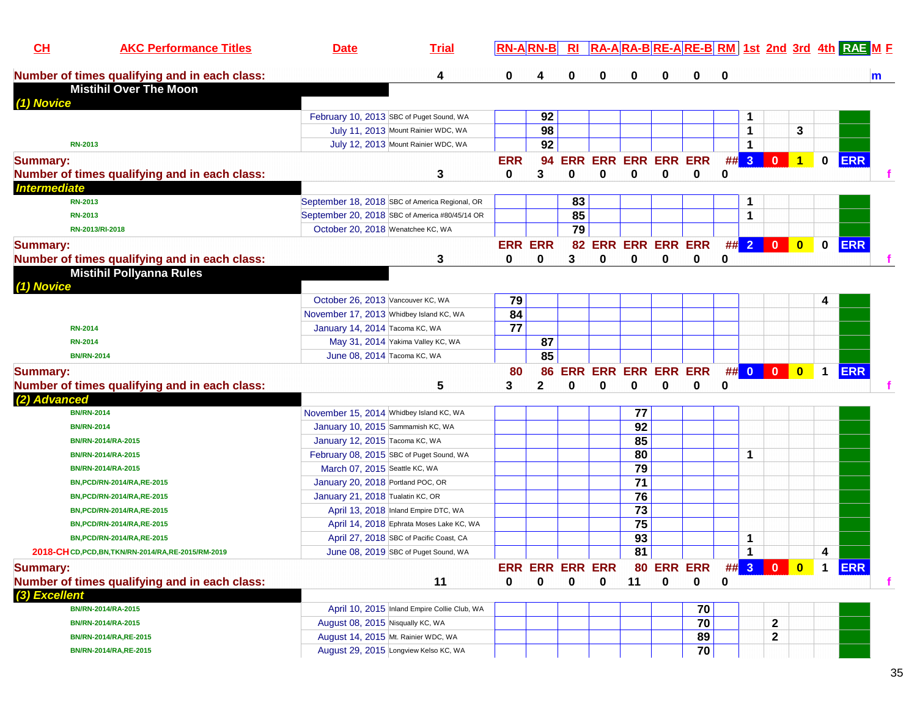| CL                  | <b>AKC Performance Titles</b>                       | <b>Date</b>                             | <b>Trial</b>                                   | $RN-A$ $RN-B$ |                | R1                     |                            |                 |             |                    |          |                      |              |                         |              | RA-ARA-BRE-ARE-BRM 1st 2nd 3rd 4th RAEME |
|---------------------|-----------------------------------------------------|-----------------------------------------|------------------------------------------------|---------------|----------------|------------------------|----------------------------|-----------------|-------------|--------------------|----------|----------------------|--------------|-------------------------|--------------|------------------------------------------|
|                     | Number of times qualifying and in each class:       |                                         | 4                                              | 0             |                | 0                      | 0                          | 0               | 0           | 0                  | $\bf{0}$ |                      |              |                         |              | m                                        |
|                     | <b>Mistihil Over The Moon</b>                       |                                         |                                                |               |                |                        |                            |                 |             |                    |          |                      |              |                         |              |                                          |
| (1) Novice          |                                                     |                                         |                                                |               |                |                        |                            |                 |             |                    |          |                      |              |                         |              |                                          |
|                     |                                                     |                                         | February 10, 2013 SBC of Puget Sound, WA       |               | 92             |                        |                            |                 |             |                    |          |                      |              |                         |              |                                          |
|                     |                                                     |                                         | July 11, 2013 Mount Rainier WDC, WA            |               | 98             |                        |                            |                 |             |                    |          | 1                    |              | 3                       |              |                                          |
| <b>RN-2013</b>      |                                                     |                                         | July 12, 2013 Mount Rainier WDC, WA            |               | 92             |                        |                            |                 |             |                    |          | 1                    |              |                         |              |                                          |
| <b>Summary:</b>     |                                                     |                                         |                                                | <b>ERR</b>    | 94             |                        | ERR ERR ERR ERR ERR        |                 |             |                    |          | ## 3                 | $\mathbf{0}$ | $\mathbf{1}$            | $\mathbf{0}$ | <b>ERR</b>                               |
|                     | Number of times qualifying and in each class:       |                                         | 3                                              | 0             | 3              | $\bf{0}$               | 0                          | $\bf{0}$        | $\bf{0}$    | 0                  | $\bf{0}$ |                      |              |                         |              |                                          |
| <b>Intermediate</b> |                                                     |                                         |                                                |               |                |                        |                            |                 |             |                    |          |                      |              |                         |              |                                          |
| <b>RN-2013</b>      |                                                     |                                         | September 18, 2018 SBC of America Regional, OR |               |                | 83                     |                            |                 |             |                    |          | 1                    |              |                         |              |                                          |
| <b>RN-2013</b>      |                                                     |                                         | September 20, 2018 SBC of America #80/45/14 OR |               |                | 85                     |                            |                 |             |                    |          | 1                    |              |                         |              |                                          |
|                     | RN-2013/RI-2018                                     | October 20, 2018 Wenatchee KC, WA       |                                                |               |                | $\overline{79}$        |                            |                 |             |                    |          |                      |              |                         |              |                                          |
| <b>Summary:</b>     |                                                     |                                         |                                                |               | <b>ERR ERR</b> |                        |                            |                 |             | 82 ERR ERR ERR ERR |          | ## 2 0               |              | $\bullet$               | $\mathbf 0$  | <b>ERR</b>                               |
|                     | Number of times qualifying and in each class:       |                                         | 3                                              | 0             | 0              | 3                      | 0                          | 0               | $\mathbf 0$ | 0                  | 0        |                      |              |                         |              |                                          |
|                     | <b>Mistihil Pollyanna Rules</b>                     |                                         |                                                |               |                |                        |                            |                 |             |                    |          |                      |              |                         |              |                                          |
| (1) Novice          |                                                     |                                         |                                                |               |                |                        |                            |                 |             |                    |          |                      |              |                         |              |                                          |
|                     |                                                     | October 26, 2013 Vancouver KC, WA       |                                                | 79            |                |                        |                            |                 |             |                    |          |                      |              |                         | 4            |                                          |
|                     |                                                     | November 17, 2013 Whidbey Island KC, WA |                                                | 84            |                |                        |                            |                 |             |                    |          |                      |              |                         |              |                                          |
| <b>RN-2014</b>      |                                                     | January 14, 2014 Tacoma KC, WA          |                                                | 77            |                |                        |                            |                 |             |                    |          |                      |              |                         |              |                                          |
| <b>RN-2014</b>      |                                                     |                                         | May 31, 2014 Yakima Valley KC, WA              |               | 87             |                        |                            |                 |             |                    |          |                      |              |                         |              |                                          |
|                     | <b>BN/RN-2014</b>                                   | June 08, 2014 Tacoma KC, WA             |                                                |               | 85             |                        |                            |                 |             |                    |          |                      |              |                         |              |                                          |
| <b>Summary:</b>     |                                                     |                                         |                                                | 80            | 86             |                        | <b>ERR ERR ERR ERR ERR</b> |                 |             |                    |          | ## 0 0               |              | $\overline{\mathbf{0}}$ | $\mathbf 1$  | <b>ERR</b>                               |
|                     | Number of times qualifying and in each class:       |                                         | 5                                              | 3             | $\mathbf{2}$   | 0                      | 0                          | 0               | 0           | 0                  | 0        |                      |              |                         |              |                                          |
| (2) Advanced        |                                                     |                                         |                                                |               |                |                        |                            |                 |             |                    |          |                      |              |                         |              |                                          |
|                     | <b>BN/RN-2014</b>                                   | November 15, 2014 Whidbey Island KC, WA |                                                |               |                |                        |                            | 77              |             |                    |          |                      |              |                         |              |                                          |
|                     | <b>BN/RN-2014</b>                                   | January 10, 2015 Sammamish KC, WA       |                                                |               |                |                        |                            | 92              |             |                    |          |                      |              |                         |              |                                          |
|                     | BN/RN-2014/RA-2015                                  | January 12, 2015 Tacoma KC, WA          |                                                |               |                |                        |                            | 85              |             |                    |          |                      |              |                         |              |                                          |
|                     | BN/RN-2014/RA-2015                                  |                                         | February 08, 2015 SBC of Puget Sound, WA       |               |                |                        |                            | 80              |             |                    |          | -1                   |              |                         |              |                                          |
|                     | BN/RN-2014/RA-2015                                  | March 07, 2015 Seattle KC, WA           |                                                |               |                |                        |                            | $\overline{79}$ |             |                    |          |                      |              |                         |              |                                          |
|                     | BN, PCD/RN-2014/RA, RE-2015                         | January 20, 2018 Portland POC, OR       |                                                |               |                |                        |                            | $\overline{71}$ |             |                    |          |                      |              |                         |              |                                          |
|                     | BN, PCD/RN-2014/RA, RE-2015                         | January 21, 2018 Tualatin KC, OR        |                                                |               |                |                        |                            | 76              |             |                    |          |                      |              |                         |              |                                          |
|                     | BN, PCD/RN-2014/RA, RE-2015                         |                                         | April 13, 2018 Inland Empire DTC, WA           |               |                |                        |                            | $\overline{73}$ |             |                    |          |                      |              |                         |              |                                          |
|                     | BN, PCD/RN-2014/RA, RE-2015                         |                                         | April 14, 2018 Ephrata Moses Lake KC, WA       |               |                |                        |                            | 75              |             |                    |          |                      |              |                         |              |                                          |
|                     | BN, PCD/RN-2014/RA, RE-2015                         |                                         | April 27, 2018 SBC of Pacific Coast, CA        |               |                |                        |                            | $\overline{93}$ |             |                    |          | 1                    |              |                         |              |                                          |
|                     | 2018-CHCD, PCD, BN, TKN/RN-2014/RA, RE-2015/RM-2019 |                                         | June 08, 2019 SBC of Puget Sound, WA           |               |                |                        |                            | 81              |             |                    |          | $\blacktriangleleft$ |              |                         | 4            |                                          |
| <b>Summary:</b>     |                                                     |                                         |                                                |               |                | <b>ERR ERR ERR ERR</b> |                            |                 |             | 80 ERR ERR         |          | ## 3 0               |              | $\mathbf{0}$            |              | <b>ERR</b>                               |
|                     | Number of times qualifying and in each class:       |                                         | 11                                             | 0             | 0              | 0                      | 0                          | 11              | 0           | 0                  | 0        |                      |              |                         |              | f                                        |
| (3) Excellent       |                                                     |                                         |                                                |               |                |                        |                            |                 |             |                    |          |                      |              |                         |              |                                          |
|                     | BN/RN-2014/RA-2015                                  |                                         | April 10, 2015 Inland Empire Collie Club, WA   |               |                |                        |                            |                 |             | 70                 |          |                      |              |                         |              |                                          |
|                     | BN/RN-2014/RA-2015                                  | August 08, 2015 Nisqually KC, WA        |                                                |               |                |                        |                            |                 |             | 70                 |          |                      | $\mathbf 2$  |                         |              |                                          |
|                     | BN/RN-2014/RA, RE-2015                              |                                         | August 14, 2015 Mt. Rainier WDC, WA            |               |                |                        |                            |                 |             | 89                 |          |                      | 2            |                         |              |                                          |
|                     | BN/RN-2014/RA, RE-2015                              |                                         | August 29, 2015 Longview Kelso KC, WA          |               |                |                        |                            |                 |             | 70                 |          |                      |              |                         |              |                                          |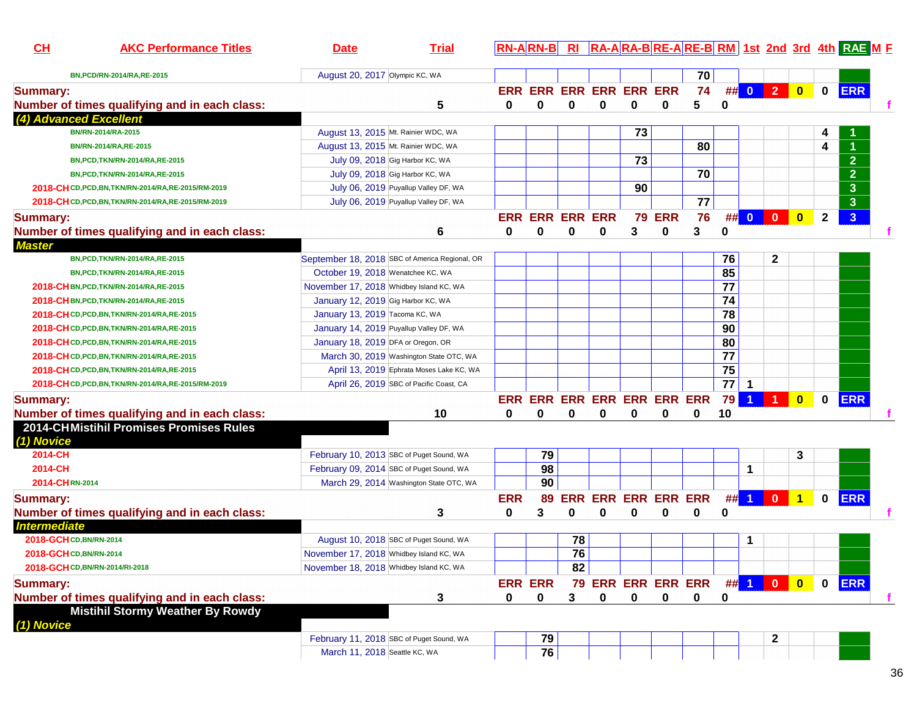| CH                                             | <b>AKC Performance Titles</b>                                                            | <b>Date</b>                                    | <b>Trial</b> |            |                                         |                 |                            |          |               |                    |                 |                         |                         |                         |              | <b>RN-ARN-B RI RA-ARA-BRE-ARE-BRM 1st 2nd 3rd 4th RAE ME</b> |   |
|------------------------------------------------|------------------------------------------------------------------------------------------|------------------------------------------------|--------------|------------|-----------------------------------------|-----------------|----------------------------|----------|---------------|--------------------|-----------------|-------------------------|-------------------------|-------------------------|--------------|--------------------------------------------------------------|---|
|                                                | BN, PCD/RN-2014/RA, RE-2015                                                              | August 20, 2017 Olympic KC, WA                 |              |            |                                         |                 |                            |          |               | 70                 |                 |                         |                         |                         |              |                                                              |   |
| <b>Summary:</b>                                |                                                                                          |                                                |              |            | ERR ERR ERR ERR ERR ERR                 |                 |                            |          |               | 74                 |                 |                         | $\#$ 0 2                | $\overline{\mathbf{0}}$ | $\mathbf 0$  | <b>ERR</b>                                                   |   |
|                                                | Number of times qualifying and in each class:                                            |                                                | 5            | 0          | 0                                       | 0               | 0                          | 0        | 0             | 5                  | 0               |                         |                         |                         |              |                                                              |   |
| (4) Advanced Excellent                         |                                                                                          |                                                |              |            |                                         |                 |                            |          |               |                    |                 |                         |                         |                         |              |                                                              |   |
|                                                | BN/RN-2014/RA-2015                                                                       | August 13, 2015 Mt. Rainier WDC, WA            |              |            |                                         |                 |                            | 73       |               |                    |                 |                         |                         |                         |              |                                                              |   |
|                                                | BN/RN-2014/RA, RE-2015                                                                   | August 13, 2015 Mt. Rainier WDC, WA            |              |            |                                         |                 |                            |          |               | 80                 |                 |                         |                         |                         | 4            |                                                              |   |
|                                                | BN, PCD, TKN/RN-2014/RA, RE-2015                                                         | July 09, 2018 Gig Harbor KC, WA                |              |            |                                         |                 |                            | 73       |               |                    |                 |                         |                         |                         |              | $\boxed{2}$                                                  |   |
|                                                | BN, PCD, TKN/RN-2014/RA, RE-2015                                                         | July 09, 2018 Gig Harbor KC, WA                |              |            |                                         |                 |                            |          |               | 70                 |                 |                         |                         |                         |              | $\overline{2}$                                               |   |
|                                                | 2018-CHCD, PCD, BN, TKN/RN-2014/RA, RE-2015/RM-2019                                      | July 06, 2019 Puyallup Valley DF, WA           |              |            |                                         |                 |                            | 90       |               |                    |                 |                         |                         |                         |              | $\mathbf{3}$                                                 |   |
|                                                | 2018-CHCD, PCD, BN, TKN/RN-2014/RA, RE-2015/RM-2019                                      | July 06, 2019 Puyallup Valley DF, WA           |              |            |                                         |                 |                            |          |               | 77                 |                 |                         |                         |                         |              | 3 <sup>2</sup>                                               |   |
| <b>Summary:</b>                                |                                                                                          |                                                |              |            | <b>ERR ERR ERR ERR</b>                  |                 |                            |          | <b>79 ERR</b> | 76                 |                 |                         | ## $0$   $0$            | $\mathbf{0}$            | $\mathbf{2}$ | 3 <sup>1</sup>                                               |   |
|                                                | Number of times qualifying and in each class:                                            |                                                | 6            | 0          | $\bf{0}$                                | 0               | $\bf{0}$                   | 3        | 0             | 3                  | 0               |                         |                         |                         |              |                                                              |   |
| <b>Master</b>                                  |                                                                                          |                                                |              |            |                                         |                 |                            |          |               |                    |                 |                         |                         |                         |              |                                                              |   |
|                                                | BN, PCD, TKN/RN-2014/RA, RE-2015                                                         | September 18, 2018 SBC of America Regional, OR |              |            |                                         |                 |                            |          |               |                    | 76              |                         | 2                       |                         |              |                                                              |   |
|                                                | BN, PCD, TKN/RN-2014/RA, RE-2015                                                         | October 19, 2018 Wenatchee KC, WA              |              |            |                                         |                 |                            |          |               |                    | 85              |                         |                         |                         |              |                                                              |   |
|                                                | 2018-CH BN, PCD, TKN/RN-2014/RA, RE-2015                                                 | November 17, 2018 Whidbey Island KC, WA        |              |            |                                         |                 |                            |          |               |                    | $\overline{77}$ |                         |                         |                         |              |                                                              |   |
|                                                | 2018-CH BN, PCD, TKN/RN-2014/RA, RE-2015                                                 | January 12, 2019 Gig Harbor KC, WA             |              |            |                                         |                 |                            |          |               |                    | 74              |                         |                         |                         |              |                                                              |   |
|                                                | 2018-CHCD, PCD, BN, TKN/RN-2014/RA, RE-2015                                              | January 13, 2019 Tacoma KC, WA                 |              |            |                                         |                 |                            |          |               |                    | 78              |                         |                         |                         |              |                                                              |   |
|                                                | 2018-CHCD, PCD, BN, TKN/RN-2014/RA, RE-2015                                              | January 14, 2019 Puyallup Valley DF, WA        |              |            |                                         |                 |                            |          |               |                    | 90              |                         |                         |                         |              |                                                              |   |
|                                                | 2018-CHCD, PCD, BN, TKN/RN-2014/RA, RE-2015                                              | January 18, 2019 DFA or Oregon, OR             |              |            |                                         |                 |                            |          |               |                    | 80              |                         |                         |                         |              |                                                              |   |
|                                                | 2018-CHCD, PCD, BN, TKN/RN-2014/RA, RE-2015                                              | March 30, 2019 Washington State OTC, WA        |              |            |                                         |                 |                            |          |               |                    | $\overline{77}$ |                         |                         |                         |              |                                                              |   |
|                                                | 2018-CH CD, PCD, BN, TKN/RN-2014/RA, RE-2015                                             | April 13, 2019 Ephrata Moses Lake KC, WA       |              |            |                                         |                 |                            |          |               |                    | 75              |                         |                         |                         |              |                                                              |   |
|                                                | 2018-CH CD, PCD, BN, TKN/RN-2014/RA, RE-2015/RM-2019                                     | April 26, 2019 SBC of Pacific Coast, CA        |              |            |                                         |                 |                            |          |               |                    | $\overline{77}$ | $\overline{\mathbf{1}}$ |                         |                         |              |                                                              |   |
|                                                |                                                                                          |                                                |              |            |                                         |                 |                            |          |               |                    | 79              | $\blacktriangleleft$    | $\blacktriangleleft$    |                         | $\bf{0}$     | <b>ERR</b>                                                   |   |
| <b>Summary:</b>                                |                                                                                          |                                                |              | 0          | ERR ERR ERR ERR ERR ERR ERR<br>$\bf{0}$ | $\bf{0}$        | O                          |          | $\bf{0}$      | 0                  |                 |                         |                         | $\bf{0}$                |              |                                                              |   |
|                                                | Number of times qualifying and in each class:<br>2014-CHMistihil Promises Promises Rules |                                                | 10           |            |                                         |                 |                            | $\bf{0}$ |               |                    | 10              |                         |                         |                         |              |                                                              |   |
|                                                |                                                                                          |                                                |              |            |                                         |                 |                            |          |               |                    |                 |                         |                         |                         |              |                                                              |   |
| (1) Novice<br>2014-CH                          |                                                                                          | February 10, 2013 SBC of Puget Sound, WA       |              |            | 79                                      |                 |                            |          |               |                    |                 |                         |                         | 3                       |              |                                                              |   |
| 2014-CH                                        |                                                                                          | February 09, 2014 SBC of Puget Sound, WA       |              |            | 98                                      |                 |                            |          |               |                    |                 | $\mathbf 1$             |                         |                         |              |                                                              |   |
| 2014-CHRN-2014                                 |                                                                                          | March 29, 2014 Washington State OTC, WA        |              |            | $\overline{90}$                         |                 |                            |          |               |                    |                 |                         |                         |                         |              |                                                              |   |
|                                                |                                                                                          |                                                |              |            |                                         |                 |                            |          |               |                    |                 |                         | $\overline{\mathbf{0}}$ |                         |              |                                                              |   |
| <b>Summary:</b>                                |                                                                                          |                                                |              | <b>ERR</b> | 89                                      |                 | <b>ERR ERR ERR ERR ERR</b> |          |               |                    |                 | $\#$ 1                  |                         | $\overline{1}$          | $\mathbf 0$  | <b>ERR</b>                                                   |   |
|                                                | Number of times qualifying and in each class:                                            |                                                | 3            | 0          | 3                                       | 0               | 0                          | 0        | 0             | 0                  | 0               |                         |                         |                         |              |                                                              |   |
| <b>Intermediate</b><br>2018-GCH CD, BN/RN-2014 |                                                                                          | August 10, 2018 SBC of Puget Sound, WA         |              |            |                                         | 78              |                            |          |               |                    |                 | 1                       |                         |                         |              |                                                              |   |
| 2018-GCHCD, BN/RN-2014                         |                                                                                          | November 17, 2018 Whidbey Island KC, WA        |              |            |                                         | $\overline{76}$ |                            |          |               |                    |                 |                         |                         |                         |              |                                                              |   |
|                                                |                                                                                          | November 18, 2018 Whidbey Island KC, WA        |              |            |                                         | 82              |                            |          |               |                    |                 |                         |                         |                         |              |                                                              |   |
|                                                | 2018-GCH CD, BN/RN-2014/RI-2018                                                          |                                                |              |            |                                         |                 |                            |          |               |                    |                 |                         |                         |                         |              |                                                              |   |
| <b>Summary:</b>                                |                                                                                          |                                                |              |            | <b>ERR ERR</b>                          |                 |                            |          |               | 79 ERR ERR ERR ERR |                 |                         | ## 1 0                  | $\overline{\mathbf{0}}$ | $\mathbf 0$  | <b>ERR</b>                                                   |   |
|                                                | Number of times qualifying and in each class:                                            |                                                | 3            | 0          | 0                                       | 3               | 0                          | 0        | 0             | 0                  | 0               |                         |                         |                         |              |                                                              | f |
|                                                | <b>Mistihil Stormy Weather By Rowdy</b>                                                  |                                                |              |            |                                         |                 |                            |          |               |                    |                 |                         |                         |                         |              |                                                              |   |
| (1) Novice                                     |                                                                                          |                                                |              |            |                                         |                 |                            |          |               |                    |                 |                         |                         |                         |              |                                                              |   |
|                                                |                                                                                          | February 11, 2018 SBC of Puget Sound, WA       |              |            | 79                                      |                 |                            |          |               |                    |                 |                         | 2                       |                         |              |                                                              |   |
|                                                |                                                                                          | March 11, 2018 Seattle KC, WA                  |              |            | 76                                      |                 |                            |          |               |                    |                 |                         |                         |                         |              |                                                              |   |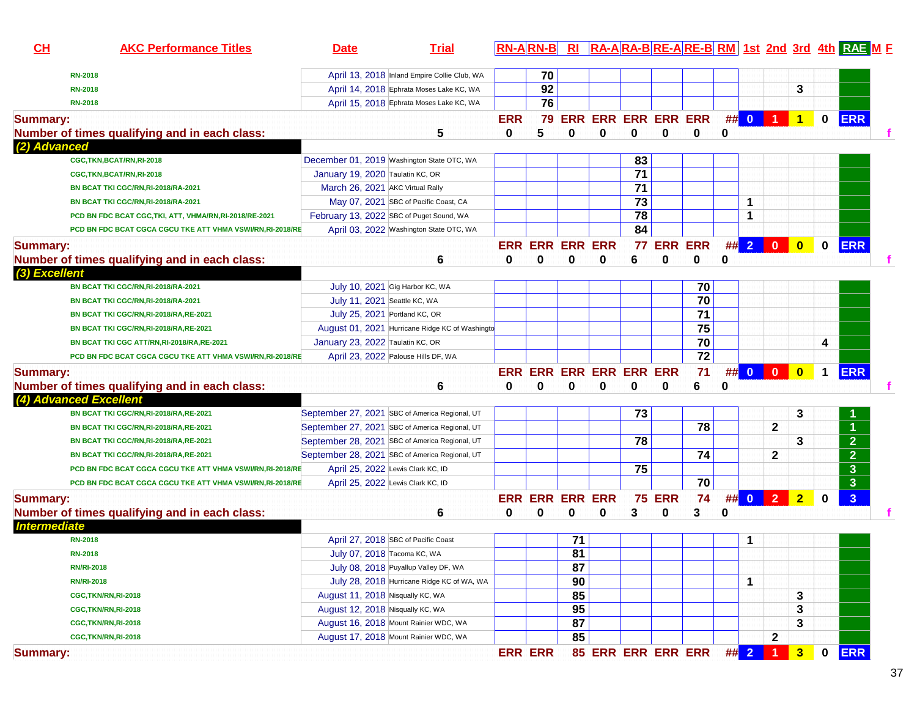| CH                  | <b>AKC Performance Titles</b>                             | <b>Date</b>                      | <b>Trial</b>                                    |            |                         |                 |                            |                 |                |    |   |      |                  |                |              | <b>RN-ARN-B</b> RI RA-ARA-BRE-ARE-BRM 1st 2nd 3rd 4th RAE ME |  |
|---------------------|-----------------------------------------------------------|----------------------------------|-------------------------------------------------|------------|-------------------------|-----------------|----------------------------|-----------------|----------------|----|---|------|------------------|----------------|--------------|--------------------------------------------------------------|--|
|                     | <b>RN-2018</b>                                            |                                  | April 13, 2018 Inland Empire Collie Club, WA    |            | 70                      |                 |                            |                 |                |    |   |      |                  |                |              |                                                              |  |
|                     | <b>RN-2018</b>                                            |                                  | April 14, 2018 Ephrata Moses Lake KC, WA        |            | 92                      |                 |                            |                 |                |    |   |      |                  | 3              |              |                                                              |  |
|                     | <b>RN-2018</b>                                            |                                  | April 15, 2018 Ephrata Moses Lake KC, WA        |            | 76                      |                 |                            |                 |                |    |   |      |                  |                |              |                                                              |  |
| <b>Summary:</b>     |                                                           |                                  |                                                 | <b>ERR</b> | 79                      |                 | <b>ERR ERR ERR ERR ERR</b> |                 |                |    |   | ## 0 | $\blacksquare$ 1 | $\mathbf{1}$   | $\mathbf 0$  | <b>ERR</b>                                                   |  |
|                     | Number of times qualifying and in each class:             |                                  | 5                                               | 0          | 5                       | 0               | 0                          | 0               | 0              | 0  | 0 |      |                  |                |              |                                                              |  |
| (2) Advanced        |                                                           |                                  |                                                 |            |                         |                 |                            |                 |                |    |   |      |                  |                |              |                                                              |  |
|                     | CGC, TKN, BCAT/RN, RI-2018                                |                                  | December 01, 2019 Washington State OTC, WA      |            |                         |                 |                            | 83              |                |    |   |      |                  |                |              |                                                              |  |
|                     | CGC,TKN,BCAT/RN,RI-2018                                   | January 19, 2020 Taulatin KC, OR |                                                 |            |                         |                 |                            | $\overline{71}$ |                |    |   |      |                  |                |              |                                                              |  |
|                     | BN BCAT TKI CGC/RN, RI-2018/RA-2021                       | March 26, 2021 AKC Virtual Rally |                                                 |            |                         |                 |                            | 71              |                |    |   |      |                  |                |              |                                                              |  |
|                     | BN BCAT TKI CGC/RN, RI-2018/RA-2021                       |                                  | May 07, 2021 SBC of Pacific Coast, CA           |            |                         |                 |                            | 73              |                |    |   | 1    |                  |                |              |                                                              |  |
|                     | PCD BN FDC BCAT CGC, TKI, ATT, VHMA/RN, RI-2018/RE-2021   |                                  | February 13, 2022 SBC of Puget Sound, WA        |            |                         |                 |                            | 78              |                |    |   | 1    |                  |                |              |                                                              |  |
|                     | PCD BN FDC BCAT CGCA CGCU TKE ATT VHMA VSWI/RN,RI-2018/RE |                                  | April 03, 2022 Washington State OTC, WA         |            |                         |                 |                            | 84              |                |    |   |      |                  |                |              |                                                              |  |
| <b>Summary:</b>     |                                                           |                                  |                                                 |            | <b>ERR ERR ERR ERR</b>  |                 |                            | 77              | <b>ERR ERR</b> |    |   | ## 2 | $\bullet$        | $\mathbf{0}$   | $\mathbf{0}$ | ERR                                                          |  |
|                     | Number of times qualifying and in each class:             |                                  | 6                                               | 0          | 0                       | 0               | 0                          | 6               | 0              | 0  | 0 |      |                  |                |              |                                                              |  |
| (3) Excellent       |                                                           |                                  |                                                 |            |                         |                 |                            |                 |                |    |   |      |                  |                |              |                                                              |  |
|                     | BN BCAT TKI CGC/RN, RI-2018/RA-2021                       |                                  | July 10, 2021 Gig Harbor KC, WA                 |            |                         |                 |                            |                 |                | 70 |   |      |                  |                |              |                                                              |  |
|                     | BN BCAT TKI CGC/RN, RI-2018/RA-2021                       | July 11, 2021 Seattle KC, WA     |                                                 |            |                         |                 |                            |                 |                | 70 |   |      |                  |                |              |                                                              |  |
|                     | BN BCAT TKI CGC/RN, RI-2018/RA, RE-2021                   | July 25, 2021 Portland KC, OR    |                                                 |            |                         |                 |                            |                 |                | 71 |   |      |                  |                |              |                                                              |  |
|                     | BN BCAT TKI CGC/RN, RI-2018/RA, RE-2021                   |                                  | August 01, 2021 Hurricane Ridge KC of Washingto |            |                         |                 |                            |                 |                | 75 |   |      |                  |                |              |                                                              |  |
|                     | BN BCAT TKI CGC ATT/RN,RI-2018/RA,RE-2021                 | January 23, 2022 Taulatin KC, OR |                                                 |            |                         |                 |                            |                 |                | 70 |   |      |                  |                | 4            |                                                              |  |
|                     | PCD BN FDC BCAT CGCA CGCU TKE ATT VHMA VSWI/RN,RI-2018/RE |                                  | April 23, 2022 Palouse Hills DF, WA             |            |                         |                 |                            |                 |                | 72 |   |      |                  |                |              |                                                              |  |
| <b>Summary:</b>     |                                                           |                                  |                                                 |            | ERR ERR ERR ERR ERR ERR |                 |                            |                 |                | 71 |   | ## 0 | $\bullet$        | $\bullet$      | $\mathbf 1$  | <b>ERR</b>                                                   |  |
|                     | Number of times qualifying and in each class:             |                                  | 6                                               | 0          | $\bf{0}$                | 0               | 0                          | 0               | 0              | 6  | 0 |      |                  |                |              |                                                              |  |
|                     | (4) Advanced Excellent                                    |                                  |                                                 |            |                         |                 |                            |                 |                |    |   |      |                  |                |              |                                                              |  |
|                     | BN BCAT TKI CGC/RN, RI-2018/RA, RE-2021                   |                                  | September 27, 2021 SBC of America Regional, UT  |            |                         |                 |                            | 73              |                |    |   |      |                  | 3              |              |                                                              |  |
|                     | BN BCAT TKI CGC/RN, RI-2018/RA, RE-2021                   |                                  | September 27, 2021 SBC of America Regional, UT  |            |                         |                 |                            |                 |                | 78 |   |      | $\mathbf{2}$     |                |              |                                                              |  |
|                     | BN BCAT TKI CGC/RN, RI-2018/RA, RE-2021                   |                                  | September 28, 2021 SBC of America Regional, UT  |            |                         |                 |                            | 78              |                |    |   |      |                  | 3              |              | $\overline{2}$                                               |  |
|                     | BN BCAT TKI CGC/RN, RI-2018/RA, RE-2021                   |                                  | September 28, 2021 SBC of America Regional, UT  |            |                         |                 |                            |                 |                | 74 |   |      | $\mathbf{2}$     |                |              | $\overline{2}$                                               |  |
|                     | PCD BN FDC BCAT CGCA CGCU TKE ATT VHMA VSWI/RN,RI-2018/RE |                                  | April 25, 2022 Lewis Clark KC, ID               |            |                         |                 |                            | 75              |                |    |   |      |                  |                |              | $\overline{\mathbf{3}}$                                      |  |
|                     | PCD BN FDC BCAT CGCA CGCU TKE ATT VHMA VSWI/RN,RI-2018/RE |                                  | April 25, 2022 Lewis Clark KC, ID               |            |                         |                 |                            |                 |                | 70 |   |      |                  |                |              | $\overline{\mathbf{3}}$                                      |  |
| <b>Summary:</b>     |                                                           |                                  |                                                 |            | <b>ERR ERR ERR ERR</b>  |                 |                            |                 | <b>75 ERR</b>  | 74 |   | ## 0 | 2 <sup>1</sup>   | $\overline{2}$ | $\bf{0}$     | 3 <sup>1</sup>                                               |  |
|                     | Number of times qualifying and in each class:             |                                  | 6                                               | 0          | 0                       | 0               | 0                          | 3               | 0              | 3  | 0 |      |                  |                |              |                                                              |  |
| <b>Intermediate</b> |                                                           |                                  |                                                 |            |                         |                 |                            |                 |                |    |   |      |                  |                |              |                                                              |  |
|                     | <b>RN-2018</b>                                            |                                  | April 27, 2018 SBC of Pacific Coast             |            |                         | 71              |                            |                 |                |    |   | 1    |                  |                |              |                                                              |  |
|                     | <b>RN-2018</b>                                            | July 07, 2018 Tacoma KC, WA      |                                                 |            |                         | 81              |                            |                 |                |    |   |      |                  |                |              |                                                              |  |
|                     | <b>RN/RI-2018</b>                                         |                                  | July 08, 2018 Puyallup Valley DF, WA            |            |                         | 87              |                            |                 |                |    |   |      |                  |                |              |                                                              |  |
|                     | <b>RN/RI-2018</b>                                         |                                  | July 28, 2018 Hurricane Ridge KC of WA, WA      |            |                         | 90              |                            |                 |                |    |   | 1    |                  |                |              |                                                              |  |
|                     | CGC,TKN/RN,RI-2018                                        | August 11, 2018 Nisqually KC, WA |                                                 |            |                         | 85              |                            |                 |                |    |   |      |                  | 3              |              |                                                              |  |
|                     | CGC,TKN/RN,RI-2018                                        | August 12, 2018 Nisqually KC, WA |                                                 |            |                         | 95              |                            |                 |                |    |   |      |                  | 3              |              |                                                              |  |
|                     | CGC,TKN/RN,RI-2018                                        |                                  | August 16, 2018 Mount Rainier WDC, WA           |            |                         | $\overline{87}$ |                            |                 |                |    |   |      |                  | 3              |              |                                                              |  |
|                     |                                                           |                                  |                                                 |            |                         |                 |                            |                 |                |    |   |      |                  |                |              |                                                              |  |
|                     | CGC,TKN/RN,RI-2018                                        |                                  | August 17, 2018 Mount Rainier WDC, WA           |            |                         | 85              |                            |                 |                |    |   |      | $\boldsymbol{2}$ |                |              |                                                              |  |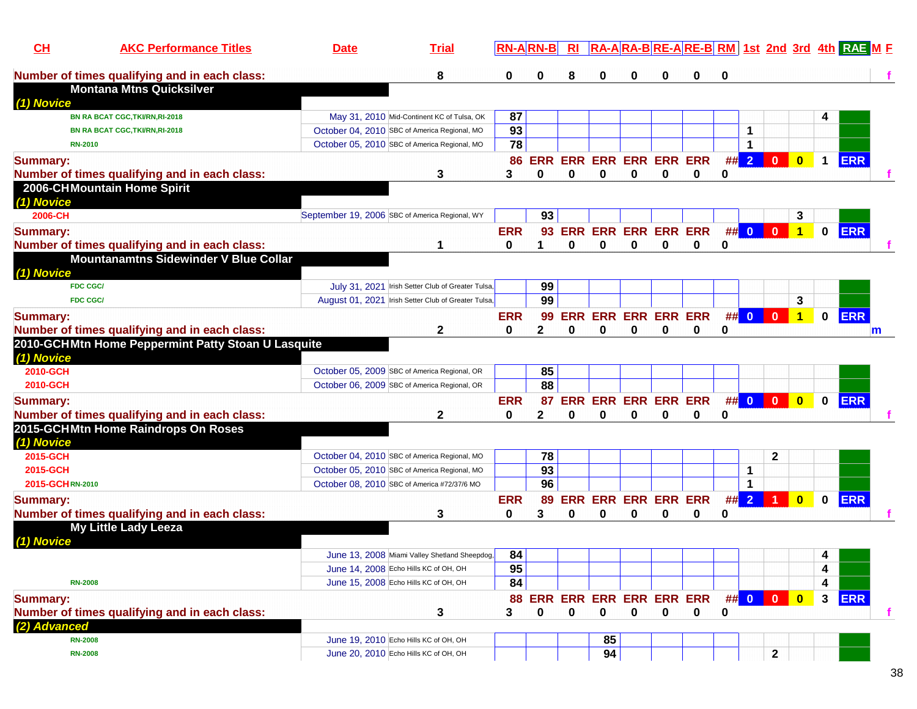| $CH$            | <b>AKC Performance Titles</b>                      | <b>Date</b> | <b>Trial</b>                                        |            | <b>RN-ARN-B</b>            | R1                         |    |                            |             |                     |    |                         |                                                                    |              |              | RA-ARA-BRE-ARE-BRM 1st 2nd 3rd 4th RAE M F |   |
|-----------------|----------------------------------------------------|-------------|-----------------------------------------------------|------------|----------------------------|----------------------------|----|----------------------------|-------------|---------------------|----|-------------------------|--------------------------------------------------------------------|--------------|--------------|--------------------------------------------|---|
|                 | Number of times qualifying and in each class:      |             | 8                                                   | 0          | 0                          | 8                          |    | 0                          | 0           |                     | 0  |                         |                                                                    |              |              |                                            |   |
|                 | <b>Montana Mtns Quicksilver</b>                    |             |                                                     |            |                            |                            |    |                            |             |                     |    |                         |                                                                    |              |              |                                            |   |
| (1) Novice      |                                                    |             |                                                     |            |                            |                            |    |                            |             |                     |    |                         |                                                                    |              |              |                                            |   |
|                 | BN RA BCAT CGC, TKI/RN, RI-2018                    |             | May 31, 2010 Mid-Continent KC of Tulsa, OK          | 87         |                            |                            |    |                            |             |                     |    |                         |                                                                    |              |              |                                            |   |
|                 | <b>BN RA BCAT CGC, TKI/RN, RI-2018</b>             |             | October 04, 2010 SBC of America Regional, MO        | 93         |                            |                            |    |                            |             |                     |    | 1                       |                                                                    |              |              |                                            |   |
| <b>RN-2010</b>  |                                                    |             | October 05, 2010 SBC of America Regional, MO        | 78         |                            |                            |    |                            |             |                     |    | 1                       |                                                                    |              |              |                                            |   |
| <b>Summary:</b> |                                                    |             |                                                     | 86         | <b>ERR</b>                 | <b>ERR</b>                 |    | <b>ERR ERR ERR ERR</b>     |             |                     | ## | $\overline{2}$          | $\mathbf{0}$                                                       | $\bf{0}$     | $\mathbf 1$  | <b>ERR</b>                                 |   |
|                 | Number of times qualifying and in each class:      |             | 3                                                   | 3          | 0                          | $\bf{0}$                   | 0  | 0                          | $\bf{0}$    | $\bf{0}$            | 0  |                         |                                                                    |              |              |                                            |   |
| (1) Novice      | 2006-CHMountain Home Spirit                        |             |                                                     |            |                            |                            |    |                            |             |                     |    |                         |                                                                    |              |              |                                            |   |
| 2006-CH         |                                                    |             | September 19, 2006 SBC of America Regional, WY      |            | 93                         |                            |    |                            |             |                     |    |                         |                                                                    | 3            |              |                                            |   |
| <b>Summary:</b> |                                                    |             |                                                     | <b>ERR</b> | 93                         |                            |    |                            |             | ERR ERR ERR ERR ERR | ## | $\overline{\mathbf{0}}$ | $\mathbf{0}$                                                       | $\mathbf{1}$ | $\mathbf{0}$ | <b>ERR</b>                                 |   |
|                 | Number of times qualifying and in each class:      |             |                                                     | 0          |                            | $\bf{0}$                   | 0  | 0                          | $\mathbf 0$ | $\bf{0}$            | 0  |                         |                                                                    |              |              |                                            |   |
|                 | <b>Mountanamtns Sidewinder V Blue Collar</b>       |             |                                                     |            |                            |                            |    |                            |             |                     |    |                         |                                                                    |              |              |                                            |   |
| (1) Novice      |                                                    |             |                                                     |            |                            |                            |    |                            |             |                     |    |                         |                                                                    |              |              |                                            |   |
|                 | <b>FDC CGC/</b>                                    |             | July 31, 2021 Irish Setter Club of Greater Tulsa,   |            | 99                         |                            |    |                            |             |                     |    |                         |                                                                    |              |              |                                            |   |
|                 | <b>FDC CGC/</b>                                    |             | August 01, 2021 Irish Setter Club of Greater Tulsa, |            | 99                         |                            |    |                            |             |                     |    |                         |                                                                    | 3            |              |                                            |   |
| <b>Summary:</b> |                                                    |             |                                                     | <b>ERR</b> | 99                         | <b>ERR</b>                 |    | <b>ERR ERR ERR ERR</b>     |             |                     | ## | $\overline{\mathbf{0}}$ | $\mathbf{0}$                                                       |              | $\mathbf{0}$ | ERR                                        |   |
|                 | Number of times qualifying and in each class:      |             | 2                                                   | 0          | 2                          | 0                          | 0  | 0                          | 0           | 0                   | 0  |                         |                                                                    |              |              | $\mathsf{m}$                               |   |
|                 | 2010-GCHMtn Home Peppermint Patty Stoan U Lasquite |             |                                                     |            |                            |                            |    |                            |             |                     |    |                         |                                                                    |              |              |                                            |   |
| (1) Novice      |                                                    |             |                                                     |            |                            |                            |    |                            |             |                     |    |                         |                                                                    |              |              |                                            |   |
| 2010-GCH        |                                                    |             | October 05, 2009 SBC of America Regional, OR        |            | 85                         |                            |    |                            |             |                     |    |                         |                                                                    |              |              |                                            |   |
| 2010-GCH        |                                                    |             | October 06, 2009 SBC of America Regional, OR        |            | $\overline{88}$            |                            |    |                            |             |                     |    |                         |                                                                    |              |              |                                            |   |
| <b>Summary:</b> |                                                    |             |                                                     | <b>ERR</b> | 87                         | <b>ERR ERR ERR ERR ERR</b> |    |                            |             |                     |    | ## 0                    | $\overline{\mathbf{0}}$                                            | $\mathbf{0}$ | $\mathbf{0}$ | <b>ERR</b>                                 |   |
|                 | Number of times qualifying and in each class:      |             | 2                                                   | 0          | 2                          | 0                          |    | 0                          | 0           |                     | 0  |                         |                                                                    |              |              |                                            |   |
| (1) Novice      | 2015-GCHMtn Home Raindrops On Roses                |             |                                                     |            |                            |                            |    |                            |             |                     |    |                         |                                                                    |              |              |                                            |   |
| 2015-GCH        |                                                    |             | October 04, 2010 SBC of America Regional, MO        |            | 78                         |                            |    |                            |             |                     |    |                         | $\mathbf{2}$                                                       |              |              |                                            |   |
| 2015-GCH        |                                                    |             | October 05, 2010 SBC of America Regional, MO        |            | 93                         |                            |    |                            |             |                     |    | 1                       |                                                                    |              |              |                                            |   |
| 2015-GCHRN-2010 |                                                    |             | October 08, 2010 SBC of America #72/37/6 MO         |            | 96                         |                            |    |                            |             |                     |    | $\mathbf 1$             |                                                                    |              |              |                                            |   |
| <b>Summary:</b> |                                                    |             |                                                     | <b>ERR</b> | 89                         |                            |    | <b>ERR ERR ERR ERR ERR</b> |             |                     | ## | $\overline{2}$          |                                                                    | $\bf{0}$     | $\mathbf{0}$ | <b>ERR</b>                                 |   |
|                 | Number of times qualifying and in each class:      |             | 3                                                   | 0          | 3                          | 0                          | 0  | 0                          | 0           | 0                   | 0  |                         |                                                                    |              |              |                                            |   |
|                 | <b>My Little Lady Leeza</b>                        |             |                                                     |            |                            |                            |    |                            |             |                     |    |                         |                                                                    |              |              |                                            |   |
| (1) Novice      |                                                    |             |                                                     |            |                            |                            |    |                            |             |                     |    |                         |                                                                    |              |              |                                            |   |
|                 |                                                    |             | June 13, 2008 Miami Valley Shetland Sheepdog,       | 84         |                            |                            |    |                            |             |                     |    |                         |                                                                    |              | 4            |                                            |   |
|                 |                                                    |             | June 14, 2008 Echo Hills KC of OH, OH               | 95         |                            |                            |    |                            |             |                     |    |                         |                                                                    |              | 4            |                                            |   |
| <b>RN-2008</b>  |                                                    |             | June 15, 2008 Echo Hills KC of OH, OH               | 84         |                            |                            |    |                            |             |                     |    |                         |                                                                    |              | 4            |                                            |   |
| <b>Summary:</b> |                                                    |             |                                                     |            | 88 ERR ERR ERR ERR ERR ERR |                            |    |                            |             |                     |    | ## 0                    | $\begin{array}{ c c c c c }\n\hline\n0 & 0 \\ \hline\n\end{array}$ |              | $\mathbf{3}$ | <b>ERR</b>                                 |   |
|                 | Number of times qualifying and in each class:      |             | 3                                                   | 3          | 0                          | $\mathbf 0$                | 0  | $\mathbf 0$                | $\mathbf 0$ | 0                   | 0  |                         |                                                                    |              |              |                                            | Ť |
| (2) Advanced    |                                                    |             |                                                     |            |                            |                            |    |                            |             |                     |    |                         |                                                                    |              |              |                                            |   |
| <b>RN-2008</b>  |                                                    |             | June 19, 2010 Echo Hills KC of OH, OH               |            |                            |                            | 85 |                            |             |                     |    |                         |                                                                    |              |              |                                            |   |
| <b>RN-2008</b>  |                                                    |             | June 20, 2010 Echo Hills KC of OH, OH               |            |                            |                            | 94 |                            |             |                     |    |                         | $\mathbf 2$                                                        |              |              |                                            |   |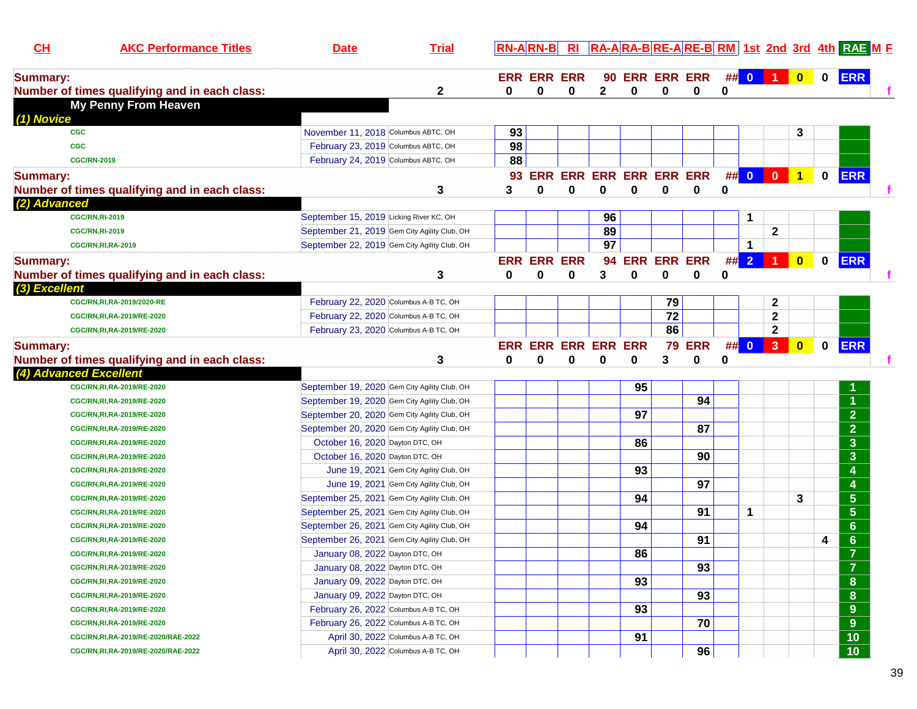| CL                     | <b>AKC Performance Titles</b>                 | <b>Date</b>                                  | <b>Trial</b> | $RN-A RN-B $ |                    | $R_{\rm I}$ |                            |                |                 |                         |   |      |                      |                         |             | <b>RA-ARA-BRE-ARE-BRM 1st 2nd 3rd 4th RAE M F</b> |  |
|------------------------|-----------------------------------------------|----------------------------------------------|--------------|--------------|--------------------|-------------|----------------------------|----------------|-----------------|-------------------------|---|------|----------------------|-------------------------|-------------|---------------------------------------------------|--|
| <b>Summary:</b>        |                                               |                                              |              |              | <b>ERR ERR ERR</b> |             |                            |                |                 | <b>90 ERR ERR ERR</b>   |   |      | ## 0 1 0             |                         | $\mathbf 0$ | <b>ERR</b>                                        |  |
|                        | Number of times qualifying and in each class: |                                              | $\mathbf{2}$ | 0            | 0                  | 0           | $\mathbf{2}$               | $\bf{0}$       | 0               | 0                       | 0 |      |                      |                         |             |                                                   |  |
| (1) Novice             | <b>My Penny From Heaven</b>                   |                                              |              |              |                    |             |                            |                |                 |                         |   |      |                      |                         |             |                                                   |  |
| <b>CGC</b>             |                                               | November 11, 2018 Columbus ABTC, OH          |              | 93           |                    |             |                            |                |                 |                         |   |      |                      | 3                       |             |                                                   |  |
| <b>CGC</b>             |                                               | February 23, 2019 Columbus ABTC, OH          |              | 98           |                    |             |                            |                |                 |                         |   |      |                      |                         |             |                                                   |  |
|                        | <b>CGC/RN-2019</b>                            | February 24, 2019 Columbus ABTC, OH          |              | 88           |                    |             |                            |                |                 |                         |   |      |                      |                         |             |                                                   |  |
| <b>Summary:</b>        |                                               |                                              |              | 93.          |                    |             |                            |                |                 | ERR ERR ERR ERR ERR ERR |   |      | ## 0 0 1             |                         | $\mathbf 0$ | <b>ERR</b>                                        |  |
|                        | Number of times qualifying and in each class: |                                              | 3            | 3            | $\bf{0}$           | $\bf{0}$    | 0                          | $\bf{0}$       | 0               | 0                       | 0 |      |                      |                         |             |                                                   |  |
| (2) Advanced           |                                               |                                              |              |              |                    |             |                            |                |                 |                         |   |      |                      |                         |             |                                                   |  |
|                        | <b>CGC/RN, RI-2019</b>                        | September 15, 2019 Licking River KC, OH      |              |              |                    |             | 96                         |                |                 |                         |   | 1    |                      |                         |             |                                                   |  |
|                        | <b>CGC/RN, RI-2019</b>                        | September 21, 2019 Gem City Agility Club, OH |              |              |                    |             | 89                         |                |                 |                         |   |      | $\mathbf{2}$         |                         |             |                                                   |  |
|                        | <b>CGC/RN, RI, RA-2019</b>                    | September 22, 2019 Gem City Agility Club, OH |              |              |                    |             | $\overline{97}$            |                |                 |                         |   | 1    |                      |                         |             |                                                   |  |
| <b>Summary:</b>        |                                               |                                              |              |              | <b>ERR ERR ERR</b> |             |                            | 94 ERR ERR ERR |                 |                         |   | ## 2 | $\blacktriangleleft$ | $\overline{\mathbf{0}}$ | $\mathbf 0$ | <b>ERR</b>                                        |  |
|                        | Number of times qualifying and in each class: |                                              | 3            | 0            | 0                  | 0           | 3                          | 0              | 0               | 0                       | 0 |      |                      |                         |             |                                                   |  |
| (3) Excellent          |                                               |                                              |              |              |                    |             |                            |                |                 |                         |   |      |                      |                         |             |                                                   |  |
|                        | CGC/RN, RI, RA-2019/2020-RE                   | February 22, 2020 Columbus A-B TC, OH        |              |              |                    |             |                            |                | 79              |                         |   |      | $\mathbf{2}$         |                         |             |                                                   |  |
|                        | CGC/RN, RI, RA-2019/RE-2020                   | February 22, 2020 Columbus A-B TC, OH        |              |              |                    |             |                            |                | $\overline{72}$ |                         |   |      | $\mathbf{2}$         |                         |             |                                                   |  |
|                        | CGC/RN, RI, RA-2019/RE-2020                   | February 23, 2020 Columbus A-B TC, OH        |              |              |                    |             |                            |                | 86              |                         |   |      | $\mathbf{2}$         |                         |             |                                                   |  |
| <b>Summary:</b>        |                                               |                                              |              |              |                    |             | <b>ERR ERR ERR ERR ERR</b> |                |                 | <b>79 ERR</b>           |   | ## 0 | 3 <sup>°</sup>       | $\overline{\mathbf{0}}$ | $\mathbf 0$ | <b>ERR</b>                                        |  |
|                        | Number of times qualifying and in each class: |                                              | 3            | 0            | 0                  | 0           | 0                          | 0              | 3               | 0                       | 0 |      |                      |                         |             |                                                   |  |
| (4) Advanced Excellent |                                               |                                              |              |              |                    |             |                            |                |                 |                         |   |      |                      |                         |             |                                                   |  |
|                        | CGC/RN, RI, RA-2019/RE-2020                   | September 19, 2020 Gem City Agility Club, OH |              |              |                    |             |                            | 95             |                 |                         |   |      |                      |                         |             |                                                   |  |
|                        | CGC/RN, RI, RA-2019/RE-2020                   | September 19, 2020 Gem City Agility Club, OH |              |              |                    |             |                            |                |                 | 94                      |   |      |                      |                         |             |                                                   |  |
|                        | CGC/RN, RI, RA-2019/RE-2020                   | September 20, 2020 Gem City Agility Club, OH |              |              |                    |             |                            | 97             |                 |                         |   |      |                      |                         |             | $\overline{2}$                                    |  |
|                        | CGC/RN, RI, RA-2019/RE-2020                   | September 20, 2020 Gem City Agility Club, OH |              |              |                    |             |                            |                |                 | 87                      |   |      |                      |                         |             | $\overline{2}$                                    |  |
|                        | CGC/RN, RI, RA-2019/RE-2020                   | October 16, 2020 Dayton DTC, OH              |              |              |                    |             |                            | 86             |                 |                         |   |      |                      |                         |             | $\overline{\mathbf{3}}$                           |  |
|                        | CGC/RN, RI, RA-2019/RE-2020                   | October 16, 2020 Dayton DTC, OH              |              |              |                    |             |                            |                |                 | 90                      |   |      |                      |                         |             | $\overline{\mathbf{3}}$                           |  |
|                        | CGC/RN, RI, RA-2019/RE-2020                   | June 19, 2021 Gem City Agility Club, OH      |              |              |                    |             |                            | 93             |                 |                         |   |      |                      |                         |             | 4                                                 |  |
|                        | CGC/RN, RI, RA-2019/RE-2020                   | June 19, 2021 Gem City Agility Club, OH      |              |              |                    |             |                            |                |                 | 97                      |   |      |                      |                         |             | 4                                                 |  |
|                        | CGC/RN, RI, RA-2019/RE-2020                   | September 25, 2021 Gem City Agility Club, OH |              |              |                    |             |                            | 94             |                 |                         |   |      |                      | 3                       |             | $\overline{5}$                                    |  |
|                        | CGC/RN, RI, RA-2019/RE-2020                   | September 25, 2021 Gem City Agility Club, OH |              |              |                    |             |                            |                |                 | 91                      |   | 1    |                      |                         |             | $5\phantom{1}$                                    |  |
|                        | CGC/RN, RI, RA-2019/RE-2020                   | September 26, 2021 Gem City Agility Club, OH |              |              |                    |             |                            | 94             |                 |                         |   |      |                      |                         |             | 6                                                 |  |
|                        | CGC/RN, RI, RA-2019/RE-2020                   | September 26, 2021 Gem City Agility Club, OH |              |              |                    |             |                            |                |                 | 91                      |   |      |                      |                         | 4           | 6                                                 |  |
|                        | CGC/RN, RI, RA-2019/RE-2020                   | January 08, 2022 Dayton DTC, OH              |              |              |                    |             |                            | 86             |                 |                         |   |      |                      |                         |             | $\overline{7}$                                    |  |
|                        | CGC/RN, RI, RA-2019/RE-2020                   | January 08, 2022 Dayton DTC, OH              |              |              |                    |             |                            |                |                 | 93                      |   |      |                      |                         |             | $\overline{7}$                                    |  |
|                        | CGC/RN, RI, RA-2019/RE-2020                   | January 09, 2022 Dayton DTC, OH              |              |              |                    |             |                            | 93             |                 |                         |   |      |                      |                         |             | $\boldsymbol{8}$                                  |  |
|                        | CGC/RN, RI, RA-2019/RE-2020                   | January 09, 2022 Dayton DTC, OH              |              |              |                    |             |                            |                |                 | 93                      |   |      |                      |                         |             | ${\bf 8}$                                         |  |
|                        | CGC/RN, RI, RA-2019/RE-2020                   | February 26, 2022 Columbus A-B TC, OH        |              |              |                    |             |                            | 93             |                 |                         |   |      |                      |                         |             | $9\phantom{.}$                                    |  |
|                        | CGC/RN, RI, RA-2019/RE-2020                   | February 26, 2022 Columbus A-B TC, OH        |              |              |                    |             |                            |                |                 | 70                      |   |      |                      |                         |             | $9\phantom{.}$                                    |  |
|                        | CGC/RN, RI, RA-2019/RE-2020/RAE-2022          | April 30, 2022 Columbus A-B TC, OH           |              |              |                    |             |                            | 91             |                 |                         |   |      |                      |                         |             | 10                                                |  |
|                        | CGC/RN, RI, RA-2019/RE-2020/RAE-2022          | April 30, 2022 Columbus A-B TC, OH           |              |              |                    |             |                            |                |                 | 96                      |   |      |                      |                         |             | 10                                                |  |
|                        |                                               |                                              |              |              |                    |             |                            |                |                 |                         |   |      |                      |                         |             |                                                   |  |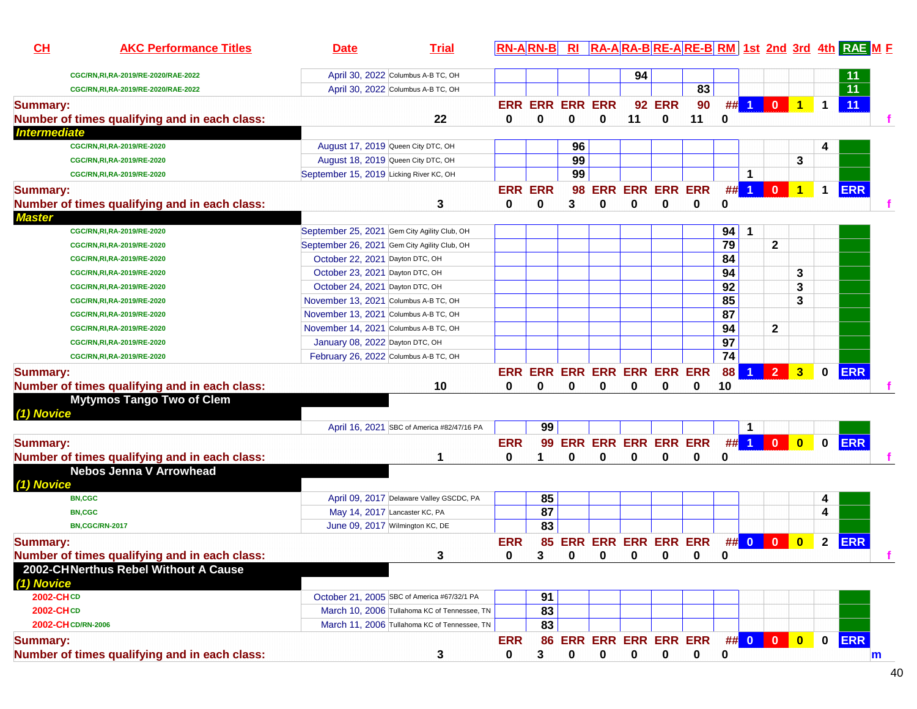| CL                  | <b>AKC Performance Titles</b>                 | <b>Date</b>                                  | <b>Trial</b>                                 |            | <b>RN-ARN-B</b>             | R1          |                                 |             |                        |             |                 |                |                |                      |              | RA-ARA-BRE-ARE-BRM 1st 2nd 3rd 4th RAE M F |              |
|---------------------|-----------------------------------------------|----------------------------------------------|----------------------------------------------|------------|-----------------------------|-------------|---------------------------------|-------------|------------------------|-------------|-----------------|----------------|----------------|----------------------|--------------|--------------------------------------------|--------------|
|                     | CGC/RN,RI,RA-2019/RE-2020/RAE-2022            |                                              | April 30, 2022 Columbus A-B TC, OH           |            |                             |             |                                 | 94          |                        |             |                 |                |                |                      |              | $\overline{11}$                            |              |
|                     | CGC/RN,RI,RA-2019/RE-2020/RAE-2022            |                                              | April 30, 2022 Columbus A-B TC, OH           |            |                             |             |                                 |             |                        | 83          |                 |                |                |                      |              | $\overline{11}$                            |              |
| <b>Summary:</b>     |                                               |                                              |                                              |            | <b>ERR ERR ERR ERR</b>      |             |                                 |             | <b>92 ERR</b>          | 90          | #               |                | $\mathbf 0$    |                      | 1            | 11                                         |              |
|                     | Number of times qualifying and in each class: |                                              | 22                                           | 0          | 0                           | 0           | 0                               | 11          | 0                      | 11          | 0               |                |                |                      |              |                                            |              |
| <b>Intermediate</b> |                                               |                                              |                                              |            |                             |             |                                 |             |                        |             |                 |                |                |                      |              |                                            |              |
|                     | CGC/RN, RI, RA-2019/RE-2020                   | August 17, 2019 Queen City DTC, OH           |                                              |            |                             | 96          |                                 |             |                        |             |                 |                |                |                      |              |                                            |              |
|                     | CGC/RN, RI, RA-2019/RE-2020                   |                                              | August 18, 2019 Queen City DTC, OH           |            |                             | 99          |                                 |             |                        |             |                 |                |                | 3                    |              |                                            |              |
|                     | CGC/RN, RI, RA-2019/RE-2020                   | September 15, 2019 Licking River KC, OH      |                                              |            |                             | 99          |                                 |             |                        |             |                 | 1              |                |                      |              |                                            |              |
| <b>Summary:</b>     |                                               |                                              |                                              |            | <b>ERR ERR</b>              | 98          |                                 |             | <b>ERR ERR ERR ERR</b> |             | #               | $\overline{1}$ | $\mathbf{0}$   | $\blacktriangleleft$ | $\mathbf 1$  | <b>ERR</b>                                 |              |
|                     | Number of times qualifying and in each class: |                                              | 3                                            | 0          | 0                           | 3           | 0                               | 0           | 0                      | 0           | 0               |                |                |                      |              |                                            |              |
| <b>Master</b>       |                                               |                                              |                                              |            |                             |             |                                 |             |                        |             |                 |                |                |                      |              |                                            |              |
|                     | CGC/RN, RI, RA-2019/RE-2020                   | September 25, 2021 Gem City Agility Club, OH |                                              |            |                             |             |                                 |             |                        |             | 94              | -1             |                |                      |              |                                            |              |
|                     | CGC/RN, RI, RA-2019/RE-2020                   | September 26, 2021 Gem City Agility Club, OH |                                              |            |                             |             |                                 |             |                        |             | 79              |                | $\mathbf{2}$   |                      |              |                                            |              |
|                     | CGC/RN, RI, RA-2019/RE-2020                   | October 22, 2021 Dayton DTC, OH              |                                              |            |                             |             |                                 |             |                        |             | 84              |                |                |                      |              |                                            |              |
|                     | CGC/RN, RI, RA-2019/RE-2020                   | October 23, 2021 Dayton DTC, OH              |                                              |            |                             |             |                                 |             |                        |             | 94              |                |                | 3                    |              |                                            |              |
|                     | CGC/RN, RI, RA-2019/RE-2020                   | October 24, 2021 Dayton DTC, OH              |                                              |            |                             |             |                                 |             |                        |             | $\overline{92}$ |                |                | 3                    |              |                                            |              |
|                     | CGC/RN, RI, RA-2019/RE-2020                   | November 13, 2021 Columbus A-B TC, OH        |                                              |            |                             |             |                                 |             |                        |             | 85              |                |                | 3                    |              |                                            |              |
|                     | CGC/RN, RI, RA-2019/RE-2020                   | November 13, 2021 Columbus A-B TC, OH        |                                              |            |                             |             |                                 |             |                        |             | 87              |                |                |                      |              |                                            |              |
|                     | CGC/RN, RI, RA-2019/RE-2020                   | November 14, 2021 Columbus A-B TC, OH        |                                              |            |                             |             |                                 |             |                        |             | 94              |                | $\mathbf{2}$   |                      |              |                                            |              |
|                     | CGC/RN, RI, RA-2019/RE-2020                   | January 08, 2022 Dayton DTC, OH              |                                              |            |                             |             |                                 |             |                        |             | 97              |                |                |                      |              |                                            |              |
|                     | CGC/RN, RI, RA-2019/RE-2020                   | February 26, 2022 Columbus A-B TC, OH        |                                              |            |                             |             |                                 |             |                        |             | 74              |                |                |                      |              |                                            |              |
| <b>Summary:</b>     |                                               |                                              |                                              |            | ERR ERR ERR ERR ERR ERR ERR |             |                                 |             |                        |             | 88              |                | $\overline{2}$ | 3                    | 0            | <b>ERR</b>                                 |              |
|                     | Number of times qualifying and in each class: |                                              | 10                                           | 0          | 0                           | 0           | 0                               | 0           | 0                      | 0           | 10              |                |                |                      |              |                                            |              |
|                     | <b>Mytymos Tango Two of Clem</b>              |                                              |                                              |            |                             |             |                                 |             |                        |             |                 |                |                |                      |              |                                            |              |
| (1) Novice          |                                               |                                              |                                              |            |                             |             |                                 |             |                        |             |                 |                |                |                      |              |                                            |              |
|                     |                                               |                                              | April 16, 2021 SBC of America #82/47/16 PA   |            | 99                          |             |                                 |             |                        |             |                 | $\mathbf{1}$   |                |                      |              |                                            |              |
| <b>Summary:</b>     |                                               |                                              |                                              | <b>ERR</b> | 99                          |             | <b>ERR ERR ERR ERR ERR</b>      |             |                        |             |                 | $##$ 1         | $\mathbf{0}$   | $\bf{0}$             | $\bf{0}$     | <b>ERR</b>                                 |              |
|                     | Number of times qualifying and in each class: |                                              | 1                                            | 0          | 1                           | 0           | 0                               | 0           | 0                      | 0           | 0               |                |                |                      |              |                                            |              |
|                     | <b>Nebos Jenna V Arrowhead</b>                |                                              |                                              |            |                             |             |                                 |             |                        |             |                 |                |                |                      |              |                                            |              |
| (1) Novice          |                                               |                                              |                                              |            |                             |             |                                 |             |                        |             |                 |                |                |                      |              |                                            |              |
|                     | <b>BN,CGC</b>                                 |                                              | April 09, 2017 Delaware Valley GSCDC, PA     |            | 85                          |             |                                 |             |                        |             |                 |                |                |                      | 4            |                                            |              |
|                     | <b>BN,CGC</b>                                 |                                              | May 14, 2017 Lancaster KC, PA                |            | 87                          |             |                                 |             |                        |             |                 |                |                |                      | 4            |                                            |              |
|                     | <b>BN,CGC/RN-2017</b>                         |                                              | June 09, 2017 Wilmington KC, DE              |            | 83                          |             |                                 |             |                        |             |                 |                |                |                      |              |                                            |              |
| <b>Summary:</b>     |                                               |                                              |                                              | <b>ERR</b> |                             |             | 85 ERR ERR ERR ERR ERR          |             |                        |             |                 | ## 0           | $\mathbf{0}$   | $\bf{0}$             | $\mathbf{2}$ | <b>ERR</b>                                 |              |
|                     | Number of times qualifying and in each class: |                                              | 3                                            | 0          | $3^{\circ}$                 |             | $0$ 0 0 0 0                     |             |                        |             | 0               |                |                |                      |              |                                            |              |
| (1) Novice          | 2002-CHNerthus Rebel Without A Cause          |                                              |                                              |            |                             |             |                                 |             |                        |             |                 |                |                |                      |              |                                            |              |
| 2002-CHCD           |                                               |                                              | October 21, 2005 SBC of America #67/32/1 PA  |            | 91                          |             |                                 |             |                        |             |                 |                |                |                      |              |                                            |              |
| 2002-CHCD           |                                               |                                              | March 10, 2006 Tullahoma KC of Tennessee, TN |            | 83                          |             |                                 |             |                        |             |                 |                |                |                      |              |                                            |              |
|                     | 2002-CH CD/RN-2006                            |                                              | March 11, 2006 Tullahoma KC of Tennessee, TN |            | 83                          |             |                                 |             |                        |             |                 |                |                |                      |              |                                            |              |
|                     |                                               |                                              |                                              | <b>ERR</b> |                             |             | 86 ERR ERR ERR ERR ERR ## 0 0 0 |             |                        |             |                 |                |                |                      |              | 0 ERR                                      |              |
| <b>Summary:</b>     | Number of times qualifying and in each class: |                                              |                                              | 0          | 3                           | $\mathbf 0$ | $\mathbf 0$                     | $\mathbf 0$ | $\mathbf 0$            | $\mathbf 0$ | $\mathbf 0$     |                |                |                      |              |                                            |              |
|                     |                                               |                                              | 3                                            |            |                             |             |                                 |             |                        |             |                 |                |                |                      |              |                                            | $\mathsf{m}$ |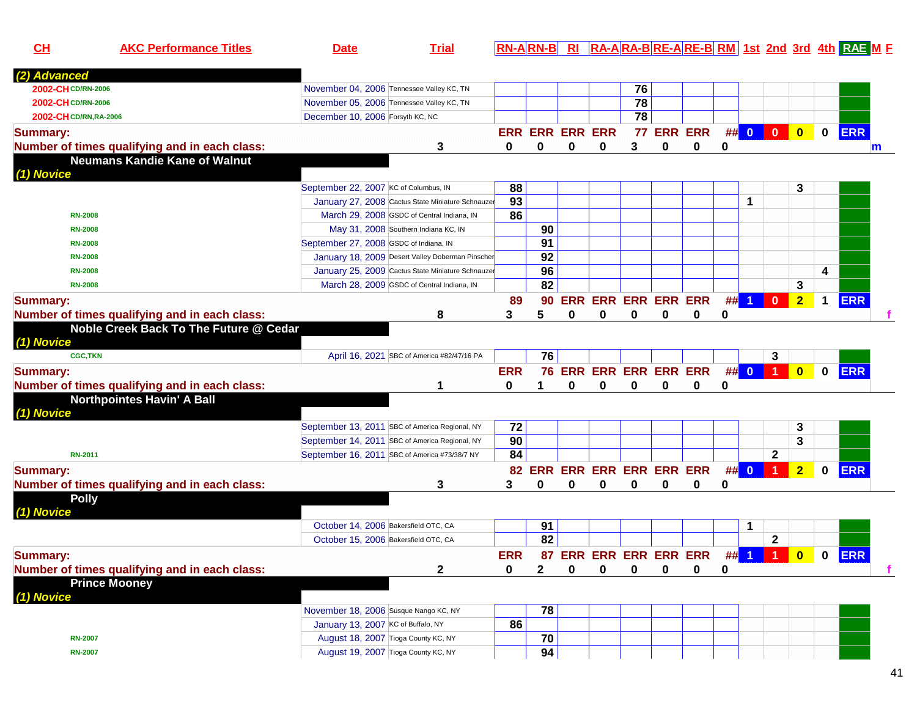| CH                     | <b>AKC Performance Titles</b>                 | <b>Date</b>                                    | <b>Trial</b>                                      |            |                 |                        |                            |          |                |             |    |                         |                      |                         |             | <b>RN-ARN-B RI RA-ARA-BRE-ARE-BRM 1st 2nd 3rd 4th RAE M F</b> |   |
|------------------------|-----------------------------------------------|------------------------------------------------|---------------------------------------------------|------------|-----------------|------------------------|----------------------------|----------|----------------|-------------|----|-------------------------|----------------------|-------------------------|-------------|---------------------------------------------------------------|---|
| (2) Advanced           |                                               |                                                |                                                   |            |                 |                        |                            |          |                |             |    |                         |                      |                         |             |                                                               |   |
| 2002-CH CD/RN-2006     |                                               | November 04, 2006 Tennessee Valley KC, TN      |                                                   |            |                 |                        |                            | 76       |                |             |    |                         |                      |                         |             |                                                               |   |
| 2002-CH CD/RN-2006     |                                               | November 05, 2006 Tennessee Valley KC, TN      |                                                   |            |                 |                        |                            | 78       |                |             |    |                         |                      |                         |             |                                                               |   |
| 2002-CH CD/RN, RA-2006 |                                               | December 10, 2006 Forsyth KC, NC               |                                                   |            |                 |                        |                            | 78       |                |             |    |                         |                      |                         |             |                                                               |   |
| <b>Summary:</b>        |                                               |                                                |                                                   |            |                 | <b>ERR ERR ERR ERR</b> |                            | 77       | <b>ERR ERR</b> |             |    | ## 0                    | $\bullet$            | $\overline{\mathbf{0}}$ | $\mathbf 0$ | <b>ERR</b>                                                    |   |
|                        | Number of times qualifying and in each class: |                                                | 3                                                 | 0          | 0               | 0                      | 0                          | 3        | 0              | 0           | 0  |                         |                      |                         |             |                                                               | m |
|                        | <b>Neumans Kandie Kane of Walnut</b>          |                                                |                                                   |            |                 |                        |                            |          |                |             |    |                         |                      |                         |             |                                                               |   |
| (1) Novice             |                                               |                                                |                                                   |            |                 |                        |                            |          |                |             |    |                         |                      |                         |             |                                                               |   |
|                        |                                               | September 22, 2007 KC of Columbus, IN          |                                                   | 88         |                 |                        |                            |          |                |             |    |                         |                      | 3                       |             |                                                               |   |
|                        |                                               |                                                | January 27, 2008 Cactus State Miniature Schnauzer | 93         |                 |                        |                            |          |                |             |    | 1                       |                      |                         |             |                                                               |   |
| <b>RN-2008</b>         |                                               |                                                | March 29, 2008 GSDC of Central Indiana, IN        | 86         |                 |                        |                            |          |                |             |    |                         |                      |                         |             |                                                               |   |
| <b>RN-2008</b>         |                                               | May 31, 2008 Southern Indiana KC, IN           |                                                   |            | 90              |                        |                            |          |                |             |    |                         |                      |                         |             |                                                               |   |
| <b>RN-2008</b>         |                                               | September 27, 2008 GSDC of Indiana, IN         |                                                   |            | $\overline{91}$ |                        |                            |          |                |             |    |                         |                      |                         |             |                                                               |   |
| <b>RN-2008</b>         |                                               |                                                | January 18, 2009 Desert Valley Doberman Pinscher  |            | 92              |                        |                            |          |                |             |    |                         |                      |                         |             |                                                               |   |
| <b>RN-2008</b>         |                                               |                                                | January 25, 2009 Cactus State Miniature Schnauzer |            | 96              |                        |                            |          |                |             |    |                         |                      |                         | 4           |                                                               |   |
| <b>RN-2008</b>         |                                               |                                                | March 28, 2009 GSDC of Central Indiana, IN        |            | 82              |                        |                            |          |                |             |    |                         |                      | 3                       |             |                                                               |   |
| <b>Summary:</b>        |                                               |                                                |                                                   | 89         | 90              |                        | <b>ERR ERR ERR ERR ERR</b> |          |                |             | ## | $\blacktriangleleft$    | $\mathbf{0}$         | $\overline{2}$          |             | <b>ERR</b>                                                    |   |
|                        | Number of times qualifying and in each class: |                                                | 8                                                 | 3          | 5               | 0                      | 0                          | 0        | 0              | 0           | 0  |                         |                      |                         |             |                                                               |   |
|                        | Noble Creek Back To The Future @ Cedar        |                                                |                                                   |            |                 |                        |                            |          |                |             |    |                         |                      |                         |             |                                                               |   |
| (1) Novice             |                                               |                                                |                                                   |            |                 |                        |                            |          |                |             |    |                         |                      |                         |             |                                                               |   |
|                        | <b>CGC,TKN</b>                                |                                                | April 16, 2021 SBC of America #82/47/16 PA        |            | 76              |                        |                            |          |                |             |    |                         | 3                    |                         |             |                                                               |   |
| <b>Summary:</b>        |                                               |                                                |                                                   | <b>ERR</b> |                 |                        | 76 ERR ERR ERR ERR ERR     |          |                |             | ## | $\overline{\mathbf{0}}$ | -1.                  | $\mathbf{0}$            | $\bf{0}$    | <b>ERR</b>                                                    |   |
|                        | Number of times qualifying and in each class: |                                                | 1                                                 | 0          |                 | 0                      | 0                          | 0        | 0              | 0           | 0  |                         |                      |                         |             |                                                               |   |
|                        | <b>Northpointes Havin' A Ball</b>             |                                                |                                                   |            |                 |                        |                            |          |                |             |    |                         |                      |                         |             |                                                               |   |
| (1) Novice             |                                               |                                                |                                                   |            |                 |                        |                            |          |                |             |    |                         |                      |                         |             |                                                               |   |
|                        |                                               | September 13, 2011 SBC of America Regional, NY |                                                   | 72         |                 |                        |                            |          |                |             |    |                         |                      | 3                       |             |                                                               |   |
|                        |                                               | September 14, 2011 SBC of America Regional, NY |                                                   | 90         |                 |                        |                            |          |                |             |    |                         |                      | 3                       |             |                                                               |   |
| <b>RN-2011</b>         |                                               | September 16, 2011 SBC of America #73/38/7 NY  |                                                   | 84         |                 |                        |                            |          |                |             |    |                         | 2                    |                         |             |                                                               |   |
| <b>Summary:</b>        |                                               |                                                |                                                   |            |                 |                        | 82 ERR ERR ERR ERR ERR ERR |          |                |             | #  | $\mathbf{0}$            | 1                    | 2 <sub>1</sub>          | $\bf{0}$    | <b>ERR</b>                                                    |   |
|                        | Number of times qualifying and in each class: |                                                | 3                                                 | 3          | 0               | 0                      | 0                          | 0        | 0              | 0           | 0  |                         |                      |                         |             |                                                               |   |
| <b>Polly</b>           |                                               |                                                |                                                   |            |                 |                        |                            |          |                |             |    |                         |                      |                         |             |                                                               |   |
| (1) Novice             |                                               |                                                |                                                   |            |                 |                        |                            |          |                |             |    |                         |                      |                         |             |                                                               |   |
|                        |                                               | October 14, 2006 Bakersfield OTC, CA           |                                                   |            | 91              |                        |                            |          |                |             |    | 1                       |                      |                         |             |                                                               |   |
|                        |                                               | October 15, 2006 Bakersfield OTC, CA           |                                                   |            | 82              |                        |                            |          |                |             |    |                         | $\mathbf 2$          |                         |             |                                                               |   |
| <b>Summary:</b>        |                                               |                                                |                                                   | <b>ERR</b> |                 |                        | 87 ERR ERR ERR ERR ERR     |          |                |             | ## | $\blacktriangleleft$    | $\blacktriangleleft$ | $\overline{\mathbf{0}}$ | $\mathbf 0$ | <b>ERR</b>                                                    |   |
|                        | Number of times qualifying and in each class: |                                                | $\mathbf 2$                                       | 0          | $\mathbf{2}$    | 0                      | 0                          | $\bf{0}$ | $\bf{0}$       | $\mathbf 0$ | 0  |                         |                      |                         |             |                                                               |   |
|                        | <b>Prince Mooney</b>                          |                                                |                                                   |            |                 |                        |                            |          |                |             |    |                         |                      |                         |             |                                                               |   |
| (1) Novice             |                                               |                                                |                                                   |            |                 |                        |                            |          |                |             |    |                         |                      |                         |             |                                                               |   |
|                        |                                               | November 18, 2006 Susque Nango KC, NY          |                                                   |            | 78              |                        |                            |          |                |             |    |                         |                      |                         |             |                                                               |   |
|                        |                                               | January 13, 2007 KC of Buffalo, NY             |                                                   | 86         |                 |                        |                            |          |                |             |    |                         |                      |                         |             |                                                               |   |
| <b>RN-2007</b>         |                                               | August 18, 2007 Tioga County KC, NY            |                                                   |            | 70              |                        |                            |          |                |             |    |                         |                      |                         |             |                                                               |   |
| <b>RN-2007</b>         |                                               | August 19, 2007 Tioga County KC, NY            |                                                   |            | 94              |                        |                            |          |                |             |    |                         |                      |                         |             |                                                               |   |
|                        |                                               |                                                |                                                   |            |                 |                        |                            |          |                |             |    |                         |                      |                         |             |                                                               |   |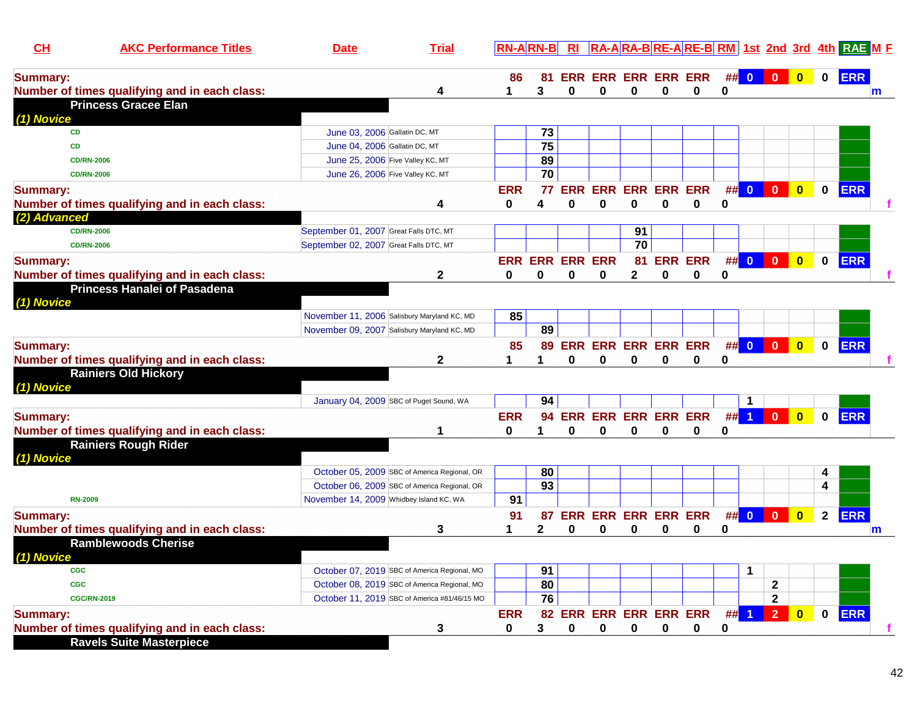| CH              | <b>AKC Performance Titles</b>                 | <b>Date</b>                                 | <b>Trial</b>                                 | <b>RN-ARN-B</b> |                 | R1                     |                            |                 |          |                        |             |                      |                                                                    |              |              | <b>RA-ARA-BRE-ARE-BRM 1st 2nd 3rd 4th RAEME</b> |
|-----------------|-----------------------------------------------|---------------------------------------------|----------------------------------------------|-----------------|-----------------|------------------------|----------------------------|-----------------|----------|------------------------|-------------|----------------------|--------------------------------------------------------------------|--------------|--------------|-------------------------------------------------|
| <b>Summary:</b> |                                               |                                             |                                              | 86              | 81              |                        | <b>ERR ERR ERR ERR ERR</b> |                 |          |                        |             | ## 0                 | $\begin{array}{ c c c c c }\n\hline\n0 & 0 \\ \hline\n\end{array}$ |              | $\bf{0}$     | <b>ERR</b>                                      |
|                 | Number of times qualifying and in each class: |                                             | 4                                            |                 | 3               | $\bf{0}$               | 0                          | 0               | 0        | 0                      | 0           |                      |                                                                    |              |              | m                                               |
|                 | <b>Princess Gracee Elan</b>                   |                                             |                                              |                 |                 |                        |                            |                 |          |                        |             |                      |                                                                    |              |              |                                                 |
| (1) Novice      |                                               |                                             |                                              |                 |                 |                        |                            |                 |          |                        |             |                      |                                                                    |              |              |                                                 |
| <b>CD</b>       |                                               | June 03, 2006 Gallatin DC, MT               |                                              |                 | 73              |                        |                            |                 |          |                        |             |                      |                                                                    |              |              |                                                 |
| <b>CD</b>       |                                               | June 04, 2006 Gallatin DC, MT               |                                              |                 | 75              |                        |                            |                 |          |                        |             |                      |                                                                    |              |              |                                                 |
|                 | <b>CD/RN-2006</b>                             | June 25, 2006 Five Valley KC, MT            |                                              |                 | 89              |                        |                            |                 |          |                        |             |                      |                                                                    |              |              |                                                 |
|                 | <b>CD/RN-2006</b>                             | June 26, 2006 Five Valley KC, MT            |                                              |                 | $\overline{70}$ |                        |                            |                 |          |                        |             |                      |                                                                    |              |              |                                                 |
| <b>Summary:</b> |                                               |                                             |                                              | <b>ERR</b>      | 77              | <b>ERR</b>             | <b>ERR ERR ERR ERR</b>     |                 |          |                        |             | ## 0                 | $\overline{\mathbf{0}}$                                            | $\bullet$    | $\mathbf 0$  | <b>ERR</b>                                      |
|                 | Number of times qualifying and in each class: |                                             | 4                                            | 0               | 4               | 0                      | 0                          | 0               | 0        | 0                      | 0           |                      |                                                                    |              |              |                                                 |
| (2) Advanced    |                                               |                                             |                                              |                 |                 |                        |                            |                 |          |                        |             |                      |                                                                    |              |              |                                                 |
|                 | <b>CD/RN-2006</b>                             | September 01, 2007 Great Falls DTC, MT      |                                              |                 |                 |                        |                            | 91              |          |                        |             |                      |                                                                    |              |              |                                                 |
|                 | <b>CD/RN-2006</b>                             | September 02, 2007 Great Falls DTC, MT      |                                              |                 |                 |                        |                            | $\overline{70}$ |          |                        |             |                      |                                                                    |              |              |                                                 |
| <b>Summary:</b> |                                               |                                             |                                              |                 |                 | <b>ERR ERR ERR ERR</b> |                            | 81              |          | <b>ERR ERR</b>         |             | ## 0                 | $\mathbf{0}$                                                       | $\bullet$    | 0            | <b>ERR</b>                                      |
|                 | Number of times qualifying and in each class: |                                             | $\mathbf{2}$                                 | 0               | 0               | 0                      | 0                          | $\mathbf 2$     | 0        | 0                      | 0           |                      |                                                                    |              |              |                                                 |
| (1) Novice      | <b>Princess Hanalei of Pasadena</b>           |                                             |                                              |                 |                 |                        |                            |                 |          |                        |             |                      |                                                                    |              |              |                                                 |
|                 |                                               | November 11, 2006 Salisbury Maryland KC, MD |                                              | 85              |                 |                        |                            |                 |          |                        |             |                      |                                                                    |              |              |                                                 |
|                 |                                               | November 09, 2007 Salisbury Maryland KC, MD |                                              |                 | 89              |                        |                            |                 |          |                        |             |                      |                                                                    |              |              |                                                 |
|                 |                                               |                                             |                                              |                 |                 |                        |                            |                 |          |                        |             |                      |                                                                    |              |              |                                                 |
| <b>Summary:</b> |                                               |                                             |                                              | 85              | 89              |                        | <b>ERR ERR ERR ERR ERR</b> |                 |          |                        |             | ## 0                 | $\vert 0 \vert$                                                    | $\bullet$    | $\mathbf 0$  | <b>ERR</b>                                      |
|                 | Number of times qualifying and in each class: |                                             | $\mathbf{2}$                                 | 1               | 1               | 0                      | 0                          | 0               | 0        | 0                      | 0           |                      |                                                                    |              |              |                                                 |
|                 | <b>Rainiers Old Hickory</b>                   |                                             |                                              |                 |                 |                        |                            |                 |          |                        |             |                      |                                                                    |              |              |                                                 |
| (1) Novice      |                                               |                                             |                                              |                 |                 |                        |                            |                 |          |                        |             |                      |                                                                    |              |              |                                                 |
|                 |                                               | January 04, 2009 SBC of Puget Sound, WA     |                                              |                 | 94              |                        |                            |                 |          |                        |             | $\mathbf{1}$         |                                                                    |              |              |                                                 |
| <b>Summary:</b> |                                               |                                             |                                              | <b>ERR</b>      | 94              |                        | <b>ERR ERR ERR ERR ERR</b> |                 |          |                        | ##          | $\blacktriangleleft$ | $\mathbf{0}$                                                       | $\bf{0}$     | $\mathbf{0}$ | <b>ERR</b>                                      |
|                 | Number of times qualifying and in each class: |                                             | 1                                            | 0               | 1               | $\bf{0}$               | 0                          | 0               | $\bf{0}$ | 0                      | 0           |                      |                                                                    |              |              |                                                 |
|                 | <b>Rainiers Rough Rider</b>                   |                                             |                                              |                 |                 |                        |                            |                 |          |                        |             |                      |                                                                    |              |              |                                                 |
| (1) Novice      |                                               |                                             |                                              |                 |                 |                        |                            |                 |          |                        |             |                      |                                                                    |              |              |                                                 |
|                 |                                               |                                             | October 05, 2009 SBC of America Regional, OR |                 | 80              |                        |                            |                 |          |                        |             |                      |                                                                    |              | 4            |                                                 |
|                 |                                               |                                             | October 06, 2009 SBC of America Regional, OR |                 | 93              |                        |                            |                 |          |                        |             |                      |                                                                    |              | 4            |                                                 |
| <b>RN-2009</b>  |                                               | November 14, 2009 Whidbey Island KC, WA     |                                              | 91              |                 |                        |                            |                 |          |                        |             |                      |                                                                    |              |              |                                                 |
| <b>Summary:</b> |                                               |                                             |                                              | 91              | 87              |                        | <b>ERR ERR ERR ERR ERR</b> |                 |          |                        |             | ## 0                 | $\overline{\mathbf{0}}$                                            | $\mathbf{0}$ | $\mathbf{2}$ | ERR                                             |
|                 | Number of times qualifying and in each class: |                                             | 3                                            |                 | $\mathbf{2}$    | $\bf{0}$               | 0                          | 0               | 0        | 0                      | 0           |                      |                                                                    |              |              | m                                               |
|                 | <b>Ramblewoods Cherise</b>                    |                                             |                                              |                 |                 |                        |                            |                 |          |                        |             |                      |                                                                    |              |              |                                                 |
| (1) Novice      |                                               |                                             |                                              |                 |                 |                        |                            |                 |          |                        |             |                      |                                                                    |              |              |                                                 |
| <b>CGC</b>      |                                               |                                             | October 07, 2019 SBC of America Regional, MO |                 | 91              |                        |                            |                 |          |                        |             | 1                    |                                                                    |              |              |                                                 |
| <b>CGC</b>      |                                               |                                             | October 08, 2019 SBC of America Regional, MO |                 | 80              |                        |                            |                 |          |                        |             |                      | $\mathbf 2$                                                        |              |              |                                                 |
|                 | <b>CGC/RN-2019</b>                            |                                             | October 11, 2019 SBC of America #81/46/15 MO |                 | 76              |                        |                            |                 |          |                        |             |                      | $\mathbf{2}$                                                       |              |              |                                                 |
| <b>Summary:</b> |                                               |                                             |                                              | <b>ERR</b>      |                 |                        |                            |                 |          | 82 ERR ERR ERR ERR ERR |             |                      | ## 1 2 0                                                           |              | $\mathbf 0$  | <b>ERR</b>                                      |
|                 | Number of times qualifying and in each class: |                                             | 3                                            | 0               | 3               | 0                      | 0                          | 0               | 0        | 0                      | $\mathbf 0$ |                      |                                                                    |              |              |                                                 |
|                 | <b>Ravels Suite Masterpiece</b>               |                                             |                                              |                 |                 |                        |                            |                 |          |                        |             |                      |                                                                    |              |              |                                                 |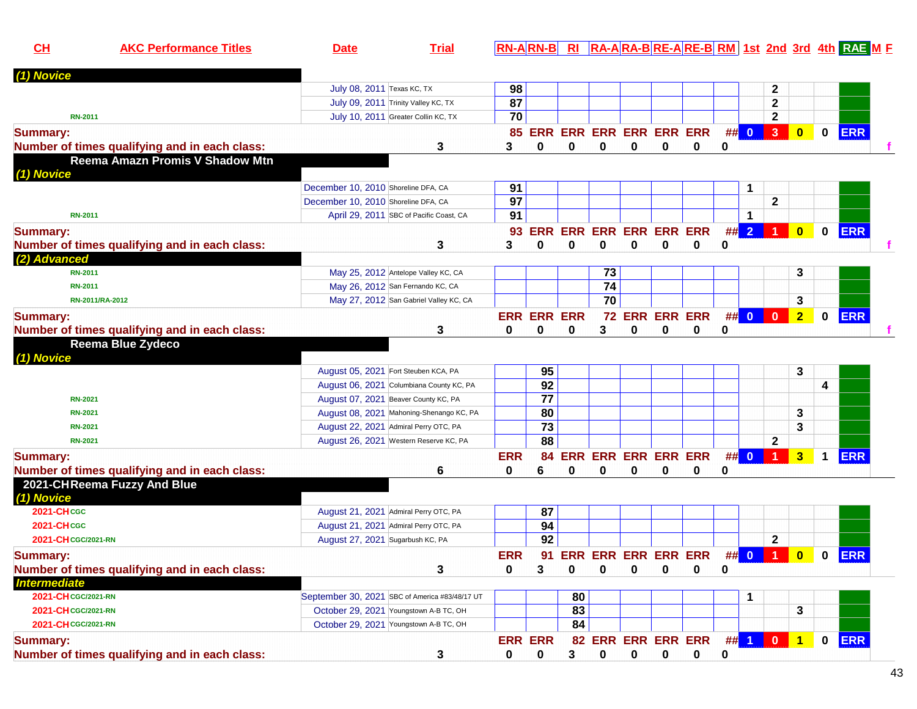| CH                  | <b>AKC Performance Titles</b>                                      | <b>Date</b>                         | <b>Trial</b>                                   |                 | $RN-A RN-B $       | RI |                            |             |             |                |      |      |                |                         |             | RA-ARA-BRE-ARE-BRM 1st 2nd 3rd 4th RAE ME |
|---------------------|--------------------------------------------------------------------|-------------------------------------|------------------------------------------------|-----------------|--------------------|----|----------------------------|-------------|-------------|----------------|------|------|----------------|-------------------------|-------------|-------------------------------------------|
| (1) Novice          |                                                                    |                                     |                                                |                 |                    |    |                            |             |             |                |      |      |                |                         |             |                                           |
|                     |                                                                    | July 08, 2011 Texas KC, TX          |                                                | 98              |                    |    |                            |             |             |                |      |      | $\mathbf{2}$   |                         |             |                                           |
|                     |                                                                    |                                     | July 09, 2011 Trinity Valley KC, TX            | $\overline{87}$ |                    |    |                            |             |             |                |      |      | $\mathbf{2}$   |                         |             |                                           |
|                     | <b>RN-2011</b>                                                     |                                     | July 10, 2011 Greater Collin KC, TX            | 70              |                    |    |                            |             |             |                |      |      | $\mathbf{2}$   |                         |             |                                           |
| <b>Summary:</b>     |                                                                    |                                     |                                                |                 | <b>85 ERR</b>      |    | <b>ERR ERR ERR ERR ERR</b> |             |             |                |      | ## 0 | $\overline{3}$ | $\overline{\mathbf{0}}$ | 0           | <b>ERR</b>                                |
|                     | Number of times qualifying and in each class:                      |                                     | 3                                              | 3               | 0                  | 0  | 0                          | 0           | 0           | 0              | 0    |      |                |                         |             |                                           |
|                     | Reema Amazn Promis V Shadow Mtn                                    |                                     |                                                |                 |                    |    |                            |             |             |                |      |      |                |                         |             |                                           |
| (1) Novice          |                                                                    |                                     |                                                |                 |                    |    |                            |             |             |                |      |      |                |                         |             |                                           |
|                     |                                                                    | December 10, 2010 Shoreline DFA, CA |                                                | 91              |                    |    |                            |             |             |                |      | 1    |                |                         |             |                                           |
|                     |                                                                    | December 10, 2010 Shoreline DFA, CA |                                                | 97              |                    |    |                            |             |             |                |      |      | $\mathbf{2}$   |                         |             |                                           |
|                     | <b>RN-2011</b>                                                     |                                     | April 29, 2011 SBC of Pacific Coast, CA        | 91              |                    |    |                            |             |             |                |      | 1    |                |                         |             |                                           |
| <b>Summary:</b>     |                                                                    |                                     |                                                | 93              | <b>ERR</b>         |    | <b>ERR ERR ERR ERR ERR</b> |             |             |                | ## 2 |      |                | $\mathbf{0}$            | $\mathbf 0$ | <b>ERR</b>                                |
|                     | Number of times qualifying and in each class:                      |                                     | 3                                              | 3               | 0                  | 0  | 0                          | 0           | 0           | 0              | 0    |      |                |                         |             |                                           |
| (2) Advanced        |                                                                    |                                     |                                                |                 |                    |    |                            |             |             |                |      |      |                |                         |             |                                           |
|                     | <b>RN-2011</b>                                                     |                                     | May 25, 2012 Antelope Valley KC, CA            |                 |                    |    | 73                         |             |             |                |      |      |                | 3                       |             |                                           |
|                     | RN-2011                                                            |                                     | May 26, 2012 San Fernando KC, CA               |                 |                    |    | 74                         |             |             |                |      |      |                |                         |             |                                           |
|                     | RN-2011/RA-2012                                                    |                                     | May 27, 2012 San Gabriel Valley KC, CA         |                 |                    |    | 70                         |             |             |                |      |      |                | 3                       |             |                                           |
|                     |                                                                    |                                     |                                                |                 | <b>ERR ERR ERR</b> |    |                            |             |             | 72 ERR ERR ERR |      | ## 0 | $\mathbf 0$    | $\overline{2}$          | $\mathbf 0$ | <b>ERR</b>                                |
| <b>Summary:</b>     |                                                                    |                                     |                                                | 0               | 0                  | 0  | 3                          | 0           | 0           | 0              | 0    |      |                |                         |             |                                           |
|                     | Number of times qualifying and in each class:<br>Reema Blue Zydeco |                                     | 3                                              |                 |                    |    |                            |             |             |                |      |      |                |                         |             |                                           |
| (1) Novice          |                                                                    |                                     |                                                |                 |                    |    |                            |             |             |                |      |      |                |                         |             |                                           |
|                     |                                                                    |                                     | August 05, 2021 Fort Steuben KCA, PA           |                 | 95                 |    |                            |             |             |                |      |      |                | 3                       |             |                                           |
|                     |                                                                    |                                     | August 06, 2021 Columbiana County KC, PA       |                 | 92                 |    |                            |             |             |                |      |      |                |                         | 4           |                                           |
|                     | <b>RN-2021</b>                                                     |                                     | August 07, 2021 Beaver County KC, PA           |                 | $\overline{77}$    |    |                            |             |             |                |      |      |                |                         |             |                                           |
|                     | <b>RN-2021</b>                                                     |                                     | August 08, 2021 Mahoning-Shenango KC, PA       |                 | 80                 |    |                            |             |             |                |      |      |                | 3                       |             |                                           |
|                     | <b>RN-2021</b>                                                     |                                     | August 22, 2021 Admiral Perry OTC, PA          |                 | $\overline{73}$    |    |                            |             |             |                |      |      |                | 3                       |             |                                           |
|                     | <b>RN-2021</b>                                                     |                                     | August 26, 2021 Western Reserve KC, PA         |                 | 88                 |    |                            |             |             |                |      |      | $\mathbf{2}$   |                         |             |                                           |
|                     |                                                                    |                                     |                                                |                 |                    |    |                            |             |             |                |      |      |                |                         |             |                                           |
| <b>Summary:</b>     |                                                                    |                                     |                                                | <b>ERR</b>      | 84                 |    | ERR ERR ERR ERR ERR        |             |             |                |      | ## 0 | $\overline{1}$ | $\overline{\mathbf{3}}$ | $\mathbf 1$ | <b>ERR</b>                                |
|                     | Number of times qualifying and in each class:                      |                                     | 6                                              | 0               | 6                  | 0  | 0                          | 0           | 0           | 0              | 0    |      |                |                         |             |                                           |
|                     | 2021-CHReema Fuzzy And Blue                                        |                                     |                                                |                 |                    |    |                            |             |             |                |      |      |                |                         |             |                                           |
| (1) Novice          |                                                                    |                                     |                                                |                 |                    |    |                            |             |             |                |      |      |                |                         |             |                                           |
| <b>2021-CHCGC</b>   |                                                                    |                                     | August 21, 2021 Admiral Perry OTC, PA          |                 | 87                 |    |                            |             |             |                |      |      |                |                         |             |                                           |
| <b>2021-CHCGC</b>   |                                                                    |                                     | August 21, 2021 Admiral Perry OTC, PA          |                 | 94                 |    |                            |             |             |                |      |      |                |                         |             |                                           |
| 2021-CH CGC/2021-RN |                                                                    | August 27, 2021 Sugarbush KC, PA    |                                                |                 | $\overline{92}$    |    |                            |             |             |                |      |      | $\mathbf{2}$   |                         |             |                                           |
| <b>Summary:</b>     |                                                                    |                                     |                                                | <b>ERR</b>      | 91                 |    | <b>ERR ERR ERR ERR ERR</b> |             |             |                |      | ## 0 | $\blacksquare$ | $\overline{\mathbf{0}}$ | $\mathbf 0$ | <b>ERR</b>                                |
|                     | Number of times qualifying and in each class:                      |                                     | 3                                              | 0               | 3                  | 0  | 0                          | 0           |             | 0              | 0    |      |                |                         |             |                                           |
| <b>Intermediate</b> |                                                                    |                                     |                                                |                 |                    |    |                            |             |             |                |      |      |                |                         |             |                                           |
| 2021-CH CGC/2021-RN |                                                                    |                                     | September 30, 2021 SBC of America #83/48/17 UT |                 |                    | 80 |                            |             |             |                |      | 1    |                |                         |             |                                           |
| 2021-CH CGC/2021-RN |                                                                    |                                     | October 29, 2021 Youngstown A-B TC, OH         |                 |                    | 83 |                            |             |             |                |      |      |                | 3                       |             |                                           |
| 2021-CH CGC/2021-RN |                                                                    |                                     | October 29, 2021 Youngstown A-B TC, OH         |                 |                    | 84 |                            |             |             |                |      |      |                |                         |             |                                           |
| <b>Summary:</b>     |                                                                    |                                     |                                                |                 | <b>ERR ERR</b>     |    | 82 ERR ERR ERR ERR         |             |             |                |      |      | ## 1 0         | $\mathbf 1$             | $\mathbf 0$ | <b>ERR</b>                                |
|                     | Number of times qualifying and in each class:                      |                                     | 3                                              | 0               | 0                  | 3  | 0                          | $\mathbf 0$ | $\mathbf 0$ | $\mathbf 0$    | 0    |      |                |                         |             |                                           |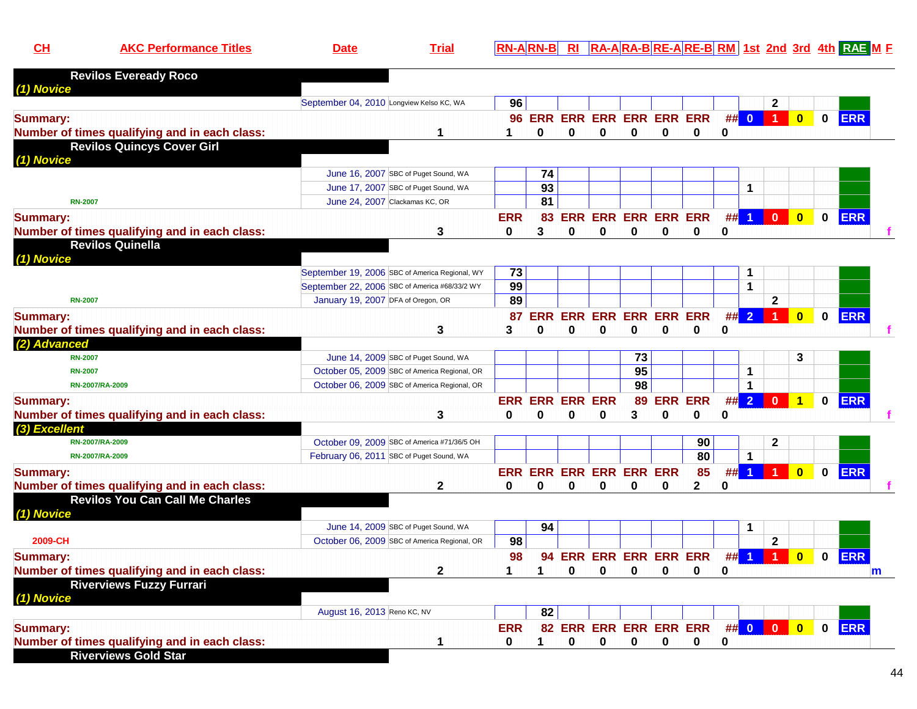| <u> Tria</u><br>4-BIRE-AIRE-BI RM I 1<br>- 2nd<br>-AIRA-l<br>3rd<br>1st.<br>ID N.<br>IRA-<br>- 61<br><u>n i</u><br>Jalt | RAF |
|-------------------------------------------------------------------------------------------------------------------------|-----|
|-------------------------------------------------------------------------------------------------------------------------|-----|

| <b>Revilos Eveready Roco</b>                                                 |                                          |                                                |                 |                        |                        |                                 |                             |            |              |          |                      |                      |                         |              |            |   |
|------------------------------------------------------------------------------|------------------------------------------|------------------------------------------------|-----------------|------------------------|------------------------|---------------------------------|-----------------------------|------------|--------------|----------|----------------------|----------------------|-------------------------|--------------|------------|---|
| (1) Novice                                                                   | September 04, 2010 Longview Kelso KC, WA |                                                | 96              |                        |                        |                                 |                             |            |              |          |                      | $\mathbf{2}$         |                         |              |            |   |
| <b>Summary:</b>                                                              |                                          |                                                |                 |                        |                        | 96 ERR ERR ERR ERR ERR ERR      |                             |            |              |          | ## 0                 | $\blacktriangleleft$ | $\overline{\mathbf{0}}$ | $\mathbf{0}$ | <b>ERR</b> |   |
| Number of times qualifying and in each class:                                |                                          | 1                                              | 1               | 0                      | $\bf{0}$               | 0                               | $\bf{0}$                    | $\bf{0}$   | 0            | 0        |                      |                      |                         |              |            |   |
| <b>Revilos Quincys Cover Girl</b><br>(1) Novice                              |                                          |                                                |                 |                        |                        |                                 |                             |            |              |          |                      |                      |                         |              |            |   |
|                                                                              |                                          | June 16, 2007 SBC of Puget Sound, WA           |                 | 74                     |                        |                                 |                             |            |              |          |                      |                      |                         |              |            |   |
|                                                                              |                                          | June 17, 2007 SBC of Puget Sound, WA           |                 | 93                     |                        |                                 |                             |            |              |          | 1                    |                      |                         |              |            |   |
| <b>RN-2007</b>                                                               |                                          | June 24, 2007 Clackamas KC, OR                 |                 | $\overline{81}$        |                        |                                 |                             |            |              |          |                      |                      |                         |              |            |   |
| <b>Summary:</b><br>Number of times qualifying and in each class:             |                                          | 3                                              | <b>ERR</b><br>0 | 83<br>3                | <b>ERR</b><br>$\bf{0}$ | 0                               | <b>ERR ERR ERR ERR</b><br>0 | $\bf{0}$   | 0            | ##<br>0  | $\blacktriangleleft$ | $\mathbf{0}$         | $\overline{\mathbf{0}}$ | $\mathbf{0}$ | <b>ERR</b> |   |
| <b>Revilos Quinella</b>                                                      |                                          |                                                |                 |                        |                        |                                 |                             |            |              |          |                      |                      |                         |              |            |   |
| (1) Novice                                                                   |                                          | September 19, 2006 SBC of America Regional, WY | 73              |                        |                        |                                 |                             |            |              |          | 1                    |                      |                         |              |            |   |
|                                                                              |                                          | September 22, 2006 SBC of America #68/33/2 WY  | 99              |                        |                        |                                 |                             |            |              |          | 1                    |                      |                         |              |            |   |
| <b>RN-2007</b>                                                               | January 19, 2007 DFA of Oregon, OR       |                                                | 89              |                        |                        |                                 |                             |            |              |          |                      | $\mathbf 2$          |                         |              |            |   |
| <b>Summary:</b>                                                              |                                          |                                                |                 | U                      | $\bf{0}$               | 87 ERR ERR ERR ERR ERR ERR<br>O | 0                           | $\bf{0}$   | 0            | ##<br>0  | $\overline{2}$       | $\blacktriangleleft$ | $\overline{0}$          | $\mathbf{0}$ | <b>ERR</b> |   |
| Number of times qualifying and in each class:<br>(2) Advanced                |                                          | 3                                              | 3               |                        |                        |                                 |                             |            |              |          |                      |                      |                         |              |            |   |
| <b>RN-2007</b>                                                               |                                          | June 14, 2009 SBC of Puget Sound, WA           |                 |                        |                        |                                 | 73                          |            |              |          |                      |                      | 3                       |              |            |   |
| <b>RN-2007</b>                                                               |                                          | October 05, 2009 SBC of America Regional, OR   |                 |                        |                        |                                 | 95                          |            |              |          | $\mathbf 1$          |                      |                         |              |            |   |
| RN-2007/RA-2009                                                              |                                          | October 06, 2009 SBC of America Regional, OR   |                 |                        |                        |                                 | 98                          |            |              |          | 1                    |                      |                         |              |            |   |
|                                                                              |                                          |                                                |                 | <b>ERR ERR ERR ERR</b> |                        |                                 |                             | 89 ERR ERR |              | #        | $\overline{2}$       | $\mathbf{0}$         | $\blacktriangleleft$    | $\mathbf{0}$ | <b>ERR</b> |   |
| <b>Summary:</b><br>Number of times qualifying and in each class:             |                                          | 3                                              | O               | U                      | 0                      | $\bf{0}$                        | 3                           | $\bf{0}$   | $\Omega$     | $\bf{0}$ |                      |                      |                         |              |            |   |
| (3) Excellent                                                                |                                          |                                                |                 |                        |                        |                                 |                             |            |              |          |                      |                      |                         |              |            |   |
| RN-2007/RA-2009                                                              |                                          | October 09, 2009 SBC of America #71/36/5 OH    |                 |                        |                        |                                 |                             |            | 90           |          |                      | 2                    |                         |              |            |   |
| RN-2007/RA-2009                                                              |                                          | February 06, 2011 SBC of Puget Sound, WA       |                 |                        |                        |                                 |                             |            | 80           |          | $\mathbf 1$          |                      |                         |              |            |   |
| <b>Summary:</b>                                                              |                                          |                                                |                 |                        |                        | ERR ERR ERR ERR ERR ERR         |                             |            | 85           | ##       | $\blacktriangleleft$ |                      | $\mathbf{0}$            | $\mathbf 0$  | <b>ERR</b> |   |
| Number of times qualifying and in each class:                                |                                          | $\mathbf 2$                                    | 0               | 0                      | 0                      | O                               | 0                           | 0          | $\mathbf{2}$ | 0        |                      |                      |                         |              |            |   |
| Revilos You Can Call Me Charles<br>(1) Novice                                |                                          |                                                |                 |                        |                        |                                 |                             |            |              |          |                      |                      |                         |              |            |   |
|                                                                              |                                          | June 14, 2009 SBC of Puget Sound, WA           |                 | 94                     |                        |                                 |                             |            |              |          | 1                    |                      |                         |              |            |   |
| 2009-CH                                                                      |                                          | October 06, 2009 SBC of America Regional, OR   | 98              |                        |                        |                                 |                             |            |              |          |                      | $\mathbf 2$          |                         |              |            |   |
| <b>Summary:</b>                                                              |                                          |                                                | 98              | 94                     |                        | <b>ERR ERR ERR ERR ERR</b>      |                             |            |              | #        | $\blacktriangleleft$ |                      | $\mathbf{0}$            | $\mathbf 0$  | <b>ERR</b> |   |
| Number of times qualifying and in each class:                                |                                          | 2                                              | 1               | 1                      | 0                      | 0                               | 0                           | 0          | 0            | 0        |                      |                      |                         |              |            | m |
| <b>Riverviews Fuzzy Furrari</b><br>(1) Novice                                |                                          |                                                |                 |                        |                        |                                 |                             |            |              |          |                      |                      |                         |              |            |   |
|                                                                              | August 16, 2013 Reno KC, NV              |                                                |                 | 82                     |                        |                                 |                             |            |              |          |                      |                      |                         |              |            |   |
| <b>Summary:</b>                                                              |                                          |                                                | <b>ERR</b>      |                        |                        | 82 ERR ERR ERR ERR ERR          |                             |            |              |          | ## 0                 | $\overline{0}$       | $\overline{\mathbf{0}}$ | $\mathbf{0}$ | <b>ERR</b> |   |
| Number of times qualifying and in each class:<br><b>Riverviews Gold Star</b> |                                          | 1                                              | 0               | 1                      | $\bf{0}$               | 0                               | 0                           | 0          | 0            | 0        |                      |                      |                         |              |            |   |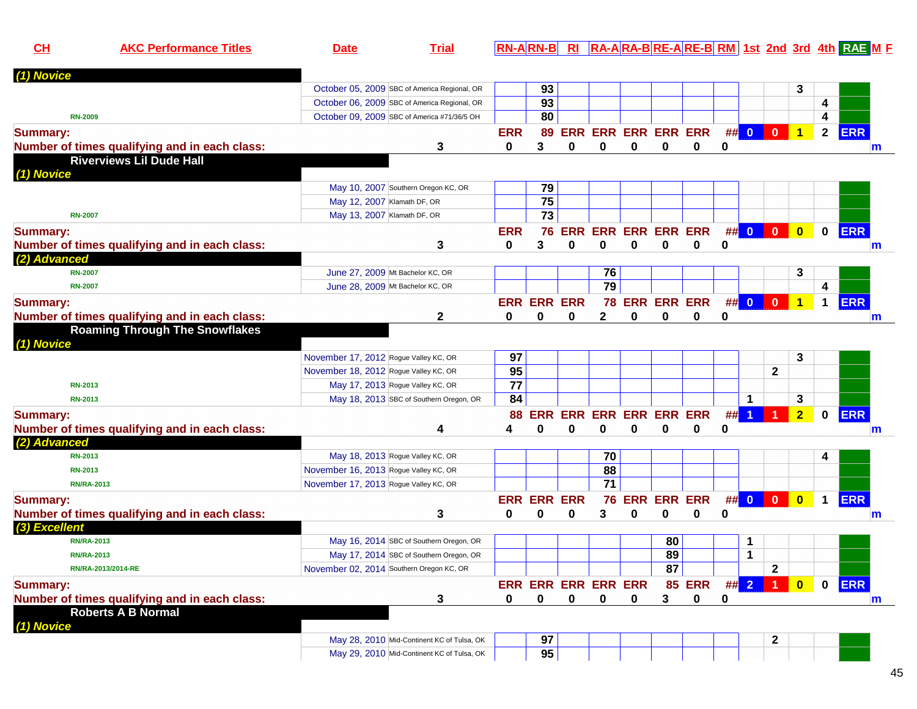| CH              | <b>AKC Performance Titles</b>                 | <b>Date</b>                                  | <b>Trial</b>                               |            |                    |             |                            |               |                    |               |    |                         |                         |                         |                      | <b>RN-ARN-B RI RA-ARA-BRE-ARE-BRM 1st 2nd 3rd 4th RAE M F</b> |
|-----------------|-----------------------------------------------|----------------------------------------------|--------------------------------------------|------------|--------------------|-------------|----------------------------|---------------|--------------------|---------------|----|-------------------------|-------------------------|-------------------------|----------------------|---------------------------------------------------------------|
| (1) Novice      |                                               |                                              |                                            |            |                    |             |                            |               |                    |               |    |                         |                         |                         |                      |                                                               |
|                 |                                               | October 05, 2009 SBC of America Regional, OR |                                            |            | 93                 |             |                            |               |                    |               |    |                         |                         | 3                       |                      |                                                               |
|                 |                                               | October 06, 2009 SBC of America Regional, OR |                                            |            | 93                 |             |                            |               |                    |               |    |                         |                         |                         | 4                    |                                                               |
| <b>RN-2009</b>  |                                               | October 09, 2009 SBC of America #71/36/5 OH  |                                            |            | 80                 |             |                            |               |                    |               |    |                         |                         |                         | 4                    |                                                               |
| <b>Summary:</b> |                                               |                                              |                                            | <b>ERR</b> | 89                 |             | <b>ERR ERR ERR ERR ERR</b> |               |                    |               | #  | $\bullet$               | $\overline{\mathbf{0}}$ | $\overline{1}$          | $\overline{2}$       | <b>ERR</b>                                                    |
|                 | Number of times qualifying and in each class: |                                              | 3                                          | 0          | 3                  | 0           | 0                          | 0             | 0                  | 0             | 0  |                         |                         |                         |                      | m                                                             |
| (1) Novice      | <b>Riverviews Lil Dude Hall</b>               |                                              |                                            |            |                    |             |                            |               |                    |               |    |                         |                         |                         |                      |                                                               |
|                 |                                               | May 10, 2007 Southern Oregon KC, OR          |                                            |            | 79                 |             |                            |               |                    |               |    |                         |                         |                         |                      |                                                               |
|                 |                                               | May 12, 2007 Klamath DF, OR                  |                                            |            | 75                 |             |                            |               |                    |               |    |                         |                         |                         |                      |                                                               |
| <b>RN-2007</b>  |                                               | May 13, 2007 Klamath DF, OR                  |                                            |            | $\overline{73}$    |             |                            |               |                    |               |    |                         |                         |                         |                      |                                                               |
| <b>Summary:</b> |                                               |                                              |                                            | <b>ERR</b> | 76                 | <b>ERR</b>  | ERR                        |               | <b>ERR ERR ERR</b> |               | ## | $\overline{\mathbf{0}}$ | $\mathbf{0}$            | $\mathbf{0}$            | $\mathbf 0$          | <b>ERR</b>                                                    |
|                 | Number of times qualifying and in each class: |                                              | 3                                          | 0          | 3                  | 0           | 0                          | 0             | 0                  | 0             | 0  |                         |                         |                         |                      | m                                                             |
| (2) Advanced    |                                               |                                              |                                            |            |                    |             |                            |               |                    |               |    |                         |                         |                         |                      |                                                               |
| <b>RN-2007</b>  |                                               | June 27, 2009 Mt Bachelor KC, OR             |                                            |            |                    |             | 76                         |               |                    |               |    |                         |                         | 3                       |                      |                                                               |
| <b>RN-2007</b>  |                                               | June 28, 2009 Mt Bachelor KC, OR             |                                            |            |                    |             | 79                         |               |                    |               |    |                         |                         |                         | 4                    |                                                               |
| <b>Summary:</b> |                                               |                                              |                                            |            | <b>ERR ERR</b>     | <b>ERR</b>  |                            |               | 78 ERR ERR ERR     |               | #  | $\overline{\mathbf{0}}$ | $\mathbf{0}$            |                         | $\blacktriangleleft$ | <b>ERR</b>                                                    |
|                 | Number of times qualifying and in each class: |                                              | 2                                          | 0          | $\bf{0}$           | 0           | $\mathbf{2}$               | 0             | 0                  | 0             | 0  |                         |                         |                         |                      | m                                                             |
| (1) Novice      | <b>Roaming Through The Snowflakes</b>         |                                              |                                            |            |                    |             |                            |               |                    |               |    |                         |                         |                         |                      |                                                               |
|                 |                                               | November 17, 2012 Rogue Valley KC, OR        |                                            | 97         |                    |             |                            |               |                    |               |    |                         |                         | 3                       |                      |                                                               |
|                 |                                               | November 18, 2012 Rogue Valley KC, OR        |                                            | 95         |                    |             |                            |               |                    |               |    |                         | $\mathbf{2}$            |                         |                      |                                                               |
| <b>RN-2013</b>  |                                               | May 17, 2013 Rogue Valley KC, OR             |                                            | 77         |                    |             |                            |               |                    |               |    |                         |                         |                         |                      |                                                               |
| <b>RN-2013</b>  |                                               |                                              | May 18, 2013 SBC of Southern Oregon, OR    | 84         |                    |             |                            |               |                    |               |    | 1                       |                         | 3                       |                      |                                                               |
| <b>Summary:</b> |                                               |                                              |                                            | 88         | <b>ERR</b>         |             | <b>ERR ERR ERR ERR ERR</b> |               |                    |               | #  |                         |                         | 2 <sup>1</sup>          | $\mathbf 0$          | <b>ERR</b>                                                    |
|                 | Number of times qualifying and in each class: |                                              | 4                                          | Δ          | በ                  | 0           | O                          | U             | $\bf{0}$           | 0             | 0  |                         |                         |                         |                      | m                                                             |
| (2) Advanced    |                                               |                                              |                                            |            |                    |             |                            |               |                    |               |    |                         |                         |                         |                      |                                                               |
| <b>RN-2013</b>  |                                               | May 18, 2013 Rogue Valley KC, OR             |                                            |            |                    |             | 70                         |               |                    |               |    |                         |                         |                         | 4                    |                                                               |
| <b>RN-2013</b>  |                                               | November 16, 2013 Rogue Valley KC, OR        |                                            |            |                    |             | 88                         |               |                    |               |    |                         |                         |                         |                      |                                                               |
|                 | <b>RN/RA-2013</b>                             | November 17, 2013 Rogue Valley KC, OR        |                                            |            |                    |             | $\overline{71}$            |               |                    |               |    |                         |                         |                         |                      |                                                               |
| <b>Summary:</b> |                                               |                                              |                                            |            | <b>ERR ERR ERR</b> |             |                            | <b>76 ERR</b> | <b>ERR ERR</b>     |               |    | $\#$ 0                  | $\vert 0 \vert$         | $\overline{\mathbf{0}}$ | $\mathbf{1}$         | <b>ERR</b>                                                    |
|                 | Number of times qualifying and in each class: |                                              | 3                                          | Ω          | O                  | 0           | 3                          | 0             | 0                  | 0             | 0  |                         |                         |                         |                      | m                                                             |
| (3) Excellent   |                                               |                                              |                                            |            |                    |             |                            |               |                    |               |    |                         |                         |                         |                      |                                                               |
|                 | <b>RN/RA-2013</b>                             |                                              | May 16, 2014 SBC of Southern Oregon, OR    |            |                    |             |                            |               | 80                 |               |    | 1                       |                         |                         |                      |                                                               |
|                 | <b>RN/RA-2013</b>                             |                                              | May 17, 2014 SBC of Southern Oregon, OR    |            |                    |             |                            |               | 89                 |               |    | $\mathbf 1$             |                         |                         |                      |                                                               |
|                 | RN/RA-2013/2014-RE                            | November 02, 2014 Southern Oregon KC, OR     |                                            |            |                    |             |                            |               | 87                 |               |    |                         | $\mathbf{2}$            |                         |                      |                                                               |
| <b>Summary:</b> |                                               |                                              |                                            |            |                    |             | ERR ERR ERR ERR ERR        |               |                    | 85 ERR ## 2 1 |    |                         |                         | $\bullet$               | $\mathbf 0$          | <b>ERR</b>                                                    |
|                 | Number of times qualifying and in each class: |                                              | 3                                          | 0          | 0                  | $\mathbf 0$ | 0                          | 0             | 3                  | 0             | 0  |                         |                         |                         |                      | m                                                             |
|                 | <b>Roberts A B Normal</b>                     |                                              |                                            |            |                    |             |                            |               |                    |               |    |                         |                         |                         |                      |                                                               |
| (1) Novice      |                                               |                                              |                                            |            |                    |             |                            |               |                    |               |    |                         |                         |                         |                      |                                                               |
|                 |                                               |                                              | May 28, 2010 Mid-Continent KC of Tulsa, OK |            | 97                 |             |                            |               |                    |               |    |                         | $\mathbf{2}$            |                         |                      |                                                               |
|                 |                                               |                                              | May 29, 2010 Mid-Continent KC of Tulsa, OK |            | 95                 |             |                            |               |                    |               |    |                         |                         |                         |                      |                                                               |

45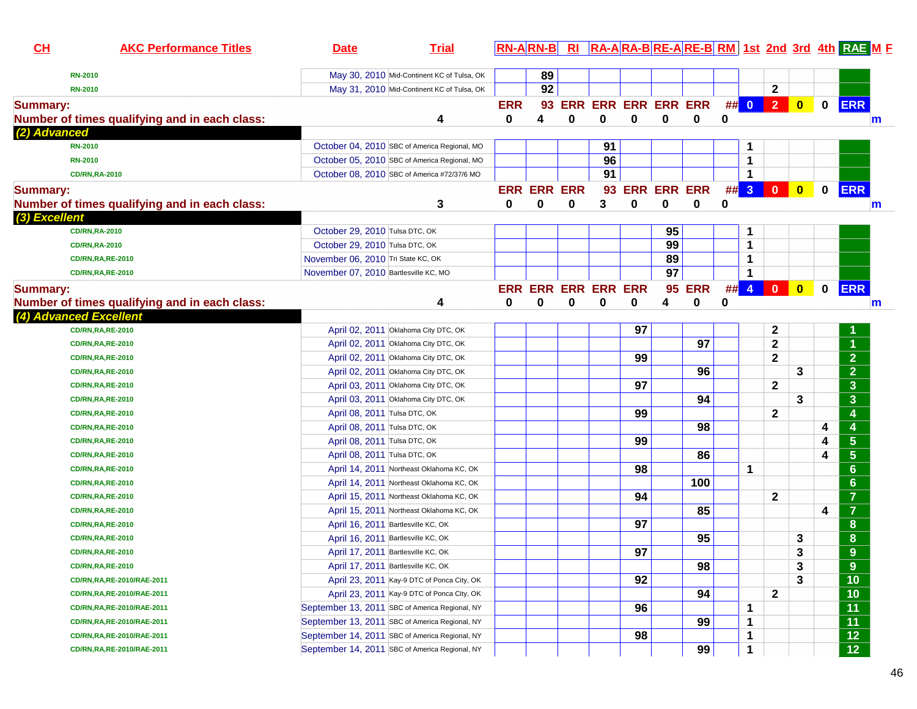| CL                     | <b>AKC Performance Titles</b>                 | <b>Date</b>                           | <b>Trial</b>                                   |            |                    |   |                            |                |                 |               |   |        |                         |           |             | RN-ARN-B RI RA-ARA-BRE-ARE-BRM 1st 2nd 3rd 4th RAE M F |
|------------------------|-----------------------------------------------|---------------------------------------|------------------------------------------------|------------|--------------------|---|----------------------------|----------------|-----------------|---------------|---|--------|-------------------------|-----------|-------------|--------------------------------------------------------|
| <b>RN-2010</b>         |                                               |                                       | May 30, 2010 Mid-Continent KC of Tulsa, OK     |            | 89                 |   |                            |                |                 |               |   |        |                         |           |             |                                                        |
| <b>RN-2010</b>         |                                               |                                       | May 31, 2010 Mid-Continent KC of Tulsa, OK     |            | 92                 |   |                            |                |                 |               |   |        | $\mathbf 2$             |           |             |                                                        |
| <b>Summary:</b>        |                                               |                                       |                                                | <b>ERR</b> | 93                 |   | <b>ERR ERR ERR ERR ERR</b> |                |                 |               |   | ## 0   | 2 <sup>7</sup>          | $\bullet$ | $\mathbf 0$ | <b>ERR</b>                                             |
|                        | Number of times qualifying and in each class: |                                       | 4                                              | 0          | 4                  | 0 | 0                          | 0              | 0               | 0             | 0 |        |                         |           |             | m                                                      |
| (2) Advanced           |                                               |                                       |                                                |            |                    |   |                            |                |                 |               |   |        |                         |           |             |                                                        |
| <b>RN-2010</b>         |                                               |                                       | October 04, 2010 SBC of America Regional, MO   |            |                    |   | 91                         |                |                 |               |   | 1      |                         |           |             |                                                        |
| <b>RN-2010</b>         |                                               |                                       | October 05, 2010 SBC of America Regional, MO   |            |                    |   | 96                         |                |                 |               |   | 1      |                         |           |             |                                                        |
|                        | <b>CD/RN,RA-2010</b>                          |                                       | October 08, 2010 SBC of America #72/37/6 MO    |            |                    |   | 91                         |                |                 |               |   | 1      |                         |           |             |                                                        |
| <b>Summary:</b>        |                                               |                                       |                                                |            | <b>ERR ERR ERR</b> |   |                            | 93 ERR ERR ERR |                 |               |   | ## 3   | $\overline{\mathbf{0}}$ | $\bullet$ | $\mathbf 0$ | <b>ERR</b>                                             |
|                        | Number of times qualifying and in each class: |                                       | 3                                              | 0          | 0                  | 0 | 3                          | $\mathbf 0$    | $\mathbf 0$     | 0             | 0 |        |                         |           |             | $\mathsf{m}$                                           |
| (3) Excellent          |                                               |                                       |                                                |            |                    |   |                            |                |                 |               |   |        |                         |           |             |                                                        |
|                        | <b>CD/RN,RA-2010</b>                          | October 29, 2010 Tulsa DTC, OK        |                                                |            |                    |   |                            |                | 95              |               |   | 1      |                         |           |             |                                                        |
|                        | <b>CD/RN,RA-2010</b>                          | October 29, 2010 Tulsa DTC, OK        |                                                |            |                    |   |                            |                | 99              |               |   | 1      |                         |           |             |                                                        |
|                        | <b>CD/RN,RA,RE-2010</b>                       | November 06, 2010 Tri State KC, OK    |                                                |            |                    |   |                            |                | 89              |               |   | 1      |                         |           |             |                                                        |
|                        | <b>CD/RN,RA,RE-2010</b>                       | November 07, 2010 Bartlesville KC, MO |                                                |            |                    |   |                            |                | $\overline{97}$ |               |   | 1      |                         |           |             |                                                        |
| <b>Summary:</b>        |                                               |                                       |                                                |            |                    |   | <b>ERR ERR ERR ERR ERR</b> |                |                 | <b>95 ERR</b> |   | $##$ 4 | $\overline{\mathbf{0}}$ | $\bullet$ | $\mathbf 0$ | <b>ERR</b>                                             |
|                        | Number of times qualifying and in each class: |                                       | 4                                              | 0          | 0                  | 0 | 0                          | 0              | 4               | 0             | 0 |        |                         |           |             | m                                                      |
| (4) Advanced Excellent |                                               |                                       |                                                |            |                    |   |                            |                |                 |               |   |        |                         |           |             |                                                        |
|                        | <b>CD/RN,RA,RE-2010</b>                       |                                       | April 02, 2011 Oklahoma City DTC, OK           |            |                    |   |                            | 97             |                 |               |   |        | 2                       |           |             |                                                        |
|                        | <b>CD/RN,RA,RE-2010</b>                       |                                       | April 02, 2011 Oklahoma City DTC, OK           |            |                    |   |                            |                |                 | 97            |   |        | $\mathbf{2}$            |           |             |                                                        |
|                        | <b>CD/RN,RA,RE-2010</b>                       |                                       | April 02, 2011 Oklahoma City DTC, OK           |            |                    |   |                            | 99             |                 |               |   |        | $\mathbf{2}$            |           |             | $\overline{2}$                                         |
|                        | <b>CD/RN,RA,RE-2010</b>                       |                                       | April 02, 2011 Oklahoma City DTC, OK           |            |                    |   |                            |                |                 | 96            |   |        |                         | 3         |             | $\overline{2}$                                         |
|                        | <b>CD/RN,RA,RE-2010</b>                       |                                       | April 03, 2011 Oklahoma City DTC, OK           |            |                    |   |                            | 97             |                 |               |   |        | $\mathbf{2}$            |           |             | $\mathbf{3}$                                           |
|                        | <b>CD/RN,RA,RE-2010</b>                       |                                       | April 03, 2011 Oklahoma City DTC, OK           |            |                    |   |                            |                |                 | 94            |   |        |                         | 3         |             | $\mathbf{3}$                                           |
|                        | <b>CD/RN,RA,RE-2010</b>                       | April 08, 2011 Tulsa DTC, OK          |                                                |            |                    |   |                            | 99             |                 |               |   |        | 2                       |           |             | 4                                                      |
|                        | <b>CD/RN,RA,RE-2010</b>                       | April 08, 2011 Tulsa DTC, OK          |                                                |            |                    |   |                            |                |                 | 98            |   |        |                         |           | 4           |                                                        |
|                        | <b>CD/RN,RA,RE-2010</b>                       | April 08, 2011 Tulsa DTC, OK          |                                                |            |                    |   |                            | 99             |                 |               |   |        |                         |           | 4           | $\overline{\mathbf{5}}$                                |
|                        | <b>CD/RN,RA,RE-2010</b>                       | April 08, 2011 Tulsa DTC, OK          |                                                |            |                    |   |                            |                |                 | 86            |   |        |                         |           | 4           | $\overline{\mathbf{5}}$                                |
|                        | <b>CD/RN,RA,RE-2010</b>                       |                                       | April 14, 2011 Northeast Oklahoma KC, OK       |            |                    |   |                            | 98             |                 |               |   | 1      |                         |           |             | $6\phantom{1}6$                                        |
|                        | <b>CD/RN,RA,RE-2010</b>                       |                                       | April 14, 2011 Northeast Oklahoma KC, OK       |            |                    |   |                            |                |                 | 100           |   |        |                         |           |             | $6\phantom{1}6$                                        |
|                        | <b>CD/RN,RA,RE-2010</b>                       |                                       | April 15, 2011 Northeast Oklahoma KC, OK       |            |                    |   |                            | 94             |                 |               |   |        | $\mathbf 2$             |           |             | $\overline{7}$                                         |
|                        | <b>CD/RN,RA,RE-2010</b>                       |                                       | April 15, 2011 Northeast Oklahoma KC, OK       |            |                    |   |                            |                |                 | 85            |   |        |                         |           | 4           | $\overline{7}$                                         |
|                        | <b>CD/RN,RA,RE-2010</b>                       |                                       | April 16, 2011 Bartlesville KC, OK             |            |                    |   |                            | 97             |                 |               |   |        |                         |           |             | 8                                                      |
|                        | <b>CD/RN,RA,RE-2010</b>                       |                                       | April 16, 2011 Bartlesville KC, OK             |            |                    |   |                            |                |                 | 95            |   |        |                         | 3         |             | $\boldsymbol{8}$                                       |
|                        | <b>CD/RN,RA,RE-2010</b>                       |                                       | April 17, 2011 Bartlesville KC, OK             |            |                    |   |                            | 97             |                 |               |   |        |                         | 3         |             | 9                                                      |
|                        | <b>CD/RN,RA,RE-2010</b>                       |                                       | April 17, 2011 Bartlesville KC, OK             |            |                    |   |                            |                |                 | 98            |   |        |                         | 3         |             | 9                                                      |
|                        | CD/RN,RA,RE-2010/RAE-2011                     |                                       | April 23, 2011 Kay-9 DTC of Ponca City, OK     |            |                    |   |                            | 92             |                 |               |   |        |                         | 3         |             | 10                                                     |
|                        | CD/RN, RA, RE-2010/RAE-2011                   |                                       | April 23, 2011 Kay-9 DTC of Ponca City, OK     |            |                    |   |                            |                |                 | 94            |   |        | $\mathbf{2}$            |           |             | 10                                                     |
|                        | CD/RN,RA,RE-2010/RAE-2011                     |                                       | September 13, 2011 SBC of America Regional, NY |            |                    |   |                            | 96             |                 |               |   | 1      |                         |           |             | $\overline{11}$                                        |
|                        | CD/RN, RA, RE-2010/RAE-2011                   |                                       | September 13, 2011 SBC of America Regional, NY |            |                    |   |                            |                |                 | 99            |   | 1      |                         |           |             | $\overline{11}$                                        |
|                        | CD/RN, RA, RE-2010/RAE-2011                   |                                       | September 14, 2011 SBC of America Regional, NY |            |                    |   |                            | 98             |                 |               |   | 1      |                         |           |             | $\overline{12}$                                        |
|                        | CD/RN, RA, RE-2010/RAE-2011                   |                                       | September 14, 2011 SBC of America Regional, NY |            |                    |   |                            |                |                 | 99            |   | 1      |                         |           |             | $\overline{12}$                                        |
|                        |                                               |                                       |                                                |            |                    |   |                            |                |                 |               |   |        |                         |           |             |                                                        |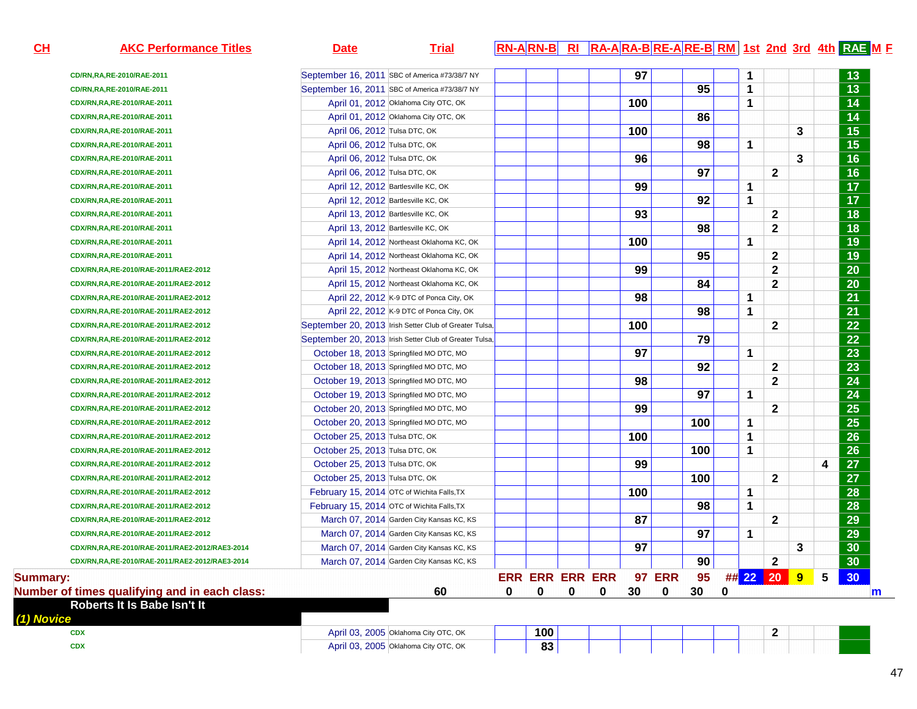| CL              | <b>AKC Performance Titles</b>                  | <b>Date</b>                    | <b>Trial</b>                                           |   | <b>RN-ARN-B</b>        | $R_{\rm I}$ |   |     |               |     |   |              |                  |   |                 | RA-ARA-BRE-ARE-BRM 1st 2nd 3rd 4th RAE ME |
|-----------------|------------------------------------------------|--------------------------------|--------------------------------------------------------|---|------------------------|-------------|---|-----|---------------|-----|---|--------------|------------------|---|-----------------|-------------------------------------------|
|                 | CD/RN,RA,RE-2010/RAE-2011                      |                                | September 16, 2011 SBC of America #73/38/7 NY          |   |                        |             |   | 97  |               |     |   | 1            |                  |   |                 | 13                                        |
|                 | CD/RN, RA, RE-2010/RAE-2011                    |                                | September 16, 2011 SBC of America #73/38/7 NY          |   |                        |             |   |     |               | 95  |   | 1            |                  |   |                 | $\overline{13}$                           |
|                 | CDX/RN,RA,RE-2010/RAE-2011                     |                                | April 01, 2012 Oklahoma City OTC, OK                   |   |                        |             |   | 100 |               |     |   | 1            |                  |   |                 | $\overline{14}$                           |
|                 | CDX/RN,RA,RE-2010/RAE-2011                     |                                | April 01, 2012 Oklahoma City OTC, OK                   |   |                        |             |   |     |               | 86  |   |              |                  |   |                 | $\overline{14}$                           |
|                 | CDX/RN,RA,RE-2010/RAE-2011                     | April 06, 2012 Tulsa DTC, OK   |                                                        |   |                        |             |   | 100 |               |     |   |              |                  | 3 |                 | $\overline{15}$                           |
|                 | CDX/RN,RA,RE-2010/RAE-2011                     | April 06, 2012 Tulsa DTC, OK   |                                                        |   |                        |             |   |     |               | 98  |   | 1            |                  |   |                 | $\overline{15}$                           |
|                 | CDX/RN,RA,RE-2010/RAE-2011                     | April 06, 2012 Tulsa DTC, OK   |                                                        |   |                        |             |   | 96  |               |     |   |              |                  | 3 |                 | $\overline{16}$                           |
|                 | CDX/RN,RA,RE-2010/RAE-2011                     | April 06, 2012 Tulsa DTC, OK   |                                                        |   |                        |             |   |     |               | 97  |   |              | $\mathbf{2}$     |   |                 | $\overline{16}$                           |
|                 | CDX/RN,RA,RE-2010/RAE-2011                     |                                | April 12, 2012 Bartlesville KC, OK                     |   |                        |             |   | 99  |               |     |   | $\mathbf 1$  |                  |   |                 | $\overline{17}$                           |
|                 | CDX/RN,RA,RE-2010/RAE-2011                     |                                | April 12, 2012 Bartlesville KC, OK                     |   |                        |             |   |     |               | 92  |   | $\mathbf 1$  |                  |   |                 | $\overline{17}$                           |
|                 | CDX/RN,RA,RE-2010/RAE-2011                     |                                | April 13, 2012 Bartlesville KC, OK                     |   |                        |             |   | 93  |               |     |   |              | $\mathbf{2}$     |   |                 | $\overline{18}$                           |
|                 | CDX/RN,RA,RE-2010/RAE-2011                     |                                | April 13, 2012 Bartlesville KC, OK                     |   |                        |             |   |     |               | 98  |   |              | $\mathbf 2$      |   |                 | $\overline{18}$                           |
|                 | CDX/RN,RA,RE-2010/RAE-2011                     |                                | April 14, 2012 Northeast Oklahoma KC, OK               |   |                        |             |   | 100 |               |     |   | $\mathbf 1$  |                  |   |                 | 19                                        |
|                 | CDX/RN,RA,RE-2010/RAE-2011                     |                                | April 14, 2012 Northeast Oklahoma KC, OK               |   |                        |             |   |     |               | 95  |   |              | $\mathbf{2}$     |   |                 | $\overline{19}$                           |
|                 | CDX/RN,RA,RE-2010/RAE-2011/RAE2-2012           |                                | April 15, 2012 Northeast Oklahoma KC, OK               |   |                        |             |   | 99  |               |     |   |              | $\mathbf{2}$     |   |                 | 20                                        |
|                 | CDX/RN,RA,RE-2010/RAE-2011/RAE2-2012           |                                | April 15, 2012 Northeast Oklahoma KC, OK               |   |                        |             |   |     |               | 84  |   |              | $\mathbf 2$      |   |                 | 20                                        |
|                 | CDX/RN,RA,RE-2010/RAE-2011/RAE2-2012           |                                | April 22, 2012 K-9 DTC of Ponca City, OK               |   |                        |             |   | 98  |               |     |   | $\mathbf 1$  |                  |   |                 | 21                                        |
|                 | CDX/RN,RA,RE-2010/RAE-2011/RAE2-2012           |                                | April 22, 2012 K-9 DTC of Ponca City, OK               |   |                        |             |   |     |               | 98  |   | $\mathbf{1}$ |                  |   |                 | 21                                        |
|                 | CDX/RN,RA,RE-2010/RAE-2011/RAE2-2012           |                                | September 20, 2013 Irish Setter Club of Greater Tulsa, |   |                        |             |   | 100 |               |     |   |              | $\mathbf{2}$     |   |                 | 22                                        |
|                 | CDX/RN,RA,RE-2010/RAE-2011/RAE2-2012           |                                | September 20, 2013 Irish Setter Club of Greater Tulsa, |   |                        |             |   |     |               | 79  |   |              |                  |   |                 | 22                                        |
|                 | CDX/RN,RA,RE-2010/RAE-2011/RAE2-2012           |                                | October 18, 2013 Springfiled MO DTC, MO                |   |                        |             |   | 97  |               |     |   | $\mathbf 1$  |                  |   |                 | 23                                        |
|                 | CDX/RN,RA,RE-2010/RAE-2011/RAE2-2012           |                                | October 18, 2013 Springfiled MO DTC, MO                |   |                        |             |   |     |               | 92  |   |              | $\mathbf{2}$     |   |                 | 23                                        |
|                 | CDX/RN,RA,RE-2010/RAE-2011/RAE2-2012           |                                | October 19, 2013 Springfiled MO DTC, MO                |   |                        |             |   | 98  |               |     |   |              | $\mathbf{2}$     |   |                 | 24                                        |
|                 | CDX/RN,RA,RE-2010/RAE-2011/RAE2-2012           |                                | October 19, 2013 Springfiled MO DTC, MO                |   |                        |             |   |     |               | 97  |   | $\mathbf 1$  |                  |   |                 | 24                                        |
|                 | CDX/RN,RA,RE-2010/RAE-2011/RAE2-2012           |                                | October 20, 2013 Springfiled MO DTC, MO                |   |                        |             |   | 99  |               |     |   |              | $\mathbf{2}$     |   |                 | $\overline{25}$                           |
|                 | CDX/RN,RA,RE-2010/RAE-2011/RAE2-2012           |                                | October 20, 2013 Springfiled MO DTC, MO                |   |                        |             |   |     |               | 100 |   | $\mathbf 1$  |                  |   |                 | $\overline{25}$                           |
|                 | CDX/RN,RA,RE-2010/RAE-2011/RAE2-2012           | October 25, 2013 Tulsa DTC, OK |                                                        |   |                        |             |   | 100 |               |     |   | $\mathbf{1}$ |                  |   |                 | 26                                        |
|                 | CDX/RN,RA,RE-2010/RAE-2011/RAE2-2012           | October 25, 2013 Tulsa DTC, OK |                                                        |   |                        |             |   |     |               | 100 |   | $\mathbf 1$  |                  |   |                 | 26                                        |
|                 | CDX/RN,RA,RE-2010/RAE-2011/RAE2-2012           | October 25, 2013 Tulsa DTC, OK |                                                        |   |                        |             |   | 99  |               |     |   |              |                  |   | 4               | 27                                        |
|                 | CDX/RN,RA,RE-2010/RAE-2011/RAE2-2012           | October 25, 2013 Tulsa DTC, OK |                                                        |   |                        |             |   |     |               | 100 |   |              | $\mathbf{2}$     |   |                 | 27                                        |
|                 | CDX/RN,RA,RE-2010/RAE-2011/RAE2-2012           |                                | February 15, 2014 OTC of Wichita Falls, TX             |   |                        |             |   | 100 |               |     |   | $\mathbf{1}$ |                  |   |                 | 28                                        |
|                 | CDX/RN,RA,RE-2010/RAE-2011/RAE2-2012           |                                | February 15, 2014 OTC of Wichita Falls, TX             |   |                        |             |   |     |               | 98  |   | $\mathbf{1}$ |                  |   |                 | 28                                        |
|                 | CDX/RN,RA,RE-2010/RAE-2011/RAE2-2012           |                                | March 07, 2014 Garden City Kansas KC, KS               |   |                        |             |   | 87  |               |     |   |              | $\mathbf{2}$     |   |                 | 29                                        |
|                 | CDX/RN,RA,RE-2010/RAE-2011/RAE2-2012           |                                | March 07, 2014 Garden City Kansas KC, KS               |   |                        |             |   |     |               | 97  |   | $\mathbf 1$  |                  |   |                 | 29                                        |
|                 | CDX/RN,RA,RE-2010/RAE-2011/RAE2-2012/RAE3-2014 |                                | March 07, 2014 Garden City Kansas KC, KS               |   |                        |             |   | 97  |               |     |   |              |                  | 3 |                 | 30                                        |
|                 | CDX/RN,RA,RE-2010/RAE-2011/RAE2-2012/RAE3-2014 |                                | March 07, 2014 Garden City Kansas KC, KS               |   |                        |             |   |     |               | 90  |   |              | $\boldsymbol{2}$ |   |                 | 30                                        |
| <b>Summary:</b> |                                                |                                |                                                        |   | <b>ERR ERR ERR ERR</b> |             |   |     | <b>97 ERR</b> | 95  |   |              | ## 22 20 9       |   | $5\phantom{.0}$ | 30                                        |
|                 | Number of times qualifying and in each class:  |                                | 60                                                     | 0 | 0                      | 0           | 0 | 30  | 0             | 30  | 0 |              |                  |   |                 | m                                         |
| (1) Novice      | Roberts It Is Babe Isn't It                    |                                |                                                        |   |                        |             |   |     |               |     |   |              |                  |   |                 |                                           |
|                 | <b>CDX</b>                                     |                                | April 03, 2005 Oklahoma City OTC, OK                   |   | 100                    |             |   |     |               |     |   |              | $\mathbf{2}$     |   |                 |                                           |
|                 | <b>CDX</b>                                     |                                | April 03, 2005 Oklahoma City OTC, OK                   |   | 83                     |             |   |     |               |     |   |              |                  |   |                 |                                           |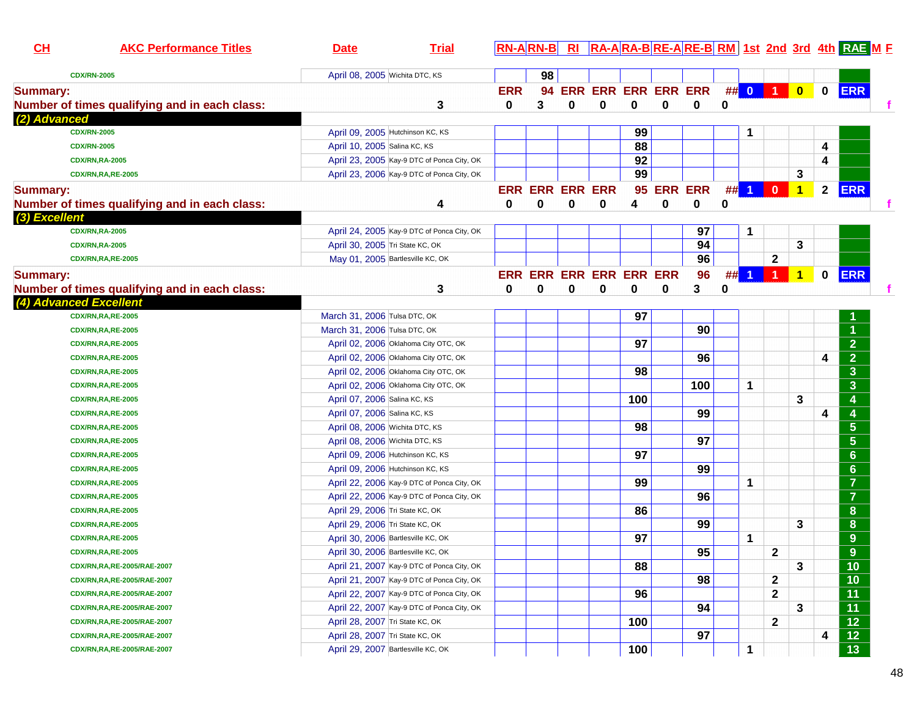| 98<br>April 08, 2005 Wichita DTC, KS<br><b>CDX/RN-2005</b><br>$\#$ 0 1<br><b>ERR ERR ERR ERR ERR</b><br><b>ERR</b><br>$\bullet$<br>$\mathbf 0$<br><b>ERR</b><br><b>Summary:</b><br>94<br>Number of times qualifying and in each class:<br>0<br>0<br>3<br>0<br>$\bf{0}$<br>0<br>0<br>0<br>3<br>(2) Advanced<br><b>CDX/RN-2005</b><br>99<br>April 09, 2005 Hutchinson KC, KS<br>1<br>88<br>April 10, 2005 Salina KC, KS<br>4<br><b>CDX/RN-2005</b><br>92<br>4<br>April 23, 2005 Kay-9 DTC of Ponca City, OK<br><b>CDX/RN,RA-2005</b><br>99<br>3<br>April 23, 2006 Kay-9 DTC of Ponca City, OK<br><b>CDX/RN,RA,RE-2005</b><br><b>ERR</b><br><b>ERR ERR</b><br>##<br><b>ERR ERR ERR ERR</b><br>95<br>$\blacktriangleleft$<br>$\mathbf{0}$<br>$\blacktriangleleft$<br>$\mathbf{2}$<br><b>Summary:</b><br>0<br>0<br>0<br>Number of times qualifying and in each class:<br>0<br>0<br>0<br>0<br>4<br>4<br>(3) Excellent<br>97<br>April 24, 2005 Kay-9 DTC of Ponca City, OK<br>1<br><b>CDX/RN,RA-2005</b><br>94<br>3<br>April 30, 2005 Tri State KC, OK<br><b>CDX/RN,RA-2005</b><br>96<br>$\mathbf 2$<br>May 01, 2005 Bartlesville KC, OK<br><b>CDX/RN,RA,RE-2005</b><br>$\overline{1}$<br>#<br><b>ERR</b><br>ERR ERR ERR ERR ERR ERR<br>96<br>$\mathbf{1}$<br>$\mathbf 0$<br><b>Summary:</b><br>3<br>3<br>Number of times qualifying and in each class:<br>0<br>$\bf{0}$<br>0<br>0<br>0<br>0<br>0<br>(4) Advanced Excellent<br>March 31, 2006 Tulsa DTC, OK<br>97<br><b>CDX/RN,RA,RE-2005</b><br>90<br>March 31, 2006 Tulsa DTC, OK<br><b>CDX/RN,RA,RE-2005</b><br>$\overline{2}$<br>97<br>April 02, 2006 Oklahoma City OTC, OK<br><b>CDX/RN,RA,RE-2005</b><br>$\overline{2}$<br>96<br>April 02, 2006 Oklahoma City OTC, OK<br>4<br><b>CDX/RN,RA,RE-2005</b><br>98<br>$\overline{\mathbf{3}}$<br>April 02, 2006 Oklahoma City OTC, OK<br><b>CDX/RN,RA,RE-2005</b><br>$\overline{\mathbf{3}}$<br>100<br>$\mathbf 1$<br>April 02, 2006 Oklahoma City OTC, OK<br><b>CDX/RN,RA,RE-2005</b><br>100<br>3<br>April 07, 2006 Salina KC, KS<br>4<br><b>CDX/RN,RA,RE-2005</b><br>99<br>4<br>$\overline{4}$<br>April 07, 2006 Salina KC, KS<br><b>CDX/RN,RA,RE-2005</b><br>98<br>$5\phantom{1}$<br>April 08, 2006 Wichita DTC, KS<br><b>CDX/RN,RA,RE-2005</b><br>97<br>$5\phantom{1}$<br>April 08, 2006 Wichita DTC, KS<br><b>CDX/RN,RA,RE-2005</b><br>97<br>6<br>April 09, 2006 Hutchinson KC, KS<br><b>CDX/RN,RA,RE-2005</b><br>$6\phantom{a}$<br>99<br>April 09, 2006 Hutchinson KC, KS<br><b>CDX/RN,RA,RE-2005</b><br>$\overline{7}$<br>99<br>1<br>April 22, 2006 Kay-9 DTC of Ponca City, OK<br><b>CDX/RN,RA,RE-2005</b><br>$\overline{7}$<br>96<br>April 22, 2006 Kay-9 DTC of Ponca City, OK<br><b>CDX/RN,RA,RE-2005</b><br>86<br>8<br>April 29, 2006 Tri State KC, OK<br><b>CDX/RN,RA,RE-2005</b><br>99<br>3<br>8<br>April 29, 2006 Tri State KC, OK<br><b>CDX/RN,RA,RE-2005</b><br>97<br>9<br>1<br>April 30, 2006 Bartlesville KC, OK<br><b>CDX/RN,RA,RE-2005</b><br>9<br>95<br>$\mathbf{2}$<br>April 30, 2006 Bartlesville KC, OK<br><b>CDX/RN,RA,RE-2005</b><br>88<br>$\mathbf{3}$<br>10<br>April 21, 2007 Kay-9 DTC of Ponca City, OK<br>CDX/RN,RA,RE-2005/RAE-2007<br>98<br>$\mathbf 2$<br>10<br>April 21, 2007 Kay-9 DTC of Ponca City, OK<br>CDX/RN,RA,RE-2005/RAE-2007<br>96<br>$\mathbf 2$<br>11<br>April 22, 2007 Kay-9 DTC of Ponca City, OK<br>CDX/RN,RA,RE-2005/RAE-2007<br>$\overline{11}$<br>94<br>3<br>CDX/RN,RA,RE-2005/RAE-2007<br>April 22, 2007 Kay-9 DTC of Ponca City, OK<br>$\overline{12}$<br>100<br>$\mathbf{2}$<br>CDX/RN,RA,RE-2005/RAE-2007<br>April 28, 2007 Tri State KC, OK<br>$\overline{12}$<br>97<br>April 28, 2007 Tri State KC, OK<br>4<br>CDX/RN,RA,RE-2005/RAE-2007<br>April 29, 2007 Bartlesville KC, OK<br>1<br>CDX/RN,RA,RE-2005/RAE-2007 | CL | <b>AKC Performance Titles</b> | <u>Date</u> | <b>Trial</b> | $RN-A RN-B $ |  |     |  |  |  | RI RA-ARA-BRE-ARE-BRM 1st 2nd 3rd 4th RAE ME |  |
|--------------------------------------------------------------------------------------------------------------------------------------------------------------------------------------------------------------------------------------------------------------------------------------------------------------------------------------------------------------------------------------------------------------------------------------------------------------------------------------------------------------------------------------------------------------------------------------------------------------------------------------------------------------------------------------------------------------------------------------------------------------------------------------------------------------------------------------------------------------------------------------------------------------------------------------------------------------------------------------------------------------------------------------------------------------------------------------------------------------------------------------------------------------------------------------------------------------------------------------------------------------------------------------------------------------------------------------------------------------------------------------------------------------------------------------------------------------------------------------------------------------------------------------------------------------------------------------------------------------------------------------------------------------------------------------------------------------------------------------------------------------------------------------------------------------------------------------------------------------------------------------------------------------------------------------------------------------------------------------------------------------------------------------------------------------------------------------------------------------------------------------------------------------------------------------------------------------------------------------------------------------------------------------------------------------------------------------------------------------------------------------------------------------------------------------------------------------------------------------------------------------------------------------------------------------------------------------------------------------------------------------------------------------------------------------------------------------------------------------------------------------------------------------------------------------------------------------------------------------------------------------------------------------------------------------------------------------------------------------------------------------------------------------------------------------------------------------------------------------------------------------------------------------------------------------------------------------------------------------------------------------------------------------------------------------------------------------------------------------------------------------------------------------------------------------------------------------------------------------------------------------------------------------------------------------------------------------------------------------------------------------------------------------------------------------------------------------------------------------------------------------------------|----|-------------------------------|-------------|--------------|--------------|--|-----|--|--|--|----------------------------------------------|--|
|                                                                                                                                                                                                                                                                                                                                                                                                                                                                                                                                                                                                                                                                                                                                                                                                                                                                                                                                                                                                                                                                                                                                                                                                                                                                                                                                                                                                                                                                                                                                                                                                                                                                                                                                                                                                                                                                                                                                                                                                                                                                                                                                                                                                                                                                                                                                                                                                                                                                                                                                                                                                                                                                                                                                                                                                                                                                                                                                                                                                                                                                                                                                                                                                                                                                                                                                                                                                                                                                                                                                                                                                                                                                                                                                                                          |    |                               |             |              |              |  |     |  |  |  |                                              |  |
|                                                                                                                                                                                                                                                                                                                                                                                                                                                                                                                                                                                                                                                                                                                                                                                                                                                                                                                                                                                                                                                                                                                                                                                                                                                                                                                                                                                                                                                                                                                                                                                                                                                                                                                                                                                                                                                                                                                                                                                                                                                                                                                                                                                                                                                                                                                                                                                                                                                                                                                                                                                                                                                                                                                                                                                                                                                                                                                                                                                                                                                                                                                                                                                                                                                                                                                                                                                                                                                                                                                                                                                                                                                                                                                                                                          |    |                               |             |              |              |  |     |  |  |  |                                              |  |
|                                                                                                                                                                                                                                                                                                                                                                                                                                                                                                                                                                                                                                                                                                                                                                                                                                                                                                                                                                                                                                                                                                                                                                                                                                                                                                                                                                                                                                                                                                                                                                                                                                                                                                                                                                                                                                                                                                                                                                                                                                                                                                                                                                                                                                                                                                                                                                                                                                                                                                                                                                                                                                                                                                                                                                                                                                                                                                                                                                                                                                                                                                                                                                                                                                                                                                                                                                                                                                                                                                                                                                                                                                                                                                                                                                          |    |                               |             |              |              |  |     |  |  |  |                                              |  |
|                                                                                                                                                                                                                                                                                                                                                                                                                                                                                                                                                                                                                                                                                                                                                                                                                                                                                                                                                                                                                                                                                                                                                                                                                                                                                                                                                                                                                                                                                                                                                                                                                                                                                                                                                                                                                                                                                                                                                                                                                                                                                                                                                                                                                                                                                                                                                                                                                                                                                                                                                                                                                                                                                                                                                                                                                                                                                                                                                                                                                                                                                                                                                                                                                                                                                                                                                                                                                                                                                                                                                                                                                                                                                                                                                                          |    |                               |             |              |              |  |     |  |  |  |                                              |  |
|                                                                                                                                                                                                                                                                                                                                                                                                                                                                                                                                                                                                                                                                                                                                                                                                                                                                                                                                                                                                                                                                                                                                                                                                                                                                                                                                                                                                                                                                                                                                                                                                                                                                                                                                                                                                                                                                                                                                                                                                                                                                                                                                                                                                                                                                                                                                                                                                                                                                                                                                                                                                                                                                                                                                                                                                                                                                                                                                                                                                                                                                                                                                                                                                                                                                                                                                                                                                                                                                                                                                                                                                                                                                                                                                                                          |    |                               |             |              |              |  |     |  |  |  |                                              |  |
|                                                                                                                                                                                                                                                                                                                                                                                                                                                                                                                                                                                                                                                                                                                                                                                                                                                                                                                                                                                                                                                                                                                                                                                                                                                                                                                                                                                                                                                                                                                                                                                                                                                                                                                                                                                                                                                                                                                                                                                                                                                                                                                                                                                                                                                                                                                                                                                                                                                                                                                                                                                                                                                                                                                                                                                                                                                                                                                                                                                                                                                                                                                                                                                                                                                                                                                                                                                                                                                                                                                                                                                                                                                                                                                                                                          |    |                               |             |              |              |  |     |  |  |  |                                              |  |
|                                                                                                                                                                                                                                                                                                                                                                                                                                                                                                                                                                                                                                                                                                                                                                                                                                                                                                                                                                                                                                                                                                                                                                                                                                                                                                                                                                                                                                                                                                                                                                                                                                                                                                                                                                                                                                                                                                                                                                                                                                                                                                                                                                                                                                                                                                                                                                                                                                                                                                                                                                                                                                                                                                                                                                                                                                                                                                                                                                                                                                                                                                                                                                                                                                                                                                                                                                                                                                                                                                                                                                                                                                                                                                                                                                          |    |                               |             |              |              |  |     |  |  |  |                                              |  |
|                                                                                                                                                                                                                                                                                                                                                                                                                                                                                                                                                                                                                                                                                                                                                                                                                                                                                                                                                                                                                                                                                                                                                                                                                                                                                                                                                                                                                                                                                                                                                                                                                                                                                                                                                                                                                                                                                                                                                                                                                                                                                                                                                                                                                                                                                                                                                                                                                                                                                                                                                                                                                                                                                                                                                                                                                                                                                                                                                                                                                                                                                                                                                                                                                                                                                                                                                                                                                                                                                                                                                                                                                                                                                                                                                                          |    |                               |             |              |              |  |     |  |  |  |                                              |  |
|                                                                                                                                                                                                                                                                                                                                                                                                                                                                                                                                                                                                                                                                                                                                                                                                                                                                                                                                                                                                                                                                                                                                                                                                                                                                                                                                                                                                                                                                                                                                                                                                                                                                                                                                                                                                                                                                                                                                                                                                                                                                                                                                                                                                                                                                                                                                                                                                                                                                                                                                                                                                                                                                                                                                                                                                                                                                                                                                                                                                                                                                                                                                                                                                                                                                                                                                                                                                                                                                                                                                                                                                                                                                                                                                                                          |    |                               |             |              |              |  |     |  |  |  |                                              |  |
|                                                                                                                                                                                                                                                                                                                                                                                                                                                                                                                                                                                                                                                                                                                                                                                                                                                                                                                                                                                                                                                                                                                                                                                                                                                                                                                                                                                                                                                                                                                                                                                                                                                                                                                                                                                                                                                                                                                                                                                                                                                                                                                                                                                                                                                                                                                                                                                                                                                                                                                                                                                                                                                                                                                                                                                                                                                                                                                                                                                                                                                                                                                                                                                                                                                                                                                                                                                                                                                                                                                                                                                                                                                                                                                                                                          |    |                               |             |              |              |  |     |  |  |  |                                              |  |
|                                                                                                                                                                                                                                                                                                                                                                                                                                                                                                                                                                                                                                                                                                                                                                                                                                                                                                                                                                                                                                                                                                                                                                                                                                                                                                                                                                                                                                                                                                                                                                                                                                                                                                                                                                                                                                                                                                                                                                                                                                                                                                                                                                                                                                                                                                                                                                                                                                                                                                                                                                                                                                                                                                                                                                                                                                                                                                                                                                                                                                                                                                                                                                                                                                                                                                                                                                                                                                                                                                                                                                                                                                                                                                                                                                          |    |                               |             |              |              |  |     |  |  |  |                                              |  |
|                                                                                                                                                                                                                                                                                                                                                                                                                                                                                                                                                                                                                                                                                                                                                                                                                                                                                                                                                                                                                                                                                                                                                                                                                                                                                                                                                                                                                                                                                                                                                                                                                                                                                                                                                                                                                                                                                                                                                                                                                                                                                                                                                                                                                                                                                                                                                                                                                                                                                                                                                                                                                                                                                                                                                                                                                                                                                                                                                                                                                                                                                                                                                                                                                                                                                                                                                                                                                                                                                                                                                                                                                                                                                                                                                                          |    |                               |             |              |              |  |     |  |  |  |                                              |  |
|                                                                                                                                                                                                                                                                                                                                                                                                                                                                                                                                                                                                                                                                                                                                                                                                                                                                                                                                                                                                                                                                                                                                                                                                                                                                                                                                                                                                                                                                                                                                                                                                                                                                                                                                                                                                                                                                                                                                                                                                                                                                                                                                                                                                                                                                                                                                                                                                                                                                                                                                                                                                                                                                                                                                                                                                                                                                                                                                                                                                                                                                                                                                                                                                                                                                                                                                                                                                                                                                                                                                                                                                                                                                                                                                                                          |    |                               |             |              |              |  |     |  |  |  |                                              |  |
|                                                                                                                                                                                                                                                                                                                                                                                                                                                                                                                                                                                                                                                                                                                                                                                                                                                                                                                                                                                                                                                                                                                                                                                                                                                                                                                                                                                                                                                                                                                                                                                                                                                                                                                                                                                                                                                                                                                                                                                                                                                                                                                                                                                                                                                                                                                                                                                                                                                                                                                                                                                                                                                                                                                                                                                                                                                                                                                                                                                                                                                                                                                                                                                                                                                                                                                                                                                                                                                                                                                                                                                                                                                                                                                                                                          |    |                               |             |              |              |  |     |  |  |  |                                              |  |
|                                                                                                                                                                                                                                                                                                                                                                                                                                                                                                                                                                                                                                                                                                                                                                                                                                                                                                                                                                                                                                                                                                                                                                                                                                                                                                                                                                                                                                                                                                                                                                                                                                                                                                                                                                                                                                                                                                                                                                                                                                                                                                                                                                                                                                                                                                                                                                                                                                                                                                                                                                                                                                                                                                                                                                                                                                                                                                                                                                                                                                                                                                                                                                                                                                                                                                                                                                                                                                                                                                                                                                                                                                                                                                                                                                          |    |                               |             |              |              |  |     |  |  |  |                                              |  |
|                                                                                                                                                                                                                                                                                                                                                                                                                                                                                                                                                                                                                                                                                                                                                                                                                                                                                                                                                                                                                                                                                                                                                                                                                                                                                                                                                                                                                                                                                                                                                                                                                                                                                                                                                                                                                                                                                                                                                                                                                                                                                                                                                                                                                                                                                                                                                                                                                                                                                                                                                                                                                                                                                                                                                                                                                                                                                                                                                                                                                                                                                                                                                                                                                                                                                                                                                                                                                                                                                                                                                                                                                                                                                                                                                                          |    |                               |             |              |              |  |     |  |  |  |                                              |  |
|                                                                                                                                                                                                                                                                                                                                                                                                                                                                                                                                                                                                                                                                                                                                                                                                                                                                                                                                                                                                                                                                                                                                                                                                                                                                                                                                                                                                                                                                                                                                                                                                                                                                                                                                                                                                                                                                                                                                                                                                                                                                                                                                                                                                                                                                                                                                                                                                                                                                                                                                                                                                                                                                                                                                                                                                                                                                                                                                                                                                                                                                                                                                                                                                                                                                                                                                                                                                                                                                                                                                                                                                                                                                                                                                                                          |    |                               |             |              |              |  |     |  |  |  |                                              |  |
|                                                                                                                                                                                                                                                                                                                                                                                                                                                                                                                                                                                                                                                                                                                                                                                                                                                                                                                                                                                                                                                                                                                                                                                                                                                                                                                                                                                                                                                                                                                                                                                                                                                                                                                                                                                                                                                                                                                                                                                                                                                                                                                                                                                                                                                                                                                                                                                                                                                                                                                                                                                                                                                                                                                                                                                                                                                                                                                                                                                                                                                                                                                                                                                                                                                                                                                                                                                                                                                                                                                                                                                                                                                                                                                                                                          |    |                               |             |              |              |  |     |  |  |  |                                              |  |
|                                                                                                                                                                                                                                                                                                                                                                                                                                                                                                                                                                                                                                                                                                                                                                                                                                                                                                                                                                                                                                                                                                                                                                                                                                                                                                                                                                                                                                                                                                                                                                                                                                                                                                                                                                                                                                                                                                                                                                                                                                                                                                                                                                                                                                                                                                                                                                                                                                                                                                                                                                                                                                                                                                                                                                                                                                                                                                                                                                                                                                                                                                                                                                                                                                                                                                                                                                                                                                                                                                                                                                                                                                                                                                                                                                          |    |                               |             |              |              |  |     |  |  |  |                                              |  |
|                                                                                                                                                                                                                                                                                                                                                                                                                                                                                                                                                                                                                                                                                                                                                                                                                                                                                                                                                                                                                                                                                                                                                                                                                                                                                                                                                                                                                                                                                                                                                                                                                                                                                                                                                                                                                                                                                                                                                                                                                                                                                                                                                                                                                                                                                                                                                                                                                                                                                                                                                                                                                                                                                                                                                                                                                                                                                                                                                                                                                                                                                                                                                                                                                                                                                                                                                                                                                                                                                                                                                                                                                                                                                                                                                                          |    |                               |             |              |              |  |     |  |  |  |                                              |  |
|                                                                                                                                                                                                                                                                                                                                                                                                                                                                                                                                                                                                                                                                                                                                                                                                                                                                                                                                                                                                                                                                                                                                                                                                                                                                                                                                                                                                                                                                                                                                                                                                                                                                                                                                                                                                                                                                                                                                                                                                                                                                                                                                                                                                                                                                                                                                                                                                                                                                                                                                                                                                                                                                                                                                                                                                                                                                                                                                                                                                                                                                                                                                                                                                                                                                                                                                                                                                                                                                                                                                                                                                                                                                                                                                                                          |    |                               |             |              |              |  |     |  |  |  |                                              |  |
|                                                                                                                                                                                                                                                                                                                                                                                                                                                                                                                                                                                                                                                                                                                                                                                                                                                                                                                                                                                                                                                                                                                                                                                                                                                                                                                                                                                                                                                                                                                                                                                                                                                                                                                                                                                                                                                                                                                                                                                                                                                                                                                                                                                                                                                                                                                                                                                                                                                                                                                                                                                                                                                                                                                                                                                                                                                                                                                                                                                                                                                                                                                                                                                                                                                                                                                                                                                                                                                                                                                                                                                                                                                                                                                                                                          |    |                               |             |              |              |  |     |  |  |  |                                              |  |
|                                                                                                                                                                                                                                                                                                                                                                                                                                                                                                                                                                                                                                                                                                                                                                                                                                                                                                                                                                                                                                                                                                                                                                                                                                                                                                                                                                                                                                                                                                                                                                                                                                                                                                                                                                                                                                                                                                                                                                                                                                                                                                                                                                                                                                                                                                                                                                                                                                                                                                                                                                                                                                                                                                                                                                                                                                                                                                                                                                                                                                                                                                                                                                                                                                                                                                                                                                                                                                                                                                                                                                                                                                                                                                                                                                          |    |                               |             |              |              |  |     |  |  |  |                                              |  |
|                                                                                                                                                                                                                                                                                                                                                                                                                                                                                                                                                                                                                                                                                                                                                                                                                                                                                                                                                                                                                                                                                                                                                                                                                                                                                                                                                                                                                                                                                                                                                                                                                                                                                                                                                                                                                                                                                                                                                                                                                                                                                                                                                                                                                                                                                                                                                                                                                                                                                                                                                                                                                                                                                                                                                                                                                                                                                                                                                                                                                                                                                                                                                                                                                                                                                                                                                                                                                                                                                                                                                                                                                                                                                                                                                                          |    |                               |             |              |              |  |     |  |  |  |                                              |  |
|                                                                                                                                                                                                                                                                                                                                                                                                                                                                                                                                                                                                                                                                                                                                                                                                                                                                                                                                                                                                                                                                                                                                                                                                                                                                                                                                                                                                                                                                                                                                                                                                                                                                                                                                                                                                                                                                                                                                                                                                                                                                                                                                                                                                                                                                                                                                                                                                                                                                                                                                                                                                                                                                                                                                                                                                                                                                                                                                                                                                                                                                                                                                                                                                                                                                                                                                                                                                                                                                                                                                                                                                                                                                                                                                                                          |    |                               |             |              |              |  |     |  |  |  |                                              |  |
|                                                                                                                                                                                                                                                                                                                                                                                                                                                                                                                                                                                                                                                                                                                                                                                                                                                                                                                                                                                                                                                                                                                                                                                                                                                                                                                                                                                                                                                                                                                                                                                                                                                                                                                                                                                                                                                                                                                                                                                                                                                                                                                                                                                                                                                                                                                                                                                                                                                                                                                                                                                                                                                                                                                                                                                                                                                                                                                                                                                                                                                                                                                                                                                                                                                                                                                                                                                                                                                                                                                                                                                                                                                                                                                                                                          |    |                               |             |              |              |  |     |  |  |  |                                              |  |
|                                                                                                                                                                                                                                                                                                                                                                                                                                                                                                                                                                                                                                                                                                                                                                                                                                                                                                                                                                                                                                                                                                                                                                                                                                                                                                                                                                                                                                                                                                                                                                                                                                                                                                                                                                                                                                                                                                                                                                                                                                                                                                                                                                                                                                                                                                                                                                                                                                                                                                                                                                                                                                                                                                                                                                                                                                                                                                                                                                                                                                                                                                                                                                                                                                                                                                                                                                                                                                                                                                                                                                                                                                                                                                                                                                          |    |                               |             |              |              |  |     |  |  |  |                                              |  |
|                                                                                                                                                                                                                                                                                                                                                                                                                                                                                                                                                                                                                                                                                                                                                                                                                                                                                                                                                                                                                                                                                                                                                                                                                                                                                                                                                                                                                                                                                                                                                                                                                                                                                                                                                                                                                                                                                                                                                                                                                                                                                                                                                                                                                                                                                                                                                                                                                                                                                                                                                                                                                                                                                                                                                                                                                                                                                                                                                                                                                                                                                                                                                                                                                                                                                                                                                                                                                                                                                                                                                                                                                                                                                                                                                                          |    |                               |             |              |              |  |     |  |  |  |                                              |  |
|                                                                                                                                                                                                                                                                                                                                                                                                                                                                                                                                                                                                                                                                                                                                                                                                                                                                                                                                                                                                                                                                                                                                                                                                                                                                                                                                                                                                                                                                                                                                                                                                                                                                                                                                                                                                                                                                                                                                                                                                                                                                                                                                                                                                                                                                                                                                                                                                                                                                                                                                                                                                                                                                                                                                                                                                                                                                                                                                                                                                                                                                                                                                                                                                                                                                                                                                                                                                                                                                                                                                                                                                                                                                                                                                                                          |    |                               |             |              |              |  |     |  |  |  |                                              |  |
|                                                                                                                                                                                                                                                                                                                                                                                                                                                                                                                                                                                                                                                                                                                                                                                                                                                                                                                                                                                                                                                                                                                                                                                                                                                                                                                                                                                                                                                                                                                                                                                                                                                                                                                                                                                                                                                                                                                                                                                                                                                                                                                                                                                                                                                                                                                                                                                                                                                                                                                                                                                                                                                                                                                                                                                                                                                                                                                                                                                                                                                                                                                                                                                                                                                                                                                                                                                                                                                                                                                                                                                                                                                                                                                                                                          |    |                               |             |              |              |  |     |  |  |  |                                              |  |
|                                                                                                                                                                                                                                                                                                                                                                                                                                                                                                                                                                                                                                                                                                                                                                                                                                                                                                                                                                                                                                                                                                                                                                                                                                                                                                                                                                                                                                                                                                                                                                                                                                                                                                                                                                                                                                                                                                                                                                                                                                                                                                                                                                                                                                                                                                                                                                                                                                                                                                                                                                                                                                                                                                                                                                                                                                                                                                                                                                                                                                                                                                                                                                                                                                                                                                                                                                                                                                                                                                                                                                                                                                                                                                                                                                          |    |                               |             |              |              |  |     |  |  |  |                                              |  |
|                                                                                                                                                                                                                                                                                                                                                                                                                                                                                                                                                                                                                                                                                                                                                                                                                                                                                                                                                                                                                                                                                                                                                                                                                                                                                                                                                                                                                                                                                                                                                                                                                                                                                                                                                                                                                                                                                                                                                                                                                                                                                                                                                                                                                                                                                                                                                                                                                                                                                                                                                                                                                                                                                                                                                                                                                                                                                                                                                                                                                                                                                                                                                                                                                                                                                                                                                                                                                                                                                                                                                                                                                                                                                                                                                                          |    |                               |             |              |              |  |     |  |  |  |                                              |  |
|                                                                                                                                                                                                                                                                                                                                                                                                                                                                                                                                                                                                                                                                                                                                                                                                                                                                                                                                                                                                                                                                                                                                                                                                                                                                                                                                                                                                                                                                                                                                                                                                                                                                                                                                                                                                                                                                                                                                                                                                                                                                                                                                                                                                                                                                                                                                                                                                                                                                                                                                                                                                                                                                                                                                                                                                                                                                                                                                                                                                                                                                                                                                                                                                                                                                                                                                                                                                                                                                                                                                                                                                                                                                                                                                                                          |    |                               |             |              |              |  |     |  |  |  |                                              |  |
|                                                                                                                                                                                                                                                                                                                                                                                                                                                                                                                                                                                                                                                                                                                                                                                                                                                                                                                                                                                                                                                                                                                                                                                                                                                                                                                                                                                                                                                                                                                                                                                                                                                                                                                                                                                                                                                                                                                                                                                                                                                                                                                                                                                                                                                                                                                                                                                                                                                                                                                                                                                                                                                                                                                                                                                                                                                                                                                                                                                                                                                                                                                                                                                                                                                                                                                                                                                                                                                                                                                                                                                                                                                                                                                                                                          |    |                               |             |              |              |  |     |  |  |  |                                              |  |
|                                                                                                                                                                                                                                                                                                                                                                                                                                                                                                                                                                                                                                                                                                                                                                                                                                                                                                                                                                                                                                                                                                                                                                                                                                                                                                                                                                                                                                                                                                                                                                                                                                                                                                                                                                                                                                                                                                                                                                                                                                                                                                                                                                                                                                                                                                                                                                                                                                                                                                                                                                                                                                                                                                                                                                                                                                                                                                                                                                                                                                                                                                                                                                                                                                                                                                                                                                                                                                                                                                                                                                                                                                                                                                                                                                          |    |                               |             |              |              |  |     |  |  |  |                                              |  |
|                                                                                                                                                                                                                                                                                                                                                                                                                                                                                                                                                                                                                                                                                                                                                                                                                                                                                                                                                                                                                                                                                                                                                                                                                                                                                                                                                                                                                                                                                                                                                                                                                                                                                                                                                                                                                                                                                                                                                                                                                                                                                                                                                                                                                                                                                                                                                                                                                                                                                                                                                                                                                                                                                                                                                                                                                                                                                                                                                                                                                                                                                                                                                                                                                                                                                                                                                                                                                                                                                                                                                                                                                                                                                                                                                                          |    |                               |             |              |              |  |     |  |  |  |                                              |  |
|                                                                                                                                                                                                                                                                                                                                                                                                                                                                                                                                                                                                                                                                                                                                                                                                                                                                                                                                                                                                                                                                                                                                                                                                                                                                                                                                                                                                                                                                                                                                                                                                                                                                                                                                                                                                                                                                                                                                                                                                                                                                                                                                                                                                                                                                                                                                                                                                                                                                                                                                                                                                                                                                                                                                                                                                                                                                                                                                                                                                                                                                                                                                                                                                                                                                                                                                                                                                                                                                                                                                                                                                                                                                                                                                                                          |    |                               |             |              |              |  |     |  |  |  |                                              |  |
|                                                                                                                                                                                                                                                                                                                                                                                                                                                                                                                                                                                                                                                                                                                                                                                                                                                                                                                                                                                                                                                                                                                                                                                                                                                                                                                                                                                                                                                                                                                                                                                                                                                                                                                                                                                                                                                                                                                                                                                                                                                                                                                                                                                                                                                                                                                                                                                                                                                                                                                                                                                                                                                                                                                                                                                                                                                                                                                                                                                                                                                                                                                                                                                                                                                                                                                                                                                                                                                                                                                                                                                                                                                                                                                                                                          |    |                               |             |              |              |  |     |  |  |  |                                              |  |
|                                                                                                                                                                                                                                                                                                                                                                                                                                                                                                                                                                                                                                                                                                                                                                                                                                                                                                                                                                                                                                                                                                                                                                                                                                                                                                                                                                                                                                                                                                                                                                                                                                                                                                                                                                                                                                                                                                                                                                                                                                                                                                                                                                                                                                                                                                                                                                                                                                                                                                                                                                                                                                                                                                                                                                                                                                                                                                                                                                                                                                                                                                                                                                                                                                                                                                                                                                                                                                                                                                                                                                                                                                                                                                                                                                          |    |                               |             |              |              |  |     |  |  |  |                                              |  |
|                                                                                                                                                                                                                                                                                                                                                                                                                                                                                                                                                                                                                                                                                                                                                                                                                                                                                                                                                                                                                                                                                                                                                                                                                                                                                                                                                                                                                                                                                                                                                                                                                                                                                                                                                                                                                                                                                                                                                                                                                                                                                                                                                                                                                                                                                                                                                                                                                                                                                                                                                                                                                                                                                                                                                                                                                                                                                                                                                                                                                                                                                                                                                                                                                                                                                                                                                                                                                                                                                                                                                                                                                                                                                                                                                                          |    |                               |             |              |              |  |     |  |  |  |                                              |  |
|                                                                                                                                                                                                                                                                                                                                                                                                                                                                                                                                                                                                                                                                                                                                                                                                                                                                                                                                                                                                                                                                                                                                                                                                                                                                                                                                                                                                                                                                                                                                                                                                                                                                                                                                                                                                                                                                                                                                                                                                                                                                                                                                                                                                                                                                                                                                                                                                                                                                                                                                                                                                                                                                                                                                                                                                                                                                                                                                                                                                                                                                                                                                                                                                                                                                                                                                                                                                                                                                                                                                                                                                                                                                                                                                                                          |    |                               |             |              |              |  |     |  |  |  |                                              |  |
|                                                                                                                                                                                                                                                                                                                                                                                                                                                                                                                                                                                                                                                                                                                                                                                                                                                                                                                                                                                                                                                                                                                                                                                                                                                                                                                                                                                                                                                                                                                                                                                                                                                                                                                                                                                                                                                                                                                                                                                                                                                                                                                                                                                                                                                                                                                                                                                                                                                                                                                                                                                                                                                                                                                                                                                                                                                                                                                                                                                                                                                                                                                                                                                                                                                                                                                                                                                                                                                                                                                                                                                                                                                                                                                                                                          |    |                               |             |              |              |  | 100 |  |  |  | $\overline{13}$                              |  |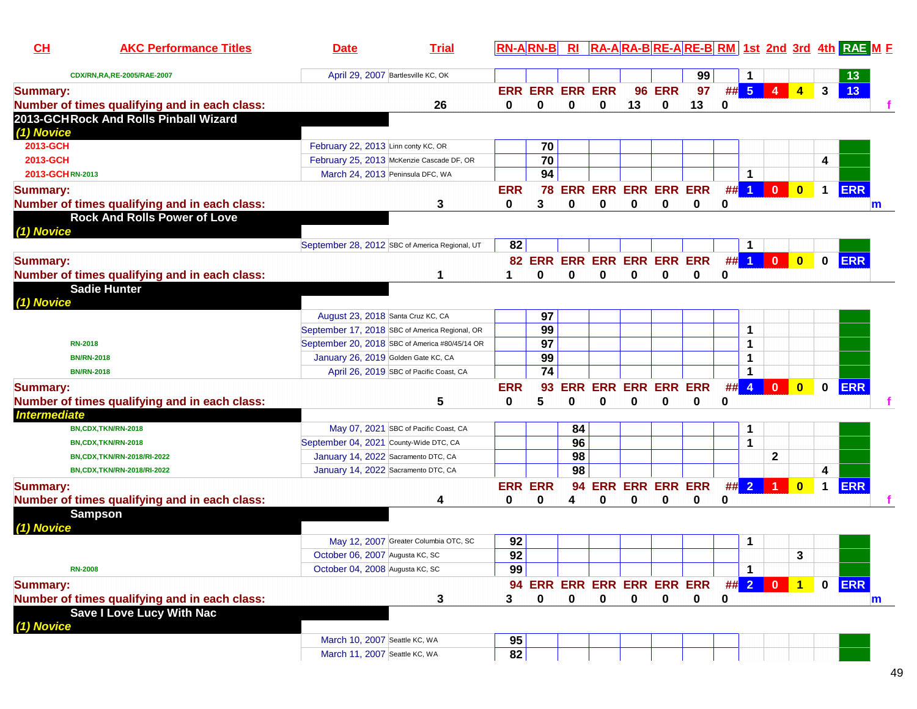| CH                     | <b>AKC Performance Titles</b>                                                          | <b>Date</b>                                                                      | <b>Trial</b> | $RN-A$ $RN-B$  |                             | R1          |                            |             |                    |                                                  |      |                         |              |                         |              | RA-ARA-BRE-ARE-BRM 1st 2nd 3rd 4th RAE M F |   |
|------------------------|----------------------------------------------------------------------------------------|----------------------------------------------------------------------------------|--------------|----------------|-----------------------------|-------------|----------------------------|-------------|--------------------|--------------------------------------------------|------|-------------------------|--------------|-------------------------|--------------|--------------------------------------------|---|
|                        | CDX/RN,RA,RE-2005/RAE-2007                                                             | April 29, 2007 Bartlesville KC, OK                                               |              |                |                             |             |                            |             |                    | 99                                               |      |                         |              |                         |              | 13                                         |   |
| <b>Summary:</b>        |                                                                                        |                                                                                  |              |                | <b>ERR ERR ERR ERR</b><br>0 |             | $\bf{0}$                   | 96<br>13    | <b>ERR</b>         | 97                                               |      | ## 5                    | 4            | $\blacktriangleleft$    | $\mathbf{3}$ | 13                                         |   |
|                        | Number of times qualifying and in each class:<br>2013-GCHRock And Rolls Pinball Wizard |                                                                                  | 26           | 0              |                             | $\mathbf 0$ |                            |             | 0                  | 13                                               | 0    |                         |              |                         |              |                                            |   |
| (1) Novice<br>2013-GCH |                                                                                        |                                                                                  |              |                |                             |             |                            |             |                    |                                                  |      |                         |              |                         |              |                                            |   |
| 2013-GCH               |                                                                                        | February 22, 2013 Linn conty KC, OR<br>February 25, 2013 McKenzie Cascade DF, OR |              |                | 70<br>70                    |             |                            |             |                    |                                                  |      |                         |              |                         | 4            |                                            |   |
| 2013-GCHRN-2013        |                                                                                        | March 24, 2013 Peninsula DFC, WA                                                 |              |                | 94                          |             |                            |             |                    |                                                  |      | 1                       |              |                         |              |                                            |   |
| <b>Summary:</b>        |                                                                                        |                                                                                  |              | <b>ERR</b>     | 78                          |             | <b>ERR ERR ERR ERR ERR</b> |             |                    |                                                  | ##   | $\blacktriangleleft$    | $\mathbf{0}$ | $\overline{\mathbf{0}}$ | $\mathbf 1$  | ERR                                        |   |
|                        | Number of times qualifying and in each class:                                          |                                                                                  | 3            | 0              | 3                           | 0           | 0                          | 0           | 0                  | 0                                                | 0    |                         |              |                         |              |                                            | m |
|                        | <b>Rock And Rolls Power of Love</b>                                                    |                                                                                  |              |                |                             |             |                            |             |                    |                                                  |      |                         |              |                         |              |                                            |   |
| (1) Novice             |                                                                                        |                                                                                  |              |                |                             |             |                            |             |                    |                                                  |      |                         |              |                         |              |                                            |   |
|                        |                                                                                        | September 28, 2012 SBC of America Regional, UT                                   |              | 82             |                             |             |                            |             |                    |                                                  |      | 1                       |              |                         |              |                                            |   |
| <b>Summary:</b>        |                                                                                        |                                                                                  |              |                |                             |             | 82 ERR ERR ERR ERR ERR ERR |             |                    |                                                  | #    | $\vert$ 1               | $\mathbf{0}$ | $\overline{\mathbf{0}}$ | $\mathbf 0$  | <b>ERR</b>                                 |   |
|                        | Number of times qualifying and in each class:                                          |                                                                                  | 1            |                | 0                           | 0           | 0                          | 0           | 0                  | 0                                                | 0    |                         |              |                         |              |                                            |   |
| (1) Novice             | <b>Sadie Hunter</b>                                                                    |                                                                                  |              |                |                             |             |                            |             |                    |                                                  |      |                         |              |                         |              |                                            |   |
|                        |                                                                                        | August 23, 2018 Santa Cruz KC, CA                                                |              |                | 97                          |             |                            |             |                    |                                                  |      |                         |              |                         |              |                                            |   |
|                        |                                                                                        | September 17, 2018 SBC of America Regional, OR                                   |              |                | 99                          |             |                            |             |                    |                                                  |      | 1                       |              |                         |              |                                            |   |
| <b>RN-2018</b>         |                                                                                        | September 20, 2018 SBC of America #80/45/14 OR                                   |              |                | $\overline{97}$             |             |                            |             |                    |                                                  |      | 1                       |              |                         |              |                                            |   |
|                        | <b>BN/RN-2018</b>                                                                      | January 26, 2019 Golden Gate KC, CA                                              |              |                | 99                          |             |                            |             |                    |                                                  |      | 1                       |              |                         |              |                                            |   |
|                        | <b>BN/RN-2018</b>                                                                      | April 26, 2019 SBC of Pacific Coast, CA                                          |              |                | $\overline{74}$             |             |                            |             |                    |                                                  |      | 1                       |              |                         |              |                                            |   |
| <b>Summary:</b>        |                                                                                        |                                                                                  |              | <b>ERR</b>     | 93                          | <b>ERR</b>  | <b>ERR</b>                 |             | <b>ERR ERR ERR</b> |                                                  | #    | $\overline{\mathbf{4}}$ | $\mathbf{0}$ | $\overline{\mathbf{0}}$ | 0            | <b>ERR</b>                                 |   |
|                        | Number of times qualifying and in each class:                                          |                                                                                  | 5            | 0              | 5                           | 0           | 0                          | 0           | 0                  | 0                                                | 0    |                         |              |                         |              |                                            |   |
| <b>Intermediate</b>    |                                                                                        |                                                                                  |              |                |                             |             |                            |             |                    |                                                  |      |                         |              |                         |              |                                            |   |
|                        | BN,CDX,TKN/RN-2018                                                                     | May 07, 2021 SBC of Pacific Coast, CA                                            |              |                |                             | 84          |                            |             |                    |                                                  |      | 1                       |              |                         |              |                                            |   |
|                        | BN,CDX,TKN/RN-2018                                                                     | September 04, 2021 County-Wide DTC, CA                                           |              |                |                             | 96          |                            |             |                    |                                                  |      | 1                       |              |                         |              |                                            |   |
|                        | BN,CDX,TKN/RN-2018/RI-2022                                                             | January 14, 2022 Sacramento DTC, CA                                              |              |                |                             | 98          |                            |             |                    |                                                  |      |                         | $\mathbf{2}$ |                         |              |                                            |   |
|                        | BN,CDX,TKN/RN-2018/RI-2022                                                             | January 14, 2022 Sacramento DTC, CA                                              |              |                |                             | 98          |                            |             |                    |                                                  |      |                         |              |                         | 4            |                                            |   |
| <b>Summary:</b>        |                                                                                        |                                                                                  |              | <b>ERR ERR</b> |                             | 94          |                            |             |                    | <b>ERR ERR ERR ERR</b>                           | ## 2 |                         |              | $\bf{0}$                | $\mathbf 1$  | <b>ERR</b>                                 |   |
|                        | Number of times qualifying and in each class:                                          |                                                                                  | 4            | 0              | 0                           | 4           | 0                          | 0           | 0                  | 0                                                | 0    |                         |              |                         |              |                                            |   |
| (1) Novice             | <b>Sampson</b>                                                                         |                                                                                  |              |                |                             |             |                            |             |                    |                                                  |      |                         |              |                         |              |                                            |   |
|                        |                                                                                        | May 12, 2007 Greater Columbia OTC, SC                                            |              | 92             |                             |             |                            |             |                    |                                                  |      | 1                       |              |                         |              |                                            |   |
|                        |                                                                                        | October 06, 2007 Augusta KC, SC                                                  |              | 92             |                             |             |                            |             |                    |                                                  |      |                         |              | 3                       |              |                                            |   |
| <b>RN-2008</b>         |                                                                                        | October 04, 2008 Augusta KC, SC                                                  |              | 99             |                             |             |                            |             |                    |                                                  |      | $\mathbf 1$             |              |                         |              |                                            |   |
| <b>Summary:</b>        |                                                                                        |                                                                                  |              |                |                             |             |                            |             |                    | 94 ERR ERR ERR ERR ERR ERR ## <mark>2 0 1</mark> |      |                         |              |                         |              | 0 ERR                                      |   |
|                        | Number of times qualifying and in each class:                                          |                                                                                  | 3            | 3              | 0                           | $\mathbf 0$ | $\mathbf 0$                | $\mathbf 0$ | $\mathbf 0$        | $\mathbf 0$                                      | 0    |                         |              |                         |              |                                            | m |
|                        | <b>Save I Love Lucy With Nac</b>                                                       |                                                                                  |              |                |                             |             |                            |             |                    |                                                  |      |                         |              |                         |              |                                            |   |
| (1) Novice             |                                                                                        |                                                                                  |              |                |                             |             |                            |             |                    |                                                  |      |                         |              |                         |              |                                            |   |
|                        |                                                                                        | March 10, 2007 Seattle KC, WA                                                    |              | 95             |                             |             |                            |             |                    |                                                  |      |                         |              |                         |              |                                            |   |
|                        |                                                                                        | March 11, 2007 Seattle KC, WA                                                    |              | 82             |                             |             |                            |             |                    |                                                  |      |                         |              |                         |              |                                            |   |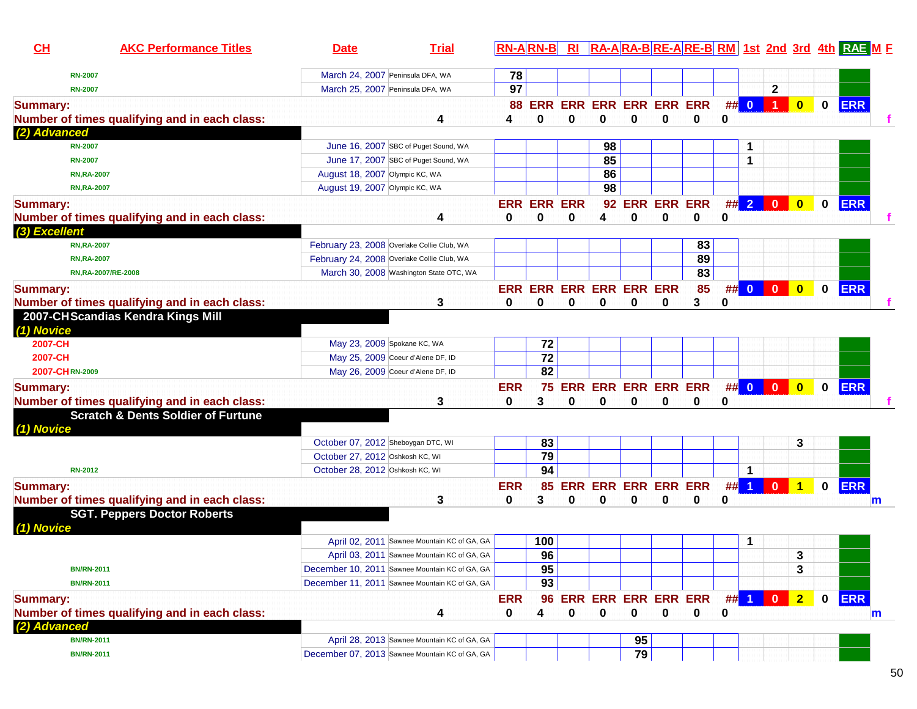| CH              | <b>AKC Performance Titles</b>                 | <b>Date</b>                        | <b>Trial</b>                                                                                  |                 | $RN-A RN-B $       | R1         |                                        |                |   |    |             |        |                      |                         |             | RA-ARA-BRE-ARE-BRM 1st 2nd 3rd 4th RAE ME |   |
|-----------------|-----------------------------------------------|------------------------------------|-----------------------------------------------------------------------------------------------|-----------------|--------------------|------------|----------------------------------------|----------------|---|----|-------------|--------|----------------------|-------------------------|-------------|-------------------------------------------|---|
| <b>RN-2007</b>  |                                               |                                    | March 24, 2007 Peninsula DFA, WA                                                              | 78              |                    |            |                                        |                |   |    |             |        |                      |                         |             |                                           |   |
| <b>RN-2007</b>  |                                               |                                    | March 25, 2007 Peninsula DFA, WA                                                              | 97              |                    |            |                                        |                |   |    |             |        | $\mathbf{2}$         |                         |             |                                           |   |
| <b>Summary:</b> | Number of times qualifying and in each class: |                                    | 4                                                                                             | 4               | <b>88 ERR</b><br>0 | 0          | <b>ERR ERR ERR ERR ERR</b><br>0        | 0              | 0 | 0  | 0           | ## 0   | $\blacktriangleleft$ | $\overline{\mathbf{0}}$ | $\mathbf 0$ | <b>ERR</b>                                |   |
| (2) Advanced    |                                               |                                    |                                                                                               |                 |                    |            |                                        |                |   |    |             |        |                      |                         |             |                                           |   |
| <b>RN-2007</b>  |                                               |                                    | June 16, 2007 SBC of Puget Sound, WA                                                          |                 |                    |            | 98                                     |                |   |    |             | 1      |                      |                         |             |                                           |   |
| <b>RN-2007</b>  |                                               |                                    | June 17, 2007 SBC of Puget Sound, WA                                                          |                 |                    |            | 85                                     |                |   |    |             | 1      |                      |                         |             |                                           |   |
|                 | <b>RN, RA-2007</b>                            | August 18, 2007 Olympic KC, WA     |                                                                                               |                 |                    |            | 86                                     |                |   |    |             |        |                      |                         |             |                                           |   |
|                 | <b>RN,RA-2007</b>                             | August 19, 2007 Olympic KC, WA     |                                                                                               |                 |                    |            | 98                                     |                |   |    |             |        |                      |                         |             |                                           |   |
| <b>Summary:</b> |                                               |                                    |                                                                                               |                 | <b>ERR ERR</b>     | <b>ERR</b> |                                        | 92 ERR ERR ERR |   |    |             | ##2    | $\mathbf{0}$         | $\mathbf{0}$            | $\mathbf 0$ | <b>ERR</b>                                |   |
|                 | Number of times qualifying and in each class: |                                    | 4                                                                                             | 0               | 0                  | 0          | 4                                      | 0              | 0 | 0  | $\bf{0}$    |        |                      |                         |             |                                           |   |
| (3) Excellent   |                                               |                                    |                                                                                               |                 |                    |            |                                        |                |   |    |             |        |                      |                         |             |                                           |   |
|                 | <b>RN, RA-2007</b>                            |                                    | February 23, 2008 Overlake Collie Club, WA                                                    |                 |                    |            |                                        |                |   | 83 |             |        |                      |                         |             |                                           |   |
|                 | <b>RN, RA-2007</b>                            |                                    | February 24, 2008 Overlake Collie Club, WA                                                    |                 |                    |            |                                        |                |   | 89 |             |        |                      |                         |             |                                           |   |
|                 | RN, RA-2007/RE-2008                           |                                    | March 30, 2008 Washington State OTC, WA                                                       |                 |                    |            |                                        |                |   | 83 |             |        |                      |                         |             |                                           |   |
| <b>Summary:</b> |                                               |                                    |                                                                                               |                 |                    |            | ERR ERR ERR ERR ERR ERR                |                |   | 85 |             | ## 0   | $\overline{0}$       | $\bullet$               | $\mathbf 0$ | <b>ERR</b>                                |   |
|                 | Number of times qualifying and in each class: |                                    | 3                                                                                             | 0               | 0                  | 0          | 0                                      | 0              | 0 | 3  | 0           |        |                      |                         |             |                                           |   |
| (1) Novice      | 2007-CHScandias Kendra Kings Mill             |                                    |                                                                                               |                 |                    |            |                                        |                |   |    |             |        |                      |                         |             |                                           |   |
| 2007-CH         |                                               |                                    | May 23, 2009 Spokane KC, WA                                                                   |                 | 72                 |            |                                        |                |   |    |             |        |                      |                         |             |                                           |   |
| 2007-CH         |                                               |                                    | May 25, 2009 Coeur d'Alene DF, ID                                                             |                 | $\overline{72}$    |            |                                        |                |   |    |             |        |                      |                         |             |                                           |   |
| 2007-CHRN-2009  |                                               |                                    | May 26, 2009 Coeur d'Alene DF, ID                                                             |                 | $\overline{82}$    |            |                                        |                |   |    |             |        |                      |                         |             |                                           |   |
| <b>Summary:</b> |                                               |                                    |                                                                                               | <b>ERR</b>      |                    |            | 75 ERR ERR ERR ERR ERR                 |                |   |    |             |        | ## 0 0 0             | $\bullet$               | $\mathbf 0$ | <b>ERR</b>                                |   |
|                 | Number of times qualifying and in each class: |                                    | 3                                                                                             | 0               | 3                  | 0          | 0                                      | 0              | 0 | 0  | 0           |        |                      |                         |             |                                           |   |
| (1) Novice      | <b>Scratch &amp; Dents Soldier of Furtune</b> |                                    |                                                                                               |                 |                    |            |                                        |                |   |    |             |        |                      |                         |             |                                           |   |
|                 |                                               | October 07, 2012 Sheboygan DTC, WI |                                                                                               |                 | 83                 |            |                                        |                |   |    |             |        |                      | 3                       |             |                                           |   |
|                 |                                               | October 27, 2012 Oshkosh KC, WI    |                                                                                               |                 | 79                 |            |                                        |                |   |    |             |        |                      |                         |             |                                           |   |
| <b>RN-2012</b>  |                                               | October 28, 2012 Oshkosh KC, WI    |                                                                                               |                 | 94                 |            |                                        |                |   |    |             | 1      |                      |                         |             |                                           |   |
| <b>Summary:</b> | Number of times qualifying and in each class: |                                    | 3                                                                                             | <b>ERR</b><br>0 | 85<br>3            | 0          | <b>ERR ERR ERR ERR ERR</b><br>0        | 0              | 0 | 0  | 0           | $\#$ 1 | $\mathbf{0}$         | $\overline{1}$          | $\mathbf 0$ | <b>ERR</b>                                | m |
|                 | <b>SGT. Peppers Doctor Roberts</b>            |                                    |                                                                                               |                 |                    |            |                                        |                |   |    |             |        |                      |                         |             |                                           |   |
| (1) Novice      |                                               |                                    |                                                                                               |                 |                    |            |                                        |                |   |    |             |        |                      |                         |             |                                           |   |
|                 |                                               |                                    | April 02, 2011 Sawnee Mountain KC of GA, GA                                                   |                 | 100                |            |                                        |                |   |    |             | 1      |                      |                         |             |                                           |   |
|                 |                                               |                                    | April 03, 2011 Sawnee Mountain KC of GA, GA<br>December 10, 2011 Sawnee Mountain KC of GA, GA |                 | 96                 |            |                                        |                |   |    |             |        |                      | 3                       |             |                                           |   |
|                 | <b>BN/RN-2011</b>                             |                                    |                                                                                               |                 | 95                 |            |                                        |                |   |    |             |        |                      | 3                       |             |                                           |   |
|                 | <b>BN/RN-2011</b>                             |                                    | December 11, 2011 Sawnee Mountain KC of GA, GA                                                |                 | 93                 |            |                                        |                |   |    |             |        |                      |                         |             |                                           |   |
| <b>Summary:</b> | Number of times qualifying and in each class: |                                    | 4                                                                                             | <b>ERR</b><br>0 | 96<br>4            | 0          | <b>ERR ERR ERR ERR ERR</b><br>$\bf{0}$ | $\mathbf 0$    | 0 | 0  | $##$ 1<br>0 |        | $\mathbf{0}$         | 2 <sub>2</sub>          | $\mathbf 0$ | <b>ERR</b>                                | m |
| (2) Advanced    |                                               |                                    |                                                                                               |                 |                    |            |                                        |                |   |    |             |        |                      |                         |             |                                           |   |
|                 | <b>BN/RN-2011</b>                             |                                    | April 28, 2013 Sawnee Mountain KC of GA, GA                                                   |                 |                    |            |                                        | 95             |   |    |             |        |                      |                         |             |                                           |   |
|                 | <b>BN/RN-2011</b>                             |                                    | December 07, 2013 Sawnee Mountain KC of GA, GA                                                |                 |                    |            |                                        | 79             |   |    |             |        |                      |                         |             |                                           |   |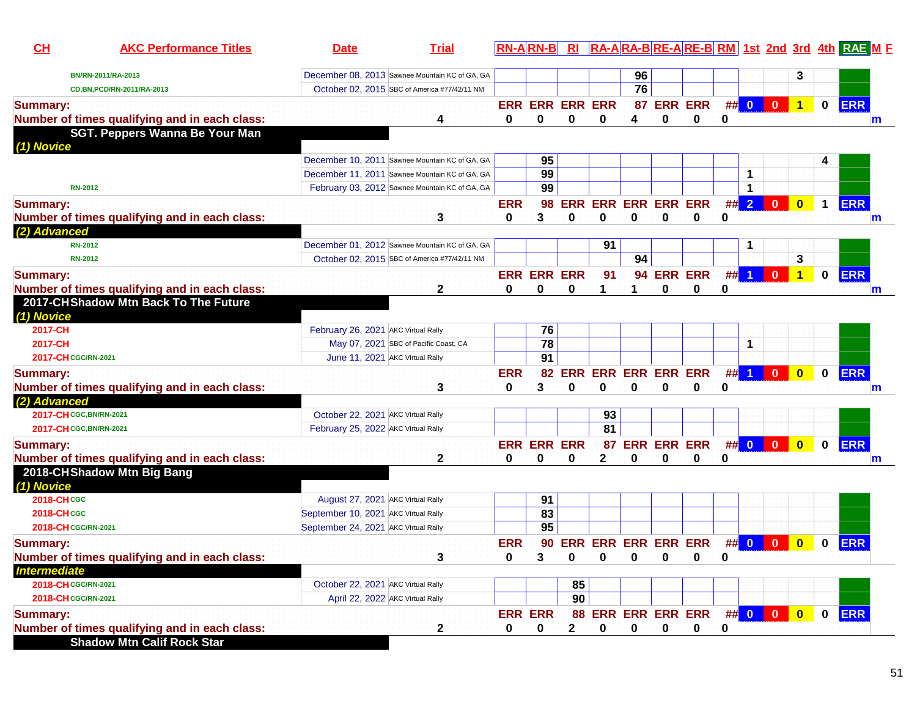| CH                      | <b>AKC Performance Titles</b>                 | <b>Date</b>                                    | <b>Trial</b> |              | <b>RN-ARN-B</b>        |              |              |                        |             |                               |             |        |                         |                         |              | RI RA-ARA-BRE-ARE-BRM 1st 2nd 3rd 4th RAE ME |
|-------------------------|-----------------------------------------------|------------------------------------------------|--------------|--------------|------------------------|--------------|--------------|------------------------|-------------|-------------------------------|-------------|--------|-------------------------|-------------------------|--------------|----------------------------------------------|
|                         | BN/RN-2011/RA-2013                            | December 08, 2013 Sawnee Mountain KC of GA, GA |              |              |                        |              |              | 96                     |             |                               |             |        |                         | 3                       |              |                                              |
|                         | CD, BN, PCD/RN-2011/RA-2013                   | October 02, 2015 SBC of America #77/42/11 NM   |              |              |                        |              |              | 76                     |             |                               |             |        |                         |                         |              |                                              |
| <b>Summary:</b>         |                                               |                                                |              |              | <b>ERR ERR ERR ERR</b> |              |              |                        |             | 87 ERR ERR                    |             | ## 0   | $\overline{\mathbf{0}}$ | $\mathbf{1}$            | $\bf{0}$     | <b>ERR</b>                                   |
|                         | Number of times qualifying and in each class: |                                                | 4            | 0            | 0                      | 0            | 0            | 4                      | 0           | 0                             | 0           |        |                         |                         |              | m                                            |
|                         | SGT. Peppers Wanna Be Your Man                |                                                |              |              |                        |              |              |                        |             |                               |             |        |                         |                         |              |                                              |
| (1) Novice              |                                               |                                                |              |              |                        |              |              |                        |             |                               |             |        |                         |                         |              |                                              |
|                         |                                               | December 10, 2011 Sawnee Mountain KC of GA, GA |              |              | 95                     |              |              |                        |             |                               |             |        |                         |                         |              |                                              |
|                         |                                               | December 11, 2011 Sawnee Mountain KC of GA, GA |              |              | 99                     |              |              |                        |             |                               |             | 1      |                         |                         |              |                                              |
| <b>RN-2012</b>          |                                               | February 03, 2012 Sawnee Mountain KC of GA, GA |              |              | 99                     |              |              |                        |             |                               |             | 1      |                         |                         |              |                                              |
| <b>Summary:</b>         |                                               |                                                |              | <b>ERR</b>   | 98                     | <b>ERR</b>   |              | <b>ERR ERR ERR ERR</b> |             |                               |             | ## 2   | $\bf{0}$                | $\bf{0}$                | $\mathbf 1$  | <b>ERR</b>                                   |
|                         | Number of times qualifying and in each class: |                                                | 3            | 0            | 3                      | 0            | 0            | 0                      | 0           | 0                             | 0           |        |                         |                         |              | m                                            |
| (2) Advanced            |                                               |                                                |              |              |                        |              |              |                        |             |                               |             |        |                         |                         |              |                                              |
| <b>RN-2012</b>          |                                               | December 01, 2012 Sawnee Mountain KC of GA, GA |              |              |                        |              | 91           |                        |             |                               |             |        |                         |                         |              |                                              |
| <b>RN-2012</b>          |                                               | October 02, 2015 SBC of America #77/42/11 NM   |              |              |                        |              |              | 94                     |             |                               |             |        |                         | 3                       |              |                                              |
| <b>Summary:</b>         |                                               |                                                |              |              | <b>ERR ERR ERR</b>     |              | 91           | 94                     |             | <b>ERR ERR</b>                |             | $##$ 1 | $\mathbf{0}$            | $\overline{1}$          | $\mathbf 0$  | <b>ERR</b>                                   |
|                         | Number of times qualifying and in each class: |                                                | 2            | 0            | 0                      | $\bf{0}$     |              | 1                      | 0           | 0                             | 0           |        |                         |                         |              | m                                            |
| (1) Novice              | 2017-CHShadow Mtn Back To The Future          |                                                |              |              |                        |              |              |                        |             |                               |             |        |                         |                         |              |                                              |
| 2017-CH                 |                                               | February 26, 2021 AKC Virtual Rally            |              |              | 76                     |              |              |                        |             |                               |             |        |                         |                         |              |                                              |
| 2017-CH                 |                                               | May 07, 2021 SBC of Pacific Coast, CA          |              |              | $\overline{78}$        |              |              |                        |             |                               |             | 1      |                         |                         |              |                                              |
| 2017-CH CGC/RN-2021     |                                               | June 11, 2021 AKC Virtual Rally                |              |              | 91                     |              |              |                        |             |                               |             |        |                         |                         |              |                                              |
| <b>Summary:</b>         |                                               |                                                |              | <b>ERR</b>   | 82                     | ERR          |              | <b>ERR ERR ERR ERR</b> |             |                               |             | $\#$ 1 | $\mathbf{0}$            | $\mathbf{0}$            | $\mathbf{0}$ | <b>ERR</b>                                   |
|                         | Number of times qualifying and in each class: |                                                | 3            | 0            | 3                      | 0            | 0            | 0                      | 0           | 0                             | 0           |        |                         |                         |              | m                                            |
| (2) Advanced            |                                               |                                                |              |              |                        |              |              |                        |             |                               |             |        |                         |                         |              |                                              |
| 2017-CH CGC, BN/RN-2021 |                                               | October 22, 2021 AKC Virtual Rally             |              |              |                        |              | 93           |                        |             |                               |             |        |                         |                         |              |                                              |
| 2017-CH CGC, BN/RN-2021 |                                               | February 25, 2022 AKC Virtual Rally            |              |              |                        |              | 81           |                        |             |                               |             |        |                         |                         |              |                                              |
| <b>Summary:</b>         |                                               |                                                |              |              | <b>ERR ERR ERR</b>     |              |              |                        |             | 87 ERR ERR ERR                |             |        | ## 0 0                  | $\overline{\mathbf{0}}$ | $\bf{0}$     | <b>ERR</b>                                   |
|                         | Number of times qualifying and in each class: |                                                | 2            | 0            | 0                      | 0            | $\mathbf{2}$ | 0                      | 0           | 0                             | 0           |        |                         |                         |              | m                                            |
|                         | 2018-CHShadow Mtn Big Bang                    |                                                |              |              |                        |              |              |                        |             |                               |             |        |                         |                         |              |                                              |
| (1) Novice              |                                               |                                                |              |              |                        |              |              |                        |             |                               |             |        |                         |                         |              |                                              |
| <b>2018-CHCGC</b>       |                                               | August 27, 2021 AKC Virtual Rally              |              |              | 91                     |              |              |                        |             |                               |             |        |                         |                         |              |                                              |
| <b>2018-CHCGC</b>       |                                               | September 10, 2021 AKC Virtual Rally           |              |              | 83                     |              |              |                        |             |                               |             |        |                         |                         |              |                                              |
| 2018-CH CGC/RN-2021     |                                               | September 24, 2021 AKC Virtual Rally           |              |              | 95                     |              |              |                        |             |                               |             |        |                         |                         |              |                                              |
| <b>Summary:</b>         |                                               |                                                |              | <b>ERR</b>   |                        |              |              |                        |             | 90 ERR ERR ERR ERR ERR        | ## 0        |        | $\mathbf{0}$            | $\mathbf{0}$            | 0            | <b>ERR</b>                                   |
|                         | Number of times qualifying and in each class: |                                                | 3            | $\mathbf{0}$ | $3^{\circ}$            |              |              |                        |             | $0$ 0 0 0 0                   | 0           |        |                         |                         |              |                                              |
| <b>Intermediate</b>     |                                               |                                                |              |              |                        |              |              |                        |             |                               |             |        |                         |                         |              |                                              |
| 2018-CH CGC/RN-2021     |                                               | October 22, 2021 AKC Virtual Rally             |              |              |                        | 85           |              |                        |             |                               |             |        |                         |                         |              |                                              |
| 2018-CH CGC/RN-2021     |                                               | April 22, 2022 AKC Virtual Rally               |              |              |                        | 90           |              |                        |             |                               |             |        |                         |                         |              |                                              |
| <b>Summary:</b>         |                                               |                                                |              |              | <b>ERR ERR</b>         |              |              |                        |             | 88 ERR ERR ERR ERR ## 0 0 0 0 |             |        |                         |                         |              | 0 ERR                                        |
|                         | Number of times qualifying and in each class: |                                                | $\mathbf 2$  | 0            | $\mathbf 0$            | $\mathbf{2}$ | 0            | 0                      | $\mathbf 0$ | $\mathbf 0$                   | $\mathbf 0$ |        |                         |                         |              |                                              |
|                         | <b>Shadow Mtn Calif Rock Star</b>             |                                                |              |              |                        |              |              |                        |             |                               |             |        |                         |                         |              |                                              |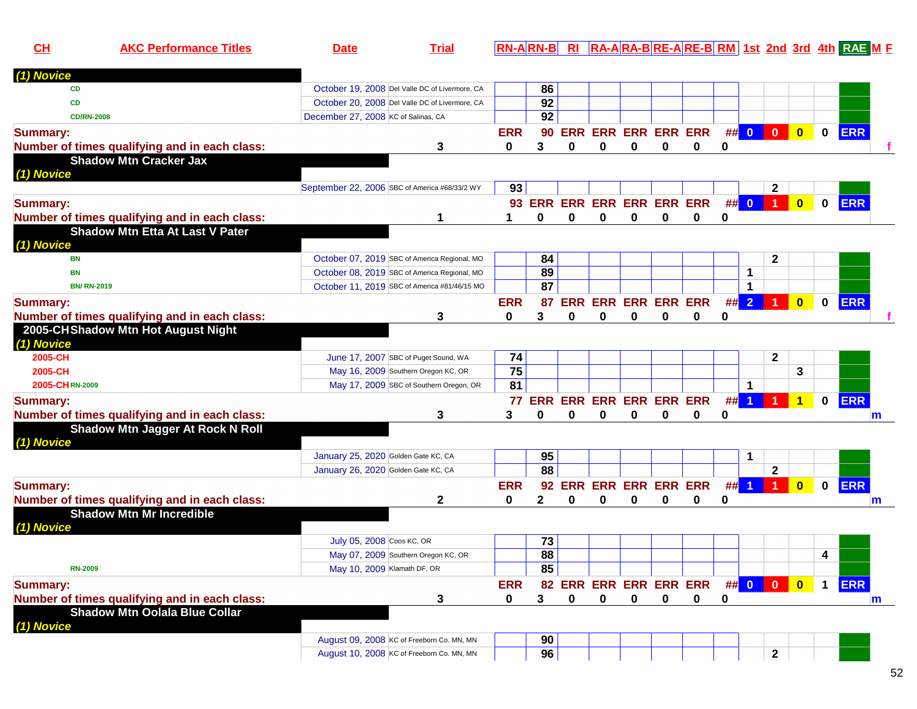| CH                 | <b>AKC Performance Titles</b>                 | <b>Date</b>                                   | <b>Trial</b>                                   |            | $RN-A RN-B $ RI                |          |                            |          |   |   |    |                         |                         |                         |              | RA-ARA-BRE-ARE-BRM 1st 2nd 3rd 4th RAE ME |              |
|--------------------|-----------------------------------------------|-----------------------------------------------|------------------------------------------------|------------|--------------------------------|----------|----------------------------|----------|---|---|----|-------------------------|-------------------------|-------------------------|--------------|-------------------------------------------|--------------|
| (1) Novice         |                                               |                                               |                                                |            |                                |          |                            |          |   |   |    |                         |                         |                         |              |                                           |              |
| <b>CD</b>          |                                               |                                               | October 19, 2008 Del Valle DC of Livermore, CA |            | 86                             |          |                            |          |   |   |    |                         |                         |                         |              |                                           |              |
| <b>CD</b>          |                                               |                                               | October 20, 2008 Del Valle DC of Livermore, CA |            | 92                             |          |                            |          |   |   |    |                         |                         |                         |              |                                           |              |
| <b>CD/RN-2008</b>  |                                               | December 27, 2008 KC of Salinas, CA           |                                                |            | 92                             |          |                            |          |   |   |    |                         |                         |                         |              |                                           |              |
| <b>Summary:</b>    |                                               |                                               |                                                | <b>ERR</b> | 90                             |          | <b>ERR ERR ERR ERR ERR</b> |          |   |   |    | ## 0                    | $\overline{\mathbf{0}}$ | $\overline{\mathbf{0}}$ | $\mathbf{0}$ | <b>ERR</b>                                |              |
|                    | Number of times qualifying and in each class: |                                               | 3                                              | 0          | 3                              | 0        | 0                          | 0        | 0 | 0 | 0  |                         |                         |                         |              |                                           |              |
|                    | <b>Shadow Mtn Cracker Jax</b>                 |                                               |                                                |            |                                |          |                            |          |   |   |    |                         |                         |                         |              |                                           |              |
| (1) Novice         |                                               |                                               |                                                |            |                                |          |                            |          |   |   |    |                         |                         |                         |              |                                           |              |
|                    |                                               | September 22, 2006 SBC of America #68/33/2 WY |                                                | 93         |                                |          |                            |          |   |   |    |                         | $\mathbf{2}$            |                         |              |                                           |              |
| <b>Summary:</b>    |                                               |                                               |                                                |            | <b>93 ERR</b>                  |          | <b>ERR ERR ERR ERR ERR</b> |          |   |   | ## | $\overline{\mathbf{0}}$ | $\blacktriangleleft$    | $\mathbf{0}$            | $\mathbf{0}$ | <b>ERR</b>                                |              |
|                    | Number of times qualifying and in each class: |                                               |                                                |            | 0                              | 0        | 0                          | 0        | 0 | 0 | 0  |                         |                         |                         |              |                                           |              |
|                    | <b>Shadow Mtn Etta At Last V Pater</b>        |                                               |                                                |            |                                |          |                            |          |   |   |    |                         |                         |                         |              |                                           |              |
| (1) Novice         |                                               |                                               |                                                |            |                                |          |                            |          |   |   |    |                         |                         |                         |              |                                           |              |
| <b>BN</b>          |                                               |                                               | October 07, 2019 SBC of America Regional, MO   |            | 84                             |          |                            |          |   |   |    |                         | 2                       |                         |              |                                           |              |
| <b>BN</b>          |                                               |                                               | October 08, 2019 SBC of America Regional, MO   |            | 89                             |          |                            |          |   |   |    | 1                       |                         |                         |              |                                           |              |
| <b>BN/ RN-2019</b> |                                               |                                               | October 11, 2019 SBC of America #81/46/15 MO   |            | 87                             |          |                            |          |   |   |    | 1                       |                         |                         |              |                                           |              |
|                    |                                               |                                               |                                                |            |                                |          |                            |          |   |   |    |                         |                         |                         |              |                                           |              |
| <b>Summary:</b>    |                                               |                                               |                                                | <b>ERR</b> | 87                             |          | <b>ERR ERR ERR ERR ERR</b> |          |   |   | #  | $\overline{2}$          |                         | $\mathbf{0}$            | $\mathbf 0$  | <b>ERR</b>                                |              |
|                    | Number of times qualifying and in each class: |                                               | 3                                              | 0          | 3                              | $\bf{0}$ | 0                          | $\bf{0}$ | 0 | 0 | 0  |                         |                         |                         |              |                                           |              |
| (1) Novice         | 2005-CHShadow Mtn Hot August Night            |                                               |                                                |            |                                |          |                            |          |   |   |    |                         |                         |                         |              |                                           |              |
| 2005-CH            |                                               |                                               | June 17, 2007 SBC of Puget Sound, WA           | 74         |                                |          |                            |          |   |   |    |                         | $\mathbf{2}$            |                         |              |                                           |              |
| 2005-CH            |                                               |                                               | May 16, 2009 Southern Oregon KC, OR            | 75         |                                |          |                            |          |   |   |    |                         |                         | 3                       |              |                                           |              |
| 2005-CHRN-2009     |                                               |                                               | May 17, 2009 SBC of Southern Oregon, OR        | 81         |                                |          |                            |          |   |   |    | $\mathbf{1}$            |                         |                         |              |                                           |              |
|                    |                                               |                                               |                                                | 77         | <b>ERR ERR ERR ERR ERR ERR</b> |          |                            |          |   |   | #  | $\blacktriangleleft$    |                         |                         | $\mathbf 0$  | <b>ERR</b>                                |              |
| <b>Summary:</b>    |                                               |                                               |                                                | 3          | 0                              | 0        | 0                          | $\bf{0}$ | 0 | 0 | 0  |                         |                         |                         |              |                                           |              |
|                    | Number of times qualifying and in each class: |                                               | 3                                              |            |                                |          |                            |          |   |   |    |                         |                         |                         |              |                                           | m            |
| (1) Novice         | <b>Shadow Mtn Jagger At Rock N Roll</b>       |                                               |                                                |            |                                |          |                            |          |   |   |    |                         |                         |                         |              |                                           |              |
|                    |                                               | January 25, 2020 Golden Gate KC, CA           |                                                |            | 95                             |          |                            |          |   |   |    |                         |                         |                         |              |                                           |              |
|                    |                                               | January 26, 2020 Golden Gate KC, CA           |                                                |            | 88                             |          |                            |          |   |   |    | 1                       | $\mathbf{2}$            |                         |              |                                           |              |
|                    |                                               |                                               |                                                |            |                                |          |                            |          |   |   |    |                         |                         |                         |              |                                           |              |
| <b>Summary:</b>    |                                               |                                               |                                                | <b>ERR</b> |                                |          | 92 ERR ERR ERR ERR ERR     |          |   |   | ## |                         | $\blacktriangleleft$    | $\mathbf{0}$            | $\mathbf 0$  | <b>ERR</b>                                |              |
|                    | Number of times qualifying and in each class: |                                               | 2                                              | 0          | $\mathbf{2}$                   | 0        | 0                          | 0        | 0 | 0 | 0  |                         |                         |                         |              |                                           | $\mathsf{m}$ |
|                    | <b>Shadow Mtn Mr Incredible</b>               |                                               |                                                |            |                                |          |                            |          |   |   |    |                         |                         |                         |              |                                           |              |
| (1) Novice         |                                               |                                               |                                                |            |                                |          |                            |          |   |   |    |                         |                         |                         |              |                                           |              |
|                    |                                               | July 05, 2008 Coos KC, OR                     |                                                |            | 73                             |          |                            |          |   |   |    |                         |                         |                         |              |                                           |              |
|                    |                                               |                                               | May 07, 2009 Southern Oregon KC, OR            |            | 88                             |          |                            |          |   |   |    |                         |                         |                         | 4            |                                           |              |
| <b>RN-2009</b>     |                                               | May 10, 2009 Klamath DF, OR                   |                                                |            | 85                             |          |                            |          |   |   |    |                         |                         |                         |              |                                           |              |
| <b>Summary:</b>    |                                               |                                               |                                                | <b>ERR</b> |                                |          | 82 ERR ERR ERR ERR ERR     |          |   |   |    |                         | ## 0 0 0                | $\bullet$               | $\mathbf 1$  | <b>ERR</b>                                |              |
|                    | Number of times qualifying and in each class: |                                               | 3                                              | 0          | 3                              | 0        | 0                          | 0        | 0 | 0 | 0  |                         |                         |                         |              |                                           | m            |
|                    | <b>Shadow Mtn Oolala Blue Collar</b>          |                                               |                                                |            |                                |          |                            |          |   |   |    |                         |                         |                         |              |                                           |              |
| (1) Novice         |                                               |                                               |                                                |            |                                |          |                            |          |   |   |    |                         |                         |                         |              |                                           |              |
|                    |                                               | August 09, 2008 KC of Freeborn Co. MN, MN     |                                                |            | 90                             |          |                            |          |   |   |    |                         |                         |                         |              |                                           |              |
|                    |                                               | August 10, 2008 KC of Freeborn Co. MN, MN     |                                                |            | 96                             |          |                            |          |   |   |    |                         | $\mathbf{2}$            |                         |              |                                           |              |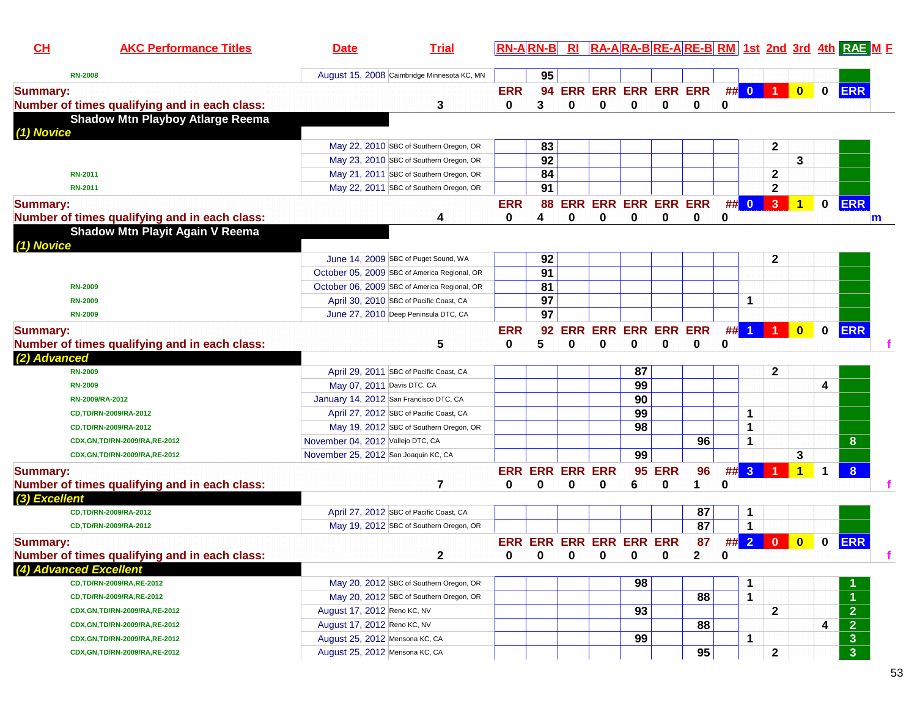| CL                     | <b>AKC Performance Titles</b>                 | <b>Date</b>                          | <b>Trial</b>                                 |              | <b>RN-B</b>            | R1         |                                        |     |            |          |          |             |                |                         |                      | RA-ARA-BRE-ARE-BRM 1st 2nd 3rd 4th RAE ME |
|------------------------|-----------------------------------------------|--------------------------------------|----------------------------------------------|--------------|------------------------|------------|----------------------------------------|-----|------------|----------|----------|-------------|----------------|-------------------------|----------------------|-------------------------------------------|
| <b>RN-2008</b>         |                                               |                                      | August 15, 2008 Caimbridge Minnesota KC, MN  |              | 95                     |            |                                        |     |            |          |          |             |                |                         |                      |                                           |
| <b>Summary:</b>        |                                               |                                      |                                              | <b>ERR</b>   | 94                     |            | ERR ERR ERR ERR ERR                    |     |            |          |          | ## 0        | <b>1</b> 1     | $\mathbf{0}$            | $\mathbf{0}$         | <b>ERR</b>                                |
|                        | Number of times qualifying and in each class: |                                      | 3                                            | 0            | 3                      | $\bf{0}$   | 0                                      | 0   | 0          | 0        | $\bf{0}$ |             |                |                         |                      |                                           |
| (1) Novice             | <b>Shadow Mtn Playboy Atlarge Reema</b>       |                                      |                                              |              |                        |            |                                        |     |            |          |          |             |                |                         |                      |                                           |
|                        |                                               |                                      | May 22, 2010 SBC of Southern Oregon, OR      |              | 83                     |            |                                        |     |            |          |          |             | $\mathbf{2}$   |                         |                      |                                           |
|                        |                                               |                                      | May 23, 2010 SBC of Southern Oregon, OR      |              | 92                     |            |                                        |     |            |          |          |             |                | 3                       |                      |                                           |
| <b>RN-2011</b>         |                                               |                                      | May 21, 2011 SBC of Southern Oregon, OR      |              | 84                     |            |                                        |     |            |          |          |             | $\mathbf 2$    |                         |                      |                                           |
| <b>RN-2011</b>         |                                               |                                      | May 22, 2011 SBC of Southern Oregon, OR      |              | $\overline{91}$        |            |                                        |     |            |          |          |             | $\mathbf 2$    |                         |                      |                                           |
| <b>Summary:</b>        |                                               |                                      |                                              | <b>ERR</b>   | 88                     |            | ERR ERR ERR ERR ERR                    |     |            |          |          | ## 0        | $\overline{3}$ | 1                       | 0                    | <b>ERR</b>                                |
|                        | Number of times qualifying and in each class: |                                      | 4                                            | 0            | 4                      | $\bf{0}$   | 0                                      | 0   | 0          | $\bf{0}$ | 0        |             |                |                         |                      | m                                         |
|                        | <b>Shadow Mtn Playit Again V Reema</b>        |                                      |                                              |              |                        |            |                                        |     |            |          |          |             |                |                         |                      |                                           |
| (1) Novice             |                                               |                                      |                                              |              |                        |            |                                        |     |            |          |          |             |                |                         |                      |                                           |
|                        |                                               |                                      | June 14, 2009 SBC of Puget Sound, WA         |              | 92                     |            |                                        |     |            |          |          |             | 2              |                         |                      |                                           |
|                        |                                               |                                      | October 05, 2009 SBC of America Regional, OR |              | $\overline{91}$        |            |                                        |     |            |          |          |             |                |                         |                      |                                           |
| <b>RN-2009</b>         |                                               |                                      | October 06, 2009 SBC of America Regional, OR |              | 81                     |            |                                        |     |            |          |          |             |                |                         |                      |                                           |
| <b>RN-2009</b>         |                                               |                                      | April 30, 2010 SBC of Pacific Coast, CA      |              | 97                     |            |                                        |     |            |          |          | 1           |                |                         |                      |                                           |
| <b>RN-2009</b>         |                                               |                                      | June 27, 2010 Deep Peninsula DTC, CA         |              | 97                     |            |                                        |     |            |          |          |             |                |                         |                      |                                           |
| <b>Summary:</b>        |                                               |                                      |                                              | <b>ERR</b>   | 92                     | <b>ERR</b> | <b>ERR ERR ERR ERR</b>                 |     |            |          |          |             | ## 1 1 1       | $\overline{\mathbf{0}}$ | 0                    | <b>ERR</b>                                |
|                        | Number of times qualifying and in each class: |                                      | 5                                            | 0            | 5                      | 0          | 0                                      | 0   | 0          | 0        | 0        |             |                |                         |                      |                                           |
| (2) Advanced           |                                               |                                      |                                              |              |                        |            |                                        |     |            |          |          |             |                |                         |                      |                                           |
| <b>RN-2009</b>         |                                               |                                      | April 29, 2011 SBC of Pacific Coast, CA      |              |                        |            |                                        | 87  |            |          |          |             | 2              |                         |                      |                                           |
| <b>RN-2009</b>         |                                               | May 07, 2011 Davis DTC, CA           |                                              |              |                        |            |                                        | 99  |            |          |          |             |                |                         | 4                    |                                           |
| RN-2009/RA-2012        |                                               |                                      | January 14, 2012 San Francisco DTC, CA       |              |                        |            |                                        | 90  |            |          |          |             |                |                         |                      |                                           |
|                        | CD,TD/RN-2009/RA-2012                         |                                      | April 27, 2012 SBC of Pacific Coast, CA      |              |                        |            |                                        | 99  |            |          |          | 1           |                |                         |                      |                                           |
|                        | CD,TD/RN-2009/RA-2012                         |                                      | May 19, 2012 SBC of Southern Oregon, OR      |              |                        |            |                                        | 98  |            |          |          | 1           |                |                         |                      |                                           |
|                        | CDX, GN, TD/RN-2009/RA, RE-2012               | November 04, 2012 Vallejo DTC, CA    |                                              |              |                        |            |                                        |     |            | 96       |          | 1           |                |                         |                      | 8                                         |
|                        | CDX, GN, TD/RN-2009/RA, RE-2012               | November 25, 2012 San Joaquin KC, CA |                                              |              |                        |            |                                        | 99  |            |          |          |             |                | 3                       |                      |                                           |
| <b>Summary:</b>        |                                               |                                      |                                              |              | <b>ERR ERR ERR ERR</b> |            |                                        | 95  | <b>ERR</b> | 96       | ## 3     |             |                |                         | $\blacktriangleleft$ | 8                                         |
|                        | Number of times qualifying and in each class: |                                      | 7                                            | 0            | 0                      | 0          | 0                                      | 6   | 0          | 1        | 0        |             |                |                         |                      |                                           |
| (3) Excellent          |                                               |                                      |                                              |              |                        |            |                                        |     |            |          |          |             |                |                         |                      |                                           |
|                        | CD,TD/RN-2009/RA-2012                         |                                      | April 27, 2012 SBC of Pacific Coast, CA      |              |                        |            |                                        |     |            | 87       |          | 1           |                |                         |                      |                                           |
|                        | CD,TD/RN-2009/RA-2012                         |                                      | May 19, 2012 SBC of Southern Oregon, OR      |              |                        |            |                                        |     |            | 87       |          | 1           |                |                         |                      |                                           |
| <b>Summary:</b>        |                                               |                                      |                                              |              |                        |            | ERR ERR ERR ERR ERR ERR                |     |            | 87       | ## 2     |             | $\bf{0}$       | $\bf{0}$                | 0                    | <b>ERR</b>                                |
|                        | Number of times qualifying and in each class: |                                      | $\mathbf{2}$                                 | $\mathbf{a}$ |                        |            | $\mathbf{0}$ $\mathbf{0}$ $\mathbf{0}$ | . വ | $\Omega$   | 2        | 0        |             |                |                         |                      |                                           |
| (4) Advanced Excellent |                                               |                                      |                                              |              |                        |            |                                        |     |            |          |          |             |                |                         |                      |                                           |
|                        | CD,TD/RN-2009/RA,RE-2012                      |                                      | May 20, 2012 SBC of Southern Oregon, OR      |              |                        |            |                                        | 98  |            |          |          | -1          |                |                         |                      |                                           |
|                        | CD,TD/RN-2009/RA,RE-2012                      |                                      | May 20, 2012 SBC of Southern Oregon, OR      |              |                        |            |                                        |     |            | 88       |          | $\mathbf 1$ |                |                         |                      |                                           |
|                        | CDX, GN, TD/RN-2009/RA, RE-2012               | August 17, 2012 Reno KC, NV          |                                              |              |                        |            |                                        | 93  |            |          |          |             | $\mathbf{2}$   |                         |                      | $\overline{2}$                            |
|                        | CDX, GN, TD/RN-2009/RA, RE-2012               | August 17, 2012 Reno KC, NV          |                                              |              |                        |            |                                        |     |            | 88       |          |             |                |                         | 4                    | $\overline{2}$                            |
|                        | CDX, GN, TD/RN-2009/RA, RE-2012               | August 25, 2012 Mensona KC, CA       |                                              |              |                        |            |                                        | 99  |            |          |          | 1           |                |                         |                      | 3 <sup>2</sup>                            |
|                        | CDX, GN, TD/RN-2009/RA, RE-2012               | August 25, 2012 Mensona KC, CA       |                                              |              |                        |            |                                        |     |            | 95       |          |             | $\mathbf{2}$   |                         |                      | 3 <sup>1</sup>                            |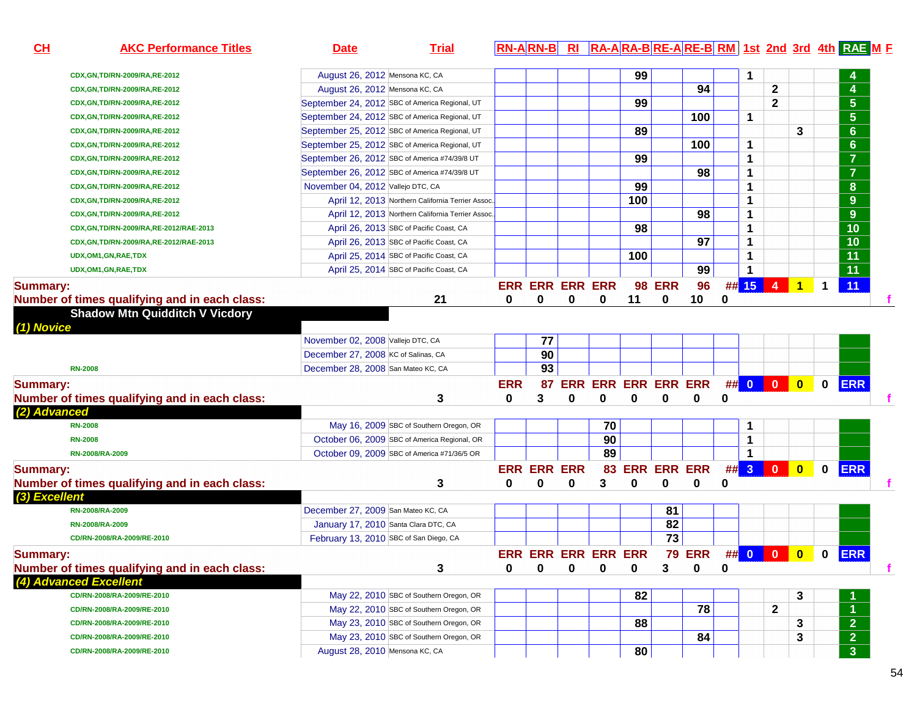| CL              | <b>AKC Performance Titles</b>                                           | <b>Date</b>                                      | <b>Trial</b> |            | <b>RN-ARN-B</b>        |   |                              |            |                |               |   |   |                        |                         |             | RI RA-ARA-BRE-ARE-BRM 1st 2nd 3rd 4th RAE ME |  |
|-----------------|-------------------------------------------------------------------------|--------------------------------------------------|--------------|------------|------------------------|---|------------------------------|------------|----------------|---------------|---|---|------------------------|-------------------------|-------------|----------------------------------------------|--|
|                 |                                                                         | August 26, 2012 Mensona KC, CA                   |              |            |                        |   |                              | 99         |                |               |   | 1 |                        |                         |             |                                              |  |
|                 | CDX, GN, TD/RN-2009/RA, RE-2012<br>CDX, GN, TD/RN-2009/RA, RE-2012      | August 26, 2012 Mensona KC, CA                   |              |            |                        |   |                              |            |                | 94            |   |   | $\mathbf 2$            |                         |             | 4                                            |  |
|                 | CDX, GN, TD/RN-2009/RA, RE-2012                                         | September 24, 2012 SBC of America Regional, UT   |              |            |                        |   |                              | 99         |                |               |   |   | $\mathbf 2$            |                         |             | $5\phantom{.0}$                              |  |
|                 |                                                                         | September 24, 2012 SBC of America Regional, UT   |              |            |                        |   |                              |            |                | 100           |   | 1 |                        |                         |             | $5\phantom{.0}$                              |  |
|                 | CDX, GN, TD/RN-2009/RA, RE-2012                                         | September 25, 2012 SBC of America Regional, UT   |              |            |                        |   |                              | 89         |                |               |   |   |                        | 3                       |             | $6\phantom{1}$                               |  |
|                 | CDX, GN, TD/RN-2009/RA, RE-2012                                         | September 25, 2012 SBC of America Regional, UT   |              |            |                        |   |                              |            |                | 100           |   | 1 |                        |                         |             | $6\phantom{a}$                               |  |
|                 | CDX, GN, TD/RN-2009/RA, RE-2012                                         | September 26, 2012 SBC of America #74/39/8 UT    |              |            |                        |   |                              | 99         |                |               |   | 1 |                        |                         |             | $\overline{7}$                               |  |
|                 | CDX, GN, TD/RN-2009/RA, RE-2012                                         |                                                  |              |            |                        |   |                              |            |                | 98            |   |   |                        |                         |             | $\overline{7}$                               |  |
|                 | CDX, GN, TD/RN-2009/RA, RE-2012                                         | September 26, 2012 SBC of America #74/39/8 UT    |              |            |                        |   |                              |            |                |               |   | 1 |                        |                         |             |                                              |  |
|                 | CDX, GN, TD/RN-2009/RA, RE-2012                                         | November 04, 2012 Vallejo DTC, CA                |              |            |                        |   |                              | 99         |                |               |   | 1 |                        |                         |             | $\boldsymbol{8}$                             |  |
|                 | CDX, GN, TD/RN-2009/RA, RE-2012                                         | April 12, 2013 Northern California Terrier Assoc |              |            |                        |   |                              | 100        |                |               |   | 1 |                        |                         |             | 9                                            |  |
|                 | CDX, GN, TD/RN-2009/RA, RE-2012                                         | April 12, 2013 Northern California Terrier Assoc |              |            |                        |   |                              |            |                | 98            |   | 1 |                        |                         |             | 9                                            |  |
|                 | CDX, GN, TD/RN-2009/RA, RE-2012/RAE-2013                                | April 26, 2013 SBC of Pacific Coast, CA          |              |            |                        |   |                              | 98         |                |               |   | 1 |                        |                         |             | 10                                           |  |
|                 | CDX, GN, TD/RN-2009/RA, RE-2012/RAE-2013                                | April 26, 2013 SBC of Pacific Coast, CA          |              |            |                        |   |                              |            |                | 97            |   | 1 |                        |                         |             | 10                                           |  |
|                 | UDX,OM1,GN,RAE,TDX                                                      | April 25, 2014 SBC of Pacific Coast, CA          |              |            |                        |   |                              | 100        |                |               |   | 1 |                        |                         |             | 11                                           |  |
|                 | UDX, OM1, GN, RAE, TDX                                                  | April 25, 2014 SBC of Pacific Coast, CA          |              |            |                        |   |                              |            |                | 99            |   | 1 |                        |                         |             | 11                                           |  |
| <b>Summary:</b> |                                                                         |                                                  |              |            | <b>ERR ERR ERR ERR</b> |   |                              |            | <b>98 ERR</b>  | 96            |   |   | ## <mark>15 4 1</mark> |                         | $\mathbf 1$ | 11                                           |  |
|                 | Number of times qualifying and in each class:                           |                                                  | 21           | 0          | 0                      | 0 | 0                            | 11         | 0              | 10            | 0 |   |                        |                         |             |                                              |  |
| (1) Novice      | <b>Shadow Mtn Quidditch V Vicdory</b>                                   |                                                  |              |            |                        |   |                              |            |                |               |   |   |                        |                         |             |                                              |  |
|                 |                                                                         | November 02, 2008 Vallejo DTC, CA                |              |            | 77                     |   |                              |            |                |               |   |   |                        |                         |             |                                              |  |
|                 |                                                                         | December 27, 2008 KC of Salinas, CA              |              |            | 90                     |   |                              |            |                |               |   |   |                        |                         |             |                                              |  |
|                 | <b>RN-2008</b>                                                          | December 28, 2008 San Mateo KC, CA               |              |            | 93                     |   |                              |            |                |               |   |   |                        |                         |             |                                              |  |
| <b>Summary:</b> |                                                                         |                                                  |              | <b>ERR</b> | 87                     |   | ERR ERR ERR ERR ERR ## 0 0 0 |            |                |               |   |   |                        |                         | $\mathbf 0$ | <b>ERR</b>                                   |  |
|                 | Number of times qualifying and in each class:                           |                                                  | 3            | $\bf{0}$   | 3                      | 0 | 0                            | 0          | $\bf{0}$       | 0             | 0 |   |                        |                         |             |                                              |  |
| (2) Advanced    |                                                                         |                                                  |              |            |                        |   |                              |            |                |               |   |   |                        |                         |             |                                              |  |
|                 | <b>RN-2008</b>                                                          | May 16, 2009 SBC of Southern Oregon, OR          |              |            |                        |   | 70                           |            |                |               |   | 1 |                        |                         |             |                                              |  |
|                 | <b>RN-2008</b>                                                          | October 06, 2009 SBC of America Regional, OR     |              |            |                        |   | 90                           |            |                |               |   | 1 |                        |                         |             |                                              |  |
|                 | RN-2008/RA-2009                                                         | October 09, 2009 SBC of America #71/36/5 OR      |              |            |                        |   | 89                           |            |                |               |   | 1 |                        |                         |             |                                              |  |
|                 |                                                                         |                                                  |              |            | <b>ERR ERR ERR</b>     |   |                              |            | 83 ERR ERR ERR |               |   |   | ## 3 0                 | $\overline{\mathbf{0}}$ |             | <b>ERR</b>                                   |  |
| <b>Summary:</b> |                                                                         |                                                  |              |            |                        |   |                              |            |                |               |   |   |                        |                         | $\mathbf 0$ |                                              |  |
| (3) Excellent   | Number of times qualifying and in each class:                           |                                                  | 3            | 0          | 0                      | 0 | 3                            | 0          | 0              | 0             | 0 |   |                        |                         |             |                                              |  |
|                 | RN-2008/RA-2009                                                         | December 27, 2009 San Mateo KC, CA               |              |            |                        |   |                              |            | 81             |               |   |   |                        |                         |             |                                              |  |
|                 | RN-2008/RA-2009                                                         | January 17, 2010 Santa Clara DTC, CA             |              |            |                        |   |                              |            | 82             |               |   |   |                        |                         |             |                                              |  |
|                 | CD/RN-2008/RA-2009/RE-2010                                              | February 13, 2010 SBC of San Diego, CA           |              |            |                        |   |                              |            | 73             |               |   |   |                        |                         |             |                                              |  |
| <b>Summary:</b> |                                                                         |                                                  |              |            | <b>FRR FRR FRR</b>     |   | <b>FRR</b>                   | <b>FRR</b> |                | <b>79 ERR</b> |   |   | ## 0 0 0               |                         |             | 0 ERR                                        |  |
|                 |                                                                         |                                                  |              | 0          | 0                      | 0 | 0                            | 0          | 3              | 0             | 0 |   |                        |                         |             |                                              |  |
|                 | Number of times qualifying and in each class:<br>(4) Advanced Excellent |                                                  | 3            |            |                        |   |                              |            |                |               |   |   |                        |                         |             |                                              |  |
|                 | CD/RN-2008/RA-2009/RE-2010                                              | May 22, 2010 SBC of Southern Oregon, OR          |              |            |                        |   |                              | 82         |                |               |   |   |                        |                         |             |                                              |  |
|                 |                                                                         | May 22, 2010 SBC of Southern Oregon, OR          |              |            |                        |   |                              |            |                | 78            |   |   | $\mathbf{2}$           | 3                       |             |                                              |  |
|                 | CD/RN-2008/RA-2009/RE-2010                                              | May 23, 2010 SBC of Southern Oregon, OR          |              |            |                        |   |                              |            |                |               |   |   |                        |                         |             |                                              |  |
|                 | CD/RN-2008/RA-2009/RE-2010                                              |                                                  |              |            |                        |   |                              | 88         |                |               |   |   |                        | 3                       |             | $\overline{2}$                               |  |
|                 | CD/RN-2008/RA-2009/RE-2010                                              | May 23, 2010 SBC of Southern Oregon, OR          |              |            |                        |   |                              |            |                | 84            |   |   |                        | 3                       |             | $\overline{2}$                               |  |
|                 | CD/RN-2008/RA-2009/RE-2010                                              | August 28, 2010 Mensona KC, CA                   |              |            |                        |   |                              | 80         |                |               |   |   |                        |                         |             | 3 <sup>2</sup>                               |  |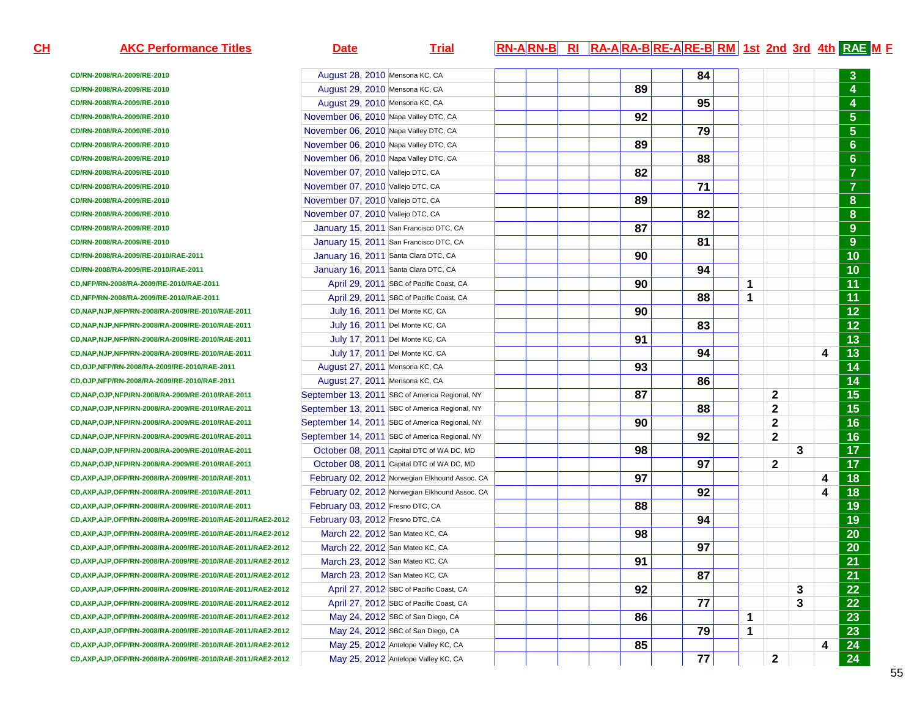| <u>н</u> | <b>AKC Performance Titles</b>                                | <u>Trial</u><br><b>Date</b>                    |  | <b>RN-ARN-B RI RA-ARA-BRE-ARE-BRM 1st 2nd 3rd 4th RAE M E</b> |    |    |   |              |   |   |                |
|----------|--------------------------------------------------------------|------------------------------------------------|--|---------------------------------------------------------------|----|----|---|--------------|---|---|----------------|
|          | CD/RN-2008/RA-2009/RE-2010                                   | August 28, 2010 Mensona KC, CA                 |  |                                                               | 84 |    |   |              |   |   | $\mathbf{3}$   |
|          | CD/RN-2008/RA-2009/RE-2010                                   | August 29, 2010 Mensona KC, CA                 |  | 89                                                            |    |    |   |              |   |   | 4              |
|          | CD/RN-2008/RA-2009/RE-2010                                   | August 29, 2010 Mensona KC, CA                 |  |                                                               | 95 |    |   |              |   |   | 4              |
|          | CD/RN-2008/RA-2009/RE-2010                                   | November 06, 2010 Napa Valley DTC, CA          |  | 92                                                            |    |    |   |              |   |   | 5 <sub>5</sub> |
|          | CD/RN-2008/RA-2009/RE-2010                                   | November 06, 2010 Napa Valley DTC, CA          |  |                                                               | 79 |    |   |              |   |   | 5 <sub>5</sub> |
|          | CD/RN-2008/RA-2009/RE-2010                                   | November 06, 2010 Napa Valley DTC, CA          |  | 89                                                            |    |    |   |              |   |   | $6^{\circ}$    |
|          | CD/RN-2008/RA-2009/RE-2010                                   | November 06, 2010 Napa Valley DTC, CA          |  |                                                               | 88 |    |   |              |   |   | 6 <sup>°</sup> |
|          | CD/RN-2008/RA-2009/RE-2010                                   | November 07, 2010 Vallejo DTC, CA              |  | 82                                                            |    |    |   |              |   |   | $\overline{7}$ |
|          | CD/RN-2008/RA-2009/RE-2010                                   | November 07, 2010 Vallejo DTC, CA              |  |                                                               | 71 |    |   |              |   |   | $\overline{7}$ |
|          | CD/RN-2008/RA-2009/RE-2010                                   | November 07, 2010 Vallejo DTC, CA              |  | 89                                                            |    |    |   |              |   |   | 8              |
|          | CD/RN-2008/RA-2009/RE-2010                                   | November 07, 2010 Vallejo DTC, CA              |  |                                                               | 82 |    |   |              |   |   | 8              |
|          | CD/RN-2008/RA-2009/RE-2010                                   | January 15, 2011 San Francisco DTC, CA         |  | 87                                                            |    |    |   |              |   |   | 9              |
|          | CD/RN-2008/RA-2009/RE-2010                                   | January 15, 2011 San Francisco DTC, CA         |  |                                                               | 81 |    |   |              |   |   | 9              |
|          | CD/RN-2008/RA-2009/RE-2010/RAE-2011                          | January 16, 2011 Santa Clara DTC, CA           |  | 90                                                            |    |    |   |              |   |   | 10             |
|          | CD/RN-2008/RA-2009/RE-2010/RAE-2011                          | January 16, 2011 Santa Clara DTC, CA           |  |                                                               | 94 |    |   |              |   |   | 10             |
|          | CD, NFP/RN-2008/RA-2009/RE-2010/RAE-2011                     | April 29, 2011 SBC of Pacific Coast, CA        |  | 90                                                            |    |    | 1 |              |   |   | 11             |
|          | CD,NFP/RN-2008/RA-2009/RE-2010/RAE-2011                      | April 29, 2011 SBC of Pacific Coast, CA        |  |                                                               | 88 |    | 1 |              |   |   | 11             |
|          | CD, NAP, NJP, NFP/RN-2008/RA-2009/RE-2010/RAE-2011           | July 16, 2011 Del Monte KC, CA                 |  | 90                                                            |    |    |   |              |   |   | 12             |
|          | CD, NAP, NJP, NFP/RN-2008/RA-2009/RE-2010/RAE-2011           | July 16, 2011 Del Monte KC, CA                 |  |                                                               | 83 |    |   |              |   |   | 12             |
|          | CD, NAP, NJP, NFP/RN-2008/RA-2009/RE-2010/RAE-2011           | July 17, 2011 Del Monte KC, CA                 |  | 91                                                            |    |    |   |              |   |   | 13             |
|          | CD, NAP, NJP, NFP/RN-2008/RA-2009/RE-2010/RAE-2011           | July 17, 2011 Del Monte KC, CA                 |  |                                                               | 94 |    |   |              |   | 4 | 13             |
|          | CD, OJP, NFP/RN-2008/RA-2009/RE-2010/RAE-2011                | August 27, 2011 Mensona KC, CA                 |  | 93                                                            |    |    |   |              |   |   | 14             |
|          | CD,OJP,NFP/RN-2008/RA-2009/RE-2010/RAE-2011                  | August 27, 2011 Mensona KC, CA                 |  |                                                               | 86 |    |   |              |   |   | 14             |
|          | CD, NAP, OJP, NFP/RN-2008/RA-2009/RE-2010/RAE-2011           | September 13, 2011 SBC of America Regional, NY |  | 87                                                            |    |    |   | $\mathbf{2}$ |   |   | 15             |
|          | CD, NAP, OJP, NFP/RN-2008/RA-2009/RE-2010/RAE-2011           | September 13, 2011 SBC of America Regional, NY |  |                                                               | 88 |    |   | $\mathbf{2}$ |   |   | 15             |
|          | CD, NAP, OJP, NFP/RN-2008/RA-2009/RE-2010/RAE-2011           | September 14, 2011 SBC of America Regional, NY |  | 90                                                            |    |    |   | $\mathbf{2}$ |   |   | 16             |
|          | CD, NAP, OJP, NFP/RN-2008/RA-2009/RE-2010/RAE-2011           | September 14, 2011 SBC of America Regional, NY |  |                                                               | 92 |    |   | $\mathbf{2}$ |   |   | 16             |
|          | CD, NAP, OJP, NFP/RN-2008/RA-2009/RE-2010/RAE-2011           | October 08, 2011 Capital DTC of WA DC, MD      |  | 98                                                            |    |    |   |              | 3 |   | 17             |
|          | CD, NAP, OJP, NFP/RN-2008/RA-2009/RE-2010/RAE-2011           | October 08, 2011 Capital DTC of WA DC, MD      |  |                                                               | 97 |    |   | $\mathbf{2}$ |   |   | 17             |
|          | CD, AXP, AJP, OFP/RN-2008/RA-2009/RE-2010/RAE-2011           | February 02, 2012 Norwegian Elkhound Assoc. CA |  | 97                                                            |    |    |   |              |   | 4 | 18             |
|          | CD, AXP, AJP, OFP/RN-2008/RA-2009/RE-2010/RAE-2011           | February 02, 2012 Norwegian Elkhound Assoc. CA |  |                                                               | 92 |    |   |              |   | 4 | 18             |
|          | CD, AXP, AJP, OFP/RN-2008/RA-2009/RE-2010/RAE-2011           | February 03, 2012 Fresno DTC, CA               |  | 88                                                            |    |    |   |              |   |   | 19             |
|          | CD, AXP, AJP, OFP/RN-2008/RA-2009/RE-2010/RAE-2011/RAE2-2012 | February 03, 2012 Fresno DTC, CA               |  |                                                               | 94 |    |   |              |   |   | 19             |
|          | CD, AXP, AJP, OFP/RN-2008/RA-2009/RE-2010/RAE-2011/RAE2-2012 | March 22, 2012 San Mateo KC, CA                |  | 98                                                            |    |    |   |              |   |   | 20             |
|          | CD, AXP, AJP, OFP/RN-2008/RA-2009/RE-2010/RAE-2011/RAE2-2012 | March 22, 2012 San Mateo KC, CA                |  |                                                               | 97 |    |   |              |   |   | 20             |
|          | CD, AXP, AJP, OFP/RN-2008/RA-2009/RE-2010/RAE-2011/RAE2-2012 | March 23, 2012 San Mateo KC, CA                |  | 91<br>$\ddot{\phantom{0}}$                                    |    |    |   |              |   |   | 21             |
|          | CD, AXP, AJP, OFP/RN-2008/RA-2009/RE-2010/RAE-2011/RAE2-2012 | March 23, 2012 San Mateo KC, CA                |  |                                                               | 87 |    |   |              |   |   | 21             |
|          | CD, AXP, AJP, OFP/RN-2008/RA-2009/RE-2010/RAE-2011/RAE2-2012 | April 27, 2012 SBC of Pacific Coast, CA        |  | 92                                                            |    |    |   |              | 3 |   | 22             |
|          | CD, AXP, AJP, OFP/RN-2008/RA-2009/RE-2010/RAE-2011/RAE2-2012 | April 27, 2012 SBC of Pacific Coast, CA        |  |                                                               | 77 |    |   |              | 3 |   | 22             |
|          | CD, AXP, AJP, OFP/RN-2008/RA-2009/RE-2010/RAE-2011/RAE2-2012 | May 24, 2012 SBC of San Diego, CA              |  | 86                                                            |    |    | 1 |              |   |   | 23             |
|          | CD, AXP, AJP, OFP/RN-2008/RA-2009/RE-2010/RAE-2011/RAE2-2012 | May 24, 2012 SBC of San Diego, CA              |  |                                                               |    | 79 | 1 |              |   |   | 23             |
|          | CD, AXP, AJP, OFP/RN-2008/RA-2009/RE-2010/RAE-2011/RAE2-2012 | May 25, 2012 Antelope Valley KC, CA            |  | 85                                                            |    |    |   |              |   | 4 | 24             |
|          | CD, AXP, AJP, OFP/RN-2008/RA-2009/RE-2010/RAE-2011/RAE2-2012 | May 25, 2012 Antelope Valley KC, CA            |  |                                                               | 77 |    |   | 2            |   |   | 24             |
|          |                                                              |                                                |  |                                                               |    |    |   |              |   |   |                |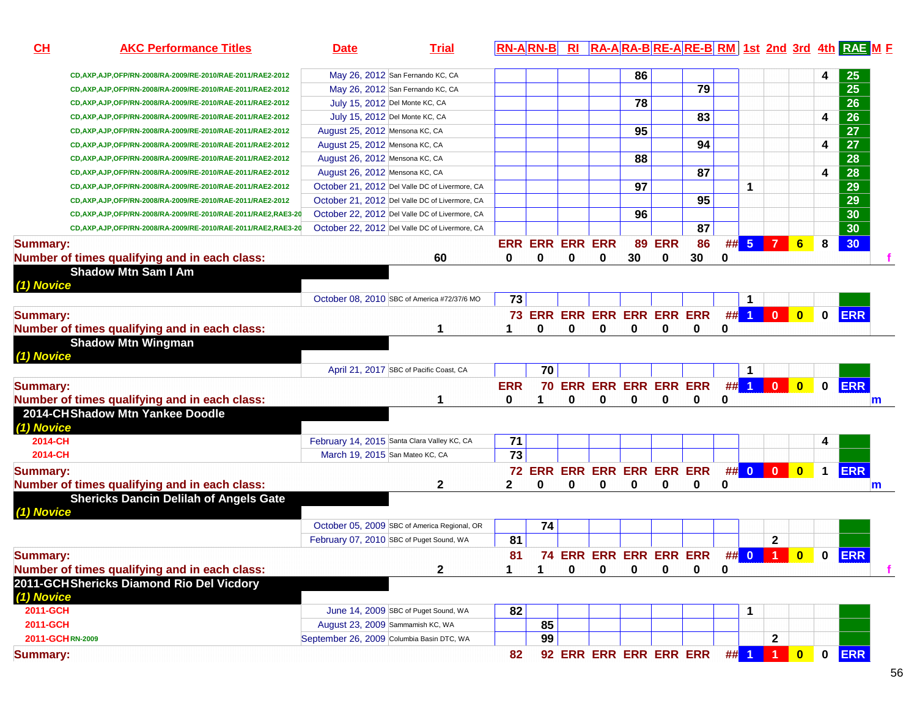| CH<br><b>AKC Performance Titles</b>                              | <b>Date</b>                     | <b>Trial</b>                                   |                 |                            |   |                        |    |            |                        |   |          |              |                         |              | RN-ARN-B RI RA-ARA-BRE-ARE-BRM 1st 2nd 3rd 4th RAE M E |  |
|------------------------------------------------------------------|---------------------------------|------------------------------------------------|-----------------|----------------------------|---|------------------------|----|------------|------------------------|---|----------|--------------|-------------------------|--------------|--------------------------------------------------------|--|
| CD, AXP, AJP, OFP/RN-2008/RA-2009/RE-2010/RAE-2011/RAE2-2012     |                                 | May 26, 2012 San Fernando KC, CA               |                 |                            |   |                        | 86 |            |                        |   |          |              |                         | 4            | 25                                                     |  |
| CD, AXP, AJP, OFP/RN-2008/RA-2009/RE-2010/RAE-2011/RAE2-2012     |                                 | May 26, 2012 San Fernando KC, CA               |                 |                            |   |                        |    |            | 79                     |   |          |              |                         |              | $\overline{25}$                                        |  |
| CD, AXP, AJP, OFP/RN-2008/RA-2009/RE-2010/RAE-2011/RAE2-2012     |                                 | July 15, 2012 Del Monte KC, CA                 |                 |                            |   |                        | 78 |            |                        |   |          |              |                         |              | $\overline{26}$                                        |  |
| CD, AXP, AJP, OFP/RN-2008/RA-2009/RE-2010/RAE-2011/RAE2-2012     |                                 | July 15, 2012 Del Monte KC, CA                 |                 |                            |   |                        |    |            | 83                     |   |          |              |                         | 4            | 26                                                     |  |
| CD, AXP, AJP, OFP/RN-2008/RA-2009/RE-2010/RAE-2011/RAE2-2012     | August 25, 2012 Mensona KC, CA  |                                                |                 |                            |   |                        | 95 |            |                        |   |          |              |                         |              | $\overline{27}$                                        |  |
| CD, AXP, AJP, OFP/RN-2008/RA-2009/RE-2010/RAE-2011/RAE2-2012     | August 25, 2012 Mensona KC, CA  |                                                |                 |                            |   |                        |    |            | 94                     |   |          |              |                         | 4            | $\overline{27}$                                        |  |
| CD, AXP, AJP, OFP/RN-2008/RA-2009/RE-2010/RAE-2011/RAE2-2012     | August 26, 2012 Mensona KC, CA  |                                                |                 |                            |   |                        | 88 |            |                        |   |          |              |                         |              | $\overline{28}$                                        |  |
| CD, AXP, AJP, OFP/RN-2008/RA-2009/RE-2010/RAE-2011/RAE2-2012     | August 26, 2012 Mensona KC, CA  |                                                |                 |                            |   |                        |    |            | 87                     |   |          |              |                         | 4            | $\overline{28}$                                        |  |
| CD, AXP, AJP, OFP/RN-2008/RA-2009/RE-2010/RAE-2011/RAE2-2012     |                                 | October 21, 2012 Del Valle DC of Livermore, CA |                 |                            |   |                        | 97 |            |                        |   | 1        |              |                         |              | $\overline{29}$                                        |  |
| CD, AXP, AJP, OFP/RN-2008/RA-2009/RE-2010/RAE-2011/RAE2-2012     |                                 | October 21, 2012 Del Valle DC of Livermore, CA |                 |                            |   |                        |    |            | 95                     |   |          |              |                         |              | $\overline{29}$                                        |  |
| CD, AXP, AJP, OFP/RN-2008/RA-2009/RE-2010/RAE-2011/RAE2, RAE3-20 |                                 | October 22, 2012 Del Valle DC of Livermore, CA |                 |                            |   |                        | 96 |            |                        |   |          |              |                         |              | $\overline{30}$                                        |  |
| CD, AXP, AJP, OFP/RN-2008/RA-2009/RE-2010/RAE-2011/RAE2, RAE3-20 |                                 | October 22, 2012 Del Valle DC of Livermore, CA |                 |                            |   |                        |    |            | 87                     |   |          |              |                         |              | $\overline{30}$                                        |  |
| <b>Summary:</b>                                                  |                                 |                                                |                 | <b>ERR ERR ERR ERR</b>     |   |                        | 89 | <b>ERR</b> | 86                     |   | $\#$ 5 7 |              | $6\phantom{a}$          | 8            | 30                                                     |  |
| Number of times qualifying and in each class:                    |                                 | 60                                             | 0               | 0                          | 0 | 0                      | 30 | $\bf{0}$   | 30                     | 0 |          |              |                         |              |                                                        |  |
| <b>Shadow Mtn Sam I Am</b>                                       |                                 |                                                |                 |                            |   |                        |    |            |                        |   |          |              |                         |              |                                                        |  |
| (1) Novice                                                       |                                 |                                                |                 |                            |   |                        |    |            |                        |   |          |              |                         |              |                                                        |  |
|                                                                  |                                 | October 08, 2010 SBC of America #72/37/6 MO    | 73              |                            |   |                        |    |            |                        |   | -1       |              |                         |              |                                                        |  |
| <b>Summary:</b>                                                  |                                 |                                                |                 | <b>73 ERR</b>              |   |                        |    |            | ERR ERR ERR ERR ERR    |   |          | ## 1 0       | $\bullet$               | $\mathbf{0}$ | <b>ERR</b>                                             |  |
| Number of times qualifying and in each class:                    |                                 | 1                                              |                 | 0                          | 0 | 0                      | 0  | 0          | 0                      | 0 |          |              |                         |              |                                                        |  |
| <b>Shadow Mtn Wingman</b>                                        |                                 |                                                |                 |                            |   |                        |    |            |                        |   |          |              |                         |              |                                                        |  |
| (1) Novice                                                       |                                 |                                                |                 |                            |   |                        |    |            |                        |   |          |              |                         |              |                                                        |  |
|                                                                  |                                 | April 21, 2017 SBC of Pacific Coast, CA        |                 | 70                         |   |                        |    |            |                        |   |          |              |                         |              |                                                        |  |
| <b>Summary:</b>                                                  |                                 |                                                | <b>ERR</b>      |                            |   |                        |    |            | 70 ERR ERR ERR ERR ERR |   |          | ## 1 0       | $\bullet$               | $\mathbf 0$  | <b>ERR</b>                                             |  |
| Number of times qualifying and in each class:                    |                                 | 1                                              | 0               | 1                          | 0 | 0                      | 0  | 0          | 0                      | 0 |          |              |                         |              | m                                                      |  |
| 2014-CHShadow Mtn Yankee Doodle                                  |                                 |                                                |                 |                            |   |                        |    |            |                        |   |          |              |                         |              |                                                        |  |
| (1) Novice                                                       |                                 |                                                |                 |                            |   |                        |    |            |                        |   |          |              |                         |              |                                                        |  |
| 2014-CH                                                          |                                 | February 14, 2015 Santa Clara Valley KC, CA    | 71              |                            |   |                        |    |            |                        |   |          |              |                         | 4            |                                                        |  |
| 2014-CH                                                          | March 19, 2015 San Mateo KC, CA |                                                | $\overline{73}$ |                            |   |                        |    |            |                        |   |          |              |                         |              |                                                        |  |
| <b>Summary:</b>                                                  |                                 |                                                |                 | 72 ERR ERR ERR ERR ERR ERR |   |                        |    |            |                        |   |          | ## 0 0 0     | $\overline{\mathbf{0}}$ | $\mathbf 1$  | <b>ERR</b>                                             |  |
| Number of times qualifying and in each class:                    |                                 | $\mathbf 2$                                    | $\mathbf{2}$    | 0                          | 0 | 0                      | 0  | 0          | 0                      | 0 |          |              |                         |              |                                                        |  |
| <b>Shericks Dancin Delilah of Angels Gate</b>                    |                                 |                                                |                 |                            |   |                        |    |            |                        |   |          |              |                         |              | m                                                      |  |
| (1) Novice                                                       |                                 |                                                |                 |                            |   |                        |    |            |                        |   |          |              |                         |              |                                                        |  |
|                                                                  |                                 | October 05, 2009 SBC of America Regional, OR   |                 | 74                         |   |                        |    |            |                        |   |          |              |                         |              |                                                        |  |
|                                                                  |                                 | February 07, 2010 SBC of Puget Sound, WA       | 81              |                            |   |                        |    |            |                        |   |          | $\mathbf{2}$ |                         |              |                                                        |  |
|                                                                  |                                 |                                                | 81              |                            |   | 74 ERR ERR ERR ERR ERR |    |            |                        |   |          |              |                         | $\mathbf{0}$ |                                                        |  |
| <b>Summary:</b>                                                  |                                 |                                                | 1               |                            |   |                        |    |            |                        |   |          | ## 0 1 0     |                         |              | <b>ERR</b>                                             |  |
| Number of times qualifying and in each class:                    |                                 | 2                                              |                 | 1                          | 0 | 0                      | 0  | 0          | 0                      | 0 |          |              |                         |              |                                                        |  |
| 2011-GCHShericks Diamond Rio Del Vicdory                         |                                 |                                                |                 |                            |   |                        |    |            |                        |   |          |              |                         |              |                                                        |  |
| (1) Novice                                                       |                                 | June 14, 2009 SBC of Puget Sound, WA           |                 |                            |   |                        |    |            |                        |   |          |              |                         |              |                                                        |  |
| 2011-GCH<br>2011-GCH                                             |                                 |                                                | 82              |                            |   |                        |    |            |                        |   | 1        |              |                         |              |                                                        |  |
| 2011-GCHRN-2009                                                  |                                 | August 23, 2009 Sammamish KC, WA               |                 | 85                         |   |                        |    |            |                        |   |          |              |                         |              |                                                        |  |
|                                                                  |                                 | September 26, 2009 Columbia Basin DTC, WA      |                 | 99                         |   |                        |    |            |                        |   |          | $\mathbf{2}$ |                         |              |                                                        |  |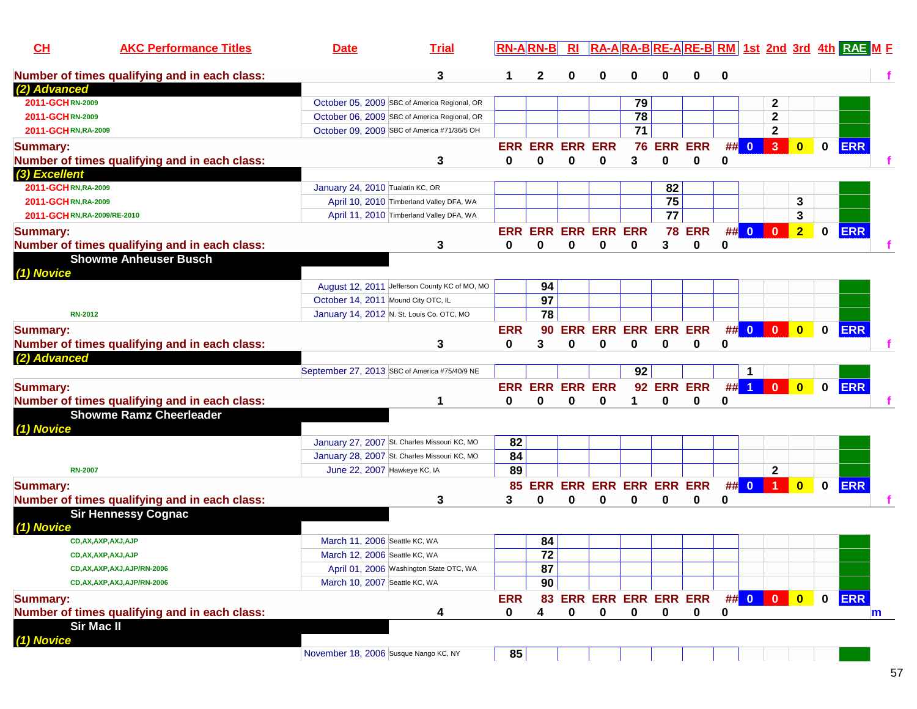| 3<br>Number of times qualifying and in each class:<br>2<br>0<br>0<br>0<br>0<br>1<br>0<br>(2) Advanced<br>2011-GCHRN-2009<br>October 05, 2009 SBC of America Regional, OR<br>79<br>2<br>78<br>$\mathbf 2$<br>October 06, 2009 SBC of America Regional, OR<br>2011-GCHRN-2009<br>71<br>October 09, 2009 SBC of America #71/36/5 OH<br>$\mathbf{2}$<br>2011-GCHRN, RA-2009<br><b>ERR</b><br><b>ERR ERR</b><br>##<br>$\overline{\mathbf{3}}$<br><b>ERR ERR ERR ERR</b><br>76<br>$\overline{\mathbf{0}}$<br>$\bf{0}$<br><b>Summary:</b><br>$\mathbf{0}$<br>3<br>$\bf{0}$<br>$\mathbf 0$<br>Number of times qualifying and in each class:<br>3<br>0<br>0<br>$\bf{0}$<br>0<br>0<br>(3) Excellent<br>2011-GCHRN, RA-2009<br>January 24, 2010 Tualatin KC, OR<br>82<br>75<br>3<br>2011-GCHRN,RA-2009<br>April 10, 2010 Timberland Valley DFA, WA<br>$\overline{77}$<br>3<br>2011-GCHRN,RA-2009/RE-2010<br>April 11, 2010 Timberland Valley DFA, WA<br>$\#$ 0<br><b>ERR</b><br><b>ERR ERR ERR ERR ERR</b><br><b>78 ERR</b><br>$\overline{2}$<br><b>Summary:</b><br>$\mathbf{0}$<br>$\bf{0}$<br>Number of times qualifying and in each class:<br>0<br>3<br>3<br>0<br>0<br>$\bf{0}$<br>0<br>0<br>0<br><b>Showme Anheuser Busch</b><br>(1) Novice<br>August 12, 2011 Jefferson County KC of MO, MO<br>94<br>97<br>October 14, 2011 Mound City OTC, IL<br>78<br>January 14, 2012 N. St. Louis Co. OTC, MO<br><b>RN-2012</b><br><b>ERR</b><br>## 0 0<br>$\bullet$<br><b>ERR ERR ERR ERR</b><br>$\mathbf 0$<br><b>Summary:</b><br><b>ERR</b><br>90<br><b>ERR</b><br>Number of times qualifying and in each class:<br>3<br>0<br>3<br>$\bf{0}$<br>0<br>0<br>0<br>0<br>0<br>(2) Advanced<br>92<br>September 27, 2013 SBC of America #75/40/9 NE<br>1<br><b>ERR</b><br>92 ERR ERR<br>##<br><b>ERR ERR ERR ERR</b><br>$\blacktriangleleft$<br>$\bf{0}$<br>$\mathbf{0}$<br>$\mathbf{0}$<br><b>Summary:</b><br>Number of times qualifying and in each class:<br>0<br>0<br>0<br>0<br>0<br>0<br>0<br>1<br><b>Showme Ramz Cheerleader</b><br>(1) Novice<br>January 27, 2007 St. Charles Missouri KC, MO<br>82<br>84<br>January 28, 2007 St. Charles Missouri KC, MO<br>89<br>June 22, 2007 Hawkeye KC, IA<br>$\mathbf{2}$<br><b>RN-2007</b><br><b>ERR</b><br><b>ERR ERR ERR ERR ERR</b><br>##<br><b>Summary:</b><br>$\overline{\mathbf{0}}$<br>$\bf{0}$<br>85<br><b>ERR</b><br>$\mathbf{0}$<br>Number of times qualifying and in each class:<br>3<br>0<br>3<br>0<br>0<br>0<br>0<br>0<br>0<br><b>Sir Hennessy Cognac</b> | CH<br><b>AKC Performance Titles</b> | <b>Date</b> | <b>Trial</b> | <b>RN-B</b> |  |  |  |  |  | RA-ARA-BRE-ARE-BRM 1st 2nd 3rd 4th RAE M F |  |
|-----------------------------------------------------------------------------------------------------------------------------------------------------------------------------------------------------------------------------------------------------------------------------------------------------------------------------------------------------------------------------------------------------------------------------------------------------------------------------------------------------------------------------------------------------------------------------------------------------------------------------------------------------------------------------------------------------------------------------------------------------------------------------------------------------------------------------------------------------------------------------------------------------------------------------------------------------------------------------------------------------------------------------------------------------------------------------------------------------------------------------------------------------------------------------------------------------------------------------------------------------------------------------------------------------------------------------------------------------------------------------------------------------------------------------------------------------------------------------------------------------------------------------------------------------------------------------------------------------------------------------------------------------------------------------------------------------------------------------------------------------------------------------------------------------------------------------------------------------------------------------------------------------------------------------------------------------------------------------------------------------------------------------------------------------------------------------------------------------------------------------------------------------------------------------------------------------------------------------------------------------------------------------------------------------------------------------------------------------------------------------------------------------------------------------------------------------------------------------------------------|-------------------------------------|-------------|--------------|-------------|--|--|--|--|--|--------------------------------------------|--|
|                                                                                                                                                                                                                                                                                                                                                                                                                                                                                                                                                                                                                                                                                                                                                                                                                                                                                                                                                                                                                                                                                                                                                                                                                                                                                                                                                                                                                                                                                                                                                                                                                                                                                                                                                                                                                                                                                                                                                                                                                                                                                                                                                                                                                                                                                                                                                                                                                                                                                               |                                     |             |              |             |  |  |  |  |  |                                            |  |
|                                                                                                                                                                                                                                                                                                                                                                                                                                                                                                                                                                                                                                                                                                                                                                                                                                                                                                                                                                                                                                                                                                                                                                                                                                                                                                                                                                                                                                                                                                                                                                                                                                                                                                                                                                                                                                                                                                                                                                                                                                                                                                                                                                                                                                                                                                                                                                                                                                                                                               |                                     |             |              |             |  |  |  |  |  |                                            |  |
|                                                                                                                                                                                                                                                                                                                                                                                                                                                                                                                                                                                                                                                                                                                                                                                                                                                                                                                                                                                                                                                                                                                                                                                                                                                                                                                                                                                                                                                                                                                                                                                                                                                                                                                                                                                                                                                                                                                                                                                                                                                                                                                                                                                                                                                                                                                                                                                                                                                                                               |                                     |             |              |             |  |  |  |  |  |                                            |  |
|                                                                                                                                                                                                                                                                                                                                                                                                                                                                                                                                                                                                                                                                                                                                                                                                                                                                                                                                                                                                                                                                                                                                                                                                                                                                                                                                                                                                                                                                                                                                                                                                                                                                                                                                                                                                                                                                                                                                                                                                                                                                                                                                                                                                                                                                                                                                                                                                                                                                                               |                                     |             |              |             |  |  |  |  |  |                                            |  |
|                                                                                                                                                                                                                                                                                                                                                                                                                                                                                                                                                                                                                                                                                                                                                                                                                                                                                                                                                                                                                                                                                                                                                                                                                                                                                                                                                                                                                                                                                                                                                                                                                                                                                                                                                                                                                                                                                                                                                                                                                                                                                                                                                                                                                                                                                                                                                                                                                                                                                               |                                     |             |              |             |  |  |  |  |  |                                            |  |
|                                                                                                                                                                                                                                                                                                                                                                                                                                                                                                                                                                                                                                                                                                                                                                                                                                                                                                                                                                                                                                                                                                                                                                                                                                                                                                                                                                                                                                                                                                                                                                                                                                                                                                                                                                                                                                                                                                                                                                                                                                                                                                                                                                                                                                                                                                                                                                                                                                                                                               |                                     |             |              |             |  |  |  |  |  |                                            |  |
|                                                                                                                                                                                                                                                                                                                                                                                                                                                                                                                                                                                                                                                                                                                                                                                                                                                                                                                                                                                                                                                                                                                                                                                                                                                                                                                                                                                                                                                                                                                                                                                                                                                                                                                                                                                                                                                                                                                                                                                                                                                                                                                                                                                                                                                                                                                                                                                                                                                                                               |                                     |             |              |             |  |  |  |  |  |                                            |  |
|                                                                                                                                                                                                                                                                                                                                                                                                                                                                                                                                                                                                                                                                                                                                                                                                                                                                                                                                                                                                                                                                                                                                                                                                                                                                                                                                                                                                                                                                                                                                                                                                                                                                                                                                                                                                                                                                                                                                                                                                                                                                                                                                                                                                                                                                                                                                                                                                                                                                                               |                                     |             |              |             |  |  |  |  |  |                                            |  |
|                                                                                                                                                                                                                                                                                                                                                                                                                                                                                                                                                                                                                                                                                                                                                                                                                                                                                                                                                                                                                                                                                                                                                                                                                                                                                                                                                                                                                                                                                                                                                                                                                                                                                                                                                                                                                                                                                                                                                                                                                                                                                                                                                                                                                                                                                                                                                                                                                                                                                               |                                     |             |              |             |  |  |  |  |  |                                            |  |
|                                                                                                                                                                                                                                                                                                                                                                                                                                                                                                                                                                                                                                                                                                                                                                                                                                                                                                                                                                                                                                                                                                                                                                                                                                                                                                                                                                                                                                                                                                                                                                                                                                                                                                                                                                                                                                                                                                                                                                                                                                                                                                                                                                                                                                                                                                                                                                                                                                                                                               |                                     |             |              |             |  |  |  |  |  |                                            |  |
|                                                                                                                                                                                                                                                                                                                                                                                                                                                                                                                                                                                                                                                                                                                                                                                                                                                                                                                                                                                                                                                                                                                                                                                                                                                                                                                                                                                                                                                                                                                                                                                                                                                                                                                                                                                                                                                                                                                                                                                                                                                                                                                                                                                                                                                                                                                                                                                                                                                                                               |                                     |             |              |             |  |  |  |  |  |                                            |  |
|                                                                                                                                                                                                                                                                                                                                                                                                                                                                                                                                                                                                                                                                                                                                                                                                                                                                                                                                                                                                                                                                                                                                                                                                                                                                                                                                                                                                                                                                                                                                                                                                                                                                                                                                                                                                                                                                                                                                                                                                                                                                                                                                                                                                                                                                                                                                                                                                                                                                                               |                                     |             |              |             |  |  |  |  |  |                                            |  |
|                                                                                                                                                                                                                                                                                                                                                                                                                                                                                                                                                                                                                                                                                                                                                                                                                                                                                                                                                                                                                                                                                                                                                                                                                                                                                                                                                                                                                                                                                                                                                                                                                                                                                                                                                                                                                                                                                                                                                                                                                                                                                                                                                                                                                                                                                                                                                                                                                                                                                               |                                     |             |              |             |  |  |  |  |  |                                            |  |
|                                                                                                                                                                                                                                                                                                                                                                                                                                                                                                                                                                                                                                                                                                                                                                                                                                                                                                                                                                                                                                                                                                                                                                                                                                                                                                                                                                                                                                                                                                                                                                                                                                                                                                                                                                                                                                                                                                                                                                                                                                                                                                                                                                                                                                                                                                                                                                                                                                                                                               |                                     |             |              |             |  |  |  |  |  |                                            |  |
|                                                                                                                                                                                                                                                                                                                                                                                                                                                                                                                                                                                                                                                                                                                                                                                                                                                                                                                                                                                                                                                                                                                                                                                                                                                                                                                                                                                                                                                                                                                                                                                                                                                                                                                                                                                                                                                                                                                                                                                                                                                                                                                                                                                                                                                                                                                                                                                                                                                                                               |                                     |             |              |             |  |  |  |  |  |                                            |  |
|                                                                                                                                                                                                                                                                                                                                                                                                                                                                                                                                                                                                                                                                                                                                                                                                                                                                                                                                                                                                                                                                                                                                                                                                                                                                                                                                                                                                                                                                                                                                                                                                                                                                                                                                                                                                                                                                                                                                                                                                                                                                                                                                                                                                                                                                                                                                                                                                                                                                                               |                                     |             |              |             |  |  |  |  |  |                                            |  |
|                                                                                                                                                                                                                                                                                                                                                                                                                                                                                                                                                                                                                                                                                                                                                                                                                                                                                                                                                                                                                                                                                                                                                                                                                                                                                                                                                                                                                                                                                                                                                                                                                                                                                                                                                                                                                                                                                                                                                                                                                                                                                                                                                                                                                                                                                                                                                                                                                                                                                               |                                     |             |              |             |  |  |  |  |  |                                            |  |
|                                                                                                                                                                                                                                                                                                                                                                                                                                                                                                                                                                                                                                                                                                                                                                                                                                                                                                                                                                                                                                                                                                                                                                                                                                                                                                                                                                                                                                                                                                                                                                                                                                                                                                                                                                                                                                                                                                                                                                                                                                                                                                                                                                                                                                                                                                                                                                                                                                                                                               |                                     |             |              |             |  |  |  |  |  |                                            |  |
|                                                                                                                                                                                                                                                                                                                                                                                                                                                                                                                                                                                                                                                                                                                                                                                                                                                                                                                                                                                                                                                                                                                                                                                                                                                                                                                                                                                                                                                                                                                                                                                                                                                                                                                                                                                                                                                                                                                                                                                                                                                                                                                                                                                                                                                                                                                                                                                                                                                                                               |                                     |             |              |             |  |  |  |  |  |                                            |  |
|                                                                                                                                                                                                                                                                                                                                                                                                                                                                                                                                                                                                                                                                                                                                                                                                                                                                                                                                                                                                                                                                                                                                                                                                                                                                                                                                                                                                                                                                                                                                                                                                                                                                                                                                                                                                                                                                                                                                                                                                                                                                                                                                                                                                                                                                                                                                                                                                                                                                                               |                                     |             |              |             |  |  |  |  |  |                                            |  |
|                                                                                                                                                                                                                                                                                                                                                                                                                                                                                                                                                                                                                                                                                                                                                                                                                                                                                                                                                                                                                                                                                                                                                                                                                                                                                                                                                                                                                                                                                                                                                                                                                                                                                                                                                                                                                                                                                                                                                                                                                                                                                                                                                                                                                                                                                                                                                                                                                                                                                               |                                     |             |              |             |  |  |  |  |  |                                            |  |
|                                                                                                                                                                                                                                                                                                                                                                                                                                                                                                                                                                                                                                                                                                                                                                                                                                                                                                                                                                                                                                                                                                                                                                                                                                                                                                                                                                                                                                                                                                                                                                                                                                                                                                                                                                                                                                                                                                                                                                                                                                                                                                                                                                                                                                                                                                                                                                                                                                                                                               |                                     |             |              |             |  |  |  |  |  |                                            |  |
|                                                                                                                                                                                                                                                                                                                                                                                                                                                                                                                                                                                                                                                                                                                                                                                                                                                                                                                                                                                                                                                                                                                                                                                                                                                                                                                                                                                                                                                                                                                                                                                                                                                                                                                                                                                                                                                                                                                                                                                                                                                                                                                                                                                                                                                                                                                                                                                                                                                                                               |                                     |             |              |             |  |  |  |  |  |                                            |  |
|                                                                                                                                                                                                                                                                                                                                                                                                                                                                                                                                                                                                                                                                                                                                                                                                                                                                                                                                                                                                                                                                                                                                                                                                                                                                                                                                                                                                                                                                                                                                                                                                                                                                                                                                                                                                                                                                                                                                                                                                                                                                                                                                                                                                                                                                                                                                                                                                                                                                                               |                                     |             |              |             |  |  |  |  |  |                                            |  |
|                                                                                                                                                                                                                                                                                                                                                                                                                                                                                                                                                                                                                                                                                                                                                                                                                                                                                                                                                                                                                                                                                                                                                                                                                                                                                                                                                                                                                                                                                                                                                                                                                                                                                                                                                                                                                                                                                                                                                                                                                                                                                                                                                                                                                                                                                                                                                                                                                                                                                               |                                     |             |              |             |  |  |  |  |  |                                            |  |
|                                                                                                                                                                                                                                                                                                                                                                                                                                                                                                                                                                                                                                                                                                                                                                                                                                                                                                                                                                                                                                                                                                                                                                                                                                                                                                                                                                                                                                                                                                                                                                                                                                                                                                                                                                                                                                                                                                                                                                                                                                                                                                                                                                                                                                                                                                                                                                                                                                                                                               |                                     |             |              |             |  |  |  |  |  |                                            |  |
|                                                                                                                                                                                                                                                                                                                                                                                                                                                                                                                                                                                                                                                                                                                                                                                                                                                                                                                                                                                                                                                                                                                                                                                                                                                                                                                                                                                                                                                                                                                                                                                                                                                                                                                                                                                                                                                                                                                                                                                                                                                                                                                                                                                                                                                                                                                                                                                                                                                                                               |                                     |             |              |             |  |  |  |  |  |                                            |  |
|                                                                                                                                                                                                                                                                                                                                                                                                                                                                                                                                                                                                                                                                                                                                                                                                                                                                                                                                                                                                                                                                                                                                                                                                                                                                                                                                                                                                                                                                                                                                                                                                                                                                                                                                                                                                                                                                                                                                                                                                                                                                                                                                                                                                                                                                                                                                                                                                                                                                                               |                                     |             |              |             |  |  |  |  |  |                                            |  |
|                                                                                                                                                                                                                                                                                                                                                                                                                                                                                                                                                                                                                                                                                                                                                                                                                                                                                                                                                                                                                                                                                                                                                                                                                                                                                                                                                                                                                                                                                                                                                                                                                                                                                                                                                                                                                                                                                                                                                                                                                                                                                                                                                                                                                                                                                                                                                                                                                                                                                               |                                     |             |              |             |  |  |  |  |  |                                            |  |
|                                                                                                                                                                                                                                                                                                                                                                                                                                                                                                                                                                                                                                                                                                                                                                                                                                                                                                                                                                                                                                                                                                                                                                                                                                                                                                                                                                                                                                                                                                                                                                                                                                                                                                                                                                                                                                                                                                                                                                                                                                                                                                                                                                                                                                                                                                                                                                                                                                                                                               |                                     |             |              |             |  |  |  |  |  |                                            |  |
|                                                                                                                                                                                                                                                                                                                                                                                                                                                                                                                                                                                                                                                                                                                                                                                                                                                                                                                                                                                                                                                                                                                                                                                                                                                                                                                                                                                                                                                                                                                                                                                                                                                                                                                                                                                                                                                                                                                                                                                                                                                                                                                                                                                                                                                                                                                                                                                                                                                                                               |                                     |             |              |             |  |  |  |  |  |                                            |  |
|                                                                                                                                                                                                                                                                                                                                                                                                                                                                                                                                                                                                                                                                                                                                                                                                                                                                                                                                                                                                                                                                                                                                                                                                                                                                                                                                                                                                                                                                                                                                                                                                                                                                                                                                                                                                                                                                                                                                                                                                                                                                                                                                                                                                                                                                                                                                                                                                                                                                                               |                                     |             |              |             |  |  |  |  |  |                                            |  |
|                                                                                                                                                                                                                                                                                                                                                                                                                                                                                                                                                                                                                                                                                                                                                                                                                                                                                                                                                                                                                                                                                                                                                                                                                                                                                                                                                                                                                                                                                                                                                                                                                                                                                                                                                                                                                                                                                                                                                                                                                                                                                                                                                                                                                                                                                                                                                                                                                                                                                               |                                     |             |              |             |  |  |  |  |  |                                            |  |
|                                                                                                                                                                                                                                                                                                                                                                                                                                                                                                                                                                                                                                                                                                                                                                                                                                                                                                                                                                                                                                                                                                                                                                                                                                                                                                                                                                                                                                                                                                                                                                                                                                                                                                                                                                                                                                                                                                                                                                                                                                                                                                                                                                                                                                                                                                                                                                                                                                                                                               | (1) Novice                          |             |              |             |  |  |  |  |  |                                            |  |
| CD, AX, AXP, AXJ, AJP<br>84<br>March 11, 2006 Seattle KC, WA                                                                                                                                                                                                                                                                                                                                                                                                                                                                                                                                                                                                                                                                                                                                                                                                                                                                                                                                                                                                                                                                                                                                                                                                                                                                                                                                                                                                                                                                                                                                                                                                                                                                                                                                                                                                                                                                                                                                                                                                                                                                                                                                                                                                                                                                                                                                                                                                                                  |                                     |             |              |             |  |  |  |  |  |                                            |  |
| $\overline{72}$<br>March 12, 2006 Seattle KC, WA<br>CD, AX, AXP, AXJ, AJP                                                                                                                                                                                                                                                                                                                                                                                                                                                                                                                                                                                                                                                                                                                                                                                                                                                                                                                                                                                                                                                                                                                                                                                                                                                                                                                                                                                                                                                                                                                                                                                                                                                                                                                                                                                                                                                                                                                                                                                                                                                                                                                                                                                                                                                                                                                                                                                                                     |                                     |             |              |             |  |  |  |  |  |                                            |  |
| 87<br>April 01, 2006 Washington State OTC, WA<br>CD, AX, AXP, AXJ, AJP/RN-2006                                                                                                                                                                                                                                                                                                                                                                                                                                                                                                                                                                                                                                                                                                                                                                                                                                                                                                                                                                                                                                                                                                                                                                                                                                                                                                                                                                                                                                                                                                                                                                                                                                                                                                                                                                                                                                                                                                                                                                                                                                                                                                                                                                                                                                                                                                                                                                                                                |                                     |             |              |             |  |  |  |  |  |                                            |  |
| 90<br>March 10, 2007 Seattle KC, WA<br>CD, AX, AXP, AXJ, AJP/RN-2006                                                                                                                                                                                                                                                                                                                                                                                                                                                                                                                                                                                                                                                                                                                                                                                                                                                                                                                                                                                                                                                                                                                                                                                                                                                                                                                                                                                                                                                                                                                                                                                                                                                                                                                                                                                                                                                                                                                                                                                                                                                                                                                                                                                                                                                                                                                                                                                                                          |                                     |             |              |             |  |  |  |  |  |                                            |  |
| 0 ERR<br>83 ERR ERR ERR ERR ERR ## 0 0 0<br>$\overline{\mathbf{0}}$<br><b>Summary:</b><br><b>ERR</b>                                                                                                                                                                                                                                                                                                                                                                                                                                                                                                                                                                                                                                                                                                                                                                                                                                                                                                                                                                                                                                                                                                                                                                                                                                                                                                                                                                                                                                                                                                                                                                                                                                                                                                                                                                                                                                                                                                                                                                                                                                                                                                                                                                                                                                                                                                                                                                                          |                                     |             |              |             |  |  |  |  |  |                                            |  |
| Number of times qualifying and in each class:<br>$\mathbf 0$<br>$\mathbf 0$<br>$\mathbf 0$<br>$\mathbf 0$<br>0<br>4<br>0<br>0<br>4<br>m                                                                                                                                                                                                                                                                                                                                                                                                                                                                                                                                                                                                                                                                                                                                                                                                                                                                                                                                                                                                                                                                                                                                                                                                                                                                                                                                                                                                                                                                                                                                                                                                                                                                                                                                                                                                                                                                                                                                                                                                                                                                                                                                                                                                                                                                                                                                                       |                                     |             |              |             |  |  |  |  |  |                                            |  |
| Sir Mac II                                                                                                                                                                                                                                                                                                                                                                                                                                                                                                                                                                                                                                                                                                                                                                                                                                                                                                                                                                                                                                                                                                                                                                                                                                                                                                                                                                                                                                                                                                                                                                                                                                                                                                                                                                                                                                                                                                                                                                                                                                                                                                                                                                                                                                                                                                                                                                                                                                                                                    |                                     |             |              |             |  |  |  |  |  |                                            |  |
| (1) Novice                                                                                                                                                                                                                                                                                                                                                                                                                                                                                                                                                                                                                                                                                                                                                                                                                                                                                                                                                                                                                                                                                                                                                                                                                                                                                                                                                                                                                                                                                                                                                                                                                                                                                                                                                                                                                                                                                                                                                                                                                                                                                                                                                                                                                                                                                                                                                                                                                                                                                    |                                     |             |              |             |  |  |  |  |  |                                            |  |
| November 18, 2006 Susque Nango KC, NY<br>85                                                                                                                                                                                                                                                                                                                                                                                                                                                                                                                                                                                                                                                                                                                                                                                                                                                                                                                                                                                                                                                                                                                                                                                                                                                                                                                                                                                                                                                                                                                                                                                                                                                                                                                                                                                                                                                                                                                                                                                                                                                                                                                                                                                                                                                                                                                                                                                                                                                   |                                     |             |              |             |  |  |  |  |  |                                            |  |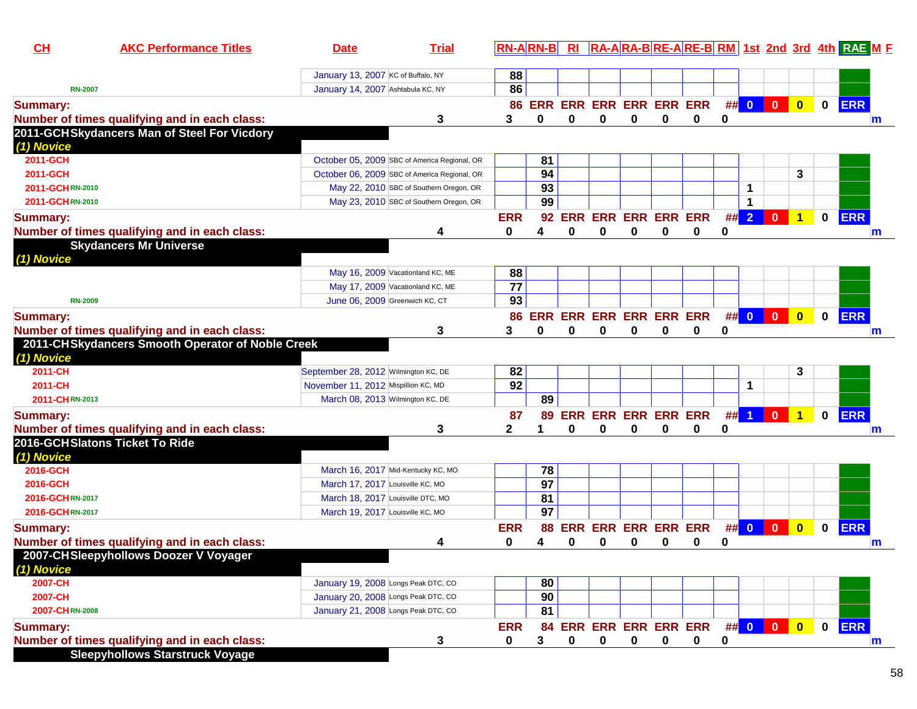| CL              | <b>AKC Performance Titles</b>                    | <b>Date</b>                                  | <b>Trial</b>                            | <b>RN-ARN-B</b> |                 | R1 |                                        |   |             |             |             |                      |                |                         |              | RA-ARA-BRE-ARE-BRM 1st 2nd 3rd 4th RAE M F |
|-----------------|--------------------------------------------------|----------------------------------------------|-----------------------------------------|-----------------|-----------------|----|----------------------------------------|---|-------------|-------------|-------------|----------------------|----------------|-------------------------|--------------|--------------------------------------------|
|                 |                                                  | January 13, 2007 KC of Buffalo, NY           |                                         | 88              |                 |    |                                        |   |             |             |             |                      |                |                         |              |                                            |
| <b>RN-2007</b>  |                                                  | January 14, 2007 Ashtabula KC, NY            |                                         | 86              |                 |    |                                        |   |             |             |             |                      |                |                         |              |                                            |
| <b>Summary:</b> | Number of times qualifying and in each class:    |                                              | 3                                       | 3               | 0               | 0  | 86 ERR ERR ERR ERR ERR ERR<br>$\bf{0}$ | 0 | 0           | 0           | 0           |                      | ## 0 0 0       | $\bullet$               | $\mathbf{0}$ | <b>ERR</b>                                 |
|                 | 2011-GCHSkydancers Man of Steel For Vicdory      |                                              |                                         |                 |                 |    |                                        |   |             |             |             |                      |                |                         |              | $\mathbf{m}$                               |
| (1) Novice      |                                                  |                                              |                                         |                 |                 |    |                                        |   |             |             |             |                      |                |                         |              |                                            |
| 2011-GCH        |                                                  | October 05, 2009 SBC of America Regional, OR |                                         |                 | 81              |    |                                        |   |             |             |             |                      |                |                         |              |                                            |
| 2011-GCH        |                                                  | October 06, 2009 SBC of America Regional, OR |                                         |                 | 94              |    |                                        |   |             |             |             |                      |                | 3                       |              |                                            |
| 2011-GCHRN-2010 |                                                  |                                              | May 22, 2010 SBC of Southern Oregon, OR |                 | 93              |    |                                        |   |             |             |             | 1                    |                |                         |              |                                            |
| 2011-GCHRN-2010 |                                                  |                                              | May 23, 2010 SBC of Southern Oregon, OR |                 | 99              |    |                                        |   |             |             |             | 1                    |                |                         |              |                                            |
| <b>Summary:</b> |                                                  |                                              |                                         | <b>ERR</b>      | 92              |    | ERR ERR ERR ERR ERR                    |   |             |             | ##          | $\overline{2}$       | $\mathbf{0}$   | $\overline{1}$          | $\mathbf 0$  | <b>ERR</b>                                 |
|                 | Number of times qualifying and in each class:    |                                              | 4                                       | 0               | 4               | 0  | $\bf{0}$                               | 0 | $\bf{0}$    | 0           | 0           |                      |                |                         |              | m                                          |
|                 | <b>Skydancers Mr Universe</b>                    |                                              |                                         |                 |                 |    |                                        |   |             |             |             |                      |                |                         |              |                                            |
| (1) Novice      |                                                  |                                              |                                         |                 |                 |    |                                        |   |             |             |             |                      |                |                         |              |                                            |
|                 |                                                  | May 16, 2009 Vacationland KC, ME             |                                         | 88              |                 |    |                                        |   |             |             |             |                      |                |                         |              |                                            |
|                 |                                                  | May 17, 2009 Vacationland KC, ME             |                                         | $\overline{77}$ |                 |    |                                        |   |             |             |             |                      |                |                         |              |                                            |
| <b>RN-2009</b>  |                                                  | June 06, 2009 Greenwich KC, CT               |                                         | 93              |                 |    |                                        |   |             |             |             |                      |                |                         |              |                                            |
| <b>Summary:</b> |                                                  |                                              |                                         | 86              |                 |    | ERR ERR ERR ERR ERR ERR                |   |             |             |             |                      | ## 0 0 0       | $\bullet$               | $\mathbf 0$  | <b>ERR</b>                                 |
|                 | Number of times qualifying and in each class:    |                                              | 3                                       | 3               | 0               | 0  | 0                                      | 0 | $\bf{0}$    | 0           | 0           |                      |                |                         |              | m                                          |
| (1) Novice      | 2011-CHSkydancers Smooth Operator of Noble Creek |                                              |                                         |                 |                 |    |                                        |   |             |             |             |                      |                |                         |              |                                            |
| 2011-CH         |                                                  | September 28, 2012 Wilmington KC, DE         |                                         | 82              |                 |    |                                        |   |             |             |             |                      |                | 3                       |              |                                            |
| 2011-CH         |                                                  | November 11, 2012 Mispillion KC, MD          |                                         | 92              |                 |    |                                        |   |             |             |             | 1                    |                |                         |              |                                            |
| 2011-CHRN-2013  |                                                  | March 08, 2013 Wilmington KC, DE             |                                         |                 | 89              |    |                                        |   |             |             |             |                      |                |                         |              |                                            |
| <b>Summary:</b> |                                                  |                                              |                                         | 87              | 89              |    | <b>ERR ERR ERR ERR ERR</b>             |   |             |             | ##          | $\blacktriangleleft$ | $\mathbf{0}$   | $\blacktriangleleft$    | $\mathbf 0$  | <b>ERR</b>                                 |
|                 | Number of times qualifying and in each class:    |                                              | 3                                       | 2               |                 | 0  | 0                                      | 0 | 0           | 0           | 0           |                      |                |                         |              | m                                          |
| (1) Novice      | 2016-GCHSlatons Ticket To Ride                   |                                              |                                         |                 |                 |    |                                        |   |             |             |             |                      |                |                         |              |                                            |
| 2016-GCH        |                                                  | March 16, 2017 Mid-Kentucky KC, MO           |                                         |                 | 78              |    |                                        |   |             |             |             |                      |                |                         |              |                                            |
| 2016-GCH        |                                                  | March 17, 2017 Louisville KC, MO             |                                         |                 | $\overline{97}$ |    |                                        |   |             |             |             |                      |                |                         |              |                                            |
| 2016-GCHRN-2017 |                                                  | March 18, 2017 Louisville DTC, MO            |                                         |                 | 81              |    |                                        |   |             |             |             |                      |                |                         |              |                                            |
| 2016-GCHRN-2017 |                                                  | March 19, 2017 Louisville KC, MO             |                                         |                 | 97              |    |                                        |   |             |             |             |                      |                |                         |              |                                            |
| <b>Summary:</b> |                                                  |                                              |                                         | <b>ERR</b>      | 88              |    | <b>ERR ERR ERR ERR ERR</b>             |   |             |             | ##          | $\bullet$            | $\overline{0}$ | $\overline{\mathbf{0}}$ | $\mathbf 0$  | <b>ERR</b>                                 |
|                 | Number of times qualifying and in each class:    |                                              | 4                                       | 0               | 4               | 0  | 0                                      | 0 | 0           | 0           | 0           |                      |                |                         |              | m                                          |
|                 | 2007-CHSleepyhollows Doozer V Voyager            |                                              |                                         |                 |                 |    |                                        |   |             |             |             |                      |                |                         |              |                                            |
| (1) Novice      |                                                  |                                              |                                         |                 |                 |    |                                        |   |             |             |             |                      |                |                         |              |                                            |
| 2007-CH         |                                                  | January 19, 2008 Longs Peak DTC, CO          |                                         |                 | 80              |    |                                        |   |             |             |             |                      |                |                         |              |                                            |
| 2007-CH         |                                                  | January 20, 2008 Longs Peak DTC, CO          |                                         |                 | 90              |    |                                        |   |             |             |             |                      |                |                         |              |                                            |
| 2007-CHRN-2008  |                                                  | January 21, 2008 Longs Peak DTC, CO          |                                         |                 | 81              |    |                                        |   |             |             |             |                      |                |                         |              |                                            |
| <b>Summary:</b> |                                                  |                                              |                                         | <b>ERR</b>      | 84              |    | <b>ERR ERR ERR ERR ERR</b>             |   |             |             |             |                      | ## 0 0 0       |                         |              | 0 ERR                                      |
|                 | Number of times qualifying and in each class:    |                                              | 3                                       | 0               | 3               | 0  | $\mathbf 0$                            | 0 | $\mathbf 0$ | $\mathbf 0$ | $\mathbf 0$ |                      |                |                         |              | m                                          |
|                 | <b>Sleepyhollows Starstruck Voyage</b>           |                                              |                                         |                 |                 |    |                                        |   |             |             |             |                      |                |                         |              |                                            |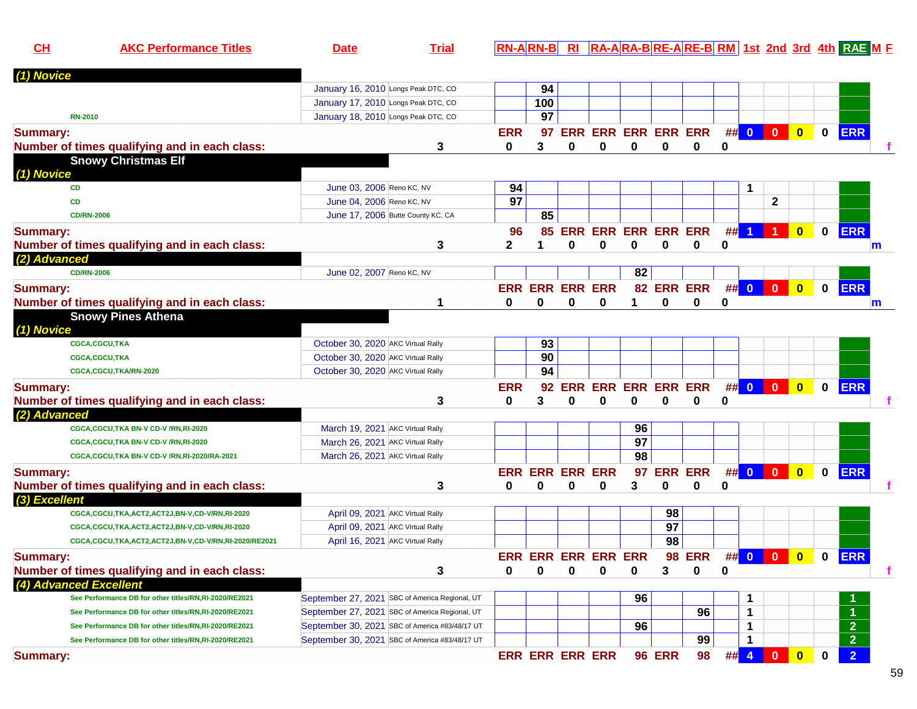| CH                     | <b>AKC Performance Titles</b>                         | <b>Date</b>                        | <b>Trial</b>                                   |                 | $RN-A$ $RN-B$ $R1$         |   |                            |                 |               |                |    |                         |                |                         |              | RA-ARA-BRE-ARE-BRM 1st 2nd 3rd 4th RAEME |   |
|------------------------|-------------------------------------------------------|------------------------------------|------------------------------------------------|-----------------|----------------------------|---|----------------------------|-----------------|---------------|----------------|----|-------------------------|----------------|-------------------------|--------------|------------------------------------------|---|
| (1) Novice             |                                                       |                                    |                                                |                 |                            |   |                            |                 |               |                |    |                         |                |                         |              |                                          |   |
|                        |                                                       |                                    | January 16, 2010 Longs Peak DTC, CO            |                 | 94                         |   |                            |                 |               |                |    |                         |                |                         |              |                                          |   |
|                        |                                                       |                                    | January 17, 2010 Longs Peak DTC, CO            |                 | 100                        |   |                            |                 |               |                |    |                         |                |                         |              |                                          |   |
|                        | <b>RN-2010</b>                                        |                                    | January 18, 2010 Longs Peak DTC, CO            |                 | 97                         |   |                            |                 |               |                |    |                         |                |                         |              |                                          |   |
| <b>Summary:</b>        |                                                       |                                    |                                                | <b>ERR</b>      | 97                         |   | <b>ERR ERR ERR ERR ERR</b> |                 |               |                |    | ## 0                    | $\mathbf{0}$   | $\mathbf{0}$            | $\mathbf{0}$ | <b>ERR</b>                               |   |
|                        | Number of times qualifying and in each class:         |                                    | 3                                              | 0               | 3                          | 0 | 0                          | 0               | 0             | 0              | 0  |                         |                |                         |              |                                          |   |
|                        | <b>Snowy Christmas Elf</b>                            |                                    |                                                |                 |                            |   |                            |                 |               |                |    |                         |                |                         |              |                                          |   |
| (1) Novice             |                                                       |                                    |                                                |                 |                            |   |                            |                 |               |                |    |                         |                |                         |              |                                          |   |
| <b>CD</b>              |                                                       | June 03, 2006 Reno KC, NV          |                                                | 94              |                            |   |                            |                 |               |                |    | 1                       |                |                         |              |                                          |   |
| CD                     |                                                       | June 04, 2006 Reno KC, NV          |                                                | $\overline{97}$ |                            |   |                            |                 |               |                |    |                         | $\mathbf{2}$   |                         |              |                                          |   |
|                        | <b>CD/RN-2006</b>                                     |                                    | June 17, 2006 Butte County KC, CA              |                 | 85                         |   |                            |                 |               |                |    |                         |                |                         |              |                                          |   |
| <b>Summary:</b>        |                                                       |                                    |                                                | 96              | 85                         |   | <b>ERR ERR ERR ERR ERR</b> |                 |               |                | ## |                         |                | $\mathbf{0}$            | $\mathbf 0$  | <b>ERR</b>                               |   |
|                        | Number of times qualifying and in each class:         |                                    | 3                                              | 2               |                            | 0 | 0                          | 0               | 0             | 0              | 0  |                         |                |                         |              |                                          | m |
| (2) Advanced           |                                                       |                                    |                                                |                 |                            |   |                            |                 |               |                |    |                         |                |                         |              |                                          |   |
|                        | <b>CD/RN-2006</b>                                     | June 02, 2007 Reno KC, NV          |                                                |                 |                            |   |                            | 82              |               |                |    |                         |                |                         |              |                                          |   |
| <b>Summary:</b>        |                                                       |                                    |                                                |                 | <b>ERR ERR ERR ERR</b>     |   |                            |                 | 82 ERR ERR    |                | ## | $\overline{\mathbf{0}}$ | $\mathbf{0}$   | $\mathbf{0}$            | $\mathbf 0$  | <b>ERR</b>                               |   |
|                        | Number of times qualifying and in each class:         |                                    |                                                | 0               | 0                          | 0 | 0                          |                 | 0             | 0              | 0  |                         |                |                         |              |                                          | m |
|                        | <b>Snowy Pines Athena</b>                             |                                    |                                                |                 |                            |   |                            |                 |               |                |    |                         |                |                         |              |                                          |   |
| (1) Novice             |                                                       |                                    |                                                |                 |                            |   |                            |                 |               |                |    |                         |                |                         |              |                                          |   |
|                        | <b>CGCA,CGCU,TKA</b>                                  | October 30, 2020 AKC Virtual Rally |                                                |                 | 93                         |   |                            |                 |               |                |    |                         |                |                         |              |                                          |   |
|                        | <b>CGCA,CGCU,TKA</b>                                  | October 30, 2020 AKC Virtual Rally |                                                |                 | 90                         |   |                            |                 |               |                |    |                         |                |                         |              |                                          |   |
|                        | CGCA,CGCU,TKA/RN-2020                                 | October 30, 2020 AKC Virtual Rally |                                                |                 | 94                         |   |                            |                 |               |                |    |                         |                |                         |              |                                          |   |
| <b>Summary:</b>        |                                                       |                                    |                                                | <b>ERR</b>      | 92                         |   | ERR ERR ERR ERR ERR        |                 |               |                |    | ## 0                    | $\overline{0}$ | $\overline{\mathbf{0}}$ | $\mathbf 0$  | <b>ERR</b>                               |   |
|                        | Number of times qualifying and in each class:         |                                    | 3                                              | 0               | 3                          | 0 | 0                          | 0               | 0             | 0              | 0  |                         |                |                         |              |                                          |   |
| (2) Advanced           |                                                       |                                    |                                                |                 |                            |   |                            |                 |               |                |    |                         |                |                         |              |                                          |   |
|                        | CGCA, CGCU, TKA BN-V CD-V /RN, RI-2020                | March 19, 2021 AKC Virtual Rally   |                                                |                 |                            |   |                            | 96              |               |                |    |                         |                |                         |              |                                          |   |
|                        | CGCA,CGCU,TKA BN-V CD-V /RN,RI-2020                   | March 26, 2021 AKC Virtual Rally   |                                                |                 |                            |   |                            | $\overline{97}$ |               |                |    |                         |                |                         |              |                                          |   |
|                        | CGCA,CGCU,TKA BN-V CD-V /RN,RI-2020/RA-2021           | March 26, 2021 AKC Virtual Rally   |                                                |                 |                            |   |                            | 98              |               |                |    |                         |                |                         |              |                                          |   |
| <b>Summary:</b>        |                                                       |                                    |                                                |                 | <b>ERR ERR ERR ERR</b>     |   |                            | 97              |               | <b>ERR ERR</b> |    | ## 0 0                  |                | $\overline{\mathbf{0}}$ | $\mathbf 0$  | <b>ERR</b>                               |   |
|                        | Number of times qualifying and in each class:         |                                    | 3                                              | 0               | $\bf{0}$                   | 0 | 0                          | 3               | 0             | 0              | 0  |                         |                |                         |              |                                          |   |
| (3) Excellent          |                                                       |                                    |                                                |                 |                            |   |                            |                 |               |                |    |                         |                |                         |              |                                          |   |
|                        | CGCA,CGCU,TKA,ACT2,ACT2J,BN-V,CD-V/RN,RI-2020         |                                    | April 09, 2021 AKC Virtual Rally               |                 |                            |   |                            |                 | 98            |                |    |                         |                |                         |              |                                          |   |
|                        | CGCA,CGCU,TKA,ACT2,ACT2J,BN-V,CD-V/RN,RI-2020         |                                    | April 09, 2021 AKC Virtual Rally               |                 |                            |   |                            |                 | 97            |                |    |                         |                |                         |              |                                          |   |
|                        | CGCA,CGCU,TKA,ACT2,ACT2J,BN-V,CD-V/RN,RI-2020/RE2021  |                                    | April 16, 2021 AKC Virtual Rally               |                 |                            |   |                            |                 | 98            |                |    |                         |                |                         |              |                                          |   |
| <b>Summary:</b>        |                                                       |                                    |                                                |                 | <b>ERR ERR ERR ERR ERR</b> |   |                            |                 |               | <b>98 ERR</b>  |    | ## 0 0                  |                | $\overline{\mathbf{0}}$ | $\mathbf 0$  | <b>ERR</b>                               |   |
|                        | Number of times qualifying and in each class:         |                                    | 3                                              | 0               |                            |   | O                          | 0               | 3             | 0              | 0  |                         |                |                         |              |                                          |   |
| (4) Advanced Excellent |                                                       |                                    |                                                |                 |                            |   |                            |                 |               |                |    |                         |                |                         |              |                                          |   |
|                        | See Performance DB for other titles/RN,RI-2020/RE2021 |                                    | September 27, 2021 SBC of America Regional, UT |                 |                            |   |                            | 96              |               |                |    | 1                       |                |                         |              |                                          |   |
|                        | See Performance DB for other titles/RN,RI-2020/RE2021 |                                    | September 27, 2021 SBC of America Regional, UT |                 |                            |   |                            |                 |               | 96             |    | 1                       |                |                         |              |                                          |   |
|                        | See Performance DB for other titles/RN,RI-2020/RE2021 |                                    | September 30, 2021 SBC of America #83/48/17 UT |                 |                            |   |                            | 96              |               |                |    | 1                       |                |                         |              | $\overline{\mathbf{2}}$                  |   |
|                        | See Performance DB for other titles/RN,RI-2020/RE2021 |                                    | September 30, 2021 SBC of America #83/48/17 UT |                 |                            |   |                            |                 |               | 99             |    | 1                       |                |                         |              | $\overline{2}$                           |   |
| <b>Summary:</b>        |                                                       |                                    |                                                |                 | <b>ERR ERR ERR ERR</b>     |   |                            |                 | <b>96 ERR</b> | 98             |    | ## 4                    | $\bf{0}$       | $\bullet$               | $\mathbf 0$  | $\overline{2}$                           |   |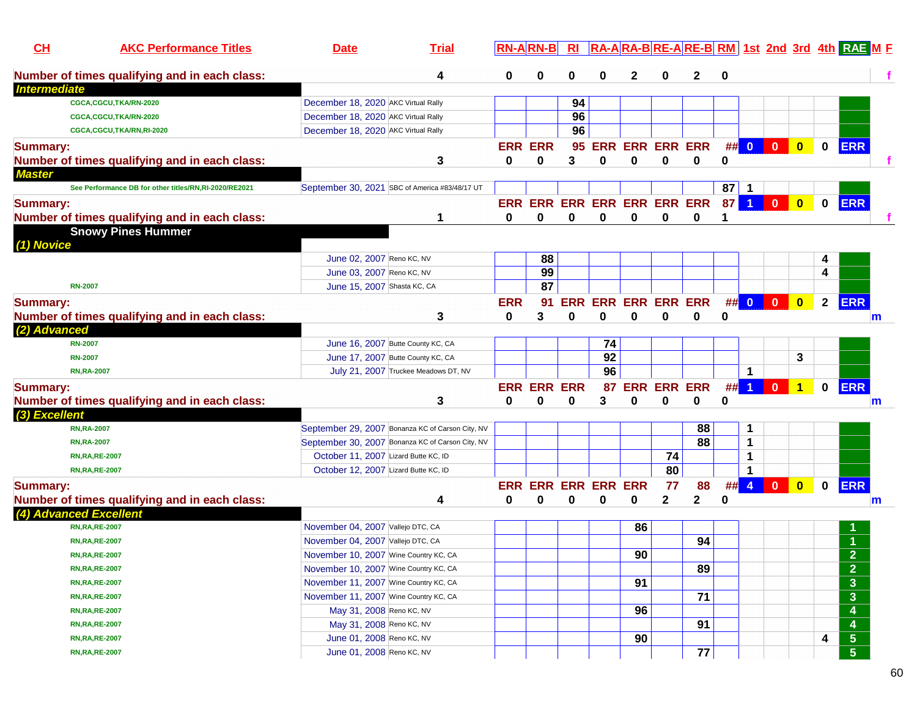| CL<br><b>AKC Performance Titles</b>                   | <b>Date</b>                           | <b>Trial</b>                                     |                | <b>RN-ARN-B</b>             | R <sub>l</sub> |    | RA-ARA-BRE-ARE-BRM 1st 2nd 3rd 4th RAE ME |                |    |      |          |                         |              |                |                         |   |
|-------------------------------------------------------|---------------------------------------|--------------------------------------------------|----------------|-----------------------------|----------------|----|-------------------------------------------|----------------|----|------|----------|-------------------------|--------------|----------------|-------------------------|---|
| Number of times qualifying and in each class:         |                                       | 4                                                | 0              | 0                           |                | 0  | 2                                         | 0              | 2  | 0    |          |                         |              |                |                         |   |
| <b>Intermediate</b>                                   |                                       |                                                  |                |                             |                |    |                                           |                |    |      |          |                         |              |                |                         |   |
| CGCA,CGCU,TKA/RN-2020                                 | December 18, 2020 AKC Virtual Rally   |                                                  |                |                             | 94             |    |                                           |                |    |      |          |                         |              |                |                         |   |
| CGCA,CGCU,TKA/RN-2020                                 | December 18, 2020 AKC Virtual Rally   |                                                  |                |                             | 96             |    |                                           |                |    |      |          |                         |              |                |                         |   |
| CGCA,CGCU,TKA/RN,RI-2020                              | December 18, 2020 AKC Virtual Rally   |                                                  |                |                             | 96             |    |                                           |                |    |      |          |                         |              |                |                         |   |
| <b>Summary:</b>                                       |                                       |                                                  | <b>ERR ERR</b> |                             |                |    | 95 ERR ERR ERR ERR                        |                |    | ## 0 |          | $\mathbf{0}$            | $\bullet$    | $\mathbf 0$    | <b>ERR</b>              |   |
| Number of times qualifying and in each class:         |                                       | 3                                                | 0              | 0                           | 3              | 0  | 0                                         | 0              | 0  | 0    |          |                         |              |                |                         |   |
| <b>Master</b>                                         |                                       |                                                  |                |                             |                |    |                                           |                |    |      |          |                         |              |                |                         |   |
| See Performance DB for other titles/RN,RI-2020/RE2021 |                                       | September 30, 2021 SBC of America #83/48/17 UT   |                |                             |                |    |                                           |                |    | 87   |          |                         |              |                |                         |   |
| <b>Summary:</b>                                       |                                       |                                                  |                | ERR ERR ERR ERR ERR ERR ERR |                |    |                                           |                |    | 87   | 1        | $\bf{0}$                | $\bf{0}$     | 0              | <b>ERR</b>              |   |
| Number of times qualifying and in each class:         |                                       |                                                  | 0              | $\bf{0}$                    | $\bf{0}$       | 0  | $\bf{0}$                                  | 0              | 0  |      |          |                         |              |                |                         |   |
| <b>Snowy Pines Hummer</b>                             |                                       |                                                  |                |                             |                |    |                                           |                |    |      |          |                         |              |                |                         |   |
| (1) Novice                                            |                                       |                                                  |                |                             |                |    |                                           |                |    |      |          |                         |              |                |                         |   |
|                                                       | June 02, 2007 Reno KC, NV             |                                                  |                | 88                          |                |    |                                           |                |    |      |          |                         |              |                |                         |   |
|                                                       | June 03, 2007 Reno KC, NV             |                                                  |                | 99                          |                |    |                                           |                |    |      |          |                         |              | 4              |                         |   |
| <b>RN-2007</b>                                        | June 15, 2007 Shasta KC, CA           |                                                  |                | 87                          |                |    |                                           |                |    |      |          |                         |              |                |                         |   |
| <b>Summary:</b>                                       |                                       |                                                  | <b>ERR</b>     | 91                          | <b>ERR</b>     |    | <b>ERR ERR ERR ERR</b>                    |                |    |      | $\#$ # 0 | $\overline{\mathbf{0}}$ | $\bullet$    | $\overline{2}$ | <b>ERR</b>              |   |
| Number of times qualifying and in each class:         |                                       | 3                                                | 0              | 3                           | 0              | 0  | $\bf{0}$                                  | 0              | 0  | 0    |          |                         |              |                |                         | m |
| (2) Advanced                                          |                                       |                                                  |                |                             |                |    |                                           |                |    |      |          |                         |              |                |                         |   |
| <b>RN-2007</b>                                        |                                       | June 16, 2007 Butte County KC, CA                |                |                             |                | 74 |                                           |                |    |      |          |                         |              |                |                         |   |
| <b>RN-2007</b>                                        |                                       | June 17, 2007 Butte County KC, CA                |                |                             |                | 92 |                                           |                |    |      |          |                         | 3            |                |                         |   |
| <b>RN,RA-2007</b>                                     |                                       | July 21, 2007 Truckee Meadows DT, NV             |                |                             |                | 96 |                                           |                |    |      | 1        |                         |              |                |                         |   |
| <b>Summary:</b>                                       |                                       |                                                  |                | <b>ERR ERR ERR</b>          |                | 87 | <b>ERR</b>                                | <b>ERR ERR</b> |    | #    |          | $\mathbf{0}$            | 1            | 0              | <b>ERR</b>              |   |
| Number of times qualifying and in each class:         |                                       | 3                                                | 0              | 0                           | 0              | 3  | $\bf{0}$                                  | 0              | 0  | 0    |          |                         |              |                |                         | m |
| (3) Excellent                                         |                                       |                                                  |                |                             |                |    |                                           |                |    |      |          |                         |              |                |                         |   |
| <b>RN,RA-2007</b>                                     |                                       | September 29, 2007 Bonanza KC of Carson City, NV |                |                             |                |    |                                           |                | 88 |      | 1        |                         |              |                |                         |   |
| <b>RN,RA-2007</b>                                     |                                       | September 30, 2007 Bonanza KC of Carson City, NV |                |                             |                |    |                                           |                | 88 |      | 1        |                         |              |                |                         |   |
| <b>RN, RA, RE-2007</b>                                | October 11, 2007 Lizard Butte KC, ID  |                                                  |                |                             |                |    |                                           | 74             |    |      | 1        |                         |              |                |                         |   |
| <b>RN, RA, RE-2007</b>                                | October 12, 2007 Lizard Butte KC, ID  |                                                  |                |                             |                |    |                                           | 80             |    |      | 1        |                         |              |                |                         |   |
| <b>Summary:</b>                                       |                                       |                                                  |                | <b>ERR ERR ERR ERR ERR</b>  |                |    |                                           | 77             | 88 | ##   | 4        | $\mathbf{0}$            | $\mathbf{0}$ | 0              | <b>ERR</b>              |   |
| Number of times qualifying and in each class:         |                                       | 4                                                | 0              | 0                           | 0              | 0  | 0                                         | $\mathbf{2}$   | 2  | 0    |          |                         |              |                |                         | m |
| (4) Advanced Excellent                                |                                       |                                                  |                |                             |                |    |                                           |                |    |      |          |                         |              |                |                         |   |
| <b>RN, RA, RE-2007</b>                                | November 04, 2007 Vallejo DTC, CA     |                                                  |                |                             |                |    | 86                                        |                |    |      |          |                         |              |                |                         |   |
| <b>RN, RA, RE-2007</b>                                | November 04, 2007 Vallejo DTC, CA     |                                                  |                |                             |                |    |                                           |                | 94 |      |          |                         |              |                |                         |   |
| <b>RN, RA, RE-2007</b>                                | November 10, 2007 Wine Country KC, CA |                                                  |                |                             |                |    | 90                                        |                |    |      |          |                         |              |                | $\mathbf{\Omega}$       |   |
| <b>RN, RA, RE-2007</b>                                | November 10, 2007 Wine Country KC, CA |                                                  |                |                             |                |    |                                           |                | 89 |      |          |                         |              |                | $\overline{2}$          |   |
| <b>RN, RA, RE-2007</b>                                | November 11, 2007 Wine Country KC, CA |                                                  |                |                             |                |    | 91                                        |                |    |      |          |                         |              |                | $\mathbf{3}$            |   |
| <b>RN, RA, RE-2007</b>                                | November 11, 2007 Wine Country KC, CA |                                                  |                |                             |                |    |                                           |                | 71 |      |          |                         |              |                | $\overline{\mathbf{3}}$ |   |
| <b>RN, RA, RE-2007</b>                                | May 31, 2008 Reno KC, NV              |                                                  |                |                             |                |    | 96                                        |                |    |      |          |                         |              |                | 4                       |   |
| <b>RN, RA, RE-2007</b>                                | May 31, 2008 Reno KC, NV              |                                                  |                |                             |                |    |                                           |                | 91 |      |          |                         |              |                | $\boldsymbol{4}$        |   |
| <b>RN, RA, RE-2007</b>                                | June 01, 2008 Reno KC, NV             |                                                  |                |                             |                |    | 90                                        |                |    |      |          |                         |              | 4              | $\sqrt{5}$              |   |
| <b>RN, RA, RE-2007</b>                                | June 01, 2008 Reno KC, NV             |                                                  |                |                             |                |    |                                           |                | 77 |      |          |                         |              |                | $\overline{5}$          |   |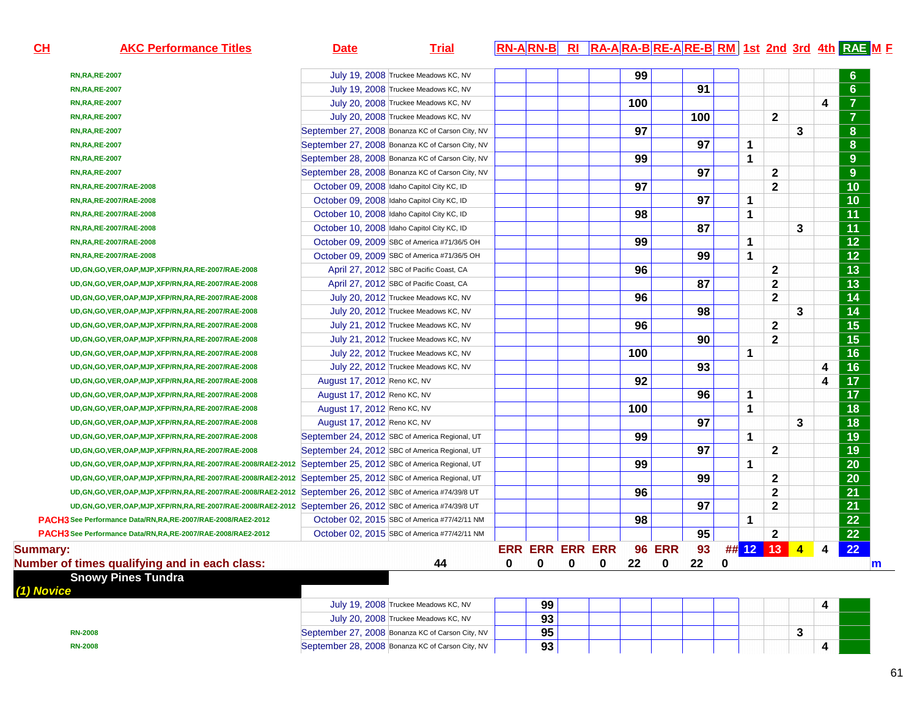| $CH$            | <b>AKC Performance Titles</b>                                                                                   | <b>Date</b>                                      | <b>Trial</b>                         |                    | $\overline{RR}$ -A RN-B RI RA-A RA-B RE-A RE-B RM 1st 2nd 3rd 4th RAE M F |     |               |     |          |                |              |                      |   |                 |
|-----------------|-----------------------------------------------------------------------------------------------------------------|--------------------------------------------------|--------------------------------------|--------------------|---------------------------------------------------------------------------|-----|---------------|-----|----------|----------------|--------------|----------------------|---|-----------------|
|                 | <b>RN, RA, RE-2007</b>                                                                                          |                                                  | July 19, 2008 Truckee Meadows KC, NV |                    |                                                                           | 99  |               |     |          |                |              |                      |   | 6               |
|                 | <b>RN,RA,RE-2007</b>                                                                                            |                                                  | July 19, 2008 Truckee Meadows KC, NV |                    |                                                                           |     |               | 91  |          |                |              |                      |   | 6               |
|                 | <b>RN,RA,RE-2007</b>                                                                                            | July 20, 2008 Truckee Meadows KC, NV             |                                      |                    |                                                                           | 100 |               |     |          |                |              |                      | 4 | $\overline{7}$  |
|                 | <b>RN,RA,RE-2007</b>                                                                                            | July 20, 2008 Truckee Meadows KC, NV             |                                      |                    |                                                                           |     |               | 100 |          |                | $\mathbf{2}$ |                      |   | $\overline{7}$  |
|                 | <b>RN,RA,RE-2007</b>                                                                                            | September 27, 2008 Bonanza KC of Carson City, NV |                                      |                    |                                                                           | 97  |               |     |          |                |              | 3                    |   | 8 <sup>°</sup>  |
|                 | <b>RN,RA,RE-2007</b>                                                                                            | September 27, 2008 Bonanza KC of Carson City, NV |                                      |                    |                                                                           |     |               | 97  |          | 1              |              |                      |   | 8               |
|                 | <b>RN,RA,RE-2007</b>                                                                                            | September 28, 2008 Bonanza KC of Carson City, NV |                                      |                    |                                                                           | 99  |               |     |          | $\overline{1}$ |              |                      |   | 9               |
|                 | <b>RN,RA,RE-2007</b>                                                                                            | September 28, 2008 Bonanza KC of Carson City, NV |                                      |                    |                                                                           |     |               | 97  |          |                | $\mathbf{2}$ |                      |   | 9               |
|                 | RN, RA, RE-2007/RAE-2008                                                                                        | October 09, 2008 Idaho Capitol City KC, ID       |                                      |                    |                                                                           | 97  |               |     |          |                | $\mathbf{2}$ |                      |   | 10              |
|                 | RN, RA, RE-2007/RAE-2008                                                                                        | October 09, 2008 Idaho Capitol City KC, ID       |                                      |                    |                                                                           |     |               | 97  |          | $\mathbf{1}$   |              |                      |   | 10              |
|                 | RN, RA, RE-2007/RAE-2008                                                                                        | October 10, 2008 Idaho Capitol City KC, ID       |                                      |                    |                                                                           | 98  |               |     |          | $\overline{1}$ |              |                      |   | 11              |
|                 | RN, RA, RE-2007/RAE-2008                                                                                        | October 10, 2008 Idaho Capitol City KC, ID       |                                      |                    |                                                                           |     |               | 87  |          |                |              | 3                    |   | 11              |
|                 | RN, RA, RE-2007/RAE-2008                                                                                        | October 09, 2009 SBC of America #71/36/5 OH      |                                      |                    |                                                                           | 99  |               |     |          | 1              |              |                      |   | 12              |
|                 | RN, RA, RE-2007/RAE-2008                                                                                        | October 09, 2009 SBC of America #71/36/5 OH      |                                      |                    |                                                                           |     |               | 99  |          | 1              |              |                      |   | 12              |
|                 | UD, GN, GO, VER, OAP, MJP, XFP/RN, RA, RE-2007/RAE-2008                                                         | April 27, 2012 SBC of Pacific Coast, CA          |                                      |                    |                                                                           | 96  |               |     |          |                | $\mathbf{2}$ |                      |   | 13              |
|                 | UD, GN, GO, VER, OAP, MJP, XFP/RN, RA, RE-2007/RAE-2008                                                         | April 27, 2012 SBC of Pacific Coast, CA          |                                      |                    |                                                                           |     |               | 87  |          |                | $\mathbf{2}$ |                      |   | 13              |
|                 | UD, GN, GO, VER, OAP, MJP, XFP/RN, RA, RE-2007/RAE-2008                                                         |                                                  | July 20, 2012 Truckee Meadows KC, NV |                    |                                                                           | 96  |               |     |          |                | $\mathbf{2}$ |                      |   | 14              |
|                 | UD, GN, GO, VER, OAP, MJP, XFP/RN, RA, RE-2007/RAE-2008                                                         |                                                  | July 20, 2012 Truckee Meadows KC, NV |                    |                                                                           |     |               | 98  |          |                |              | 3                    |   | 14              |
|                 | UD, GN, GO, VER, OAP, MJP, XFP/RN, RA, RE-2007/RAE-2008                                                         |                                                  | July 21, 2012 Truckee Meadows KC, NV |                    |                                                                           | 96  |               |     |          |                | $\mathbf{2}$ |                      |   | 15              |
|                 | UD, GN, GO, VER, OAP, MJP, XFP/RN, RA, RE-2007/RAE-2008                                                         |                                                  | July 21, 2012 Truckee Meadows KC, NV |                    |                                                                           |     |               | 90  |          |                | $\mathbf{2}$ |                      |   | 15              |
|                 | UD, GN, GO, VER, OAP, MJP, XFP/RN, RA, RE-2007/RAE-2008                                                         |                                                  | July 22, 2012 Truckee Meadows KC, NV |                    |                                                                           | 100 |               |     |          | $\overline{1}$ |              |                      |   | 16              |
|                 | UD, GN, GO, VER, OAP, MJP, XFP/RN, RA, RE-2007/RAE-2008                                                         |                                                  | July 22, 2012 Truckee Meadows KC, NV |                    |                                                                           |     |               | 93  |          |                |              |                      | 4 | 16              |
|                 | UD, GN, GO, VER, OAP, MJP, XFP/RN, RA, RE-2007/RAE-2008                                                         | August 17, 2012 Reno KC, NV                      |                                      |                    |                                                                           | 92  |               |     |          |                |              |                      | 4 | 17              |
|                 | UD, GN, GO, VER, OAP, MJP, XFP/RN, RA, RE-2007/RAE-2008                                                         | August 17, 2012 Reno KC, NV                      |                                      |                    |                                                                           |     |               | 96  |          | 1              |              |                      |   | 17              |
|                 | UD, GN, GO, VER, OAP, MJP, XFP/RN, RA, RE-2007/RAE-2008                                                         | August 17, 2012 Reno KC, NV                      |                                      |                    |                                                                           | 100 |               |     |          | $\mathbf{1}$   |              |                      |   | 18              |
|                 | UD, GN, GO, VER, OAP, MJP, XFP/RN, RA, RE-2007/RAE-2008                                                         | August 17, 2012 Reno KC, NV                      |                                      |                    |                                                                           |     |               | 97  |          |                |              | 3                    |   | 18              |
|                 | UD, GN, GO, VER, OAP, MJP, XFP/RN, RA, RE-2007/RAE-2008                                                         | September 24, 2012 SBC of America Regional, UT   |                                      |                    |                                                                           | 99  |               |     |          | $\overline{1}$ |              |                      |   | 19              |
|                 | UD, GN, GO, VER, OAP, MJP, XFP/RN, RA, RE-2007/RAE-2008                                                         | September 24, 2012 SBC of America Regional, UT   |                                      |                    |                                                                           |     |               | 97  |          |                | $\mathbf{2}$ |                      |   | 19              |
|                 | UD, GN, GO, VER, OAP, MJP, XFP/RN, RA, RE-2007/RAE-2008/RAE2-2012                                               | September 25, 2012 SBC of America Regional, UT   |                                      |                    |                                                                           | 99  |               |     |          | $\overline{1}$ |              |                      |   | 20              |
|                 | UD, GN, GO, VER, OAP, MJP, XFP/RN, RA, RE-2007/RAE-2008/RAE2-2012                                               | September 25, 2012 SBC of America Regional, UT   |                                      |                    |                                                                           |     |               | 99  |          |                | $\mathbf{2}$ |                      |   | 20              |
|                 | UD, GN, GO, VER, OAP, MJP, XFP/RN, RA, RE-2007/RAE-2008/RAE2-2012                                               | September 26, 2012 SBC of America #74/39/8 UT    |                                      |                    |                                                                           | 96  |               |     |          |                | $\mathbf{2}$ |                      |   | 21              |
|                 | UD, GN, GO, VER, OAP, MJP, XFP/RN, RA, RE-2007/RAE-2008/RAE2-2012 September 26, 2012 SBC of America #74/39/8 UT |                                                  |                                      |                    |                                                                           |     |               | 97  |          |                | $\mathbf{2}$ |                      |   | 21              |
|                 | PACH3 See Performance Data/RN,RA,RE-2007/RAE-2008/RAE2-2012                                                     | October 02, 2015 SBC of America #77/42/11 NM     |                                      |                    |                                                                           | 98  |               |     |          | $\mathbf 1$    |              |                      |   | 22 <sub>2</sub> |
|                 | PACH3 See Performance Data/RN,RA,RE-2007/RAE-2008/RAE2-2012                                                     | October 02, 2015 SBC of America #77/42/11 NM     |                                      |                    |                                                                           |     |               | 95  |          |                | $\mathbf{2}$ |                      |   | 22 <sub>2</sub> |
| <b>Summary:</b> |                                                                                                                 |                                                  |                                      |                    | <b>ERR ERR ERR ERR</b>                                                    |     | <b>96 ERR</b> | 93  |          | ## 12 13       |              | $\blacktriangleleft$ | 4 | 22              |
|                 | Number of times qualifying and in each class:                                                                   |                                                  | 44                                   | $0 \t 0 \t 0 \t 0$ |                                                                           | 22  | $\mathbf 0$   | 22  | $\bf{0}$ |                |              |                      |   |                 |
|                 | <b>Snowy Pines Tundra</b>                                                                                       |                                                  |                                      |                    |                                                                           |     |               |     |          |                |              |                      |   |                 |
| (1) Novice      |                                                                                                                 |                                                  | July 19, 2008 Truckee Meadows KC, NV | 99                 |                                                                           |     |               |     |          |                |              |                      | 4 |                 |
|                 |                                                                                                                 | July 20, 2008 Truckee Meadows KC, NV             |                                      | 93                 |                                                                           |     |               |     |          |                |              |                      |   |                 |
|                 | <b>RN-2008</b>                                                                                                  | September 27, 2008 Bonanza KC of Carson City, NV |                                      | 95                 |                                                                           |     |               |     |          |                |              | 3                    |   |                 |
|                 | <b>RN-2008</b>                                                                                                  | September 28, 2008 Bonanza KC of Carson City, NV |                                      | 93                 |                                                                           |     |               |     |          |                |              |                      | 4 |                 |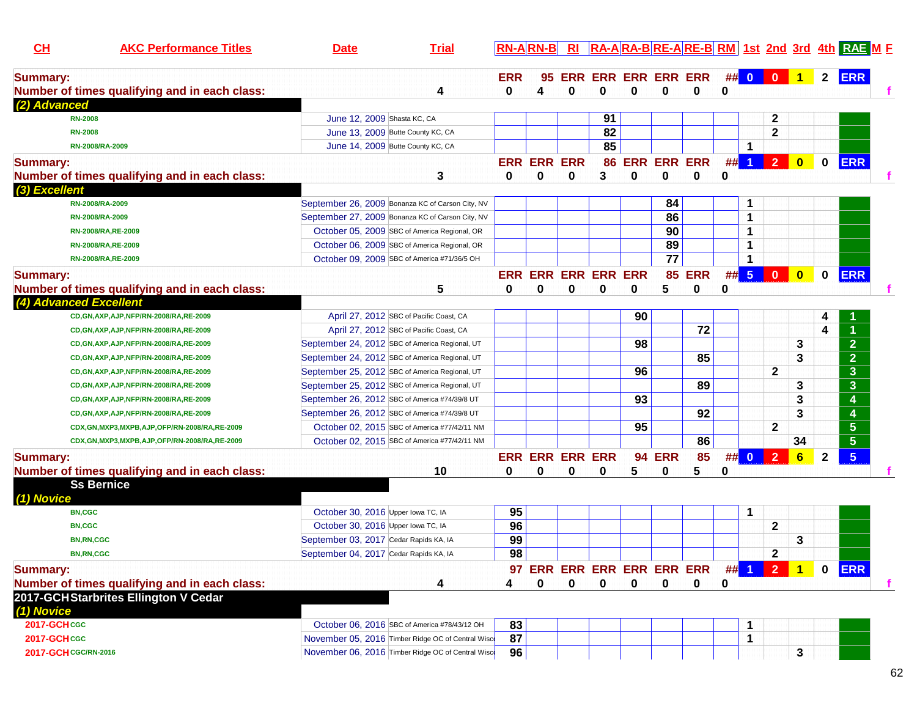|                                                                                                                   | $2^{\circ}$                                       |            |
|-------------------------------------------------------------------------------------------------------------------|---------------------------------------------------|------------|
| 95 ERR ERR ERR ERR ERR<br>## 0 0 1<br><b>ERR</b><br><b>Summary:</b>                                               |                                                   | <b>ERR</b> |
| 0<br>$\mathbf 0$<br>Number of times qualifying and in each class:<br>4<br>0<br>0<br>0<br>0<br>0<br>4              |                                                   |            |
| (2) Advanced                                                                                                      |                                                   |            |
| 91<br><b>RN-2008</b><br>June 12, 2009 Shasta KC, CA<br>2                                                          |                                                   |            |
| 82<br>$\mathbf 2$<br>June 13, 2009 Butte County KC, CA<br><b>RN-2008</b>                                          |                                                   |            |
| 85<br>June 14, 2009 Butte County KC, CA<br>1<br>RN-2008/RA-2009                                                   |                                                   |            |
| 86 ERR ERR ERR<br>$\overline{2}$<br><b>ERR ERR ERR</b><br>#<br>$\blacktriangleleft$<br><b>Summary:</b>            | <b>ERR</b><br>$\mathbf{0}$<br>$\mathbf{0}$        |            |
| 3<br>3<br>$\bf{0}$<br>0<br>Number of times qualifying and in each class:<br>0<br>0<br>0<br>0<br>0                 |                                                   |            |
| (3) Excellent                                                                                                     |                                                   |            |
| September 26, 2009 Bonanza KC of Carson City, NV<br>84<br>1<br>RN-2008/RA-2009                                    |                                                   |            |
| 86<br>1<br>September 27, 2009 Bonanza KC of Carson City, NV<br>RN-2008/RA-2009                                    |                                                   |            |
| 90<br>1<br>October 05, 2009 SBC of America Regional, OR<br>RN-2008/RA, RE-2009                                    |                                                   |            |
| 89<br>1<br>October 06, 2009 SBC of America Regional, OR<br>RN-2008/RA, RE-2009                                    |                                                   |            |
| $\overline{77}$<br>1<br>October 09, 2009 SBC of America #71/36/5 OH<br>RN-2008/RA, RE-2009                        |                                                   |            |
| $5\phantom{.0}$<br><b>ERR ERR ERR ERR ERR</b><br><b>ERR</b><br>#<br>$\mathbf{0}$<br>85<br><b>Summary:</b>         | $\bullet$<br>$\mathbf 0$<br><b>ERR</b>            |            |
| 5<br>5<br>0<br>Number of times qualifying and in each class:<br>0<br>0<br>0<br>0<br>0<br>$\bf{0}$                 |                                                   |            |
| (4) Advanced Excellent                                                                                            |                                                   |            |
| 90<br>CD, GN, AXP, AJP, NFP/RN-2008/RA, RE-2009<br>April 27, 2012 SBC of Pacific Coast, CA                        | 4                                                 |            |
| 72<br>April 27, 2012 SBC of Pacific Coast, CA<br>CD, GN, AXP, AJP, NFP/RN-2008/RA, RE-2009                        | 4                                                 |            |
| 98<br>September 24, 2012 SBC of America Regional, UT<br>CD, GN, AXP, AJP, NFP/RN-2008/RA, RE-2009                 | $\overline{2}$<br>3                               |            |
| 85<br>September 24, 2012 SBC of America Regional, UT<br>CD, GN, AXP, AJP, NFP/RN-2008/RA, RE-2009                 | $\overline{2}$<br>3                               |            |
| 96<br>$\mathbf{2}$<br>September 25, 2012 SBC of America Regional, UT<br>CD, GN, AXP, AJP, NFP/RN-2008/RA, RE-2009 | $\mathbf{3}$                                      |            |
| 89<br>September 25, 2012 SBC of America Regional, UT<br>CD, GN, AXP, AJP, NFP/RN-2008/RA, RE-2009                 | 3<br>3                                            |            |
| 93<br>September 26, 2012 SBC of America #74/39/8 UT<br>CD, GN, AXP, AJP, NFP/RN-2008/RA, RE-2009                  | 3<br>4                                            |            |
| 92<br>September 26, 2012 SBC of America #74/39/8 UT<br>CD, GN, AXP, AJP, NFP/RN-2008/RA, RE-2009                  | 3                                                 |            |
| 95<br>$\mathbf{2}$<br>October 02, 2015 SBC of America #77/42/11 NM<br>CDX,GN,MXP3,MXPB,AJP,OFP/RN-2008/RA,RE-2009 | $5\phantom{.0}$                                   |            |
| 86<br>October 02, 2015 SBC of America #77/42/11 NM<br>CDX,GN,MXP3,MXPB,AJP,OFP/RN-2008/RA,RE-2009                 | $5\phantom{1}$<br>34                              |            |
| $\overline{2}$<br>85<br><b>ERR ERR ERR ERR</b><br>94<br><b>ERR</b><br>##<br>$\overline{0}$<br><b>Summary:</b>     | $5\phantom{.0}$<br>$6\phantom{1}$<br>$\mathbf{2}$ |            |
| Number of times qualifying and in each class:<br>5<br>10<br>0<br>0<br>0<br>5<br>0<br>0<br>0                       |                                                   |            |
| <b>Ss Bernice</b>                                                                                                 |                                                   |            |
| (1) Novice                                                                                                        |                                                   |            |
| 95<br>1<br>October 30, 2016 Upper Iowa TC, IA<br><b>BN,CGC</b>                                                    |                                                   |            |
| 96<br>$\mathbf{2}$<br>October 30, 2016 Upper Iowa TC, IA<br><b>BN,CGC</b>                                         |                                                   |            |
| 99<br>September 03, 2017 Cedar Rapids KA, IA<br><b>BN,RN,CGC</b>                                                  | 3                                                 |            |
| 98<br>$\mathbf{2}$<br>September 04, 2017 Cedar Rapids KA, IA<br><b>BN,RN,CGC</b>                                  |                                                   |            |
| ## <mark>121</mark><br><b>Summary:</b><br><b>97 ERR ERR ERR ERR ERR ERR</b>                                       | 0 ERR                                             |            |
| Number of times qualifying and in each class:<br>0<br>0<br>0<br>0<br>0<br>0<br>0<br>4<br>4                        |                                                   |            |
| 2017-GCHStarbrites Ellington V Cedar                                                                              |                                                   |            |
| (1) Novice                                                                                                        |                                                   |            |
| 2017-GCHCGC<br>October 06, 2016 SBC of America #78/43/12 OH<br>83<br>1                                            |                                                   |            |
| 87<br>2017-GCHCGC<br>November 05, 2016 Timber Ridge OC of Central Wisco<br>1                                      |                                                   |            |
| November 06, 2016 Timber Ridge OC of Central Wisco<br>96<br>2017-GCH CGC/RN-2016                                  | 3                                                 |            |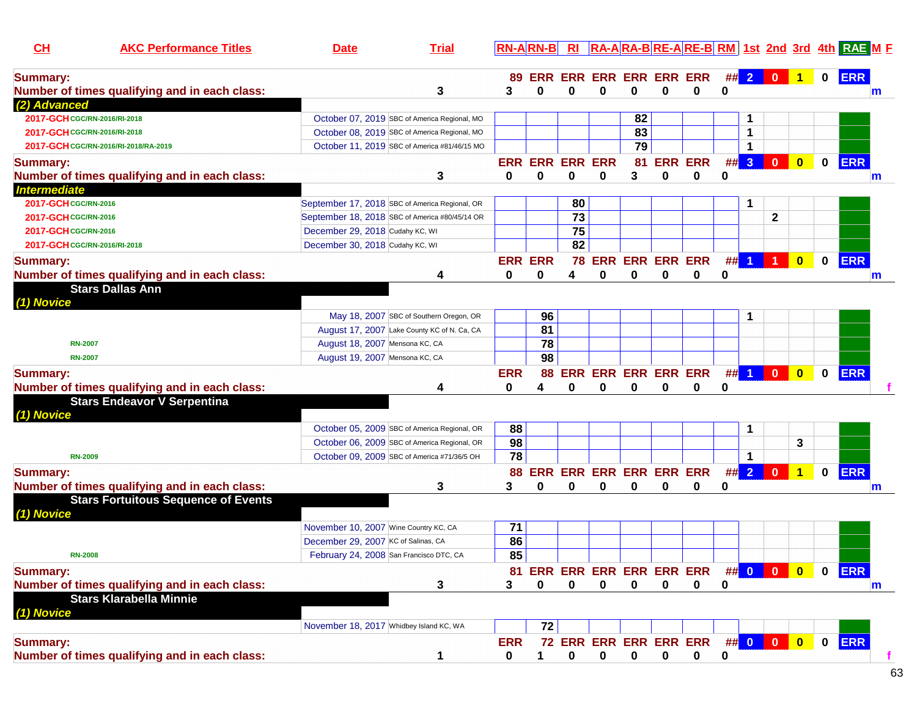| <u>CH</u>                    | <b>AKC Performance Titles</b>                 | <u>Date</u>                                    | <b>Trial</b>                            |                 |                 |                         |                            |         |          |                                          |         |                |                      |                         |             |            |   |
|------------------------------|-----------------------------------------------|------------------------------------------------|-----------------------------------------|-----------------|-----------------|-------------------------|----------------------------|---------|----------|------------------------------------------|---------|----------------|----------------------|-------------------------|-------------|------------|---|
| <b>Summary:</b>              | Number of times qualifying and in each class: |                                                | 3                                       | 89<br>3         | $\Omega$        | 0                       | 0                          | 0       | 0        | ERR ERR ERR ERR ERR ERR<br>$\bf{0}$      | ##<br>0 | $\overline{2}$ | $\mathbf{0}$         |                         | $\mathbf 0$ | <b>ERR</b> | m |
| (2) Advanced                 |                                               |                                                |                                         |                 |                 |                         |                            |         |          |                                          |         |                |                      |                         |             |            |   |
| 2017-GCH CGC/RN-2016/RI-2018 |                                               | October 07, 2019 SBC of America Regional, MO   |                                         |                 |                 |                         |                            | 82      |          |                                          |         | 1              |                      |                         |             |            |   |
| 2017-GCH CGC/RN-2016/RI-2018 |                                               | October 08, 2019 SBC of America Regional, MO   |                                         |                 |                 |                         |                            | 83      |          |                                          |         | $\mathbf 1$    |                      |                         |             |            |   |
|                              | 2017-GCH CGC/RN-2016/RI-2018/RA-2019          | October 11, 2019 SBC of America #81/46/15 MO   |                                         |                 |                 |                         |                            | 79      |          |                                          |         | $\mathbf 1$    |                      |                         |             |            |   |
| <b>Summary:</b>              | Number of times qualifying and in each class: |                                                | 3                                       | <b>ERR</b><br>0 | U               | <b>ERR ERR ERR</b><br>0 | 0                          | 81<br>3 | $\bf{0}$ | <b>ERR ERR</b><br>$\bf{0}$               | #<br>0  | 3 <sup>2</sup> | $\mathbf{0}$         | $\mathbf{0}$            | 0           | <b>ERR</b> | m |
| <b>Intermediate</b>          |                                               |                                                |                                         |                 |                 |                         |                            |         |          |                                          |         |                |                      |                         |             |            |   |
| 2017-GCH CGC/RN-2016         |                                               | September 17, 2018 SBC of America Regional, OR |                                         |                 |                 | 80                      |                            |         |          |                                          |         | 1              |                      |                         |             |            |   |
| 2017-GCH CGC/RN-2016         |                                               | September 18, 2018 SBC of America #80/45/14 OR |                                         |                 |                 | $\overline{73}$         |                            |         |          |                                          |         |                | $\mathbf{2}$         |                         |             |            |   |
| 2017-GCH CGC/RN-2016         |                                               | December 29, 2018 Cudahy KC, WI                |                                         |                 |                 | 75                      |                            |         |          |                                          |         |                |                      |                         |             |            |   |
| 2017-GCH CGC/RN-2016/RI-2018 |                                               | December 30, 2018 Cudahy KC, WI                |                                         |                 |                 | 82                      |                            |         |          |                                          |         |                |                      |                         |             |            |   |
| <b>Summary:</b>              |                                               |                                                |                                         |                 | <b>ERR ERR</b>  |                         | 78 ERR ERR ERR ERR         |         |          |                                          | #       | $\vert$ 1      | $\blacktriangleleft$ | $\overline{\mathbf{0}}$ | $\bf{0}$    | <b>ERR</b> |   |
|                              | Number of times qualifying and in each class: |                                                | 4                                       | 0               | 0               | 4                       | 0                          | 0       | 0        | 0                                        | 0       |                |                      |                         |             |            | m |
|                              | <b>Stars Dallas Ann</b>                       |                                                |                                         |                 |                 |                         |                            |         |          |                                          |         |                |                      |                         |             |            |   |
| (1) Novice                   |                                               |                                                |                                         |                 |                 |                         |                            |         |          |                                          |         |                |                      |                         |             |            |   |
|                              |                                               |                                                | May 18, 2007 SBC of Southern Oregon, OR |                 | 96              |                         |                            |         |          |                                          |         | 1              |                      |                         |             |            |   |
|                              |                                               | August 17, 2007 Lake County KC of N. Ca, CA    |                                         |                 | $\overline{81}$ |                         |                            |         |          |                                          |         |                |                      |                         |             |            |   |
| <b>RN-2007</b>               |                                               | August 18, 2007 Mensona KC, CA                 |                                         |                 | $\overline{78}$ |                         |                            |         |          |                                          |         |                |                      |                         |             |            |   |
| <b>RN-2007</b>               |                                               | August 19, 2007 Mensona KC, CA                 |                                         |                 | 98              |                         |                            |         |          |                                          |         |                |                      |                         |             |            |   |
| <b>Summary:</b>              |                                               |                                                |                                         | <b>ERR</b>      | 88              |                         | <b>ERR ERR ERR ERR ERR</b> |         |          |                                          |         | $##$ 1         | $\mathbf{0}$         | $\overline{\mathbf{0}}$ | 0           | <b>ERR</b> |   |
|                              | Number of times qualifying and in each class: |                                                | 4                                       | 0               | 4               | 0                       | 0                          | 0       | 0        | 0                                        | 0       |                |                      |                         |             |            |   |
| (1) Novice                   | <b>Stars Endeavor V Serpentina</b>            |                                                |                                         |                 |                 |                         |                            |         |          |                                          |         |                |                      |                         |             |            |   |
|                              |                                               | October 05, 2009 SBC of America Regional, OR   |                                         | 88              |                 |                         |                            |         |          |                                          |         |                |                      |                         |             |            |   |
|                              |                                               | October 06, 2009 SBC of America Regional, OR   |                                         | 98              |                 |                         |                            |         |          |                                          |         |                |                      | 3                       |             |            |   |
| <b>RN-2009</b>               |                                               | October 09, 2009 SBC of America #71/36/5 OH    |                                         | 78              |                 |                         |                            |         |          |                                          |         | 1              |                      |                         |             |            |   |
| <b>Summary:</b>              |                                               |                                                |                                         |                 |                 |                         | 88 ERR ERR ERR ERR ERR ERR |         |          |                                          |         | $\#$ 2         | $\mathbf{0}$         | $\overline{1}$          | $\mathbf 0$ | <b>ERR</b> |   |
|                              | Number of times qualifying and in each class: |                                                | 3                                       | 3               | 0               | 0                       | 0                          | 0       | 0        | 0                                        | 0       |                |                      |                         |             |            | m |
|                              | <b>Stars Fortuitous Sequence of Events</b>    |                                                |                                         |                 |                 |                         |                            |         |          |                                          |         |                |                      |                         |             |            |   |
| (1) Novice                   |                                               |                                                |                                         |                 |                 |                         |                            |         |          |                                          |         |                |                      |                         |             |            |   |
|                              |                                               | November 10, 2007 Wine Country KC, CA          |                                         | 71              |                 |                         |                            |         |          |                                          |         |                |                      |                         |             |            |   |
|                              |                                               | December 29, 2007 KC of Salinas, CA            |                                         | 86              |                 |                         |                            |         |          |                                          |         |                |                      |                         |             |            |   |
| <b>RN-2008</b>               |                                               | February 24, 2008 San Francisco DTC, CA        |                                         | 85              |                 |                         |                            |         |          |                                          |         |                |                      |                         |             |            |   |
| <b>Summary:</b>              |                                               |                                                |                                         |                 |                 |                         |                            |         |          |                                          |         |                |                      |                         | $\mathbf 0$ | <b>ERR</b> |   |
|                              | Number of times qualifying and in each class: |                                                | 3                                       | 3               | $\mathbf{0}$    | 0                       | $\bf{0}$                   | 0       | 0        | 81 ERR ERR ERR ERR ERR ERR ## 0 0 0<br>0 | 0       |                |                      |                         |             |            |   |
|                              | <b>Stars Klarabella Minnie</b>                |                                                |                                         |                 |                 |                         |                            |         |          |                                          |         |                |                      |                         |             |            | m |
|                              |                                               |                                                |                                         |                 |                 |                         |                            |         |          |                                          |         |                |                      |                         |             |            |   |
| (1) Novice                   |                                               | November 18, 2017 Whidbey Island KC, WA        |                                         |                 | 72              |                         |                            |         |          |                                          |         |                |                      |                         |             |            |   |
|                              |                                               |                                                |                                         |                 |                 |                         |                            |         |          |                                          |         |                |                      |                         |             |            |   |
| <b>Summary:</b>              |                                               |                                                |                                         | <b>ERR</b>      |                 |                         |                            |         |          | 72 ERR ERR ERR ERR ERR                   |         |                | ## 0 0 0 0           |                         |             | 0 ERR      |   |
|                              | Number of times qualifying and in each class: |                                                | 1                                       | 0               |                 | 0                       | 0                          | 0       | 0        | 0                                        | 0       |                |                      |                         |             |            |   |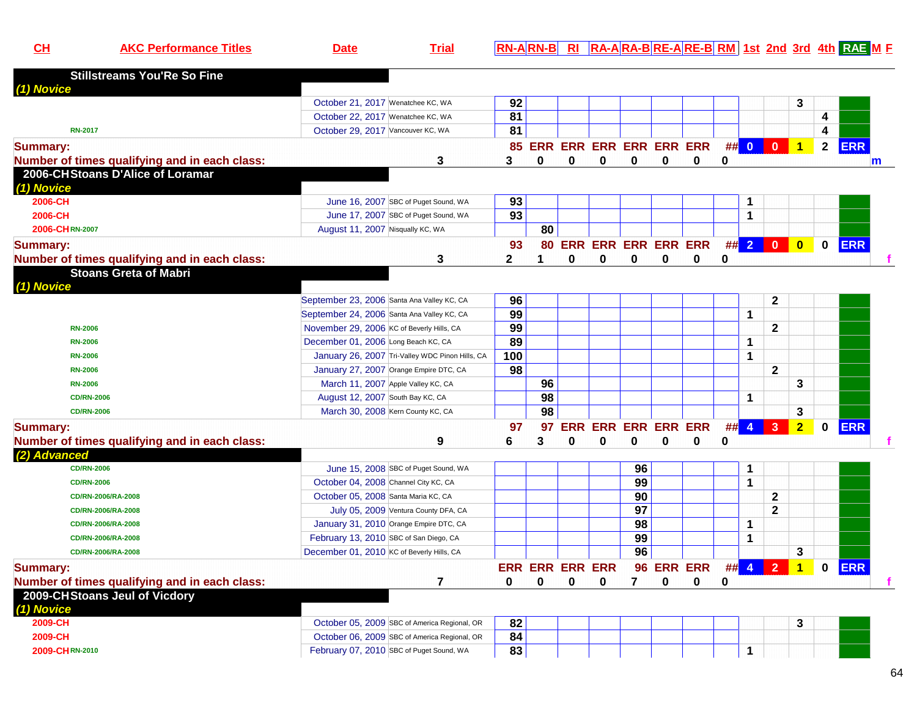|  |  | 9M. | Date | ria | $\overline{\mathsf{RA}\text{-}\mathsf{A}}$ RA-BRE-ARE-BRM $\overline{\mathsf{R}}$<br><b>IRAF</b><br>-3rd<br>1st 2nd<br>-8025<br>'IN |
|--|--|-----|------|-----|-------------------------------------------------------------------------------------------------------------------------------------|
|--|--|-----|------|-----|-------------------------------------------------------------------------------------------------------------------------------------|

| <b>Stillstreams You'Re So Fine</b>            |                                                                       |                 |    |                        |                            |                 |            |                        |          |              |                         |                         |              |            |   |
|-----------------------------------------------|-----------------------------------------------------------------------|-----------------|----|------------------------|----------------------------|-----------------|------------|------------------------|----------|--------------|-------------------------|-------------------------|--------------|------------|---|
| (1) Novice                                    |                                                                       |                 |    |                        |                            |                 |            |                        |          |              |                         |                         |              |            |   |
|                                               | October 21, 2017 Wenatchee KC, WA                                     | 92              |    |                        |                            |                 |            |                        |          |              |                         | 3                       |              |            |   |
|                                               | October 22, 2017 Wenatchee KC, WA                                     | 81              |    |                        |                            |                 |            |                        |          |              |                         |                         | 4            |            |   |
| <b>RN-2017</b>                                | October 29, 2017 Vancouver KC, WA                                     | 81              |    |                        |                            |                 |            |                        |          |              |                         |                         | 4            |            |   |
| <b>Summary:</b>                               |                                                                       |                 |    |                        | 85 ERR ERR ERR ERR ERR ERR |                 |            |                        |          | ## 0         | $\mathbf{0}$            | $\vert$ 1               | $\mathbf{2}$ | <b>ERR</b> |   |
| Number of times qualifying and in each class: | 3                                                                     | 3               | 0  | 0                      | $\mathbf 0$                | 0               | 0          | $\bf{0}$               | 0        |              |                         |                         |              |            | m |
| 2006-CHStoans D'Alice of Loramar              |                                                                       |                 |    |                        |                            |                 |            |                        |          |              |                         |                         |              |            |   |
| (1) Novice                                    |                                                                       |                 |    |                        |                            |                 |            |                        |          |              |                         |                         |              |            |   |
| 2006-CH                                       | June 16, 2007 SBC of Puget Sound, WA                                  | 93              |    |                        |                            |                 |            |                        |          | 1            |                         |                         |              |            |   |
| 2006-CH                                       | June 17, 2007 SBC of Puget Sound, WA                                  | $\overline{93}$ |    |                        |                            |                 |            |                        |          | 1            |                         |                         |              |            |   |
| 2006-CHRN-2007                                | August 11, 2007 Nisqually KC, WA                                      |                 | 80 |                        |                            |                 |            |                        |          |              |                         |                         |              |            |   |
| <b>Summary:</b>                               |                                                                       | 93              |    |                        |                            |                 |            | 80 ERR ERR ERR ERR ERR |          | $\#$ 2       | $\overline{\mathbf{0}}$ | $\overline{\mathbf{0}}$ | $\mathbf 0$  | <b>ERR</b> |   |
| Number of times qualifying and in each class: | 3                                                                     | $\mathbf{2}$    |    | 0                      | $\bf{0}$                   | 0               | 0          | 0                      | 0        |              |                         |                         |              |            |   |
| <b>Stoans Greta of Mabri</b>                  |                                                                       |                 |    |                        |                            |                 |            |                        |          |              |                         |                         |              |            |   |
| (1) Novice                                    |                                                                       |                 |    |                        |                            |                 |            |                        |          |              |                         |                         |              |            |   |
|                                               | September 23, 2006 Santa Ana Valley KC, CA                            | 96              |    |                        |                            |                 |            |                        |          |              | $\mathbf{2}$            |                         |              |            |   |
|                                               | September 24, 2006 Santa Ana Valley KC, CA                            | 99              |    |                        |                            |                 |            |                        |          | $\mathbf 1$  |                         |                         |              |            |   |
| <b>RN-2006</b>                                | November 29, 2006 KC of Beverly Hills, CA                             | 99              |    |                        |                            |                 |            |                        |          |              | $\mathbf{2}$            |                         |              |            |   |
| <b>RN-2006</b>                                | December 01, 2006 Long Beach KC, CA                                   | 89              |    |                        |                            |                 |            |                        |          | $\mathbf{1}$ |                         |                         |              |            |   |
| <b>RN-2006</b>                                | January 26, 2007 Tri-Valley WDC Pinon Hills, CA                       | 100             |    |                        |                            |                 |            |                        |          | $\mathbf{1}$ |                         |                         |              |            |   |
| <b>RN-2006</b>                                | January 27, 2007 Orange Empire DTC, CA                                | 98              |    |                        |                            |                 |            |                        |          |              | $\mathbf{2}$            |                         |              |            |   |
| <b>RN-2006</b>                                | March 11, 2007 Apple Valley KC, CA                                    |                 | 96 |                        |                            |                 |            |                        |          |              |                         | 3                       |              |            |   |
| <b>CD/RN-2006</b>                             |                                                                       |                 | 98 |                        |                            |                 |            |                        |          | 1            |                         |                         |              |            |   |
| <b>CD/RN-2006</b>                             | August 12, 2007 South Bay KC, CA<br>March 30, 2008 Kern County KC, CA |                 | 98 |                        |                            |                 |            |                        |          |              |                         |                         |              |            |   |
|                                               |                                                                       |                 |    |                        |                            |                 |            |                        |          |              |                         | 3                       |              |            |   |
| <b>Summary:</b>                               |                                                                       | 97              | 97 |                        | <b>ERR ERR ERR ERR ERR</b> |                 |            |                        | ## 4     |              | $\mathbf{3}$            | $\overline{2}$          | $\mathbf 0$  | <b>ERR</b> |   |
| Number of times qualifying and in each class: | 9                                                                     | 6               | 3  | 0                      | 0                          | 0               | 0          | 0                      | 0        |              |                         |                         |              |            |   |
| (2) Advanced                                  |                                                                       |                 |    |                        |                            |                 |            |                        |          |              |                         |                         |              |            |   |
| <b>CD/RN-2006</b>                             | June 15, 2008 SBC of Puget Sound, WA                                  |                 |    |                        |                            | 96              |            |                        |          | 1            |                         |                         |              |            |   |
| <b>CD/RN-2006</b>                             | October 04, 2008 Channel City KC, CA                                  |                 |    |                        |                            | 99              |            |                        |          | $\mathbf{1}$ |                         |                         |              |            |   |
| CD/RN-2006/RA-2008                            | October 05, 2008 Santa Maria KC, CA                                   |                 |    |                        |                            | 90              |            |                        |          |              | $\mathbf{2}$            |                         |              |            |   |
| CD/RN-2006/RA-2008                            | July 05, 2009 Ventura County DFA, CA                                  |                 |    |                        |                            | $\overline{97}$ |            |                        |          |              | $\mathbf{2}$            |                         |              |            |   |
| CD/RN-2006/RA-2008                            | January 31, 2010 Orange Empire DTC, CA                                |                 |    |                        |                            | 98              |            |                        |          | $\mathbf{1}$ |                         |                         |              |            |   |
| CD/RN-2006/RA-2008                            | February 13, 2010 SBC of San Diego, CA                                |                 |    |                        |                            | 99              |            |                        |          | 1            |                         |                         |              |            |   |
| CD/RN-2006/RA-2008                            | December 01, 2010 KC of Beverly Hills, CA                             |                 |    |                        |                            | 96              |            |                        |          |              |                         | 3                       |              |            |   |
| <b>Summary:</b>                               |                                                                       |                 |    | <b>ERR ERR ERR ERR</b> |                            |                 | 96 ERR ERR |                        | $\#$ # 4 |              | $\overline{2}$          | $\mathbf{1}$            | 0            | <b>ERR</b> |   |
| Number of times qualifying and in each class: | 7                                                                     | 0               | 0  | 0                      | 0                          | 7               | 0          | 0                      | 0        |              |                         |                         |              |            |   |
| 2009-CHStoans Jeul of Vicdory                 |                                                                       |                 |    |                        |                            |                 |            |                        |          |              |                         |                         |              |            |   |
| (1) Novice                                    |                                                                       |                 |    |                        |                            |                 |            |                        |          |              |                         |                         |              |            |   |
| 2009-CH                                       | October 05, 2009 SBC of America Regional, OR                          | 82              |    |                        |                            |                 |            |                        |          |              |                         | 3                       |              |            |   |
| 2009-CH                                       | October 06, 2009 SBC of America Regional, OR                          | 84              |    |                        |                            |                 |            |                        |          |              |                         |                         |              |            |   |
| 2009-CHRN-2010                                | February 07, 2010 SBC of Puget Sound, WA                              | 83              |    |                        |                            |                 |            |                        |          | $\mathbf{1}$ |                         |                         |              |            |   |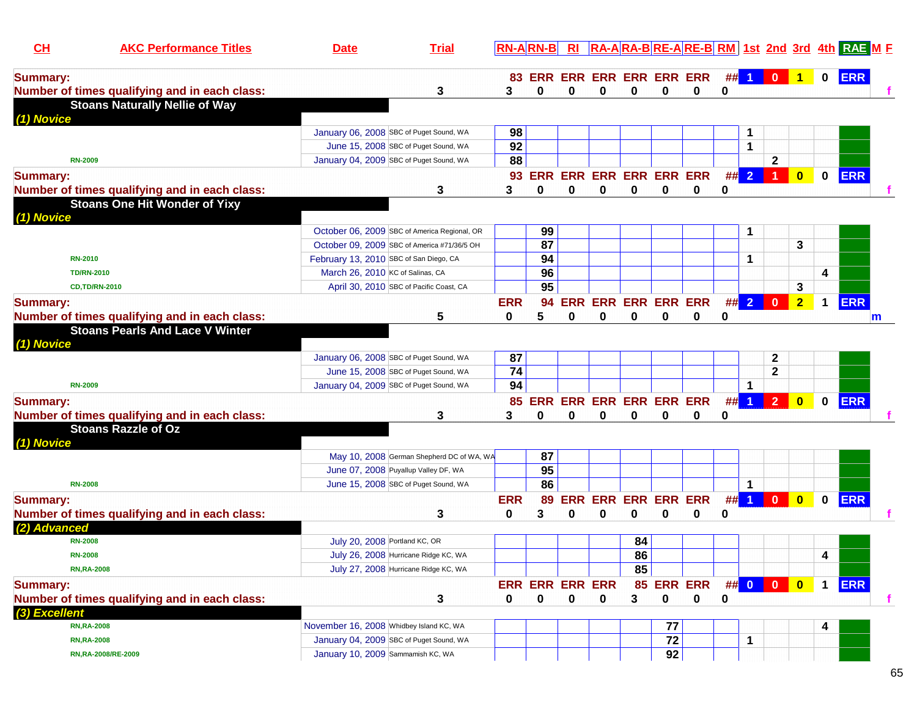| CL                 | <b>AKC Performance Titles</b>                 | <b>Date</b>                             | <b>Trial</b>                                 |                 | <b>RN-ARN-B</b>                |            |                            |                        |             |                     |             |                      |                      |                      |                         | RA-ARA-BRE-ARE-BRM 1st 2nd 3rd 4th RAE ME |   |
|--------------------|-----------------------------------------------|-----------------------------------------|----------------------------------------------|-----------------|--------------------------------|------------|----------------------------|------------------------|-------------|---------------------|-------------|----------------------|----------------------|----------------------|-------------------------|-------------------------------------------|---|
| <b>Summary:</b>    |                                               |                                         |                                              | 83              | <b>ERR ERR ERR ERR ERR ERR</b> |            |                            |                        |             |                     | ##          |                      | $\mathbf{0}$         | $\blacktriangleleft$ | $\bf{0}$                | <b>ERR</b>                                |   |
|                    | Number of times qualifying and in each class: |                                         | 3                                            | 3               | 0                              | 0          | 0                          | 0                      | $\bf{0}$    | 0                   | 0           |                      |                      |                      |                         |                                           |   |
| (1) Novice         | <b>Stoans Naturally Nellie of Way</b>         |                                         |                                              |                 |                                |            |                            |                        |             |                     |             |                      |                      |                      |                         |                                           |   |
|                    |                                               |                                         | January 06, 2008 SBC of Puget Sound, WA      | 98              |                                |            |                            |                        |             |                     |             | 1                    |                      |                      |                         |                                           |   |
|                    |                                               |                                         | June 15, 2008 SBC of Puget Sound, WA         | 92              |                                |            |                            |                        |             |                     |             | 1                    |                      |                      |                         |                                           |   |
| <b>RN-2009</b>     |                                               |                                         | January 04, 2009 SBC of Puget Sound, WA      | 88              |                                |            |                            |                        |             |                     |             |                      | $\mathbf{2}$         |                      |                         |                                           |   |
| <b>Summary:</b>    |                                               |                                         |                                              | 93              | <b>ERR ERR ERR ERR ERR ERR</b> |            |                            |                        |             |                     |             | ## 2                 | $\blacktriangleleft$ | $\bullet$            | 0                       | <b>ERR</b>                                |   |
|                    | Number of times qualifying and in each class: |                                         | 3                                            | 3               | 0                              | 0          | 0                          | 0                      | 0           | 0                   | 0           |                      |                      |                      |                         |                                           |   |
|                    | <b>Stoans One Hit Wonder of Yixy</b>          |                                         |                                              |                 |                                |            |                            |                        |             |                     |             |                      |                      |                      |                         |                                           |   |
| (1) Novice         |                                               |                                         |                                              |                 |                                |            |                            |                        |             |                     |             |                      |                      |                      |                         |                                           |   |
|                    |                                               |                                         | October 06, 2009 SBC of America Regional, OR |                 | 99                             |            |                            |                        |             |                     |             | 1                    |                      |                      |                         |                                           |   |
|                    |                                               |                                         | October 09, 2009 SBC of America #71/36/5 OH  |                 | $\overline{87}$                |            |                            |                        |             |                     |             |                      |                      | 3                    |                         |                                           |   |
| <b>RN-2010</b>     |                                               | February 13, 2010 SBC of San Diego, CA  |                                              |                 | 94                             |            |                            |                        |             |                     |             | 1                    |                      |                      |                         |                                           |   |
| <b>TD/RN-2010</b>  |                                               | March 26, 2010 KC of Salinas, CA        |                                              |                 | 96                             |            |                            |                        |             |                     |             |                      |                      |                      | 4                       |                                           |   |
|                    | <b>CD,TD/RN-2010</b>                          |                                         | April 30, 2010 SBC of Pacific Coast, CA      |                 | $\overline{95}$                |            |                            |                        |             |                     |             |                      |                      | 3                    |                         |                                           |   |
| <b>Summary:</b>    |                                               |                                         |                                              | <b>ERR</b>      | 94                             |            | <b>ERR ERR ERR ERR ERR</b> |                        |             |                     |             | $\#$ $\#$ 2          | $\mathbf{0}$         | 2 <sub>1</sub>       | $\mathbf 1$             | <b>ERR</b>                                |   |
|                    | Number of times qualifying and in each class: |                                         | 5                                            | 0               | 5                              | 0          | 0                          | 0                      | 0           | 0                   | 0           |                      |                      |                      |                         |                                           | m |
| (1) Novice         | <b>Stoans Pearls And Lace V Winter</b>        |                                         |                                              |                 |                                |            |                            |                        |             |                     |             |                      |                      |                      |                         |                                           |   |
|                    |                                               |                                         | January 06, 2008 SBC of Puget Sound, WA      | 87              |                                |            |                            |                        |             |                     |             |                      | $\mathbf{2}$         |                      |                         |                                           |   |
|                    |                                               |                                         | June 15, 2008 SBC of Puget Sound, WA         | $\overline{74}$ |                                |            |                            |                        |             |                     |             |                      | $\mathbf{2}$         |                      |                         |                                           |   |
| <b>RN-2009</b>     |                                               |                                         | January 04, 2009 SBC of Puget Sound, WA      | 94              |                                |            |                            |                        |             |                     |             | 1                    |                      |                      |                         |                                           |   |
| <b>Summary:</b>    |                                               |                                         |                                              | 85              | <b>ERR</b>                     |            | <b>ERR ERR ERR ERR ERR</b> |                        |             |                     | ##          |                      | $\overline{2}$       | $\mathbf{0}$         | $\mathbf{0}$            | <b>ERR</b>                                |   |
|                    | Number of times qualifying and in each class: |                                         | 3                                            | 3               | 0                              | 0          | 0                          | 0                      | 0           | 0                   | 0           |                      |                      |                      |                         |                                           |   |
|                    | <b>Stoans Razzle of Oz</b>                    |                                         |                                              |                 |                                |            |                            |                        |             |                     |             |                      |                      |                      |                         |                                           |   |
| (1) Novice         |                                               |                                         |                                              |                 |                                |            |                            |                        |             |                     |             |                      |                      |                      |                         |                                           |   |
|                    |                                               |                                         | May 10, 2008 German Shepherd DC of WA, WA    |                 | 87                             |            |                            |                        |             |                     |             |                      |                      |                      |                         |                                           |   |
|                    |                                               |                                         | June 07, 2008 Puyallup Valley DF, WA         |                 | 95                             |            |                            |                        |             |                     |             |                      |                      |                      |                         |                                           |   |
| <b>RN-2008</b>     |                                               |                                         | June 15, 2008 SBC of Puget Sound, WA         |                 | 86                             |            |                            |                        |             |                     |             | 1                    |                      |                      |                         |                                           |   |
| <b>Summary:</b>    |                                               |                                         |                                              | <b>ERR</b>      | 89                             | <b>ERR</b> |                            | <b>ERR ERR ERR ERR</b> |             |                     | ##          | $\blacktriangleleft$ | $\mathbf{0}$         | $\mathbf{0}$         | $\mathbf{0}$            | <b>ERR</b>                                |   |
|                    | Number of times qualifying and in each class: |                                         | 3                                            | $\bf{0}$        | 3                              | 0          | $\bf{0}$                   | $\bf{0}$               | 0           | 0                   | 0           |                      |                      |                      |                         |                                           |   |
| (2) Advanced       |                                               |                                         |                                              |                 |                                |            |                            |                        |             |                     |             |                      |                      |                      |                         |                                           |   |
| <b>RN-2008</b>     |                                               |                                         | July 20, 2008 Portland KC, OR                |                 |                                |            |                            | 84                     |             |                     |             |                      |                      |                      |                         |                                           |   |
| <b>RN-2008</b>     |                                               |                                         | July 26, 2008 Hurricane Ridge KC, WA         |                 |                                |            |                            | 86                     |             |                     |             |                      |                      |                      | $\overline{\mathbf{4}}$ |                                           |   |
| <b>RN, RA-2008</b> |                                               |                                         | July 27, 2008 Hurricane Ridge KC, WA         |                 |                                |            |                            | 85                     |             |                     |             |                      |                      |                      |                         |                                           |   |
| <b>Summary:</b>    |                                               |                                         |                                              |                 | <b>ERR ERR ERR ERR</b>         |            |                            |                        |             | 85 ERR ERR ## 0 0 0 |             |                      |                      |                      |                         | 1 ERR                                     |   |
|                    | Number of times qualifying and in each class: |                                         | 3                                            | 0               | 0                              | 0          | 0                          | 3                      | $\mathbf 0$ | $\mathbf 0$         | $\mathbf 0$ |                      |                      |                      |                         |                                           | f |
| (3) Excellent      |                                               |                                         |                                              |                 |                                |            |                            |                        |             |                     |             |                      |                      |                      |                         |                                           |   |
| <b>RN,RA-2008</b>  |                                               | November 16, 2008 Whidbey Island KC, WA |                                              |                 |                                |            |                            |                        | 77          |                     |             |                      |                      |                      | 4                       |                                           |   |
| <b>RN,RA-2008</b>  |                                               |                                         | January 04, 2009 SBC of Puget Sound, WA      |                 |                                |            |                            |                        | 72          |                     |             | 1                    |                      |                      |                         |                                           |   |
|                    | RN, RA-2008/RE-2009                           | January 10, 2009 Sammamish KC, WA       |                                              |                 |                                |            |                            |                        | 92          |                     |             |                      |                      |                      |                         |                                           |   |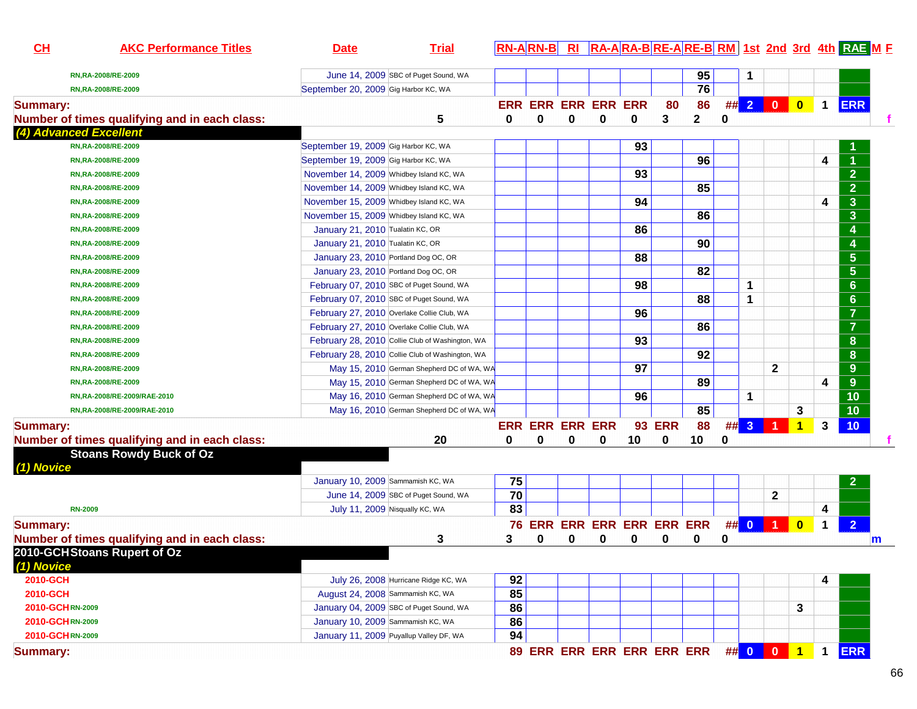| CL              | <b>AKC Performance Titles</b>                 | <b>Date</b>                             | <b>Trial</b>                                    |    |                        |   |                                     |    |               |             |   |              |              |                      |                      | <b>RN-ARN-B RI RA-ARA-BRE-ARE-BRM 1st 2nd 3rd 4th RAE M F</b> |   |
|-----------------|-----------------------------------------------|-----------------------------------------|-------------------------------------------------|----|------------------------|---|-------------------------------------|----|---------------|-------------|---|--------------|--------------|----------------------|----------------------|---------------------------------------------------------------|---|
|                 | RN, RA-2008/RE-2009                           |                                         | June 14, 2009 SBC of Puget Sound, WA            |    |                        |   |                                     |    |               | 95          |   |              |              |                      |                      |                                                               |   |
|                 | RN, RA-2008/RE-2009                           | September 20, 2009 Gig Harbor KC, WA    |                                                 |    |                        |   |                                     |    |               | 76          |   |              |              |                      |                      |                                                               |   |
| <b>Summary:</b> |                                               |                                         |                                                 |    |                        |   | <b>ERR ERR ERR ERR ERR</b>          |    | 80            | 86          |   |              | ## 2 0       | $\bullet$            | $\blacktriangleleft$ | <b>ERR</b>                                                    |   |
|                 | Number of times qualifying and in each class: |                                         | 5                                               | 0  | 0                      | 0 | 0                                   | 0  | 3             | $\mathbf 2$ | 0 |              |              |                      |                      |                                                               |   |
|                 | (4) Advanced Excellent                        |                                         |                                                 |    |                        |   |                                     |    |               |             |   |              |              |                      |                      |                                                               |   |
|                 | RN, RA-2008/RE-2009                           | September 19, 2009 Gig Harbor KC, WA    |                                                 |    |                        |   |                                     | 93 |               |             |   |              |              |                      |                      |                                                               |   |
|                 | RN, RA-2008/RE-2009                           | September 19, 2009 Gig Harbor KC, WA    |                                                 |    |                        |   |                                     |    |               | 96          |   |              |              |                      | 4                    |                                                               |   |
|                 | RN, RA-2008/RE-2009                           | November 14, 2009 Whidbey Island KC, WA |                                                 |    |                        |   |                                     | 93 |               |             |   |              |              |                      |                      | $\overline{2}$                                                |   |
|                 | RN, RA-2008/RE-2009                           | November 14, 2009 Whidbey Island KC, WA |                                                 |    |                        |   |                                     |    |               | 85          |   |              |              |                      |                      | $\overline{2}$                                                |   |
|                 | RN, RA-2008/RE-2009                           | November 15, 2009 Whidbey Island KC, WA |                                                 |    |                        |   |                                     | 94 |               |             |   |              |              |                      | 4                    | $\mathbf{3}$                                                  |   |
|                 |                                               |                                         |                                                 |    |                        |   |                                     |    |               | 86          |   |              |              |                      |                      | $\overline{\mathbf{3}}$                                       |   |
|                 | RN, RA-2008/RE-2009                           | November 15, 2009 Whidbey Island KC, WA |                                                 |    |                        |   |                                     |    |               |             |   |              |              |                      |                      |                                                               |   |
|                 | RN, RA-2008/RE-2009                           | January 21, 2010 Tualatin KC, OR        |                                                 |    |                        |   |                                     | 86 |               |             |   |              |              |                      |                      | 4                                                             |   |
|                 | RN, RA-2008/RE-2009                           | January 21, 2010 Tualatin KC, OR        |                                                 |    |                        |   |                                     |    |               | 90          |   |              |              |                      |                      | 4                                                             |   |
|                 | RN, RA-2008/RE-2009                           | January 23, 2010 Portland Dog OC, OR    |                                                 |    |                        |   |                                     | 88 |               |             |   |              |              |                      |                      | $5\phantom{1}$                                                |   |
|                 | RN, RA-2008/RE-2009                           | January 23, 2010 Portland Dog OC, OR    |                                                 |    |                        |   |                                     |    |               | 82          |   |              |              |                      |                      | $5\phantom{1}$                                                |   |
|                 | RN, RA-2008/RE-2009                           |                                         | February 07, 2010 SBC of Puget Sound, WA        |    |                        |   |                                     | 98 |               |             |   | $\mathbf 1$  |              |                      |                      | $6\phantom{a}$                                                |   |
|                 | RN, RA-2008/RE-2009                           |                                         | February 07, 2010 SBC of Puget Sound, WA        |    |                        |   |                                     |    |               | 88          |   | 1            |              |                      |                      | $6\phantom{1}$                                                |   |
|                 | RN, RA-2008/RE-2009                           |                                         | February 27, 2010 Overlake Collie Club, WA      |    |                        |   |                                     | 96 |               |             |   |              |              |                      |                      | $\overline{7}$                                                |   |
|                 | RN, RA-2008/RE-2009                           |                                         | February 27, 2010 Overlake Collie Club, WA      |    |                        |   |                                     |    |               | 86          |   |              |              |                      |                      | $\overline{7}$                                                |   |
|                 | RN, RA-2008/RE-2009                           |                                         | February 28, 2010 Collie Club of Washington, WA |    |                        |   |                                     | 93 |               |             |   |              |              |                      |                      | 8                                                             |   |
|                 | RN, RA-2008/RE-2009                           |                                         | February 28, 2010 Collie Club of Washington, WA |    |                        |   |                                     |    |               | 92          |   |              |              |                      |                      | 8                                                             |   |
|                 | RN, RA-2008/RE-2009                           |                                         | May 15, 2010 German Shepherd DC of WA, WA       |    |                        |   |                                     | 97 |               |             |   |              | $\mathbf{2}$ |                      |                      | 9                                                             |   |
|                 | RN, RA-2008/RE-2009                           |                                         | May 15, 2010 German Shepherd DC of WA, WA       |    |                        |   |                                     |    |               | 89          |   |              |              |                      | 4                    | 9                                                             |   |
|                 | RN,RA-2008/RE-2009/RAE-2010                   |                                         | May 16, 2010 German Shepherd DC of WA, WA       |    |                        |   |                                     | 96 |               |             |   | 1            |              |                      |                      | 10                                                            |   |
|                 | RN,RA-2008/RE-2009/RAE-2010                   |                                         | May 16, 2010 German Shepherd DC of WA, WA       |    |                        |   |                                     |    |               | 85          |   |              |              | 3                    |                      | 10                                                            |   |
| <b>Summary:</b> |                                               |                                         |                                                 |    | <b>ERR ERR ERR ERR</b> |   |                                     |    | <b>93 ERR</b> | 88          | # | $\mathbf{3}$ |              | $\blacktriangleleft$ | 3                    | 10                                                            |   |
|                 | Number of times qualifying and in each class: |                                         | 20                                              | 0  | $\bf{0}$               | 0 | $\bf{0}$                            | 10 | 0             | 10          | 0 |              |              |                      |                      |                                                               |   |
|                 | <b>Stoans Rowdy Buck of Oz</b>                |                                         |                                                 |    |                        |   |                                     |    |               |             |   |              |              |                      |                      |                                                               |   |
| (1) Novice      |                                               |                                         |                                                 |    |                        |   |                                     |    |               |             |   |              |              |                      |                      |                                                               |   |
|                 |                                               | January 10, 2009 Sammamish KC, WA       |                                                 | 75 |                        |   |                                     |    |               |             |   |              |              |                      |                      | 2                                                             |   |
|                 |                                               |                                         | June 14, 2009 SBC of Puget Sound, WA            | 70 |                        |   |                                     |    |               |             |   |              | $\mathbf{2}$ |                      |                      |                                                               |   |
|                 | <b>RN-2009</b>                                |                                         | July 11, 2009 Nisqually KC, WA                  | 83 |                        |   |                                     |    |               |             |   |              |              |                      | 4                    |                                                               |   |
| <b>Summary:</b> |                                               |                                         |                                                 |    |                        |   | 76 ERR ERR ERR ERR ERR ERR          |    |               |             |   |              | $\#$ 0 1 0   |                      | $\blacktriangleleft$ | $\overline{2}$                                                |   |
|                 | Number of times qualifying and in each class: |                                         | 3                                               | 3  | 0                      | 0 | 0                                   | 0  | 0             | 0           | 0 |              |              |                      |                      |                                                               | m |
|                 | 2010-GCHStoans Rupert of Oz                   |                                         |                                                 |    |                        |   |                                     |    |               |             |   |              |              |                      |                      |                                                               |   |
| (1) Novice      |                                               |                                         |                                                 |    |                        |   |                                     |    |               |             |   |              |              |                      |                      |                                                               |   |
| 2010-GCH        |                                               |                                         | July 26, 2008 Hurricane Ridge KC, WA            | 92 |                        |   |                                     |    |               |             |   |              |              |                      | 4                    |                                                               |   |
| 2010-GCH        |                                               |                                         | August 24, 2008 Sammamish KC, WA                | 85 |                        |   |                                     |    |               |             |   |              |              |                      |                      |                                                               |   |
|                 | 2010-GCHRN-2009                               |                                         | January 04, 2009 SBC of Puget Sound, WA         | 86 |                        |   |                                     |    |               |             |   |              |              | 3                    |                      |                                                               |   |
|                 | 2010-GCHRN-2009                               | January 10, 2009 Sammamish KC, WA       |                                                 | 86 |                        |   |                                     |    |               |             |   |              |              |                      |                      |                                                               |   |
|                 | 2010-GCHRN-2009                               |                                         | January 11, 2009 Puyallup Valley DF, WA         | 94 |                        |   |                                     |    |               |             |   |              |              |                      |                      |                                                               |   |
| <b>Summary:</b> |                                               |                                         |                                                 |    |                        |   | 89 ERR ERR ERR ERR ERR ERR ## 0 0 1 |    |               |             |   |              |              |                      | $\mathbf{1}$         | <b>ERR</b>                                                    |   |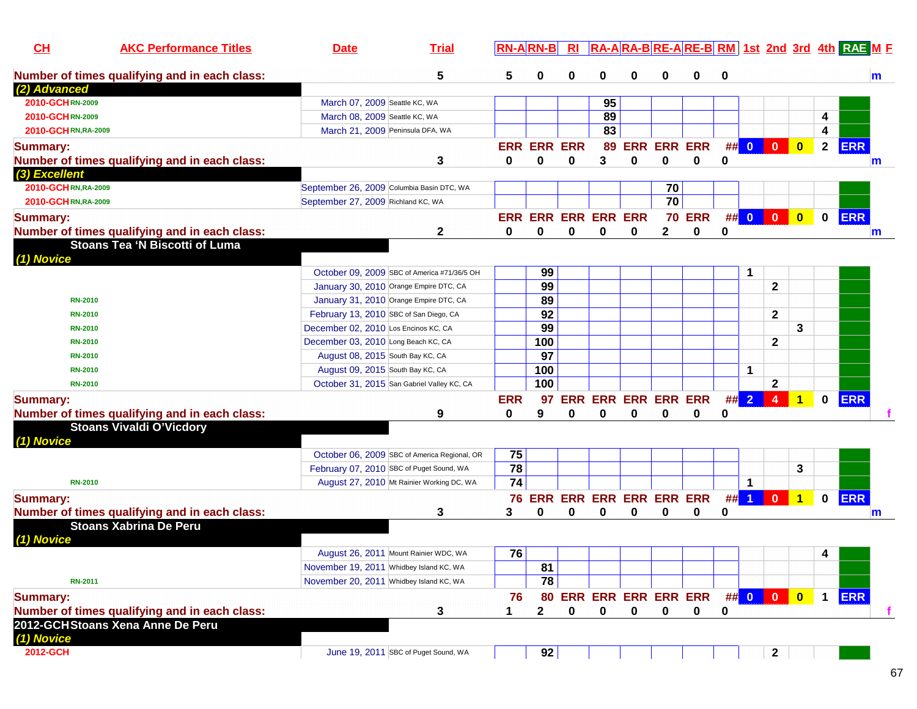| CH<br><b>AKC Performance Titles</b>           | <b>Date</b>                             | <b>Trial</b>                                 |                 |                    |   |                            |             |              |                        |        |                      |                  |                         |              | RA-ARA-BRE-ARE-BRM 1st 2nd 3rd 4th RAEME |
|-----------------------------------------------|-----------------------------------------|----------------------------------------------|-----------------|--------------------|---|----------------------------|-------------|--------------|------------------------|--------|----------------------|------------------|-------------------------|--------------|------------------------------------------|
| Number of times qualifying and in each class: |                                         | 5                                            | 5               | 0                  | 0 | 0                          | 0           | 0            | 0                      | 0      |                      |                  |                         |              | m                                        |
| (2) Advanced                                  |                                         |                                              |                 |                    |   |                            |             |              |                        |        |                      |                  |                         |              |                                          |
| 2010-GCHRN-2009                               | March 07, 2009 Seattle KC, WA           |                                              |                 |                    |   | 95                         |             |              |                        |        |                      |                  |                         |              |                                          |
| 2010-GCHRN-2009                               | March 08, 2009 Seattle KC, WA           |                                              |                 |                    |   | 89                         |             |              |                        |        |                      |                  |                         | 4            |                                          |
| 2010-GCHRN, RA-2009                           |                                         | March 21, 2009 Peninsula DFA, WA             |                 |                    |   | 83                         |             |              |                        |        |                      |                  |                         | 4            |                                          |
| <b>Summary:</b>                               |                                         |                                              |                 | <b>ERR ERR ERR</b> |   | 89                         |             |              | <b>ERR ERR ERR</b>     |        | ## 0                 | $\overline{0}$   | $\mathbf{0}$            | $\mathbf{2}$ | <b>ERR</b>                               |
| Number of times qualifying and in each class: |                                         | 3                                            | 0               | $\bf{0}$           | 0 | 3                          | 0           | $\bf{0}$     | $\bf{0}$               | 0      |                      |                  |                         |              | $\mathsf{m}$                             |
| (3) Excellent                                 |                                         |                                              |                 |                    |   |                            |             |              |                        |        |                      |                  |                         |              |                                          |
| 2010-GCHRN,RA-2009                            |                                         | September 26, 2009 Columbia Basin DTC, WA    |                 |                    |   |                            |             | 70           |                        |        |                      |                  |                         |              |                                          |
| 2010-GCHRN,RA-2009                            | September 27, 2009 Richland KC, WA      |                                              |                 |                    |   |                            |             | 70           |                        |        |                      |                  |                         |              |                                          |
|                                               |                                         |                                              |                 |                    |   |                            |             |              |                        |        | ## 0 0               |                  |                         | $\mathbf{0}$ | <b>ERR</b>                               |
| <b>Summary:</b>                               |                                         |                                              |                 |                    |   | ERR ERR ERR ERR ERR        |             |              | <b>70 ERR</b>          |        |                      |                  | $\bullet$               |              |                                          |
| Number of times qualifying and in each class: |                                         | 2                                            | 0               | 0                  | 0 | 0                          | 0           | $\mathbf{2}$ | 0                      | 0      |                      |                  |                         |              | m                                        |
| <b>Stoans Tea 'N Biscotti of Luma</b>         |                                         |                                              |                 |                    |   |                            |             |              |                        |        |                      |                  |                         |              |                                          |
| (1) Novice                                    |                                         |                                              |                 |                    |   |                            |             |              |                        |        |                      |                  |                         |              |                                          |
|                                               |                                         | October 09, 2009 SBC of America #71/36/5 OH  |                 | 99                 |   |                            |             |              |                        |        | $\mathbf 1$          |                  |                         |              |                                          |
|                                               |                                         | January 30, 2010 Orange Empire DTC, CA       |                 | 99                 |   |                            |             |              |                        |        |                      | $\mathbf{2}$     |                         |              |                                          |
| <b>RN-2010</b>                                |                                         | January 31, 2010 Orange Empire DTC, CA       |                 | 89                 |   |                            |             |              |                        |        |                      |                  |                         |              |                                          |
| <b>RN-2010</b>                                | February 13, 2010 SBC of San Diego, CA  |                                              |                 | 92                 |   |                            |             |              |                        |        |                      | $\mathbf{2}$     |                         |              |                                          |
| <b>RN-2010</b>                                | December 02, 2010 Los Encinos KC, CA    |                                              |                 | 99                 |   |                            |             |              |                        |        |                      |                  | 3                       |              |                                          |
| <b>RN-2010</b>                                | December 03, 2010 Long Beach KC, CA     |                                              |                 | 100                |   |                            |             |              |                        |        |                      | $\mathbf{2}$     |                         |              |                                          |
| <b>RN-2010</b>                                | August 08, 2015 South Bay KC, CA        |                                              |                 | 97                 |   |                            |             |              |                        |        |                      |                  |                         |              |                                          |
| <b>RN-2010</b>                                | August 09, 2015 South Bay KC, CA        |                                              |                 | 100                |   |                            |             |              |                        |        | $\mathbf 1$          |                  |                         |              |                                          |
| <b>RN-2010</b>                                |                                         | October 31, 2015 San Gabriel Valley KC, CA   |                 | 100                |   |                            |             |              |                        |        |                      | $\mathbf{2}$     |                         |              |                                          |
| <b>Summary:</b>                               |                                         |                                              | <b>ERR</b>      | 97                 |   | ERR ERR ERR ERR ERR        |             |              |                        | $\#$ 2 |                      | $\boldsymbol{4}$ | 1                       | $\bf{0}$     | <b>ERR</b>                               |
| Number of times qualifying and in each class: |                                         | 9                                            | 0               | 9                  | 0 | 0                          | 0           | 0            | 0                      | 0      |                      |                  |                         |              |                                          |
| <b>Stoans Vivaldi O'Vicdory</b>               |                                         |                                              |                 |                    |   |                            |             |              |                        |        |                      |                  |                         |              |                                          |
| (1) Novice                                    |                                         |                                              |                 |                    |   |                            |             |              |                        |        |                      |                  |                         |              |                                          |
|                                               |                                         | October 06, 2009 SBC of America Regional, OR | 75              |                    |   |                            |             |              |                        |        |                      |                  |                         |              |                                          |
|                                               |                                         | February 07, 2010 SBC of Puget Sound, WA     | 78              |                    |   |                            |             |              |                        |        |                      |                  | 3                       |              |                                          |
| <b>RN-2010</b>                                |                                         | August 27, 2010 Mt Rainier Working DC, WA    | $\overline{74}$ |                    |   |                            |             |              |                        |        | 1                    |                  |                         |              |                                          |
| <b>Summary:</b>                               |                                         |                                              |                 | <b>76 ERR</b>      |   | <b>ERR ERR ERR ERR ERR</b> |             |              |                        | ##     | $\blacktriangleleft$ | $\bf{0}$         | ◆                       | $\mathbf{0}$ | <b>ERR</b>                               |
| Number of times qualifying and in each class: |                                         | 3                                            | 3               | 0                  | 0 | 0                          | 0           | 0            | 0                      | 0      |                      |                  |                         |              | m                                        |
| <b>Stoans Xabrina De Peru</b>                 |                                         |                                              |                 |                    |   |                            |             |              |                        |        |                      |                  |                         |              |                                          |
|                                               |                                         |                                              |                 |                    |   |                            |             |              |                        |        |                      |                  |                         |              |                                          |
| (1) Novice                                    |                                         |                                              | 76              |                    |   |                            |             |              |                        |        |                      |                  |                         |              |                                          |
|                                               |                                         | August 26, 2011 Mount Rainier WDC, WA        |                 |                    |   |                            |             |              |                        |        |                      |                  |                         | 4            |                                          |
|                                               | November 19, 2011 Whidbey Island KC, WA |                                              |                 | 81                 |   |                            |             |              |                        |        |                      |                  |                         |              |                                          |
| <b>RN-2011</b>                                | November 20, 2011 Whidbey Island KC, WA |                                              |                 | 78                 |   |                            |             |              |                        |        |                      |                  |                         |              |                                          |
| <b>Summary:</b>                               |                                         |                                              | 76              |                    |   |                            |             |              | 80 ERR ERR ERR ERR ERR |        |                      | ## 0 0 0         | $\overline{\mathbf{0}}$ | $\mathbf 1$  | <b>ERR</b>                               |
| Number of times qualifying and in each class: |                                         | 3                                            | 1               | $\mathbf{2}$       | 0 | 0                          | $\mathbf 0$ | $\mathbf 0$  | $\mathbf 0$            | 0      |                      |                  |                         |              | f.                                       |
| 2012-GCHStoans Xena Anne De Peru              |                                         |                                              |                 |                    |   |                            |             |              |                        |        |                      |                  |                         |              |                                          |
| (1) Novice                                    |                                         |                                              |                 |                    |   |                            |             |              |                        |        |                      |                  |                         |              |                                          |
| 2012-GCH                                      |                                         | June 19, 2011 SBC of Puget Sound, WA         |                 | 92                 |   |                            |             |              |                        |        |                      | $\mathbf{2}$     |                         |              |                                          |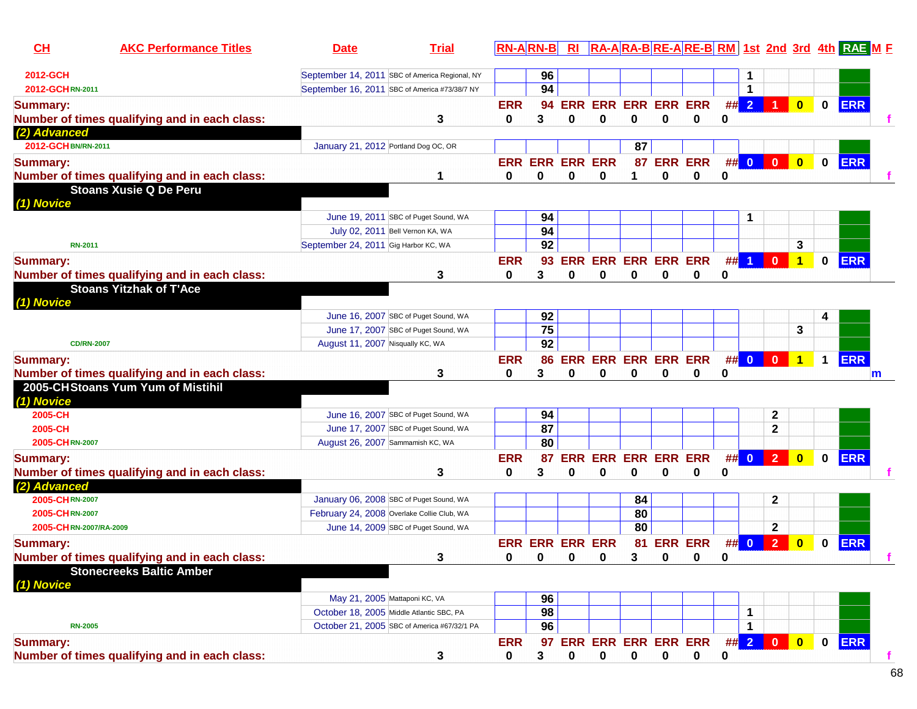| $CH$                   | <b>AKC Performance Titles</b>                 | <b>Date</b>                                    | <b>Trial</b>                         |              | $RN-A$ $RN-B$          | R1                        |                            |             |              |                |              |                |                |                         |              | RA-ARA-BRE-ARE-BRM 1st 2nd 3rd 4th RAE M F |   |
|------------------------|-----------------------------------------------|------------------------------------------------|--------------------------------------|--------------|------------------------|---------------------------|----------------------------|-------------|--------------|----------------|--------------|----------------|----------------|-------------------------|--------------|--------------------------------------------|---|
| 2012-GCH               |                                               | September 14, 2011 SBC of America Regional, NY |                                      |              | 96                     |                           |                            |             |              |                |              |                |                |                         |              |                                            |   |
| 2012-GCHRN-2011        |                                               | September 16, 2011 SBC of America #73/38/7 NY  |                                      |              | 94                     |                           |                            |             |              |                |              | $\mathbf 1$    |                |                         |              |                                            |   |
| <b>Summary:</b>        |                                               |                                                |                                      | <b>ERR</b>   | 94                     |                           | <b>ERR ERR ERR ERR ERR</b> |             |              |                |              | ##2            |                | $\overline{\mathbf{0}}$ | $\bf{0}$     | <b>ERR</b>                                 |   |
|                        | Number of times qualifying and in each class: |                                                | 3                                    | 0            | 3                      | 0                         | 0                          | 0           | 0            | 0              | 0            |                |                |                         |              |                                            |   |
| (2) Advanced           |                                               |                                                |                                      |              |                        |                           |                            |             |              |                |              |                |                |                         |              |                                            |   |
| 2012-GCH BN/RN-2011    |                                               | January 21, 2012 Portland Dog OC, OR           |                                      |              |                        |                           |                            | 87          |              |                |              |                |                |                         |              |                                            |   |
| <b>Summary:</b>        |                                               |                                                |                                      |              | <b>ERR ERR ERR ERR</b> |                           |                            | 87          |              | <b>ERR ERR</b> |              | ## 0           | $\mathbf{0}$   | $\mathbf{0}$            | $\mathbf{0}$ | <b>ERR</b>                                 |   |
|                        | Number of times qualifying and in each class: |                                                |                                      | 0            | 0                      | $\bf{0}$                  | 0                          | 1           | $\bf{0}$     | $\bf{0}$       | 0            |                |                |                         |              |                                            |   |
|                        | <b>Stoans Xusie Q De Peru</b>                 |                                                |                                      |              |                        |                           |                            |             |              |                |              |                |                |                         |              |                                            |   |
| (1) Novice             |                                               |                                                |                                      |              |                        |                           |                            |             |              |                |              |                |                |                         |              |                                            |   |
|                        |                                               |                                                | June 19, 2011 SBC of Puget Sound, WA |              | 94                     |                           |                            |             |              |                |              |                |                |                         |              |                                            |   |
|                        |                                               | July 02, 2011 Bell Vernon KA, WA               |                                      |              | 94                     |                           |                            |             |              |                |              |                |                |                         |              |                                            |   |
| <b>RN-2011</b>         |                                               | September 24, 2011 Gig Harbor KC, WA           |                                      |              | 92                     |                           |                            |             |              |                |              |                |                | 3                       |              |                                            |   |
| <b>Summary:</b>        |                                               |                                                |                                      | <b>ERR</b>   | 93                     |                           | ERR ERR ERR ERR ERR        |             |              |                | ##           | $\overline{1}$ | $\mathbf{0}$   | 1                       | $\bf{0}$     | <b>ERR</b>                                 |   |
|                        | Number of times qualifying and in each class: |                                                | 3                                    | 0            | 3                      | 0                         | 0                          | 0           | 0            | 0              | 0            |                |                |                         |              |                                            |   |
| (1) Novice             | <b>Stoans Yitzhak of T'Ace</b>                |                                                |                                      |              |                        |                           |                            |             |              |                |              |                |                |                         |              |                                            |   |
|                        |                                               |                                                | June 16, 2007 SBC of Puget Sound, WA |              | 92                     |                           |                            |             |              |                |              |                |                |                         |              |                                            |   |
|                        |                                               |                                                | June 17, 2007 SBC of Puget Sound, WA |              | $\overline{75}$        |                           |                            |             |              |                |              |                |                | 3                       |              |                                            |   |
| <b>CD/RN-2007</b>      |                                               | August 11, 2007 Nisqually KC, WA               |                                      |              | $\overline{92}$        |                           |                            |             |              |                |              |                |                |                         |              |                                            |   |
| <b>Summary:</b>        |                                               |                                                |                                      | <b>ERR</b>   | 86                     |                           | ERR ERR ERR ERR ERR        |             |              |                | ## 0         |                | $\mathbf{0}$   | $\overline{1}$          | $\mathbf 1$  | <b>ERR</b>                                 |   |
|                        | Number of times qualifying and in each class: |                                                | 3                                    | 0            | 3                      | 0                         | 0                          | $\bf{0}$    | 0            | 0              | 0            |                |                |                         |              |                                            | m |
| (1) Novice             | 2005-CHStoans Yum Yum of Mistihil             |                                                |                                      |              |                        |                           |                            |             |              |                |              |                |                |                         |              |                                            |   |
| 2005-CH                |                                               |                                                | June 16, 2007 SBC of Puget Sound, WA |              | 94                     |                           |                            |             |              |                |              |                | $\mathbf{2}$   |                         |              |                                            |   |
| 2005-CH                |                                               |                                                | June 17, 2007 SBC of Puget Sound, WA |              | 87                     |                           |                            |             |              |                |              |                | $\mathbf 2$    |                         |              |                                            |   |
| 2005-CHRN-2007         |                                               | August 26, 2007 Sammamish KC, WA               |                                      |              | 80                     |                           |                            |             |              |                |              |                |                |                         |              |                                            |   |
| <b>Summary:</b>        |                                               |                                                |                                      | <b>ERR</b>   | 87                     |                           | <b>ERR ERR ERR ERR ERR</b> |             |              |                |              | $\#$ 0 2       |                | $\mathbf{0}$            | $\bf{0}$     | <b>ERR</b>                                 |   |
|                        | Number of times qualifying and in each class: |                                                | 3                                    | 0            | 3                      | 0                         | 0                          | 0           | 0            | 0              | 0            |                |                |                         |              |                                            |   |
| (2) Advanced           |                                               |                                                |                                      |              |                        |                           |                            |             |              |                |              |                |                |                         |              |                                            |   |
| 2005-CHRN-2007         |                                               | January 06, 2008 SBC of Puget Sound, WA        |                                      |              |                        |                           |                            | 84          |              |                |              |                | $\mathbf{2}$   |                         |              |                                            |   |
| 2005-CHRN-2007         |                                               | February 24, 2008 Overlake Collie Club, WA     |                                      |              |                        |                           |                            | 80          |              |                |              |                |                |                         |              |                                            |   |
| 2005-CHRN-2007/RA-2009 |                                               |                                                | June 14, 2009 SBC of Puget Sound, WA |              |                        |                           |                            | 80          |              |                |              |                | $\mathbf{2}$   |                         |              |                                            |   |
| <b>Summary:</b>        |                                               |                                                |                                      |              | <b>ERR ERR ERR ERR</b> |                           |                            |             |              | 81 ERR ERR     | ## 0         |                | $\overline{2}$ | $\bf{0}$                | $\bf{0}$     | <b>ERR</b>                                 |   |
|                        | Number of times qualifying and in each class: |                                                | 3                                    | $\mathbf{a}$ |                        | $\mathbf{0}$ $\mathbf{0}$ | $\mathbf{0}$               | $3^{\circ}$ | $\mathbf{0}$ | $\mathbf 0$    | <sup>0</sup> |                |                |                         |              |                                            |   |
| (1) Novice             | <b>Stonecreeks Baltic Amber</b>               |                                                |                                      |              |                        |                           |                            |             |              |                |              |                |                |                         |              |                                            |   |
|                        |                                               | May 21, 2005 Mattaponi KC, VA                  |                                      |              | 96                     |                           |                            |             |              |                |              |                |                |                         |              |                                            |   |
|                        |                                               | October 18, 2005 Middle Atlantic SBC, PA       |                                      |              | 98                     |                           |                            |             |              |                |              | 1              |                |                         |              |                                            |   |
| <b>RN-2005</b>         |                                               | October 21, 2005 SBC of America #67/32/1 PA    |                                      |              | 96                     |                           |                            |             |              |                |              | $\mathbf 1$    |                |                         |              |                                            |   |
| <b>Summary:</b>        |                                               |                                                |                                      | <b>ERR</b>   |                        |                           | 97 ERR ERR ERR ERR ERR     |             |              |                |              |                | ## 2 0         | $\bullet$               | $\mathbf{0}$ | <b>ERR</b>                                 |   |
|                        | Number of times qualifying and in each class: |                                                | 3                                    | 0            | 3                      | 0                         | $\pmb{0}$                  | $\mathbf 0$ | $\mathbf 0$  | $\mathbf 0$    | 0            |                |                |                         |              |                                            |   |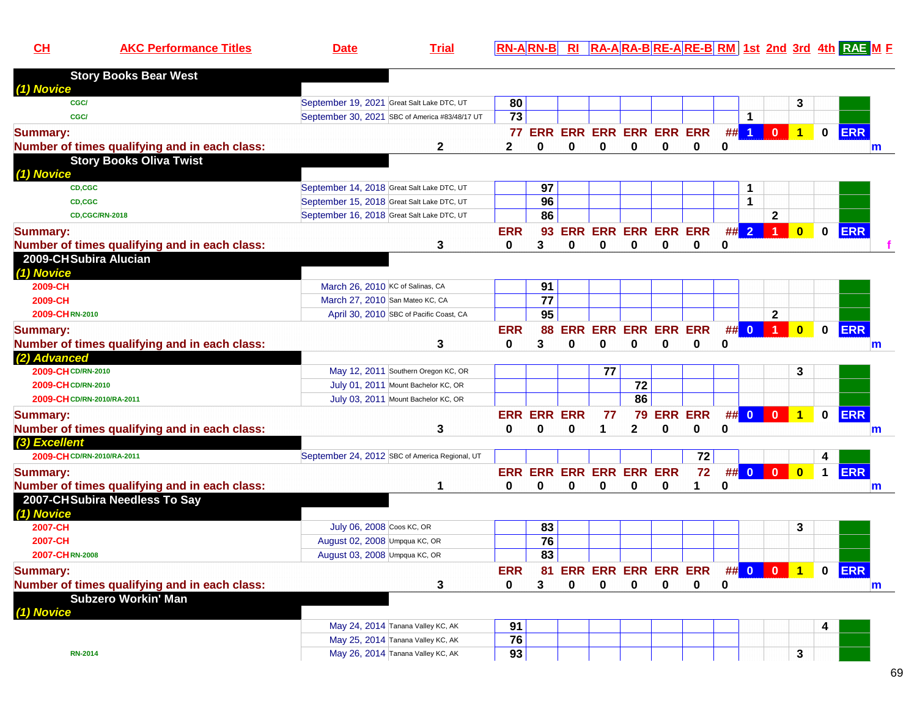|  |  | ΔK |  | . .<br>aldi. | .PN.<br>-AIRN-BI<br>RI | <b>DM</b><br>-AIRA-BIRE-AIRE-<br>-IRA<br>וס |
|--|--|----|--|--------------|------------------------|---------------------------------------------|
|--|--|----|--|--------------|------------------------|---------------------------------------------|

**1st 2nd 3rd 4th RAE <sup>M</sup> <sup>F</sup>**

| <b>Story Books Bear West</b>                  |                                            |                                                |                 |                    |            |                            |              |             |          |          |                      |              |                      |              |            |   |
|-----------------------------------------------|--------------------------------------------|------------------------------------------------|-----------------|--------------------|------------|----------------------------|--------------|-------------|----------|----------|----------------------|--------------|----------------------|--------------|------------|---|
| (1) Novice                                    |                                            |                                                |                 |                    |            |                            |              |             |          |          |                      |              |                      |              |            |   |
| CGC/                                          | September 19, 2021 Great Salt Lake DTC, UT |                                                | 80              |                    |            |                            |              |             |          |          |                      |              | 3                    |              |            |   |
| CGC/                                          |                                            | September 30, 2021 SBC of America #83/48/17 UT | 73              |                    |            |                            |              |             |          |          | 1                    |              |                      |              |            |   |
| <b>Summary:</b>                               |                                            |                                                |                 | 77 ERR             |            | <b>ERR ERR ERR ERR ERR</b> |              |             |          | #        | $\blacktriangleleft$ | $\mathbf{0}$ | $\mathbf 1$          | $\mathbf{0}$ | <b>ERR</b> |   |
| Number of times qualifying and in each class: |                                            | 2                                              | 2               | 0                  | 0          | $\bf{0}$                   | $\mathbf 0$  | $\mathbf 0$ | $\bf{0}$ | 0        |                      |              |                      |              |            | m |
| <b>Story Books Oliva Twist</b>                |                                            |                                                |                 |                    |            |                            |              |             |          |          |                      |              |                      |              |            |   |
| (1) Novice                                    |                                            |                                                |                 |                    |            |                            |              |             |          |          |                      |              |                      |              |            |   |
| CD,CGC                                        | September 14, 2018 Great Salt Lake DTC, UT |                                                |                 | 97                 |            |                            |              |             |          |          | 1                    |              |                      |              |            |   |
| CD,CGC                                        | September 15, 2018 Great Salt Lake DTC, UT |                                                |                 | 96                 |            |                            |              |             |          |          | 1                    |              |                      |              |            |   |
| <b>CD,CGC/RN-2018</b>                         | September 16, 2018 Great Salt Lake DTC, UT |                                                |                 | 86                 |            |                            |              |             |          |          |                      | $\mathbf{2}$ |                      |              |            |   |
| <b>Summary:</b>                               |                                            |                                                | <b>ERR</b>      |                    |            | 93 ERR ERR ERR ERR ERR     |              |             |          | ##2      |                      | 1            | $\mathbf{0}$         | $\mathbf{0}$ | <b>ERR</b> |   |
| Number of times qualifying and in each class: |                                            | 3                                              | 0               | 3                  | 0          | 0                          | 0            | 0           | 0        | 0        |                      |              |                      |              |            |   |
| 2009-CHSubira Alucian                         |                                            |                                                |                 |                    |            |                            |              |             |          |          |                      |              |                      |              |            |   |
| (1) Novice                                    |                                            |                                                |                 |                    |            |                            |              |             |          |          |                      |              |                      |              |            |   |
| 2009-CH                                       | March 26, 2010 KC of Salinas, CA           |                                                |                 | 91                 |            |                            |              |             |          |          |                      |              |                      |              |            |   |
| 2009-CH                                       | March 27, 2010 San Mateo KC, CA            |                                                |                 | $\overline{77}$    |            |                            |              |             |          |          |                      |              |                      |              |            |   |
| 2009-CHRN-2010                                |                                            | April 30, 2010 SBC of Pacific Coast, CA        |                 | 95                 |            |                            |              |             |          |          |                      | $\mathbf{2}$ |                      |              |            |   |
| Summary:                                      |                                            |                                                | <b>ERR</b>      | 88                 | <b>ERR</b> | <b>ERR ERR ERR ERR</b>     |              |             |          | ##       | $\mathbf{0}$         |              | $\mathbf{0}$         | $\mathbf{0}$ | <b>ERR</b> |   |
| Number of times qualifying and in each class: |                                            | 3                                              | $\bf{0}$        | 3                  | $\bf{0}$   | 0                          | $\bf{0}$     | $\bf{0}$    | 0        | $\bf{0}$ |                      |              |                      |              |            | m |
| (2) Advanced                                  |                                            |                                                |                 |                    |            |                            |              |             |          |          |                      |              |                      |              |            |   |
| 2009-CH CD/RN-2010                            |                                            | May 12, 2011 Southern Oregon KC, OR            |                 |                    |            | 77                         |              |             |          |          |                      |              | 3                    |              |            |   |
| 2009-CH CD/RN-2010                            |                                            | July 01, 2011 Mount Bachelor KC, OR            |                 |                    |            |                            | 72           |             |          |          |                      |              |                      |              |            |   |
| 2009-CH CD/RN-2010/RA-2011                    |                                            | July 03, 2011 Mount Bachelor KC, OR            |                 |                    |            |                            | 86           |             |          |          |                      |              |                      |              |            |   |
| <b>Summary:</b>                               |                                            |                                                |                 | <b>ERR ERR ERR</b> |            | 77                         |              | 79 ERR ERR  |          |          | ## 0                 | $\mathbf{0}$ | $\blacktriangleleft$ | $\mathbf 0$  | ERR        |   |
| Number of times qualifying and in each class: |                                            | 3                                              | $\bf{0}$        | $\bf{0}$           | 0          | 1                          | $\mathbf{2}$ | $\bf{0}$    | $\bf{0}$ | $\bf{0}$ |                      |              |                      |              |            | m |
| (3) Excellent                                 |                                            |                                                |                 |                    |            |                            |              |             |          |          |                      |              |                      |              |            |   |
| 2009-CHCD/RN-2010/RA-2011                     |                                            | September 24, 2012 SBC of America Regional, UT |                 |                    |            |                            |              |             | 72       |          |                      |              |                      |              |            |   |
| <b>Summary:</b>                               |                                            |                                                |                 |                    |            | ERR ERR ERR ERR ERR ERR    |              |             | 72       |          | ## 0                 | $\mathbf{0}$ | $\overline{0}$       | $\mathbf{1}$ | ERR        |   |
| Number of times qualifying and in each class: |                                            | 1                                              | 0               | $\mathbf{0}$       | $\bf{0}$   | 0                          | $\bf{0}$     | $\bf{0}$    | 1        | $\bf{0}$ |                      |              |                      |              |            | m |
| 2007-CHSubira Needless To Say                 |                                            |                                                |                 |                    |            |                            |              |             |          |          |                      |              |                      |              |            |   |
| (1) Novice                                    |                                            |                                                |                 |                    |            |                            |              |             |          |          |                      |              |                      |              |            |   |
| 2007-CH                                       | July 06, 2008 Coos KC, OR                  |                                                |                 | 83                 |            |                            |              |             |          |          |                      |              | 3                    |              |            |   |
| 2007-CH                                       | August 02, 2008 Umpqua KC, OR              |                                                |                 | 76                 |            |                            |              |             |          |          |                      |              |                      |              |            |   |
| 2007-CHRN-2008                                | August 03, 2008 Umpqua KC, OR              |                                                |                 | 83                 |            |                            |              |             |          |          |                      |              |                      |              |            |   |
| <b>Summary:</b>                               |                                            |                                                | <b>ERR</b>      | 81                 |            | <b>ERR ERR ERR ERR ERR</b> |              |             |          |          | ## 0                 | $\mathbf{0}$ | $\overline{1}$       | $\mathbf 0$  | <b>ERR</b> |   |
| Number of times qualifying and in each class: |                                            | 3                                              | 0               | 3                  | 0          | 0                          | 0            | 0           | 0        | 0        |                      |              |                      |              |            | m |
| <b>Subzero Workin' Man</b>                    |                                            |                                                |                 |                    |            |                            |              |             |          |          |                      |              |                      |              |            |   |
| (1) Novice                                    |                                            |                                                |                 |                    |            |                            |              |             |          |          |                      |              |                      |              |            |   |
|                                               |                                            | May 24, 2014 Tanana Valley KC, AK              | 91              |                    |            |                            |              |             |          |          |                      |              |                      | 4            |            |   |
|                                               |                                            | May 25, 2014 Tanana Valley KC, AK              | 76              |                    |            |                            |              |             |          |          |                      |              |                      |              |            |   |
| <b>RN-2014</b>                                |                                            | May 26, 2014 Tanana Valley KC, AK              | $\overline{93}$ |                    |            |                            |              |             |          |          |                      |              | 3                    |              |            |   |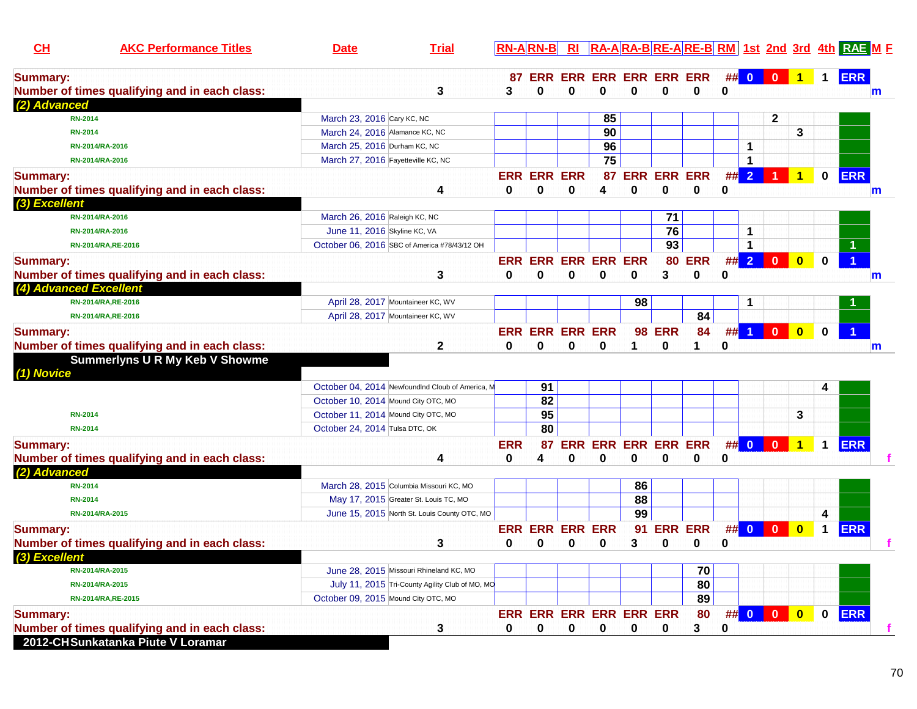| CH                     | <b>AKC Performance Titles</b>                 | <b>Date</b>                                      | <b>Trial</b>                                    | <b>RN-ARN-B</b> |                    | R <sub>l</sub>         |                            |                        |                 |                |             |                      |                |                      |             | RA-ARA-BRE-ARE-BRM 1st 2nd 3rd 4th RAE ME |
|------------------------|-----------------------------------------------|--------------------------------------------------|-------------------------------------------------|-----------------|--------------------|------------------------|----------------------------|------------------------|-----------------|----------------|-------------|----------------------|----------------|----------------------|-------------|-------------------------------------------|
| <b>Summary:</b>        |                                               |                                                  |                                                 |                 |                    |                        | 87 ERR ERR ERR ERR ERR ERR |                        |                 |                |             | ## 0                 | $\mathbf{0}$   |                      | $\mathbf 1$ | <b>ERR</b>                                |
|                        | Number of times qualifying and in each class: |                                                  | 3                                               | 3               | 0                  | 0                      | 0                          | $\bf{0}$               | 0               | 0              | 0           |                      |                |                      |             | $\mathbf{m}$                              |
| (2) Advanced           |                                               |                                                  |                                                 |                 |                    |                        |                            |                        |                 |                |             |                      |                |                      |             |                                           |
|                        | <b>RN-2014</b>                                | March 23, 2016 Cary KC, NC                       |                                                 |                 |                    |                        | 85                         |                        |                 |                |             |                      | $\mathbf{2}$   |                      |             |                                           |
|                        | <b>RN-2014</b>                                | March 24, 2016 Alamance KC, NC                   |                                                 |                 |                    |                        | 90                         |                        |                 |                |             |                      |                | 3                    |             |                                           |
|                        | RN-2014/RA-2016                               | March 25, 2016 Durham KC, NC                     |                                                 |                 |                    |                        | 96                         |                        |                 |                |             | $\mathbf 1$          |                |                      |             |                                           |
|                        | RN-2014/RA-2016                               | March 27, 2016 Fayetteville KC, NC               |                                                 |                 |                    |                        | $\overline{75}$            |                        |                 |                |             | $\mathbf 1$          |                |                      |             |                                           |
| <b>Summary:</b>        |                                               |                                                  |                                                 |                 | <b>ERR ERR ERR</b> |                        |                            | 87 ERR ERR ERR         |                 |                |             | ##2                  |                | 1                    | $\mathbf 0$ | <b>ERR</b>                                |
|                        | Number of times qualifying and in each class: |                                                  | 4                                               | 0               | 0                  | 0                      | 4                          | 0                      | 0               | 0              | 0           |                      |                |                      |             | m                                         |
| (3) Excellent          |                                               |                                                  |                                                 |                 |                    |                        |                            |                        |                 |                |             |                      |                |                      |             |                                           |
|                        | RN-2014/RA-2016                               | March 26, 2016 Raleigh KC, NC                    |                                                 |                 |                    |                        |                            |                        | 71              |                |             |                      |                |                      |             |                                           |
|                        | RN-2014/RA-2016                               | June 11, 2016 Skyline KC, VA                     |                                                 |                 |                    |                        |                            |                        | 76              |                |             | 1                    |                |                      |             |                                           |
|                        | RN-2014/RA, RE-2016                           | October 06, 2016 SBC of America #78/43/12 OH     |                                                 |                 |                    |                        |                            |                        | $\overline{93}$ |                |             | $\blacktriangleleft$ |                |                      |             |                                           |
| <b>Summary:</b>        |                                               |                                                  |                                                 |                 |                    |                        | <b>ERR ERR ERR ERR ERR</b> |                        |                 | <b>80 ERR</b>  |             | ##2                  | $\Omega$       | n                    | U           | $\overline{1}$                            |
|                        | Number of times qualifying and in each class: |                                                  | 3                                               | 0               | 0                  | $\bf{0}$               | $\bf{0}$                   | $\bf{0}$               | 3               | $\bf{0}$       | $\bf{0}$    |                      |                |                      |             | $\mathbf m$                               |
| (4) Advanced Excellent |                                               |                                                  |                                                 |                 |                    |                        |                            |                        |                 |                |             |                      |                |                      |             |                                           |
|                        | RN-2014/RA, RE-2016                           | April 28, 2017 Mountaineer KC, WV                |                                                 |                 |                    |                        |                            | 98                     |                 |                |             | 1                    |                |                      |             |                                           |
|                        | RN-2014/RA, RE-2016                           | April 28, 2017 Mountaineer KC, WV                |                                                 |                 |                    |                        |                            |                        |                 | 84             |             |                      |                |                      |             |                                           |
| <b>Summary:</b>        |                                               |                                                  |                                                 |                 |                    | <b>ERR ERR ERR ERR</b> |                            | 98                     | <b>ERR</b>      | 84             | #           | $\blacktriangleleft$ | $\bf{0}$       | $\bf{0}$             | 0           |                                           |
|                        | Number of times qualifying and in each class: |                                                  | $\mathbf{2}$                                    | 0               | 0                  | $\bf{0}$               | 0                          | 1                      | $\bf{0}$        | 1              | 0           |                      |                |                      |             | $\mathbf{m}$                              |
| (1) Novice             | <b>Summerlyns U R My Keb V Showme</b>         |                                                  |                                                 |                 |                    |                        |                            |                        |                 |                |             |                      |                |                      |             |                                           |
|                        |                                               | October 04, 2014 NewfoundInd Cloub of America, M |                                                 |                 | 91                 |                        |                            |                        |                 |                |             |                      |                |                      |             |                                           |
|                        |                                               | October 10, 2014 Mound City OTC, MO              |                                                 |                 | $\overline{82}$    |                        |                            |                        |                 |                |             |                      |                |                      |             |                                           |
|                        | <b>RN-2014</b>                                | October 11, 2014 Mound City OTC, MO              |                                                 |                 | 95                 |                        |                            |                        |                 |                |             |                      |                | 3                    |             |                                           |
|                        | <b>RN-2014</b>                                | October 24, 2014 Tulsa DTC, OK                   |                                                 |                 | 80                 |                        |                            |                        |                 |                |             |                      |                |                      |             |                                           |
| <b>Summary:</b>        |                                               |                                                  |                                                 | <b>ERR</b>      | 87                 | <b>ERR</b>             |                            | <b>ERR ERR ERR ERR</b> |                 |                |             | ## 0                 | $\blacksquare$ | $\blacktriangleleft$ | $\mathbf 1$ | <b>ERR</b>                                |
|                        | Number of times qualifying and in each class: |                                                  | 4                                               | 0               | 4                  | $\bf{0}$               | $\mathbf 0$                | $\mathbf 0$            | $\bf{0}$        | 0              | $\mathbf 0$ |                      |                |                      |             |                                           |
| (2) Advanced           |                                               |                                                  |                                                 |                 |                    |                        |                            |                        |                 |                |             |                      |                |                      |             |                                           |
|                        | <b>RN-2014</b>                                | March 28, 2015 Columbia Missouri KC, MO          |                                                 |                 |                    |                        |                            | 86                     |                 |                |             |                      |                |                      |             |                                           |
|                        | <b>RN-2014</b>                                | May 17, 2015 Greater St. Louis TC, MO            |                                                 |                 |                    |                        |                            | 88                     |                 |                |             |                      |                |                      |             |                                           |
|                        | RN-2014/RA-2015                               |                                                  | June 15, 2015 North St. Louis County OTC, MO    |                 |                    |                        |                            | 99                     |                 |                |             |                      |                |                      | 4           |                                           |
| <b>Summary:</b>        |                                               |                                                  |                                                 |                 |                    | <b>ERR ERR ERR ERR</b> |                            | 91                     |                 | <b>ERR ERR</b> |             | ## 0                 | $\bf{0}$       | $\bf{0}$             | $\mathbf 1$ | <b>ERR</b>                                |
|                        | Number of times qualifying and in each class: |                                                  | 3                                               | 0               | U                  | 0                      | $\bf{0}$                   | 3                      | $\bf{0}$        | 0              | $\mathbf 0$ |                      |                |                      |             |                                           |
| (3) Excellent          |                                               |                                                  |                                                 |                 |                    |                        |                            |                        |                 |                |             |                      |                |                      |             |                                           |
|                        | RN-2014/RA-2015                               | June 28, 2015 Missouri Rhineland KC, MO          |                                                 |                 |                    |                        |                            |                        |                 | 70             |             |                      |                |                      |             |                                           |
|                        | RN-2014/RA-2015                               |                                                  | July 11, 2015 Tri-County Agility Club of MO, MO |                 |                    |                        |                            |                        |                 | 80             |             |                      |                |                      |             |                                           |
|                        | RN-2014/RA, RE-2015                           | October 09, 2015 Mound City OTC, MO              |                                                 |                 |                    |                        |                            |                        |                 | 89             |             |                      |                |                      |             |                                           |
| <b>Summary:</b>        |                                               |                                                  |                                                 |                 |                    |                        | ERR ERR ERR ERR ERR ERR    |                        |                 | 80             | ##          | $\overline{0}$       | $\bf{0}$       | $\bf{0}$             | 0           | <b>ERR</b>                                |
|                        | Number of times qualifying and in each class: |                                                  | 3                                               | 0               | 0                  | 0                      | 0                          | 0                      | 0               | 3              | 0           |                      |                |                      |             |                                           |
|                        | 2012-CHSunkatanka Piute V Loramar             |                                                  |                                                 |                 |                    |                        |                            |                        |                 |                |             |                      |                |                      |             |                                           |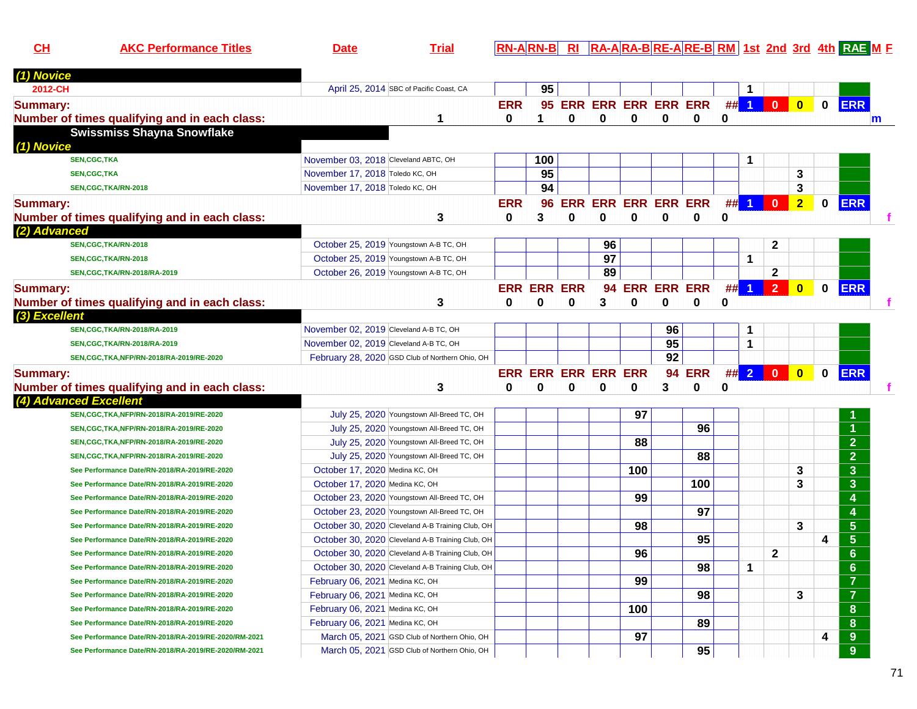**CHAKC Performance Titles Date Trial RN-A RN-B RI RA-A RA-B RE-A RE-B RM 1st 2nd 3rd 4th RAE <sup>M</sup> <sup>F</sup>**

| (1) Novice                                                                                                                                         |                                                  |            |                    |                                 |          |          |                        |                        |          |                      |                |                |             |                                    |
|----------------------------------------------------------------------------------------------------------------------------------------------------|--------------------------------------------------|------------|--------------------|---------------------------------|----------|----------|------------------------|------------------------|----------|----------------------|----------------|----------------|-------------|------------------------------------|
| 2012-CH                                                                                                                                            | April 25, 2014 SBC of Pacific Coast, CA          |            | 95                 |                                 |          |          |                        |                        |          | 1                    |                |                |             |                                    |
| <b>Summary:</b>                                                                                                                                    |                                                  | <b>ERR</b> |                    |                                 |          |          |                        | 95 ERR ERR ERR ERR ERR |          | $##$ 1               | $\mathbf{0}$   | $\bullet$      | $\mathbf 0$ | <b>ERR</b>                         |
| Number of times qualifying and in each class:                                                                                                      | 1                                                | $\bf{0}$   | 1                  | $\bf{0}$                        | $\bf{0}$ | $\bf{0}$ | $\bf{0}$               | $\mathbf{0}$           | $\bf{0}$ |                      |                |                |             |                                    |
| <b>Swissmiss Shayna Snowflake</b>                                                                                                                  |                                                  |            |                    |                                 |          |          |                        |                        |          |                      |                |                |             |                                    |
| (1) Novice                                                                                                                                         |                                                  |            |                    |                                 |          |          |                        |                        |          |                      |                |                |             |                                    |
| <b>SEN,CGC,TKA</b>                                                                                                                                 | November 03, 2018 Cleveland ABTC, OH             |            | 100                |                                 |          |          |                        |                        |          | 1                    |                |                |             |                                    |
| <b>SEN,CGC,TKA</b>                                                                                                                                 | November 17, 2018 Toledo KC, OH                  |            | $\overline{95}$    |                                 |          |          |                        |                        |          |                      |                | 3              |             |                                    |
| SEN,CGC,TKA/RN-2018                                                                                                                                | November 17, 2018 Toledo KC, OH                  |            | 94                 |                                 |          |          |                        |                        |          |                      |                | 3              |             |                                    |
| <b>Summary:</b>                                                                                                                                    |                                                  | <b>ERR</b> | 96                 | <b>ERR</b>                      |          |          | <b>ERR ERR ERR ERR</b> |                        | ##       | $\blacktriangleleft$ | $\mathbf{0}$   | $\overline{2}$ | $\bf{0}$    | <b>ERR</b>                         |
| Number of times qualifying and in each class:                                                                                                      | 3                                                | 0          | 3                  | $\bf{0}$                        | $\bf{0}$ | 0        | $\mathbf 0$            | 0                      | $\bf{0}$ |                      |                |                |             |                                    |
| (2) Advanced                                                                                                                                       |                                                  |            |                    |                                 |          |          |                        |                        |          |                      |                |                |             |                                    |
| SEN,CGC,TKA/RN-2018                                                                                                                                | October 25, 2019 Youngstown A-B TC, OH           |            |                    |                                 | 96       |          |                        |                        |          |                      | $\mathbf{2}$   |                |             |                                    |
| SEN, CGC, TKA/RN-2018                                                                                                                              | October 25, 2019 Youngstown A-B TC, OH           |            |                    |                                 | 97       |          |                        |                        |          | $\mathbf{1}$         |                |                |             |                                    |
| SEN, CGC, TKA/RN-2018/RA-2019                                                                                                                      | October 26, 2019 Youngstown A-B TC, OH           |            |                    |                                 | 89       |          |                        |                        |          |                      | $\mathbf{2}$   |                |             |                                    |
| <b>Summary:</b>                                                                                                                                    |                                                  |            | <b>ERR ERR ERR</b> |                                 |          |          | <b>94 ERR ERR ERR</b>  |                        | ##       | $\blacktriangleleft$ | $\overline{2}$ | $\mathbf{0}$   | $\bf{0}$    | <b>ERR</b>                         |
| Number of times qualifying and in each class:                                                                                                      | 3                                                | 0          | 0                  | 0                               | 3        | 0        | 0                      | 0                      | 0        |                      |                |                |             |                                    |
| (3) Excellent                                                                                                                                      |                                                  |            |                    |                                 |          |          |                        |                        |          |                      |                |                |             |                                    |
|                                                                                                                                                    | November 02, 2019 Cleveland A-B TC, OH           |            |                    |                                 |          |          | 96                     |                        |          | 1                    |                |                |             |                                    |
| SEN, CGC, TKA/RN-2018/RA-2019                                                                                                                      |                                                  |            |                    |                                 |          |          |                        |                        |          |                      |                |                |             |                                    |
| SEN, CGC, TKA/RN-2018/RA-2019                                                                                                                      | November 02, 2019 Cleveland A-B TC, OH           |            |                    |                                 |          |          | $\overline{95}$        |                        |          | 1                    |                |                |             |                                    |
| SEN, CGC, TKA, NFP/RN-2018/RA-2019/RE-2020                                                                                                         | February 28, 2020 GSD Club of Northern Ohio, OH  |            |                    |                                 |          |          | 92                     |                        |          |                      |                |                |             |                                    |
|                                                                                                                                                    |                                                  |            |                    |                                 |          |          |                        |                        |          |                      |                |                |             |                                    |
|                                                                                                                                                    |                                                  | 0          | 0                  | <b>ERR ERR ERR ERR ERR</b><br>0 | 0        | 0        | 3                      | <b>94 ERR</b><br>0     | $\bf{0}$ |                      | $\#$ 2 0       | $\bullet$      | $\mathbf 0$ | <b>ERR</b>                         |
|                                                                                                                                                    | 3                                                |            |                    |                                 |          |          |                        |                        |          |                      |                |                |             |                                    |
| SEN, CGC, TKA, NFP/RN-2018/RA-2019/RE-2020                                                                                                         | July 25, 2020 Youngstown All-Breed TC, OH        |            |                    |                                 |          | 97       |                        |                        |          |                      |                |                |             |                                    |
| SEN, CGC, TKA, NFP/RN-2018/RA-2019/RE-2020                                                                                                         | July 25, 2020 Youngstown All-Breed TC, OH        |            |                    |                                 |          |          |                        | 96                     |          |                      |                |                |             | $\overline{1}$                     |
| SEN, CGC, TKA, NFP/RN-2018/RA-2019/RE-2020                                                                                                         | July 25, 2020 Youngstown All-Breed TC, OH        |            |                    |                                 |          | 88       |                        |                        |          |                      |                |                |             | $\overline{2}$                     |
| SEN, CGC, TKA, NFP/RN-2018/RA-2019/RE-2020                                                                                                         | July 25, 2020 Youngstown All-Breed TC, OH        |            |                    |                                 |          |          |                        | 88                     |          |                      |                |                |             | $\overline{2}$                     |
| See Performance Date/RN-2018/RA-2019/RE-2020                                                                                                       | October 17, 2020 Medina KC, OH                   |            |                    |                                 |          | 100      |                        |                        |          |                      |                | 3              |             | $\overline{\mathbf{3}}$            |
| See Performance Date/RN-2018/RA-2019/RE-2020                                                                                                       | October 17, 2020 Medina KC, OH                   |            |                    |                                 |          |          |                        | 100                    |          |                      |                | 3              |             | $\overline{\mathbf{3}}$            |
| See Performance Date/RN-2018/RA-2019/RE-2020                                                                                                       | October 23, 2020 Youngstown All-Breed TC, OH     |            |                    |                                 |          | 99       |                        |                        |          |                      |                |                |             | $\overline{\mathbf{4}}$            |
| See Performance Date/RN-2018/RA-2019/RE-2020                                                                                                       | October 23, 2020 Youngstown All-Breed TC, OH     |            |                    |                                 |          |          |                        | 97                     |          |                      |                |                |             | $\overline{4}$                     |
| See Performance Date/RN-2018/RA-2019/RE-2020                                                                                                       | October 30, 2020 Cleveland A-B Training Club, OH |            |                    |                                 |          | 98       |                        |                        |          |                      |                | 3              |             | $\overline{5}$                     |
| See Performance Date/RN-2018/RA-2019/RE-2020                                                                                                       | October 30, 2020 Cleveland A-B Training Club, OH |            |                    |                                 |          |          |                        | 95                     |          |                      |                |                | 4           | $\overline{\overline{\mathbf{5}}}$ |
| See Performance Date/RN-2018/RA-2019/RE-2020                                                                                                       | October 30, 2020 Cleveland A-B Training Club, OH |            |                    |                                 |          | 96       |                        |                        |          |                      | $\overline{2}$ |                |             | $6\phantom{a}$                     |
| See Performance Date/RN-2018/RA-2019/RE-2020                                                                                                       | October 30, 2020 Cleveland A-B Training Club, OH |            |                    |                                 |          |          |                        | 98                     |          | $\mathbf 1$          |                |                |             | $6\phantom{a}$                     |
| See Performance Date/RN-2018/RA-2019/RE-2020                                                                                                       | February 06, 2021 Medina KC, OH                  |            |                    |                                 |          | 99       |                        |                        |          |                      |                |                |             | $\overline{7}$                     |
| See Performance Date/RN-2018/RA-2019/RE-2020                                                                                                       | February 06, 2021 Medina KC, OH                  |            |                    |                                 |          |          |                        | 98                     |          |                      |                | 3              |             | $\overline{7}$                     |
| See Performance Date/RN-2018/RA-2019/RE-2020                                                                                                       | February 06, 2021 Medina KC, OH                  |            |                    |                                 |          | 100      |                        |                        |          |                      |                |                |             | 8                                  |
| See Performance Date/RN-2018/RA-2019/RE-2020                                                                                                       | February 06, 2021 Medina KC, OH                  |            |                    |                                 |          |          |                        | 89                     |          |                      |                |                |             | 8                                  |
| <b>Summary:</b><br>Number of times qualifying and in each class:<br>(4) Advanced Excellent<br>See Performance Date/RN-2018/RA-2019/RE-2020/RM-2021 | March 05, 2021 GSD Club of Northern Ohio, OH     |            |                    |                                 |          | 97       |                        |                        |          |                      |                |                | 4           | $\boldsymbol{9}$                   |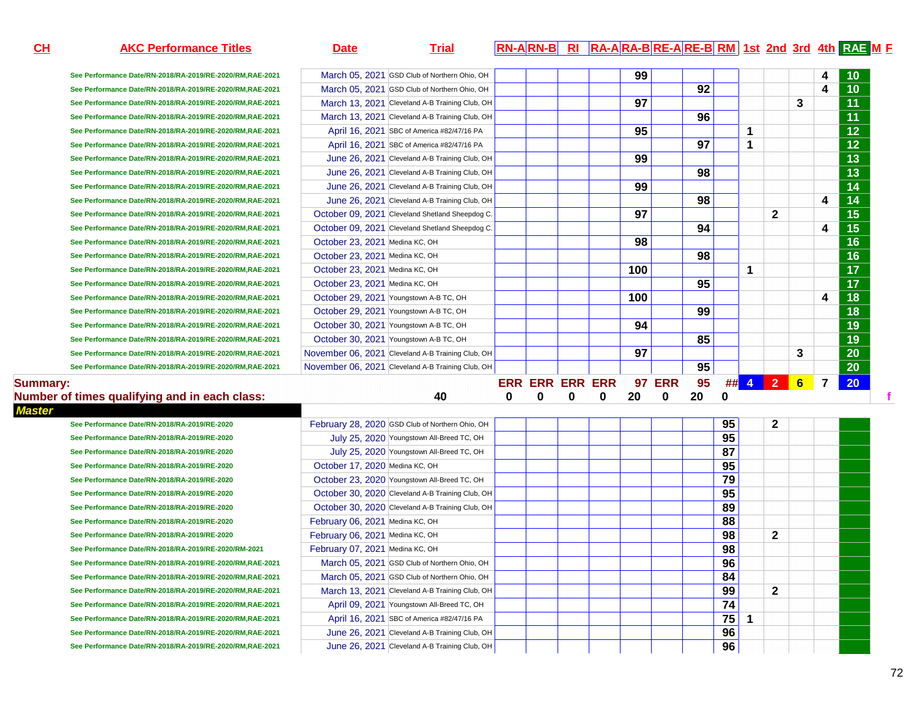| CH              | <b>AKC Performance Titles</b>                            | <b>Date</b>                     | <b>Trial</b>                                      |   |                        |   |          |     |               |    |          |    |              |                |                | RN-ARN-B RI RA-ARA-BRE-ARE-BRM 1st 2nd 3rd 4th RAE M E |  |
|-----------------|----------------------------------------------------------|---------------------------------|---------------------------------------------------|---|------------------------|---|----------|-----|---------------|----|----------|----|--------------|----------------|----------------|--------------------------------------------------------|--|
|                 | See Performance Date/RN-2018/RA-2019/RE-2020/RM.RAE-2021 |                                 | March 05, 2021 GSD Club of Northern Ohio, OH      |   |                        |   |          | 99  |               |    |          |    |              |                |                |                                                        |  |
|                 | See Performance Date/RN-2018/RA-2019/RE-2020/RM,RAE-2021 |                                 | March 05, 2021 GSD Club of Northern Ohio, OH      |   |                        |   |          |     |               | 92 |          |    |              |                | 4              | $\overline{10}$                                        |  |
|                 | See Performance Date/RN-2018/RA-2019/RE-2020/RM,RAE-2021 |                                 | March 13, 2021 Cleveland A-B Training Club, OH    |   |                        |   |          | 97  |               |    |          |    |              | 3              |                | $\overline{11}$                                        |  |
|                 | See Performance Date/RN-2018/RA-2019/RE-2020/RM,RAE-2021 |                                 | March 13, 2021 Cleveland A-B Training Club, OH    |   |                        |   |          |     |               | 96 |          |    |              |                |                | 11                                                     |  |
|                 | See Performance Date/RN-2018/RA-2019/RE-2020/RM,RAE-2021 |                                 | April 16, 2021 SBC of America #82/47/16 PA        |   |                        |   |          | 95  |               |    |          | 1  |              |                |                | $\overline{12}$                                        |  |
|                 | See Performance Date/RN-2018/RA-2019/RE-2020/RM,RAE-2021 |                                 | April 16, 2021 SBC of America #82/47/16 PA        |   |                        |   |          |     |               | 97 |          | 1  |              |                |                | $\overline{12}$                                        |  |
|                 | See Performance Date/RN-2018/RA-2019/RE-2020/RM,RAE-2021 |                                 | June 26, 2021 Cleveland A-B Training Club, OH     |   |                        |   |          | 99  |               |    |          |    |              |                |                | $\overline{13}$                                        |  |
|                 | See Performance Date/RN-2018/RA-2019/RE-2020/RM,RAE-2021 |                                 | June 26, 2021 Cleveland A-B Training Club, OH     |   |                        |   |          |     |               | 98 |          |    |              |                |                | $\overline{13}$                                        |  |
|                 | See Performance Date/RN-2018/RA-2019/RE-2020/RM,RAE-2021 |                                 | June 26, 2021 Cleveland A-B Training Club, OH     |   |                        |   |          | 99  |               |    |          |    |              |                |                | $\overline{14}$                                        |  |
|                 | See Performance Date/RN-2018/RA-2019/RE-2020/RM,RAE-2021 |                                 | June 26, 2021 Cleveland A-B Training Club, OH     |   |                        |   |          |     |               | 98 |          |    |              |                | 4              | $\overline{14}$                                        |  |
|                 |                                                          |                                 | October 09, 2021 Cleveland Shetland Sheepdog C.   |   |                        |   |          | 97  |               |    |          |    | $\mathbf{2}$ |                |                | $\overline{15}$                                        |  |
|                 | See Performance Date/RN-2018/RA-2019/RE-2020/RM,RAE-2021 |                                 |                                                   |   |                        |   |          |     |               | 94 |          |    |              |                |                | $\overline{15}$                                        |  |
|                 | See Performance Date/RN-2018/RA-2019/RE-2020/RM,RAE-2021 |                                 | October 09, 2021 Cleveland Shetland Sheepdog C.   |   |                        |   |          |     |               |    |          |    |              |                | 4              | $\overline{16}$                                        |  |
|                 | See Performance Date/RN-2018/RA-2019/RE-2020/RM,RAE-2021 | October 23, 2021 Medina KC, OH  |                                                   |   |                        |   |          | 98  |               |    |          |    |              |                |                |                                                        |  |
|                 | See Performance Date/RN-2018/RA-2019/RE-2020/RM,RAE-2021 | October 23, 2021 Medina KC, OH  |                                                   |   |                        |   |          |     |               | 98 |          |    |              |                |                | $\overline{16}$                                        |  |
|                 | See Performance Date/RN-2018/RA-2019/RE-2020/RM,RAE-2021 | October 23, 2021 Medina KC, OH  |                                                   |   |                        |   |          | 100 |               |    |          | 1  |              |                |                | $\overline{17}$                                        |  |
|                 | See Performance Date/RN-2018/RA-2019/RE-2020/RM,RAE-2021 | October 23, 2021 Medina KC, OH  |                                                   |   |                        |   |          |     |               | 95 |          |    |              |                |                | $\overline{17}$                                        |  |
|                 | See Performance Date/RN-2018/RA-2019/RE-2020/RM,RAE-2021 |                                 | October 29, 2021 Youngstown A-B TC, OH            |   |                        |   |          | 100 |               |    |          |    |              |                | 4              | $\overline{18}$                                        |  |
|                 | See Performance Date/RN-2018/RA-2019/RE-2020/RM,RAE-2021 |                                 | October 29, 2021 Youngstown A-B TC, OH            |   |                        |   |          |     |               | 99 |          |    |              |                |                | $\overline{18}$                                        |  |
|                 | See Performance Date/RN-2018/RA-2019/RE-2020/RM,RAE-2021 |                                 | October 30, 2021 Youngstown A-B TC, OH            |   |                        |   |          | 94  |               |    |          |    |              |                |                | $\overline{19}$                                        |  |
|                 | See Performance Date/RN-2018/RA-2019/RE-2020/RM,RAE-2021 |                                 | October 30, 2021 Youngstown A-B TC, OH            |   |                        |   |          |     |               | 85 |          |    |              |                |                | $\overline{19}$                                        |  |
|                 | See Performance Date/RN-2018/RA-2019/RE-2020/RM,RAE-2021 |                                 | November 06, 2021 Cleveland A-B Training Club, OH |   |                        |   |          | 97  |               |    |          |    |              | 3              |                | $\overline{20}$                                        |  |
|                 | See Performance Date/RN-2018/RA-2019/RE-2020/RM,RAE-2021 |                                 | November 06, 2021 Cleveland A-B Training Club, OH |   |                        |   |          |     |               | 95 |          |    |              |                |                | $\overline{20}$                                        |  |
| <b>Summary:</b> |                                                          |                                 |                                                   |   | <b>ERR ERR ERR ERR</b> |   |          |     | <b>97 ERR</b> | 95 |          |    | ## 4 2       | $6\phantom{1}$ | $\overline{7}$ | 20                                                     |  |
|                 | Number of times qualifying and in each class:            |                                 | 40                                                | 0 | 0                      | 0 | $\bf{0}$ | 20  | 0             | 20 | $\bf{0}$ |    |              |                |                |                                                        |  |
| <b>Master</b>   |                                                          |                                 |                                                   |   |                        |   |          |     |               |    |          |    |              |                |                |                                                        |  |
|                 | See Performance Date/RN-2018/RA-2019/RE-2020             |                                 | February 28, 2020 GSD Club of Northern Ohio, OH   |   |                        |   |          |     |               |    | 95       |    | 2            |                |                |                                                        |  |
|                 | See Performance Date/RN-2018/RA-2019/RE-2020             |                                 | July 25, 2020 Youngstown All-Breed TC, OH         |   |                        |   |          |     |               |    | 95       |    |              |                |                |                                                        |  |
|                 | See Performance Date/RN-2018/RA-2019/RE-2020             |                                 | July 25, 2020 Youngstown All-Breed TC, OH         |   |                        |   |          |     |               |    | 87       |    |              |                |                |                                                        |  |
|                 | See Performance Date/RN-2018/RA-2019/RE-2020             | October 17, 2020 Medina KC, OH  |                                                   |   |                        |   |          |     |               |    | 95       |    |              |                |                |                                                        |  |
|                 | See Performance Date/RN-2018/RA-2019/RE-2020             |                                 | October 23, 2020 Youngstown All-Breed TC, OH      |   |                        |   |          |     |               |    | 79       |    |              |                |                |                                                        |  |
|                 | See Performance Date/RN-2018/RA-2019/RE-2020             |                                 | October 30, 2020 Cleveland A-B Training Club, OH  |   |                        |   |          |     |               |    | 95       |    |              |                |                |                                                        |  |
|                 | See Performance Date/RN-2018/RA-2019/RE-2020             |                                 | October 30, 2020 Cleveland A-B Training Club, OH  |   |                        |   |          |     |               |    | 89       |    |              |                |                |                                                        |  |
|                 | See Performance Date/RN-2018/RA-2019/RE-2020             | February 06, 2021 Medina KC, OH |                                                   |   |                        |   |          |     |               |    | 88       |    |              |                |                |                                                        |  |
|                 | See Performance Date/RN-2018/RA-2019/RE-2020             | February 06, 2021 Medina KC, OH |                                                   |   |                        |   |          |     |               |    | 98       |    | 2            |                |                |                                                        |  |
|                 | See Performance Date/RN-2018/RA-2019/RE-2020/RM-2021     | February 07, 2021 Medina KC, OH |                                                   |   |                        |   |          |     |               |    | 98       |    |              |                |                |                                                        |  |
|                 | See Performance Date/RN-2018/RA-2019/RE-2020/RM,RAE-2021 |                                 | March 05, 2021 GSD Club of Northern Ohio, OH      |   |                        |   |          |     |               |    | 96       |    |              |                |                |                                                        |  |
|                 | See Performance Date/RN-2018/RA-2019/RE-2020/RM,RAE-2021 |                                 | March 05, 2021 GSD Club of Northern Ohio, OH      |   |                        |   |          |     |               |    | 84       |    |              |                |                |                                                        |  |
|                 | See Performance Date/RN-2018/RA-2019/RE-2020/RM,RAE-2021 |                                 | March 13, 2021 Cleveland A-B Training Club, OH    |   |                        |   |          |     |               |    | 99       |    | $\mathbf{2}$ |                |                |                                                        |  |
|                 | See Performance Date/RN-2018/RA-2019/RE-2020/RM,RAE-2021 |                                 | April 09, 2021 Youngstown All-Breed TC, OH        |   |                        |   |          |     |               |    | 74       |    |              |                |                |                                                        |  |
|                 | See Performance Date/RN-2018/RA-2019/RE-2020/RM,RAE-2021 |                                 | April 16, 2021 SBC of America #82/47/16 PA        |   |                        |   |          |     |               |    | 75       | -1 |              |                |                |                                                        |  |
|                 | See Performance Date/RN-2018/RA-2019/RE-2020/RM,RAE-2021 |                                 | June 26, 2021 Cleveland A-B Training Club, OH     |   |                        |   |          |     |               |    | 96       |    |              |                |                |                                                        |  |
|                 | See Performance Date/RN-2018/RA-2019/RE-2020/RM,RAE-2021 |                                 | June 26, 2021 Cleveland A-B Training Club, OH     |   |                        |   |          |     |               |    | 96       |    |              |                |                |                                                        |  |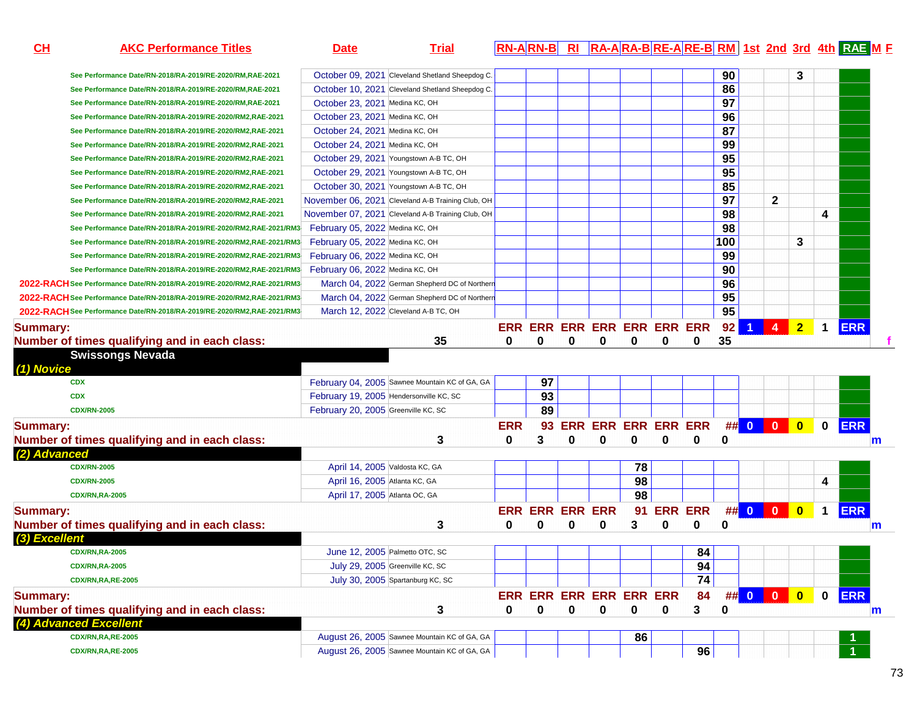| $CH$<br><b>AKC Performance Titles</b>                                   | <b>Trial</b><br><b>Date</b>                       |            | $RN-A$ $RN-B$               |   |                     |          |   |            |     |                |                |                |                      | RI RA-ARA-BRE-ARE-BRM 1st 2nd 3rd 4th RAE M F |
|-------------------------------------------------------------------------|---------------------------------------------------|------------|-----------------------------|---|---------------------|----------|---|------------|-----|----------------|----------------|----------------|----------------------|-----------------------------------------------|
| See Performance Date/RN-2018/RA-2019/RE-2020/RM,RAE-2021                | October 09, 2021 Cleveland Shetland Sheepdog C.   |            |                             |   |                     |          |   |            | 90  |                |                | 3              |                      |                                               |
| See Performance Date/RN-2018/RA-2019/RE-2020/RM,RAE-2021                | October 10, 2021 Cleveland Shetland Sheepdog C.   |            |                             |   |                     |          |   |            | 86  |                |                |                |                      |                                               |
| See Performance Date/RN-2018/RA-2019/RE-2020/RM,RAE-2021                | October 23, 2021 Medina KC, OH                    |            |                             |   |                     |          |   |            | 97  |                |                |                |                      |                                               |
| See Performance Date/RN-2018/RA-2019/RE-2020/RM2,RAE-2021               | October 23, 2021 Medina KC, OH                    |            |                             |   |                     |          |   |            | 96  |                |                |                |                      |                                               |
| See Performance Date/RN-2018/RA-2019/RE-2020/RM2,RAE-2021               | October 24, 2021 Medina KC, OH                    |            |                             |   |                     |          |   |            | 87  |                |                |                |                      |                                               |
| See Performance Date/RN-2018/RA-2019/RE-2020/RM2,RAE-2021               | October 24, 2021 Medina KC, OH                    |            |                             |   |                     |          |   |            | 99  |                |                |                |                      |                                               |
| See Performance Date/RN-2018/RA-2019/RE-2020/RM2,RAE-2021               | October 29, 2021 Youngstown A-B TC, OH            |            |                             |   |                     |          |   |            | 95  |                |                |                |                      |                                               |
| See Performance Date/RN-2018/RA-2019/RE-2020/RM2,RAE-2021               | October 29, 2021 Youngstown A-B TC, OH            |            |                             |   |                     |          |   |            | 95  |                |                |                |                      |                                               |
| See Performance Date/RN-2018/RA-2019/RE-2020/RM2,RAE-2021               | October 30, 2021 Youngstown A-B TC, OH            |            |                             |   |                     |          |   |            | 85  |                |                |                |                      |                                               |
| See Performance Date/RN-2018/RA-2019/RE-2020/RM2,RAE-2021               | November 06, 2021 Cleveland A-B Training Club, OH |            |                             |   |                     |          |   |            | 97  |                | $\mathbf{2}$   |                |                      |                                               |
| See Performance Date/RN-2018/RA-2019/RE-2020/RM2,RAE-2021               | November 07, 2021 Cleveland A-B Training Club, OH |            |                             |   |                     |          |   |            | 98  |                |                |                | 4                    |                                               |
| See Performance Date/RN-2018/RA-2019/RE-2020/RM2,RAE-2021/RM3           | February 05, 2022 Medina KC, OH                   |            |                             |   |                     |          |   |            | 98  |                |                |                |                      |                                               |
| See Performance Date/RN-2018/RA-2019/RE-2020/RM2,RAE-2021/RM3           | February 05, 2022 Medina KC, OH                   |            |                             |   |                     |          |   |            | 100 |                |                | 3              |                      |                                               |
| See Performance Date/RN-2018/RA-2019/RE-2020/RM2,RAE-2021/RM3           | February 06, 2022 Medina KC, OH                   |            |                             |   |                     |          |   |            | 99  |                |                |                |                      |                                               |
| See Performance Date/RN-2018/RA-2019/RE-2020/RM2,RAE-2021/RM3           | February 06, 2022 Medina KC, OH                   |            |                             |   |                     |          |   |            | 90  |                |                |                |                      |                                               |
| 2022-RACH See Performance Date/RN-2018/RA-2019/RE-2020/RM2,RAE-2021/RM3 | March 04, 2022 German Shepherd DC of Northern     |            |                             |   |                     |          |   |            | 96  |                |                |                |                      |                                               |
| 2022-RACH See Performance Date/RN-2018/RA-2019/RE-2020/RM2,RAE-2021/RM3 | March 04, 2022 German Shepherd DC of Northern     |            |                             |   |                     |          |   |            | 95  |                |                |                |                      |                                               |
| 2022-RACH See Performance Date/RN-2018/RA-2019/RE-2020/RM2,RAE-2021/RM3 | March 12, 2022 Cleveland A-B TC, OH               |            |                             |   |                     |          |   |            | 95  |                |                |                |                      |                                               |
| <b>Summary:</b>                                                         |                                                   |            | ERR ERR ERR ERR ERR ERR ERR |   |                     |          |   |            | 92  | $\overline{1}$ | 4 <sup>1</sup> | $\overline{2}$ | $\mathbf 1$          | <b>ERR</b>                                    |
| Number of times qualifying and in each class:                           | 35                                                | 0          | 0                           | 0 | 0                   | 0        | 0 | 0          | 35  |                |                |                |                      |                                               |
| <b>Swissongs Nevada</b><br>(1) Novice                                   |                                                   |            |                             |   |                     |          |   |            |     |                |                |                |                      |                                               |
| <b>CDX</b>                                                              | February 04, 2005 Sawnee Mountain KC of GA, GA    |            | 97                          |   |                     |          |   |            |     |                |                |                |                      |                                               |
| <b>CDX</b>                                                              | February 19, 2005 Hendersonville KC, SC           |            | 93                          |   |                     |          |   |            |     |                |                |                |                      |                                               |
| <b>CDX/RN-2005</b>                                                      | February 20, 2005 Greenville KC, SC               |            | 89                          |   |                     |          |   |            |     |                |                |                |                      |                                               |
| <b>Summary:</b>                                                         |                                                   | <b>ERR</b> | 93                          |   | ERR ERR ERR ERR ERR |          |   |            |     | ## 0 0 0       |                |                | $\mathbf 0$          | <b>ERR</b>                                    |
| Number of times qualifying and in each class:                           | 3                                                 | 0          | 3                           | 0 | $\bf{0}$            | $\bf{0}$ | 0 | 0          | 0   |                |                |                |                      | $\mathsf{m}$                                  |
| (2) Advanced                                                            |                                                   |            |                             |   |                     |          |   |            |     |                |                |                |                      |                                               |
| <b>CDX/RN-2005</b>                                                      | April 14, 2005 Valdosta KC, GA                    |            |                             |   |                     | 78       |   |            |     |                |                |                |                      |                                               |
| <b>CDX/RN-2005</b>                                                      | April 16, 2005 Atlanta KC, GA                     |            |                             |   |                     | 98       |   |            |     |                |                |                | 4                    |                                               |
| <b>CDX/RN,RA-2005</b>                                                   | April 17, 2005 Atlanta OC, GA                     |            |                             |   |                     | 98       |   |            |     |                |                |                |                      |                                               |
| <b>Summary:</b>                                                         |                                                   |            | <b>ERR ERR ERR ERR</b>      |   |                     |          |   | 91 ERR ERR |     | ## 0 0 0       |                |                | $\blacktriangleleft$ | <b>ERR</b>                                    |
| Number of times qualifying and in each class:                           | 3                                                 | 0          | 0                           | 0 | 0                   | 3        | 0 | 0          | 0   |                |                |                |                      | m                                             |
| (3) Excellent                                                           |                                                   |            |                             |   |                     |          |   |            |     |                |                |                |                      |                                               |
| <b>CDX/RN.RA-2005</b>                                                   | June 12, 2005 Palmetto OTC, SC                    |            |                             |   |                     |          |   | 84         |     |                |                |                |                      |                                               |
| <b>CDX/RN,RA-2005</b>                                                   | July 29, 2005 Greenville KC, SC                   |            |                             |   |                     |          |   | 94         |     |                |                |                |                      |                                               |
| <b>CDX/RN,RA,RE-2005</b>                                                | July 30, 2005 Spartanburg KC, SC                  |            |                             |   |                     |          |   | 74         |     |                |                |                |                      |                                               |
| <b>Summary:</b>                                                         |                                                   |            | ERR ERR ERR ERR ERR ERR     |   |                     |          |   | 84         |     | ## 0 0 0       |                | $\bullet$      | $\mathbf 0$          | <b>ERR</b>                                    |
| Number of times qualifying and in each class:                           | 3                                                 | 0          | 0                           | 0 | 0                   | 0        | 0 | 3          | 0   |                |                |                |                      | m                                             |
| (4) Advanced Excellent                                                  |                                                   |            |                             |   |                     |          |   |            |     |                |                |                |                      |                                               |
| <b>CDX/RN,RA,RE-2005</b>                                                | August 26, 2005 Sawnee Mountain KC of GA, GA      |            |                             |   |                     | 86       |   |            |     |                |                |                |                      |                                               |
| <b>CDX/RN,RA,RE-2005</b>                                                | August 26, 2005 Sawnee Mountain KC of GA, GA      |            |                             |   |                     |          |   | 96         |     |                |                |                |                      |                                               |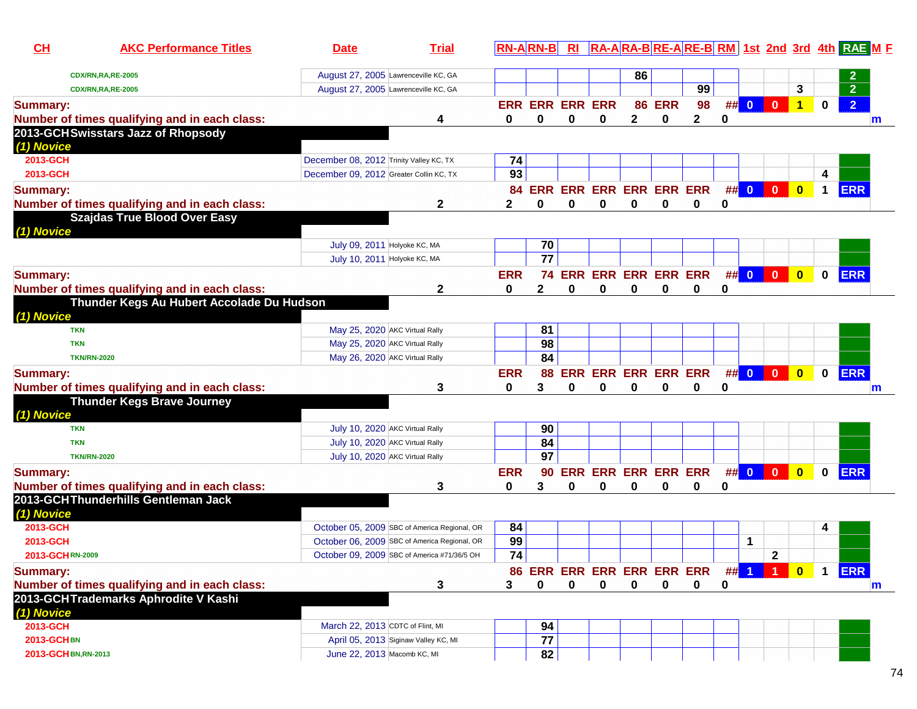| CH<br><b>AKC Performance Titles</b>                     | <b>Date</b>                             | <b>Trial</b>                                 | $RN-A$ $RN-B$   |                        | Rl |                            |          |               |    |   |      |                |                         |              | RA-ARA-BRE-ARE-BRM 1st 2nd 3rd 4th RAE ME |
|---------------------------------------------------------|-----------------------------------------|----------------------------------------------|-----------------|------------------------|----|----------------------------|----------|---------------|----|---|------|----------------|-------------------------|--------------|-------------------------------------------|
| <b>CDX/RN,RA,RE-2005</b>                                | August 27, 2005 Lawrenceville KC, GA    |                                              |                 |                        |    |                            | 86       |               |    |   |      |                |                         |              | 2                                         |
| <b>CDX/RN,RA,RE-2005</b>                                | August 27, 2005 Lawrenceville KC, GA    |                                              |                 |                        |    |                            |          |               | 99 |   |      |                | 3                       |              | $\overline{2}$                            |
| <b>Summary:</b>                                         |                                         |                                              |                 | <b>ERR ERR ERR ERR</b> |    |                            |          | <b>86 ERR</b> | 98 |   | ## 0 | $\mathbf{0}$   | $\overline{1}$          | $\mathbf 0$  | $\overline{2}$                            |
| Number of times qualifying and in each class:           |                                         | 4                                            | 0               | 0                      | 0  | 0                          | 2        | 0             | 2  | 0 |      |                |                         |              | m                                         |
| 2013-GCHSwisstars Jazz of Rhopsody<br>(1) Novice        |                                         |                                              |                 |                        |    |                            |          |               |    |   |      |                |                         |              |                                           |
| 2013-GCH                                                | December 08, 2012 Trinity Valley KC, TX |                                              | 74              |                        |    |                            |          |               |    |   |      |                |                         |              |                                           |
| 2013-GCH                                                | December 09, 2012 Greater Collin KC, TX |                                              | 93              |                        |    |                            |          |               |    |   |      |                |                         | 4            |                                           |
| <b>Summary:</b>                                         |                                         |                                              |                 |                        |    | 84 ERR ERR ERR ERR ERR ERR |          |               |    |   | ## 0 | $\overline{0}$ | $\overline{\mathbf{0}}$ | $\mathbf 1$  | <b>ERR</b>                                |
| Number of times qualifying and in each class:           |                                         | $\mathbf{2}$                                 | $\mathbf{2}$    | 0                      | 0  | $\bf{0}$                   | $\bf{0}$ | $\bf{0}$      | 0  | 0 |      |                |                         |              |                                           |
| <b>Szajdas True Blood Over Easy</b>                     |                                         |                                              |                 |                        |    |                            |          |               |    |   |      |                |                         |              |                                           |
| (1) Novice                                              |                                         |                                              |                 |                        |    |                            |          |               |    |   |      |                |                         |              |                                           |
|                                                         | July 09, 2011 Holyoke KC, MA            |                                              |                 | 70                     |    |                            |          |               |    |   |      |                |                         |              |                                           |
|                                                         | July 10, 2011 Holyoke KC, MA            |                                              |                 | $\overline{77}$        |    |                            |          |               |    |   |      |                |                         |              |                                           |
| <b>Summary:</b>                                         |                                         |                                              | <b>ERR</b>      | 74                     |    | <b>ERR ERR ERR ERR ERR</b> |          |               |    |   |      | ## 0 0 0       | $\overline{\mathbf{0}}$ | $\mathbf 0$  | <b>ERR</b>                                |
| Number of times qualifying and in each class:           |                                         | 2                                            | 0               | 2                      | 0  | 0                          | 0        | $\bf{0}$      | 0  | 0 |      |                |                         |              |                                           |
| Thunder Kegs Au Hubert Accolade Du Hudson<br>(1) Novice |                                         |                                              |                 |                        |    |                            |          |               |    |   |      |                |                         |              |                                           |
| <b>TKN</b>                                              | May 25, 2020 AKC Virtual Rally          |                                              |                 | 81                     |    |                            |          |               |    |   |      |                |                         |              |                                           |
| <b>TKN</b>                                              | May 25, 2020 AKC Virtual Rally          |                                              |                 | 98                     |    |                            |          |               |    |   |      |                |                         |              |                                           |
| <b>TKN/RN-2020</b>                                      | May 26, 2020 AKC Virtual Rally          |                                              |                 | 84                     |    |                            |          |               |    |   |      |                |                         |              |                                           |
| <b>Summary:</b>                                         |                                         |                                              | <b>ERR</b>      | 88                     |    | ERR ERR ERR ERR ERR        |          |               |    |   |      | ## 0 0         | $\overline{\mathbf{0}}$ | $\mathbf 0$  | ERR                                       |
| Number of times qualifying and in each class:           |                                         | 3                                            | 0               | 3                      | 0  | 0                          | 0        | 0             | 0  | 0 |      |                |                         |              | m                                         |
| <b>Thunder Kegs Brave Journey</b><br>(1) Novice         |                                         |                                              |                 |                        |    |                            |          |               |    |   |      |                |                         |              |                                           |
| <b>TKN</b>                                              | July 10, 2020 AKC Virtual Rally         |                                              |                 | 90                     |    |                            |          |               |    |   |      |                |                         |              |                                           |
| <b>TKN</b>                                              | July 10, 2020 AKC Virtual Rally         |                                              |                 | 84                     |    |                            |          |               |    |   |      |                |                         |              |                                           |
| <b>TKN/RN-2020</b>                                      | July 10, 2020 AKC Virtual Rally         |                                              |                 | $\overline{97}$        |    |                            |          |               |    |   |      |                |                         |              |                                           |
| <b>Summary:</b>                                         |                                         |                                              | <b>ERR</b>      | 90                     |    | ERR ERR ERR ERR ERR        |          |               |    |   |      | ## 0 0 0       | $\overline{\mathbf{0}}$ | $\mathbf{0}$ | <b>ERR</b>                                |
| Number of times qualifying and in each class:           |                                         | 3                                            | 0               | 3                      | 0  | 0                          | 0        | 0             | 0  | 0 |      |                |                         |              |                                           |
| 2013-GCHThunderhills Gentleman Jack<br>(1) Novice       |                                         |                                              |                 |                        |    |                            |          |               |    |   |      |                |                         |              |                                           |
| 2013-GCH                                                |                                         | October 05, 2009 SBC of America Regional, OR | 84              |                        |    |                            |          |               |    |   |      |                |                         | 4            |                                           |
| 2013-GCH                                                |                                         | October 06, 2009 SBC of America Regional, OR | 99              |                        |    |                            |          |               |    |   | 1    |                |                         |              |                                           |
| 2013-GCHRN-2009                                         |                                         | October 09, 2009 SBC of America #71/36/5 OH  | $\overline{74}$ |                        |    |                            |          |               |    |   |      | $\mathbf{2}$   |                         |              |                                           |
| <b>Summary:</b>                                         |                                         |                                              |                 |                        |    | 86 ERR ERR ERR ERR ERR ERR |          |               |    |   |      | ## 1   1       | $\mathbf{0}$            | $\mathbf 1$  | <b>ERR</b>                                |
| Number of times qualifying and in each class:           |                                         | 3                                            | 3               | 0                      | 0  | 0                          | 0        | 0             | 0  | 0 |      |                |                         |              | m                                         |
| 2013-GCHTrademarks Aphrodite V Kashi<br>(1) Novice      |                                         |                                              |                 |                        |    |                            |          |               |    |   |      |                |                         |              |                                           |
| 2013-GCH                                                | March 22, 2013 CDTC of Flint, MI        |                                              |                 | 94                     |    |                            |          |               |    |   |      |                |                         |              |                                           |
| <b>2013-GCHBN</b>                                       |                                         | April 05, 2013 Siginaw Valley KC, MI         |                 | 77                     |    |                            |          |               |    |   |      |                |                         |              |                                           |
| 2013-GCHBN, RN-2013                                     | June 22, 2013 Macomb KC, MI             |                                              |                 | 82                     |    |                            |          |               |    |   |      |                |                         |              |                                           |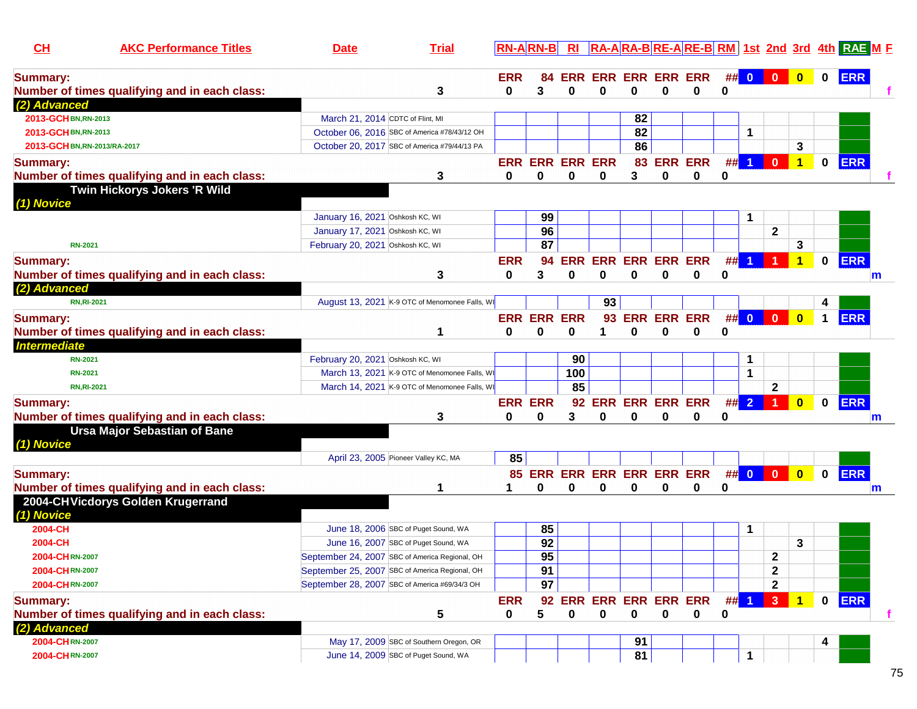| CL                           | <b>AKC Performance Titles</b>                 | <b>Date</b>                                    | <b>Trial</b> |                | $RN-A RN-B $           | Rl  |          |             |             |                            |    |                      |                      |                         |              | <b>RA-ARA-BRE-ARE-BRM</b> 1st 2nd 3rd 4th RAE M F |   |
|------------------------------|-----------------------------------------------|------------------------------------------------|--------------|----------------|------------------------|-----|----------|-------------|-------------|----------------------------|----|----------------------|----------------------|-------------------------|--------------|---------------------------------------------------|---|
| <b>Summary:</b>              |                                               |                                                |              | <b>ERR</b>     | 84                     |     |          |             |             | <b>ERR ERR ERR ERR ERR</b> |    |                      | ## 0 0               | $\bullet$               | $\mathbf 0$  | <b>ERR</b>                                        |   |
|                              | Number of times qualifying and in each class: |                                                | 3            | 0              | 3                      | 0   | 0        | 0           | 0           | 0                          | 0  |                      |                      |                         |              |                                                   |   |
| (2) Advanced                 |                                               |                                                |              |                |                        |     |          |             |             |                            |    |                      |                      |                         |              |                                                   |   |
| 2013-GCH BN, RN-2013         |                                               | March 21, 2014 CDTC of Flint, MI               |              |                |                        |     |          | 82          |             |                            |    |                      |                      |                         |              |                                                   |   |
| 2013-GCH BN, RN-2013         |                                               | October 06, 2016 SBC of America #78/43/12 OH   |              |                |                        |     |          | 82          |             |                            |    | 1                    |                      |                         |              |                                                   |   |
| 2013-GCH BN, RN-2013/RA-2017 |                                               | October 20, 2017 SBC of America #79/44/13 PA   |              |                |                        |     |          | 86          |             |                            |    |                      |                      | 3                       |              |                                                   |   |
| <b>Summary:</b>              |                                               |                                                |              |                | <b>ERR ERR ERR ERR</b> |     |          | 83          |             | <b>ERR ERR</b>             |    | ## 1                 | $\mathbf{0}$         | $\mathbf{1}$            | $\mathbf{0}$ | <b>ERR</b>                                        |   |
|                              | Number of times qualifying and in each class: |                                                | 3            | 0              | 0                      | 0   | 0        | 3           | 0           | 0                          | 0  |                      |                      |                         |              |                                                   |   |
|                              | Twin Hickorys Jokers 'R Wild                  |                                                |              |                |                        |     |          |             |             |                            |    |                      |                      |                         |              |                                                   |   |
| (1) Novice                   |                                               |                                                |              |                |                        |     |          |             |             |                            |    |                      |                      |                         |              |                                                   |   |
|                              |                                               | January 16, 2021 Oshkosh KC, WI                |              |                | 99                     |     |          |             |             |                            |    | -1                   |                      |                         |              |                                                   |   |
|                              |                                               | January 17, 2021 Oshkosh KC, WI                |              |                | 96                     |     |          |             |             |                            |    |                      | $\mathbf{2}$         |                         |              |                                                   |   |
| <b>RN-2021</b>               |                                               | February 20, 2021 Oshkosh KC, WI               |              |                | 87                     |     |          |             |             |                            |    |                      |                      | 3                       |              |                                                   |   |
| <b>Summary:</b>              |                                               |                                                |              | <b>ERR</b>     | 94                     |     |          |             |             | <b>ERR ERR ERR ERR ERR</b> | #  |                      |                      | 1                       | $\mathbf{0}$ | <b>ERR</b>                                        |   |
|                              | Number of times qualifying and in each class: |                                                | 3            | 0              | 3                      | 0   | 0        | 0           | $\bf{0}$    | 0                          | 0  |                      |                      |                         |              | m                                                 |   |
| (2) Advanced                 |                                               |                                                |              |                |                        |     |          |             |             |                            |    |                      |                      |                         |              |                                                   |   |
|                              | <b>RN, RI-2021</b>                            | August 13, 2021 K-9 OTC of Menomonee Falls, WI |              |                |                        |     | 93       |             |             |                            |    |                      |                      |                         |              |                                                   |   |
| <b>Summary:</b>              |                                               |                                                |              |                | <b>ERR ERR ERR</b>     |     |          |             |             | 93 ERR ERR ERR             |    |                      | ## 0 0 0             | $\overline{\mathbf{0}}$ | $\mathbf 1$  | <b>ERR</b>                                        |   |
|                              | Number of times qualifying and in each class: |                                                |              | 0              | $\bf{0}$               | 0   | 1        | $\bf{0}$    | 0           | 0                          | 0  |                      |                      |                         |              |                                                   |   |
| <b>Intermediate</b>          |                                               |                                                |              |                |                        |     |          |             |             |                            |    |                      |                      |                         |              |                                                   |   |
| <b>RN-2021</b>               |                                               | February 20, 2021 Oshkosh KC, WI               |              |                |                        | 90  |          |             |             |                            |    | $\mathbf 1$          |                      |                         |              |                                                   |   |
| <b>RN-2021</b>               |                                               | March 13, 2021 K-9 OTC of Menomonee Falls, WI  |              |                |                        | 100 |          |             |             |                            |    | $\blacktriangleleft$ |                      |                         |              |                                                   |   |
|                              | <b>RN, RI-2021</b>                            | March 14, 2021 K-9 OTC of Menomonee Falls, WI  |              |                |                        | 85  |          |             |             |                            |    |                      | $\mathbf{2}$         |                         |              |                                                   |   |
| <b>Summary:</b>              |                                               |                                                |              | <b>ERR ERR</b> |                        |     |          |             |             | 92 ERR ERR ERR ERR         | ## | $\overline{2}$       | $\blacktriangleleft$ | $\bf{0}$                | 0            | <b>ERR</b>                                        |   |
|                              | Number of times qualifying and in each class: |                                                | 3            | 0              | 0                      | 3   | 0        | 0           | 0           | 0                          | 0  |                      |                      |                         |              | m                                                 |   |
|                              | <b>Ursa Major Sebastian of Bane</b>           |                                                |              |                |                        |     |          |             |             |                            |    |                      |                      |                         |              |                                                   |   |
| (1) Novice                   |                                               |                                                |              |                |                        |     |          |             |             |                            |    |                      |                      |                         |              |                                                   |   |
|                              |                                               | April 23, 2005 Pioneer Valley KC, MA           |              | 85             |                        |     |          |             |             |                            |    |                      |                      |                         |              |                                                   |   |
| <b>Summary:</b>              |                                               |                                                |              |                |                        |     |          |             |             | 85 ERR ERR ERR ERR ERR ERR |    | ## 0                 | $\vert 0 \vert$      | $\overline{\mathbf{0}}$ | $\mathbf{0}$ | <b>ERR</b>                                        |   |
|                              | Number of times qualifying and in each class: |                                                |              | 1              | 0                      | 0   | 0        | 0           | 0           | 0                          | 0  |                      |                      |                         |              | m                                                 |   |
|                              | 2004-CHVicdorys Golden Krugerrand             |                                                |              |                |                        |     |          |             |             |                            |    |                      |                      |                         |              |                                                   |   |
| (1) Novice                   |                                               |                                                |              |                |                        |     |          |             |             |                            |    |                      |                      |                         |              |                                                   |   |
| 2004-CH                      |                                               | June 18, 2006 SBC of Puget Sound, WA           |              |                | 85                     |     |          |             |             |                            |    | -1                   |                      |                         |              |                                                   |   |
| 2004-CH                      |                                               | June 16, 2007 SBC of Puget Sound, WA           |              |                | 92                     |     |          |             |             |                            |    |                      |                      | 3                       |              |                                                   |   |
| 2004-CHRN-2007               |                                               | September 24, 2007 SBC of America Regional, OH |              |                | $\overline{95}$        |     |          |             |             |                            |    |                      | $\mathbf 2$          |                         |              |                                                   |   |
| 2004-CHRN-2007               |                                               | September 25, 2007 SBC of America Regional, OH |              |                | 91                     |     |          |             |             |                            |    |                      | $\mathbf 2$          |                         |              |                                                   |   |
| 2004-CHRN-2007               |                                               | September 28, 2007 SBC of America #69/34/3 OH  |              |                | 97                     |     |          |             |             |                            |    |                      | $\mathbf{2}$         |                         |              |                                                   |   |
| <b>Summary:</b>              |                                               |                                                |              | <b>ERR</b>     | 92                     |     |          |             |             | ERR ERR ERR ERR ERR        |    | $##$ 1               | 3                    | $\blacktriangleleft$    | $\mathbf 0$  | <b>ERR</b>                                        |   |
|                              | Number of times qualifying and in each class: |                                                | 5            | 0              | 5                      | 0   | $\bf{0}$ | $\mathbf 0$ | $\mathbf 0$ | 0                          | 0  |                      |                      |                         |              |                                                   | f |
| (2) Advanced                 |                                               |                                                |              |                |                        |     |          |             |             |                            |    |                      |                      |                         |              |                                                   |   |
| 2004-CHRN-2007               |                                               | May 17, 2009 SBC of Southern Oregon, OR        |              |                |                        |     |          | 91          |             |                            |    |                      |                      |                         |              |                                                   |   |
| 2004-CHRN-2007               |                                               | June 14, 2009 SBC of Puget Sound, WA           |              |                |                        |     |          | 81          |             |                            |    | $\mathbf 1$          |                      |                         |              |                                                   |   |
|                              |                                               |                                                |              |                |                        |     |          |             |             |                            |    |                      |                      |                         |              |                                                   |   |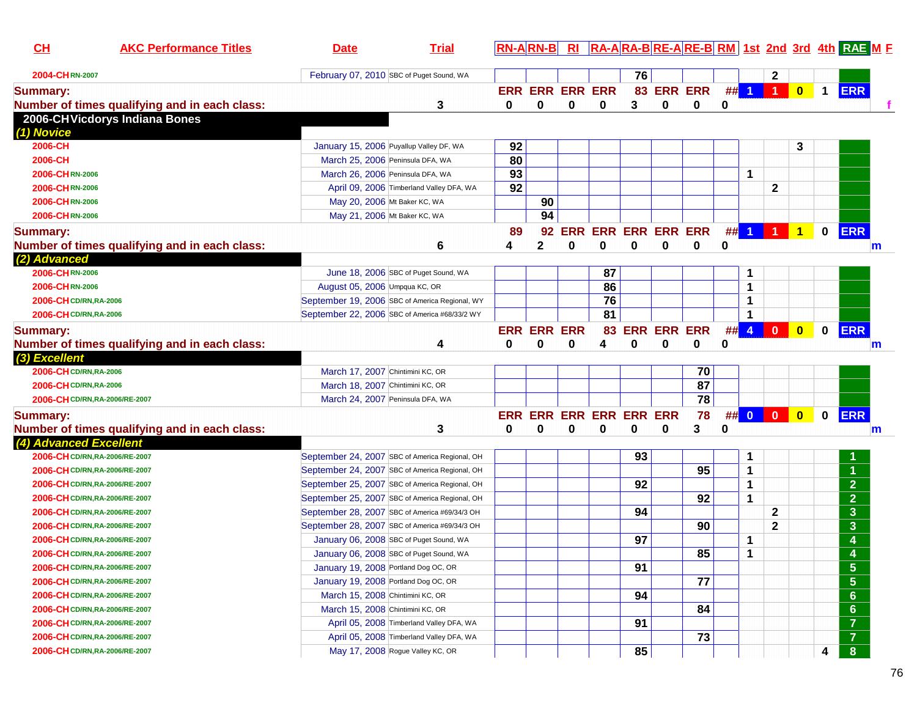| 76<br>February 07, 2010 SBC of Puget Sound, WA<br>2<br>2004-CHRN-2007<br>$\#$ 1 1 1<br>$\bullet$<br>83 ERR ERR<br><b>ERR</b><br><b>ERR ERR ERR ERR</b><br>$\mathbf 1$<br><b>Summary:</b><br>$\bf{0}$<br>3<br>0<br>Number of times qualifying and in each class:<br>3<br>0<br>0<br>$\bf{0}$<br>0<br>$\bf{0}$<br>2006-CHVicdorys Indiana Bones<br>(1) Novice<br>92<br>3<br>2006-CH<br>January 15, 2006 Puyallup Valley DF, WA<br>80<br>March 25, 2006 Peninsula DFA, WA<br>2006-CH<br>93<br>1<br>2006-CHRN-2006<br>March 26, 2006 Peninsula DFA, WA<br>92<br>$\mathbf{2}$<br>2006-CHRN-2006<br>April 09, 2006 Timberland Valley DFA, WA<br>90<br>2006-CHRN-2006<br>May 20, 2006 Mt Baker KC, WA<br>94<br>May 21, 2006 Mt Baker KC, WA<br>2006-CHRN-2006<br>## 1 1 1<br><b>ERR</b><br><b>ERR ERR ERR ERR ERR</b><br>$\overline{1}$<br>$\mathbf 0$<br>89<br>92<br>0<br>0<br>Number of times qualifying and in each class:<br>6<br>2<br>0<br>0<br>0<br>0<br>4<br>$\mathsf{m}$<br>(2) Advanced<br>2006-CHRN-2006<br>87<br>June 18, 2006 SBC of Puget Sound, WA<br>1<br>86<br>1<br>2006-CHRN-2006<br>August 05, 2006 Umpqua KC, OR<br>76<br>1<br>2006-CH CD/RN, RA-2006<br>September 19, 2006 SBC of America Regional, WY<br>81<br>1<br>2006-CH CD/RN, RA-2006<br>September 22, 2006 SBC of America #68/33/2 WY<br><b>ERR</b><br>83 ERR ERR ERR<br>#<br>$\overline{4}$<br>$\overline{0}$<br>$\overline{\mathbf{0}}$<br><b>ERR ERR ERR</b><br>$\mathbf 0$<br><b>Summary:</b><br>Number of times qualifying and in each class:<br>0<br>4<br>0<br>0<br>0<br>0<br>0<br>0<br>4<br>m<br>(3) Excellent<br>70<br>2006-CH CD/RN, RA-2006<br>March 17, 2007 Chintimini KC, OR<br>87<br>2006-CH CD/RN, RA-2006<br>March 18, 2007 Chintimini KC, OR<br>78<br>March 24, 2007 Peninsula DFA, WA<br>2006-CH CD/RN, RA-2006/RE-2007<br><b>ERR</b><br>ERR ERR ERR ERR ERR ERR<br>#<br>$\bullet$<br>$\mathbf 0$<br>78<br>$\overline{\mathbf{0}}$<br>$\overline{\mathbf{0}}$<br><b>Summary:</b><br>Number of times qualifying and in each class:<br>3<br>3<br>0<br>0<br>0<br>0<br>0<br>0<br>0<br>m<br>(4) Advanced Excellent<br>93<br>2006-CH CD/RN, RA-2006/RE-2007<br>September 24, 2007 SBC of America Regional, OH<br>1<br>95<br>1<br>September 24, 2007 SBC of America Regional, OH<br>2006-CH CD/RN, RA-2006/RE-2007<br>$\overline{2}$<br>92<br>1<br>September 25, 2007 SBC of America Regional, OH<br>2006-CH CD/RN, RA-2006/RE-2007<br>$\overline{2}$<br>92<br>1<br>September 25, 2007 SBC of America Regional, OH<br>2006-CH CD/RN, RA-2006/RE-2007<br>$\mathbf{3}$<br>94<br>2<br>September 28, 2007 SBC of America #69/34/3 OH<br>2006-CH CD/RN, RA-2006/RE-2007<br>$\mathbf{2}$<br>$\mathbf{3}$<br>90<br>September 28, 2007 SBC of America #69/34/3 OH<br>2006-CH CD/RN, RA-2006/RE-2007<br>97<br>4<br>January 06, 2008 SBC of Puget Sound, WA<br>1<br>2006-CH CD/RN, RA-2006/RE-2007<br>85<br>1<br>January 06, 2008 SBC of Puget Sound, WA<br>2006-CH CD/RN, RA-2006/RE-2007<br>5 <sub>5</sub><br>91<br>January 19, 2008 Portland Dog OC, OR<br>2006-CH CD/RN, RA-2006/RE-2007<br>5 <sub>5</sub><br>77<br>January 19, 2008 Portland Dog OC, OR<br>2006-CH CD/RN, RA-2006/RE-2007<br>94<br>6 <sup>°</sup><br>March 15, 2008 Chintimini KC, OR<br>2006-CHCD/RN,RA-2006/RE-2007<br>84<br>6 <sup>°</sup><br>March 15, 2008 Chintimini KC, OR<br>2006-CH CD/RN, RA-2006/RE-2007 | CL<br><b>AKC Performance Titles</b> | <b>Date</b> | <b>Trial</b> | <b>RN-ARN-B</b> | R1 |    |  |  |  | RA-ARA-BRE-ARE-BRM 1st 2nd 3rd 4th RAE M F |
|--------------------------------------------------------------------------------------------------------------------------------------------------------------------------------------------------------------------------------------------------------------------------------------------------------------------------------------------------------------------------------------------------------------------------------------------------------------------------------------------------------------------------------------------------------------------------------------------------------------------------------------------------------------------------------------------------------------------------------------------------------------------------------------------------------------------------------------------------------------------------------------------------------------------------------------------------------------------------------------------------------------------------------------------------------------------------------------------------------------------------------------------------------------------------------------------------------------------------------------------------------------------------------------------------------------------------------------------------------------------------------------------------------------------------------------------------------------------------------------------------------------------------------------------------------------------------------------------------------------------------------------------------------------------------------------------------------------------------------------------------------------------------------------------------------------------------------------------------------------------------------------------------------------------------------------------------------------------------------------------------------------------------------------------------------------------------------------------------------------------------------------------------------------------------------------------------------------------------------------------------------------------------------------------------------------------------------------------------------------------------------------------------------------------------------------------------------------------------------------------------------------------------------------------------------------------------------------------------------------------------------------------------------------------------------------------------------------------------------------------------------------------------------------------------------------------------------------------------------------------------------------------------------------------------------------------------------------------------------------------------------------------------------------------------------------------------------------------------------------------------------------------------------------------------------------------------------------------------------------------------------------------------------------------------------------------------------------------------------------|-------------------------------------|-------------|--------------|-----------------|----|----|--|--|--|--------------------------------------------|
|                                                                                                                                                                                                                                                                                                                                                                                                                                                                                                                                                                                                                                                                                                                                                                                                                                                                                                                                                                                                                                                                                                                                                                                                                                                                                                                                                                                                                                                                                                                                                                                                                                                                                                                                                                                                                                                                                                                                                                                                                                                                                                                                                                                                                                                                                                                                                                                                                                                                                                                                                                                                                                                                                                                                                                                                                                                                                                                                                                                                                                                                                                                                                                                                                                                                                                                                                              |                                     |             |              |                 |    |    |  |  |  |                                            |
|                                                                                                                                                                                                                                                                                                                                                                                                                                                                                                                                                                                                                                                                                                                                                                                                                                                                                                                                                                                                                                                                                                                                                                                                                                                                                                                                                                                                                                                                                                                                                                                                                                                                                                                                                                                                                                                                                                                                                                                                                                                                                                                                                                                                                                                                                                                                                                                                                                                                                                                                                                                                                                                                                                                                                                                                                                                                                                                                                                                                                                                                                                                                                                                                                                                                                                                                                              |                                     |             |              |                 |    |    |  |  |  |                                            |
|                                                                                                                                                                                                                                                                                                                                                                                                                                                                                                                                                                                                                                                                                                                                                                                                                                                                                                                                                                                                                                                                                                                                                                                                                                                                                                                                                                                                                                                                                                                                                                                                                                                                                                                                                                                                                                                                                                                                                                                                                                                                                                                                                                                                                                                                                                                                                                                                                                                                                                                                                                                                                                                                                                                                                                                                                                                                                                                                                                                                                                                                                                                                                                                                                                                                                                                                                              |                                     |             |              |                 |    |    |  |  |  |                                            |
|                                                                                                                                                                                                                                                                                                                                                                                                                                                                                                                                                                                                                                                                                                                                                                                                                                                                                                                                                                                                                                                                                                                                                                                                                                                                                                                                                                                                                                                                                                                                                                                                                                                                                                                                                                                                                                                                                                                                                                                                                                                                                                                                                                                                                                                                                                                                                                                                                                                                                                                                                                                                                                                                                                                                                                                                                                                                                                                                                                                                                                                                                                                                                                                                                                                                                                                                                              |                                     |             |              |                 |    |    |  |  |  |                                            |
|                                                                                                                                                                                                                                                                                                                                                                                                                                                                                                                                                                                                                                                                                                                                                                                                                                                                                                                                                                                                                                                                                                                                                                                                                                                                                                                                                                                                                                                                                                                                                                                                                                                                                                                                                                                                                                                                                                                                                                                                                                                                                                                                                                                                                                                                                                                                                                                                                                                                                                                                                                                                                                                                                                                                                                                                                                                                                                                                                                                                                                                                                                                                                                                                                                                                                                                                                              |                                     |             |              |                 |    |    |  |  |  |                                            |
|                                                                                                                                                                                                                                                                                                                                                                                                                                                                                                                                                                                                                                                                                                                                                                                                                                                                                                                                                                                                                                                                                                                                                                                                                                                                                                                                                                                                                                                                                                                                                                                                                                                                                                                                                                                                                                                                                                                                                                                                                                                                                                                                                                                                                                                                                                                                                                                                                                                                                                                                                                                                                                                                                                                                                                                                                                                                                                                                                                                                                                                                                                                                                                                                                                                                                                                                                              |                                     |             |              |                 |    |    |  |  |  |                                            |
|                                                                                                                                                                                                                                                                                                                                                                                                                                                                                                                                                                                                                                                                                                                                                                                                                                                                                                                                                                                                                                                                                                                                                                                                                                                                                                                                                                                                                                                                                                                                                                                                                                                                                                                                                                                                                                                                                                                                                                                                                                                                                                                                                                                                                                                                                                                                                                                                                                                                                                                                                                                                                                                                                                                                                                                                                                                                                                                                                                                                                                                                                                                                                                                                                                                                                                                                                              |                                     |             |              |                 |    |    |  |  |  |                                            |
|                                                                                                                                                                                                                                                                                                                                                                                                                                                                                                                                                                                                                                                                                                                                                                                                                                                                                                                                                                                                                                                                                                                                                                                                                                                                                                                                                                                                                                                                                                                                                                                                                                                                                                                                                                                                                                                                                                                                                                                                                                                                                                                                                                                                                                                                                                                                                                                                                                                                                                                                                                                                                                                                                                                                                                                                                                                                                                                                                                                                                                                                                                                                                                                                                                                                                                                                                              |                                     |             |              |                 |    |    |  |  |  |                                            |
|                                                                                                                                                                                                                                                                                                                                                                                                                                                                                                                                                                                                                                                                                                                                                                                                                                                                                                                                                                                                                                                                                                                                                                                                                                                                                                                                                                                                                                                                                                                                                                                                                                                                                                                                                                                                                                                                                                                                                                                                                                                                                                                                                                                                                                                                                                                                                                                                                                                                                                                                                                                                                                                                                                                                                                                                                                                                                                                                                                                                                                                                                                                                                                                                                                                                                                                                                              |                                     |             |              |                 |    |    |  |  |  |                                            |
|                                                                                                                                                                                                                                                                                                                                                                                                                                                                                                                                                                                                                                                                                                                                                                                                                                                                                                                                                                                                                                                                                                                                                                                                                                                                                                                                                                                                                                                                                                                                                                                                                                                                                                                                                                                                                                                                                                                                                                                                                                                                                                                                                                                                                                                                                                                                                                                                                                                                                                                                                                                                                                                                                                                                                                                                                                                                                                                                                                                                                                                                                                                                                                                                                                                                                                                                                              |                                     |             |              |                 |    |    |  |  |  |                                            |
|                                                                                                                                                                                                                                                                                                                                                                                                                                                                                                                                                                                                                                                                                                                                                                                                                                                                                                                                                                                                                                                                                                                                                                                                                                                                                                                                                                                                                                                                                                                                                                                                                                                                                                                                                                                                                                                                                                                                                                                                                                                                                                                                                                                                                                                                                                                                                                                                                                                                                                                                                                                                                                                                                                                                                                                                                                                                                                                                                                                                                                                                                                                                                                                                                                                                                                                                                              | <b>Summary:</b>                     |             |              |                 |    |    |  |  |  |                                            |
|                                                                                                                                                                                                                                                                                                                                                                                                                                                                                                                                                                                                                                                                                                                                                                                                                                                                                                                                                                                                                                                                                                                                                                                                                                                                                                                                                                                                                                                                                                                                                                                                                                                                                                                                                                                                                                                                                                                                                                                                                                                                                                                                                                                                                                                                                                                                                                                                                                                                                                                                                                                                                                                                                                                                                                                                                                                                                                                                                                                                                                                                                                                                                                                                                                                                                                                                                              |                                     |             |              |                 |    |    |  |  |  |                                            |
|                                                                                                                                                                                                                                                                                                                                                                                                                                                                                                                                                                                                                                                                                                                                                                                                                                                                                                                                                                                                                                                                                                                                                                                                                                                                                                                                                                                                                                                                                                                                                                                                                                                                                                                                                                                                                                                                                                                                                                                                                                                                                                                                                                                                                                                                                                                                                                                                                                                                                                                                                                                                                                                                                                                                                                                                                                                                                                                                                                                                                                                                                                                                                                                                                                                                                                                                                              |                                     |             |              |                 |    |    |  |  |  |                                            |
|                                                                                                                                                                                                                                                                                                                                                                                                                                                                                                                                                                                                                                                                                                                                                                                                                                                                                                                                                                                                                                                                                                                                                                                                                                                                                                                                                                                                                                                                                                                                                                                                                                                                                                                                                                                                                                                                                                                                                                                                                                                                                                                                                                                                                                                                                                                                                                                                                                                                                                                                                                                                                                                                                                                                                                                                                                                                                                                                                                                                                                                                                                                                                                                                                                                                                                                                                              |                                     |             |              |                 |    |    |  |  |  |                                            |
|                                                                                                                                                                                                                                                                                                                                                                                                                                                                                                                                                                                                                                                                                                                                                                                                                                                                                                                                                                                                                                                                                                                                                                                                                                                                                                                                                                                                                                                                                                                                                                                                                                                                                                                                                                                                                                                                                                                                                                                                                                                                                                                                                                                                                                                                                                                                                                                                                                                                                                                                                                                                                                                                                                                                                                                                                                                                                                                                                                                                                                                                                                                                                                                                                                                                                                                                                              |                                     |             |              |                 |    |    |  |  |  |                                            |
|                                                                                                                                                                                                                                                                                                                                                                                                                                                                                                                                                                                                                                                                                                                                                                                                                                                                                                                                                                                                                                                                                                                                                                                                                                                                                                                                                                                                                                                                                                                                                                                                                                                                                                                                                                                                                                                                                                                                                                                                                                                                                                                                                                                                                                                                                                                                                                                                                                                                                                                                                                                                                                                                                                                                                                                                                                                                                                                                                                                                                                                                                                                                                                                                                                                                                                                                                              |                                     |             |              |                 |    |    |  |  |  |                                            |
|                                                                                                                                                                                                                                                                                                                                                                                                                                                                                                                                                                                                                                                                                                                                                                                                                                                                                                                                                                                                                                                                                                                                                                                                                                                                                                                                                                                                                                                                                                                                                                                                                                                                                                                                                                                                                                                                                                                                                                                                                                                                                                                                                                                                                                                                                                                                                                                                                                                                                                                                                                                                                                                                                                                                                                                                                                                                                                                                                                                                                                                                                                                                                                                                                                                                                                                                                              |                                     |             |              |                 |    |    |  |  |  |                                            |
|                                                                                                                                                                                                                                                                                                                                                                                                                                                                                                                                                                                                                                                                                                                                                                                                                                                                                                                                                                                                                                                                                                                                                                                                                                                                                                                                                                                                                                                                                                                                                                                                                                                                                                                                                                                                                                                                                                                                                                                                                                                                                                                                                                                                                                                                                                                                                                                                                                                                                                                                                                                                                                                                                                                                                                                                                                                                                                                                                                                                                                                                                                                                                                                                                                                                                                                                                              |                                     |             |              |                 |    |    |  |  |  |                                            |
|                                                                                                                                                                                                                                                                                                                                                                                                                                                                                                                                                                                                                                                                                                                                                                                                                                                                                                                                                                                                                                                                                                                                                                                                                                                                                                                                                                                                                                                                                                                                                                                                                                                                                                                                                                                                                                                                                                                                                                                                                                                                                                                                                                                                                                                                                                                                                                                                                                                                                                                                                                                                                                                                                                                                                                                                                                                                                                                                                                                                                                                                                                                                                                                                                                                                                                                                                              |                                     |             |              |                 |    |    |  |  |  |                                            |
|                                                                                                                                                                                                                                                                                                                                                                                                                                                                                                                                                                                                                                                                                                                                                                                                                                                                                                                                                                                                                                                                                                                                                                                                                                                                                                                                                                                                                                                                                                                                                                                                                                                                                                                                                                                                                                                                                                                                                                                                                                                                                                                                                                                                                                                                                                                                                                                                                                                                                                                                                                                                                                                                                                                                                                                                                                                                                                                                                                                                                                                                                                                                                                                                                                                                                                                                                              |                                     |             |              |                 |    |    |  |  |  |                                            |
|                                                                                                                                                                                                                                                                                                                                                                                                                                                                                                                                                                                                                                                                                                                                                                                                                                                                                                                                                                                                                                                                                                                                                                                                                                                                                                                                                                                                                                                                                                                                                                                                                                                                                                                                                                                                                                                                                                                                                                                                                                                                                                                                                                                                                                                                                                                                                                                                                                                                                                                                                                                                                                                                                                                                                                                                                                                                                                                                                                                                                                                                                                                                                                                                                                                                                                                                                              |                                     |             |              |                 |    |    |  |  |  |                                            |
|                                                                                                                                                                                                                                                                                                                                                                                                                                                                                                                                                                                                                                                                                                                                                                                                                                                                                                                                                                                                                                                                                                                                                                                                                                                                                                                                                                                                                                                                                                                                                                                                                                                                                                                                                                                                                                                                                                                                                                                                                                                                                                                                                                                                                                                                                                                                                                                                                                                                                                                                                                                                                                                                                                                                                                                                                                                                                                                                                                                                                                                                                                                                                                                                                                                                                                                                                              |                                     |             |              |                 |    |    |  |  |  |                                            |
|                                                                                                                                                                                                                                                                                                                                                                                                                                                                                                                                                                                                                                                                                                                                                                                                                                                                                                                                                                                                                                                                                                                                                                                                                                                                                                                                                                                                                                                                                                                                                                                                                                                                                                                                                                                                                                                                                                                                                                                                                                                                                                                                                                                                                                                                                                                                                                                                                                                                                                                                                                                                                                                                                                                                                                                                                                                                                                                                                                                                                                                                                                                                                                                                                                                                                                                                                              |                                     |             |              |                 |    |    |  |  |  |                                            |
|                                                                                                                                                                                                                                                                                                                                                                                                                                                                                                                                                                                                                                                                                                                                                                                                                                                                                                                                                                                                                                                                                                                                                                                                                                                                                                                                                                                                                                                                                                                                                                                                                                                                                                                                                                                                                                                                                                                                                                                                                                                                                                                                                                                                                                                                                                                                                                                                                                                                                                                                                                                                                                                                                                                                                                                                                                                                                                                                                                                                                                                                                                                                                                                                                                                                                                                                                              |                                     |             |              |                 |    |    |  |  |  |                                            |
|                                                                                                                                                                                                                                                                                                                                                                                                                                                                                                                                                                                                                                                                                                                                                                                                                                                                                                                                                                                                                                                                                                                                                                                                                                                                                                                                                                                                                                                                                                                                                                                                                                                                                                                                                                                                                                                                                                                                                                                                                                                                                                                                                                                                                                                                                                                                                                                                                                                                                                                                                                                                                                                                                                                                                                                                                                                                                                                                                                                                                                                                                                                                                                                                                                                                                                                                                              |                                     |             |              |                 |    |    |  |  |  |                                            |
|                                                                                                                                                                                                                                                                                                                                                                                                                                                                                                                                                                                                                                                                                                                                                                                                                                                                                                                                                                                                                                                                                                                                                                                                                                                                                                                                                                                                                                                                                                                                                                                                                                                                                                                                                                                                                                                                                                                                                                                                                                                                                                                                                                                                                                                                                                                                                                                                                                                                                                                                                                                                                                                                                                                                                                                                                                                                                                                                                                                                                                                                                                                                                                                                                                                                                                                                                              |                                     |             |              |                 |    |    |  |  |  |                                            |
|                                                                                                                                                                                                                                                                                                                                                                                                                                                                                                                                                                                                                                                                                                                                                                                                                                                                                                                                                                                                                                                                                                                                                                                                                                                                                                                                                                                                                                                                                                                                                                                                                                                                                                                                                                                                                                                                                                                                                                                                                                                                                                                                                                                                                                                                                                                                                                                                                                                                                                                                                                                                                                                                                                                                                                                                                                                                                                                                                                                                                                                                                                                                                                                                                                                                                                                                                              |                                     |             |              |                 |    |    |  |  |  |                                            |
|                                                                                                                                                                                                                                                                                                                                                                                                                                                                                                                                                                                                                                                                                                                                                                                                                                                                                                                                                                                                                                                                                                                                                                                                                                                                                                                                                                                                                                                                                                                                                                                                                                                                                                                                                                                                                                                                                                                                                                                                                                                                                                                                                                                                                                                                                                                                                                                                                                                                                                                                                                                                                                                                                                                                                                                                                                                                                                                                                                                                                                                                                                                                                                                                                                                                                                                                                              |                                     |             |              |                 |    |    |  |  |  |                                            |
|                                                                                                                                                                                                                                                                                                                                                                                                                                                                                                                                                                                                                                                                                                                                                                                                                                                                                                                                                                                                                                                                                                                                                                                                                                                                                                                                                                                                                                                                                                                                                                                                                                                                                                                                                                                                                                                                                                                                                                                                                                                                                                                                                                                                                                                                                                                                                                                                                                                                                                                                                                                                                                                                                                                                                                                                                                                                                                                                                                                                                                                                                                                                                                                                                                                                                                                                                              |                                     |             |              |                 |    |    |  |  |  |                                            |
|                                                                                                                                                                                                                                                                                                                                                                                                                                                                                                                                                                                                                                                                                                                                                                                                                                                                                                                                                                                                                                                                                                                                                                                                                                                                                                                                                                                                                                                                                                                                                                                                                                                                                                                                                                                                                                                                                                                                                                                                                                                                                                                                                                                                                                                                                                                                                                                                                                                                                                                                                                                                                                                                                                                                                                                                                                                                                                                                                                                                                                                                                                                                                                                                                                                                                                                                                              |                                     |             |              |                 |    |    |  |  |  |                                            |
|                                                                                                                                                                                                                                                                                                                                                                                                                                                                                                                                                                                                                                                                                                                                                                                                                                                                                                                                                                                                                                                                                                                                                                                                                                                                                                                                                                                                                                                                                                                                                                                                                                                                                                                                                                                                                                                                                                                                                                                                                                                                                                                                                                                                                                                                                                                                                                                                                                                                                                                                                                                                                                                                                                                                                                                                                                                                                                                                                                                                                                                                                                                                                                                                                                                                                                                                                              |                                     |             |              |                 |    |    |  |  |  |                                            |
|                                                                                                                                                                                                                                                                                                                                                                                                                                                                                                                                                                                                                                                                                                                                                                                                                                                                                                                                                                                                                                                                                                                                                                                                                                                                                                                                                                                                                                                                                                                                                                                                                                                                                                                                                                                                                                                                                                                                                                                                                                                                                                                                                                                                                                                                                                                                                                                                                                                                                                                                                                                                                                                                                                                                                                                                                                                                                                                                                                                                                                                                                                                                                                                                                                                                                                                                                              |                                     |             |              |                 |    |    |  |  |  |                                            |
|                                                                                                                                                                                                                                                                                                                                                                                                                                                                                                                                                                                                                                                                                                                                                                                                                                                                                                                                                                                                                                                                                                                                                                                                                                                                                                                                                                                                                                                                                                                                                                                                                                                                                                                                                                                                                                                                                                                                                                                                                                                                                                                                                                                                                                                                                                                                                                                                                                                                                                                                                                                                                                                                                                                                                                                                                                                                                                                                                                                                                                                                                                                                                                                                                                                                                                                                                              |                                     |             |              |                 |    |    |  |  |  |                                            |
|                                                                                                                                                                                                                                                                                                                                                                                                                                                                                                                                                                                                                                                                                                                                                                                                                                                                                                                                                                                                                                                                                                                                                                                                                                                                                                                                                                                                                                                                                                                                                                                                                                                                                                                                                                                                                                                                                                                                                                                                                                                                                                                                                                                                                                                                                                                                                                                                                                                                                                                                                                                                                                                                                                                                                                                                                                                                                                                                                                                                                                                                                                                                                                                                                                                                                                                                                              |                                     |             |              |                 |    |    |  |  |  |                                            |
|                                                                                                                                                                                                                                                                                                                                                                                                                                                                                                                                                                                                                                                                                                                                                                                                                                                                                                                                                                                                                                                                                                                                                                                                                                                                                                                                                                                                                                                                                                                                                                                                                                                                                                                                                                                                                                                                                                                                                                                                                                                                                                                                                                                                                                                                                                                                                                                                                                                                                                                                                                                                                                                                                                                                                                                                                                                                                                                                                                                                                                                                                                                                                                                                                                                                                                                                                              |                                     |             |              |                 |    |    |  |  |  |                                            |
|                                                                                                                                                                                                                                                                                                                                                                                                                                                                                                                                                                                                                                                                                                                                                                                                                                                                                                                                                                                                                                                                                                                                                                                                                                                                                                                                                                                                                                                                                                                                                                                                                                                                                                                                                                                                                                                                                                                                                                                                                                                                                                                                                                                                                                                                                                                                                                                                                                                                                                                                                                                                                                                                                                                                                                                                                                                                                                                                                                                                                                                                                                                                                                                                                                                                                                                                                              |                                     |             |              |                 |    |    |  |  |  |                                            |
|                                                                                                                                                                                                                                                                                                                                                                                                                                                                                                                                                                                                                                                                                                                                                                                                                                                                                                                                                                                                                                                                                                                                                                                                                                                                                                                                                                                                                                                                                                                                                                                                                                                                                                                                                                                                                                                                                                                                                                                                                                                                                                                                                                                                                                                                                                                                                                                                                                                                                                                                                                                                                                                                                                                                                                                                                                                                                                                                                                                                                                                                                                                                                                                                                                                                                                                                                              |                                     |             |              |                 |    |    |  |  |  |                                            |
| April 05, 2008 Timberland Valley DFA, WA<br>2006-CH CD/RN, RA-2006/RE-2007                                                                                                                                                                                                                                                                                                                                                                                                                                                                                                                                                                                                                                                                                                                                                                                                                                                                                                                                                                                                                                                                                                                                                                                                                                                                                                                                                                                                                                                                                                                                                                                                                                                                                                                                                                                                                                                                                                                                                                                                                                                                                                                                                                                                                                                                                                                                                                                                                                                                                                                                                                                                                                                                                                                                                                                                                                                                                                                                                                                                                                                                                                                                                                                                                                                                                   |                                     |             |              |                 |    | 91 |  |  |  |                                            |
| 73<br>April 05, 2008 Timberland Valley DFA, WA<br>2006-CH CD/RN, RA-2006/RE-2007                                                                                                                                                                                                                                                                                                                                                                                                                                                                                                                                                                                                                                                                                                                                                                                                                                                                                                                                                                                                                                                                                                                                                                                                                                                                                                                                                                                                                                                                                                                                                                                                                                                                                                                                                                                                                                                                                                                                                                                                                                                                                                                                                                                                                                                                                                                                                                                                                                                                                                                                                                                                                                                                                                                                                                                                                                                                                                                                                                                                                                                                                                                                                                                                                                                                             |                                     |             |              |                 |    |    |  |  |  |                                            |
| 8 <sup>°</sup><br>85<br>May 17, 2008 Rogue Valley KC, OR<br>4<br>2006-CH CD/RN, RA-2006/RE-2007                                                                                                                                                                                                                                                                                                                                                                                                                                                                                                                                                                                                                                                                                                                                                                                                                                                                                                                                                                                                                                                                                                                                                                                                                                                                                                                                                                                                                                                                                                                                                                                                                                                                                                                                                                                                                                                                                                                                                                                                                                                                                                                                                                                                                                                                                                                                                                                                                                                                                                                                                                                                                                                                                                                                                                                                                                                                                                                                                                                                                                                                                                                                                                                                                                                              |                                     |             |              |                 |    |    |  |  |  |                                            |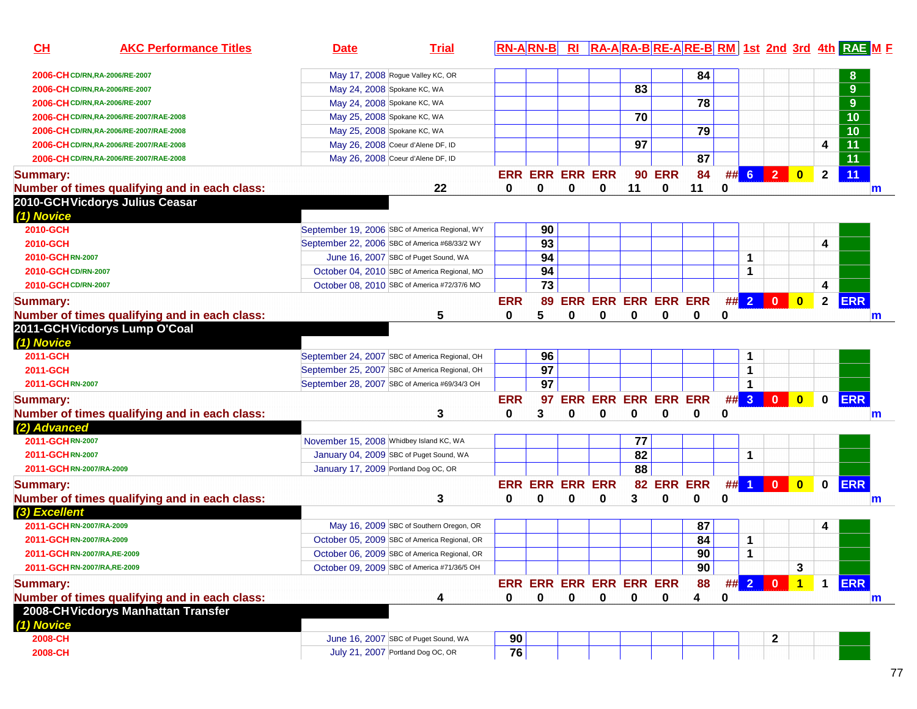| CL                             | <b>AKC Performance Titles</b>                 | <b>Date</b>                             | <b>Trial</b>                                   |            | <b>RN-ARN-B</b>         | R1         |                            |          |               |                 |          |      |                                                                       |                         |              | RA-ARA-BRE-ARE-BRM 1st 2nd 3rd 4th RAE M F |              |
|--------------------------------|-----------------------------------------------|-----------------------------------------|------------------------------------------------|------------|-------------------------|------------|----------------------------|----------|---------------|-----------------|----------|------|-----------------------------------------------------------------------|-------------------------|--------------|--------------------------------------------|--------------|
| 2006-CH CD/RN, RA-2006/RE-2007 |                                               |                                         | May 17, 2008 Rogue Valley KC, OR               |            |                         |            |                            |          |               | 84              |          |      |                                                                       |                         |              |                                            |              |
| 2006-CH CD/RN, RA-2006/RE-2007 |                                               |                                         | May 24, 2008 Spokane KC, WA                    |            |                         |            |                            | 83       |               |                 |          |      |                                                                       |                         |              | 9                                          |              |
| 2006-CH CD/RN, RA-2006/RE-2007 |                                               |                                         | May 24, 2008 Spokane KC, WA                    |            |                         |            |                            |          |               | 78              |          |      |                                                                       |                         |              | 9                                          |              |
|                                | 2006-CH CD/RN, RA-2006/RE-2007/RAE-2008       |                                         | May 25, 2008 Spokane KC, WA                    |            |                         |            |                            | 70       |               |                 |          |      |                                                                       |                         |              | 10                                         |              |
|                                | 2006-CH CD/RN, RA-2006/RE-2007/RAE-2008       |                                         | May 25, 2008 Spokane KC, WA                    |            |                         |            |                            |          |               | $\overline{79}$ |          |      |                                                                       |                         |              | 10                                         |              |
|                                | 2006-CH CD/RN, RA-2006/RE-2007/RAE-2008       |                                         | May 26, 2008 Coeur d'Alene DF, ID              |            |                         |            |                            | 97       |               |                 |          |      |                                                                       |                         | 4            | $\overline{11}$                            |              |
|                                | 2006-CH CD/RN, RA-2006/RE-2007/RAE-2008       |                                         | May 26, 2008 Coeur d'Alene DF, ID              |            |                         |            |                            |          |               | 87              |          |      |                                                                       |                         |              | $\overline{11}$                            |              |
| <b>Summary:</b>                |                                               |                                         |                                                |            | <b>ERR ERR ERR ERR</b>  |            |                            |          | <b>90 ERR</b> | 84              |          | ## 6 | $\overline{2}$                                                        | $\overline{\mathbf{0}}$ | $\mathbf{2}$ | 11                                         |              |
|                                | Number of times qualifying and in each class: |                                         | 22                                             | 0          | 0                       | 0          | 0                          | 11       | 0             | 11              | 0        |      |                                                                       |                         |              |                                            | $\mathsf{m}$ |
| (1) Novice                     | 2010-GCHVicdorys Julius Ceasar                |                                         |                                                |            |                         |            |                            |          |               |                 |          |      |                                                                       |                         |              |                                            |              |
| 2010-GCH                       |                                               |                                         | September 19, 2006 SBC of America Regional, WY |            | 90                      |            |                            |          |               |                 |          |      |                                                                       |                         |              |                                            |              |
| 2010-GCH                       |                                               |                                         | September 22, 2006 SBC of America #68/33/2 WY  |            | 93                      |            |                            |          |               |                 |          |      |                                                                       |                         | 4            |                                            |              |
| 2010-GCHRN-2007                |                                               |                                         | June 16, 2007 SBC of Puget Sound, WA           |            | 94                      |            |                            |          |               |                 |          | 1    |                                                                       |                         |              |                                            |              |
| 2010-GCH CD/RN-2007            |                                               |                                         | October 04, 2010 SBC of America Regional, MO   |            | 94                      |            |                            |          |               |                 |          | 1    |                                                                       |                         |              |                                            |              |
| 2010-GCH CD/RN-2007            |                                               |                                         | October 08, 2010 SBC of America #72/37/6 MO    |            | $\overline{73}$         |            |                            |          |               |                 |          |      |                                                                       |                         | 4            |                                            |              |
| <b>Summary:</b>                |                                               |                                         |                                                | <b>ERR</b> | 89                      |            | <b>ERR ERR ERR ERR ERR</b> |          |               |                 |          | ##2  | $\mathbf{0}$                                                          | $\mathbf{0}$            | $\mathbf{2}$ | <b>ERR</b>                                 |              |
|                                | Number of times qualifying and in each class: |                                         | 5                                              | 0          | 5                       | 0          | 0                          | 0        | $\bf{0}$      | 0               | 0        |      |                                                                       |                         |              |                                            | m            |
| (1) Novice                     | 2011-GCHVicdorys Lump O'Coal                  |                                         |                                                |            |                         |            |                            |          |               |                 |          |      |                                                                       |                         |              |                                            |              |
| 2011-GCH                       |                                               |                                         | September 24, 2007 SBC of America Regional, OH |            | 96                      |            |                            |          |               |                 |          | 1    |                                                                       |                         |              |                                            |              |
| 2011-GCH                       |                                               |                                         | September 25, 2007 SBC of America Regional, OH |            | 97                      |            |                            |          |               |                 |          | 1    |                                                                       |                         |              |                                            |              |
| 2011-GCHRN-2007                |                                               |                                         | September 28, 2007 SBC of America #69/34/3 OH  |            | 97                      |            |                            |          |               |                 |          | 1    |                                                                       |                         |              |                                            |              |
| <b>Summary:</b>                |                                               |                                         |                                                | <b>ERR</b> | 97                      | <b>ERR</b> | <b>ERR ERR ERR ERR</b>     |          |               |                 |          | ## 3 | $\overline{\mathbf{0}}$                                               | $\overline{\mathbf{0}}$ | $\mathbf 0$  | <b>ERR</b>                                 |              |
|                                | Number of times qualifying and in each class: |                                         | 3                                              | 0          | 3                       | 0          | 0                          | $\bf{0}$ | 0             | 0               | 0        |      |                                                                       |                         |              |                                            | m            |
| (2) Advanced                   |                                               |                                         |                                                |            |                         |            |                            |          |               |                 |          |      |                                                                       |                         |              |                                            |              |
| 2011-GCHRN-2007                |                                               | November 15, 2008 Whidbey Island KC, WA |                                                |            |                         |            |                            | 77       |               |                 |          |      |                                                                       |                         |              |                                            |              |
| 2011-GCHRN-2007                |                                               |                                         | January 04, 2009 SBC of Puget Sound, WA        |            |                         |            |                            | 82       |               |                 |          | 1    |                                                                       |                         |              |                                            |              |
| 2011-GCHRN-2007/RA-2009        |                                               | January 17, 2009 Portland Dog OC, OR    |                                                |            |                         |            |                            | 88       |               |                 |          |      |                                                                       |                         |              |                                            |              |
| Summary:                       |                                               |                                         |                                                |            | <b>ERR ERR ERR ERR</b>  |            |                            |          | 82 ERR ERR    |                 |          |      | ## 1 0 0                                                              | $\overline{\mathbf{0}}$ | $\mathbf 0$  | <b>ERR</b>                                 |              |
|                                | Number of times qualifying and in each class: |                                         | 3                                              | 0          | $\bf{0}$                | 0          | 0                          | 3        | 0             | 0               | $\bf{0}$ |      |                                                                       |                         |              |                                            | m            |
| (3) Excellent                  |                                               |                                         |                                                |            |                         |            |                            |          |               |                 |          |      |                                                                       |                         |              |                                            |              |
| 2011-GCHRN-2007/RA-2009        |                                               |                                         | May 16, 2009 SBC of Southern Oregon, OR        |            |                         |            |                            |          |               | 87              |          |      |                                                                       |                         | 4            |                                            |              |
| 2011-GCHRN-2007/RA-2009        |                                               |                                         | October 05, 2009 SBC of America Regional, OR   |            |                         |            |                            |          |               | 84              |          | 1    |                                                                       |                         |              |                                            |              |
| 2011-GCHRN-2007/RA, RE-2009    |                                               |                                         | October 06, 2009 SBC of America Regional, OR   |            |                         |            |                            |          |               | 90              |          | 1    |                                                                       |                         |              |                                            |              |
| 2011-GCHRN-2007/RA,RE-2009     |                                               |                                         | October 09, 2009 SBC of America #71/36/5 OH    |            |                         |            |                            |          |               | 90              |          |      |                                                                       | 3                       |              |                                            |              |
| <b>Summary:</b>                |                                               |                                         |                                                |            | ERR ERR ERR ERR ERR ERR |            |                            |          |               | 88              |          |      | ## $\begin{array}{ c c c c c }\n\hline\n2 & 0 \\ \hline\n\end{array}$ | $\overline{1}$          | $\mathbf 1$  | <b>ERR</b>                                 |              |
|                                | Number of times qualifying and in each class: |                                         | 4                                              | 0          | 0                       | 0          | 0                          | 0        | 0             | 4               | 0        |      |                                                                       |                         |              |                                            | m            |
| (1) Novice                     | 2008-CHVicdorys Manhattan Transfer            |                                         |                                                |            |                         |            |                            |          |               |                 |          |      |                                                                       |                         |              |                                            |              |
| 2008-CH                        |                                               |                                         | June 16, 2007 SBC of Puget Sound, WA           | 90         |                         |            |                            |          |               |                 |          |      |                                                                       |                         |              |                                            |              |
| 2008-CH                        |                                               |                                         | July 21, 2007 Portland Dog OC, OR              | 76         |                         |            |                            |          |               |                 |          |      |                                                                       |                         |              |                                            |              |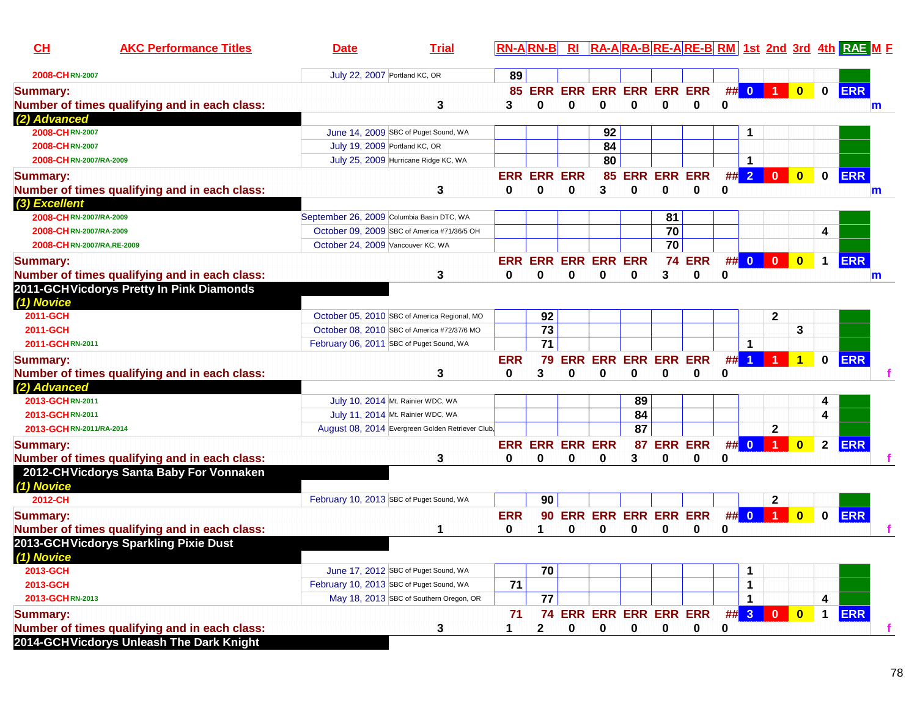| CH                         | <b>AKC Performance Titles</b>                 | <b>Date</b>                               | <b>Trial</b>                                     | $RN-A RN-B $    |                         |                        |                                       |                            |                 |               |         |                |                      |                         |                      | RI RA-ARA-BRE-ARE-BRM 1st 2nd 3rd 4th RAE ME |   |
|----------------------------|-----------------------------------------------|-------------------------------------------|--------------------------------------------------|-----------------|-------------------------|------------------------|---------------------------------------|----------------------------|-----------------|---------------|---------|----------------|----------------------|-------------------------|----------------------|----------------------------------------------|---|
| 2008-CHRN-2007             |                                               | July 22, 2007 Portland KC, OR             |                                                  | 89              |                         |                        |                                       |                            |                 |               |         |                |                      |                         |                      |                                              |   |
| <b>Summary:</b>            | Number of times qualifying and in each class: |                                           | 3                                                | 3               | <b>85 ERR</b><br>0      | $\bf{0}$               | <b>ERR ERR ERR ERR ERR</b><br>0       | $\bf{0}$                   | $\mathbf 0$     | $\bf{0}$      | 0       | ## 0           | $\vert$ 1            | $\overline{\mathbf{0}}$ | $\mathbf 0$          | <b>ERR</b>                                   | m |
| (2) Advanced               |                                               |                                           |                                                  |                 |                         |                        |                                       |                            |                 |               |         |                |                      |                         |                      |                                              |   |
| 2008-CHRN-2007             |                                               |                                           | June 14, 2009 SBC of Puget Sound, WA             |                 |                         |                        | 92                                    |                            |                 |               |         | 1              |                      |                         |                      |                                              |   |
| 2008-CHRN-2007             |                                               | July 19, 2009 Portland KC, OR             |                                                  |                 |                         |                        | 84                                    |                            |                 |               |         |                |                      |                         |                      |                                              |   |
| 2008-CHRN-2007/RA-2009     |                                               |                                           | July 25, 2009 Hurricane Ridge KC, WA             |                 |                         |                        | 80                                    |                            |                 |               |         | 1              |                      |                         |                      |                                              |   |
| <b>Summary:</b>            | Number of times qualifying and in each class: |                                           | 3                                                | 0               | <b>ERR ERR ERR</b><br>0 | $\bf{0}$               | 3                                     | <b>85 ERR ERR ERR</b><br>0 | $\mathbf 0$     | $\bf{0}$      | ##<br>0 | $\overline{2}$ | $\overline{0}$       | $\overline{\mathbf{0}}$ | $\mathbf 0$          | <b>ERR</b>                                   | m |
| (3) Excellent              |                                               |                                           |                                                  |                 |                         |                        |                                       |                            |                 |               |         |                |                      |                         |                      |                                              |   |
| 2008-CHRN-2007/RA-2009     |                                               | September 26, 2009 Columbia Basin DTC, WA |                                                  |                 |                         |                        |                                       |                            | 81              |               |         |                |                      |                         |                      |                                              |   |
| 2008-CHRN-2007/RA-2009     |                                               |                                           | October 09, 2009 SBC of America #71/36/5 OH      |                 |                         |                        |                                       |                            | 70              |               |         |                |                      |                         | 4                    |                                              |   |
| 2008-CHRN-2007/RA, RE-2009 |                                               | October 24, 2009 Vancouver KC, WA         |                                                  |                 |                         |                        |                                       |                            | $\overline{70}$ |               |         |                |                      |                         |                      |                                              |   |
| <b>Summary:</b>            |                                               |                                           |                                                  |                 |                         |                        | <b>ERR ERR ERR ERR ERR</b>            |                            |                 | <b>74 ERR</b> |         |                | ## $0$ 0 $\vert$     | $\bullet$               | $\mathbf 1$          | <b>ERR</b>                                   |   |
|                            | Number of times qualifying and in each class: |                                           | 3                                                | 0               | 0                       | 0                      | 0                                     | 0                          | 3               | 0             | 0       |                |                      |                         |                      |                                              | m |
| (1) Novice                 | 2011-GCHVicdorys Pretty In Pink Diamonds      |                                           |                                                  |                 |                         |                        |                                       |                            |                 |               |         |                |                      |                         |                      |                                              |   |
| 2011-GCH                   |                                               |                                           | October 05, 2010 SBC of America Regional, MO     |                 | 92                      |                        |                                       |                            |                 |               |         |                | 2                    |                         |                      |                                              |   |
| 2011-GCH                   |                                               |                                           | October 08, 2010 SBC of America #72/37/6 MO      |                 | $\overline{73}$         |                        |                                       |                            |                 |               |         |                |                      | 3                       |                      |                                              |   |
| 2011-GCHRN-2011            |                                               | February 06, 2011 SBC of Puget Sound, WA  |                                                  |                 | $\overline{71}$         |                        |                                       |                            |                 |               |         | 1              |                      |                         |                      |                                              |   |
| <b>Summary:</b>            |                                               |                                           |                                                  | <b>ERR</b>      | 79                      |                        | <b>ERR ERR ERR ERR ERR</b>            |                            |                 |               | #       | $\overline{1}$ | 1                    | $\blacktriangleleft$    | 0                    | <b>ERR</b>                                   |   |
|                            | Number of times qualifying and in each class: |                                           | 3                                                | 0               | 3                       | 0                      | 0                                     | 0                          | 0               | 0             | 0       |                |                      |                         |                      |                                              |   |
| (2) Advanced               |                                               |                                           |                                                  |                 |                         |                        |                                       |                            |                 |               |         |                |                      |                         |                      |                                              |   |
| 2013-GCHRN-2011            |                                               |                                           | July 10, 2014 Mt. Rainier WDC, WA                |                 |                         |                        |                                       | 89                         |                 |               |         |                |                      |                         | 4                    |                                              |   |
| 2013-GCHRN-2011            |                                               |                                           | July 11, 2014 Mt. Rainier WDC, WA                |                 |                         |                        |                                       | 84                         |                 |               |         |                |                      |                         | 4                    |                                              |   |
| 2013-GCHRN-2011/RA-2014    |                                               |                                           | August 08, 2014 Evergreen Golden Retriever Club, |                 |                         |                        |                                       | $\overline{87}$            |                 |               |         |                | $\mathbf{2}$         |                         |                      |                                              |   |
| <b>Summary:</b>            |                                               |                                           |                                                  |                 |                         | <b>ERR ERR ERR ERR</b> |                                       | 87                         | <b>ERR ERR</b>  |               | #       | $\mathbf{0}$   | $\blacktriangleleft$ | $\mathbf{0}$            | $\mathbf{2}$         | <b>ERR</b>                                   |   |
|                            | Number of times qualifying and in each class: |                                           | 3                                                | 0               | 0                       | 0                      | 0                                     | 3                          | 0               | 0             | 0       |                |                      |                         |                      |                                              |   |
| (1) Novice                 | 2012-CHVicdorys Santa Baby For Vonnaken       |                                           |                                                  |                 |                         |                        |                                       |                            |                 |               |         |                |                      |                         |                      |                                              |   |
| 2012-CH                    |                                               | February 10, 2013 SBC of Puget Sound, WA  |                                                  |                 | 90                      |                        |                                       |                            |                 |               |         |                | $\mathbf{2}$         |                         |                      |                                              |   |
| <b>Summary:</b>            |                                               |                                           |                                                  | <b>ERR</b>      | 90                      |                        | <b>ERR ERR ERR ERR ERR</b>            |                            |                 |               | #       | $\mathbf{0}$   |                      | $\mathbf{0}$            | $\mathbf{0}$         | <b>ERR</b>                                   |   |
|                            | Number of times qualifying and in each class: |                                           | 1                                                | 0               | 1.                      | 0                      | 0                                     | 0                          | 0               | 0             | 0       |                |                      |                         |                      |                                              |   |
| (1) Novice                 | 2013-GCHVicdorys Sparkling Pixie Dust         |                                           |                                                  |                 |                         |                        |                                       |                            |                 |               |         |                |                      |                         |                      |                                              |   |
| 2013-GCH                   |                                               |                                           | June 17, 2012 SBC of Puget Sound, WA             |                 | 70                      |                        |                                       |                            |                 |               |         | 1              |                      |                         |                      |                                              |   |
| 2013-GCH                   |                                               | February 10, 2013 SBC of Puget Sound, WA  |                                                  | $\overline{71}$ |                         |                        |                                       |                            |                 |               |         | 1              |                      |                         |                      |                                              |   |
| 2013-GCHRN-2013            |                                               |                                           | May 18, 2013 SBC of Southern Oregon, OR          |                 | 77                      |                        |                                       |                            |                 |               |         | $\mathbf 1$    |                      |                         | 4                    |                                              |   |
| <b>Summary:</b>            | Number of times qualifying and in each class: |                                           |                                                  | 71<br>1         | $\mathbf{2}$            | 0                      | 74 ERR ERR ERR ERR ERR<br>$\mathbf 0$ | 0                          | $\mathbf 0$     |               | 0       |                | $\#$ 3 0 0           |                         | $\blacktriangleleft$ | <b>ERR</b>                                   |   |
|                            | 2014-GCH Vicdorys Unleash The Dark Knight     |                                           | 3                                                |                 |                         |                        |                                       |                            |                 | 0             |         |                |                      |                         |                      |                                              |   |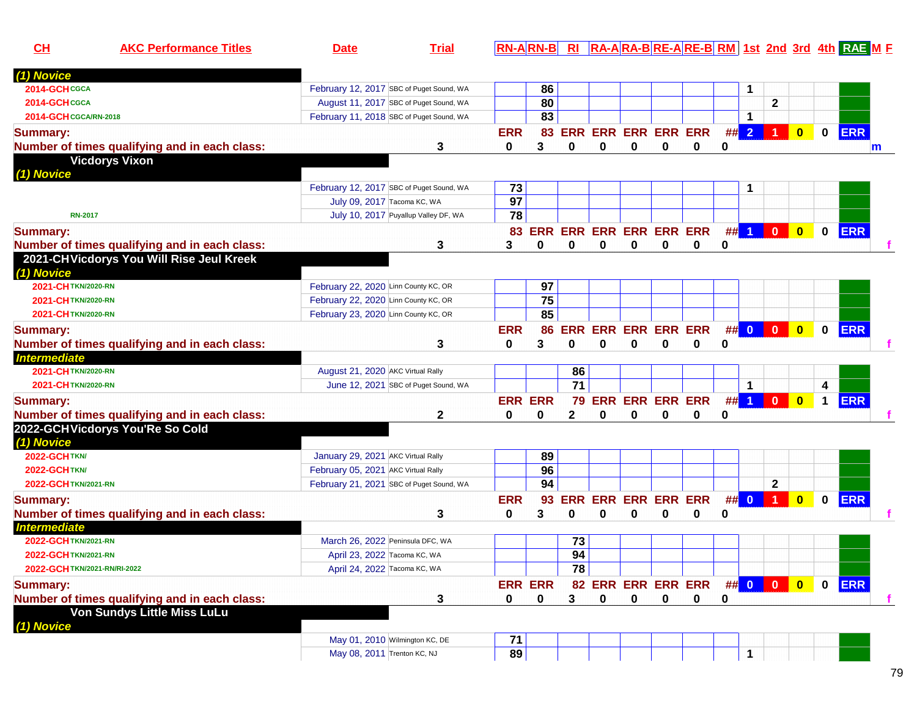| CL                           | <b>AKC Performance Titles</b>                 | <b>Date</b>                              | <b>Trial</b>                           |                |            |                 |                            |          |   |                             |   |                      |                         |                         |              | $\overline{RN-A RN-B }$ RI $\overline{RA-A RA-B RE-A RE-B RM}$ 1st 2nd 3rd 4th $\overline{RAE}$ M E |   |
|------------------------------|-----------------------------------------------|------------------------------------------|----------------------------------------|----------------|------------|-----------------|----------------------------|----------|---|-----------------------------|---|----------------------|-------------------------|-------------------------|--------------|-----------------------------------------------------------------------------------------------------|---|
| (1) Novice                   |                                               |                                          |                                        |                |            |                 |                            |          |   |                             |   |                      |                         |                         |              |                                                                                                     |   |
| 2014-GCHCGCA                 |                                               | February 12, 2017 SBC of Puget Sound, WA |                                        |                | 86         |                 |                            |          |   |                             |   | 1                    |                         |                         |              |                                                                                                     |   |
| 2014-GCHCGCA                 |                                               |                                          | August 11, 2017 SBC of Puget Sound, WA |                | 80         |                 |                            |          |   |                             |   |                      | $\mathbf{2}$            |                         |              |                                                                                                     |   |
| 2014-GCH CGCA/RN-2018        |                                               | February 11, 2018 SBC of Puget Sound, WA |                                        |                | 83         |                 |                            |          |   |                             |   | 1                    |                         |                         |              |                                                                                                     |   |
| <b>Summary:</b>              |                                               |                                          |                                        | <b>ERR</b>     | 83         |                 | <b>ERR ERR ERR ERR ERR</b> |          |   |                             | # | $\overline{2}$       |                         | $\overline{\mathbf{0}}$ | $\mathbf 0$  | <b>ERR</b>                                                                                          |   |
|                              | Number of times qualifying and in each class: |                                          | 3                                      | 0              | 3          | $\bf{0}$        | 0                          | $\bf{0}$ | 0 | 0                           | 0 |                      |                         |                         |              |                                                                                                     | m |
|                              | <b>Vicdorys Vixon</b>                         |                                          |                                        |                |            |                 |                            |          |   |                             |   |                      |                         |                         |              |                                                                                                     |   |
| (1) Novice                   |                                               |                                          |                                        |                |            |                 |                            |          |   |                             |   |                      |                         |                         |              |                                                                                                     |   |
|                              |                                               | February 12, 2017 SBC of Puget Sound, WA |                                        | 73             |            |                 |                            |          |   |                             |   | 1                    |                         |                         |              |                                                                                                     |   |
|                              |                                               | July 09, 2017 Tacoma KC, WA              |                                        | 97             |            |                 |                            |          |   |                             |   |                      |                         |                         |              |                                                                                                     |   |
| <b>RN-2017</b>               |                                               |                                          | July 10, 2017 Puyallup Valley DF, WA   | 78             |            |                 |                            |          |   |                             |   |                      |                         |                         |              |                                                                                                     |   |
| <b>Summary:</b>              |                                               |                                          |                                        | 83             | <b>ERR</b> |                 | <b>ERR ERR ERR ERR ERR</b> |          |   |                             |   | $##$ 1               | $\mathbf{0}$            | $\overline{\mathbf{0}}$ | $\mathbf 0$  | <b>ERR</b>                                                                                          |   |
|                              | Number of times qualifying and in each class: |                                          | 3                                      | 3              | 0          | $\mathbf 0$     | 0                          | 0        | 0 | 0                           | 0 |                      |                         |                         |              |                                                                                                     |   |
|                              | 2021-CHVicdorys You Will Rise Jeul Kreek      |                                          |                                        |                |            |                 |                            |          |   |                             |   |                      |                         |                         |              |                                                                                                     |   |
| (1) Novice                   |                                               |                                          |                                        |                |            |                 |                            |          |   |                             |   |                      |                         |                         |              |                                                                                                     |   |
| 2021-CHTKN/2020-RN           |                                               | February 22, 2020 Linn County KC, OR     |                                        |                | 97         |                 |                            |          |   |                             |   |                      |                         |                         |              |                                                                                                     |   |
| 2021-CHTKN/2020-RN           |                                               | February 22, 2020 Linn County KC, OR     |                                        |                | 75         |                 |                            |          |   |                             |   |                      |                         |                         |              |                                                                                                     |   |
| 2021-CHTKN/2020-RN           |                                               | February 23, 2020 Linn County KC, OR     |                                        |                | 85         |                 |                            |          |   |                             |   |                      |                         |                         |              |                                                                                                     |   |
| <b>Summary:</b>              |                                               |                                          |                                        | <b>ERR</b>     | 86         |                 | <b>ERR ERR ERR ERR ERR</b> |          |   |                             |   | ## 0                 | $\overline{\mathbf{0}}$ | $\overline{\mathbf{0}}$ | $\mathbf{0}$ | <b>ERR</b>                                                                                          |   |
|                              | Number of times qualifying and in each class: |                                          | 3                                      | 0              | 3          | 0               | 0                          | 0        | 0 | 0                           | 0 |                      |                         |                         |              |                                                                                                     |   |
| <b>Intermediate</b>          |                                               |                                          |                                        |                |            |                 |                            |          |   |                             |   |                      |                         |                         |              |                                                                                                     |   |
| 2021-CHTKN/2020-RN           |                                               | August 21, 2020 AKC Virtual Rally        |                                        |                |            | 86              |                            |          |   |                             |   |                      |                         |                         |              |                                                                                                     |   |
| 2021-CHTKN/2020-RN           |                                               |                                          | June 12, 2021 SBC of Puget Sound, WA   |                |            | 71              |                            |          |   |                             |   | $\blacktriangleleft$ |                         |                         | 4            |                                                                                                     |   |
| <b>Summary:</b>              |                                               |                                          |                                        | <b>ERR ERR</b> |            |                 | 79 ERR ERR ERR ERR         |          |   |                             | # | $\blacktriangleleft$ | $\mathbf{0}$            | $\mathbf{0}$            | $\mathbf 1$  | <b>ERR</b>                                                                                          |   |
|                              | Number of times qualifying and in each class: |                                          | 2                                      | 0              | 0          | 2               | 0                          | 0        | 0 | 0                           | 0 |                      |                         |                         |              |                                                                                                     |   |
|                              | 2022-GCHVicdorys You'Re So Cold               |                                          |                                        |                |            |                 |                            |          |   |                             |   |                      |                         |                         |              |                                                                                                     |   |
| (1) Novice                   |                                               |                                          |                                        |                |            |                 |                            |          |   |                             |   |                      |                         |                         |              |                                                                                                     |   |
| <b>2022-GCHTKN/</b>          |                                               | January 29, 2021 AKC Virtual Rally       |                                        |                | 89         |                 |                            |          |   |                             |   |                      |                         |                         |              |                                                                                                     |   |
| 2022-GCHTKN/                 |                                               | February 05, 2021 AKC Virtual Rally      |                                        |                | 96         |                 |                            |          |   |                             |   |                      |                         |                         |              |                                                                                                     |   |
| 2022-GCH TKN/2021-RN         |                                               | February 21, 2021 SBC of Puget Sound, WA |                                        |                | 94         |                 |                            |          |   |                             |   |                      | $\mathbf{2}$            |                         |              |                                                                                                     |   |
| <b>Summary:</b>              |                                               |                                          |                                        | <b>ERR</b>     | 93         |                 | <b>ERR ERR ERR ERR ERR</b> |          |   |                             |   | ## 0                 | $\overline{1}$          | $\mathbf{0}$            | $\mathbf 0$  | <b>ERR</b>                                                                                          |   |
|                              | Number of times qualifying and in each class: |                                          | 3                                      | 0              | 3          | 0               | 0                          | 0        | 0 | 0                           | 0 |                      |                         |                         |              |                                                                                                     |   |
| <b>Intermediate</b>          |                                               |                                          |                                        |                |            |                 |                            |          |   |                             |   |                      |                         |                         |              |                                                                                                     |   |
| 2022-GCHTKN/2021-RN          |                                               | March 26, 2022 Peninsula DFC, WA         |                                        |                |            | 73              |                            |          |   |                             |   |                      |                         |                         |              |                                                                                                     |   |
| 2022-GCH TKN/2021-RN         |                                               | April 23, 2022 Tacoma KC, WA             |                                        |                |            | 94              |                            |          |   |                             |   |                      |                         |                         |              |                                                                                                     |   |
| 2022-GCH TKN/2021-RN/RI-2022 |                                               | April 24, 2022 Tacoma KC, WA             |                                        |                |            | $\overline{78}$ |                            |          |   |                             |   |                      |                         |                         |              |                                                                                                     |   |
| <b>Summary:</b>              |                                               |                                          |                                        | <b>ERR ERR</b> |            |                 |                            |          |   | 82 ERR ERR ERR ERR ## 0 0 0 |   |                      |                         |                         |              | $0$ ERR                                                                                             |   |
|                              | Number of times qualifying and in each class: |                                          | 3                                      | 0              | $\bf{0}$   | 3               | 0                          | $\bf{0}$ | 0 | 0                           | 0 |                      |                         |                         |              |                                                                                                     | f |
|                              | Von Sundys Little Miss LuLu                   |                                          |                                        |                |            |                 |                            |          |   |                             |   |                      |                         |                         |              |                                                                                                     |   |
| (1) Novice                   |                                               |                                          |                                        |                |            |                 |                            |          |   |                             |   |                      |                         |                         |              |                                                                                                     |   |
|                              |                                               |                                          |                                        |                |            |                 |                            |          |   |                             |   |                      |                         |                         |              |                                                                                                     |   |
|                              |                                               | May 01, 2010 Wilmington KC, DE           |                                        | 71             |            |                 |                            |          |   |                             |   |                      |                         |                         |              |                                                                                                     |   |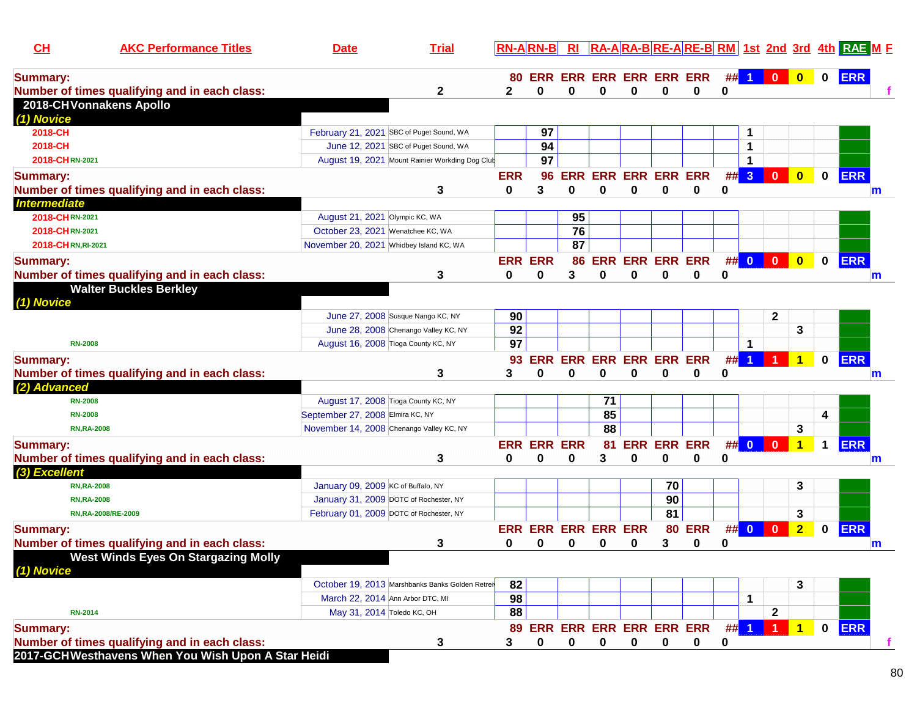| <b>80 ERR ERR ERR ERR ERR ERR</b><br>$\begin{array}{ c c c c c }\n\hline\n0 & 0 \\ \hline\n\end{array}$<br>$\mathbf{0}$<br><b>ERR</b><br><b>Summary:</b><br>##<br>$\blacktriangleleft$<br>$\bf{0}$<br>0<br>$\bf{0}$<br>Number of times qualifying and in each class:<br>$\mathbf{2}$<br>$\mathbf{2}$<br>0<br>0<br>0<br>0<br>2018-CHVonnakens Apollo<br>(1) Novice<br>2018-CH<br>February 21, 2021 SBC of Puget Sound, WA<br>97<br>1<br>94<br>1<br>2018-CH<br>June 12, 2021 SBC of Puget Sound, WA<br>97<br>$\mathbf 1$<br>2018-CHRN-2021<br>August 19, 2021 Mount Rainier Workding Dog Club<br>## 3<br>$\overline{\mathbf{0}}$<br>$\mathbf 0$<br><b>ERR</b><br><b>ERR</b><br>ERR ERR ERR ERR ERR<br>$\mathbf{0}$<br>96<br><b>Summary:</b><br>0<br>Number of times qualifying and in each class:<br>3<br>$\bf{0}$<br>3<br>$\bf{0}$<br>$\bf{0}$<br>$\bf{0}$<br>0<br>0<br>$\mathsf{m}$<br><b>Intermediate</b><br>2018-CHRN-2021<br>August 21, 2021 Olympic KC, WA<br>95<br>76<br>2018-CHRN-2021<br>October 23, 2021 Wenatchee KC, WA<br>$\overline{87}$<br>2018-CHRN, RI-2021<br>November 20, 2021 Whidbey Island KC, WA<br><b>ERR</b><br><b>ERR ERR ERR ERR</b><br>## 0 0 0<br>$\bullet$<br><b>ERR ERR</b><br>$\mathbf 0$<br>86<br><b>Summary:</b><br>3<br>Number of times qualifying and in each class:<br>3<br>0<br>0<br>0<br>0<br>0<br>0<br>0<br>m<br><b>Walter Buckles Berkley</b><br>(1) Novice<br>June 27, 2008 Susque Nango KC, NY<br>90<br>$\mathbf{2}$<br>92<br>3<br>June 28, 2008 Chenango Valley KC, NY<br>$\overline{97}$<br>1<br>August 16, 2008 Tioga County KC, NY<br><b>RN-2008</b><br><b>ERR</b><br>##<br><b>ERR ERR</b><br>$\mathbf 0$<br><b>ERR ERR</b><br>$\blacktriangleleft$<br>$\mathbf{1}$<br><b>Summary:</b><br>93<br>ERR<br><b>ERR</b><br>Number of times qualifying and in each class:<br>3<br>3<br>0<br>0<br>U<br>0<br>0<br>0<br>0<br>m<br>(2) Advanced<br>71<br>August 17, 2008 Tioga County KC, NY<br><b>RN-2008</b><br>85<br>4<br>September 27, 2008 Elmira KC, NY<br><b>RN-2008</b><br>88<br>3<br>November 14, 2008 Chenango Valley KC, NY<br><b>RN, RA-2008</b><br><b>ERR</b><br><b>ERR ERR</b><br>##<br><b>ERR ERR ERR</b><br>$\overline{\mathbf{0}}$<br>$\mathbf{0}$<br>$\blacktriangleleft$<br><b>Summary:</b><br>81<br><b>ERR</b><br>$\blacktriangleleft$<br>Number of times qualifying and in each class:<br>$\bf{0}$<br>0<br>3<br>0<br>0<br>0<br>3<br>0<br>0<br>m<br>(3) Excellent<br>70<br>3<br><b>RN, RA-2008</b><br>January 09, 2009 KC of Buffalo, NY<br>90<br>January 31, 2009 DOTC of Rochester, NY<br><b>RN, RA-2008</b><br>81<br>February 01, 2009 DOTC of Rochester, NY<br>3<br>RN, RA-2008/RE-2009<br><b>ERR</b><br>80<br><b>ERR</b><br>#<br>2 <sup>1</sup><br><b>Summary:</b><br><b>ERR ERR ERR ERR</b><br>$\mathbf{0}$<br>$\mathbf{0}$<br>$\mathbf{0}$<br><b>ERR</b><br>3<br>Number of times qualifying and in each class:<br>3<br>0<br>0<br>0<br>0<br>0<br>0<br>$\bf{0}$<br>m<br><b>West Winds Eyes On Stargazing Molly</b><br>(1) Novice<br>82<br>October 19, 2013 Marshbanks Banks Golden Retreit<br>3<br>98<br>March 22, 2014 Ann Arbor DTC, MI<br>1<br>88<br>$\mathbf{2}$<br>May 31, 2014 Toledo KC, OH<br><b>RN-2014</b><br>0 ERR<br>89 ERR ERR ERR ERR ERR ERR<br>## <mark>111</mark><br><b>Summary:</b><br>Number of times qualifying and in each class: | CH | <b>AKC Performance Titles</b> | <b>Date</b> | <b>Trial</b> |   | $ RN-A RN-B $ | R1 |   |   |             |             |   |  |  | RA-ARA-BRE-ARE-BRM 1st 2nd 3rd 4th RAE M F |  |
|-------------------------------------------------------------------------------------------------------------------------------------------------------------------------------------------------------------------------------------------------------------------------------------------------------------------------------------------------------------------------------------------------------------------------------------------------------------------------------------------------------------------------------------------------------------------------------------------------------------------------------------------------------------------------------------------------------------------------------------------------------------------------------------------------------------------------------------------------------------------------------------------------------------------------------------------------------------------------------------------------------------------------------------------------------------------------------------------------------------------------------------------------------------------------------------------------------------------------------------------------------------------------------------------------------------------------------------------------------------------------------------------------------------------------------------------------------------------------------------------------------------------------------------------------------------------------------------------------------------------------------------------------------------------------------------------------------------------------------------------------------------------------------------------------------------------------------------------------------------------------------------------------------------------------------------------------------------------------------------------------------------------------------------------------------------------------------------------------------------------------------------------------------------------------------------------------------------------------------------------------------------------------------------------------------------------------------------------------------------------------------------------------------------------------------------------------------------------------------------------------------------------------------------------------------------------------------------------------------------------------------------------------------------------------------------------------------------------------------------------------------------------------------------------------------------------------------------------------------------------------------------------------------------------------------------------------------------------------------------------------------------------------------------------------------------------------------------------------------------------------------------------------------------------------------------------------------------------------------------------------------------------------------------------------------------------|----|-------------------------------|-------------|--------------|---|---------------|----|---|---|-------------|-------------|---|--|--|--------------------------------------------|--|
|                                                                                                                                                                                                                                                                                                                                                                                                                                                                                                                                                                                                                                                                                                                                                                                                                                                                                                                                                                                                                                                                                                                                                                                                                                                                                                                                                                                                                                                                                                                                                                                                                                                                                                                                                                                                                                                                                                                                                                                                                                                                                                                                                                                                                                                                                                                                                                                                                                                                                                                                                                                                                                                                                                                                                                                                                                                                                                                                                                                                                                                                                                                                                                                                                                                                                                                   |    |                               |             |              |   |               |    |   |   |             |             |   |  |  |                                            |  |
|                                                                                                                                                                                                                                                                                                                                                                                                                                                                                                                                                                                                                                                                                                                                                                                                                                                                                                                                                                                                                                                                                                                                                                                                                                                                                                                                                                                                                                                                                                                                                                                                                                                                                                                                                                                                                                                                                                                                                                                                                                                                                                                                                                                                                                                                                                                                                                                                                                                                                                                                                                                                                                                                                                                                                                                                                                                                                                                                                                                                                                                                                                                                                                                                                                                                                                                   |    |                               |             |              |   |               |    |   |   |             |             |   |  |  |                                            |  |
|                                                                                                                                                                                                                                                                                                                                                                                                                                                                                                                                                                                                                                                                                                                                                                                                                                                                                                                                                                                                                                                                                                                                                                                                                                                                                                                                                                                                                                                                                                                                                                                                                                                                                                                                                                                                                                                                                                                                                                                                                                                                                                                                                                                                                                                                                                                                                                                                                                                                                                                                                                                                                                                                                                                                                                                                                                                                                                                                                                                                                                                                                                                                                                                                                                                                                                                   |    |                               |             |              |   |               |    |   |   |             |             |   |  |  |                                            |  |
|                                                                                                                                                                                                                                                                                                                                                                                                                                                                                                                                                                                                                                                                                                                                                                                                                                                                                                                                                                                                                                                                                                                                                                                                                                                                                                                                                                                                                                                                                                                                                                                                                                                                                                                                                                                                                                                                                                                                                                                                                                                                                                                                                                                                                                                                                                                                                                                                                                                                                                                                                                                                                                                                                                                                                                                                                                                                                                                                                                                                                                                                                                                                                                                                                                                                                                                   |    |                               |             |              |   |               |    |   |   |             |             |   |  |  |                                            |  |
|                                                                                                                                                                                                                                                                                                                                                                                                                                                                                                                                                                                                                                                                                                                                                                                                                                                                                                                                                                                                                                                                                                                                                                                                                                                                                                                                                                                                                                                                                                                                                                                                                                                                                                                                                                                                                                                                                                                                                                                                                                                                                                                                                                                                                                                                                                                                                                                                                                                                                                                                                                                                                                                                                                                                                                                                                                                                                                                                                                                                                                                                                                                                                                                                                                                                                                                   |    |                               |             |              |   |               |    |   |   |             |             |   |  |  |                                            |  |
|                                                                                                                                                                                                                                                                                                                                                                                                                                                                                                                                                                                                                                                                                                                                                                                                                                                                                                                                                                                                                                                                                                                                                                                                                                                                                                                                                                                                                                                                                                                                                                                                                                                                                                                                                                                                                                                                                                                                                                                                                                                                                                                                                                                                                                                                                                                                                                                                                                                                                                                                                                                                                                                                                                                                                                                                                                                                                                                                                                                                                                                                                                                                                                                                                                                                                                                   |    |                               |             |              |   |               |    |   |   |             |             |   |  |  |                                            |  |
|                                                                                                                                                                                                                                                                                                                                                                                                                                                                                                                                                                                                                                                                                                                                                                                                                                                                                                                                                                                                                                                                                                                                                                                                                                                                                                                                                                                                                                                                                                                                                                                                                                                                                                                                                                                                                                                                                                                                                                                                                                                                                                                                                                                                                                                                                                                                                                                                                                                                                                                                                                                                                                                                                                                                                                                                                                                                                                                                                                                                                                                                                                                                                                                                                                                                                                                   |    |                               |             |              |   |               |    |   |   |             |             |   |  |  |                                            |  |
|                                                                                                                                                                                                                                                                                                                                                                                                                                                                                                                                                                                                                                                                                                                                                                                                                                                                                                                                                                                                                                                                                                                                                                                                                                                                                                                                                                                                                                                                                                                                                                                                                                                                                                                                                                                                                                                                                                                                                                                                                                                                                                                                                                                                                                                                                                                                                                                                                                                                                                                                                                                                                                                                                                                                                                                                                                                                                                                                                                                                                                                                                                                                                                                                                                                                                                                   |    |                               |             |              |   |               |    |   |   |             |             |   |  |  |                                            |  |
|                                                                                                                                                                                                                                                                                                                                                                                                                                                                                                                                                                                                                                                                                                                                                                                                                                                                                                                                                                                                                                                                                                                                                                                                                                                                                                                                                                                                                                                                                                                                                                                                                                                                                                                                                                                                                                                                                                                                                                                                                                                                                                                                                                                                                                                                                                                                                                                                                                                                                                                                                                                                                                                                                                                                                                                                                                                                                                                                                                                                                                                                                                                                                                                                                                                                                                                   |    |                               |             |              |   |               |    |   |   |             |             |   |  |  |                                            |  |
|                                                                                                                                                                                                                                                                                                                                                                                                                                                                                                                                                                                                                                                                                                                                                                                                                                                                                                                                                                                                                                                                                                                                                                                                                                                                                                                                                                                                                                                                                                                                                                                                                                                                                                                                                                                                                                                                                                                                                                                                                                                                                                                                                                                                                                                                                                                                                                                                                                                                                                                                                                                                                                                                                                                                                                                                                                                                                                                                                                                                                                                                                                                                                                                                                                                                                                                   |    |                               |             |              |   |               |    |   |   |             |             |   |  |  |                                            |  |
|                                                                                                                                                                                                                                                                                                                                                                                                                                                                                                                                                                                                                                                                                                                                                                                                                                                                                                                                                                                                                                                                                                                                                                                                                                                                                                                                                                                                                                                                                                                                                                                                                                                                                                                                                                                                                                                                                                                                                                                                                                                                                                                                                                                                                                                                                                                                                                                                                                                                                                                                                                                                                                                                                                                                                                                                                                                                                                                                                                                                                                                                                                                                                                                                                                                                                                                   |    |                               |             |              |   |               |    |   |   |             |             |   |  |  |                                            |  |
|                                                                                                                                                                                                                                                                                                                                                                                                                                                                                                                                                                                                                                                                                                                                                                                                                                                                                                                                                                                                                                                                                                                                                                                                                                                                                                                                                                                                                                                                                                                                                                                                                                                                                                                                                                                                                                                                                                                                                                                                                                                                                                                                                                                                                                                                                                                                                                                                                                                                                                                                                                                                                                                                                                                                                                                                                                                                                                                                                                                                                                                                                                                                                                                                                                                                                                                   |    |                               |             |              |   |               |    |   |   |             |             |   |  |  |                                            |  |
|                                                                                                                                                                                                                                                                                                                                                                                                                                                                                                                                                                                                                                                                                                                                                                                                                                                                                                                                                                                                                                                                                                                                                                                                                                                                                                                                                                                                                                                                                                                                                                                                                                                                                                                                                                                                                                                                                                                                                                                                                                                                                                                                                                                                                                                                                                                                                                                                                                                                                                                                                                                                                                                                                                                                                                                                                                                                                                                                                                                                                                                                                                                                                                                                                                                                                                                   |    |                               |             |              |   |               |    |   |   |             |             |   |  |  |                                            |  |
|                                                                                                                                                                                                                                                                                                                                                                                                                                                                                                                                                                                                                                                                                                                                                                                                                                                                                                                                                                                                                                                                                                                                                                                                                                                                                                                                                                                                                                                                                                                                                                                                                                                                                                                                                                                                                                                                                                                                                                                                                                                                                                                                                                                                                                                                                                                                                                                                                                                                                                                                                                                                                                                                                                                                                                                                                                                                                                                                                                                                                                                                                                                                                                                                                                                                                                                   |    |                               |             |              |   |               |    |   |   |             |             |   |  |  |                                            |  |
|                                                                                                                                                                                                                                                                                                                                                                                                                                                                                                                                                                                                                                                                                                                                                                                                                                                                                                                                                                                                                                                                                                                                                                                                                                                                                                                                                                                                                                                                                                                                                                                                                                                                                                                                                                                                                                                                                                                                                                                                                                                                                                                                                                                                                                                                                                                                                                                                                                                                                                                                                                                                                                                                                                                                                                                                                                                                                                                                                                                                                                                                                                                                                                                                                                                                                                                   |    |                               |             |              |   |               |    |   |   |             |             |   |  |  |                                            |  |
|                                                                                                                                                                                                                                                                                                                                                                                                                                                                                                                                                                                                                                                                                                                                                                                                                                                                                                                                                                                                                                                                                                                                                                                                                                                                                                                                                                                                                                                                                                                                                                                                                                                                                                                                                                                                                                                                                                                                                                                                                                                                                                                                                                                                                                                                                                                                                                                                                                                                                                                                                                                                                                                                                                                                                                                                                                                                                                                                                                                                                                                                                                                                                                                                                                                                                                                   |    |                               |             |              |   |               |    |   |   |             |             |   |  |  |                                            |  |
|                                                                                                                                                                                                                                                                                                                                                                                                                                                                                                                                                                                                                                                                                                                                                                                                                                                                                                                                                                                                                                                                                                                                                                                                                                                                                                                                                                                                                                                                                                                                                                                                                                                                                                                                                                                                                                                                                                                                                                                                                                                                                                                                                                                                                                                                                                                                                                                                                                                                                                                                                                                                                                                                                                                                                                                                                                                                                                                                                                                                                                                                                                                                                                                                                                                                                                                   |    |                               |             |              |   |               |    |   |   |             |             |   |  |  |                                            |  |
|                                                                                                                                                                                                                                                                                                                                                                                                                                                                                                                                                                                                                                                                                                                                                                                                                                                                                                                                                                                                                                                                                                                                                                                                                                                                                                                                                                                                                                                                                                                                                                                                                                                                                                                                                                                                                                                                                                                                                                                                                                                                                                                                                                                                                                                                                                                                                                                                                                                                                                                                                                                                                                                                                                                                                                                                                                                                                                                                                                                                                                                                                                                                                                                                                                                                                                                   |    |                               |             |              |   |               |    |   |   |             |             |   |  |  |                                            |  |
|                                                                                                                                                                                                                                                                                                                                                                                                                                                                                                                                                                                                                                                                                                                                                                                                                                                                                                                                                                                                                                                                                                                                                                                                                                                                                                                                                                                                                                                                                                                                                                                                                                                                                                                                                                                                                                                                                                                                                                                                                                                                                                                                                                                                                                                                                                                                                                                                                                                                                                                                                                                                                                                                                                                                                                                                                                                                                                                                                                                                                                                                                                                                                                                                                                                                                                                   |    |                               |             |              |   |               |    |   |   |             |             |   |  |  |                                            |  |
|                                                                                                                                                                                                                                                                                                                                                                                                                                                                                                                                                                                                                                                                                                                                                                                                                                                                                                                                                                                                                                                                                                                                                                                                                                                                                                                                                                                                                                                                                                                                                                                                                                                                                                                                                                                                                                                                                                                                                                                                                                                                                                                                                                                                                                                                                                                                                                                                                                                                                                                                                                                                                                                                                                                                                                                                                                                                                                                                                                                                                                                                                                                                                                                                                                                                                                                   |    |                               |             |              |   |               |    |   |   |             |             |   |  |  |                                            |  |
|                                                                                                                                                                                                                                                                                                                                                                                                                                                                                                                                                                                                                                                                                                                                                                                                                                                                                                                                                                                                                                                                                                                                                                                                                                                                                                                                                                                                                                                                                                                                                                                                                                                                                                                                                                                                                                                                                                                                                                                                                                                                                                                                                                                                                                                                                                                                                                                                                                                                                                                                                                                                                                                                                                                                                                                                                                                                                                                                                                                                                                                                                                                                                                                                                                                                                                                   |    |                               |             |              |   |               |    |   |   |             |             |   |  |  |                                            |  |
|                                                                                                                                                                                                                                                                                                                                                                                                                                                                                                                                                                                                                                                                                                                                                                                                                                                                                                                                                                                                                                                                                                                                                                                                                                                                                                                                                                                                                                                                                                                                                                                                                                                                                                                                                                                                                                                                                                                                                                                                                                                                                                                                                                                                                                                                                                                                                                                                                                                                                                                                                                                                                                                                                                                                                                                                                                                                                                                                                                                                                                                                                                                                                                                                                                                                                                                   |    |                               |             |              |   |               |    |   |   |             |             |   |  |  |                                            |  |
|                                                                                                                                                                                                                                                                                                                                                                                                                                                                                                                                                                                                                                                                                                                                                                                                                                                                                                                                                                                                                                                                                                                                                                                                                                                                                                                                                                                                                                                                                                                                                                                                                                                                                                                                                                                                                                                                                                                                                                                                                                                                                                                                                                                                                                                                                                                                                                                                                                                                                                                                                                                                                                                                                                                                                                                                                                                                                                                                                                                                                                                                                                                                                                                                                                                                                                                   |    |                               |             |              |   |               |    |   |   |             |             |   |  |  |                                            |  |
|                                                                                                                                                                                                                                                                                                                                                                                                                                                                                                                                                                                                                                                                                                                                                                                                                                                                                                                                                                                                                                                                                                                                                                                                                                                                                                                                                                                                                                                                                                                                                                                                                                                                                                                                                                                                                                                                                                                                                                                                                                                                                                                                                                                                                                                                                                                                                                                                                                                                                                                                                                                                                                                                                                                                                                                                                                                                                                                                                                                                                                                                                                                                                                                                                                                                                                                   |    |                               |             |              |   |               |    |   |   |             |             |   |  |  |                                            |  |
|                                                                                                                                                                                                                                                                                                                                                                                                                                                                                                                                                                                                                                                                                                                                                                                                                                                                                                                                                                                                                                                                                                                                                                                                                                                                                                                                                                                                                                                                                                                                                                                                                                                                                                                                                                                                                                                                                                                                                                                                                                                                                                                                                                                                                                                                                                                                                                                                                                                                                                                                                                                                                                                                                                                                                                                                                                                                                                                                                                                                                                                                                                                                                                                                                                                                                                                   |    |                               |             |              |   |               |    |   |   |             |             |   |  |  |                                            |  |
|                                                                                                                                                                                                                                                                                                                                                                                                                                                                                                                                                                                                                                                                                                                                                                                                                                                                                                                                                                                                                                                                                                                                                                                                                                                                                                                                                                                                                                                                                                                                                                                                                                                                                                                                                                                                                                                                                                                                                                                                                                                                                                                                                                                                                                                                                                                                                                                                                                                                                                                                                                                                                                                                                                                                                                                                                                                                                                                                                                                                                                                                                                                                                                                                                                                                                                                   |    |                               |             |              |   |               |    |   |   |             |             |   |  |  |                                            |  |
|                                                                                                                                                                                                                                                                                                                                                                                                                                                                                                                                                                                                                                                                                                                                                                                                                                                                                                                                                                                                                                                                                                                                                                                                                                                                                                                                                                                                                                                                                                                                                                                                                                                                                                                                                                                                                                                                                                                                                                                                                                                                                                                                                                                                                                                                                                                                                                                                                                                                                                                                                                                                                                                                                                                                                                                                                                                                                                                                                                                                                                                                                                                                                                                                                                                                                                                   |    |                               |             |              |   |               |    |   |   |             |             |   |  |  |                                            |  |
|                                                                                                                                                                                                                                                                                                                                                                                                                                                                                                                                                                                                                                                                                                                                                                                                                                                                                                                                                                                                                                                                                                                                                                                                                                                                                                                                                                                                                                                                                                                                                                                                                                                                                                                                                                                                                                                                                                                                                                                                                                                                                                                                                                                                                                                                                                                                                                                                                                                                                                                                                                                                                                                                                                                                                                                                                                                                                                                                                                                                                                                                                                                                                                                                                                                                                                                   |    |                               |             |              |   |               |    |   |   |             |             |   |  |  |                                            |  |
|                                                                                                                                                                                                                                                                                                                                                                                                                                                                                                                                                                                                                                                                                                                                                                                                                                                                                                                                                                                                                                                                                                                                                                                                                                                                                                                                                                                                                                                                                                                                                                                                                                                                                                                                                                                                                                                                                                                                                                                                                                                                                                                                                                                                                                                                                                                                                                                                                                                                                                                                                                                                                                                                                                                                                                                                                                                                                                                                                                                                                                                                                                                                                                                                                                                                                                                   |    |                               |             |              |   |               |    |   |   |             |             |   |  |  |                                            |  |
|                                                                                                                                                                                                                                                                                                                                                                                                                                                                                                                                                                                                                                                                                                                                                                                                                                                                                                                                                                                                                                                                                                                                                                                                                                                                                                                                                                                                                                                                                                                                                                                                                                                                                                                                                                                                                                                                                                                                                                                                                                                                                                                                                                                                                                                                                                                                                                                                                                                                                                                                                                                                                                                                                                                                                                                                                                                                                                                                                                                                                                                                                                                                                                                                                                                                                                                   |    |                               |             |              |   |               |    |   |   |             |             |   |  |  |                                            |  |
|                                                                                                                                                                                                                                                                                                                                                                                                                                                                                                                                                                                                                                                                                                                                                                                                                                                                                                                                                                                                                                                                                                                                                                                                                                                                                                                                                                                                                                                                                                                                                                                                                                                                                                                                                                                                                                                                                                                                                                                                                                                                                                                                                                                                                                                                                                                                                                                                                                                                                                                                                                                                                                                                                                                                                                                                                                                                                                                                                                                                                                                                                                                                                                                                                                                                                                                   |    |                               |             |              |   |               |    |   |   |             |             |   |  |  |                                            |  |
|                                                                                                                                                                                                                                                                                                                                                                                                                                                                                                                                                                                                                                                                                                                                                                                                                                                                                                                                                                                                                                                                                                                                                                                                                                                                                                                                                                                                                                                                                                                                                                                                                                                                                                                                                                                                                                                                                                                                                                                                                                                                                                                                                                                                                                                                                                                                                                                                                                                                                                                                                                                                                                                                                                                                                                                                                                                                                                                                                                                                                                                                                                                                                                                                                                                                                                                   |    |                               |             |              |   |               |    |   |   |             |             |   |  |  |                                            |  |
|                                                                                                                                                                                                                                                                                                                                                                                                                                                                                                                                                                                                                                                                                                                                                                                                                                                                                                                                                                                                                                                                                                                                                                                                                                                                                                                                                                                                                                                                                                                                                                                                                                                                                                                                                                                                                                                                                                                                                                                                                                                                                                                                                                                                                                                                                                                                                                                                                                                                                                                                                                                                                                                                                                                                                                                                                                                                                                                                                                                                                                                                                                                                                                                                                                                                                                                   |    |                               |             |              |   |               |    |   |   |             |             |   |  |  |                                            |  |
|                                                                                                                                                                                                                                                                                                                                                                                                                                                                                                                                                                                                                                                                                                                                                                                                                                                                                                                                                                                                                                                                                                                                                                                                                                                                                                                                                                                                                                                                                                                                                                                                                                                                                                                                                                                                                                                                                                                                                                                                                                                                                                                                                                                                                                                                                                                                                                                                                                                                                                                                                                                                                                                                                                                                                                                                                                                                                                                                                                                                                                                                                                                                                                                                                                                                                                                   |    |                               |             |              |   |               |    |   |   |             |             |   |  |  |                                            |  |
|                                                                                                                                                                                                                                                                                                                                                                                                                                                                                                                                                                                                                                                                                                                                                                                                                                                                                                                                                                                                                                                                                                                                                                                                                                                                                                                                                                                                                                                                                                                                                                                                                                                                                                                                                                                                                                                                                                                                                                                                                                                                                                                                                                                                                                                                                                                                                                                                                                                                                                                                                                                                                                                                                                                                                                                                                                                                                                                                                                                                                                                                                                                                                                                                                                                                                                                   |    |                               |             |              |   |               |    |   |   |             |             |   |  |  |                                            |  |
|                                                                                                                                                                                                                                                                                                                                                                                                                                                                                                                                                                                                                                                                                                                                                                                                                                                                                                                                                                                                                                                                                                                                                                                                                                                                                                                                                                                                                                                                                                                                                                                                                                                                                                                                                                                                                                                                                                                                                                                                                                                                                                                                                                                                                                                                                                                                                                                                                                                                                                                                                                                                                                                                                                                                                                                                                                                                                                                                                                                                                                                                                                                                                                                                                                                                                                                   |    |                               |             |              |   |               |    |   |   |             |             |   |  |  |                                            |  |
|                                                                                                                                                                                                                                                                                                                                                                                                                                                                                                                                                                                                                                                                                                                                                                                                                                                                                                                                                                                                                                                                                                                                                                                                                                                                                                                                                                                                                                                                                                                                                                                                                                                                                                                                                                                                                                                                                                                                                                                                                                                                                                                                                                                                                                                                                                                                                                                                                                                                                                                                                                                                                                                                                                                                                                                                                                                                                                                                                                                                                                                                                                                                                                                                                                                                                                                   |    |                               |             |              |   |               |    |   |   |             |             |   |  |  |                                            |  |
|                                                                                                                                                                                                                                                                                                                                                                                                                                                                                                                                                                                                                                                                                                                                                                                                                                                                                                                                                                                                                                                                                                                                                                                                                                                                                                                                                                                                                                                                                                                                                                                                                                                                                                                                                                                                                                                                                                                                                                                                                                                                                                                                                                                                                                                                                                                                                                                                                                                                                                                                                                                                                                                                                                                                                                                                                                                                                                                                                                                                                                                                                                                                                                                                                                                                                                                   |    |                               |             |              |   |               |    |   |   |             |             |   |  |  |                                            |  |
| 2017-GCHWesthavens When You Wish Upon A Star Heidi                                                                                                                                                                                                                                                                                                                                                                                                                                                                                                                                                                                                                                                                                                                                                                                                                                                                                                                                                                                                                                                                                                                                                                                                                                                                                                                                                                                                                                                                                                                                                                                                                                                                                                                                                                                                                                                                                                                                                                                                                                                                                                                                                                                                                                                                                                                                                                                                                                                                                                                                                                                                                                                                                                                                                                                                                                                                                                                                                                                                                                                                                                                                                                                                                                                                |    |                               |             | 3            | 3 | 0             | 0  | 0 | 0 | $\mathbf 0$ | $\mathbf 0$ | 0 |  |  |                                            |  |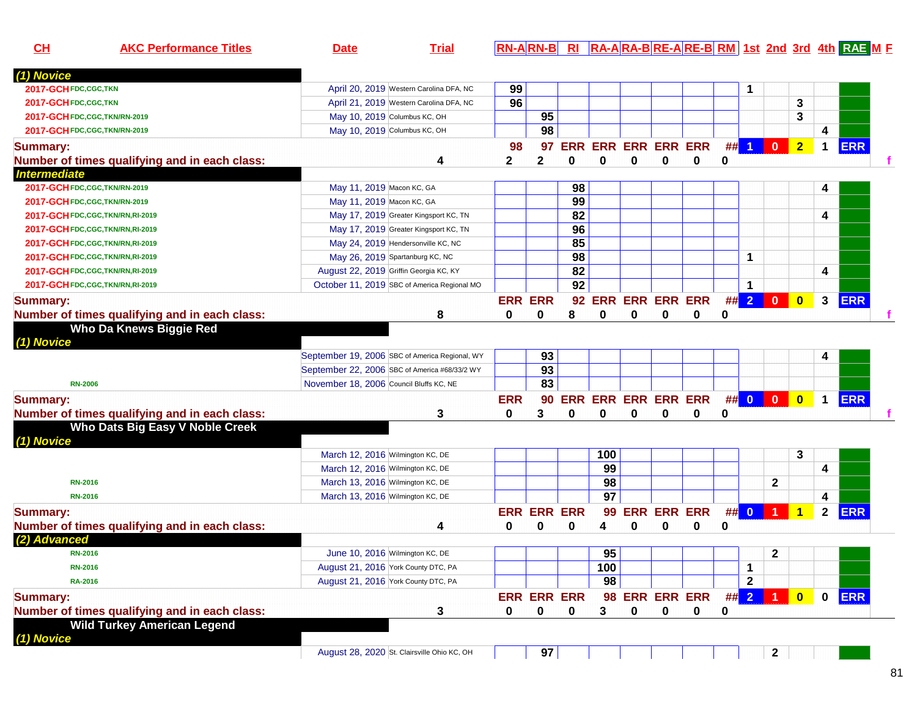| <u>СН</u>                      | <b>AKC Performance Titles</b>                 | <u>Date</u>                                    | <u>Trial</u>                            |              |                    |                    |                     |   |                        |                        |   |                        |                |                         |              | <u> RN-A RN-B  RI  RA-A RA-B RE-A RE-B  RM   1st_2nd_3rd_4th_RAE_M_F</u> |  |
|--------------------------------|-----------------------------------------------|------------------------------------------------|-----------------------------------------|--------------|--------------------|--------------------|---------------------|---|------------------------|------------------------|---|------------------------|----------------|-------------------------|--------------|--------------------------------------------------------------------------|--|
| (1) Novice                     |                                               |                                                |                                         |              |                    |                    |                     |   |                        |                        |   |                        |                |                         |              |                                                                          |  |
| 2017-GCH FDC, CGC, TKN         |                                               |                                                | April 20, 2019 Western Carolina DFA, NC | 99           |                    |                    |                     |   |                        |                        |   | 1                      |                |                         |              |                                                                          |  |
| 2017-GCHFDC,CGC,TKN            |                                               |                                                | April 21, 2019 Western Carolina DFA, NC | 96           |                    |                    |                     |   |                        |                        |   |                        |                | 3                       |              |                                                                          |  |
| 2017-GCH FDC, CGC, TKN/RN-2019 |                                               | May 10, 2019 Columbus KC, OH                   |                                         |              | 95                 |                    |                     |   |                        |                        |   |                        |                | 3                       |              |                                                                          |  |
| 2017-GCH FDC, CGC, TKN/RN-2019 |                                               | May 10, 2019 Columbus KC, OH                   |                                         |              | 98                 |                    |                     |   |                        |                        |   |                        |                |                         | 4            |                                                                          |  |
| <b>Summary:</b>                |                                               |                                                |                                         | 98           | 97                 | <b>ERR</b>         |                     |   | <b>ERR ERR ERR ERR</b> |                        | # | $\blacktriangleleft$   | $\mathbf{0}$   | $\overline{2}$          | 1            | <b>ERR</b>                                                               |  |
|                                | Number of times qualifying and in each class: |                                                | 4                                       | $\mathbf{2}$ | $\mathbf{2}$       | $\bf{0}$           | $\bf{0}$            | 0 | $\bf{0}$               | $\bf{0}$               | 0 |                        |                |                         |              |                                                                          |  |
| <b>Intermediate</b>            |                                               |                                                |                                         |              |                    |                    |                     |   |                        |                        |   |                        |                |                         |              |                                                                          |  |
| 2017-GCH FDC, CGC, TKN/RN-2019 |                                               | May 11, 2019 Macon KC, GA                      |                                         |              |                    | 98                 |                     |   |                        |                        |   |                        |                |                         | 4            |                                                                          |  |
| 2017-GCH FDC, CGC, TKN/RN-2019 |                                               | May 11, 2019 Macon KC, GA                      |                                         |              |                    | 99                 |                     |   |                        |                        |   |                        |                |                         |              |                                                                          |  |
|                                | 2017-GCH FDC, CGC, TKN/RN, RI-2019            |                                                | May 17, 2019 Greater Kingsport KC, TN   |              |                    | 82                 |                     |   |                        |                        |   |                        |                |                         | 4            |                                                                          |  |
|                                | 2017-GCH FDC, CGC, TKN/RN, RI-2019            |                                                | May 17, 2019 Greater Kingsport KC, TN   |              |                    | 96                 |                     |   |                        |                        |   |                        |                |                         |              |                                                                          |  |
|                                | 2017-GCH FDC, CGC, TKN/RN, RI-2019            | May 24, 2019 Hendersonville KC, NC             |                                         |              |                    | 85                 |                     |   |                        |                        |   |                        |                |                         |              |                                                                          |  |
|                                | 2017-GCH FDC, CGC, TKN/RN, RI-2019            | May 26, 2019 Spartanburg KC, NC                |                                         |              |                    | 98                 |                     |   |                        |                        |   | 1                      |                |                         |              |                                                                          |  |
|                                | 2017-GCH FDC, CGC, TKN/RN, RI-2019            | August 22, 2019 Griffin Georgia KC, KY         |                                         |              |                    | 82                 |                     |   |                        |                        |   |                        |                |                         | 4            |                                                                          |  |
|                                |                                               | October 11, 2019 SBC of America Regional MO    |                                         |              |                    | 92                 |                     |   |                        |                        |   | 1                      |                |                         |              |                                                                          |  |
|                                | 2017-GCH FDC, CGC, TKN/RN, RI-2019            |                                                |                                         |              |                    |                    |                     |   |                        |                        |   |                        |                |                         |              |                                                                          |  |
| Summary:                       |                                               |                                                |                                         |              | <b>ERR ERR</b>     | 92                 |                     |   |                        | <b>ERR ERR ERR ERR</b> |   | $\#$ $\#$ $\mathbf{2}$ | $\mathbf{0}$   | $\overline{\mathbf{0}}$ | 3            | <b>ERR</b>                                                               |  |
|                                | Number of times qualifying and in each class: |                                                | 8                                       | 0            | 0                  | 8                  | 0                   | 0 | 0                      | 0                      | 0 |                        |                |                         |              |                                                                          |  |
|                                | Who Da Knews Biggie Red                       |                                                |                                         |              |                    |                    |                     |   |                        |                        |   |                        |                |                         |              |                                                                          |  |
| (1) Novice                     |                                               |                                                |                                         |              |                    |                    |                     |   |                        |                        |   |                        |                |                         |              |                                                                          |  |
|                                |                                               | September 19, 2006 SBC of America Regional, WY |                                         |              | 93                 |                    |                     |   |                        |                        |   |                        |                |                         | 4            |                                                                          |  |
|                                |                                               | September 22, 2006 SBC of America #68/33/2 WY  |                                         |              | 93                 |                    |                     |   |                        |                        |   |                        |                |                         |              |                                                                          |  |
| <b>RN-2006</b>                 |                                               | November 18, 2006 Council Bluffs KC, NE        |                                         |              | 83                 |                    |                     |   |                        |                        |   |                        |                |                         |              |                                                                          |  |
| <b>Summary:</b>                |                                               |                                                |                                         | <b>ERR</b>   | 90                 |                    | ERR ERR ERR ERR ERR |   |                        |                        |   | $\#$ 0 0               |                | $\overline{\mathbf{0}}$ | $\mathbf 1$  | <b>ERR</b>                                                               |  |
|                                | Number of times qualifying and in each class: |                                                | 3                                       | 0            | 3                  | 0                  | 0                   | 0 | 0                      | 0                      | 0 |                        |                |                         |              |                                                                          |  |
|                                | Who Dats Big Easy V Noble Creek               |                                                |                                         |              |                    |                    |                     |   |                        |                        |   |                        |                |                         |              |                                                                          |  |
| (1) Novice                     |                                               |                                                |                                         |              |                    |                    |                     |   |                        |                        |   |                        |                |                         |              |                                                                          |  |
|                                |                                               | March 12, 2016 Wilmington KC, DE               |                                         |              |                    |                    | 100                 |   |                        |                        |   |                        |                | 3                       |              |                                                                          |  |
|                                |                                               | March 12, 2016 Wilmington KC, DE               |                                         |              |                    |                    | 99                  |   |                        |                        |   |                        |                |                         | 4            |                                                                          |  |
| <b>RN-2016</b>                 |                                               | March 13, 2016 Wilmington KC, DE               |                                         |              |                    |                    | 98                  |   |                        |                        |   |                        | $\mathbf{2}$   |                         |              |                                                                          |  |
| <b>RN-2016</b>                 |                                               | March 13, 2016 Wilmington KC, DE               |                                         |              |                    |                    | $\overline{97}$     |   |                        |                        |   |                        |                |                         | 4            |                                                                          |  |
| <b>Summary:</b>                |                                               |                                                |                                         |              | <b>ERR ERR ERR</b> |                    | 99                  |   | <b>ERR ERR ERR</b>     |                        |   | ## 0                   | $\blacksquare$ | $\overline{1}$          | $\mathbf{2}$ | <b>ERR</b>                                                               |  |
|                                | Number of times qualifying and in each class: |                                                | 4                                       | 0            | 0                  | 0                  | 4                   | 0 | 0                      | $\bf{0}$               | 0 |                        |                |                         |              |                                                                          |  |
| (2) Advanced                   |                                               |                                                |                                         |              |                    |                    |                     |   |                        |                        |   |                        |                |                         |              |                                                                          |  |
| <b>RN-2016</b>                 |                                               | June 10, 2016 Wilmington KC, DE                |                                         |              |                    |                    | 95                  |   |                        |                        |   |                        | $\mathbf 2$    |                         |              |                                                                          |  |
| <b>RN-2016</b>                 |                                               | August 21, 2016 York County DTC, PA            |                                         |              |                    |                    | 100                 |   |                        |                        |   | 1                      |                |                         |              |                                                                          |  |
| <b>RA-2016</b>                 |                                               | August 21, 2016 York County DTC, PA            |                                         |              |                    |                    | 98                  |   |                        |                        |   | $\mathbf{2}$           |                |                         |              |                                                                          |  |
| <b>Summary:</b>                |                                               |                                                |                                         |              |                    | <b>ERR ERR ERR</b> |                     |   |                        | 98 ERR ERR ERR ## 2 1  |   |                        |                | $\overline{\mathbf{0}}$ | $\mathbf 0$  | <b>ERR</b>                                                               |  |
|                                | Number of times qualifying and in each class: |                                                | 3                                       | 0            | $\mathbf 0$        | 0                  | 3                   | 0 | 0                      | $\mathbf 0$            | 0 |                        |                |                         |              |                                                                          |  |
|                                | <b>Wild Turkey American Legend</b>            |                                                |                                         |              |                    |                    |                     |   |                        |                        |   |                        |                |                         |              |                                                                          |  |
| (1) Novice                     |                                               |                                                |                                         |              |                    |                    |                     |   |                        |                        |   |                        |                |                         |              |                                                                          |  |
|                                |                                               | August 28, 2020 St. Clairsville Ohio KC, OH    |                                         |              | 97                 |                    |                     |   |                        |                        |   |                        | $\mathbf{2}$   |                         |              |                                                                          |  |
|                                |                                               |                                                |                                         |              |                    |                    |                     |   |                        |                        |   |                        |                |                         |              |                                                                          |  |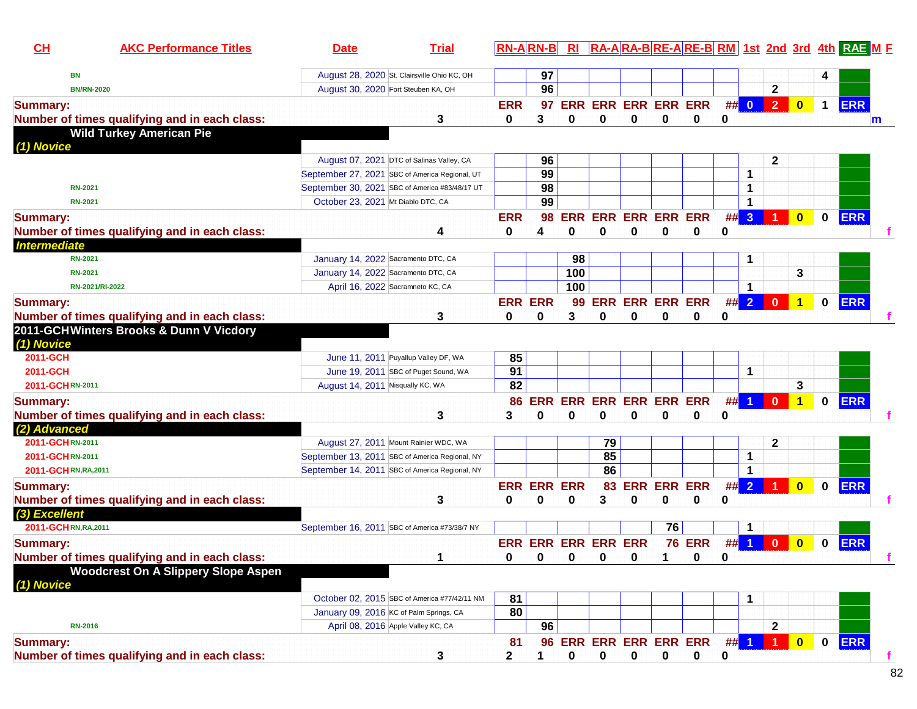| 97<br>August 28, 2020 St. Clairsville Ohio KC, OH<br><b>BN</b><br>96<br>$\mathbf{2}$<br>August 30, 2020 Fort Steuben KA, OH<br><b>BN/RN-2020</b><br>$\clubsuit$<br><b>ERR</b><br><b>ERR ERR ERR ERR ERR</b><br>## 0<br>$\overline{\mathbf{0}}$<br>$\mathbf 1$<br><b>ERR</b><br>97<br><b>Summary:</b><br>Number of times qualifying and in each class:<br>0<br>0<br>0<br>3<br>0<br>3<br>0<br>0<br>0<br>m<br><b>Wild Turkey American Pie</b><br>(1) Novice<br>August 07, 2021 DTC of Salinas Valley, CA<br>96<br>2<br>99<br>September 27, 2021 SBC of America Regional, UT<br>1<br>98<br>September 30, 2021 SBC of America #83/48/17 UT<br>1<br><b>RN-2021</b><br>99<br>October 23, 2021 Mt Diablo DTC, CA<br><b>RN-2021</b><br>1<br><b>ERR</b><br><b>ERR ERR ERR ERR ERR</b><br>## 3<br><b>ERR</b><br>98<br>$\mathbf{0}$<br>$\mathbf{0}$<br><b>Summary:</b><br>0<br>0<br>0<br>Number of times qualifying and in each class:<br>0<br>0<br>$\bf{0}$<br>0<br>4<br>4<br>January 14, 2022 Sacramento DTC, CA<br>98<br>1<br><b>RN-2021</b><br>3<br>100<br>January 14, 2022 Sacramento DTC, CA<br><b>RN-2021</b><br>100<br>April 16, 2022 Sacramneto KC, CA<br>1<br>RN-2021/RI-2022<br>$\#$ 2<br><b>ERR ERR ERR ERR</b><br>$\mathbf{0}$<br>$\mathbf{0}$<br><b>ERR</b><br><b>Summary:</b><br><b>ERR ERR</b><br>99<br>$\mathbf 1$<br>3<br>$\bf{0}$<br>Number of times qualifying and in each class:<br>3<br>0<br>0<br>0<br>0<br>0<br>0<br>2011-GCHWinters Brooks & Dunn V Vicdory<br>(1) Novice<br>85<br>2011-GCH<br>June 11, 2011 Puyallup Valley DF, WA<br>91<br>2011-GCH<br>June 19, 2011 SBC of Puget Sound, WA<br>1<br>82<br>3<br>2011-GCHRN-2011<br>August 14, 2011 Nisqually KC, WA<br><b>ERR</b><br><b>ERR ERR ERR ERR ERR</b><br>##<br>$\blacktriangleleft$<br>$\mathbf{0}$<br>$\mathbf 0$<br><b>ERR</b><br>$\blacktriangleleft$<br><b>Summary:</b><br>86<br>Number of times qualifying and in each class:<br>3<br>$\Omega$<br>0<br>0<br>0<br>0<br>0<br>3<br>0<br>(2) Advanced<br>79<br>$\mathbf{2}$<br>2011-GCHRN-2011<br>August 27, 2011 Mount Rainier WDC, WA<br>85<br>2011-GCHRN-2011<br>September 13, 2011 SBC of America Regional, NY<br>1<br>86<br>1<br>2011-GCHRN, RA, 2011<br>September 14, 2011 SBC of America Regional, NY<br>##2<br><b>ERR</b><br>83 ERR ERR ERR<br>$\overline{1}$<br><b>ERR ERR ERR</b><br>$\overline{\mathbf{0}}$<br>$\mathbf{0}$<br><b>Summary:</b><br>Number of times qualifying and in each class:<br>3<br>0<br>3<br>0<br>0<br>0<br>0<br>0<br>0<br>(3) Excellent<br>76<br>2011-GCHRN, RA, 2011<br>September 16, 2011 SBC of America #73/38/7 NY<br>1<br><b>76 ERR</b><br><b>ERR</b><br><b>ERR ERR ERR ERR ERR</b><br>##<br>$\mathbf{0}$<br>$\mathbf{0}$<br><b>Summary:</b><br>$\blacktriangleleft$<br>$\bf{0}$<br>Number of times qualifying and in each class:<br>$\bf{0}$<br><sup>0</sup><br>$\mathbf{0}$ $\mathbf{0}$ $\mathbf{0}$ $\mathbf{0}$<br>$\mathbf{0}$<br>$\mathbf 1$<br>1<br>$\mathbf{0}$<br><b>Woodcrest On A Slippery Slope Aspen</b><br>(1) Novice<br>81<br>October 02, 2015 SBC of America #77/42/11 NM<br>1<br>80<br>January 09, 2016 KC of Palm Springs, CA<br>April 08, 2016 Apple Valley KC, CA<br>96<br>$\mathbf{2}$<br><b>RN-2016</b><br>$\blacksquare$<br><b>ERR</b><br>$\mathbf 0$<br>ERR ERR ERR ERR ERR<br>#<br>$\overline{\mathbf{0}}$<br>$\blacktriangleleft$<br><b>Summary:</b><br>81<br>96<br>Number of times qualifying and in each class:<br>$\mathbf 2$<br>$\bf{0}$<br>$\mathbf 0$<br>$\pmb{0}$<br>0<br>$\mathbf 0$<br>0 | CH                  | <b>AKC Performance Titles</b> | <b>Date</b> | <b>Trial</b> | $RN-A RN-B $ | R1 |  |  |  |  | RA-ARA-BRE-ARE-BRM 1st 2nd 3rd 4th RAE M F |  |
|--------------------------------------------------------------------------------------------------------------------------------------------------------------------------------------------------------------------------------------------------------------------------------------------------------------------------------------------------------------------------------------------------------------------------------------------------------------------------------------------------------------------------------------------------------------------------------------------------------------------------------------------------------------------------------------------------------------------------------------------------------------------------------------------------------------------------------------------------------------------------------------------------------------------------------------------------------------------------------------------------------------------------------------------------------------------------------------------------------------------------------------------------------------------------------------------------------------------------------------------------------------------------------------------------------------------------------------------------------------------------------------------------------------------------------------------------------------------------------------------------------------------------------------------------------------------------------------------------------------------------------------------------------------------------------------------------------------------------------------------------------------------------------------------------------------------------------------------------------------------------------------------------------------------------------------------------------------------------------------------------------------------------------------------------------------------------------------------------------------------------------------------------------------------------------------------------------------------------------------------------------------------------------------------------------------------------------------------------------------------------------------------------------------------------------------------------------------------------------------------------------------------------------------------------------------------------------------------------------------------------------------------------------------------------------------------------------------------------------------------------------------------------------------------------------------------------------------------------------------------------------------------------------------------------------------------------------------------------------------------------------------------------------------------------------------------------------------------------------------------------------------------------------------------------------------------------------------------------------------------------------------------------------------------------------------------------------------------------------------------------------------------------------------------------------------------------------------------------------------------|---------------------|-------------------------------|-------------|--------------|--------------|----|--|--|--|--|--------------------------------------------|--|
|                                                                                                                                                                                                                                                                                                                                                                                                                                                                                                                                                                                                                                                                                                                                                                                                                                                                                                                                                                                                                                                                                                                                                                                                                                                                                                                                                                                                                                                                                                                                                                                                                                                                                                                                                                                                                                                                                                                                                                                                                                                                                                                                                                                                                                                                                                                                                                                                                                                                                                                                                                                                                                                                                                                                                                                                                                                                                                                                                                                                                                                                                                                                                                                                                                                                                                                                                                                                                                                                                            |                     |                               |             |              |              |    |  |  |  |  |                                            |  |
|                                                                                                                                                                                                                                                                                                                                                                                                                                                                                                                                                                                                                                                                                                                                                                                                                                                                                                                                                                                                                                                                                                                                                                                                                                                                                                                                                                                                                                                                                                                                                                                                                                                                                                                                                                                                                                                                                                                                                                                                                                                                                                                                                                                                                                                                                                                                                                                                                                                                                                                                                                                                                                                                                                                                                                                                                                                                                                                                                                                                                                                                                                                                                                                                                                                                                                                                                                                                                                                                                            |                     |                               |             |              |              |    |  |  |  |  |                                            |  |
|                                                                                                                                                                                                                                                                                                                                                                                                                                                                                                                                                                                                                                                                                                                                                                                                                                                                                                                                                                                                                                                                                                                                                                                                                                                                                                                                                                                                                                                                                                                                                                                                                                                                                                                                                                                                                                                                                                                                                                                                                                                                                                                                                                                                                                                                                                                                                                                                                                                                                                                                                                                                                                                                                                                                                                                                                                                                                                                                                                                                                                                                                                                                                                                                                                                                                                                                                                                                                                                                                            |                     |                               |             |              |              |    |  |  |  |  |                                            |  |
|                                                                                                                                                                                                                                                                                                                                                                                                                                                                                                                                                                                                                                                                                                                                                                                                                                                                                                                                                                                                                                                                                                                                                                                                                                                                                                                                                                                                                                                                                                                                                                                                                                                                                                                                                                                                                                                                                                                                                                                                                                                                                                                                                                                                                                                                                                                                                                                                                                                                                                                                                                                                                                                                                                                                                                                                                                                                                                                                                                                                                                                                                                                                                                                                                                                                                                                                                                                                                                                                                            |                     |                               |             |              |              |    |  |  |  |  |                                            |  |
|                                                                                                                                                                                                                                                                                                                                                                                                                                                                                                                                                                                                                                                                                                                                                                                                                                                                                                                                                                                                                                                                                                                                                                                                                                                                                                                                                                                                                                                                                                                                                                                                                                                                                                                                                                                                                                                                                                                                                                                                                                                                                                                                                                                                                                                                                                                                                                                                                                                                                                                                                                                                                                                                                                                                                                                                                                                                                                                                                                                                                                                                                                                                                                                                                                                                                                                                                                                                                                                                                            |                     |                               |             |              |              |    |  |  |  |  |                                            |  |
|                                                                                                                                                                                                                                                                                                                                                                                                                                                                                                                                                                                                                                                                                                                                                                                                                                                                                                                                                                                                                                                                                                                                                                                                                                                                                                                                                                                                                                                                                                                                                                                                                                                                                                                                                                                                                                                                                                                                                                                                                                                                                                                                                                                                                                                                                                                                                                                                                                                                                                                                                                                                                                                                                                                                                                                                                                                                                                                                                                                                                                                                                                                                                                                                                                                                                                                                                                                                                                                                                            |                     |                               |             |              |              |    |  |  |  |  |                                            |  |
|                                                                                                                                                                                                                                                                                                                                                                                                                                                                                                                                                                                                                                                                                                                                                                                                                                                                                                                                                                                                                                                                                                                                                                                                                                                                                                                                                                                                                                                                                                                                                                                                                                                                                                                                                                                                                                                                                                                                                                                                                                                                                                                                                                                                                                                                                                                                                                                                                                                                                                                                                                                                                                                                                                                                                                                                                                                                                                                                                                                                                                                                                                                                                                                                                                                                                                                                                                                                                                                                                            |                     |                               |             |              |              |    |  |  |  |  |                                            |  |
|                                                                                                                                                                                                                                                                                                                                                                                                                                                                                                                                                                                                                                                                                                                                                                                                                                                                                                                                                                                                                                                                                                                                                                                                                                                                                                                                                                                                                                                                                                                                                                                                                                                                                                                                                                                                                                                                                                                                                                                                                                                                                                                                                                                                                                                                                                                                                                                                                                                                                                                                                                                                                                                                                                                                                                                                                                                                                                                                                                                                                                                                                                                                                                                                                                                                                                                                                                                                                                                                                            |                     |                               |             |              |              |    |  |  |  |  |                                            |  |
|                                                                                                                                                                                                                                                                                                                                                                                                                                                                                                                                                                                                                                                                                                                                                                                                                                                                                                                                                                                                                                                                                                                                                                                                                                                                                                                                                                                                                                                                                                                                                                                                                                                                                                                                                                                                                                                                                                                                                                                                                                                                                                                                                                                                                                                                                                                                                                                                                                                                                                                                                                                                                                                                                                                                                                                                                                                                                                                                                                                                                                                                                                                                                                                                                                                                                                                                                                                                                                                                                            |                     |                               |             |              |              |    |  |  |  |  |                                            |  |
|                                                                                                                                                                                                                                                                                                                                                                                                                                                                                                                                                                                                                                                                                                                                                                                                                                                                                                                                                                                                                                                                                                                                                                                                                                                                                                                                                                                                                                                                                                                                                                                                                                                                                                                                                                                                                                                                                                                                                                                                                                                                                                                                                                                                                                                                                                                                                                                                                                                                                                                                                                                                                                                                                                                                                                                                                                                                                                                                                                                                                                                                                                                                                                                                                                                                                                                                                                                                                                                                                            |                     |                               |             |              |              |    |  |  |  |  |                                            |  |
|                                                                                                                                                                                                                                                                                                                                                                                                                                                                                                                                                                                                                                                                                                                                                                                                                                                                                                                                                                                                                                                                                                                                                                                                                                                                                                                                                                                                                                                                                                                                                                                                                                                                                                                                                                                                                                                                                                                                                                                                                                                                                                                                                                                                                                                                                                                                                                                                                                                                                                                                                                                                                                                                                                                                                                                                                                                                                                                                                                                                                                                                                                                                                                                                                                                                                                                                                                                                                                                                                            |                     |                               |             |              |              |    |  |  |  |  |                                            |  |
|                                                                                                                                                                                                                                                                                                                                                                                                                                                                                                                                                                                                                                                                                                                                                                                                                                                                                                                                                                                                                                                                                                                                                                                                                                                                                                                                                                                                                                                                                                                                                                                                                                                                                                                                                                                                                                                                                                                                                                                                                                                                                                                                                                                                                                                                                                                                                                                                                                                                                                                                                                                                                                                                                                                                                                                                                                                                                                                                                                                                                                                                                                                                                                                                                                                                                                                                                                                                                                                                                            |                     |                               |             |              |              |    |  |  |  |  |                                            |  |
|                                                                                                                                                                                                                                                                                                                                                                                                                                                                                                                                                                                                                                                                                                                                                                                                                                                                                                                                                                                                                                                                                                                                                                                                                                                                                                                                                                                                                                                                                                                                                                                                                                                                                                                                                                                                                                                                                                                                                                                                                                                                                                                                                                                                                                                                                                                                                                                                                                                                                                                                                                                                                                                                                                                                                                                                                                                                                                                                                                                                                                                                                                                                                                                                                                                                                                                                                                                                                                                                                            | <b>Intermediate</b> |                               |             |              |              |    |  |  |  |  |                                            |  |
|                                                                                                                                                                                                                                                                                                                                                                                                                                                                                                                                                                                                                                                                                                                                                                                                                                                                                                                                                                                                                                                                                                                                                                                                                                                                                                                                                                                                                                                                                                                                                                                                                                                                                                                                                                                                                                                                                                                                                                                                                                                                                                                                                                                                                                                                                                                                                                                                                                                                                                                                                                                                                                                                                                                                                                                                                                                                                                                                                                                                                                                                                                                                                                                                                                                                                                                                                                                                                                                                                            |                     |                               |             |              |              |    |  |  |  |  |                                            |  |
|                                                                                                                                                                                                                                                                                                                                                                                                                                                                                                                                                                                                                                                                                                                                                                                                                                                                                                                                                                                                                                                                                                                                                                                                                                                                                                                                                                                                                                                                                                                                                                                                                                                                                                                                                                                                                                                                                                                                                                                                                                                                                                                                                                                                                                                                                                                                                                                                                                                                                                                                                                                                                                                                                                                                                                                                                                                                                                                                                                                                                                                                                                                                                                                                                                                                                                                                                                                                                                                                                            |                     |                               |             |              |              |    |  |  |  |  |                                            |  |
|                                                                                                                                                                                                                                                                                                                                                                                                                                                                                                                                                                                                                                                                                                                                                                                                                                                                                                                                                                                                                                                                                                                                                                                                                                                                                                                                                                                                                                                                                                                                                                                                                                                                                                                                                                                                                                                                                                                                                                                                                                                                                                                                                                                                                                                                                                                                                                                                                                                                                                                                                                                                                                                                                                                                                                                                                                                                                                                                                                                                                                                                                                                                                                                                                                                                                                                                                                                                                                                                                            |                     |                               |             |              |              |    |  |  |  |  |                                            |  |
|                                                                                                                                                                                                                                                                                                                                                                                                                                                                                                                                                                                                                                                                                                                                                                                                                                                                                                                                                                                                                                                                                                                                                                                                                                                                                                                                                                                                                                                                                                                                                                                                                                                                                                                                                                                                                                                                                                                                                                                                                                                                                                                                                                                                                                                                                                                                                                                                                                                                                                                                                                                                                                                                                                                                                                                                                                                                                                                                                                                                                                                                                                                                                                                                                                                                                                                                                                                                                                                                                            |                     |                               |             |              |              |    |  |  |  |  |                                            |  |
|                                                                                                                                                                                                                                                                                                                                                                                                                                                                                                                                                                                                                                                                                                                                                                                                                                                                                                                                                                                                                                                                                                                                                                                                                                                                                                                                                                                                                                                                                                                                                                                                                                                                                                                                                                                                                                                                                                                                                                                                                                                                                                                                                                                                                                                                                                                                                                                                                                                                                                                                                                                                                                                                                                                                                                                                                                                                                                                                                                                                                                                                                                                                                                                                                                                                                                                                                                                                                                                                                            |                     |                               |             |              |              |    |  |  |  |  |                                            |  |
|                                                                                                                                                                                                                                                                                                                                                                                                                                                                                                                                                                                                                                                                                                                                                                                                                                                                                                                                                                                                                                                                                                                                                                                                                                                                                                                                                                                                                                                                                                                                                                                                                                                                                                                                                                                                                                                                                                                                                                                                                                                                                                                                                                                                                                                                                                                                                                                                                                                                                                                                                                                                                                                                                                                                                                                                                                                                                                                                                                                                                                                                                                                                                                                                                                                                                                                                                                                                                                                                                            |                     |                               |             |              |              |    |  |  |  |  |                                            |  |
|                                                                                                                                                                                                                                                                                                                                                                                                                                                                                                                                                                                                                                                                                                                                                                                                                                                                                                                                                                                                                                                                                                                                                                                                                                                                                                                                                                                                                                                                                                                                                                                                                                                                                                                                                                                                                                                                                                                                                                                                                                                                                                                                                                                                                                                                                                                                                                                                                                                                                                                                                                                                                                                                                                                                                                                                                                                                                                                                                                                                                                                                                                                                                                                                                                                                                                                                                                                                                                                                                            |                     |                               |             |              |              |    |  |  |  |  |                                            |  |
|                                                                                                                                                                                                                                                                                                                                                                                                                                                                                                                                                                                                                                                                                                                                                                                                                                                                                                                                                                                                                                                                                                                                                                                                                                                                                                                                                                                                                                                                                                                                                                                                                                                                                                                                                                                                                                                                                                                                                                                                                                                                                                                                                                                                                                                                                                                                                                                                                                                                                                                                                                                                                                                                                                                                                                                                                                                                                                                                                                                                                                                                                                                                                                                                                                                                                                                                                                                                                                                                                            |                     |                               |             |              |              |    |  |  |  |  |                                            |  |
|                                                                                                                                                                                                                                                                                                                                                                                                                                                                                                                                                                                                                                                                                                                                                                                                                                                                                                                                                                                                                                                                                                                                                                                                                                                                                                                                                                                                                                                                                                                                                                                                                                                                                                                                                                                                                                                                                                                                                                                                                                                                                                                                                                                                                                                                                                                                                                                                                                                                                                                                                                                                                                                                                                                                                                                                                                                                                                                                                                                                                                                                                                                                                                                                                                                                                                                                                                                                                                                                                            |                     |                               |             |              |              |    |  |  |  |  |                                            |  |
|                                                                                                                                                                                                                                                                                                                                                                                                                                                                                                                                                                                                                                                                                                                                                                                                                                                                                                                                                                                                                                                                                                                                                                                                                                                                                                                                                                                                                                                                                                                                                                                                                                                                                                                                                                                                                                                                                                                                                                                                                                                                                                                                                                                                                                                                                                                                                                                                                                                                                                                                                                                                                                                                                                                                                                                                                                                                                                                                                                                                                                                                                                                                                                                                                                                                                                                                                                                                                                                                                            |                     |                               |             |              |              |    |  |  |  |  |                                            |  |
|                                                                                                                                                                                                                                                                                                                                                                                                                                                                                                                                                                                                                                                                                                                                                                                                                                                                                                                                                                                                                                                                                                                                                                                                                                                                                                                                                                                                                                                                                                                                                                                                                                                                                                                                                                                                                                                                                                                                                                                                                                                                                                                                                                                                                                                                                                                                                                                                                                                                                                                                                                                                                                                                                                                                                                                                                                                                                                                                                                                                                                                                                                                                                                                                                                                                                                                                                                                                                                                                                            |                     |                               |             |              |              |    |  |  |  |  |                                            |  |
|                                                                                                                                                                                                                                                                                                                                                                                                                                                                                                                                                                                                                                                                                                                                                                                                                                                                                                                                                                                                                                                                                                                                                                                                                                                                                                                                                                                                                                                                                                                                                                                                                                                                                                                                                                                                                                                                                                                                                                                                                                                                                                                                                                                                                                                                                                                                                                                                                                                                                                                                                                                                                                                                                                                                                                                                                                                                                                                                                                                                                                                                                                                                                                                                                                                                                                                                                                                                                                                                                            |                     |                               |             |              |              |    |  |  |  |  |                                            |  |
|                                                                                                                                                                                                                                                                                                                                                                                                                                                                                                                                                                                                                                                                                                                                                                                                                                                                                                                                                                                                                                                                                                                                                                                                                                                                                                                                                                                                                                                                                                                                                                                                                                                                                                                                                                                                                                                                                                                                                                                                                                                                                                                                                                                                                                                                                                                                                                                                                                                                                                                                                                                                                                                                                                                                                                                                                                                                                                                                                                                                                                                                                                                                                                                                                                                                                                                                                                                                                                                                                            |                     |                               |             |              |              |    |  |  |  |  |                                            |  |
|                                                                                                                                                                                                                                                                                                                                                                                                                                                                                                                                                                                                                                                                                                                                                                                                                                                                                                                                                                                                                                                                                                                                                                                                                                                                                                                                                                                                                                                                                                                                                                                                                                                                                                                                                                                                                                                                                                                                                                                                                                                                                                                                                                                                                                                                                                                                                                                                                                                                                                                                                                                                                                                                                                                                                                                                                                                                                                                                                                                                                                                                                                                                                                                                                                                                                                                                                                                                                                                                                            |                     |                               |             |              |              |    |  |  |  |  |                                            |  |
|                                                                                                                                                                                                                                                                                                                                                                                                                                                                                                                                                                                                                                                                                                                                                                                                                                                                                                                                                                                                                                                                                                                                                                                                                                                                                                                                                                                                                                                                                                                                                                                                                                                                                                                                                                                                                                                                                                                                                                                                                                                                                                                                                                                                                                                                                                                                                                                                                                                                                                                                                                                                                                                                                                                                                                                                                                                                                                                                                                                                                                                                                                                                                                                                                                                                                                                                                                                                                                                                                            |                     |                               |             |              |              |    |  |  |  |  |                                            |  |
|                                                                                                                                                                                                                                                                                                                                                                                                                                                                                                                                                                                                                                                                                                                                                                                                                                                                                                                                                                                                                                                                                                                                                                                                                                                                                                                                                                                                                                                                                                                                                                                                                                                                                                                                                                                                                                                                                                                                                                                                                                                                                                                                                                                                                                                                                                                                                                                                                                                                                                                                                                                                                                                                                                                                                                                                                                                                                                                                                                                                                                                                                                                                                                                                                                                                                                                                                                                                                                                                                            |                     |                               |             |              |              |    |  |  |  |  |                                            |  |
|                                                                                                                                                                                                                                                                                                                                                                                                                                                                                                                                                                                                                                                                                                                                                                                                                                                                                                                                                                                                                                                                                                                                                                                                                                                                                                                                                                                                                                                                                                                                                                                                                                                                                                                                                                                                                                                                                                                                                                                                                                                                                                                                                                                                                                                                                                                                                                                                                                                                                                                                                                                                                                                                                                                                                                                                                                                                                                                                                                                                                                                                                                                                                                                                                                                                                                                                                                                                                                                                                            |                     |                               |             |              |              |    |  |  |  |  |                                            |  |
|                                                                                                                                                                                                                                                                                                                                                                                                                                                                                                                                                                                                                                                                                                                                                                                                                                                                                                                                                                                                                                                                                                                                                                                                                                                                                                                                                                                                                                                                                                                                                                                                                                                                                                                                                                                                                                                                                                                                                                                                                                                                                                                                                                                                                                                                                                                                                                                                                                                                                                                                                                                                                                                                                                                                                                                                                                                                                                                                                                                                                                                                                                                                                                                                                                                                                                                                                                                                                                                                                            |                     |                               |             |              |              |    |  |  |  |  |                                            |  |
|                                                                                                                                                                                                                                                                                                                                                                                                                                                                                                                                                                                                                                                                                                                                                                                                                                                                                                                                                                                                                                                                                                                                                                                                                                                                                                                                                                                                                                                                                                                                                                                                                                                                                                                                                                                                                                                                                                                                                                                                                                                                                                                                                                                                                                                                                                                                                                                                                                                                                                                                                                                                                                                                                                                                                                                                                                                                                                                                                                                                                                                                                                                                                                                                                                                                                                                                                                                                                                                                                            |                     |                               |             |              |              |    |  |  |  |  |                                            |  |
|                                                                                                                                                                                                                                                                                                                                                                                                                                                                                                                                                                                                                                                                                                                                                                                                                                                                                                                                                                                                                                                                                                                                                                                                                                                                                                                                                                                                                                                                                                                                                                                                                                                                                                                                                                                                                                                                                                                                                                                                                                                                                                                                                                                                                                                                                                                                                                                                                                                                                                                                                                                                                                                                                                                                                                                                                                                                                                                                                                                                                                                                                                                                                                                                                                                                                                                                                                                                                                                                                            |                     |                               |             |              |              |    |  |  |  |  |                                            |  |
|                                                                                                                                                                                                                                                                                                                                                                                                                                                                                                                                                                                                                                                                                                                                                                                                                                                                                                                                                                                                                                                                                                                                                                                                                                                                                                                                                                                                                                                                                                                                                                                                                                                                                                                                                                                                                                                                                                                                                                                                                                                                                                                                                                                                                                                                                                                                                                                                                                                                                                                                                                                                                                                                                                                                                                                                                                                                                                                                                                                                                                                                                                                                                                                                                                                                                                                                                                                                                                                                                            |                     |                               |             |              |              |    |  |  |  |  |                                            |  |
|                                                                                                                                                                                                                                                                                                                                                                                                                                                                                                                                                                                                                                                                                                                                                                                                                                                                                                                                                                                                                                                                                                                                                                                                                                                                                                                                                                                                                                                                                                                                                                                                                                                                                                                                                                                                                                                                                                                                                                                                                                                                                                                                                                                                                                                                                                                                                                                                                                                                                                                                                                                                                                                                                                                                                                                                                                                                                                                                                                                                                                                                                                                                                                                                                                                                                                                                                                                                                                                                                            |                     |                               |             |              |              |    |  |  |  |  |                                            |  |
|                                                                                                                                                                                                                                                                                                                                                                                                                                                                                                                                                                                                                                                                                                                                                                                                                                                                                                                                                                                                                                                                                                                                                                                                                                                                                                                                                                                                                                                                                                                                                                                                                                                                                                                                                                                                                                                                                                                                                                                                                                                                                                                                                                                                                                                                                                                                                                                                                                                                                                                                                                                                                                                                                                                                                                                                                                                                                                                                                                                                                                                                                                                                                                                                                                                                                                                                                                                                                                                                                            |                     |                               |             |              |              |    |  |  |  |  |                                            |  |
|                                                                                                                                                                                                                                                                                                                                                                                                                                                                                                                                                                                                                                                                                                                                                                                                                                                                                                                                                                                                                                                                                                                                                                                                                                                                                                                                                                                                                                                                                                                                                                                                                                                                                                                                                                                                                                                                                                                                                                                                                                                                                                                                                                                                                                                                                                                                                                                                                                                                                                                                                                                                                                                                                                                                                                                                                                                                                                                                                                                                                                                                                                                                                                                                                                                                                                                                                                                                                                                                                            |                     |                               |             |              |              |    |  |  |  |  |                                            |  |
|                                                                                                                                                                                                                                                                                                                                                                                                                                                                                                                                                                                                                                                                                                                                                                                                                                                                                                                                                                                                                                                                                                                                                                                                                                                                                                                                                                                                                                                                                                                                                                                                                                                                                                                                                                                                                                                                                                                                                                                                                                                                                                                                                                                                                                                                                                                                                                                                                                                                                                                                                                                                                                                                                                                                                                                                                                                                                                                                                                                                                                                                                                                                                                                                                                                                                                                                                                                                                                                                                            |                     |                               |             |              |              |    |  |  |  |  |                                            |  |
|                                                                                                                                                                                                                                                                                                                                                                                                                                                                                                                                                                                                                                                                                                                                                                                                                                                                                                                                                                                                                                                                                                                                                                                                                                                                                                                                                                                                                                                                                                                                                                                                                                                                                                                                                                                                                                                                                                                                                                                                                                                                                                                                                                                                                                                                                                                                                                                                                                                                                                                                                                                                                                                                                                                                                                                                                                                                                                                                                                                                                                                                                                                                                                                                                                                                                                                                                                                                                                                                                            |                     |                               |             |              |              |    |  |  |  |  |                                            |  |
|                                                                                                                                                                                                                                                                                                                                                                                                                                                                                                                                                                                                                                                                                                                                                                                                                                                                                                                                                                                                                                                                                                                                                                                                                                                                                                                                                                                                                                                                                                                                                                                                                                                                                                                                                                                                                                                                                                                                                                                                                                                                                                                                                                                                                                                                                                                                                                                                                                                                                                                                                                                                                                                                                                                                                                                                                                                                                                                                                                                                                                                                                                                                                                                                                                                                                                                                                                                                                                                                                            |                     |                               |             |              |              |    |  |  |  |  |                                            |  |
|                                                                                                                                                                                                                                                                                                                                                                                                                                                                                                                                                                                                                                                                                                                                                                                                                                                                                                                                                                                                                                                                                                                                                                                                                                                                                                                                                                                                                                                                                                                                                                                                                                                                                                                                                                                                                                                                                                                                                                                                                                                                                                                                                                                                                                                                                                                                                                                                                                                                                                                                                                                                                                                                                                                                                                                                                                                                                                                                                                                                                                                                                                                                                                                                                                                                                                                                                                                                                                                                                            |                     |                               |             |              |              |    |  |  |  |  |                                            |  |
|                                                                                                                                                                                                                                                                                                                                                                                                                                                                                                                                                                                                                                                                                                                                                                                                                                                                                                                                                                                                                                                                                                                                                                                                                                                                                                                                                                                                                                                                                                                                                                                                                                                                                                                                                                                                                                                                                                                                                                                                                                                                                                                                                                                                                                                                                                                                                                                                                                                                                                                                                                                                                                                                                                                                                                                                                                                                                                                                                                                                                                                                                                                                                                                                                                                                                                                                                                                                                                                                                            |                     |                               |             | 3            |              |    |  |  |  |  |                                            |  |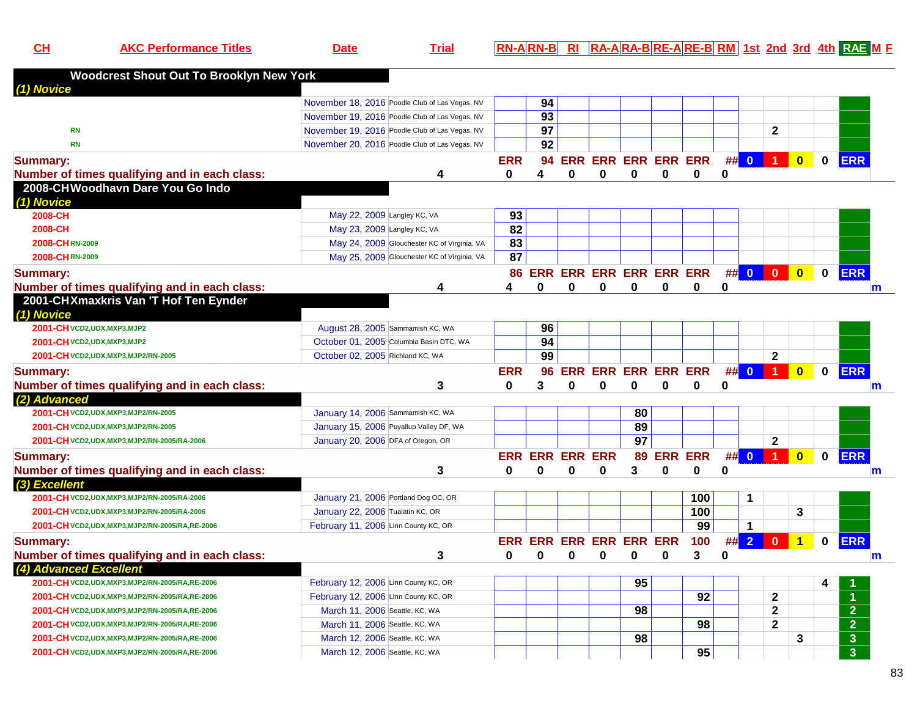**CH**

**AKC Performance Titles Date Trial RN-A RN-B RI RA-A RA-B RE-A RE-B RM 1st 2nd 3rd 4th RAE <sup>M</sup> <sup>F</sup>**

| <b>Woodcrest Shout Out To Brooklyn New York</b>     |                                                                                                  |                 |          |              |                            |                 |             |                 |          |                         |                      |                         |             |                      |
|-----------------------------------------------------|--------------------------------------------------------------------------------------------------|-----------------|----------|--------------|----------------------------|-----------------|-------------|-----------------|----------|-------------------------|----------------------|-------------------------|-------------|----------------------|
| (1) Novice                                          |                                                                                                  |                 | 94       |              |                            |                 |             |                 |          |                         |                      |                         |             |                      |
|                                                     | November 18, 2016 Poodle Club of Las Vegas, NV<br>November 19, 2016 Poodle Club of Las Vegas, NV |                 | 93       |              |                            |                 |             |                 |          |                         |                      |                         |             |                      |
| <b>RN</b>                                           | November 19, 2016 Poodle Club of Las Vegas, NV                                                   |                 | 97       |              |                            |                 |             |                 |          |                         | 2                    |                         |             |                      |
| <b>RN</b>                                           | November 20, 2016 Poodle Club of Las Vegas, NV                                                   |                 | 92       |              |                            |                 |             |                 |          |                         |                      |                         |             |                      |
|                                                     |                                                                                                  |                 |          |              |                            |                 |             |                 |          |                         |                      |                         |             |                      |
| <b>Summary:</b>                                     |                                                                                                  | <b>ERR</b>      | 94       |              | <b>ERR ERR ERR ERR ERR</b> |                 |             |                 |          | ## 0                    | $\blacksquare$       | $\overline{\mathbf{0}}$ | $\mathbf 0$ | <b>ERR</b>           |
| Number of times qualifying and in each class:       | 4                                                                                                | 0               | 4        | 0            | 0                          | 0               | 0           | 0               | 0        |                         |                      |                         |             |                      |
| 2008-CHWoodhavn Dare You Go Indo<br>(1) Novice      |                                                                                                  |                 |          |              |                            |                 |             |                 |          |                         |                      |                         |             |                      |
| 2008-CH                                             | May 22, 2009 Langley KC, VA                                                                      | 93              |          |              |                            |                 |             |                 |          |                         |                      |                         |             |                      |
| 2008-CH                                             | May 23, 2009 Langley KC, VA                                                                      | $\overline{82}$ |          |              |                            |                 |             |                 |          |                         |                      |                         |             |                      |
| 2008-CHRN-2009                                      | May 24, 2009 Glouchester KC of Virginia, VA                                                      | 83              |          |              |                            |                 |             |                 |          |                         |                      |                         |             |                      |
| 2008-CHRN-2009                                      | May 25, 2009 Glouchester KC of Virginia, VA                                                      | 87              |          |              |                            |                 |             |                 |          |                         |                      |                         |             |                      |
|                                                     |                                                                                                  |                 |          |              |                            |                 |             |                 |          |                         |                      |                         |             |                      |
| <b>Summary:</b>                                     |                                                                                                  |                 |          |              | 86 ERR ERR ERR ERR ERR ERR |                 |             |                 |          | ## 0                    | $\mathbf{0}$         | $\overline{\mathbf{0}}$ | $\mathbf 0$ | <b>ERR</b>           |
| Number of times qualifying and in each class:       | 4                                                                                                | 4               | 0        | $\bf{0}$     | 0                          | 0               | $\mathbf 0$ | 0               | 0        |                         |                      |                         |             | $\mathsf{m}$         |
| 2001-CHXmaxkris Van 'T Hof Ten Eynder<br>(1) Novice |                                                                                                  |                 |          |              |                            |                 |             |                 |          |                         |                      |                         |             |                      |
| 2001-CH VCD2, UDX, MXP3, MJP2                       | August 28, 2005 Sammamish KC, WA                                                                 |                 | 96       |              |                            |                 |             |                 |          |                         |                      |                         |             |                      |
| 2001-CH VCD2, UDX, MXP3, MJP2                       | October 01, 2005 Columbia Basin DTC, WA                                                          |                 | 94       |              |                            |                 |             |                 |          |                         |                      |                         |             |                      |
| 2001-CH VCD2, UDX, MXP3, MJP2/RN-2005               | October 02, 2005 Richland KC, WA                                                                 |                 | 99       |              |                            |                 |             |                 |          |                         | $\mathbf{2}$         |                         |             |                      |
| <b>Summary:</b>                                     |                                                                                                  | <b>ERR</b>      | 96       |              | <b>ERR ERR ERR ERR ERR</b> |                 |             |                 |          |                         | $\#$ 0 1             | $\bullet$               | $\mathbf 0$ | <b>ERR</b>           |
| Number of times qualifying and in each class:       | 3                                                                                                | 0               | 3        | $\bf{0}$     | 0                          | $\bf{0}$        | $\bf{0}$    | 0               | 0        |                         |                      |                         |             | m                    |
| (2) Advanced                                        |                                                                                                  |                 |          |              |                            |                 |             |                 |          |                         |                      |                         |             |                      |
| 2001-CH VCD2, UDX, MXP3, MJP2/RN-2005               | January 14, 2006 Sammamish KC, WA                                                                |                 |          |              |                            | 80              |             |                 |          |                         |                      |                         |             |                      |
| 2001-CH VCD2, UDX, MXP3, MJP2/RN-2005               | January 15, 2006 Puyallup Valley DF, WA                                                          |                 |          |              |                            | 89              |             |                 |          |                         |                      |                         |             |                      |
| 2001-CH VCD2, UDX, MXP3, MJP2/RN-2005/RA-2006       | January 20, 2006 DFA of Oregon, OR                                                               |                 |          |              |                            | $\overline{97}$ |             |                 |          |                         | $\mathbf{2}$         |                         |             |                      |
| <b>Summary:</b>                                     |                                                                                                  |                 |          |              | <b>ERR ERR ERR ERR</b>     |                 | 89 ERR ERR  |                 | #        | $\overline{\mathbf{0}}$ | $\blacktriangleleft$ | $\overline{0}$          | $\mathbf 0$ | <b>ERR</b>           |
| Number of times qualifying and in each class:       | 3                                                                                                | $\bf{0}$        | $\Omega$ | $\mathbf{0}$ | 0                          | 3               | $\bf{0}$    | $\bf{0}$        | 0        |                         |                      |                         |             | $\mathsf{m}$         |
| (3) Excellent                                       |                                                                                                  |                 |          |              |                            |                 |             |                 |          |                         |                      |                         |             |                      |
| 2001-CH VCD2, UDX, MXP3, MJP2/RN-2005/RA-2006       | January 21, 2006 Portland Dog OC, OR                                                             |                 |          |              |                            |                 |             | 100             |          | 1                       |                      |                         |             |                      |
| 2001-CH VCD2, UDX, MXP3, MJP2/RN-2005/RA-2006       | January 22, 2006 Tualatin KC, OR                                                                 |                 |          |              |                            |                 |             | 100             |          |                         |                      | 3                       |             |                      |
| 2001-CH VCD2, UDX, MXP3, MJP2/RN-2005/RA, RE-2006   | February 11, 2006 Linn County KC, OR                                                             |                 |          |              |                            |                 |             | 99              |          | $\mathbf 1$             |                      |                         |             |                      |
| Summary:                                            |                                                                                                  |                 |          |              | ERR ERR ERR ERR ERR ERR    |                 |             | 100             |          | $\#$ 2                  | $\overline{0}$       | $\overline{1}$          | $\mathbf 0$ | <b>ERR</b>           |
| Number of times qualifying and in each class:       | 3                                                                                                | 0               | 0        | 0            | 0                          | 0               | 0           | 3               | $\bf{0}$ |                         |                      |                         |             | $\mathsf{m}$         |
| (4) Advanced Excellent                              |                                                                                                  |                 |          |              |                            |                 |             |                 |          |                         |                      |                         |             |                      |
| 2001-CH VCD2, UDX, MXP3, MJP2/RN-2005/RA, RE-2006   | February 12, 2006 Linn County KC, OR                                                             |                 |          |              |                            | 95              |             |                 |          |                         |                      |                         | 4           |                      |
| 2001-CH VCD2, UDX, MXP3, MJP2/RN-2005/RA, RE-2006   | February 12, 2006 Linn County KC, OR                                                             |                 |          |              |                            |                 |             | 92              |          |                         | $\mathbf{2}$         |                         |             | $\blacktriangleleft$ |
| 2001-CH VCD2, UDX, MXP3, MJP2/RN-2005/RA, RE-2006   | March 11, 2006 Seattle, KC, WA                                                                   |                 |          |              |                            | 98              |             |                 |          |                         | $\mathbf{2}$         |                         |             | 2 <sup>1</sup>       |
| 2001-CH VCD2, UDX, MXP3, MJP2/RN-2005/RA, RE-2006   | March 11, 2006 Seattle, KC, WA                                                                   |                 |          |              |                            |                 |             | 98              |          |                         | $\mathbf{2}$         |                         |             | $\overline{2}$       |
| 2001-CH VCD2, UDX, MXP3, MJP2/RN-2005/RA, RE-2006   | March 12, 2006 Seattle, KC, WA                                                                   |                 |          |              |                            | 98              |             |                 |          |                         |                      | 3                       |             | $\mathbf{3}$         |
| 2001-CH VCD2, UDX, MXP3, MJP2/RN-2005/RA, RE-2006   | March 12, 2006 Seattle, KC, WA                                                                   |                 |          |              |                            |                 |             | $\overline{95}$ |          |                         |                      |                         |             | $\overline{3}$       |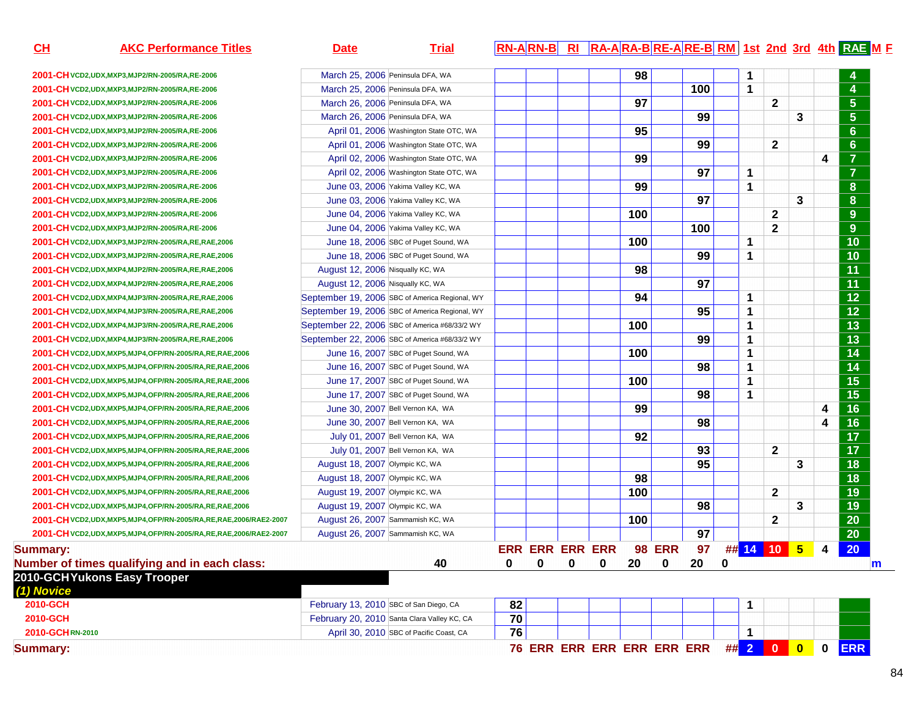| CL              | <b>AKC Performance Titles</b>                                          | <b>Date</b>                            | <b>Trial</b>                                   |    |                        |   |                                                |     |               |                 |   |              |              |           |             | RN-ARN-B RI RA-ARA-BRE-ARE-BRM 1st 2nd 3rd 4th RAE M F |
|-----------------|------------------------------------------------------------------------|----------------------------------------|------------------------------------------------|----|------------------------|---|------------------------------------------------|-----|---------------|-----------------|---|--------------|--------------|-----------|-------------|--------------------------------------------------------|
|                 | 2001-CH VCD2, UDX, MXP3, MJP2/RN-2005/RA, RE-2006                      | March 25, 2006 Peninsula DFA, WA       |                                                |    |                        |   |                                                | 98  |               |                 |   | $\mathbf 1$  |              |           |             |                                                        |
|                 | 2001-CH VCD2, UDX, MXP3, MJP2/RN-2005/RA, RE-2006                      | March 25, 2006 Peninsula DFA, WA       |                                                |    |                        |   |                                                |     |               | 100             |   | $\mathbf{1}$ |              |           |             | 4                                                      |
|                 | 2001-CH VCD2, UDX, MXP3, MJP2/RN-2005/RA, RE-2006                      | March 26, 2006 Peninsula DFA, WA       |                                                |    |                        |   |                                                | 97  |               |                 |   |              | $\mathbf{2}$ |           |             | $5\phantom{.0}$                                        |
|                 | 2001-CH VCD2, UDX, MXP3, MJP2/RN-2005/RA, RE-2006                      | March 26, 2006 Peninsula DFA, WA       |                                                |    |                        |   |                                                |     |               | 99              |   |              |              | 3         |             | 5 <sub>5</sub>                                         |
|                 | 2001-CH VCD2, UDX, MXP3, MJP2/RN-2005/RA, RE-2006                      |                                        | April 01, 2006 Washington State OTC, WA        |    |                        |   |                                                | 95  |               |                 |   |              |              |           |             | 6 <sup>°</sup>                                         |
|                 | 2001-CH VCD2, UDX, MXP3, MJP2/RN-2005/RA, RE-2006                      |                                        | April 01, 2006 Washington State OTC, WA        |    |                        |   |                                                |     |               | 99              |   |              | $\mathbf{2}$ |           |             | 6 <sup>°</sup>                                         |
|                 | 2001-CH VCD2, UDX, MXP3, MJP2/RN-2005/RA, RE-2006                      |                                        | April 02, 2006 Washington State OTC, WA        |    |                        |   |                                                | 99  |               |                 |   |              |              |           | 4           | $\overline{7}$                                         |
|                 | 2001-CH VCD2, UDX, MXP3, MJP2/RN-2005/RA, RE-2006                      |                                        | April 02, 2006 Washington State OTC, WA        |    |                        |   |                                                |     |               | 97              |   | $\mathbf 1$  |              |           |             | $\overline{7}$                                         |
|                 | 2001-CH VCD2, UDX, MXP3, MJP2/RN-2005/RA, RE-2006                      |                                        | June 03, 2006 Yakima Valley KC, WA             |    |                        |   |                                                | 99  |               |                 |   | $\mathbf 1$  |              |           |             | 8                                                      |
|                 | 2001-CH VCD2, UDX, MXP3, MJP2/RN-2005/RA, RE-2006                      |                                        | June 03, 2006 Yakima Valley KC, WA             |    |                        |   |                                                |     |               | 97              |   |              |              | 3         |             | 8                                                      |
|                 | 2001-CH VCD2, UDX, MXP3, MJP2/RN-2005/RA, RE-2006                      |                                        | June 04, 2006 Yakima Valley KC, WA             |    |                        |   |                                                | 100 |               |                 |   |              | $\mathbf{2}$ |           |             | 9                                                      |
|                 | 2001-CH VCD2, UDX, MXP3, MJP2/RN-2005/RA, RE-2006                      |                                        | June 04, 2006 Yakima Valley KC, WA             |    |                        |   |                                                |     |               | 100             |   |              | $\mathbf{2}$ |           |             | 9                                                      |
|                 | 2001-CH VCD2, UDX, MXP3, MJP2/RN-2005/RA, RE, RAE, 2006                |                                        | June 18, 2006 SBC of Puget Sound, WA           |    |                        |   |                                                | 100 |               |                 |   | 1            |              |           |             | 10                                                     |
|                 | 2001-CH VCD2, UDX, MXP3, MJP2/RN-2005/RA, RE, RAE, 2006                |                                        | June 18, 2006 SBC of Puget Sound, WA           |    |                        |   |                                                |     |               | 99              |   | $\mathbf{1}$ |              |           |             | 10                                                     |
|                 | 2001-CH VCD2, UDX, MXP4, MJP2/RN-2005/RA, RE, RAE, 2006                | August 12, 2006 Nisqually KC, WA       |                                                |    |                        |   |                                                | 98  |               |                 |   |              |              |           |             | 11                                                     |
|                 | 2001-CH VCD2, UDX, MXP4, MJP2/RN-2005/RA, RE, RAE, 2006                | August 12, 2006 Nisqually KC, WA       |                                                |    |                        |   |                                                |     |               | 97              |   |              |              |           |             | 11                                                     |
|                 | 2001-CH VCD2, UDX, MXP4, MJP3/RN-2005/RA, RE, RAE, 2006                |                                        | September 19, 2006 SBC of America Regional, WY |    |                        |   |                                                | 94  |               |                 |   | $\mathbf 1$  |              |           |             | 12                                                     |
|                 | 2001-CH VCD2, UDX, MXP4, MJP3/RN-2005/RA, RE, RAE, 2006                |                                        | September 19, 2006 SBC of America Regional, WY |    |                        |   |                                                |     |               | 95              |   | $\mathbf{1}$ |              |           |             | 12                                                     |
|                 | 2001-CH VCD2, UDX, MXP4, MJP3/RN-2005/RA, RE, RAE, 2006                |                                        | September 22, 2006 SBC of America #68/33/2 WY  |    |                        |   |                                                | 100 |               |                 |   | $\mathbf{1}$ |              |           |             | 13                                                     |
|                 | 2001-CH VCD2, UDX, MXP4, MJP3/RN-2005/RA, RE, RAE, 2006                |                                        | September 22, 2006 SBC of America #68/33/2 WY  |    |                        |   |                                                |     |               | 99              |   | $\mathbf{1}$ |              |           |             | 13                                                     |
|                 | 2001-CH VCD2, UDX, MXP5, MJP4, OFP/RN-2005/RA, RE, RAE, 2006           |                                        | June 16, 2007 SBC of Puget Sound, WA           |    |                        |   |                                                | 100 |               |                 |   | $\mathbf{1}$ |              |           |             | 14                                                     |
|                 | 2001-CH VCD2, UDX, MXP5, MJP4, OFP/RN-2005/RA, RE, RAE, 2006           |                                        | June 16, 2007 SBC of Puget Sound, WA           |    |                        |   |                                                |     |               | 98              |   | $\mathbf{1}$ |              |           |             | 14                                                     |
|                 | 2001-CH VCD2, UDX, MXP5, MJP4, OFP/RN-2005/RA, RE, RAE, 2006           |                                        | June 17, 2007 SBC of Puget Sound, WA           |    |                        |   |                                                | 100 |               |                 |   | $\mathbf{1}$ |              |           |             | 15                                                     |
|                 | 2001-CH VCD2, UDX, MXP5, MJP4, OFP/RN-2005/RA, RE, RAE, 2006           |                                        | June 17, 2007 SBC of Puget Sound, WA           |    |                        |   |                                                |     |               | 98              |   | $\mathbf 1$  |              |           |             | 15                                                     |
|                 | 2001-CH VCD2, UDX, MXP5, MJP4, OFP/RN-2005/RA, RE, RAE, 2006           | June 30, 2007 Bell Vernon KA, WA       |                                                |    |                        |   |                                                | 99  |               |                 |   |              |              |           | 4           | 16                                                     |
|                 | 2001-CH VCD2, UDX, MXP5, MJP4, OFP/RN-2005/RA, RE, RAE, 2006           | June 30, 2007 Bell Vernon KA, WA       |                                                |    |                        |   |                                                |     |               | 98              |   |              |              |           | 4           | 16                                                     |
|                 | 2001-CH VCD2, UDX, MXP5, MJP4, OFP/RN-2005/RA, RE, RAE, 2006           |                                        | July 01, 2007 Bell Vernon KA, WA               |    |                        |   |                                                | 92  |               |                 |   |              |              |           |             | 17                                                     |
|                 | 2001-CH VCD2, UDX, MXP5, MJP4, OFP/RN-2005/RA, RE, RAE, 2006           |                                        | July 01, 2007 Bell Vernon KA, WA               |    |                        |   |                                                |     |               | 93              |   |              | $\mathbf{2}$ |           |             | 17                                                     |
|                 | 2001-CH VCD2, UDX, MXP5, MJP4, OFP/RN-2005/RA, RE, RAE, 2006           | August 18, 2007 Olympic KC, WA         |                                                |    |                        |   |                                                |     |               | $\overline{95}$ |   |              |              | 3         |             | 18                                                     |
|                 | 2001-CH VCD2, UDX, MXP5, MJP4, OFP/RN-2005/RA, RE, RAE, 2006           | August 18, 2007 Olympic KC, WA         |                                                |    |                        |   |                                                | 98  |               |                 |   |              |              |           |             | 18                                                     |
|                 | 2001-CH VCD2, UDX, MXP5, MJP4, OFP/RN-2005/RA, RE, RAE, 2006           | August 19, 2007 Olympic KC, WA         |                                                |    |                        |   |                                                | 100 |               |                 |   |              | $\mathbf{2}$ |           |             | 19                                                     |
|                 | 2001-CH VCD2, UDX, MXP5, MJP4, OFP/RN-2005/RA, RE, RAE, 2006           | August 19, 2007 Olympic KC, WA         |                                                |    |                        |   |                                                |     |               | 98              |   |              |              | 3         |             | 19                                                     |
|                 | 2001-CH VCD2, UDX, MXP5, MJP4, OFP/RN-2005/RA, RE, RAE, 2006/RAE2-2007 | August 26, 2007 Sammamish KC, WA       |                                                |    |                        |   |                                                | 100 |               |                 |   |              | $\mathbf{2}$ |           |             | 20                                                     |
|                 | 2001-CH VCD2, UDX, MXP5, MJP4, OFP/RN-2005/RA, RE, RAE, 2006/RAE2-2007 | August 26, 2007 Sammamish KC, WA       |                                                |    |                        |   |                                                |     |               | 97              |   |              |              |           |             | 20                                                     |
| <b>Summary:</b> |                                                                        |                                        |                                                |    | <b>ERR ERR ERR ERR</b> |   |                                                |     | <b>98 ERR</b> | 97              |   |              | ## 14 10 5   |           | 4           | 20                                                     |
|                 | Number of times qualifying and in each class:                          |                                        | 40                                             | 0  | 0                      | 0 | $\mathbf{0}$                                   | 20  | 0             | 20              | 0 |              |              |           |             | $\mathbf{m}$                                           |
| (1) Novice      | 2010-GCHYukons Easy Trooper                                            |                                        |                                                |    |                        |   |                                                |     |               |                 |   |              |              |           |             |                                                        |
| 2010-GCH        |                                                                        | February 13, 2010 SBC of San Diego, CA |                                                | 82 |                        |   |                                                |     |               |                 |   | 1            |              |           |             |                                                        |
| 2010-GCH        |                                                                        |                                        | February 20, 2010 Santa Clara Valley KC, CA    | 70 |                        |   |                                                |     |               |                 |   |              |              |           |             |                                                        |
| 2010-GCHRN-2010 |                                                                        |                                        | April 30, 2010 SBC of Pacific Coast, CA        | 76 |                        |   |                                                |     |               |                 |   | 1            |              |           |             |                                                        |
| <b>Summary:</b> |                                                                        |                                        |                                                |    |                        |   | 76 ERR ERR ERR ERR ERR ERR ## <mark>200</mark> |     |               |                 |   |              |              | $\bullet$ | $\mathbf 0$ | <b>ERR</b>                                             |